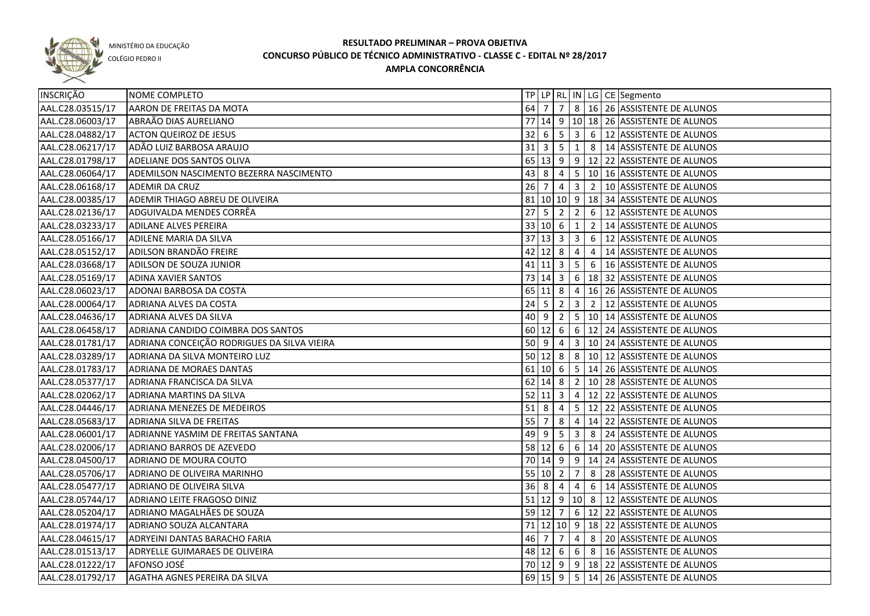

COLÉGIO PEDRO II

| INSCRIÇÃO        | NOME COMPLETO                               |                     |                  |                 |                |  | TP LP   RL   IN   LG   CE   Segmento                          |
|------------------|---------------------------------------------|---------------------|------------------|-----------------|----------------|--|---------------------------------------------------------------|
| AAL.C28.03515/17 | AARON DE FREITAS DA MOTA                    |                     |                  |                 |                |  | 64 7 7 8 16 26 ASSISTENTE DE ALUNOS                           |
| AAL.C28.06003/17 | ABRAÃO DIAS AURELIANO                       |                     |                  |                 |                |  | 77 14 9 10 18 26 ASSISTENTE DE ALUNOS                         |
| AAL.C28.04882/17 | <b>ACTON QUEIROZ DE JESUS</b>               |                     |                  |                 |                |  | $32   6   5   3   6   12$ ASSISTENTE DE ALUNOS                |
| AAL.C28.06217/17 | ADÃO LUIZ BARBOSA ARAUJO                    |                     |                  |                 |                |  | $31 \mid 3 \mid 5 \mid 1 \mid 8 \mid 14$ ASSISTENTE DE ALUNOS |
| AAL.C28.01798/17 | ADELIANE DOS SANTOS OLIVA                   |                     |                  |                 |                |  | 65 13 9 9 12 22 ASSISTENTE DE ALUNOS                          |
| AAL.C28.06064/17 | ADEMILSON NASCIMENTO BEZERRA NASCIMENTO     |                     |                  |                 |                |  | 43 8 4 5 10 16 ASSISTENTE DE ALUNOS                           |
| AAL.C28.06168/17 | <b>ADEMIR DA CRUZ</b>                       |                     |                  |                 |                |  | 26 7 4 3 2 10 ASSISTENTE DE ALUNOS                            |
| AAL.C28.00385/17 | ADEMIR THIAGO ABREU DE OLIVEIRA             |                     |                  |                 |                |  | 81   10   10   9   18   34   ASSISTENTE DE ALUNOS             |
| AAL.C28.02136/17 | ADGUIVALDA MENDES CORRÊA                    |                     |                  | $27$ 5 2 2      |                |  | 6 12 ASSISTENTE DE ALUNOS                                     |
| AAL.C28.03233/17 | <b>ADILANE ALVES PEREIRA</b>                |                     |                  | 33   10   6   1 |                |  | 2 14 ASSISTENTE DE ALUNOS                                     |
| AAL.C28.05166/17 | <b>ADILENE MARIA DA SILVA</b>               |                     |                  | 37 13 3 3       |                |  | 6 12 ASSISTENTE DE ALUNOS                                     |
| AAL.C28.05152/17 | ADILSON BRANDÃO FREIRE                      |                     |                  | $42$ 12 8 4     |                |  | 4   14 ASSISTENTE DE ALUNOS                                   |
| AAL.C28.03668/17 | ADILSON DE SOUZA JUNIOR                     |                     |                  |                 |                |  | 41   11   3   5   6   16   ASSISTENTE DE ALUNOS               |
| AAL.C28.05169/17 | <b>ADINA XAVIER SANTOS</b>                  |                     | 73 14 3          |                 |                |  | 6   18   32   ASSISTENTE DE ALUNOS                            |
| AAL.C28.06023/17 | ADONAI BARBOSA DA COSTA                     |                     | $65$ 11 8        |                 |                |  | $4 \mid 16 \mid 26 \mid$ ASSISTENTE DE ALUNOS                 |
| AAL.C28.00064/17 | ADRIANA ALVES DA COSTA                      |                     | $24 \mid 5 \mid$ | $\sqrt{2}$      |                |  | 3 2 2 12 ASSISTENTE DE ALUNOS                                 |
| AAL.C28.04636/17 | ADRIANA ALVES DA SILVA                      |                     | 40   9           | $\vert 2 \vert$ |                |  | 5   10   14 ASSISTENTE DE ALUNOS                              |
| AAL.C28.06458/17 | ADRIANA CANDIDO COIMBRA DOS SANTOS          | 60                  | $12 \quad 6$     |                 |                |  | 6   12   24   ASSISTENTE DE ALUNOS                            |
| AAL.C28.01781/17 | ADRIANA CONCEIÇÃO RODRIGUES DA SILVA VIEIRA | 50 9                |                  | $\overline{4}$  |                |  | 3   10   24   ASSISTENTE DE ALUNOS                            |
| AAL.C28.03289/17 | ADRIANA DA SILVA MONTEIRO LUZ               |                     |                  | $50 \ 12 \ 8$   |                |  | 8   10   12   ASSISTENTE DE ALUNOS                            |
| AAL.C28.01783/17 | ADRIANA DE MORAES DANTAS                    |                     | $61$ 10 6        |                 |                |  | $\vert$ 5 $\vert$ 14 $\vert$ 26 ASSISTENTE DE ALUNOS          |
| AAL.C28.05377/17 | ADRIANA FRANCISCA DA SILVA                  |                     | 62 14 8          |                 |                |  | 2   10   28   ASSISTENTE DE ALUNOS                            |
| AAL.C28.02062/17 | ADRIANA MARTINS DA SILVA                    | $52 \mid 11 \mid 3$ |                  |                 |                |  | 4   12   22   ASSISTENTE DE ALUNOS                            |
| AAL.C28.04446/17 | ADRIANA MENEZES DE MEDEIROS                 | 518                 |                  | $\overline{4}$  |                |  | 5 12 22 ASSISTENTE DE ALUNOS                                  |
| AAL.C28.05683/17 | ADRIANA SILVA DE FREITAS                    | 55                  | 7                | 8               |                |  | 4   14   22   ASSISTENTE DE ALUNOS                            |
| AAL.C28.06001/17 | ADRIANNE YASMIM DE FREITAS SANTANA          | 49                  | l 9              | 5               | 3 <sup>1</sup> |  | 8 24 ASSISTENTE DE ALUNOS                                     |
| AAL.C28.02006/17 | ADRIANO BARROS DE AZEVEDO                   |                     |                  | $58$ 12 6       |                |  | 6 14 20 ASSISTENTE DE ALUNOS                                  |
| AAL.C28.04500/17 | ADRIANO DE MOURA COUTO                      |                     |                  |                 |                |  | 70 14 9 9 14 24 ASSISTENTE DE ALUNOS                          |
| AAL.C28.05706/17 | ADRIANO DE OLIVEIRA MARINHO                 | 55   10   2         |                  |                 | $\overline{7}$ |  | 8 28 ASSISTENTE DE ALUNOS                                     |
| AAL.C28.05477/17 | ADRIANO DE OLIVEIRA SILVA                   | $36 \mid 8 \mid 4$  |                  |                 | $4 \mid$       |  | 6 14 ASSISTENTE DE ALUNOS                                     |
| AAL.C28.05744/17 | ADRIANO LEITE FRAGOSO DINIZ                 |                     |                  |                 |                |  | 51 12 9 10 8 12 ASSISTENTE DE ALUNOS                          |
| AAL.C28.05204/17 | ADRIANO MAGALHÃES DE SOUZA                  |                     |                  |                 |                |  | 59 12 7 6 12 22 ASSISTENTE DE ALUNOS                          |
| AAL.C28.01974/17 | ADRIANO SOUZA ALCANTARA                     |                     |                  |                 |                |  | 71 12 10 9 18 22 ASSISTENTE DE ALUNOS                         |
| AAL.C28.04615/17 | ADRYEINI DANTAS BARACHO FARIA               |                     |                  |                 |                |  | 46 7 7 4 8 20 ASSISTENTE DE ALUNOS                            |
| AAL.C28.01513/17 | ADRYELLE GUIMARAES DE OLIVEIRA              |                     |                  |                 |                |  | 48 12 6 6 8 16 ASSISTENTE DE ALUNOS                           |
| AAL.C28.01222/17 | AFONSO JOSÉ                                 |                     |                  |                 |                |  | 70 12 9 9 18 22 ASSISTENTE DE ALUNOS                          |
| AAL.C28.01792/17 | AGATHA AGNES PEREIRA DA SILVA               |                     |                  |                 |                |  | 69 15 9 5 14 26 ASSISTENTE DE ALUNOS                          |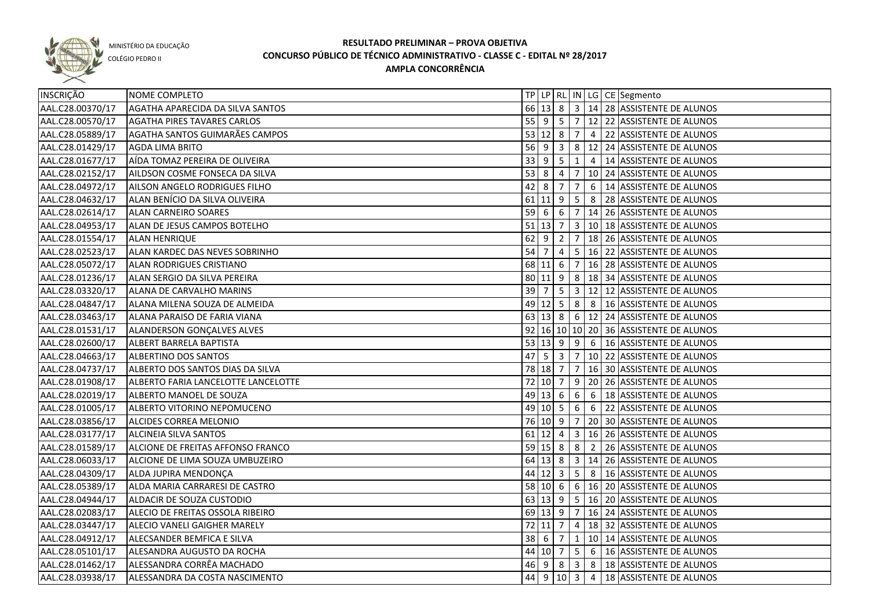

COLÉGIO PEDRO II

| INSCRIÇÃO        | NOME COMPLETO                       |                                  |              |                         |   | TP LP RL IN LG CE Segmento                       |
|------------------|-------------------------------------|----------------------------------|--------------|-------------------------|---|--------------------------------------------------|
| AAL.C28.00370/17 | AGATHA APARECIDA DA SILVA SANTOS    |                                  |              |                         |   | 66 13 8 3 14 28 ASSISTENTE DE ALUNOS             |
| AAL.C28.00570/17 | <b>AGATHA PIRES TAVARES CARLOS</b>  |                                  |              |                         |   | 55 9 5 7 12 22 ASSISTENTE DE ALUNOS              |
| AAL.C28.05889/17 | AGATHA SANTOS GUIMARÃES CAMPOS      |                                  |              |                         |   | 53 12 8 7 4 22 ASSISTENTE DE ALUNOS              |
| AAL.C28.01429/17 | <b>AGDA LIMA BRITO</b>              |                                  |              |                         |   | 56 9 3 8 12 24 ASSISTENTE DE ALUNOS              |
| AAL.C28.01677/17 | AÍDA TOMAZ PEREIRA DE OLIVEIRA      |                                  |              |                         |   | 33 9 5 1 4 14 ASSISTENTE DE ALUNOS               |
| AAL.C28.02152/17 | AILDSON COSME FONSECA DA SILVA      |                                  |              |                         |   | 53 8 4 7 10 24 ASSISTENTE DE ALUNOS              |
| AAL.C28.04972/17 | AILSON ANGELO RODRIGUES FILHO       |                                  | $42 \ 8 \ 7$ | 7                       |   | 6 14 ASSISTENTE DE ALUNOS                        |
| AAL.C28.04632/17 | ALAN BENÍCIO DA SILVA OLIVEIRA      |                                  |              |                         |   | 61 11 9   5   8   28   ASSISTENTE DE ALUNOS      |
| AAL.C28.02614/17 | <b>ALAN CARNEIRO SOARES</b>         |                                  |              |                         |   | 59 6 6 7 14 26 ASSISTENTE DE ALUNOS              |
| AAL.C28.04953/17 | ALAN DE JESUS CAMPOS BOTELHO        |                                  |              |                         |   | 51   13   7   3   10   18   ASSISTENTE DE ALUNOS |
| AAL.C28.01554/17 | <b>ALAN HENRIQUE</b>                |                                  | $62$ 9 2     | $\overline{7}$          |   | 18 26 ASSISTENTE DE ALUNOS                       |
| AAL.C28.02523/17 | ALAN KARDEC DAS NEVES SOBRINHO      | $54 \overline{\smash{\big)}\ 7}$ |              |                         |   | 4   5   16   22   ASSISTENTE DE ALUNOS           |
| AAL.C28.05072/17 | ALAN RODRIGUES CRISTIANO            |                                  |              |                         |   | 68 11 6 7 16 28 ASSISTENTE DE ALUNOS             |
| AAL.C28.01236/17 | ALAN SERGIO DA SILVA PEREIRA        |                                  |              |                         |   | 80   11   9   8   18   34   ASSISTENTE DE ALUNOS |
| AAL.C28.03320/17 | ALANA DE CARVALHO MARINS            | $39 \mid 7$                      |              | $5 \mid 3$              |   | 12 12 ASSISTENTE DE ALUNOS                       |
| AAL.C28.04847/17 | ALANA MILENA SOUZA DE ALMEIDA       |                                  | $49$ 12 5    | 8                       |   | 8   16 ASSISTENTE DE ALUNOS                      |
| AAL.C28.03463/17 | ALANA PARAISO DE FARIA VIANA        |                                  |              |                         |   | 63 13 8 6 12 24 ASSISTENTE DE ALUNOS             |
| AAL.C28.01531/17 | ALANDERSON GONÇALVES ALVES          |                                  |              |                         |   | 92 16 10 10 20 36 ASSISTENTE DE ALUNOS           |
| AAL.C28.02600/17 | ALBERT BARRELA BAPTISTA             |                                  |              |                         |   | 53   13   9   9   6   16   ASSISTENTE DE ALUNOS  |
| AAL.C28.04663/17 | ALBERTINO DOS SANTOS                | 47                               | 5 3 7        |                         |   | 10 22 ASSISTENTE DE ALUNOS                       |
| AAL.C28.04737/17 | ALBERTO DOS SANTOS DIAS DA SILVA    |                                  | 78 18 7      | 7 <sup>1</sup>          |   | 16 30 ASSISTENTE DE ALUNOS                       |
| AAL.C28.01908/17 | ALBERTO FARIA LANCELOTTE LANCELOTTE |                                  | 72 10 7      |                         |   | 9   20   26   ASSISTENTE DE ALUNOS               |
| AAL.C28.02019/17 | ALBERTO MANOEL DE SOUZA             |                                  | 49 13 6      | 6                       | 6 | 18 ASSISTENTE DE ALUNOS                          |
| AAL.C28.01005/17 | ALBERTO VITORINO NEPOMUCENO         |                                  | 49 10 5      |                         |   | 6 6 22 ASSISTENTE DE ALUNOS                      |
| AAL.C28.03856/17 | ALCIDES CORREA MELONIO              |                                  | 76 10 9      | 7                       |   | 20 30 ASSISTENTE DE ALUNOS                       |
| AAL.C28.03177/17 | <b>ALCINEIA SILVA SANTOS</b>        |                                  | $61$ 12 4    | $\overline{\mathbf{3}}$ |   | 16 26 ASSISTENTE DE ALUNOS                       |
| AAL.C28.01589/17 | ALCIONE DE FREITAS AFFONSO FRANCO   |                                  | $59$ 15 8 8  |                         |   | 2 26 ASSISTENTE DE ALUNOS                        |
| AAL.C28.06033/17 | ALCIONE DE LIMA SOUZA UMBUZEIRO     |                                  |              |                         |   | 64 13 8 3 14 26 ASSISTENTE DE ALUNOS             |
| AAL.C28.04309/17 | ALDA JUPIRA MENDONÇA                |                                  | $44$ 12 3 5  |                         |   | 8   16 ASSISTENTE DE ALUNOS                      |
| AAL.C28.05389/17 | ALDA MARIA CARRARESI DE CASTRO      |                                  | 58   10   6  |                         |   | 6   16   20   ASSISTENTE DE ALUNOS               |
| AAL.C28.04944/17 | ALDACIR DE SOUZA CUSTODIO           |                                  |              |                         |   | 63 13 9 5 16 20 ASSISTENTE DE ALUNOS             |
| AAL.C28.02083/17 | ALECIO DE FREITAS OSSOLA RIBEIRO    |                                  |              |                         |   | 69 13 9 7 16 24 ASSISTENTE DE ALUNOS             |
| AAL.C28.03447/17 | ALECIO VANELI GAIGHER MARELY        |                                  |              |                         |   | 72 11 7 4 18 32 ASSISTENTE DE ALUNOS             |
| AAL.C28.04912/17 | ALECSANDER BEMFICA E SILVA          |                                  |              |                         |   | 38 6 7 1 1 0 14 ASSISTENTE DE ALUNOS             |
| AAL.C28.05101/17 | ALESANDRA AUGUSTO DA ROCHA          |                                  |              |                         |   | 44 10 7 5 6 16 ASSISTENTE DE ALUNOS              |
| AAL.C28.01462/17 | ALESSANDRA CORRÊA MACHADO           |                                  |              |                         |   |                                                  |
| AAL.C28.03938/17 | ALESSANDRA DA COSTA NASCIMENTO      |                                  |              |                         |   | 44 9 10 3 4 18 ASSISTENTE DE ALUNOS              |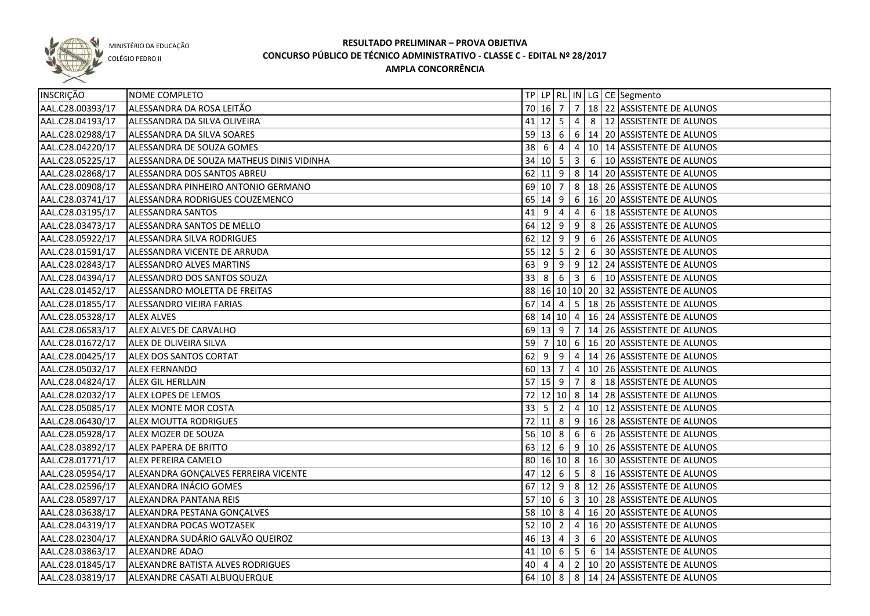

COLÉGIO PEDRO II

| INSCRIÇÃO        | NOME COMPLETO                             |             |              |                |                 |   | TP   LP   RL   IN   LG   CE   Segmento                         |
|------------------|-------------------------------------------|-------------|--------------|----------------|-----------------|---|----------------------------------------------------------------|
| AAL.C28.00393/17 | ALESSANDRA DA ROSA LEITÃO                 |             | 70   16   7  |                |                 |   | 7   18   22   ASSISTENTE DE ALUNOS                             |
| AAL.C28.04193/17 | ALESSANDRA DA SILVA OLIVEIRA              |             | $41$ 12 5    |                | $\overline{4}$  |   | 8 12 ASSISTENTE DE ALUNOS                                      |
| AAL.C28.02988/17 | ALESSANDRA DA SILVA SOARES                |             |              |                |                 |   | 59 13 6 6 14 20 ASSISTENTE DE ALUNOS                           |
| AAL.C28.04220/17 | ALESSANDRA DE SOUZA GOMES                 |             | $38 \mid 6$  | $\overline{4}$ |                 |   | 4   10   14   ASSISTENTE DE ALUNOS                             |
| AAL.C28.05225/17 | ALESSANDRA DE SOUZA MATHEUS DINIS VIDINHA |             |              |                |                 |   | 34 10 5 3 6 10 ASSISTENTE DE ALUNOS                            |
| AAL.C28.02868/17 | ALESSANDRA DOS SANTOS ABREU               |             |              |                |                 |   | 62 11 9 8 14 20 ASSISTENTE DE ALUNOS                           |
| AAL.C28.00908/17 | ALESSANDRA PINHEIRO ANTONIO GERMANO       |             |              | 69 10 7        |                 |   | 8   18   26   ASSISTENTE DE ALUNOS                             |
| AAL.C28.03741/17 | ALESSANDRA RODRIGUES COUZEMENCO           |             |              |                |                 |   | 65   14   9   6   16   20   ASSISTENTE DE ALUNOS               |
| AAL.C28.03195/17 | ALESSANDRA SANTOS                         |             | 41 9 4       |                | $\overline{4}$  |   | 6   18 ASSISTENTE DE ALUNOS                                    |
| AAL.C28.03473/17 | ALESSANDRA SANTOS DE MELLO                |             |              |                |                 |   | 64 12 9 9 8 26 ASSISTENTE DE ALUNOS                            |
| AAL.C28.05922/17 | ALESSANDRA SILVA RODRIGUES                |             |              |                |                 |   | 62 12 9 9 6 26 ASSISTENTE DE ALUNOS                            |
| AAL.C28.01591/17 | ALESSANDRA VICENTE DE ARRUDA              |             |              | $55$ 12 5 2    |                 |   | 6 30 ASSISTENTE DE ALUNOS                                      |
| AAL.C28.02843/17 | ALESSANDRO ALVES MARTINS                  |             |              |                |                 |   | 63 9 9 9 12 24 ASSISTENTE DE ALUNOS                            |
| AAL.C28.04394/17 | ALESSANDRO DOS SANTOS SOUZA               |             | $33 \mid 8$  | 6              |                 |   | 3 6 10 ASSISTENTE DE ALUNOS                                    |
| AAL.C28.01452/17 | ALESSANDRO MOLETTA DE FREITAS             |             |              |                |                 |   | 88 16 10 10 20 32 ASSISTENTE DE ALUNOS                         |
| AAL.C28.01855/17 | ALESSANDRO VIEIRA FARIAS                  |             | 67 14 4      |                |                 |   | 5   18   26   ASSISTENTE DE ALUNOS                             |
| AAL.C28.05328/17 | <b>ALEX ALVES</b>                         |             |              |                |                 |   | 68 14 10 4 16 24 ASSISTENTE DE ALUNOS                          |
| AAL.C28.06583/17 | ALEX ALVES DE CARVALHO                    |             |              |                |                 |   | 69   13   9   7   14   26   ASSISTENTE DE ALUNOS               |
| AAL.C28.01672/17 | ALEX DE OLIVEIRA SILVA                    | 59 7        |              |                |                 |   | 10 6 16 20 ASSISTENTE DE ALUNOS                                |
| AAL.C28.00425/17 | ALEX DOS SANTOS CORTAT                    | $62$ 9      |              | 9              | $\overline{4}$  |   | 14 26 ASSISTENTE DE ALUNOS                                     |
| AAL.C28.05032/17 | <b>ALEX FERNANDO</b>                      |             | 60 13 7      |                | $\overline{4}$  |   | 10 26 ASSISTENTE DE ALUNOS                                     |
| AAL.C28.04824/17 | ÁLEX GIL HERLLAIN                         |             | $57$ 15 9    |                | 7               | 8 | 18 ASSISTENTE DE ALUNOS                                        |
| AAL.C28.02032/17 | ALEX LOPES DE LEMOS                       |             |              | 72 12 10 8     |                 |   | 14 28 ASSISTENTE DE ALUNOS                                     |
| AAL.C28.05085/17 | ALEX MONTE MOR COSTA                      | $33 \mid 5$ |              | $\overline{2}$ | $\overline{4}$  |   | 10 12 ASSISTENTE DE ALUNOS                                     |
| AAL.C28.06430/17 | ALEX MOUTTA RODRIGUES                     |             | 72 11 8      |                | 9               |   | 16 28 ASSISTENTE DE ALUNOS                                     |
| AAL.C28.05928/17 | ALEX MOZER DE SOUZA                       |             | $56$ 10 8    |                | 6               | 6 | 26 ASSISTENTE DE ALUNOS                                        |
| AAL.C28.03892/17 | ALEX PAPERA DE BRITTO                     |             | 63 12        | 6              | 9               |   | 10 26 ASSISTENTE DE ALUNOS                                     |
| AAL.C28.01771/17 | <b>ALEX PEREIRA CAMELO</b>                |             |              |                |                 |   | 80 16 10 8 16 30 ASSISTENTE DE ALUNOS                          |
| AAL.C28.05954/17 | ALEXANDRA GONÇALVES FERREIRA VICENTE      | 47          | $12 \quad 6$ |                | $5\phantom{.0}$ |   | 8   16 ASSISTENTE DE ALUNOS                                    |
| AAL.C28.02596/17 | ALEXANDRA INÁCIO GOMES                    |             | $67$ 12 9    |                |                 |   | 8   12   26   ASSISTENTE DE ALUNOS                             |
| AAL.C28.05897/17 | ALEXANDRA PANTANA REIS                    | 57   10   6 |              |                |                 |   | 3   10   28   ASSISTENTE DE ALUNOS                             |
| AAL.C28.03638/17 | ALEXANDRA PESTANA GONÇALVES               |             | 58 10 8      |                |                 |   | 4 16 20 ASSISTENTE DE ALUNOS                                   |
| AAL.C28.04319/17 | ALEXANDRA POCAS WOTZASEK                  |             | 52   10   2  |                |                 |   | $\vert 4 \vert 16 \vert 20 \vert$ ASSISTENTE DE ALUNOS         |
| AAL.C28.02304/17 | ALEXANDRA SUDÁRIO GALVÃO QUEIROZ          |             |              | 46 13 4        |                 |   | 3 6 20 ASSISTENTE DE ALUNOS                                    |
| AAL.C28.03863/17 | <b>ALEXANDRE ADAO</b>                     |             |              |                |                 |   | $41 \mid 10 \mid 6 \mid 5 \mid 6 \mid 14$ ASSISTENTE DE ALUNOS |
| AAL.C28.01845/17 | ALEXANDRE BATISTA ALVES RODRIGUES         |             | 40 4         | $\overline{4}$ |                 |   | 2   10   20   ASSISTENTE DE ALUNOS                             |
| AAL.C28.03819/17 | ALEXANDRE CASATI ALBUQUERQUE              |             |              |                |                 |   | 64 10 8 8 14 24 ASSISTENTE DE ALUNOS                           |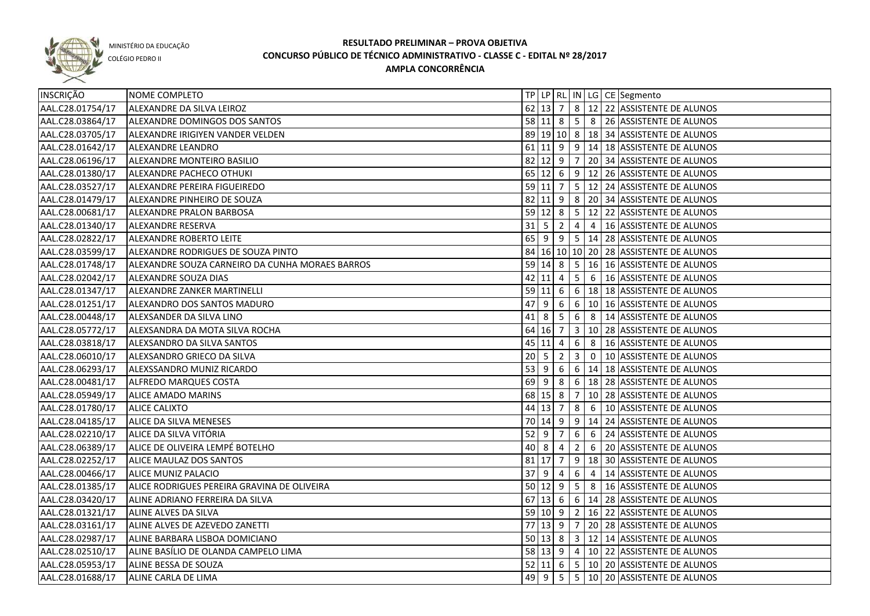

COLÉGIO PEDRO II

| INSCRIÇÃO        | NOME COMPLETO                                   |                                  |                    |                |                |                | TP   LP   RL   IN   LG   CE   Segmento                 |
|------------------|-------------------------------------------------|----------------------------------|--------------------|----------------|----------------|----------------|--------------------------------------------------------|
| AAL.C28.01754/17 | ALEXANDRE DA SILVA LEIROZ                       |                                  | $62$ 13 7          |                |                |                | 8 12 22 ASSISTENTE DE ALUNOS                           |
| AAL.C28.03864/17 | ALEXANDRE DOMINGOS DOS SANTOS                   |                                  |                    |                |                |                | 58 11 8 5 8 26 ASSISTENTE DE ALUNOS                    |
| AAL.C28.03705/17 | ALEXANDRE IRIGIYEN VANDER VELDEN                |                                  |                    |                |                |                | 89 19 10 8 18 34 ASSISTENTE DE ALUNOS                  |
| AAL.C28.01642/17 | ALEXANDRE LEANDRO                               |                                  |                    |                |                |                | 61 11 9 9 14 18 ASSISTENTE DE ALUNOS                   |
| AAL.C28.06196/17 | ALEXANDRE MONTEIRO BASILIO                      |                                  |                    |                |                |                | 82 12 9 7 20 34 ASSISTENTE DE ALUNOS                   |
| AAL.C28.01380/17 | ALEXANDRE PACHECO OTHUKI                        |                                  |                    |                |                |                | 65 12 6 9 12 26 ASSISTENTE DE ALUNOS                   |
| AAL.C28.03527/17 | ALEXANDRE PEREIRA FIGUEIREDO                    |                                  |                    |                |                |                | 59 11 7 5 12 24 ASSISTENTE DE ALUNOS                   |
| AAL.C28.01479/17 | ALEXANDRE PINHEIRO DE SOUZA                     |                                  |                    |                |                |                | 82 11 9 8 20 34 ASSISTENTE DE ALUNOS                   |
| AAL.C28.00681/17 | ALEXANDRE PRALON BARBOSA                        |                                  |                    |                |                |                | 59 12 8 5 12 22 ASSISTENTE DE ALUNOS                   |
| AAL.C28.01340/17 | <b>ALEXANDRE RESERVA</b>                        |                                  |                    |                |                |                | 31   5   2   4   4   16   ASSISTENTE DE ALUNOS         |
| AAL.C28.02822/17 | ALEXANDRE ROBERTO LEITE                         |                                  |                    |                |                |                | 65 9 9 9 5 14 28 ASSISTENTE DE ALUNOS                  |
| AAL.C28.03599/17 | ALEXANDRE RODRIGUES DE SOUZA PINTO              |                                  |                    |                |                |                | 84 16 10 10 20 28 ASSISTENTE DE ALUNOS                 |
| AAL.C28.01748/17 | ALEXANDRE SOUZA CARNEIRO DA CUNHA MORAES BARROS |                                  |                    |                |                |                | 59 14 8 5 16 16 ASSISTENTE DE ALUNOS                   |
| AAL.C28.02042/17 | ALEXANDRE SOUZA DIAS                            |                                  |                    |                |                |                | 42 11 4 5 6 16 ASSISTENTE DE ALUNOS                    |
| AAL.C28.01347/17 | ALEXANDRE ZANKER MARTINELLI                     |                                  | $59 \ 11 \ 6$      |                |                |                | 6   18   18   ASSISTENTE DE ALUNOS                     |
| AAL.C28.01251/17 | ALEXANDRO DOS SANTOS MADURO                     | 47                               | -9                 | 6              |                |                | $\vert 6 \vert 10 \vert 16 \vert$ ASSISTENTE DE ALUNOS |
| AAL.C28.00448/17 | ALEXSANDER DA SILVA LINO                        |                                  | $41 \mid 8 \mid 5$ |                |                |                | 6 8 14 ASSISTENTE DE ALUNOS                            |
| AAL.C28.05772/17 | ALEXSANDRA DA MOTA SILVA ROCHA                  |                                  | 64 16 7            |                | 3 <sup>1</sup> |                | 10 28 ASSISTENTE DE ALUNOS                             |
| AAL.C28.03818/17 | ALEXSANDRO DA SILVA SANTOS                      |                                  | 45 11 4            |                | 6              | 8              | 16 ASSISTENTE DE ALUNOS                                |
| AAL.C28.06010/17 | ALEXSANDRO GRIECO DA SILVA                      | $20 \overline{\smash{\big)}\ 5}$ |                    | $\overline{2}$ |                |                | 3 0 10 ASSISTENTE DE ALUNOS                            |
| AAL.C28.06293/17 | ALEXSSANDRO MUNIZ RICARDO                       | $53 \mid 9$                      |                    | 6              |                |                | 6   14   18 ASSISTENTE DE ALUNOS                       |
| AAL.C28.00481/17 | <b>ALFREDO MARQUES COSTA</b>                    |                                  | $69$ 9             | 8              |                |                | 6   18   28   ASSISTENTE DE ALUNOS                     |
| AAL.C28.05949/17 | <b>ALICE AMADO MARINS</b>                       |                                  | 68 15 8            |                | $\overline{7}$ |                | 10 28 ASSISTENTE DE ALUNOS                             |
| AAL.C28.01780/17 | <b>ALICE CALIXTO</b>                            |                                  | $44$ 13 7          |                | 8              | 6              | 10 ASSISTENTE DE ALUNOS                                |
| AAL.C28.04185/17 | ALICE DA SILVA MENESES                          |                                  | 70 14 9            |                | 9              |                | 14 24 ASSISTENTE DE ALUNOS                             |
| AAL.C28.02210/17 | ALICE DA SILVA VITÓRIA                          |                                  | $52$ 9             | $\overline{7}$ | 6              | 6              | 24 ASSISTENTE DE ALUNOS                                |
| AAL.C28.06389/17 | ALICE DE OLIVEIRA LEMPÉ BOTELHO                 |                                  | $40 \vert 8$       | 4              | $\overline{2}$ | 6              | 20 ASSISTENTE DE ALUNOS                                |
| AAL.C28.02252/17 | ALICE MAULAZ DOS SANTOS                         |                                  | $81$   17  7       |                |                |                | 9   18   30   ASSISTENTE DE ALUNOS                     |
| AAL.C28.00466/17 | <b>ALICE MUNIZ PALACIO</b>                      | 37                               | l 9                | 4              | 6              | $\overline{4}$ | 14 ASSISTENTE DE ALUNOS                                |
| AAL.C28.01385/17 | ALICE RODRIGUES PEREIRA GRAVINA DE OLIVEIRA     |                                  |                    |                |                |                | 50 12 9 5 8 16 ASSISTENTE DE ALUNOS                    |
| AAL.C28.03420/17 | ALINE ADRIANO FERREIRA DA SILVA                 |                                  |                    |                |                |                | 67 13 6 6 14 28 ASSISTENTE DE ALUNOS                   |
| AAL.C28.01321/17 | ALINE ALVES DA SILVA                            |                                  |                    |                |                |                | 59 10 9 2 16 22 ASSISTENTE DE ALUNOS                   |
| AAL.C28.03161/17 | ALINE ALVES DE AZEVEDO ZANETTI                  |                                  |                    |                |                |                | 77 13 9 7 20 28 ASSISTENTE DE ALUNOS                   |
| AAL.C28.02987/17 | ALINE BARBARA LISBOA DOMICIANO                  |                                  |                    |                |                |                | 50 13 8 3 12 14 ASSISTENTE DE ALUNOS                   |
| AAL.C28.02510/17 | ALINE BASILIO DE OLANDA CAMPELO LIMA            |                                  |                    |                |                |                | 58 13 9 4 10 22 ASSISTENTE DE ALUNOS                   |
| AAL.C28.05953/17 | ALINE BESSA DE SOUZA                            |                                  |                    |                |                |                | 52 11 6 5 10 20 ASSISTENTE DE ALUNOS                   |
| AAL.C28.01688/17 | ALINE CARLA DE LIMA                             |                                  |                    |                |                |                | 49 9 5 5 10 20 ASSISTENTE DE ALUNOS                    |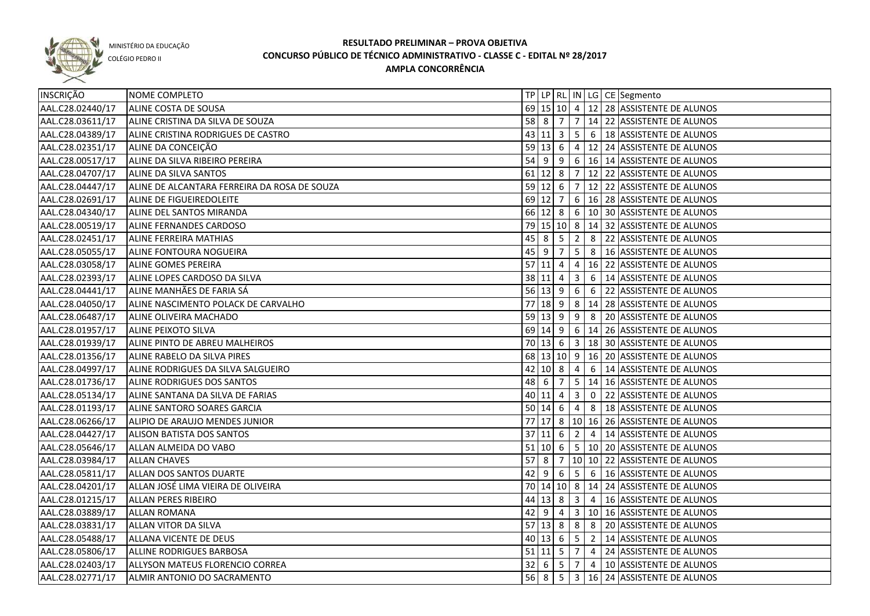

COLÉGIO PEDRO II

| 69 15 10 4 12 28 ASSISTENTE DE ALUNOS<br>AAL.C28.02440/17<br>ALINE COSTA DE SOUSA<br>$58$ 8 7<br>7   14   22   ASSISTENTE DE ALUNOS<br>AAL.C28.03611/17<br>ALINE CRISTINA DA SILVA DE SOUZA<br>43 11 3<br>5 6 18 ASSISTENTE DE ALUNOS<br>ALINE CRISTINA RODRIGUES DE CASTRO<br>AAL.C28.04389/17<br>$59$ 13 6<br>$4 \mid 12 \mid 24$ ASSISTENTE DE ALUNOS<br>AAL.C28.02351/17<br>ALINE DA CONCEIÇÃO<br>6 16 14 ASSISTENTE DE ALUNOS<br>AAL.C28.00517/17<br>54 9<br>$\overline{9}$<br>ALINE DA SILVA RIBEIRO PEREIRA<br>61 12 8 7 12 22 ASSISTENTE DE ALUNOS<br>AAL.C28.04707/17<br>ALINE DA SILVA SANTOS<br>59 12 6 7 12 22 ASSISTENTE DE ALUNOS<br>AAL.C28.04447/17<br>ALINE DE ALCANTARA FERREIRA DA ROSA DE SOUZA<br>69 12 7 6 16 28 ASSISTENTE DE ALUNOS<br>AAL.C28.02691/17<br>ALINE DE FIGUEIREDOLEITE<br>66 12 8 6 10 30 ASSISTENTE DE ALUNOS<br>AAL.C28.04340/17<br>ALINE DEL SANTOS MIRANDA<br>79 15 10 8 14 32 ASSISTENTE DE ALUNOS<br>AAL.C28.00519/17<br>ALINE FERNANDES CARDOSO<br>45 8 5 2 8 22 ASSISTENTE DE ALUNOS<br>AAL.C28.02451/17<br>ALINE FERREIRA MATHIAS<br>5 8 16 ASSISTENTE DE ALUNOS<br>AAL.C28.05055/17<br>45 9 7<br>ALINE FONTOURA NOGUEIRA<br>57 11 4<br>AAL.C28.03058/17<br><b>ALINE GOMES PEREIRA</b><br>$4 \mid 16 \mid 22$ ASSISTENTE DE ALUNOS<br>3 <sup>1</sup><br>AAL.C28.02393/17<br>ALINE LOPES CARDOSO DA SILVA<br>38   11   4<br>6   14 ASSISTENTE DE ALUNOS<br>$56$ 13 9<br>6 6 22 ASSISTENTE DE ALUNOS<br>AAL.C28.04441/17<br>ALINE MANHÃES DE FARIA SÁ<br>77<br>$18$   9<br>8 14 28 ASSISTENTE DE ALUNOS<br>AAL.C28.04050/17<br>ALINE NASCIMENTO POLACK DE CARVALHO<br>$59 \ 13 \ 9$<br>9 8 20 ASSISTENTE DE ALUNOS<br>AAL.C28.06487/17<br>ALINE OLIVEIRA MACHADO<br>69 14 9 6 14 26 ASSISTENTE DE ALUNOS<br>AAL.C28.01957/17<br>ALINE PEIXOTO SILVA<br>70   13   6   3   18   30   ASSISTENTE DE ALUNOS<br>AAL.C28.01939/17<br>ALINE PINTO DE ABREU MALHEIROS<br>68 13 10 9 16 20 ASSISTENTE DE ALUNOS<br>AAL.C28.01356/17<br>ALINE RABELO DA SILVA PIRES<br>42 10 8<br>6 14 ASSISTENTE DE ALUNOS<br>AAL.C28.04997/17<br>ALINE RODRIGUES DA SILVA SALGUEIRO<br>$\overline{4}$<br>48 6<br>5 <sub>5</sub><br>14 16 ASSISTENTE DE ALUNOS<br>AAL.C28.01736/17<br>ALINE RODRIGUES DOS SANTOS<br>7<br>40 11 4<br>$\overline{3}$<br>$\overline{0}$<br>22 ASSISTENTE DE ALUNOS<br>AAL.C28.05134/17<br>ALINE SANTANA DA SILVA DE FARIAS<br>$50 \ 14 \ 6$<br>AAL.C28.01193/17<br>ALINE SANTORO SOARES GARCIA<br>$\overline{4}$<br>8   18 ASSISTENTE DE ALUNOS<br>77 17 8 10 16 26 ASSISTENTE DE ALUNOS<br>AAL.C28.06266/17<br>ALIPIO DE ARAUJO MENDES JUNIOR<br>37 11 6<br>AAL.C28.04427/17<br>$\overline{2}$<br>4   14 ASSISTENTE DE ALUNOS<br><b>ALISON BATISTA DOS SANTOS</b><br>$51$ 10 6<br>5   10   20   ASSISTENTE DE ALUNOS<br>AAL.C28.05646/17<br>ALLAN ALMEIDA DO VABO<br>57 <sup>8</sup><br>10 10 22 ASSISTENTE DE ALUNOS<br>AAL.C28.03984/17<br><b>ALLAN CHAVES</b><br>$\overline{7}$<br>5 6 16 ASSISTENTE DE ALUNOS<br>AAL.C28.05811/17<br>$42 \mid 9 \mid$<br>$\overline{6}$<br>ALLAN DOS SANTOS DUARTE<br>70 14 10 8 14 24 ASSISTENTE DE ALUNOS<br>AAL.C28.04201/17<br>ALLAN JOSÉ LIMA VIEIRA DE OLIVEIRA<br>$44 13 8 3 4 16$ ASSISTENTE DE ALUNOS<br>AAL.C28.01215/17<br><b>ALLAN PERES RIBEIRO</b><br>3 10 16 ASSISTENTE DE ALUNOS<br>AAL.C28.03889/17<br>$42 \mid 9 \mid 4 \mid$<br><b>ALLAN ROMANA</b><br>57 13 8 8 8 8 20 ASSISTENTE DE ALUNOS<br>AAL.C28.03831/17<br><b>ALLAN VITOR DA SILVA</b><br>40 13 6 5 2 14 ASSISTENTE DE ALUNOS<br>AAL.C28.05488/17<br>ALLANA VICENTE DE DEUS<br>$51$  11  5  7  4  24  ASSISTENTE DE ALUNOS<br>AAL.C28.05806/17<br>ALLINE RODRIGUES BARBOSA<br>32   6   5   7<br>AAL.C28.02403/17<br>4   10 ASSISTENTE DE ALUNOS<br>ALLYSON MATEUS FLORENCIO CORREA<br>56 8 5 3 16 24 ASSISTENTE DE ALUNOS<br>AAL.C28.02771/17<br>ALMIR ANTONIO DO SACRAMENTO | INSCRIÇÃO | NOME COMPLETO |  |  |  | TP LP   RL   IN   LG   CE   Segmento |
|-----------------------------------------------------------------------------------------------------------------------------------------------------------------------------------------------------------------------------------------------------------------------------------------------------------------------------------------------------------------------------------------------------------------------------------------------------------------------------------------------------------------------------------------------------------------------------------------------------------------------------------------------------------------------------------------------------------------------------------------------------------------------------------------------------------------------------------------------------------------------------------------------------------------------------------------------------------------------------------------------------------------------------------------------------------------------------------------------------------------------------------------------------------------------------------------------------------------------------------------------------------------------------------------------------------------------------------------------------------------------------------------------------------------------------------------------------------------------------------------------------------------------------------------------------------------------------------------------------------------------------------------------------------------------------------------------------------------------------------------------------------------------------------------------------------------------------------------------------------------------------------------------------------------------------------------------------------------------------------------------------------------------------------------------------------------------------------------------------------------------------------------------------------------------------------------------------------------------------------------------------------------------------------------------------------------------------------------------------------------------------------------------------------------------------------------------------------------------------------------------------------------------------------------------------------------------------------------------------------------------------------------------------------------------------------------------------------------------------------------------------------------------------------------------------------------------------------------------------------------------------------------------------------------------------------------------------------------------------------------------------------------------------------------------------------------------------------------------------------------------------------------------------------------------------------------------------------------------------------------------------------------------------------------------------------------------------------------------------------------------------------------------------------------------------------------------------------------------------------------------------------------------------------------------------------------------------------------------------------------------------------------------------------------------------------------------------------------------------------------------------------------------------------------------------------------------------------------------|-----------|---------------|--|--|--|--------------------------------------|
|                                                                                                                                                                                                                                                                                                                                                                                                                                                                                                                                                                                                                                                                                                                                                                                                                                                                                                                                                                                                                                                                                                                                                                                                                                                                                                                                                                                                                                                                                                                                                                                                                                                                                                                                                                                                                                                                                                                                                                                                                                                                                                                                                                                                                                                                                                                                                                                                                                                                                                                                                                                                                                                                                                                                                                                                                                                                                                                                                                                                                                                                                                                                                                                                                                                                                                                                                                                                                                                                                                                                                                                                                                                                                                                                                                                                                                               |           |               |  |  |  |                                      |
|                                                                                                                                                                                                                                                                                                                                                                                                                                                                                                                                                                                                                                                                                                                                                                                                                                                                                                                                                                                                                                                                                                                                                                                                                                                                                                                                                                                                                                                                                                                                                                                                                                                                                                                                                                                                                                                                                                                                                                                                                                                                                                                                                                                                                                                                                                                                                                                                                                                                                                                                                                                                                                                                                                                                                                                                                                                                                                                                                                                                                                                                                                                                                                                                                                                                                                                                                                                                                                                                                                                                                                                                                                                                                                                                                                                                                                               |           |               |  |  |  |                                      |
|                                                                                                                                                                                                                                                                                                                                                                                                                                                                                                                                                                                                                                                                                                                                                                                                                                                                                                                                                                                                                                                                                                                                                                                                                                                                                                                                                                                                                                                                                                                                                                                                                                                                                                                                                                                                                                                                                                                                                                                                                                                                                                                                                                                                                                                                                                                                                                                                                                                                                                                                                                                                                                                                                                                                                                                                                                                                                                                                                                                                                                                                                                                                                                                                                                                                                                                                                                                                                                                                                                                                                                                                                                                                                                                                                                                                                                               |           |               |  |  |  |                                      |
|                                                                                                                                                                                                                                                                                                                                                                                                                                                                                                                                                                                                                                                                                                                                                                                                                                                                                                                                                                                                                                                                                                                                                                                                                                                                                                                                                                                                                                                                                                                                                                                                                                                                                                                                                                                                                                                                                                                                                                                                                                                                                                                                                                                                                                                                                                                                                                                                                                                                                                                                                                                                                                                                                                                                                                                                                                                                                                                                                                                                                                                                                                                                                                                                                                                                                                                                                                                                                                                                                                                                                                                                                                                                                                                                                                                                                                               |           |               |  |  |  |                                      |
|                                                                                                                                                                                                                                                                                                                                                                                                                                                                                                                                                                                                                                                                                                                                                                                                                                                                                                                                                                                                                                                                                                                                                                                                                                                                                                                                                                                                                                                                                                                                                                                                                                                                                                                                                                                                                                                                                                                                                                                                                                                                                                                                                                                                                                                                                                                                                                                                                                                                                                                                                                                                                                                                                                                                                                                                                                                                                                                                                                                                                                                                                                                                                                                                                                                                                                                                                                                                                                                                                                                                                                                                                                                                                                                                                                                                                                               |           |               |  |  |  |                                      |
|                                                                                                                                                                                                                                                                                                                                                                                                                                                                                                                                                                                                                                                                                                                                                                                                                                                                                                                                                                                                                                                                                                                                                                                                                                                                                                                                                                                                                                                                                                                                                                                                                                                                                                                                                                                                                                                                                                                                                                                                                                                                                                                                                                                                                                                                                                                                                                                                                                                                                                                                                                                                                                                                                                                                                                                                                                                                                                                                                                                                                                                                                                                                                                                                                                                                                                                                                                                                                                                                                                                                                                                                                                                                                                                                                                                                                                               |           |               |  |  |  |                                      |
|                                                                                                                                                                                                                                                                                                                                                                                                                                                                                                                                                                                                                                                                                                                                                                                                                                                                                                                                                                                                                                                                                                                                                                                                                                                                                                                                                                                                                                                                                                                                                                                                                                                                                                                                                                                                                                                                                                                                                                                                                                                                                                                                                                                                                                                                                                                                                                                                                                                                                                                                                                                                                                                                                                                                                                                                                                                                                                                                                                                                                                                                                                                                                                                                                                                                                                                                                                                                                                                                                                                                                                                                                                                                                                                                                                                                                                               |           |               |  |  |  |                                      |
|                                                                                                                                                                                                                                                                                                                                                                                                                                                                                                                                                                                                                                                                                                                                                                                                                                                                                                                                                                                                                                                                                                                                                                                                                                                                                                                                                                                                                                                                                                                                                                                                                                                                                                                                                                                                                                                                                                                                                                                                                                                                                                                                                                                                                                                                                                                                                                                                                                                                                                                                                                                                                                                                                                                                                                                                                                                                                                                                                                                                                                                                                                                                                                                                                                                                                                                                                                                                                                                                                                                                                                                                                                                                                                                                                                                                                                               |           |               |  |  |  |                                      |
|                                                                                                                                                                                                                                                                                                                                                                                                                                                                                                                                                                                                                                                                                                                                                                                                                                                                                                                                                                                                                                                                                                                                                                                                                                                                                                                                                                                                                                                                                                                                                                                                                                                                                                                                                                                                                                                                                                                                                                                                                                                                                                                                                                                                                                                                                                                                                                                                                                                                                                                                                                                                                                                                                                                                                                                                                                                                                                                                                                                                                                                                                                                                                                                                                                                                                                                                                                                                                                                                                                                                                                                                                                                                                                                                                                                                                                               |           |               |  |  |  |                                      |
|                                                                                                                                                                                                                                                                                                                                                                                                                                                                                                                                                                                                                                                                                                                                                                                                                                                                                                                                                                                                                                                                                                                                                                                                                                                                                                                                                                                                                                                                                                                                                                                                                                                                                                                                                                                                                                                                                                                                                                                                                                                                                                                                                                                                                                                                                                                                                                                                                                                                                                                                                                                                                                                                                                                                                                                                                                                                                                                                                                                                                                                                                                                                                                                                                                                                                                                                                                                                                                                                                                                                                                                                                                                                                                                                                                                                                                               |           |               |  |  |  |                                      |
|                                                                                                                                                                                                                                                                                                                                                                                                                                                                                                                                                                                                                                                                                                                                                                                                                                                                                                                                                                                                                                                                                                                                                                                                                                                                                                                                                                                                                                                                                                                                                                                                                                                                                                                                                                                                                                                                                                                                                                                                                                                                                                                                                                                                                                                                                                                                                                                                                                                                                                                                                                                                                                                                                                                                                                                                                                                                                                                                                                                                                                                                                                                                                                                                                                                                                                                                                                                                                                                                                                                                                                                                                                                                                                                                                                                                                                               |           |               |  |  |  |                                      |
|                                                                                                                                                                                                                                                                                                                                                                                                                                                                                                                                                                                                                                                                                                                                                                                                                                                                                                                                                                                                                                                                                                                                                                                                                                                                                                                                                                                                                                                                                                                                                                                                                                                                                                                                                                                                                                                                                                                                                                                                                                                                                                                                                                                                                                                                                                                                                                                                                                                                                                                                                                                                                                                                                                                                                                                                                                                                                                                                                                                                                                                                                                                                                                                                                                                                                                                                                                                                                                                                                                                                                                                                                                                                                                                                                                                                                                               |           |               |  |  |  |                                      |
|                                                                                                                                                                                                                                                                                                                                                                                                                                                                                                                                                                                                                                                                                                                                                                                                                                                                                                                                                                                                                                                                                                                                                                                                                                                                                                                                                                                                                                                                                                                                                                                                                                                                                                                                                                                                                                                                                                                                                                                                                                                                                                                                                                                                                                                                                                                                                                                                                                                                                                                                                                                                                                                                                                                                                                                                                                                                                                                                                                                                                                                                                                                                                                                                                                                                                                                                                                                                                                                                                                                                                                                                                                                                                                                                                                                                                                               |           |               |  |  |  |                                      |
|                                                                                                                                                                                                                                                                                                                                                                                                                                                                                                                                                                                                                                                                                                                                                                                                                                                                                                                                                                                                                                                                                                                                                                                                                                                                                                                                                                                                                                                                                                                                                                                                                                                                                                                                                                                                                                                                                                                                                                                                                                                                                                                                                                                                                                                                                                                                                                                                                                                                                                                                                                                                                                                                                                                                                                                                                                                                                                                                                                                                                                                                                                                                                                                                                                                                                                                                                                                                                                                                                                                                                                                                                                                                                                                                                                                                                                               |           |               |  |  |  |                                      |
|                                                                                                                                                                                                                                                                                                                                                                                                                                                                                                                                                                                                                                                                                                                                                                                                                                                                                                                                                                                                                                                                                                                                                                                                                                                                                                                                                                                                                                                                                                                                                                                                                                                                                                                                                                                                                                                                                                                                                                                                                                                                                                                                                                                                                                                                                                                                                                                                                                                                                                                                                                                                                                                                                                                                                                                                                                                                                                                                                                                                                                                                                                                                                                                                                                                                                                                                                                                                                                                                                                                                                                                                                                                                                                                                                                                                                                               |           |               |  |  |  |                                      |
|                                                                                                                                                                                                                                                                                                                                                                                                                                                                                                                                                                                                                                                                                                                                                                                                                                                                                                                                                                                                                                                                                                                                                                                                                                                                                                                                                                                                                                                                                                                                                                                                                                                                                                                                                                                                                                                                                                                                                                                                                                                                                                                                                                                                                                                                                                                                                                                                                                                                                                                                                                                                                                                                                                                                                                                                                                                                                                                                                                                                                                                                                                                                                                                                                                                                                                                                                                                                                                                                                                                                                                                                                                                                                                                                                                                                                                               |           |               |  |  |  |                                      |
|                                                                                                                                                                                                                                                                                                                                                                                                                                                                                                                                                                                                                                                                                                                                                                                                                                                                                                                                                                                                                                                                                                                                                                                                                                                                                                                                                                                                                                                                                                                                                                                                                                                                                                                                                                                                                                                                                                                                                                                                                                                                                                                                                                                                                                                                                                                                                                                                                                                                                                                                                                                                                                                                                                                                                                                                                                                                                                                                                                                                                                                                                                                                                                                                                                                                                                                                                                                                                                                                                                                                                                                                                                                                                                                                                                                                                                               |           |               |  |  |  |                                      |
|                                                                                                                                                                                                                                                                                                                                                                                                                                                                                                                                                                                                                                                                                                                                                                                                                                                                                                                                                                                                                                                                                                                                                                                                                                                                                                                                                                                                                                                                                                                                                                                                                                                                                                                                                                                                                                                                                                                                                                                                                                                                                                                                                                                                                                                                                                                                                                                                                                                                                                                                                                                                                                                                                                                                                                                                                                                                                                                                                                                                                                                                                                                                                                                                                                                                                                                                                                                                                                                                                                                                                                                                                                                                                                                                                                                                                                               |           |               |  |  |  |                                      |
|                                                                                                                                                                                                                                                                                                                                                                                                                                                                                                                                                                                                                                                                                                                                                                                                                                                                                                                                                                                                                                                                                                                                                                                                                                                                                                                                                                                                                                                                                                                                                                                                                                                                                                                                                                                                                                                                                                                                                                                                                                                                                                                                                                                                                                                                                                                                                                                                                                                                                                                                                                                                                                                                                                                                                                                                                                                                                                                                                                                                                                                                                                                                                                                                                                                                                                                                                                                                                                                                                                                                                                                                                                                                                                                                                                                                                                               |           |               |  |  |  |                                      |
|                                                                                                                                                                                                                                                                                                                                                                                                                                                                                                                                                                                                                                                                                                                                                                                                                                                                                                                                                                                                                                                                                                                                                                                                                                                                                                                                                                                                                                                                                                                                                                                                                                                                                                                                                                                                                                                                                                                                                                                                                                                                                                                                                                                                                                                                                                                                                                                                                                                                                                                                                                                                                                                                                                                                                                                                                                                                                                                                                                                                                                                                                                                                                                                                                                                                                                                                                                                                                                                                                                                                                                                                                                                                                                                                                                                                                                               |           |               |  |  |  |                                      |
|                                                                                                                                                                                                                                                                                                                                                                                                                                                                                                                                                                                                                                                                                                                                                                                                                                                                                                                                                                                                                                                                                                                                                                                                                                                                                                                                                                                                                                                                                                                                                                                                                                                                                                                                                                                                                                                                                                                                                                                                                                                                                                                                                                                                                                                                                                                                                                                                                                                                                                                                                                                                                                                                                                                                                                                                                                                                                                                                                                                                                                                                                                                                                                                                                                                                                                                                                                                                                                                                                                                                                                                                                                                                                                                                                                                                                                               |           |               |  |  |  |                                      |
|                                                                                                                                                                                                                                                                                                                                                                                                                                                                                                                                                                                                                                                                                                                                                                                                                                                                                                                                                                                                                                                                                                                                                                                                                                                                                                                                                                                                                                                                                                                                                                                                                                                                                                                                                                                                                                                                                                                                                                                                                                                                                                                                                                                                                                                                                                                                                                                                                                                                                                                                                                                                                                                                                                                                                                                                                                                                                                                                                                                                                                                                                                                                                                                                                                                                                                                                                                                                                                                                                                                                                                                                                                                                                                                                                                                                                                               |           |               |  |  |  |                                      |
|                                                                                                                                                                                                                                                                                                                                                                                                                                                                                                                                                                                                                                                                                                                                                                                                                                                                                                                                                                                                                                                                                                                                                                                                                                                                                                                                                                                                                                                                                                                                                                                                                                                                                                                                                                                                                                                                                                                                                                                                                                                                                                                                                                                                                                                                                                                                                                                                                                                                                                                                                                                                                                                                                                                                                                                                                                                                                                                                                                                                                                                                                                                                                                                                                                                                                                                                                                                                                                                                                                                                                                                                                                                                                                                                                                                                                                               |           |               |  |  |  |                                      |
|                                                                                                                                                                                                                                                                                                                                                                                                                                                                                                                                                                                                                                                                                                                                                                                                                                                                                                                                                                                                                                                                                                                                                                                                                                                                                                                                                                                                                                                                                                                                                                                                                                                                                                                                                                                                                                                                                                                                                                                                                                                                                                                                                                                                                                                                                                                                                                                                                                                                                                                                                                                                                                                                                                                                                                                                                                                                                                                                                                                                                                                                                                                                                                                                                                                                                                                                                                                                                                                                                                                                                                                                                                                                                                                                                                                                                                               |           |               |  |  |  |                                      |
|                                                                                                                                                                                                                                                                                                                                                                                                                                                                                                                                                                                                                                                                                                                                                                                                                                                                                                                                                                                                                                                                                                                                                                                                                                                                                                                                                                                                                                                                                                                                                                                                                                                                                                                                                                                                                                                                                                                                                                                                                                                                                                                                                                                                                                                                                                                                                                                                                                                                                                                                                                                                                                                                                                                                                                                                                                                                                                                                                                                                                                                                                                                                                                                                                                                                                                                                                                                                                                                                                                                                                                                                                                                                                                                                                                                                                                               |           |               |  |  |  |                                      |
|                                                                                                                                                                                                                                                                                                                                                                                                                                                                                                                                                                                                                                                                                                                                                                                                                                                                                                                                                                                                                                                                                                                                                                                                                                                                                                                                                                                                                                                                                                                                                                                                                                                                                                                                                                                                                                                                                                                                                                                                                                                                                                                                                                                                                                                                                                                                                                                                                                                                                                                                                                                                                                                                                                                                                                                                                                                                                                                                                                                                                                                                                                                                                                                                                                                                                                                                                                                                                                                                                                                                                                                                                                                                                                                                                                                                                                               |           |               |  |  |  |                                      |
|                                                                                                                                                                                                                                                                                                                                                                                                                                                                                                                                                                                                                                                                                                                                                                                                                                                                                                                                                                                                                                                                                                                                                                                                                                                                                                                                                                                                                                                                                                                                                                                                                                                                                                                                                                                                                                                                                                                                                                                                                                                                                                                                                                                                                                                                                                                                                                                                                                                                                                                                                                                                                                                                                                                                                                                                                                                                                                                                                                                                                                                                                                                                                                                                                                                                                                                                                                                                                                                                                                                                                                                                                                                                                                                                                                                                                                               |           |               |  |  |  |                                      |
|                                                                                                                                                                                                                                                                                                                                                                                                                                                                                                                                                                                                                                                                                                                                                                                                                                                                                                                                                                                                                                                                                                                                                                                                                                                                                                                                                                                                                                                                                                                                                                                                                                                                                                                                                                                                                                                                                                                                                                                                                                                                                                                                                                                                                                                                                                                                                                                                                                                                                                                                                                                                                                                                                                                                                                                                                                                                                                                                                                                                                                                                                                                                                                                                                                                                                                                                                                                                                                                                                                                                                                                                                                                                                                                                                                                                                                               |           |               |  |  |  |                                      |
|                                                                                                                                                                                                                                                                                                                                                                                                                                                                                                                                                                                                                                                                                                                                                                                                                                                                                                                                                                                                                                                                                                                                                                                                                                                                                                                                                                                                                                                                                                                                                                                                                                                                                                                                                                                                                                                                                                                                                                                                                                                                                                                                                                                                                                                                                                                                                                                                                                                                                                                                                                                                                                                                                                                                                                                                                                                                                                                                                                                                                                                                                                                                                                                                                                                                                                                                                                                                                                                                                                                                                                                                                                                                                                                                                                                                                                               |           |               |  |  |  |                                      |
|                                                                                                                                                                                                                                                                                                                                                                                                                                                                                                                                                                                                                                                                                                                                                                                                                                                                                                                                                                                                                                                                                                                                                                                                                                                                                                                                                                                                                                                                                                                                                                                                                                                                                                                                                                                                                                                                                                                                                                                                                                                                                                                                                                                                                                                                                                                                                                                                                                                                                                                                                                                                                                                                                                                                                                                                                                                                                                                                                                                                                                                                                                                                                                                                                                                                                                                                                                                                                                                                                                                                                                                                                                                                                                                                                                                                                                               |           |               |  |  |  |                                      |
|                                                                                                                                                                                                                                                                                                                                                                                                                                                                                                                                                                                                                                                                                                                                                                                                                                                                                                                                                                                                                                                                                                                                                                                                                                                                                                                                                                                                                                                                                                                                                                                                                                                                                                                                                                                                                                                                                                                                                                                                                                                                                                                                                                                                                                                                                                                                                                                                                                                                                                                                                                                                                                                                                                                                                                                                                                                                                                                                                                                                                                                                                                                                                                                                                                                                                                                                                                                                                                                                                                                                                                                                                                                                                                                                                                                                                                               |           |               |  |  |  |                                      |
|                                                                                                                                                                                                                                                                                                                                                                                                                                                                                                                                                                                                                                                                                                                                                                                                                                                                                                                                                                                                                                                                                                                                                                                                                                                                                                                                                                                                                                                                                                                                                                                                                                                                                                                                                                                                                                                                                                                                                                                                                                                                                                                                                                                                                                                                                                                                                                                                                                                                                                                                                                                                                                                                                                                                                                                                                                                                                                                                                                                                                                                                                                                                                                                                                                                                                                                                                                                                                                                                                                                                                                                                                                                                                                                                                                                                                                               |           |               |  |  |  |                                      |
|                                                                                                                                                                                                                                                                                                                                                                                                                                                                                                                                                                                                                                                                                                                                                                                                                                                                                                                                                                                                                                                                                                                                                                                                                                                                                                                                                                                                                                                                                                                                                                                                                                                                                                                                                                                                                                                                                                                                                                                                                                                                                                                                                                                                                                                                                                                                                                                                                                                                                                                                                                                                                                                                                                                                                                                                                                                                                                                                                                                                                                                                                                                                                                                                                                                                                                                                                                                                                                                                                                                                                                                                                                                                                                                                                                                                                                               |           |               |  |  |  |                                      |
|                                                                                                                                                                                                                                                                                                                                                                                                                                                                                                                                                                                                                                                                                                                                                                                                                                                                                                                                                                                                                                                                                                                                                                                                                                                                                                                                                                                                                                                                                                                                                                                                                                                                                                                                                                                                                                                                                                                                                                                                                                                                                                                                                                                                                                                                                                                                                                                                                                                                                                                                                                                                                                                                                                                                                                                                                                                                                                                                                                                                                                                                                                                                                                                                                                                                                                                                                                                                                                                                                                                                                                                                                                                                                                                                                                                                                                               |           |               |  |  |  |                                      |
|                                                                                                                                                                                                                                                                                                                                                                                                                                                                                                                                                                                                                                                                                                                                                                                                                                                                                                                                                                                                                                                                                                                                                                                                                                                                                                                                                                                                                                                                                                                                                                                                                                                                                                                                                                                                                                                                                                                                                                                                                                                                                                                                                                                                                                                                                                                                                                                                                                                                                                                                                                                                                                                                                                                                                                                                                                                                                                                                                                                                                                                                                                                                                                                                                                                                                                                                                                                                                                                                                                                                                                                                                                                                                                                                                                                                                                               |           |               |  |  |  |                                      |
|                                                                                                                                                                                                                                                                                                                                                                                                                                                                                                                                                                                                                                                                                                                                                                                                                                                                                                                                                                                                                                                                                                                                                                                                                                                                                                                                                                                                                                                                                                                                                                                                                                                                                                                                                                                                                                                                                                                                                                                                                                                                                                                                                                                                                                                                                                                                                                                                                                                                                                                                                                                                                                                                                                                                                                                                                                                                                                                                                                                                                                                                                                                                                                                                                                                                                                                                                                                                                                                                                                                                                                                                                                                                                                                                                                                                                                               |           |               |  |  |  |                                      |
|                                                                                                                                                                                                                                                                                                                                                                                                                                                                                                                                                                                                                                                                                                                                                                                                                                                                                                                                                                                                                                                                                                                                                                                                                                                                                                                                                                                                                                                                                                                                                                                                                                                                                                                                                                                                                                                                                                                                                                                                                                                                                                                                                                                                                                                                                                                                                                                                                                                                                                                                                                                                                                                                                                                                                                                                                                                                                                                                                                                                                                                                                                                                                                                                                                                                                                                                                                                                                                                                                                                                                                                                                                                                                                                                                                                                                                               |           |               |  |  |  |                                      |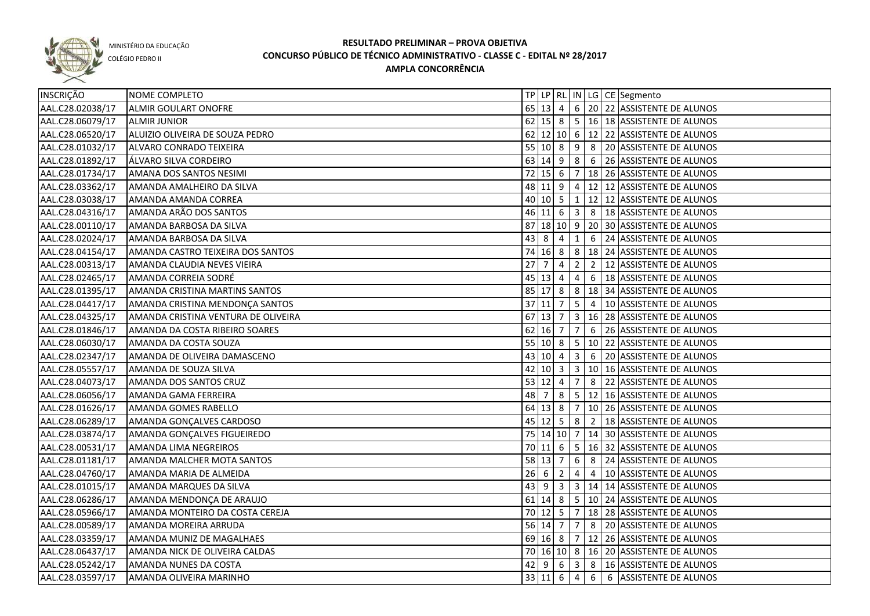

COLÉGIO PEDRO II

|                                                                                                                                                                                                                                                                                                                                                                                                                                                                                                                                                                                                                                                                                                                                                                                                                                                                                                                                                                                                                                                                                                                      |   |                                  |                                                                                                                                                                                                       |                  |                                                                            | 62 15 8 5 16 18 ASSISTENTE DE ALUNOS                                                                                                                           |
|----------------------------------------------------------------------------------------------------------------------------------------------------------------------------------------------------------------------------------------------------------------------------------------------------------------------------------------------------------------------------------------------------------------------------------------------------------------------------------------------------------------------------------------------------------------------------------------------------------------------------------------------------------------------------------------------------------------------------------------------------------------------------------------------------------------------------------------------------------------------------------------------------------------------------------------------------------------------------------------------------------------------------------------------------------------------------------------------------------------------|---|----------------------------------|-------------------------------------------------------------------------------------------------------------------------------------------------------------------------------------------------------|------------------|----------------------------------------------------------------------------|----------------------------------------------------------------------------------------------------------------------------------------------------------------|
|                                                                                                                                                                                                                                                                                                                                                                                                                                                                                                                                                                                                                                                                                                                                                                                                                                                                                                                                                                                                                                                                                                                      |   |                                  |                                                                                                                                                                                                       |                  |                                                                            | 62 12 10 6 12 22 ASSISTENTE DE ALUNOS                                                                                                                          |
|                                                                                                                                                                                                                                                                                                                                                                                                                                                                                                                                                                                                                                                                                                                                                                                                                                                                                                                                                                                                                                                                                                                      |   |                                  |                                                                                                                                                                                                       |                  |                                                                            | 55 10 8 9 8 20 ASSISTENTE DE ALUNOS                                                                                                                            |
|                                                                                                                                                                                                                                                                                                                                                                                                                                                                                                                                                                                                                                                                                                                                                                                                                                                                                                                                                                                                                                                                                                                      |   |                                  |                                                                                                                                                                                                       |                  |                                                                            | 63 14 9 8 6 26 ASSISTENTE DE ALUNOS                                                                                                                            |
|                                                                                                                                                                                                                                                                                                                                                                                                                                                                                                                                                                                                                                                                                                                                                                                                                                                                                                                                                                                                                                                                                                                      |   |                                  |                                                                                                                                                                                                       |                  |                                                                            | 72   15   6   7   18   26   ASSISTENTE DE ALUNOS                                                                                                               |
|                                                                                                                                                                                                                                                                                                                                                                                                                                                                                                                                                                                                                                                                                                                                                                                                                                                                                                                                                                                                                                                                                                                      |   |                                  |                                                                                                                                                                                                       |                  |                                                                            | 48 11 9 4 12 12 ASSISTENTE DE ALUNOS                                                                                                                           |
|                                                                                                                                                                                                                                                                                                                                                                                                                                                                                                                                                                                                                                                                                                                                                                                                                                                                                                                                                                                                                                                                                                                      |   |                                  |                                                                                                                                                                                                       |                  |                                                                            | 40   10   5   1   12   12   ASSISTENTE DE ALUNOS                                                                                                               |
|                                                                                                                                                                                                                                                                                                                                                                                                                                                                                                                                                                                                                                                                                                                                                                                                                                                                                                                                                                                                                                                                                                                      |   |                                  |                                                                                                                                                                                                       |                  |                                                                            | 46 11 6 3 8 18 ASSISTENTE DE ALUNOS                                                                                                                            |
|                                                                                                                                                                                                                                                                                                                                                                                                                                                                                                                                                                                                                                                                                                                                                                                                                                                                                                                                                                                                                                                                                                                      |   |                                  |                                                                                                                                                                                                       |                  |                                                                            | 87 18 10 9 20 30 ASSISTENTE DE ALUNOS                                                                                                                          |
|                                                                                                                                                                                                                                                                                                                                                                                                                                                                                                                                                                                                                                                                                                                                                                                                                                                                                                                                                                                                                                                                                                                      |   |                                  |                                                                                                                                                                                                       |                  |                                                                            | 6 24 ASSISTENTE DE ALUNOS                                                                                                                                      |
| 74                                                                                                                                                                                                                                                                                                                                                                                                                                                                                                                                                                                                                                                                                                                                                                                                                                                                                                                                                                                                                                                                                                                   |   |                                  |                                                                                                                                                                                                       |                  |                                                                            | $ 8 18 24 $ ASSISTENTE DE ALUNOS                                                                                                                               |
| 27                                                                                                                                                                                                                                                                                                                                                                                                                                                                                                                                                                                                                                                                                                                                                                                                                                                                                                                                                                                                                                                                                                                   | 7 | -4                               | $\overline{2}$                                                                                                                                                                                        | $\overline{2}$   |                                                                            | 12 ASSISTENTE DE ALUNOS                                                                                                                                        |
|                                                                                                                                                                                                                                                                                                                                                                                                                                                                                                                                                                                                                                                                                                                                                                                                                                                                                                                                                                                                                                                                                                                      |   |                                  | $\overline{4}$                                                                                                                                                                                        |                  |                                                                            | 6   18 ASSISTENTE DE ALUNOS                                                                                                                                    |
|                                                                                                                                                                                                                                                                                                                                                                                                                                                                                                                                                                                                                                                                                                                                                                                                                                                                                                                                                                                                                                                                                                                      |   |                                  |                                                                                                                                                                                                       |                  |                                                                            | 85 17 8 8 34 ASSISTENTE DE ALUNOS                                                                                                                              |
|                                                                                                                                                                                                                                                                                                                                                                                                                                                                                                                                                                                                                                                                                                                                                                                                                                                                                                                                                                                                                                                                                                                      |   |                                  |                                                                                                                                                                                                       |                  |                                                                            | $\vert 5 \vert 4 \vert 10 \vert$ ASSISTENTE DE ALUNOS                                                                                                          |
|                                                                                                                                                                                                                                                                                                                                                                                                                                                                                                                                                                                                                                                                                                                                                                                                                                                                                                                                                                                                                                                                                                                      |   |                                  |                                                                                                                                                                                                       |                  |                                                                            | 3   16   28   ASSISTENTE DE ALUNOS                                                                                                                             |
|                                                                                                                                                                                                                                                                                                                                                                                                                                                                                                                                                                                                                                                                                                                                                                                                                                                                                                                                                                                                                                                                                                                      |   |                                  |                                                                                                                                                                                                       |                  |                                                                            | 6 26 ASSISTENTE DE ALUNOS                                                                                                                                      |
|                                                                                                                                                                                                                                                                                                                                                                                                                                                                                                                                                                                                                                                                                                                                                                                                                                                                                                                                                                                                                                                                                                                      |   |                                  |                                                                                                                                                                                                       |                  |                                                                            | 10 22 ASSISTENTE DE ALUNOS                                                                                                                                     |
|                                                                                                                                                                                                                                                                                                                                                                                                                                                                                                                                                                                                                                                                                                                                                                                                                                                                                                                                                                                                                                                                                                                      |   |                                  | $\overline{\mathbf{3}}$                                                                                                                                                                               | 6                |                                                                            | 20 ASSISTENTE DE ALUNOS                                                                                                                                        |
| 42                                                                                                                                                                                                                                                                                                                                                                                                                                                                                                                                                                                                                                                                                                                                                                                                                                                                                                                                                                                                                                                                                                                   |   |                                  |                                                                                                                                                                                                       |                  |                                                                            | 3   10   16   ASSISTENTE DE ALUNOS                                                                                                                             |
| 53                                                                                                                                                                                                                                                                                                                                                                                                                                                                                                                                                                                                                                                                                                                                                                                                                                                                                                                                                                                                                                                                                                                   |   |                                  | $\overline{7}$                                                                                                                                                                                        | 8                |                                                                            | 22 ASSISTENTE DE ALUNOS                                                                                                                                        |
| 48                                                                                                                                                                                                                                                                                                                                                                                                                                                                                                                                                                                                                                                                                                                                                                                                                                                                                                                                                                                                                                                                                                                   | 7 | 8                                |                                                                                                                                                                                                       |                  |                                                                            | 5 12 16 ASSISTENTE DE ALUNOS                                                                                                                                   |
| 64                                                                                                                                                                                                                                                                                                                                                                                                                                                                                                                                                                                                                                                                                                                                                                                                                                                                                                                                                                                                                                                                                                                   |   |                                  |                                                                                                                                                                                                       |                  |                                                                            | 10 26 ASSISTENTE DE ALUNOS                                                                                                                                     |
| 45                                                                                                                                                                                                                                                                                                                                                                                                                                                                                                                                                                                                                                                                                                                                                                                                                                                                                                                                                                                                                                                                                                                   |   |                                  |                                                                                                                                                                                                       |                  |                                                                            | 2   18 ASSISTENTE DE ALUNOS                                                                                                                                    |
|                                                                                                                                                                                                                                                                                                                                                                                                                                                                                                                                                                                                                                                                                                                                                                                                                                                                                                                                                                                                                                                                                                                      |   |                                  |                                                                                                                                                                                                       |                  |                                                                            | 75   14   10   7   14   30   ASSISTENTE DE ALUNOS                                                                                                              |
|                                                                                                                                                                                                                                                                                                                                                                                                                                                                                                                                                                                                                                                                                                                                                                                                                                                                                                                                                                                                                                                                                                                      |   |                                  |                                                                                                                                                                                                       |                  |                                                                            | 5   16   32   ASSISTENTE DE ALUNOS                                                                                                                             |
|                                                                                                                                                                                                                                                                                                                                                                                                                                                                                                                                                                                                                                                                                                                                                                                                                                                                                                                                                                                                                                                                                                                      |   |                                  |                                                                                                                                                                                                       |                  |                                                                            | 8 24 ASSISTENTE DE ALUNOS                                                                                                                                      |
|                                                                                                                                                                                                                                                                                                                                                                                                                                                                                                                                                                                                                                                                                                                                                                                                                                                                                                                                                                                                                                                                                                                      |   | 2                                | $\overline{4}$                                                                                                                                                                                        | 4                |                                                                            | 10 ASSISTENTE DE ALUNOS                                                                                                                                        |
|                                                                                                                                                                                                                                                                                                                                                                                                                                                                                                                                                                                                                                                                                                                                                                                                                                                                                                                                                                                                                                                                                                                      |   |                                  |                                                                                                                                                                                                       |                  |                                                                            | $3   14   14$ ASSISTENTE DE ALUNOS                                                                                                                             |
|                                                                                                                                                                                                                                                                                                                                                                                                                                                                                                                                                                                                                                                                                                                                                                                                                                                                                                                                                                                                                                                                                                                      |   |                                  |                                                                                                                                                                                                       |                  |                                                                            |                                                                                                                                                                |
|                                                                                                                                                                                                                                                                                                                                                                                                                                                                                                                                                                                                                                                                                                                                                                                                                                                                                                                                                                                                                                                                                                                      |   |                                  |                                                                                                                                                                                                       |                  |                                                                            |                                                                                                                                                                |
|                                                                                                                                                                                                                                                                                                                                                                                                                                                                                                                                                                                                                                                                                                                                                                                                                                                                                                                                                                                                                                                                                                                      |   |                                  |                                                                                                                                                                                                       |                  |                                                                            | 56 14 7 7 8 20 ASSISTENTE DE ALUNOS                                                                                                                            |
|                                                                                                                                                                                                                                                                                                                                                                                                                                                                                                                                                                                                                                                                                                                                                                                                                                                                                                                                                                                                                                                                                                                      |   |                                  |                                                                                                                                                                                                       |                  |                                                                            | 69 16 8 7 12 26 ASSISTENTE DE ALUNOS                                                                                                                           |
|                                                                                                                                                                                                                                                                                                                                                                                                                                                                                                                                                                                                                                                                                                                                                                                                                                                                                                                                                                                                                                                                                                                      |   |                                  |                                                                                                                                                                                                       |                  |                                                                            | 70 16 10 8 16 20 ASSISTENTE DE ALUNOS                                                                                                                          |
|                                                                                                                                                                                                                                                                                                                                                                                                                                                                                                                                                                                                                                                                                                                                                                                                                                                                                                                                                                                                                                                                                                                      |   |                                  |                                                                                                                                                                                                       |                  |                                                                            | 8   16 ASSISTENTE DE ALUNOS                                                                                                                                    |
|                                                                                                                                                                                                                                                                                                                                                                                                                                                                                                                                                                                                                                                                                                                                                                                                                                                                                                                                                                                                                                                                                                                      |   |                                  |                                                                                                                                                                                                       |                  |                                                                            | 33 11 6 4 6 6 ASSISTENTE DE ALUNOS                                                                                                                             |
| NOME COMPLETO<br><b>ALMIR GOULART ONOFRE</b><br><b>ALMIR JUNIOR</b><br>ALUIZIO OLIVEIRA DE SOUZA PEDRO<br>ALVARO CONRADO TEIXEIRA<br>ÁLVARO SILVA CORDEIRO<br>AMANA DOS SANTOS NESIMI<br>AMANDA AMALHEIRO DA SILVA<br>AMANDA AMANDA CORREA<br>AMANDA ARÃO DOS SANTOS<br>AMANDA BARBOSA DA SILVA<br>AMANDA BARBOSA DA SILVA<br>AMANDA CASTRO TEIXEIRA DOS SANTOS<br>AMANDA CLAUDIA NEVES VIEIRA<br>AMANDA CORREIA SODRÉ<br>AMANDA CRISTINA MARTINS SANTOS<br>AMANDA CRISTINA MENDONÇA SANTOS<br>AMANDA CRISTINA VENTURA DE OLIVEIRA<br>AMANDA DA COSTA RIBEIRO SOARES<br>AMANDA DA COSTA SOUZA<br>AMANDA DE OLIVEIRA DAMASCENO<br>AMANDA DE SOUZA SILVA<br>AMANDA DOS SANTOS CRUZ<br>AMANDA GAMA FERREIRA<br>AMANDA GOMES RABELLO<br>AMANDA GONÇALVES CARDOSO<br>AMANDA GONÇALVES FIGUEIREDO<br>AMANDA LIMA NEGREIROS<br>AMANDA MALCHER MOTA SANTOS<br>AMANDA MARIA DE ALMEIDA<br>AMANDA MARQUES DA SILVA<br>AMANDA MENDONÇA DE ARAUJO<br>AMANDA MONTEIRO DA COSTA CEREJA<br>AMANDA MOREIRA ARRUDA<br>AMANDA MUNIZ DE MAGALHAES<br>AMANDA NICK DE OLIVEIRA CALDAS<br>AMANDA NUNES DA COSTA<br>AMANDA OLIVEIRA MARINHO |   | $43 \mid 8$<br>$26 \overline{6}$ | $\overline{4}$<br>45 13 4<br>37 11 7<br>$67$ 13 7<br>$62$ 16 7<br>55 10 8<br>43 10 4<br>$10 \mid 3$<br>$12 \mid 4$<br>$13 \mid 8$<br>$70$ 11 6<br>58 13 7<br>$43 \mid 9 \mid 3$<br>$42 \mid 9 \mid 6$ | $16$ 8<br>$12$ 5 | 1<br>7 <sup>1</sup><br>5<br>- 7 I<br>8<br>6 <sup>1</sup><br>3 <sup>1</sup> | TP   LP   RL   IN   LG   CE   Segmento<br>65 13 4 6 20 22 ASSISTENTE DE ALUNOS<br>61 14 8 5 10 24 ASSISTENTE DE ALUNOS<br>70 12 5 7 18 28 ASSISTENTE DE ALUNOS |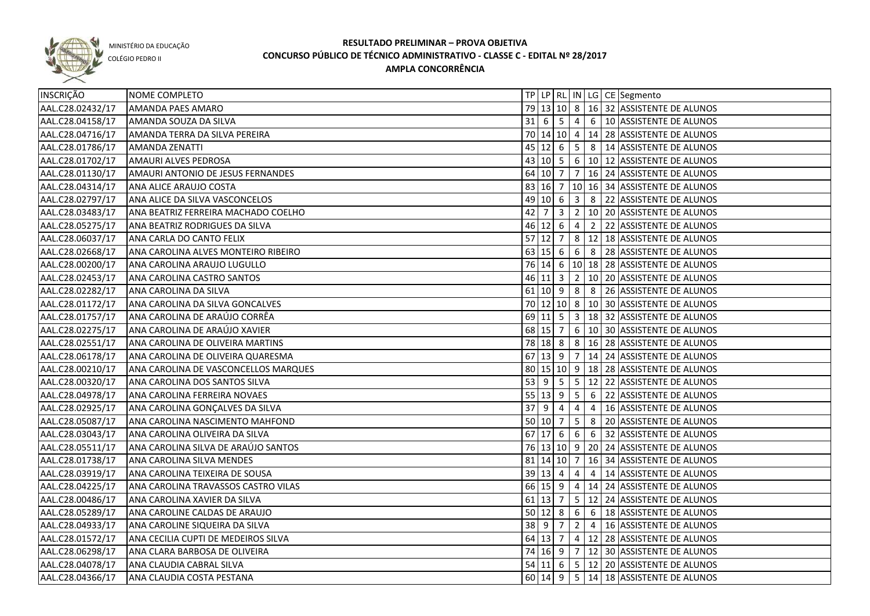

COLÉGIO PEDRO II

| <b>INSCRIÇÃO</b> | NOME COMPLETO                        |                     |             |                |                |                | TP   LP   RL   IN   LG   CE   Segmento            |
|------------------|--------------------------------------|---------------------|-------------|----------------|----------------|----------------|---------------------------------------------------|
| AAL.C28.02432/17 | <b>AMANDA PAES AMARO</b>             |                     |             |                |                |                | 79 13 10 8 16 32 ASSISTENTE DE ALUNOS             |
| AAL.C28.04158/17 | AMANDA SOUZA DA SILVA                |                     |             |                |                |                | 31 6 5 4 6 10 ASSISTENTE DE ALUNOS                |
| AAL.C28.04716/17 | AMANDA TERRA DA SILVA PEREIRA        |                     |             |                |                |                | 70 14 10 4 14 28 ASSISTENTE DE ALUNOS             |
| AAL.C28.01786/17 | <b>AMANDA ZENATTI</b>                |                     |             |                |                |                | 45 12 6 5 8 14 ASSISTENTE DE ALUNOS               |
| AAL.C28.01702/17 | AMAURI ALVES PEDROSA                 |                     |             |                |                |                | 43 10 5 6 10 12 ASSISTENTE DE ALUNOS              |
| AAL.C28.01130/17 | AMAURI ANTONIO DE JESUS FERNANDES    |                     |             |                |                |                | 64 10 7 7 16 24 ASSISTENTE DE ALUNOS              |
| AAL.C28.04314/17 | ANA ALICE ARAUJO COSTA               |                     |             |                |                |                | 83 16 7 10 16 34 ASSISTENTE DE ALUNOS             |
| AAL.C28.02797/17 | ANA ALICE DA SILVA VASCONCELOS       |                     |             |                |                |                | 49 10 6 3 8 22 ASSISTENTE DE ALUNOS               |
| AAL.C28.03483/17 | ANA BEATRIZ FERREIRA MACHADO COELHO  |                     | $42 \mid 7$ |                |                |                | $3 \mid 2 \mid 10 \mid 20$ ASSISTENTE DE ALUNOS   |
| AAL.C28.05275/17 | ANA BEATRIZ RODRIGUES DA SILVA       |                     |             |                |                |                | 46 12 6 4 2 22 ASSISTENTE DE ALUNOS               |
| AAL.C28.06037/17 | ANA CARLA DO CANTO FELIX             |                     |             |                |                |                | 57 12 7 8 12 18 ASSISTENTE DE ALUNOS              |
| AAL.C28.02668/17 | ANA CAROLINA ALVES MONTEIRO RIBEIRO  |                     |             |                |                |                | 63 15 6 6 8 28 ASSISTENTE DE ALUNOS               |
| AAL.C28.00200/17 | ANA CAROLINA ARAUJO LUGULLO          |                     |             |                |                |                | 76 14 6 10 18 28 ASSISTENTE DE ALUNOS             |
| AAL.C28.02453/17 | ANA CAROLINA CASTRO SANTOS           |                     |             |                |                |                | 46 11 3 2 10 20 ASSISTENTE DE ALUNOS              |
| AAL.C28.02282/17 | ANA CAROLINA DA SILVA                |                     |             |                |                |                | 61   10   9   8   8   26   ASSISTENTE DE ALUNOS   |
| AAL.C28.01172/17 | ANA CAROLINA DA SILVA GONCALVES      |                     |             |                |                |                | 70 12 10 8 10 30 ASSISTENTE DE ALUNOS             |
| AAL.C28.01757/17 | ANA CAROLINA DE ARAÚJO CORRÊA        |                     |             |                |                |                | 69   11   5   3   18   32   ASSISTENTE DE ALUNOS  |
| AAL.C28.02275/17 | ANA CAROLINA DE ARAÚJO XAVIER        |                     |             | 68 15 7        |                |                | 6   10   30   ASSISTENTE DE ALUNOS                |
| AAL.C28.02551/17 | ANA CAROLINA DE OLIVEIRA MARTINS     |                     |             | 78 18 8        |                |                | 8   16   28   ASSISTENTE DE ALUNOS                |
| AAL.C28.06178/17 | ANA CAROLINA DE OLIVEIRA QUARESMA    |                     |             | $67$ 13 9      |                |                | 7   14   24   ASSISTENTE DE ALUNOS                |
| AAL.C28.00210/17 | ANA CAROLINA DE VASCONCELLOS MARQUES |                     |             |                |                |                | 80   15   10   9   18   28   ASSISTENTE DE ALUNOS |
| AAL.C28.00320/17 | ANA CAROLINA DOS SANTOS SILVA        | 53   9              |             | 5 <sup>5</sup> |                |                | 5   12   22   ASSISTENTE DE ALUNOS                |
| AAL.C28.04978/17 | ANA CAROLINA FERREIRA NOVAES         |                     |             | $55 \ 13 \ 9$  | 5 <sup>5</sup> | 6              | 22 ASSISTENTE DE ALUNOS                           |
| AAL.C28.02925/17 | ANA CAROLINA GONÇALVES DA SILVA      | 37 <sup>9</sup>     |             | 4              | $\overline{4}$ | $\overline{4}$ | 16 ASSISTENTE DE ALUNOS                           |
| AAL.C28.05087/17 | ANA CAROLINA NASCIMENTO MAHFOND      | $50 \ 10 \ 7$       |             |                | 5 <sub>1</sub> | 8              | 20 ASSISTENTE DE ALUNOS                           |
| AAL.C28.03043/17 | ANA CAROLINA OLIVEIRA DA SILVA       |                     |             | $67$ 17 6 6    |                |                | 6 32 ASSISTENTE DE ALUNOS                         |
| AAL.C28.05511/17 | ANA CAROLINA SILVA DE ARAÚJO SANTOS  |                     |             |                |                |                | 76 13 10 9 20 24 ASSISTENTE DE ALUNOS             |
| AAL.C28.01738/17 | ANA CAROLINA SILVA MENDES            |                     |             |                |                |                | 81   14   10   7   16   34   ASSISTENTE DE ALUNOS |
| AAL.C28.03919/17 | ANA CAROLINA TEIXEIRA DE SOUSA       | $39 \mid 13 \mid 4$ |             |                | $\overline{4}$ | 4              | 14 ASSISTENTE DE ALUNOS                           |
| AAL.C28.04225/17 | ANA CAROLINA TRAVASSOS CASTRO VILAS  |                     |             |                |                |                | 66 15 9 4 14 24 ASSISTENTE DE ALUNOS              |
| AAL.C28.00486/17 | ANA CAROLINA XAVIER DA SILVA         |                     |             |                |                |                | 61 13 7 5 12 24 ASSISTENTE DE ALUNOS              |
| AAL.C28.05289/17 | ANA CAROLINE CALDAS DE ARAUJO        |                     |             |                |                |                | 50 12 8 6 6 18 ASSISTENTE DE ALUNOS               |
| AAL.C28.04933/17 | ANA CAROLINE SIQUEIRA DA SILVA       |                     |             |                |                |                | 38 9 7 2 4 16 ASSISTENTE DE ALUNOS                |
| AAL.C28.01572/17 | ANA CECILIA CUPTI DE MEDEIROS SILVA  |                     |             |                |                |                | 64 13 7 4 12 28 ASSISTENTE DE ALUNOS              |
| AAL.C28.06298/17 | ANA CLARA BARBOSA DE OLIVEIRA        |                     |             |                |                |                | 74 16 9 7 12 30 ASSISTENTE DE ALUNOS              |
| AAL.C28.04078/17 | ANA CLAUDIA CABRAL SILVA             |                     |             |                |                |                | 54 11 6 5 12 20 ASSISTENTE DE ALUNOS              |
| AAL.C28.04366/17 | ANA CLAUDIA COSTA PESTANA            |                     |             |                |                |                | 60 14 9 5 14 18 ASSISTENTE DE ALUNOS              |
|                  |                                      |                     |             |                |                |                |                                                   |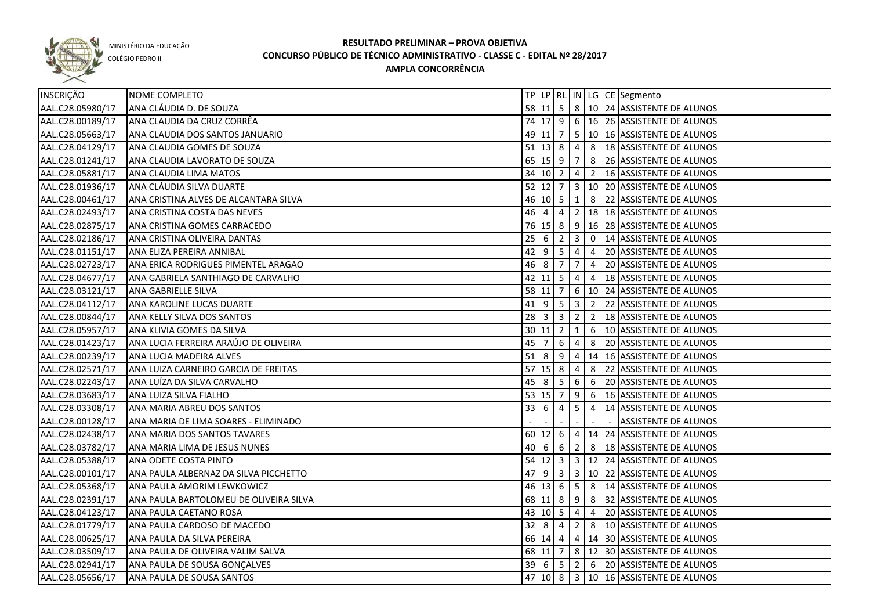

COLÉGIO PEDRO II

| <b>INSCRIÇÃO</b> | NOME COMPLETO                          |          |                                |                |                         |             | TP LP RL IN LG CE Segmento                                  |
|------------------|----------------------------------------|----------|--------------------------------|----------------|-------------------------|-------------|-------------------------------------------------------------|
| AAL.C28.05980/17 | ANA CLÁUDIA D. DE SOUZA                |          |                                |                |                         |             | 58 11 5 8 10 24 ASSISTENTE DE ALUNOS                        |
| AAL.C28.00189/17 | ANA CLAUDIA DA CRUZ CORRÊA             |          |                                |                |                         |             | 74 17 9 6 16 26 ASSISTENTE DE ALUNOS                        |
| AAL.C28.05663/17 | ANA CLAUDIA DOS SANTOS JANUARIO        |          |                                |                |                         |             | 49 11 7 5 10 16 ASSISTENTE DE ALUNOS                        |
| AAL.C28.04129/17 | ANA CLAUDIA GOMES DE SOUZA             |          |                                |                |                         |             | 51   13   $\,8$   $\,4$   $\,8$   18   ASSISTENTE DE ALUNOS |
| AAL.C28.01241/17 | ANA CLAUDIA LAVORATO DE SOUZA          |          |                                |                |                         |             | 65   15   9   7   8   26   ASSISTENTE DE ALUNOS             |
| AAL.C28.05881/17 | ANA CLAUDIA LIMA MATOS                 |          | $34$ 10 2 4                    |                |                         |             | 2   16 ASSISTENTE DE ALUNOS                                 |
| AAL.C28.01936/17 | ANA CLÁUDIA SILVA DUARTE               |          |                                |                |                         |             | 52 12 7 3 10 20 ASSISTENTE DE ALUNOS                        |
| AAL.C28.00461/17 | ANA CRISTINA ALVES DE ALCANTARA SILVA  |          | $46$ 10 5 1                    |                |                         |             | 8 22 ASSISTENTE DE ALUNOS                                   |
| AAL.C28.02493/17 | ANA CRISTINA COSTA DAS NEVES           | 46 4     |                                |                | $4 \mid 2 \mid$         |             | 18 18 ASSISTENTE DE ALUNOS                                  |
| AAL.C28.02875/17 | ANA CRISTINA GOMES CARRACEDO           |          | $76$ 15 8 9                    |                |                         |             | 16 28 ASSISTENTE DE ALUNOS                                  |
| AAL.C28.02186/17 | ANA CRISTINA OLIVEIRA DANTAS           | 25       | 6                              | $\overline{2}$ | $\overline{\mathbf{3}}$ | $\mathbf 0$ | 14 ASSISTENTE DE ALUNOS                                     |
| AAL.C28.01151/17 | ANA ELIZA PEREIRA ANNIBAL              | 42       | $9 \mid 5$                     |                | 4                       | 4           | 20 ASSISTENTE DE ALUNOS                                     |
| AAL.C28.02723/17 | ANA ERICA RODRIGUES PIMENTEL ARAGAO    | 46       | 8                              | $\overline{7}$ | $\overline{7}$          | 4           | 20 ASSISTENTE DE ALUNOS                                     |
| AAL.C28.04677/17 | ANA GABRIELA SANTHIAGO DE CARVALHO     |          | $42 \mid 11 \mid 5$            |                | 4                       | 4           | 18 ASSISTENTE DE ALUNOS                                     |
| AAL.C28.03121/17 | <b>ANA GABRIELLE SILVA</b>             |          | $58$ 11 7                      |                | 6                       |             | 10 24 ASSISTENTE DE ALUNOS                                  |
| AAL.C28.04112/17 | ANA KAROLINE LUCAS DUARTE              |          | $41 \mid 9 \mid 5 \mid 3$      |                |                         |             | 2 22 ASSISTENTE DE ALUNOS                                   |
| AAL.C28.00844/17 | ANA KELLY SILVA DOS SANTOS             |          | $28 \mid 3 \mid 3 \mid 2$      |                |                         |             | 2   18 ASSISTENTE DE ALUNOS                                 |
| AAL.C28.05957/17 | ANA KLIVIA GOMES DA SILVA              |          | $30 \ 11 \ 2$                  |                | 1                       | 6           | 10 ASSISTENTE DE ALUNOS                                     |
| AAL.C28.01423/17 | ANA LUCIA FERREIRA ARAÚJO DE OLIVEIRA  | 45       | l 7                            | -6             | 4                       | 8           | 20 ASSISTENTE DE ALUNOS                                     |
| AAL.C28.00239/17 | ANA LUCIA MADEIRA ALVES                | $51$   8 |                                | 9              | 4                       |             | 14 16 ASSISTENTE DE ALUNOS                                  |
| AAL.C28.02571/17 | ANA LUIZA CARNEIRO GARCIA DE FREITAS   |          | $57$ 15 8                      |                | 4                       | 8           | 22 ASSISTENTE DE ALUNOS                                     |
| AAL.C28.02243/17 | ANA LUÍZA DA SILVA CARVALHO            |          | 45 8                           | 5              | 6                       | 6           | 20 ASSISTENTE DE ALUNOS                                     |
| AAL.C28.03683/17 | ANA LUIZA SILVA FIALHO                 |          | $53 \mid 15 \mid 7$            |                | 9                       | 6           | 16 ASSISTENTE DE ALUNOS                                     |
| AAL.C28.03308/17 | ANA MARIA ABREU DOS SANTOS             | 33       | 6                              | 4              | 5                       | 4           | 14 ASSISTENTE DE ALUNOS                                     |
| AAL.C28.00128/17 | ANA MARIA DE LIMA SOARES - ELIMINADO   |          |                                |                |                         |             | <b>ASSISTENTE DE ALUNOS</b>                                 |
| AAL.C28.02438/17 | ANA MARIA DOS SANTOS TAVARES           |          | $60 \ 12 \ 6$                  |                | $\overline{4}$          |             | 14 24 ASSISTENTE DE ALUNOS                                  |
| AAL.C28.03782/17 | ANA MARIA LIMA DE JESUS NUNES          | 40       | 6                              | 6              | 2                       | 8           | 18 ASSISTENTE DE ALUNOS                                     |
| AAL.C28.05388/17 | ANA ODETE COSTA PINTO                  |          |                                |                |                         |             | 54 12 3 3 12 24 ASSISTENTE DE ALUNOS                        |
| AAL.C28.00101/17 | ANA PAULA ALBERNAZ DA SILVA PICCHETTO  | 47       | -9                             | $\mathbf{3}$   | $\overline{\mathbf{3}}$ |             | 10 22 ASSISTENTE DE ALUNOS                                  |
| AAL.C28.05368/17 | ANA PAULA AMORIM LEWKOWICZ             |          | $46 \ 13 \ 6$                  |                | 5                       |             | 8 14 ASSISTENTE DE ALUNOS                                   |
| AAL.C28.02391/17 | ANA PAULA BARTOLOMEU DE OLIVEIRA SILVA |          | 68 11 8                        |                | 9                       |             | 8 32 ASSISTENTE DE ALUNOS                                   |
| AAL.C28.04123/17 | ANA PAULA CAETANO ROSA                 |          | 43 10 5 4                      |                |                         |             | 4 20 ASSISTENTE DE ALUNOS                                   |
| AAL.C28.01779/17 | ANA PAULA CARDOSO DE MACEDO            |          | $32 \mid 8$                    | $\overline{4}$ |                         |             | 2 8 10 ASSISTENTE DE ALUNOS                                 |
| AAL.C28.00625/17 | ANA PAULA DA SILVA PEREIRA             |          |                                |                |                         |             | 66 14 4 4 14 30 ASSISTENTE DE ALUNOS                        |
| AAL.C28.03509/17 | ANA PAULA DE OLIVEIRA VALIM SALVA      |          |                                |                |                         |             | 68 11 7 8 12 30 ASSISTENTE DE ALUNOS                        |
| AAL.C28.02941/17 | ANA PAULA DE SOUSA GONÇALVES           |          | $39 \mid 6 \mid 5 \mid 2 \mid$ |                |                         |             | 6 20 ASSISTENTE DE ALUNOS                                   |
| AAL.C28.05656/17 | ANA PAULA DE SOUSA SANTOS              |          |                                |                |                         |             | 47 10 8 3 10 16 ASSISTENTE DE ALUNOS                        |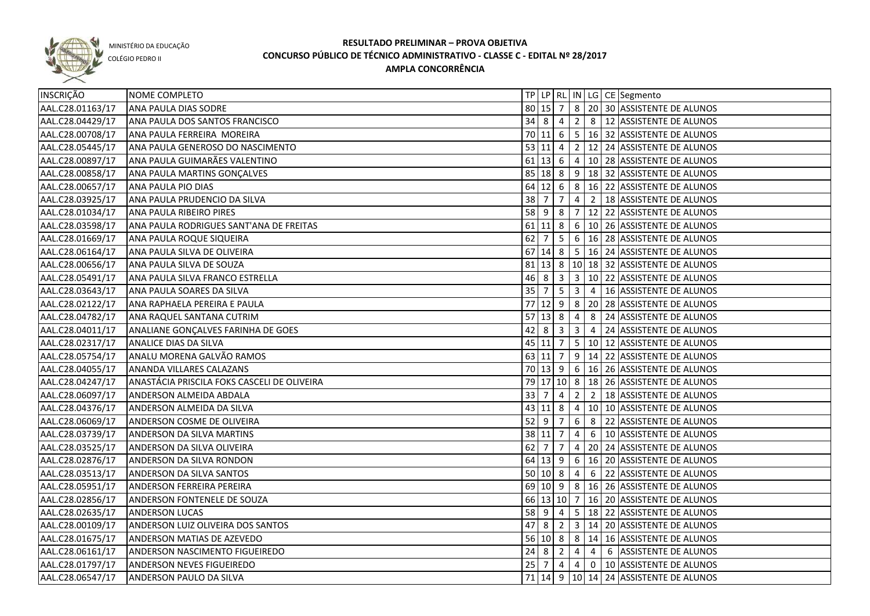

COLÉGIO PEDRO II

| INSCRIÇÃO        | NOME COMPLETO                               |               |                                                               |            |                 |                | TP   LP   RL   IN   LG   CE   Segmento                |
|------------------|---------------------------------------------|---------------|---------------------------------------------------------------|------------|-----------------|----------------|-------------------------------------------------------|
| AAL.C28.01163/17 | ANA PAULA DIAS SODRE                        | $80 \ 15 \ 7$ |                                                               |            |                 |                | 8 20 30 ASSISTENTE DE ALUNOS                          |
| AAL.C28.04429/17 | ANA PAULA DOS SANTOS FRANCISCO              |               | $34 \mid 8 \mid 4$                                            |            |                 |                | 2 8 12 ASSISTENTE DE ALUNOS                           |
| AAL.C28.00708/17 | ANA PAULA FERREIRA MOREIRA                  |               |                                                               |            |                 |                | 70 11 6 5 16 32 ASSISTENTE DE ALUNOS                  |
| AAL.C28.05445/17 | ANA PAULA GENEROSO DO NASCIMENTO            |               | 53   11   4                                                   |            |                 |                | 2   12   24   ASSISTENTE DE ALUNOS                    |
| AAL.C28.00897/17 | ANA PAULA GUIMARÃES VALENTINO               |               | $61$ 13 6                                                     |            |                 |                | 4   10   28   ASSISTENTE DE ALUNOS                    |
| AAL.C28.00858/17 | ANA PAULA MARTINS GONÇALVES                 |               | $85 \ 18 \ 8$                                                 |            |                 |                | 9 18 32 ASSISTENTE DE ALUNOS                          |
| AAL.C28.00657/17 | ANA PAULA PIO DIAS                          |               | $64 \begin{array}{ c c } \hline 12 & 6 \\ \hline \end{array}$ |            |                 |                | $8 \mid 16 \mid 22$ ASSISTENTE DE ALUNOS              |
| AAL.C28.03925/17 | ANA PAULA PRUDENCIO DA SILVA                |               | $38 \mid 7 \mid 7$                                            |            |                 |                | 4 2   18   ASSISTENTE DE ALUNOS                       |
| AAL.C28.01034/17 | ANA PAULA RIBEIRO PIRES                     |               |                                                               |            |                 |                | 58 9 8 7 12 22 ASSISTENTE DE ALUNOS                   |
| AAL.C28.03598/17 | ANA PAULA RODRIGUES SANT'ANA DE FREITAS     |               |                                                               |            |                 |                | 61 11 8 6 10 26 ASSISTENTE DE ALUNOS                  |
| AAL.C28.01669/17 | ANA PAULA ROQUE SIQUEIRA                    |               |                                                               |            |                 |                | 62 7   5   6   16   28   ASSISTENTE DE ALUNOS         |
| AAL.C28.06164/17 | ANA PAULA SILVA DE OLIVEIRA                 |               |                                                               |            |                 |                | 67 14 8 5 16 24 ASSISTENTE DE ALUNOS                  |
| AAL.C28.00656/17 | ANA PAULA SILVA DE SOUZA                    |               |                                                               |            |                 |                | 81   13   8   10   18   32   ASSISTENTE DE ALUNOS     |
| AAL.C28.05491/17 | ANA PAULA SILVA FRANCO ESTRELLA             |               |                                                               |            |                 |                | 46 8 3 3 10 22 ASSISTENTE DE ALUNOS                   |
| AAL.C28.03643/17 | ANA PAULA SOARES DA SILVA                   | $35 \mid 7$   |                                                               |            |                 |                | $5 \mid 3 \mid 4 \mid 16$ ASSISTENTE DE ALUNOS        |
| AAL.C28.02122/17 | ANA RAPHAELA PEREIRA E PAULA                |               |                                                               |            |                 |                | 77 12 9 8 20 28 ASSISTENTE DE ALUNOS                  |
| AAL.C28.04782/17 | ANA RAQUEL SANTANA CUTRIM                   |               | $57$ 13 8                                                     |            | $\vert 4 \vert$ |                | 8 24 ASSISTENTE DE ALUNOS                             |
| AAL.C28.04011/17 | ANALIANE GONÇALVES FARINHA DE GOES          | 42 8          |                                                               | $\vert$ 3  | $\vert$ 3       | $\overline{4}$ | 24 ASSISTENTE DE ALUNOS                               |
| AAL.C28.02317/17 | <b>ANALICE DIAS DA SILVA</b>                |               | $45 \ 11 \ 7$                                                 |            |                 |                | 5   10   12   ASSISTENTE DE ALUNOS                    |
| AAL.C28.05754/17 | ANALU MORENA GALVÃO RAMOS                   |               | $63$ 11 7                                                     |            |                 |                | $9   14   22  $ ASSISTENTE DE ALUNOS                  |
| AAL.C28.04055/17 | <b>ANANDA VILLARES CALAZANS</b>             |               |                                                               |            |                 |                | 70   13   9   6   16   26   ASSISTENTE DE ALUNOS      |
| AAL.C28.04247/17 | ANASTÁCIA PRISCILA FOKS CASCELI DE OLIVEIRA |               |                                                               |            |                 |                | 79 17 10 8 18 26 ASSISTENTE DE ALUNOS                 |
| AAL.C28.06097/17 | ANDERSON ALMEIDA ABDALA                     | $33 \mid 7$   |                                                               | $\sqrt{4}$ | $\overline{2}$  | $\overline{2}$ | 18 ASSISTENTE DE ALUNOS                               |
| AAL.C28.04376/17 | ANDERSON ALMEIDA DA SILVA                   |               | 43 11 8                                                       |            |                 |                | 4   10   10   ASSISTENTE DE ALUNOS                    |
| AAL.C28.06069/17 | ANDERSON COSME DE OLIVEIRA                  | $52 \mid 9$   |                                                               | 7          | $6\overline{6}$ | 8              | 22 ASSISTENTE DE ALUNOS                               |
| AAL.C28.03739/17 | ANDERSON DA SILVA MARTINS                   |               | 38 11 7                                                       |            | 4               |                | 6   10 ASSISTENTE DE ALUNOS                           |
| AAL.C28.03525/17 | <b>ANDERSON DA SILVA OLIVEIRA</b>           | 62            | 7                                                             | 7          |                 |                | 4   20   24   ASSISTENTE DE ALUNOS                    |
| AAL.C28.02876/17 | <b>ANDERSON DA SILVA RONDON</b>             |               | 64 13 9                                                       |            |                 |                | 6   16   20   ASSISTENTE DE ALUNOS                    |
| AAL.C28.03513/17 | ANDERSON DA SILVA SANTOS                    | 50   10   8   |                                                               |            | $\overline{4}$  |                | 6 22 ASSISTENTE DE ALUNOS                             |
| AAL.C28.05951/17 | <b>ANDERSON FERREIRA PEREIRA</b>            |               | 69 10 9                                                       |            |                 |                | 8   16   26   ASSISTENTE DE ALUNOS                    |
| AAL.C28.02856/17 | <b>ANDERSON FONTENELE DE SOUZA</b>          |               |                                                               |            |                 |                | 66 13 10 7 16 20 ASSISTENTE DE ALUNOS                 |
| AAL.C28.02635/17 | <b>ANDERSON LUCAS</b>                       | $58$ 9 4      |                                                               |            |                 |                | 5   18   22   ASSISTENTE DE ALUNOS                    |
| AAL.C28.00109/17 | ANDERSON LUIZ OLIVEIRA DOS SANTOS           |               |                                                               |            |                 |                | 47 8 2 3 14 20 ASSISTENTE DE ALUNOS                   |
| AAL.C28.01675/17 | ANDERSON MATIAS DE AZEVEDO                  |               |                                                               |            |                 |                | 56 10 8 8 14 16 ASSISTENTE DE ALUNOS                  |
| AAL.C28.06161/17 | ANDERSON NASCIMENTO FIGUEIREDO              |               |                                                               |            |                 |                | 24 8 2 4 4 6 ASSISTENTE DE ALUNOS                     |
| AAL.C28.01797/17 | <b>ANDERSON NEVES FIGUEIREDO</b>            |               | $25 \mid 7 \mid 4 \mid$                                       |            |                 |                | $\vert 4 \vert 0 \vert 10 \vert$ ASSISTENTE DE ALUNOS |
| AAL.C28.06547/17 | ANDERSON PAULO DA SILVA                     |               |                                                               |            |                 |                | 71   14   9   10   14   24   ASSISTENTE DE ALUNOS     |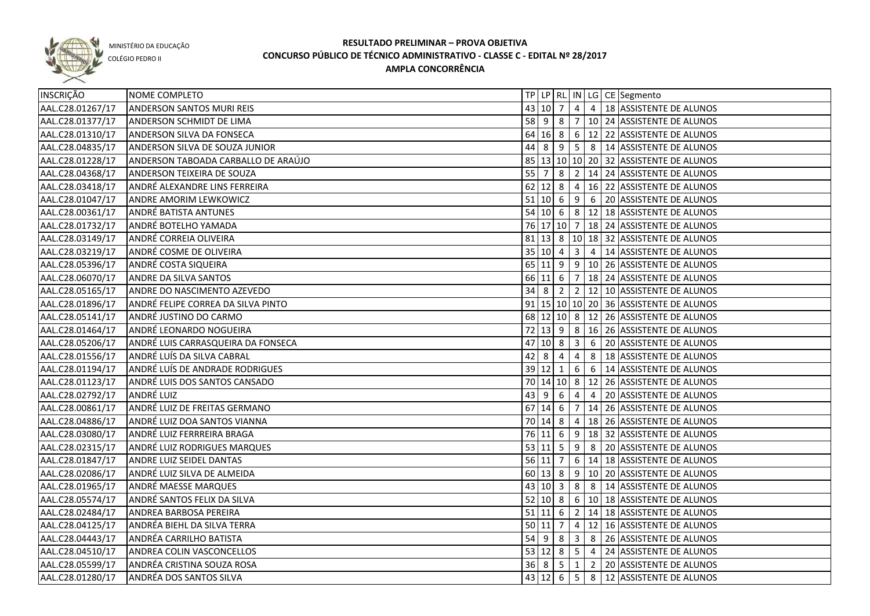

COLÉGIO PEDRO II

| INSCRIÇÃO        | NOME COMPLETO                       |                                  |                     |                          |                         |                | TP   LP   RL   IN   LG   CE   Segmento                                      |
|------------------|-------------------------------------|----------------------------------|---------------------|--------------------------|-------------------------|----------------|-----------------------------------------------------------------------------|
| AAL.C28.01267/17 | <b>ANDERSON SANTOS MURI REIS</b>    |                                  | 43 10 7             |                          | $\overline{4}$          |                | 4   18   ASSISTENTE DE ALUNOS                                               |
| AAL.C28.01377/17 | <b>ANDERSON SCHMIDT DE LIMA</b>     |                                  |                     |                          |                         |                | 58 9 8 7 10 24 ASSISTENTE DE ALUNOS                                         |
| AAL.C28.01310/17 | ANDERSON SILVA DA FONSECA           |                                  |                     |                          |                         |                | 64 16 8 6 12 22 ASSISTENTE DE ALUNOS                                        |
| AAL.C28.04835/17 | ANDERSON SILVA DE SOUZA JUNIOR      |                                  |                     |                          |                         |                | 44 8 9 5 8 14 ASSISTENTE DE ALUNOS                                          |
| AAL.C28.01228/17 | ANDERSON TABOADA CARBALLO DE ARAÚJO |                                  |                     |                          |                         |                | 85 13 10 10 20 32 ASSISTENTE DE ALUNOS                                      |
| AAL.C28.04368/17 | ANDERSON TEIXEIRA DE SOUZA          |                                  |                     |                          |                         |                | 55   7   8   2   14   24   ASSISTENTE DE ALUNOS                             |
| AAL.C28.03418/17 | ANDRÉ ALEXANDRE LINS FERREIRA       |                                  |                     |                          |                         |                | 62 12 8 4 16 22 ASSISTENTE DE ALUNOS                                        |
| AAL.C28.01047/17 | ANDRE AMORIM LEWKOWICZ              |                                  |                     |                          |                         |                | 51 10 6 9 6 20 ASSISTENTE DE ALUNOS                                         |
| AAL.C28.00361/17 | ANDRÉ BATISTA ANTUNES               |                                  |                     |                          |                         |                | 54 10 6 8 12 18 ASSISTENTE DE ALUNOS                                        |
| AAL.C28.01732/17 | ANDRÉ BOTELHO YAMADA                |                                  |                     |                          |                         |                | 76 17 10 7 18 24 ASSISTENTE DE ALUNOS                                       |
| AAL.C28.03149/17 | ANDRÉ CORREIA OLIVEIRA              |                                  |                     |                          |                         |                | 81 13 8 10 18 32 ASSISTENTE DE ALUNOS                                       |
| AAL.C28.03219/17 | ANDRÉ COSME DE OLIVEIRA             | 35 10 4                          |                     |                          |                         |                | 3 4 14 ASSISTENTE DE ALUNOS                                                 |
| AAL.C28.05396/17 | ANDRÉ COSTA SIQUEIRA                |                                  |                     |                          |                         |                | 65   11   9   9   10   26   ASSISTENTE DE ALUNOS                            |
| AAL.C28.06070/17 | ANDRE DA SILVA SANTOS               |                                  | 66 11 6             |                          |                         |                | 7   18   24   ASSISTENTE DE ALUNOS                                          |
| AAL.C28.05165/17 | ANDRE DO NASCIMENTO AZEVEDO         | $34 \overline{\smash{\big)}\ 8}$ |                     | l 2 l                    |                         |                | 2 12 10 ASSISTENTE DE ALUNOS                                                |
| AAL.C28.01896/17 | ANDRÉ FELIPE CORREA DA SILVA PINTO  |                                  |                     |                          |                         |                | 91   15   10   10   20   36   ASSISTENTE DE ALUNOS                          |
| AAL.C28.05141/17 | ANDRÉ JUSTINO DO CARMO              |                                  |                     |                          |                         |                | 68 12 10 8 12 26 ASSISTENTE DE ALUNOS                                       |
| AAL.C28.01464/17 | ANDRÉ LEONARDO NOGUEIRA             |                                  |                     |                          |                         |                | 72 13 9 8 16 26 ASSISTENTE DE ALUNOS                                        |
| AAL.C28.05206/17 | ANDRÉ LUIS CARRASQUEIRA DA FONSECA  |                                  | 47 10 8             |                          | $\overline{\mathbf{3}}$ | 6              | 20 ASSISTENTE DE ALUNOS                                                     |
| AAL.C28.01556/17 | ANDRÉ LUÍS DA SILVA CABRAL          | 42                               | -8                  | 4                        | 4                       | 8              | 18 ASSISTENTE DE ALUNOS                                                     |
| AAL.C28.01194/17 | ANDRÉ LUÍS DE ANDRADE RODRIGUES     | 39 12 1                          |                     |                          | 6                       |                | 6   14 ASSISTENTE DE ALUNOS                                                 |
| AAL.C28.01123/17 | ANDRÉ LUIS DOS SANTOS CANSADO       |                                  |                     |                          |                         |                | 70 14 10 8 12 26 ASSISTENTE DE ALUNOS                                       |
| AAL.C28.02792/17 | ANDRÉ LUIZ                          |                                  | $43 \mid 9 \mid 6$  |                          | $\overline{4}$          | $\overline{4}$ | 20 ASSISTENTE DE ALUNOS                                                     |
| AAL.C28.00861/17 | ANDRÉ LUIZ DE FREITAS GERMANO       |                                  | $67$ 14 6           |                          |                         |                | 7   14   26   ASSISTENTE DE ALUNOS                                          |
| AAL.C28.04886/17 | ANDRÉ LUIZ DOA SANTOS VIANNA        |                                  | 70 14 8             |                          |                         |                | 4   18   26   ASSISTENTE DE ALUNOS                                          |
| AAL.C28.03080/17 | ANDRÉ LUIZ FERRREIRA BRAGA          | 76 11                            |                     | $6\overline{6}$          | 9                       |                | 18 32 ASSISTENTE DE ALUNOS                                                  |
| AAL.C28.02315/17 | ANDRÉ LUIZ RODRIGUES MARQUES        | 53   11   5                      |                     |                          | 9                       |                | 8 20 ASSISTENTE DE ALUNOS                                                   |
| AAL.C28.01847/17 | <b>ANDRE LUIZ SEIDEL DANTAS</b>     | $56$ 11 7                        |                     |                          |                         |                | 6 14 18 ASSISTENTE DE ALUNOS                                                |
| AAL.C28.02086/17 | ANDRÉ LUIZ SILVA DE ALMEIDA         |                                  | $60 \mid 13 \mid 8$ |                          |                         |                | 9 10 20 ASSISTENTE DE ALUNOS                                                |
| AAL.C28.01965/17 | ANDRÉ MAESSE MARQUES                |                                  |                     |                          |                         |                | 43 10 3 8 8 4 14 ASSISTENTE DE ALUNOS                                       |
| AAL.C28.05574/17 | ANDRÉ SANTOS FELIX DA SILVA         |                                  |                     |                          |                         |                | 52 10 8 6 10 18 ASSISTENTE DE ALUNOS                                        |
| AAL.C28.02484/17 | <b>ANDREA BARBOSA PEREIRA</b>       |                                  |                     |                          |                         |                | 51 11 6 2 14 18 ASSISTENTE DE ALUNOS                                        |
| AAL.C28.04125/17 | ANDRÉA BIEHL DA SILVA TERRA         |                                  |                     | $50 \mid 11 \mid 7 \mid$ |                         |                | $\vert 4 \vert 12 \vert 16 \vert$ ASSISTENTE DE ALUNOS                      |
| AAL.C28.04443/17 | ANDRÉA CARRILHO BATISTA             |                                  |                     |                          |                         |                | 54 9 8 3 8 26 ASSISTENTE DE ALUNOS                                          |
| AAL.C28.04510/17 | ANDREA COLIN VASCONCELLOS           |                                  |                     |                          |                         |                | 53 $\vert$ 12 $\vert$ 8 $\vert$ 5 $\vert$ 4 $\vert$ 24 ASSISTENTE DE ALUNOS |
| AAL.C28.05599/17 | ANDRÉA CRISTINA SOUZA ROSA          |                                  |                     |                          |                         |                | 36 8 5 1 2 20 ASSISTENTE DE ALUNOS                                          |
| AAL.C28.01280/17 | ANDRÉA DOS SANTOS SILVA             |                                  |                     |                          |                         |                | 43 12 6 5 8 12 ASSISTENTE DE ALUNOS                                         |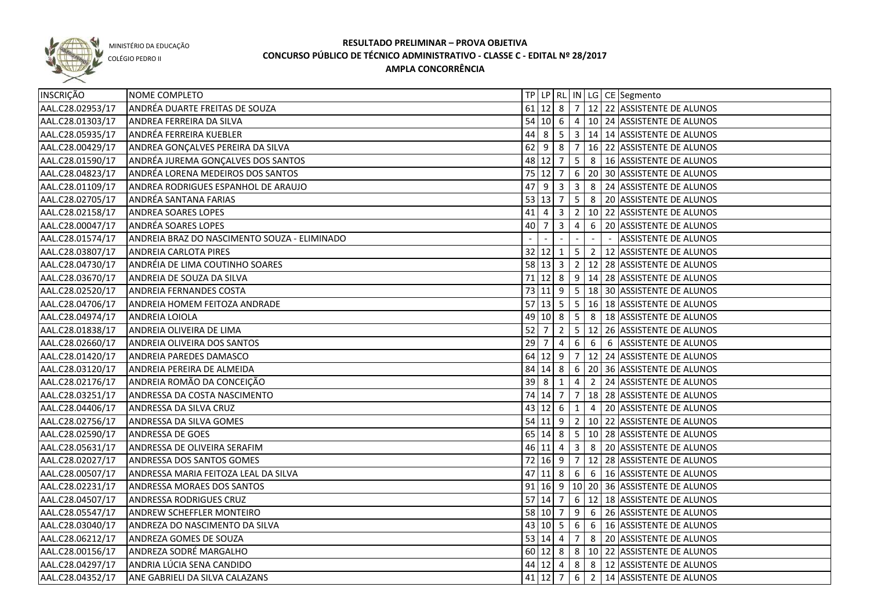

COLÉGIO PEDRO II

| INSCRIÇÃO        | NOME COMPLETO                                |             |                     |                |                |                | TP   LP   RL   IN   LG   CE   Segmento           |
|------------------|----------------------------------------------|-------------|---------------------|----------------|----------------|----------------|--------------------------------------------------|
| AAL.C28.02953/17 | ANDRÉA DUARTE FREITAS DE SOUZA               |             |                     |                |                |                | 61 12 8 7 12 22 ASSISTENTE DE ALUNOS             |
| AAL.C28.01303/17 | ANDREA FERREIRA DA SILVA                     |             |                     |                |                |                | 54 10 6 4 10 24 ASSISTENTE DE ALUNOS             |
| AAL.C28.05935/17 | ANDRÉA FERREIRA KUEBLER                      |             |                     |                |                |                | 44 8 5 3 14 14 ASSISTENTE DE ALUNOS              |
| AAL.C28.00429/17 | ANDREA GONÇALVES PEREIRA DA SILVA            |             |                     |                |                |                | 62 9 8 7 16 22 ASSISTENTE DE ALUNOS              |
| AAL.C28.01590/17 | ANDRÉA JUREMA GONÇALVES DOS SANTOS           |             |                     |                |                |                | 48 12 7 5 8 16 ASSISTENTE DE ALUNOS              |
| AAL.C28.04823/17 | ANDRÉA LORENA MEDEIROS DOS SANTOS            |             |                     |                |                |                | 75 12 7 6 20 30 ASSISTENTE DE ALUNOS             |
| AAL.C28.01109/17 | ANDREA RODRIGUES ESPANHOL DE ARAUJO          |             |                     |                |                |                | 47 9 3 3 3 8 24 ASSISTENTE DE ALUNOS             |
| AAL.C28.02705/17 | ANDRÉA SANTANA FARIAS                        |             |                     |                |                |                | 53 13 7 5 8 20 ASSISTENTE DE ALUNOS              |
| AAL.C28.02158/17 | ANDREA SOARES LOPES                          |             |                     |                |                |                | 41 4 3 2 10 22 ASSISTENTE DE ALUNOS              |
| AAL.C28.00047/17 | ANDRÉA SOARES LOPES                          | 40 7        |                     | $3 \mid 4$     |                |                | 6 20 ASSISTENTE DE ALUNOS                        |
| AAL.C28.01574/17 | ANDREIA BRAZ DO NASCIMENTO SOUZA - ELIMINADO |             |                     |                |                |                | <b>ASSISTENTE DE ALUNOS</b>                      |
| AAL.C28.03807/17 | <b>ANDREIA CARLOTA PIRES</b>                 |             |                     |                |                |                | 32 12 1 5 2 12 ASSISTENTE DE ALUNOS              |
| AAL.C28.04730/17 | ANDRÉIA DE LIMA COUTINHO SOARES              |             |                     |                |                |                | 58 13 3 2 12 28 ASSISTENTE DE ALUNOS             |
| AAL.C28.03670/17 | ANDREIA DE SOUZA DA SILVA                    |             |                     |                |                |                | 71 12 8 9 14 28 ASSISTENTE DE ALUNOS             |
| AAL.C28.02520/17 | ANDREIA FERNANDES COSTA                      |             |                     |                |                |                | 73 11 9 5 18 30 ASSISTENTE DE ALUNOS             |
| AAL.C28.04706/17 | ANDREIA HOMEM FEITOZA ANDRADE                |             | $57$ 13 5 5         |                |                |                | 16 18 ASSISTENTE DE ALUNOS                       |
| AAL.C28.04974/17 | ANDREIA LOIOLA                               |             | $49$ 10 8 5         |                |                |                | 8   18 ASSISTENTE DE ALUNOS                      |
| AAL.C28.01838/17 | ANDREIA OLIVEIRA DE LIMA                     | $52 \mid 7$ |                     |                |                |                | 2   5   12   26   ASSISTENTE DE ALUNOS           |
| AAL.C28.02660/17 | ANDREIA OLIVEIRA DOS SANTOS                  | 29          | $\overline{7}$      | $\overline{4}$ | 6              |                | 6 6 ASSISTENTE DE ALUNOS                         |
| AAL.C28.01420/17 | ANDREIA PAREDES DAMASCO                      |             | 64 12 9 7           |                |                |                | 12 24 ASSISTENTE DE ALUNOS                       |
| AAL.C28.03120/17 | ANDREIA PEREIRA DE ALMEIDA                   |             |                     |                |                |                | 84   14   8   6   20   36   ASSISTENTE DE ALUNOS |
| AAL.C28.02176/17 | ANDREIA ROMÃO DA CONCEIÇÃO                   | 39          | l 8                 | 1              | 4              | $\overline{2}$ | 24 ASSISTENTE DE ALUNOS                          |
| AAL.C28.03251/17 | ANDRESSA DA COSTA NASCIMENTO                 |             | 74 14 7             |                | $\overline{7}$ |                | 18 28 ASSISTENTE DE ALUNOS                       |
| AAL.C28.04406/17 | ANDRESSA DA SILVA CRUZ                       |             | 43 12 6             |                | 1              | $\overline{4}$ | 20 ASSISTENTE DE ALUNOS                          |
| AAL.C28.02756/17 | ANDRESSA DA SILVA GOMES                      |             |                     |                |                |                | 54 11 9 2 10 22 ASSISTENTE DE ALUNOS             |
| AAL.C28.02590/17 | ANDRESSA DE GOES                             |             | 65 14 8             |                | 5 <sub>1</sub> |                | 10 28 ASSISTENTE DE ALUNOS                       |
| AAL.C28.05631/17 | ANDRESSA DE OLIVEIRA SERAFIM                 |             | 46 11               | 4              | $\overline{3}$ |                | 8 20 ASSISTENTE DE ALUNOS                        |
| AAL.C28.02027/17 | ANDRESSA DOS SANTOS GOMES                    |             | 72 16 9 7           |                |                |                | 12 28 ASSISTENTE DE ALUNOS                       |
| AAL.C28.00507/17 | ANDRESSA MARIA FEITOZA LEAL DA SILVA         | 47          | $11 \mid 8 \mid 6$  |                |                |                | 6   16 ASSISTENTE DE ALUNOS                      |
| AAL.C28.02231/17 | ANDRESSA MORAES DOS SANTOS                   |             |                     |                |                |                | 91 16 9 10 20 36 ASSISTENTE DE ALUNOS            |
| AAL.C28.04507/17 | ANDRESSA RODRIGUES CRUZ                      |             | $57$ 14 7           |                |                |                | 6 12 18 ASSISTENTE DE ALUNOS                     |
| AAL.C28.05547/17 | ANDREW SCHEFFLER MONTEIRO                    |             |                     |                |                |                | 58 10 7 9 6 26 ASSISTENTE DE ALUNOS              |
| AAL.C28.03040/17 | ANDREZA DO NASCIMENTO DA SILVA               |             |                     |                |                |                | 43 10 5 6 6 6 16 ASSISTENTE DE ALUNOS            |
| AAL.C28.06212/17 | ANDREZA GOMES DE SOUZA                       |             | $53 \mid 14 \mid 4$ |                |                |                | 7 8 20 ASSISTENTE DE ALUNOS                      |
| AAL.C28.00156/17 | ANDREZA SODRÉ MARGALHO                       |             |                     |                |                |                | 60 12 8 8 10 22 ASSISTENTE DE ALUNOS             |
| AAL.C28.04297/17 | ANDRIA LÚCIA SENA CANDIDO                    |             |                     |                |                |                | 44 12 4 8 8 12 ASSISTENTE DE ALUNOS              |
| AAL.C28.04352/17 | ANE GABRIELI DA SILVA CALAZANS               |             | 41 12 7             |                |                |                | 6 2 14 ASSISTENTE DE ALUNOS                      |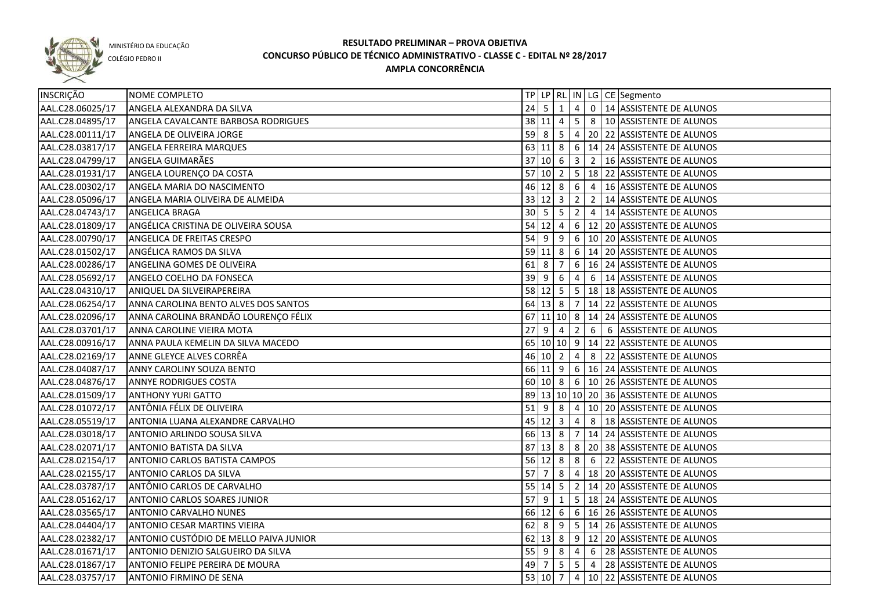

COLÉGIO PEDRO II

| INSCRIÇÃO        | NOME COMPLETO                          |              |               |                |                |                 | TP   LP   RL   IN   LG   CE   Segmento         |
|------------------|----------------------------------------|--------------|---------------|----------------|----------------|-----------------|------------------------------------------------|
| AAL.C28.06025/17 | ANGELA ALEXANDRA DA SILVA              | 24           | <b>5</b>      | 1              |                |                 | 4 0 14 ASSISTENTE DE ALUNOS                    |
| AAL.C28.04895/17 | ANGELA CAVALCANTE BARBOSA RODRIGUES    |              | 38   11   4   |                |                |                 | 5 8   10 ASSISTENTE DE ALUNOS                  |
| AAL.C28.00111/17 | ANGELA DE OLIVEIRA JORGE               |              |               |                |                |                 | 59 8 5 4 20 22 ASSISTENTE DE ALUNOS            |
| AAL.C28.03817/17 | ANGELA FERREIRA MARQUES                |              |               |                |                |                 | 63 11 8 6 14 24 ASSISTENTE DE ALUNOS           |
| AAL.C28.04799/17 | <b>ANGELA GUIMARÃES</b>                |              |               |                |                |                 | 37 10 6 3 2 16 ASSISTENTE DE ALUNOS            |
| AAL.C28.01931/17 | ANGELA LOURENÇO DA COSTA               |              |               |                |                |                 | 57 10 2 5 18 22 ASSISTENTE DE ALUNOS           |
| AAL.C28.00302/17 | ANGELA MARIA DO NASCIMENTO             |              |               |                |                |                 | 46 12 8 6 4 16 ASSISTENTE DE ALUNOS            |
| AAL.C28.05096/17 | ANGELA MARIA OLIVEIRA DE ALMEIDA       |              |               |                |                |                 | 33 12 3 2 2 2 14 ASSISTENTE DE ALUNOS          |
| AAL.C28.04743/17 | ANGELICA BRAGA                         |              |               |                |                |                 | 30   5   5   2   4   14   ASSISTENTE DE ALUNOS |
| AAL.C28.01809/17 | ANGÉLICA CRISTINA DE OLIVEIRA SOUSA    |              |               |                |                |                 | 54 12 4 6 12 20 ASSISTENTE DE ALUNOS           |
| AAL.C28.00790/17 | ANGELICA DE FREITAS CRESPO             |              |               |                |                |                 | 54 9 9 6 10 20 ASSISTENTE DE ALUNOS            |
| AAL.C28.01502/17 | ANGÉLICA RAMOS DA SILVA                |              |               |                |                |                 | 59 11 8 6 14 20 ASSISTENTE DE ALUNOS           |
| AAL.C28.00286/17 | ANGELINA GOMES DE OLIVEIRA             | $61 \vert 8$ |               | $\overline{7}$ |                |                 | 6   16   24   ASSISTENTE DE ALUNOS             |
| AAL.C28.05692/17 | ANGELO COELHO DA FONSECA               |              | $39$ 9        | 6              | $\overline{4}$ |                 | 6 14 ASSISTENTE DE ALUNOS                      |
| AAL.C28.04310/17 | ANIQUEL DA SILVEIRAPEREIRA             |              | 58 12 5       |                |                |                 | 5   18   18   ASSISTENTE DE ALUNOS             |
| AAL.C28.06254/17 | ANNA CAROLINA BENTO ALVES DOS SANTOS   |              |               | 64 13 8 7      |                |                 | 14 22 ASSISTENTE DE ALUNOS                     |
| AAL.C28.02096/17 | ANNA CAROLINA BRANDÃO LOURENÇO FÉLIX   |              |               |                |                |                 | 67 11 10 8 14 24 ASSISTENTE DE ALUNOS          |
| AAL.C28.03701/17 | ANNA CAROLINE VIEIRA MOTA              | 27           | l 9           | $\overline{4}$ | $\overline{2}$ |                 | 6 6 ASSISTENTE DE ALUNOS                       |
| AAL.C28.00916/17 | ANNA PAULA KEMELIN DA SILVA MACEDO     |              |               |                |                |                 | 65 10 10 9 14 22 ASSISTENTE DE ALUNOS          |
| AAL.C28.02169/17 | ANNE GLEYCE ALVES CORRÊA               |              | 46 10 2       |                |                |                 | 4 8 22 ASSISTENTE DE ALUNOS                    |
| AAL.C28.04087/17 | ANNY CAROLINY SOUZA BENTO              |              |               |                |                |                 | 66 11 9 6 16 24 ASSISTENTE DE ALUNOS           |
| AAL.C28.04876/17 | <b>ANNYE RODRIGUES COSTA</b>           |              |               | 60 10 8        |                |                 | 6 10 26 ASSISTENTE DE ALUNOS                   |
| AAL.C28.01509/17 | <b>ANTHONY YURI GATTO</b>              |              |               |                |                |                 | 89 13 10 10 20 36 ASSISTENTE DE ALUNOS         |
| AAL.C28.01072/17 | ANTÔNIA FÉLIX DE OLIVEIRA              | $51$   9     |               | 8              | $4 \mid$       |                 | 10 20 ASSISTENTE DE ALUNOS                     |
| AAL.C28.05519/17 | ANTONIA LUANA ALEXANDRE CARVALHO       |              | $45 \ 12 \ 3$ |                | 4              | 8               | 18 ASSISTENTE DE ALUNOS                        |
| AAL.C28.03018/17 | ANTONIO ARLINDO SOUSA SILVA            |              | 66 13 8       |                | 7              |                 | 14 24 ASSISTENTE DE ALUNOS                     |
| AAL.C28.02071/17 | <b>ANTONIO BATISTA DA SILVA</b>        | 87           |               |                |                |                 | 8 20 38 ASSISTENTE DE ALUNOS                   |
| AAL.C28.02154/17 | <b>ANTONIO CARLOS BATISTA CAMPOS</b>   |              | $56$ 12 8     |                | 8              | $6\overline{6}$ | 22 ASSISTENTE DE ALUNOS                        |
| AAL.C28.02155/17 | <b>ANTONIO CARLOS DA SILVA</b>         | 57           |               | 8              |                |                 | 4   18   20   ASSISTENTE DE ALUNOS             |
| AAL.C28.03787/17 | ANTÔNIO CARLOS DE CARVALHO             |              | $55 \ 14 \ 5$ |                |                |                 | 2   14   20   ASSISTENTE DE ALUNOS             |
| AAL.C28.05162/17 | ANTONIO CARLOS SOARES JUNIOR           | $57$ 9       |               | $\mathbf{1}$   |                |                 | 5   18   24   ASSISTENTE DE ALUNOS             |
| AAL.C28.03565/17 | ANTONIO CARVALHO NUNES                 |              | 66 12 6       |                |                |                 | 6 16 26 ASSISTENTE DE ALUNOS                   |
| AAL.C28.04404/17 | <b>ANTONIO CESAR MARTINS VIEIRA</b>    |              |               |                |                |                 | 62 8 9 5 14 26 ASSISTENTE DE ALUNOS            |
| AAL.C28.02382/17 | ANTONIO CUSTÓDIO DE MELLO PAIVA JUNIOR |              |               |                |                |                 | 62 13 8 9 12 20 ASSISTENTE DE ALUNOS           |
| AAL.C28.01671/17 | ANTONIO DENIZIO SALGUEIRO DA SILVA     |              |               |                |                |                 | 55 9 8 4 6 28 ASSISTENTE DE ALUNOS             |
| AAL.C28.01867/17 | ANTONIO FELIPE PEREIRA DE MOURA        |              | $49$ 7        |                |                |                 | 5   5   4   28   ASSISTENTE DE ALUNOS          |
| AAL.C28.03757/17 | ANTONIO FIRMINO DE SENA                |              |               |                |                |                 | 53 10 7 4 10 22 ASSISTENTE DE ALUNOS           |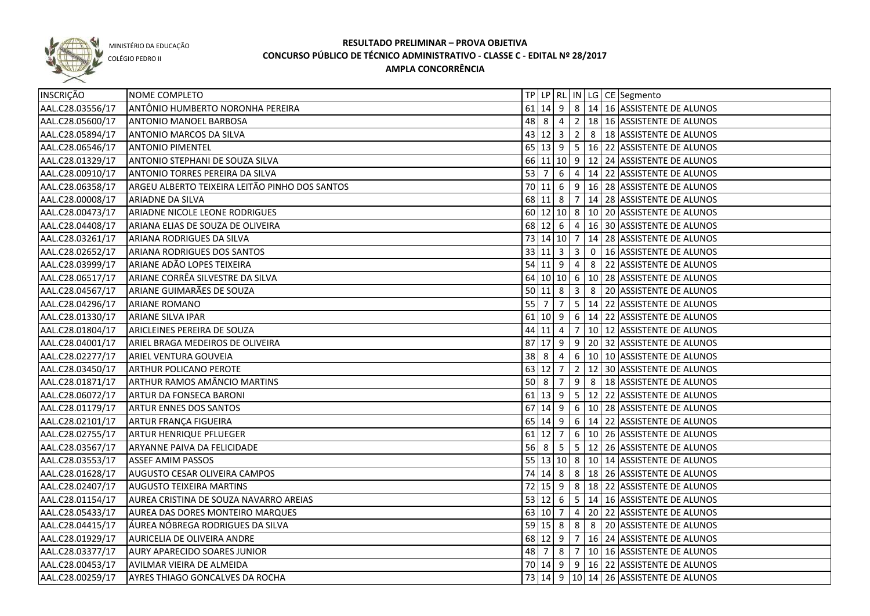

COLÉGIO PEDRO II

| INSCRIÇÃO        | NOME COMPLETO                                  |                                  |                     |                |                |   | TP   LP   RL   IN   LG   CE   Segmento                 |
|------------------|------------------------------------------------|----------------------------------|---------------------|----------------|----------------|---|--------------------------------------------------------|
| AAL.C28.03556/17 | ANTÔNIO HUMBERTO NORONHA PEREIRA               |                                  |                     |                |                |   | 61 14 9 8 14 16 ASSISTENTE DE ALUNOS                   |
| AAL.C28.05600/17 | <b>ANTONIO MANOEL BARBOSA</b>                  |                                  |                     |                |                |   | 48 8 4 2 18 16 ASSISTENTE DE ALUNOS                    |
| AAL.C28.05894/17 | ANTONIO MARCOS DA SILVA                        |                                  |                     |                |                |   | 43 12 3 2 8 18 ASSISTENTE DE ALUNOS                    |
| AAL.C28.06546/17 | <b>ANTONIO PIMENTEL</b>                        |                                  |                     |                |                |   | 65 13 9 5 16 22 ASSISTENTE DE ALUNOS                   |
| AAL.C28.01329/17 | ANTONIO STEPHANI DE SOUZA SILVA                |                                  |                     |                |                |   | 66 11 10 9 12 24 ASSISTENTE DE ALUNOS                  |
| AAL.C28.00910/17 | ANTONIO TORRES PEREIRA DA SILVA                |                                  |                     |                |                |   | 53 7 6 4 14 22 ASSISTENTE DE ALUNOS                    |
| AAL.C28.06358/17 | ARGEU ALBERTO TEIXEIRA LEITÃO PINHO DOS SANTOS |                                  |                     |                |                |   | 70 11 6 9 16 28 ASSISTENTE DE ALUNOS                   |
| AAL.C28.00008/17 | ARIADNE DA SILVA                               |                                  |                     |                |                |   | 68 11 8 7 14 28 ASSISTENTE DE ALUNOS                   |
| AAL.C28.00473/17 | ARIADNE NICOLE LEONE RODRIGUES                 |                                  |                     |                |                |   | 60 12 10 8 10 20 ASSISTENTE DE ALUNOS                  |
| AAL.C28.04408/17 | ARIANA ELIAS DE SOUZA DE OLIVEIRA              |                                  |                     |                |                |   | 68 12 6 4 16 30 ASSISTENTE DE ALUNOS                   |
| AAL.C28.03261/17 | ARIANA RODRIGUES DA SILVA                      |                                  |                     |                |                |   | 73 14 10 7 14 28 ASSISTENTE DE ALUNOS                  |
| AAL.C28.02652/17 | ARIANA RODRIGUES DOS SANTOS                    |                                  |                     |                |                |   | 33 11 3 3 0 16 ASSISTENTE DE ALUNOS                    |
| AAL.C28.03999/17 | ARIANE ADÃO LOPES TEIXEIRA                     |                                  |                     |                |                |   | 54 11 9 4 8 22 ASSISTENTE DE ALUNOS                    |
| AAL.C28.06517/17 | ARIANE CORRÊA SILVESTRE DA SILVA               |                                  |                     |                |                |   | 64 10 10 6 10 28 ASSISTENTE DE ALUNOS                  |
| AAL.C28.04567/17 | ARIANE GUIMARÃES DE SOUZA                      |                                  | $50 \ 11 \ 8$       |                |                |   | 3 8 20 ASSISTENTE DE ALUNOS                            |
| AAL.C28.04296/17 | <b>ARIANE ROMANO</b>                           | 55 7                             |                     | $\overline{7}$ |                |   | 5   14   22   ASSISTENTE DE ALUNOS                     |
| AAL.C28.01330/17 | <b>ARIANE SILVA IPAR</b>                       |                                  | $61$ 10 9           |                |                |   | 6   14   22   ASSISTENTE DE ALUNOS                     |
| AAL.C28.01804/17 | ARICLEINES PEREIRA DE SOUZA                    |                                  | 44 11 4             |                |                |   | 7   10   12   ASSISTENTE DE ALUNOS                     |
| AAL.C28.04001/17 | ARIEL BRAGA MEDEIROS DE OLIVEIRA               |                                  |                     |                |                |   | 87 17 9 9 20 32 ASSISTENTE DE ALUNOS                   |
| AAL.C28.02277/17 | ARIEL VENTURA GOUVEIA                          | 38 8                             |                     | $\overline{4}$ |                |   | 6   10   10 ASSISTENTE DE ALUNOS                       |
| AAL.C28.03450/17 | ARTHUR POLICANO PEROTE                         |                                  | 63 12               | $\overline{7}$ | $2^{\circ}$    |   | 12 30 ASSISTENTE DE ALUNOS                             |
| AAL.C28.01871/17 | ARTHUR RAMOS AMÂNCIO MARTINS                   | $50 \vert 8$                     |                     | 7              | 9              | 8 | 18 ASSISTENTE DE ALUNOS                                |
| AAL.C28.06072/17 | ARTUR DA FONSECA BARONI                        |                                  | $61$ 13 9           |                |                |   | 5   12   22   ASSISTENTE DE ALUNOS                     |
| AAL.C28.01179/17 | <b>ARTUR ENNES DOS SANTOS</b>                  |                                  | $67$ 14 9           |                |                |   | $\vert 6 \vert 10 \vert 28 \vert$ ASSISTENTE DE ALUNOS |
| AAL.C28.02101/17 | ARTUR FRANÇA FIGUEIRA                          |                                  | $65 \mid 14 \mid 9$ |                |                |   | 6   14   22   ASSISTENTE DE ALUNOS                     |
| AAL.C28.02755/17 | ARTUR HENRIQUE PFLUEGER                        |                                  | 61 12               | 7              |                |   | 6   10   26   ASSISTENTE DE ALUNOS                     |
| AAL.C28.03567/17 | ARYANNE PAIVA DA FELICIDADE                    | $56 \overline{\smash{\big)}\ 8}$ |                     | 5              |                |   | 5   12   26   ASSISTENTE DE ALUNOS                     |
| AAL.C28.03553/17 | <b>ASSEF AMIM PASSOS</b>                       |                                  |                     |                |                |   | 55 13 10 8 10 14 ASSISTENTE DE ALUNOS                  |
| AAL.C28.01628/17 | AUGUSTO CESAR OLIVEIRA CAMPOS                  |                                  | 74 14 8             |                |                |   | 8   18   26   ASSISTENTE DE ALUNOS                     |
| AAL.C28.02407/17 | <b>AUGUSTO TEIXEIRA MARTINS</b>                | 72                               | $15$ 9              |                |                |   | 8   18   22   ASSISTENTE DE ALUNOS                     |
| AAL.C28.01154/17 | AUREA CRISTINA DE SOUZA NAVARRO AREIAS         |                                  | $53 \mid 12 \mid 6$ |                |                |   | 5   14   16   ASSISTENTE DE ALUNOS                     |
| AAL.C28.05433/17 | <b>AUREA DAS DORES MONTEIRO MARQUES</b>        |                                  | 63 10 7             |                | $\overline{4}$ |   | 20 22 ASSISTENTE DE ALUNOS                             |
| AAL.C28.04415/17 | ÁUREA NÓBREGA RODRIGUES DA SILVA               |                                  | $59$ 15 8           |                | 8 <sup>°</sup> |   | 8 20 ASSISTENTE DE ALUNOS                              |
| AAL.C28.01929/17 | AURICELIA DE OLIVEIRA ANDRE                    |                                  | $68$ 12 9           |                |                |   | 7 16 24 ASSISTENTE DE ALUNOS                           |
| AAL.C28.03377/17 | <b>AURY APARECIDO SOARES JUNIOR</b>            |                                  | 48 7 8              |                |                |   | $7   10   16  $ ASSISTENTE DE ALUNOS                   |
| AAL.C28.00453/17 | AVILMAR VIEIRA DE ALMEIDA                      |                                  |                     |                |                |   | 70 14 9 9 16 22 ASSISTENTE DE ALUNOS                   |
| AAL.C28.00259/17 | <b>AYRES THIAGO GONCALVES DA ROCHA</b>         |                                  |                     |                |                |   | 73 14 9 10 14 26 ASSISTENTE DE ALUNOS                  |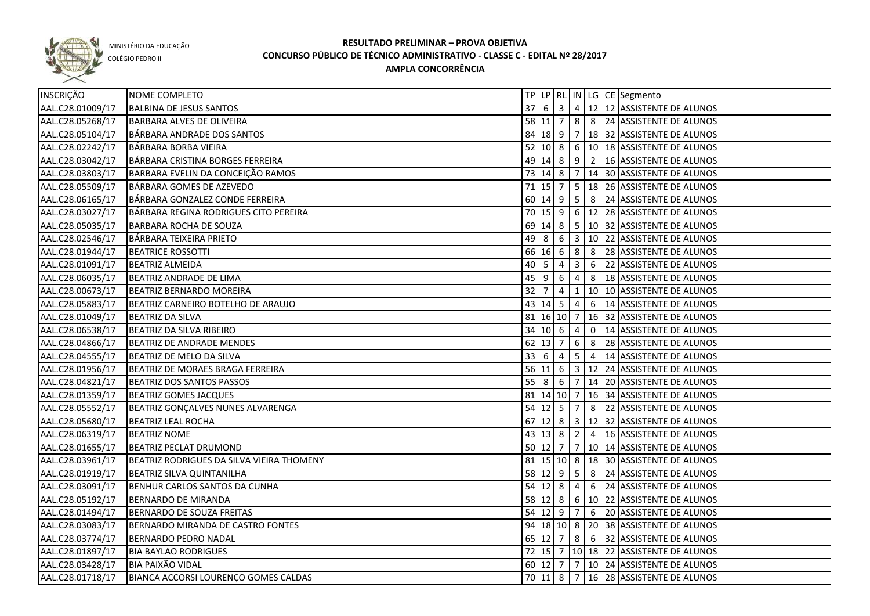

COLÉGIO PEDRO II

| <b>INSCRIÇÃO</b> | NOME COMPLETO                             |                                  |                     |                |                                  |                 | TP   LP   RL   IN   LG   CE   Segmento            |
|------------------|-------------------------------------------|----------------------------------|---------------------|----------------|----------------------------------|-----------------|---------------------------------------------------|
| AAL.C28.01009/17 | <b>BALBINA DE JESUS SANTOS</b>            | $37$ 6                           |                     | 3              |                                  |                 | $\sqrt{4}$ 12   12   ASSISTENTE DE ALUNOS         |
| AAL.C28.05268/17 | BARBARA ALVES DE OLIVEIRA                 |                                  | 58 11 7             |                |                                  |                 | 8 8 24 ASSISTENTE DE ALUNOS                       |
| AAL.C28.05104/17 | BÁRBARA ANDRADE DOS SANTOS                |                                  |                     |                |                                  |                 | 84 18 9 7 18 32 ASSISTENTE DE ALUNOS              |
| AAL.C28.02242/17 | BÁRBARA BORBA VIEIRA                      |                                  |                     |                |                                  |                 | 52 10 8 6 10 18 ASSISTENTE DE ALUNOS              |
| AAL.C28.03042/17 | BÁRBARA CRISTINA BORGES FERREIRA          |                                  |                     |                |                                  |                 | 49 14 8 9 2 16 ASSISTENTE DE ALUNOS               |
| AAL.C28.03803/17 | BARBARA EVELIN DA CONCEIÇÃO RAMOS         |                                  |                     |                |                                  |                 | 73 14 8 7 14 30 ASSISTENTE DE ALUNOS              |
| AAL.C28.05509/17 | BÁRBARA GOMES DE AZEVEDO                  |                                  |                     |                |                                  |                 | 71   15   7   5   18   26   ASSISTENTE DE ALUNOS  |
| AAL.C28.06165/17 | BÁRBARA GONZALEZ CONDE FERREIRA           |                                  |                     |                |                                  |                 | 60 14 9 5 8 24 ASSISTENTE DE ALUNOS               |
| AAL.C28.03027/17 | BÁRBARA REGINA RODRIGUES CITO PEREIRA     |                                  |                     |                |                                  |                 | 70 15 9 6 12 28 ASSISTENTE DE ALUNOS              |
| AAL.C28.05035/17 | <b>BARBARA ROCHA DE SOUZA</b>             |                                  |                     |                |                                  |                 | 69 14 8 5 10 32 ASSISTENTE DE ALUNOS              |
| AAL.C28.02546/17 | BÁRBARA TEIXEIRA PRIETO                   |                                  |                     |                |                                  |                 | 49 8 6 3 10 22 ASSISTENTE DE ALUNOS               |
| AAL.C28.01944/17 | <b>BEATRICE ROSSOTTI</b>                  |                                  |                     |                |                                  |                 | 66 16 6 8 8 3 28 ASSISTENTE DE ALUNOS             |
| AAL.C28.01091/17 | <b>BEATRIZ ALMEIDA</b>                    | 40                               | 5                   | $\overline{4}$ | $\overline{3}$                   |                 | 6 22 ASSISTENTE DE ALUNOS                         |
| AAL.C28.06035/17 | BEATRIZ ANDRADE DE LIMA                   | 45 9                             |                     | 6              | 4                                |                 | 8   18 ASSISTENTE DE ALUNOS                       |
| AAL.C28.00673/17 | <b>BEATRIZ BERNARDO MOREIRA</b>           | 32                               | $\overline{7}$      | 4              | $\mathbf{1}$                     |                 | 10 10 ASSISTENTE DE ALUNOS                        |
| AAL.C28.05883/17 | BEATRIZ CARNEIRO BOTELHO DE ARAUJO        |                                  | $43 \mid 14 \mid 5$ |                | $\begin{array}{c} 4 \end{array}$ |                 | 6   14 ASSISTENTE DE ALUNOS                       |
| AAL.C28.01049/17 | <b>BEATRIZ DA SILVA</b>                   |                                  |                     |                |                                  |                 | 81   16   10   7   16   32   ASSISTENTE DE ALUNOS |
| AAL.C28.06538/17 | BEATRIZ DA SILVA RIBEIRO                  |                                  | $34$ 10 6 4         |                |                                  | $\overline{0}$  | 14 ASSISTENTE DE ALUNOS                           |
| AAL.C28.04866/17 | <b>BEATRIZ DE ANDRADE MENDES</b>          |                                  | 62 13 7             |                | 6                                | 8               | 28 ASSISTENTE DE ALUNOS                           |
| AAL.C28.04555/17 | BEATRIZ DE MELO DA SILVA                  | 33                               | -6                  | 4              | 5 <sub>1</sub>                   | $\vert 4 \vert$ | 14 ASSISTENTE DE ALUNOS                           |
| AAL.C28.01956/17 | BEATRIZ DE MORAES BRAGA FERREIRA          |                                  | $56$ 11 6           |                |                                  |                 | 3   12   24   ASSISTENTE DE ALUNOS                |
| AAL.C28.04821/17 | <b>BEATRIZ DOS SANTOS PASSOS</b>          | $55 \overline{\smash{\big)}\ 8}$ |                     | 6              | 7 <sup>1</sup>                   |                 | 14 20 ASSISTENTE DE ALUNOS                        |
| AAL.C28.01359/17 | <b>BEATRIZ GOMES JACQUES</b>              |                                  |                     |                | 81 14 10 7                       |                 | 16 34 ASSISTENTE DE ALUNOS                        |
| AAL.C28.05552/17 | BEATRIZ GONÇALVES NUNES ALVARENGA         |                                  | $54$ 12 5           |                | $\overline{7}$                   |                 | 8 22 ASSISTENTE DE ALUNOS                         |
| AAL.C28.05680/17 | <b>BEATRIZ LEAL ROCHA</b>                 |                                  | $67$ 12 8           |                |                                  |                 | 3   12   32   ASSISTENTE DE ALUNOS                |
| AAL.C28.06319/17 | <b>BEATRIZ NOME</b>                       |                                  | $43 \mid 13 \mid 8$ |                | $\overline{2}$                   | $\overline{4}$  | 16 ASSISTENTE DE ALUNOS                           |
| AAL.C28.01655/17 | BEATRIZ PECLAT DRUMOND                    |                                  | $50$ 12 7           |                |                                  |                 | 7   10   14   ASSISTENTE DE ALUNOS                |
| AAL.C28.03961/17 | BEATRIZ RODRIGUES DA SILVA VIEIRA THOMENY |                                  |                     |                |                                  |                 | 81   15   10   8   18   30   ASSISTENTE DE ALUNOS |
| AAL.C28.01919/17 | <b>BEATRIZ SILVA QUINTANILHA</b>          |                                  |                     |                |                                  |                 | 58 12 9   5   8   24   ASSISTENTE DE ALUNOS       |
| AAL.C28.03091/17 | BENHUR CARLOS SANTOS DA CUNHA             |                                  |                     |                |                                  |                 | 54 12 8 4 6 24 ASSISTENTE DE ALUNOS               |
| AAL.C28.05192/17 | BERNARDO DE MIRANDA                       |                                  |                     |                |                                  |                 | 58 12 8 6 10 22 ASSISTENTE DE ALUNOS              |
| AAL.C28.01494/17 | BERNARDO DE SOUZA FREITAS                 |                                  |                     |                |                                  |                 | 54 12 9 7 6 20 ASSISTENTE DE ALUNOS               |
| AAL.C28.03083/17 | BERNARDO MIRANDA DE CASTRO FONTES         |                                  |                     |                |                                  |                 | 94 18 10 8 20 38 ASSISTENTE DE ALUNOS             |
| AAL.C28.03774/17 | <b>BERNARDO PEDRO NADAL</b>               |                                  |                     |                |                                  |                 | 65 12 7 8 6 32 ASSISTENTE DE ALUNOS               |
| AAL.C28.01897/17 | <b>BIA BAYLAO RODRIGUES</b>               |                                  |                     |                |                                  |                 | 72 15 7 10 18 22 ASSISTENTE DE ALUNOS             |
| AAL.C28.03428/17 | <b>BIA PAIXÃO VIDAL</b>                   |                                  |                     |                |                                  |                 | 60 12 7 7 10 24 ASSISTENTE DE ALUNOS              |
| AAL.C28.01718/17 | BIANCA ACCORSI LOURENÇO GOMES CALDAS      |                                  |                     |                |                                  |                 | 70 11 8 7 16 28 ASSISTENTE DE ALUNOS              |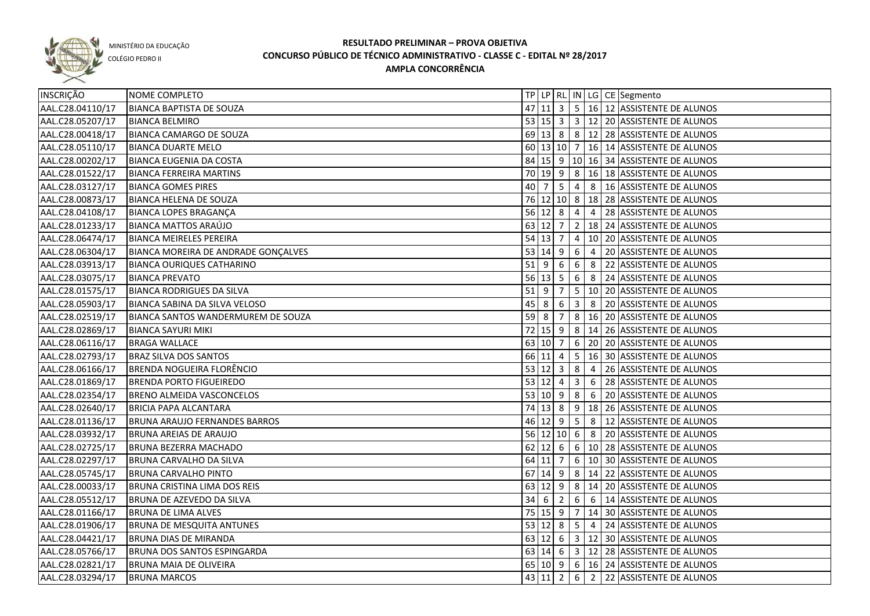

COLÉGIO PEDRO II

| INSCRIÇÃO        | NOME COMPLETO                        |                     |           |                                                                 |                         |                | TP   LP   RL   IN   LG   CE   Segmento              |
|------------------|--------------------------------------|---------------------|-----------|-----------------------------------------------------------------|-------------------------|----------------|-----------------------------------------------------|
| AAL.C28.04110/17 | BIANCA BAPTISTA DE SOUZA             |                     |           |                                                                 |                         |                | 47 11 3 5 16 12 ASSISTENTE DE ALUNOS                |
| AAL.C28.05207/17 | <b>BIANCA BELMIRO</b>                |                     |           |                                                                 |                         |                | 53 15 3 3 12 20 ASSISTENTE DE ALUNOS                |
| AAL.C28.00418/17 | <b>BIANCA CAMARGO DE SOUZA</b>       |                     |           |                                                                 |                         |                | 69 13 8 8 212 28 ASSISTENTE DE ALUNOS               |
| AAL.C28.05110/17 | <b>BIANCA DUARTE MELO</b>            |                     |           |                                                                 |                         |                | 60   13   10   7   16   14   ASSISTENTE DE ALUNOS   |
| AAL.C28.00202/17 | <b>BIANCA EUGENIA DA COSTA</b>       |                     |           |                                                                 |                         |                | 84   15   9   10   16   34   ASSISTENTE DE ALUNOS   |
| AAL.C28.01522/17 | <b>BIANCA FERREIRA MARTINS</b>       |                     |           |                                                                 |                         |                | 70 19 9 8 16 18 ASSISTENTE DE ALUNOS                |
| AAL.C28.03127/17 | <b>BIANCA GOMES PIRES</b>            |                     | $40$   7  | 5 <sup>5</sup>                                                  | $\overline{4}$          |                | 8   16 ASSISTENTE DE ALUNOS                         |
| AAL.C28.00873/17 | <b>BIANCA HELENA DE SOUZA</b>        |                     |           |                                                                 |                         |                | 76 12 10 8 18 28 ASSISTENTE DE ALUNOS               |
| AAL.C28.04108/17 | <b>BIANCA LOPES BRAGANÇA</b>         |                     |           | 56 12 8                                                         | $\overline{4}$          |                | 4 28 ASSISTENTE DE ALUNOS                           |
| AAL.C28.01233/17 | BIANCA MATTOS ARAÚJO                 |                     | 63 12 7   |                                                                 |                         |                | 2   18   24   ASSISTENTE DE ALUNOS                  |
| AAL.C28.06474/17 | <b>BIANCA MEIRELES PEREIRA</b>       | 54 13 7             |           |                                                                 | $\overline{4}$          |                | 10 20 ASSISTENTE DE ALUNOS                          |
| AAL.C28.06304/17 | BIANCA MOREIRA DE ANDRADE GONÇALVES  | 53   14   9         |           |                                                                 | $6\overline{6}$         | $\overline{4}$ | 20 ASSISTENTE DE ALUNOS                             |
| AAL.C28.03913/17 | <b>BIANCA OURIQUES CATHARINO</b>     | $51$   9            |           | 6                                                               | 6                       |                | 8 22 ASSISTENTE DE ALUNOS                           |
| AAL.C28.03075/17 | <b>BIANCA PREVATO</b>                |                     |           | 56 13 5                                                         | 6 <sup>1</sup>          |                | 8 24 ASSISTENTE DE ALUNOS                           |
| AAL.C28.01575/17 | <b>BIANCA RODRIGUES DA SILVA</b>     | $51$ 9              |           | 7                                                               |                         |                | 5   10   20   ASSISTENTE DE ALUNOS                  |
| AAL.C28.05903/17 | BIANCA SABINA DA SILVA VELOSO        | 45                  | 8         | 6                                                               | $\overline{\mathbf{3}}$ | 8              | 20 ASSISTENTE DE ALUNOS                             |
| AAL.C28.02519/17 | BIANCA SANTOS WANDERMUREM DE SOUZA   | $59$ 8              |           | 7                                                               |                         |                | 8   16   20   ASSISTENTE DE ALUNOS                  |
| AAL.C28.02869/17 | BIANCA SAYURI MIKI                   |                     | $72$ 15 9 |                                                                 | 8 <sup>8</sup>          |                | 14 26 ASSISTENTE DE ALUNOS                          |
| AAL.C28.06116/17 | <b>BRAGA WALLACE</b>                 |                     | 63 10 7   |                                                                 | 6                       |                | 20 20 ASSISTENTE DE ALUNOS                          |
| AAL.C28.02793/17 | <b>BRAZ SILVA DOS SANTOS</b>         |                     | 66 11 4   |                                                                 | 5 <sup>5</sup>          |                | 16 30 ASSISTENTE DE ALUNOS                          |
| AAL.C28.06166/17 | BRENDA NOGUEIRA FLORÊNCIO            |                     |           | $53 \mid 12 \mid 3$                                             | 8                       | $\overline{4}$ | 26 ASSISTENTE DE ALUNOS                             |
| AAL.C28.01869/17 | <b>BRENDA PORTO FIGUEIREDO</b>       | $53 \mid 12 \mid 4$ |           |                                                                 | $\overline{3}$          | 6              | 28 ASSISTENTE DE ALUNOS                             |
| AAL.C28.02354/17 | <b>BRENO ALMEIDA VASCONCELOS</b>     | 53 10 9             |           |                                                                 | 8                       |                | 6 20 ASSISTENTE DE ALUNOS                           |
| AAL.C28.02640/17 | <b>BRICIA PAPA ALCANTARA</b>         |                     |           | $74$ 13 8                                                       |                         |                | $9$   18   26   ASSISTENTE DE ALUNOS                |
| AAL.C28.01136/17 | <b>BRUNA ARAUJO FERNANDES BARROS</b> |                     | 46 12 9   |                                                                 | 5                       | 8              | 12 ASSISTENTE DE ALUNOS                             |
| AAL.C28.03932/17 | <b>BRUNA AREIAS DE ARAUJO</b>        |                     |           | 56 12 10                                                        | 6                       | 8              | 20 ASSISTENTE DE ALUNOS                             |
| AAL.C28.02725/17 | <b>BRUNA BEZERRA MACHADO</b>         |                     |           | $62 \begin{array}{ c c c } \hline 12 & 6 \\ \hline \end{array}$ |                         |                | 6 10 28 ASSISTENTE DE ALUNOS                        |
| AAL.C28.02297/17 | <b>BRUNA CARVALHO DA SILVA</b>       |                     | 64 11 7   |                                                                 |                         |                | 6 10 30 ASSISTENTE DE ALUNOS                        |
| AAL.C28.05745/17 | <b>BRUNA CARVALHO PINTO</b>          |                     |           | $67$   14 9                                                     |                         |                | 8 14 22 ASSISTENTE DE ALUNOS                        |
| AAL.C28.00033/17 | BRUNA CRISTINA LIMA DOS REIS         |                     |           |                                                                 |                         |                | 63 12 9 8 14 20 ASSISTENTE DE ALUNOS                |
| AAL.C28.05512/17 | <b>BRUNA DE AZEVEDO DA SILVA</b>     |                     |           | $34 \mid 6 \mid 2$                                              |                         |                | $6$ 6 $14$ ASSISTENTE DE ALUNOS                     |
| AAL.C28.01166/17 | <b>BRUNA DE LIMA ALVES</b>           |                     |           |                                                                 |                         |                | 75 15 9 7 14 30 ASSISTENTE DE ALUNOS                |
| AAL.C28.01906/17 | <b>BRUNA DE MESQUITA ANTUNES</b>     |                     |           | 53   12   8                                                     |                         |                | $\vert$ 5 $\vert$ 4 $\vert$ 24 ASSISTENTE DE ALUNOS |
| AAL.C28.04421/17 | <b>BRUNA DIAS DE MIRANDA</b>         |                     |           |                                                                 |                         |                | 63 12 6 3 12 30 ASSISTENTE DE ALUNOS                |
| AAL.C28.05766/17 | <b>BRUNA DOS SANTOS ESPINGARDA</b>   |                     |           |                                                                 |                         |                | 63 14 6 3 12 28 ASSISTENTE DE ALUNOS                |
| AAL.C28.02821/17 | <b>BRUNA MAIA DE OLIVEIRA</b>        |                     |           |                                                                 |                         |                | 65   10   9   6   16   24   ASSISTENTE DE ALUNOS    |
| AAL.C28.03294/17 | <b>BRUNA MARCOS</b>                  |                     |           | 43 11 2                                                         |                         |                | 6 2 22 ASSISTENTE DE ALUNOS                         |
|                  |                                      |                     |           |                                                                 |                         |                |                                                     |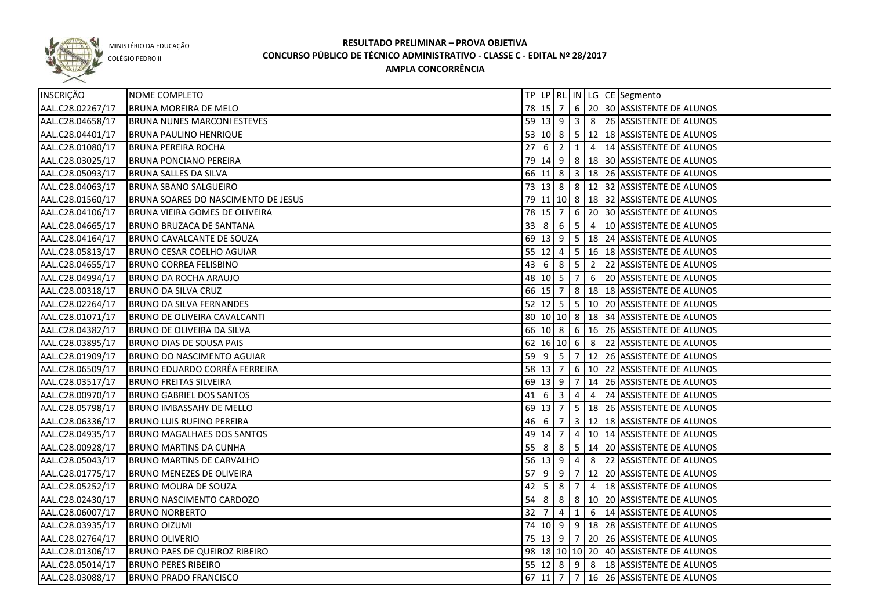

COLÉGIO PEDRO II

| <b>INSCRIÇÃO</b> | NOME COMPLETO                         |        |                     |                         |                |                                    | TP   LP   RL   IN   LG   CE   Segmento           |
|------------------|---------------------------------------|--------|---------------------|-------------------------|----------------|------------------------------------|--------------------------------------------------|
| AAL.C28.02267/17 | <b>BRUNA MOREIRA DE MELO</b>          |        |                     |                         |                |                                    | 78 15 7 6 20 30 ASSISTENTE DE ALUNOS             |
| AAL.C28.04658/17 | <b>BRUNA NUNES MARCONI ESTEVES</b>    |        |                     |                         |                |                                    | 59 13 9 3 8 26 ASSISTENTE DE ALUNOS              |
| AAL.C28.04401/17 | <b>BRUNA PAULINO HENRIQUE</b>         |        |                     |                         |                |                                    | 53 10 8 5 12 18 ASSISTENTE DE ALUNOS             |
| AAL.C28.01080/17 | <b>BRUNA PEREIRA ROCHA</b>            |        | 27   6   2   1      |                         |                |                                    | 4   14 ASSISTENTE DE ALUNOS                      |
| AAL.C28.03025/17 | <b>BRUNA PONCIANO PEREIRA</b>         |        |                     |                         |                |                                    | 79 14 9 8 18 30 ASSISTENTE DE ALUNOS             |
| AAL.C28.05093/17 | <b>BRUNA SALLES DA SILVA</b>          |        |                     |                         |                |                                    | 66 11 8 3 18 26 ASSISTENTE DE ALUNOS             |
| AAL.C28.04063/17 | <b>BRUNA SBANO SALGUEIRO</b>          |        |                     |                         |                |                                    | 73 13 8 8 12 32 ASSISTENTE DE ALUNOS             |
| AAL.C28.01560/17 | BRUNA SOARES DO NASCIMENTO DE JESUS   |        |                     |                         |                |                                    | 79 11 10 8 18 32 ASSISTENTE DE ALUNOS            |
| AAL.C28.04106/17 | <b>BRUNA VIEIRA GOMES DE OLIVEIRA</b> |        |                     |                         |                |                                    | 78 15 7 6 20 30 ASSISTENTE DE ALUNOS             |
| AAL.C28.04665/17 | <b>BRUNO BRUZACA DE SANTANA</b>       |        | 33 8                |                         |                |                                    |                                                  |
| AAL.C28.04164/17 | <b>BRUNO CAVALCANTE DE SOUZA</b>      |        |                     |                         |                |                                    | 69 13 9 5 18 24 ASSISTENTE DE ALUNOS             |
| AAL.C28.05813/17 | <b>BRUNO CESAR COELHO AGUIAR</b>      |        |                     |                         |                |                                    | 55 12 4 5 16 18 ASSISTENTE DE ALUNOS             |
| AAL.C28.04655/17 | <b>BRUNO CORREA FELISBINO</b>         |        |                     |                         |                |                                    | 43 6 8 5 2 22 ASSISTENTE DE ALUNOS               |
| AAL.C28.04994/17 | <b>BRUNO DA ROCHA ARAUJO</b>          |        | $48 \mid 10 \mid 5$ |                         | $\overline{7}$ |                                    | 6 20 ASSISTENTE DE ALUNOS                        |
| AAL.C28.00318/17 | <b>BRUNO DA SILVA CRUZ</b>            |        | 66 15 7             |                         |                |                                    | 8   18   18 ASSISTENTE DE ALUNOS                 |
| AAL.C28.02264/17 | <b>BRUNO DA SILVA FERNANDES</b>       |        |                     |                         |                |                                    | 52 12 5 5 10 20 ASSISTENTE DE ALUNOS             |
| AAL.C28.01071/17 | BRUNO DE OLIVEIRA CAVALCANTI          |        |                     |                         |                |                                    | 80 10 10 8 18 34 ASSISTENTE DE ALUNOS            |
| AAL.C28.04382/17 | BRUNO DE OLIVEIRA DA SILVA            |        |                     |                         |                |                                    | 66 10 8 6 16 16 26 ASSISTENTE DE ALUNOS          |
| AAL.C28.03895/17 | <b>BRUNO DIAS DE SOUSA PAIS</b>       |        |                     |                         |                | $62 \mid 16 \mid 10 \mid 6 \mid 8$ | 22 ASSISTENTE DE ALUNOS                          |
| AAL.C28.01909/17 | <b>BRUNO DO NASCIMENTO AGUIAR</b>     |        | 59 9                | $\vert 5 \vert$         | 7 <sup>1</sup> |                                    | 12 26 ASSISTENTE DE ALUNOS                       |
| AAL.C28.06509/17 | BRUNO EDUARDO CORRÊA FERREIRA         |        | 58 13 7             |                         |                |                                    | 6   10   22   ASSISTENTE DE ALUNOS               |
| AAL.C28.03517/17 | <b>BRUNO FREITAS SILVEIRA</b>         |        | $69 \mid 13 \mid 9$ |                         | $\overline{7}$ |                                    | 14 26 ASSISTENTE DE ALUNOS                       |
| AAL.C28.00970/17 | <b>BRUNO GABRIEL DOS SANTOS</b>       | 41     | -6                  | $\overline{\mathbf{3}}$ | $\overline{4}$ | $\overline{4}$                     | 24 ASSISTENTE DE ALUNOS                          |
| AAL.C28.05798/17 | <b>BRUNO IMBASSAHY DE MELLO</b>       |        | $69$ 13 7           |                         |                |                                    | 5   18   26   ASSISTENTE DE ALUNOS               |
| AAL.C28.06336/17 | <b>BRUNO LUIS RUFINO PEREIRA</b>      | 46 6   |                     | 7                       | 3 <sup>1</sup> |                                    | 12 18 ASSISTENTE DE ALUNOS                       |
| AAL.C28.04935/17 | <b>BRUNO MAGALHAES DOS SANTOS</b>     |        | 49 14 7             |                         | $\overline{4}$ |                                    | 10 14 ASSISTENTE DE ALUNOS                       |
| AAL.C28.00928/17 | <b>BRUNO MARTINS DA CUNHA</b>         | $55$ 8 |                     | 8                       |                |                                    | 5   14   20   ASSISTENTE DE ALUNOS               |
| AAL.C28.05043/17 | <b>BRUNO MARTINS DE CARVALHO</b>      |        | 56 13 9             |                         | $\overline{4}$ |                                    | 8 22 ASSISTENTE DE ALUNOS                        |
| AAL.C28.01775/17 | <b>BRUNO MENEZES DE OLIVEIRA</b>      |        | 57 9                | 9                       |                |                                    | 7 12 20 ASSISTENTE DE ALUNOS                     |
| AAL.C28.05252/17 | <b>BRUNO MOURA DE SOUZA</b>           |        | $42 \mid 5 \mid 8$  |                         |                |                                    | 7 4 18 ASSISTENTE DE ALUNOS                      |
| AAL.C28.02430/17 | <b>BRUNO NASCIMENTO CARDOZO</b>       |        |                     |                         |                |                                    | 54 8 8 8 10 20 ASSISTENTE DE ALUNOS              |
| AAL.C28.06007/17 | <b>BRUNO NORBERTO</b>                 |        | $32 \mid 7$         | $\overline{4}$          |                |                                    | 1 6 14 ASSISTENTE DE ALUNOS                      |
| AAL.C28.03935/17 | <b>BRUNO OIZUMI</b>                   |        |                     |                         |                |                                    | 74 10 9 9 18 28 ASSISTENTE DE ALUNOS             |
| AAL.C28.02764/17 | <b>BRUNO OLIVERIO</b>                 |        |                     |                         |                |                                    | 75   13   9   7   20   26   ASSISTENTE DE ALUNOS |
| AAL.C28.01306/17 | BRUNO PAES DE QUEIROZ RIBEIRO         |        |                     |                         |                |                                    | 98 18 10 10 20 40 ASSISTENTE DE ALUNOS           |
| AAL.C28.05014/17 | <b>BRUNO PERES RIBEIRO</b>            |        |                     |                         |                |                                    | 55 12 8 9 8 318 ASSISTENTE DE ALUNOS             |
| AAL.C28.03088/17 | <b>BRUNO PRADO FRANCISCO</b>          |        |                     |                         |                |                                    | 67 11 7 7 16 26 ASSISTENTE DE ALUNOS             |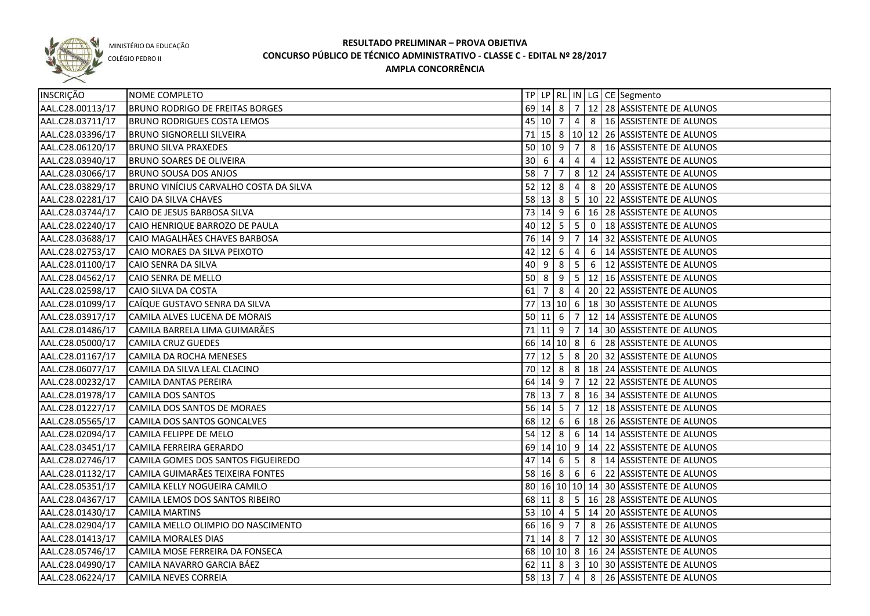

COLÉGIO PEDRO II

| INSCRIÇÃO        | NOME COMPLETO                          |    |                            |   |                |                                  | TP   LP   RL   IN   LG   CE   Segmento            |
|------------------|----------------------------------------|----|----------------------------|---|----------------|----------------------------------|---------------------------------------------------|
| AAL.C28.00113/17 | <b>BRUNO RODRIGO DE FREITAS BORGES</b> |    |                            |   |                |                                  | 69 14 8 7 12 28 ASSISTENTE DE ALUNOS              |
| AAL.C28.03711/17 | <b>BRUNO RODRIGUES COSTA LEMOS</b>     |    |                            |   |                |                                  | 45 10 7 4 8 16 ASSISTENTE DE ALUNOS               |
| AAL.C28.03396/17 | <b>BRUNO SIGNORELLI SILVEIRA</b>       |    |                            |   |                |                                  | 71 15 8   10   12   26   ASSISTENTE DE ALUNOS     |
| AAL.C28.06120/17 | <b>BRUNO SILVA PRAXEDES</b>            |    |                            |   |                |                                  | 50 10 9 7 8 16 ASSISTENTE DE ALUNOS               |
| AAL.C28.03940/17 | <b>BRUNO SOARES DE OLIVEIRA</b>        |    | $30 \mid 6 \mid 4$         |   |                |                                  | 4 4 12 ASSISTENTE DE ALUNOS                       |
| AAL.C28.03066/17 | <b>BRUNO SOUSA DOS ANJOS</b>           |    | 58 7 7                     |   |                |                                  | $ 8 12 24 $ ASSISTENTE DE ALUNOS                  |
| AAL.C28.03829/17 | BRUNO VINÍCIUS CARVALHO COSTA DA SILVA |    | $52$ 12 8                  |   |                |                                  | 4 8 20 ASSISTENTE DE ALUNOS                       |
| AAL.C28.02281/17 | CAIO DA SILVA CHAVES                   |    |                            |   |                |                                  | 58 13 8 5 10 22 ASSISTENTE DE ALUNOS              |
| AAL.C28.03744/17 | CAIO DE JESUS BARBOSA SILVA            |    |                            |   |                |                                  | 73 14 9 6 16 28 ASSISTENTE DE ALUNOS              |
| AAL.C28.02240/17 | CAIO HENRIQUE BARROZO DE PAULA         |    |                            |   |                |                                  | 40   12   5   5   0   18   ASSISTENTE DE ALUNOS   |
| AAL.C28.03688/17 | CAIO MAGALHÃES CHAVES BARBOSA          |    |                            |   |                |                                  | 76 14 9 7 14 32 ASSISTENTE DE ALUNOS              |
| AAL.C28.02753/17 | CAIO MORAES DA SILVA PEIXOTO           |    | $42 \mid 12 \mid 6 \mid 4$ |   |                |                                  | 6   14 ASSISTENTE DE ALUNOS                       |
| AAL.C28.01100/17 | CAIO SENRA DA SILVA                    |    |                            |   |                |                                  | 40 9 8 5 6 12 ASSISTENTE DE ALUNOS                |
| AAL.C28.04562/17 | CAIO SENRA DE MELLO                    |    | $50 \mid 8$                | 9 | 5 <sub>5</sub> |                                  | 12 16 ASSISTENTE DE ALUNOS                        |
| AAL.C28.02598/17 | CAIO SILVA DA COSTA                    | 61 | 7                          | 8 | $\overline{4}$ |                                  | 20 22 ASSISTENTE DE ALUNOS                        |
| AAL.C28.01099/17 | CAÍQUE GUSTAVO SENRA DA SILVA          |    |                            |   |                |                                  | 77 13 10 6 18 30 ASSISTENTE DE ALUNOS             |
| AAL.C28.03917/17 | CAMILA ALVES LUCENA DE MORAIS          |    | $50 \ 11 \ 6$              |   | $\vert$ 7      |                                  | 12 14 ASSISTENTE DE ALUNOS                        |
| AAL.C28.01486/17 | CAMILA BARRELA LIMA GUIMARÃES          |    | $71$ 11 9 7                |   |                |                                  | 14 30 ASSISTENTE DE ALUNOS                        |
| AAL.C28.05000/17 | <b>CAMILA CRUZ GUEDES</b>              |    | $66$ 14 10 8 6             |   |                |                                  | 28 ASSISTENTE DE ALUNOS                           |
| AAL.C28.01167/17 | CAMILA DA ROCHA MENESES                | 77 |                            |   |                |                                  | 12  5   8   20   32   ASSISTENTE DE ALUNOS        |
| AAL.C28.06077/17 | CAMILA DA SILVA LEAL CLACINO           |    | $70 \,   12 \,   8$        |   |                |                                  | 8   18   24   ASSISTENTE DE ALUNOS                |
| AAL.C28.00232/17 | CAMILA DANTAS PEREIRA                  |    | $64$ 14 9                  |   | $\overline{7}$ |                                  | 12 22 ASSISTENTE DE ALUNOS                        |
| AAL.C28.01978/17 | <b>CAMILA DOS SANTOS</b>               |    | 78 13 7                    |   |                |                                  | 8   16   34   ASSISTENTE DE ALUNOS                |
| AAL.C28.01227/17 | CAMILA DOS SANTOS DE MORAES            |    | $56$ 14 5                  |   | $\overline{7}$ |                                  | 12 18 ASSISTENTE DE ALUNOS                        |
| AAL.C28.05565/17 | CAMILA DOS SANTOS GONCALVES            |    | 68 12 6                    |   |                |                                  | 6   18   26   ASSISTENTE DE ALUNOS                |
| AAL.C28.02094/17 | CAMILA FELIPPE DE MELO                 |    | $54$ 12 8                  |   |                |                                  | $6 \mid 14 \mid 14$ ASSISTENTE DE ALUNOS          |
| AAL.C28.03451/17 | CAMILA FERREIRA GERARDO                |    |                            |   |                |                                  | 69   14   10   9   14   22   ASSISTENTE DE ALUNOS |
| AAL.C28.02746/17 | CAMILA GOMES DOS SANTOS FIGUEIREDO     |    | $47 \ 14 \ 6$              |   | 5 <sup>5</sup> |                                  | 8   14 ASSISTENTE DE ALUNOS                       |
| AAL.C28.01132/17 | CAMILA GUIMARÃES TEIXEIRA FONTES       |    | $58$ 16 8 6                |   |                | $\begin{array}{c} 6 \end{array}$ | 22 ASSISTENTE DE ALUNOS                           |
| AAL.C28.05351/17 | CAMILA KELLY NOGUEIRA CAMILO           |    |                            |   |                |                                  | 80 16 10 10 14 30 ASSISTENTE DE ALUNOS            |
| AAL.C28.04367/17 | CAMILA LEMOS DOS SANTOS RIBEIRO        |    | 68 11 8                    |   |                |                                  | $5 \mid 16 \mid 28$ ASSISTENTE DE ALUNOS          |
| AAL.C28.01430/17 | <b>CAMILA MARTINS</b>                  |    |                            |   |                |                                  | 53 10 4 5 14 20 ASSISTENTE DE ALUNOS              |
| AAL.C28.02904/17 | CAMILA MELLO OLIMPIO DO NASCIMENTO     |    |                            |   |                |                                  | 66 16 9 7 8 26 ASSISTENTE DE ALUNOS               |
| AAL.C28.01413/17 | <b>CAMILA MORALES DIAS</b>             |    |                            |   |                |                                  | 71 14 8 7 12 30 ASSISTENTE DE ALUNOS              |
| AAL.C28.05746/17 | CAMILA MOSE FERREIRA DA FONSECA        |    |                            |   |                |                                  | 68 10 10 8 16 24 ASSISTENTE DE ALUNOS             |
| AAL.C28.04990/17 | CAMILA NAVARRO GARCIA BÁEZ             |    |                            |   |                |                                  | 62 11 8 3 10 30 ASSISTENTE DE ALUNOS              |
| AAL.C28.06224/17 | <b>CAMILA NEVES CORREIA</b>            |    | $58$ 13 7                  |   |                |                                  | 4 8 26 ASSISTENTE DE ALUNOS                       |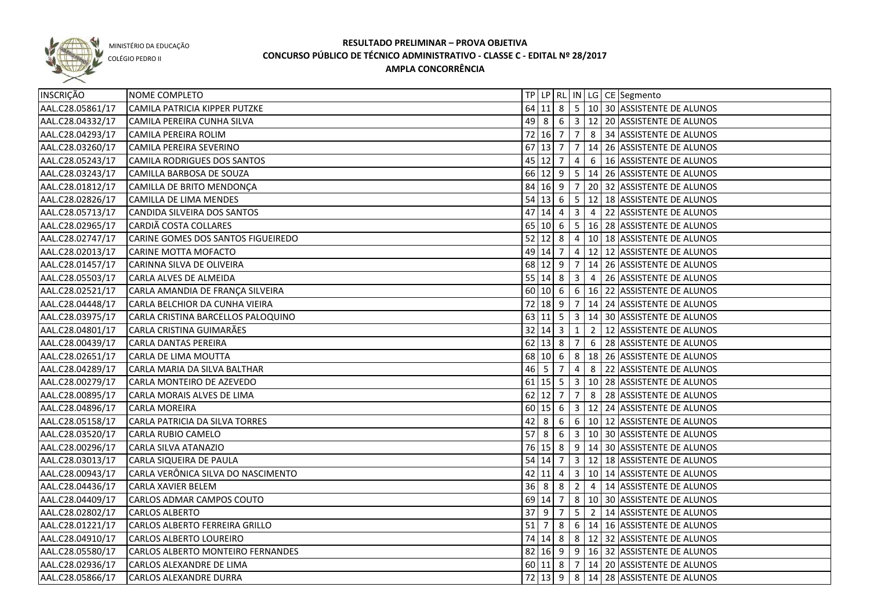

COLÉGIO PEDRO II

| INSCRIÇÃO        | NOME COMPLETO                      |                     |                    |                |                         |                | TP   LP   RL   IN   LG   CE   Segmento                 |
|------------------|------------------------------------|---------------------|--------------------|----------------|-------------------------|----------------|--------------------------------------------------------|
| AAL.C28.05861/17 | CAMILA PATRICIA KIPPER PUTZKE      |                     |                    |                |                         |                | 64 11 8   5   10   30   ASSISTENTE DE ALUNOS           |
| AAL.C28.04332/17 | CAMILA PEREIRA CUNHA SILVA         |                     |                    |                |                         |                | 49 8 6 3 12 20 ASSISTENTE DE ALUNOS                    |
| AAL.C28.04293/17 | CAMILA PEREIRA ROLIM               |                     |                    | 72 16 7        | 7 <sup>1</sup>          |                | 8 34 ASSISTENTE DE ALUNOS                              |
| AAL.C28.03260/17 | CAMILA PEREIRA SEVERINO            |                     | $67$ 13 7          |                |                         |                | 7   14   26   ASSISTENTE DE ALUNOS                     |
| AAL.C28.05243/17 | CAMILA RODRIGUES DOS SANTOS        |                     | 45 12 7            |                | 4                       |                | 6   16 ASSISTENTE DE ALUNOS                            |
| AAL.C28.03243/17 | CAMILLA BARBOSA DE SOUZA           |                     |                    |                |                         |                | 66 12 9 5 14 26 ASSISTENTE DE ALUNOS                   |
| AAL.C28.01812/17 | CAMILLA DE BRITO MENDONÇA          |                     |                    | 84 16 9 7      |                         |                | 20 32 ASSISTENTE DE ALUNOS                             |
| AAL.C28.02826/17 | CAMILLA DE LIMA MENDES             |                     |                    |                |                         |                | 54 13 6 5 12 18 ASSISTENTE DE ALUNOS                   |
| AAL.C28.05713/17 | CANDIDA SILVEIRA DOS SANTOS        | 47                  | 14 4               |                | $\overline{\mathbf{3}}$ | $\sim$ 4       | 22 ASSISTENTE DE ALUNOS                                |
| AAL.C28.02965/17 | CARDIÃ COSTA COLLARES              |                     | 65 10 6            |                |                         |                | 5   16   28   ASSISTENTE DE ALUNOS                     |
| AAL.C28.02747/17 | CARINE GOMES DOS SANTOS FIGUEIREDO |                     | $52$ 12 8          |                | $\overline{4}$          |                | 10 18 ASSISTENTE DE ALUNOS                             |
| AAL.C28.02013/17 | CARINE MOTTA MOFACTO               |                     | 49 14              | $\overline{7}$ |                         |                | 4   12   12   ASSISTENTE DE ALUNOS                     |
| AAL.C28.01457/17 | CARINNA SILVA DE OLIVEIRA          |                     |                    | 68 12 9        |                         |                | 7   14   26   ASSISTENTE DE ALUNOS                     |
| AAL.C28.05503/17 | CARLA ALVES DE ALMEIDA             |                     |                    | $55 \ 14 \ 8$  | 3                       |                | 4   26   ASSISTENTE DE ALUNOS                          |
| AAL.C28.02521/17 | CARLA AMANDIA DE FRANÇA SILVEIRA   |                     |                    | 60   10   6    |                         |                | $\vert 6 \vert 16 \vert 22 \vert$ ASSISTENTE DE ALUNOS |
| AAL.C28.04448/17 | CARLA BELCHIOR DA CUNHA VIEIRA     |                     |                    | 72 18 9        |                         |                | 7   14   24   ASSISTENTE DE ALUNOS                     |
| AAL.C28.03975/17 | CARLA CRISTINA BARCELLOS PALOQUINO |                     |                    | $63$ 11 5      |                         |                | 3   14   30   ASSISTENTE DE ALUNOS                     |
| AAL.C28.04801/17 | CARLA CRISTINA GUIMARÃES           | $32 \mid 14 \mid 3$ |                    |                | $\mathbf{1}$            | $\overline{2}$ | 12 ASSISTENTE DE ALUNOS                                |
| AAL.C28.00439/17 | <b>CARLA DANTAS PEREIRA</b>        |                     | $62$ 13 8          |                | $\overline{7}$          | 6              | 28 ASSISTENTE DE ALUNOS                                |
| AAL.C28.02651/17 | CARLA DE LIMA MOUTTA               | 68                  |                    | $10 \mid 6$    | 8 <sup>1</sup>          |                | 18 26 ASSISTENTE DE ALUNOS                             |
| AAL.C28.04289/17 | CARLA MARIA DA SILVA BALTHAR       |                     | $46 \mid 5$        | 7              | 4                       | 8              | 22 ASSISTENTE DE ALUNOS                                |
| AAL.C28.00279/17 | CARLA MONTEIRO DE AZEVEDO          |                     | $61$ 15 5          |                | $\overline{\mathbf{3}}$ |                | 10 28 ASSISTENTE DE ALUNOS                             |
| AAL.C28.00895/17 | CARLA MORAIS ALVES DE LIMA         |                     | $62$   12          | $\overline{7}$ | 7                       |                | 8 28 ASSISTENTE DE ALUNOS                              |
| AAL.C28.04896/17 | <b>CARLA MOREIRA</b>               |                     | $60 \ 15 \ 6$      |                |                         |                | 3   12   24   ASSISTENTE DE ALUNOS                     |
| AAL.C28.05158/17 | CARLA PATRICIA DA SILVA TORRES     | 42                  | 8                  | - 6            |                         |                | 6   10   12   ASSISTENTE DE ALUNOS                     |
| AAL.C28.03520/17 | <b>CARLA RUBIO CAMELO</b>          | 57                  | 8                  | 6              | 3 <sup>1</sup>          |                | 10 30 ASSISTENTE DE ALUNOS                             |
| AAL.C28.00296/17 | CARLA SILVA ATANAZIO               |                     | 76 15 8            |                | 9                       |                | 14 30 ASSISTENTE DE ALUNOS                             |
| AAL.C28.03013/17 | CARLA SIQUEIRA DE PAULA            | 54 14               |                    | $\overline{7}$ |                         |                | 3   12   18   ASSISTENTE DE ALUNOS                     |
| AAL.C28.00943/17 | CARLA VERÔNICA SILVA DO NASCIMENTO |                     | $42$ 11 4          |                |                         |                | 3   10   14   ASSISTENTE DE ALUNOS                     |
| AAL.C28.04436/17 | <b>CARLA XAVIER BELEM</b>          |                     | $36 \mid 8 \mid 8$ |                | 2 <sup>1</sup>          |                | 4   14 ASSISTENTE DE ALUNOS                            |
| AAL.C28.04409/17 | CARLOS ADMAR CAMPOS COUTO          |                     | 69 14 7            |                |                         |                | 8   10   30 ASSISTENTE DE ALUNOS                       |
| AAL.C28.02802/17 | <b>CARLOS ALBERTO</b>              | $37$ 9              |                    | $\overline{7}$ | 5                       |                | 2   14 ASSISTENTE DE ALUNOS                            |
| AAL.C28.01221/17 | CARLOS ALBERTO FERREIRA GRILLO     |                     |                    |                |                         |                | 51 7 8 6 14 16 ASSISTENTE DE ALUNOS                    |
| AAL.C28.04910/17 | <b>CARLOS ALBERTO LOUREIRO</b>     |                     |                    |                |                         |                | 74 14 8 8 12 32 ASSISTENTE DE ALUNOS                   |
| AAL.C28.05580/17 | CARLOS ALBERTO MONTEIRO FERNANDES  |                     |                    |                |                         |                | 82 16 9 9 16 32 ASSISTENTE DE ALUNOS                   |
| AAL.C28.02936/17 | CARLOS ALEXANDRE DE LIMA           |                     |                    |                |                         |                | 60 11 8 7 14 20 ASSISTENTE DE ALUNOS                   |
| AAL.C28.05866/17 | <b>CARLOS ALEXANDRE DURRA</b>      |                     |                    |                |                         |                | 72 13 9 8 14 28 ASSISTENTE DE ALUNOS                   |
|                  |                                    |                     |                    |                |                         |                |                                                        |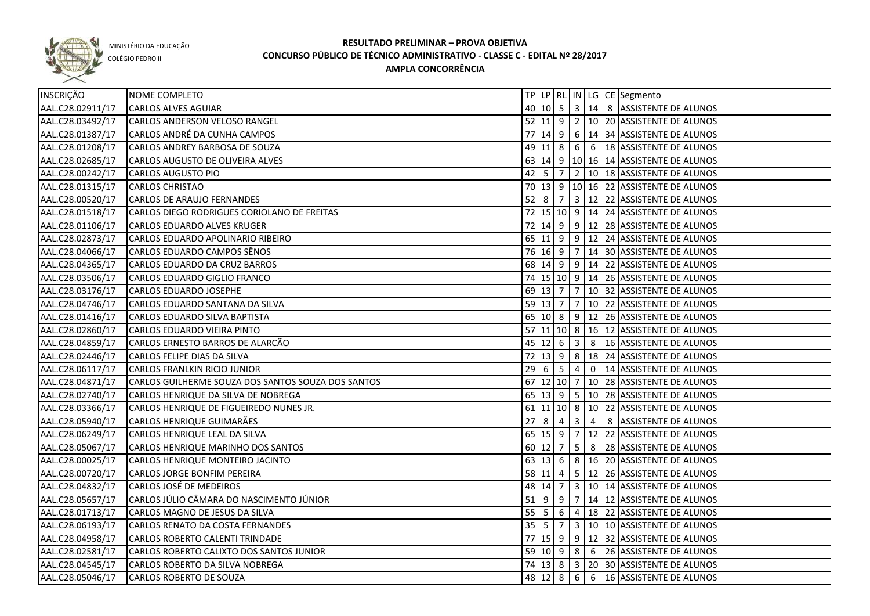

COLÉGIO PEDRO II

| INSCRIÇÃO        | NOME COMPLETO                                      |        |                     |                |                         |                | TP   LP   RL   IN   LG   CE   Segmento           |
|------------------|----------------------------------------------------|--------|---------------------|----------------|-------------------------|----------------|--------------------------------------------------|
| AAL.C28.02911/17 | <b>CARLOS ALVES AGUIAR</b>                         |        |                     |                |                         |                | 40 10 5 3 414 8 ASSISTENTE DE ALUNOS             |
| AAL.C28.03492/17 | CARLOS ANDERSON VELOSO RANGEL                      |        |                     |                |                         |                | 52 11 9 2 10 20 ASSISTENTE DE ALUNOS             |
| AAL.C28.01387/17 | CARLOS ANDRÉ DA CUNHA CAMPOS                       |        |                     |                |                         |                | 77 14 9 6 14 34 ASSISTENTE DE ALUNOS             |
| AAL.C28.01208/17 | CARLOS ANDREY BARBOSA DE SOUZA                     |        |                     |                |                         |                | 49 11 8 6 6 18 ASSISTENTE DE ALUNOS              |
| AAL.C28.02685/17 | CARLOS AUGUSTO DE OLIVEIRA ALVES                   |        |                     |                |                         |                | 63 14 9 10 16 14 ASSISTENTE DE ALUNOS            |
| AAL.C28.00242/17 | <b>CARLOS AUGUSTO PIO</b>                          |        | $42 \mid 5 \mid 7$  |                |                         |                | $2   10   18  $ ASSISTENTE DE ALUNOS             |
| AAL.C28.01315/17 | <b>CARLOS CHRISTAO</b>                             |        |                     |                |                         |                | 70 13 9 10 16 22 ASSISTENTE DE ALUNOS            |
| AAL.C28.00520/17 | <b>CARLOS DE ARAUJO FERNANDES</b>                  |        | $52$ 8 7            |                |                         |                | $\sqrt{3}$ 12   22   ASSISTENTE DE ALUNOS        |
| AAL.C28.01518/17 | CARLOS DIEGO RODRIGUES CORIOLANO DE FREITAS        |        |                     |                |                         |                | 72 15 10 9 14 24 ASSISTENTE DE ALUNOS            |
| AAL.C28.01106/17 | CARLOS EDUARDO ALVES KRUGER                        |        |                     |                |                         |                | 72 14 9 9 12 28 ASSISTENTE DE ALUNOS             |
| AAL.C28.02873/17 | CARLOS EDUARDO APOLINARIO RIBEIRO                  |        |                     |                |                         |                | 65 11 9 9 12 24 ASSISTENTE DE ALUNOS             |
| AAL.C28.04066/17 | CARLOS EDUARDO CAMPOS SÊNOS                        |        |                     |                |                         |                | 76 16 9 7 14 30 ASSISTENTE DE ALUNOS             |
| AAL.C28.04365/17 | CARLOS EDUARDO DA CRUZ BARROS                      |        |                     |                |                         |                | 68 14 9 9 14 22 ASSISTENTE DE ALUNOS             |
| AAL.C28.03506/17 | CARLOS EDUARDO GIGLIO FRANCO                       |        |                     |                |                         |                | 74 15 10 9 14 26 ASSISTENTE DE ALUNOS            |
| AAL.C28.03176/17 | <b>CARLOS EDUARDO JOSEPHE</b>                      |        | 69 13 7             |                |                         |                | 7   10   32   ASSISTENTE DE ALUNOS               |
| AAL.C28.04746/17 | CARLOS EDUARDO SANTANA DA SILVA                    |        | $59$ 13 7           |                | $7\overline{ }$         |                | 10 22 ASSISTENTE DE ALUNOS                       |
| AAL.C28.01416/17 | CARLOS EDUARDO SILVA BAPTISTA                      |        | 65 10 8             |                |                         |                | 9 12 26 ASSISTENTE DE ALUNOS                     |
| AAL.C28.02860/17 | CARLOS EDUARDO VIEIRA PINTO                        |        |                     |                |                         |                | 57 11 10 8 16 12 ASSISTENTE DE ALUNOS            |
| AAL.C28.04859/17 | CARLOS ERNESTO BARROS DE ALARCÃO                   |        | 45 12 6             |                | $\overline{\mathbf{3}}$ |                | 8   16 ASSISTENTE DE ALUNOS                      |
| AAL.C28.02446/17 | CARLOS FELIPE DIAS DA SILVA                        | 72     |                     |                | 8                       |                | 18 24 ASSISTENTE DE ALUNOS                       |
| AAL.C28.06117/17 | CARLOS FRANLKIN RICIO JUNIOR                       |        | $29 \mid 6$         | $5^{\circ}$    | $\overline{4}$          |                | 0   14   ASSISTENTE DE ALUNOS                    |
| AAL.C28.04871/17 | CARLOS GUILHERME SOUZA DOS SANTOS SOUZA DOS SANTOS |        | 67 12 10 7          |                |                         |                | 10 28 ASSISTENTE DE ALUNOS                       |
| AAL.C28.02740/17 | CARLOS HENRIQUE DA SILVA DE NOBREGA                |        | $65 \mid 13 \mid 9$ |                | 5 <sup>1</sup>          |                | 10 28 ASSISTENTE DE ALUNOS                       |
| AAL.C28.03366/17 | CARLOS HENRIQUE DE FIGUEIREDO NUNES JR.            |        |                     |                |                         |                | 61 11 10 8 10 22 ASSISTENTE DE ALUNOS            |
| AAL.C28.05940/17 | CARLOS HENRIQUE GUIMARÃES                          | 27     | 8                   | $\overline{4}$ | $\overline{\mathbf{3}}$ | $\overline{4}$ | 8 ASSISTENTE DE ALUNOS                           |
| AAL.C28.06249/17 | CARLOS HENRIQUE LEAL DA SILVA                      |        | 65 15               | 9              | $\overline{7}$          |                | 12 22 ASSISTENTE DE ALUNOS                       |
| AAL.C28.05067/17 | CARLOS HENRIQUE MARINHO DOS SANTOS                 |        | $60$   12           | 7              | 5                       | 8              | 28 ASSISTENTE DE ALUNOS                          |
| AAL.C28.00025/17 | CARLOS HENRIQUE MONTEIRO JACINTO                   |        | 63 13 6             |                |                         |                | 8   16   20   ASSISTENTE DE ALUNOS               |
| AAL.C28.00720/17 | <b>CARLOS JORGE BONFIM PEREIRA</b>                 |        | 58 11               | 4              |                         |                | 5   12   26   ASSISTENTE DE ALUNOS               |
| AAL.C28.04832/17 | CARLOS JOSÉ DE MEDEIROS                            |        | 48 14               | $\overline{7}$ |                         |                | 3   10   14   ASSISTENTE DE ALUNOS               |
| AAL.C28.05657/17 | CARLOS JÚLIO CÂMARA DO NASCIMENTO JÚNIOR           | $51$ 9 |                     | 9              |                         |                | 7   14   12   ASSISTENTE DE ALUNOS               |
| AAL.C28.01713/17 | CARLOS MAGNO DE JESUS DA SILVA                     |        | $55 \ 5 \ 6$        |                |                         |                | 4   18   22   ASSISTENTE DE ALUNOS               |
| AAL.C28.06193/17 | CARLOS RENATO DA COSTA FERNANDES                   |        | $35 \mid 5$         | $\overline{7}$ |                         |                | 3   10   10   ASSISTENTE DE ALUNOS               |
| AAL.C28.04958/17 | CARLOS ROBERTO CALENTI TRINDADE                    |        |                     |                |                         |                | 77 15 9 9 12 32 ASSISTENTE DE ALUNOS             |
| AAL.C28.02581/17 | CARLOS ROBERTO CALIXTO DOS SANTOS JUNIOR           |        |                     |                |                         |                | 59   10   9   8   6   26   ASSISTENTE DE ALUNOS  |
| AAL.C28.04545/17 | CARLOS ROBERTO DA SILVA NOBREGA                    |        |                     |                |                         |                | 74   13   8   3   20   30   ASSISTENTE DE ALUNOS |
| AAL.C28.05046/17 | CARLOS ROBERTO DE SOUZA                            |        | 48 12 8             |                |                         |                | 6 6 16 ASSISTENTE DE ALUNOS                      |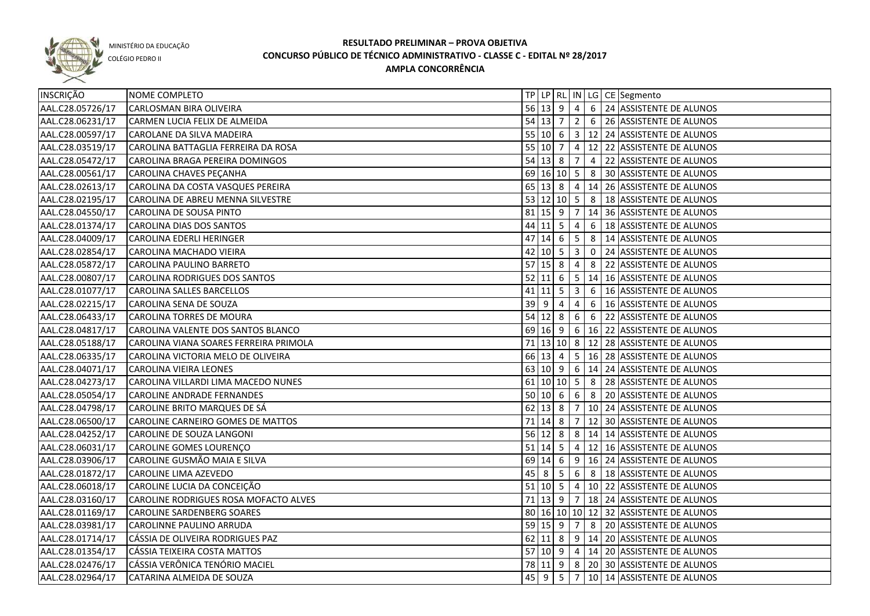

COLÉGIO PEDRO II

| <b>INSCRIÇÃO</b> | NOME COMPLETO                          |    |               |                            |                         |   | TP LP RL IN LG CE Segmento                           |
|------------------|----------------------------------------|----|---------------|----------------------------|-------------------------|---|------------------------------------------------------|
| AAL.C28.05726/17 | CARLOSMAN BIRA OLIVEIRA                |    |               |                            |                         |   | 56 13 9 4 6 24 ASSISTENTE DE ALUNOS                  |
| AAL.C28.06231/17 | CARMEN LUCIA FELIX DE ALMEIDA          |    |               |                            |                         |   | 54 13 7 2 6 26 ASSISTENTE DE ALUNOS                  |
| AAL.C28.00597/17 | CAROLANE DA SILVA MADEIRA              |    |               |                            |                         |   | 55 10 6 3 12 24 ASSISTENTE DE ALUNOS                 |
| AAL.C28.03519/17 | CAROLINA BATTAGLIA FERREIRA DA ROSA    |    |               |                            |                         |   | 55 10 7 4 12 22 ASSISTENTE DE ALUNOS                 |
| AAL.C28.05472/17 | CAROLINA BRAGA PEREIRA DOMINGOS        |    |               |                            |                         |   | 54 13 8 7 4 22 ASSISTENTE DE ALUNOS                  |
| AAL.C28.00561/17 | CAROLINA CHAVES PEÇANHA                |    |               |                            |                         |   | 69 16 10 5 8 30 ASSISTENTE DE ALUNOS                 |
| AAL.C28.02613/17 | CAROLINA DA COSTA VASQUES PEREIRA      |    |               |                            |                         |   | 65   13   8   4   14   26   ASSISTENTE DE ALUNOS     |
| AAL.C28.02195/17 | CAROLINA DE ABREU MENNA SILVESTRE      |    |               |                            |                         |   | 53 12 10 5 8 18 ASSISTENTE DE ALUNOS                 |
| AAL.C28.04550/17 | CAROLINA DE SOUSA PINTO                |    |               |                            |                         |   | 81   15   9   7   14   36   ASSISTENTE DE ALUNOS     |
| AAL.C28.01374/17 | CAROLINA DIAS DOS SANTOS               | 44 |               | $11$ 5                     | $\overline{4}$          |   | 6 18 ASSISTENTE DE ALUNOS                            |
| AAL.C28.04009/17 | CAROLINA EDERLI HERINGER               | 47 |               | $14 \mid 6 \mid 5$         |                         |   | 8   14 ASSISTENTE DE ALUNOS                          |
| AAL.C28.02854/17 | CAROLINA MACHADO VIEIRA                |    |               | $42 \mid 10 \mid 5 \mid 3$ |                         |   | 0 24 ASSISTENTE DE ALUNOS                            |
| AAL.C28.05872/17 | CAROLINA PAULINO BARRETO               |    |               | $57$ 15 8                  | $\overline{4}$          |   | 8 22 ASSISTENTE DE ALUNOS                            |
| AAL.C28.00807/17 | CAROLINA RODRIGUES DOS SANTOS          |    | $52$  11      | 6                          | $5^{\circ}$             |   | 14 16 ASSISTENTE DE ALUNOS                           |
| AAL.C28.01077/17 | <b>CAROLINA SALLES BARCELLOS</b>       |    | $41$ 11 5     |                            | $\overline{\mathbf{3}}$ | 6 | 16 ASSISTENTE DE ALUNOS                              |
| AAL.C28.02215/17 | CAROLINA SENA DE SOUZA                 |    | $39$ $9$      | 4                          | 4                       | 6 | 16 ASSISTENTE DE ALUNOS                              |
| AAL.C28.06433/17 | CAROLINA TORRES DE MOURA               |    |               | $54$ 12 8                  | 6                       |   | 6 22 ASSISTENTE DE ALUNOS                            |
| AAL.C28.04817/17 | CAROLINA VALENTE DOS SANTOS BLANCO     |    |               |                            |                         |   | 69   16   9   6   16   22   ASSISTENTE DE ALUNOS     |
| AAL.C28.05188/17 | CAROLINA VIANA SOARES FERREIRA PRIMOLA |    |               |                            |                         |   | 71   13   10   8   12   28   ASSISTENTE DE ALUNOS    |
| AAL.C28.06335/17 | CAROLINA VICTORIA MELO DE OLIVEIRA     |    | 66 13 4       |                            |                         |   | 5   16   28   ASSISTENTE DE ALUNOS                   |
| AAL.C28.04071/17 | CAROLINA VIEIRA LEONES                 |    |               |                            |                         |   | 63 10 9 6 14 24 ASSISTENTE DE ALUNOS                 |
| AAL.C28.04273/17 | CAROLINA VILLARDI LIMA MACEDO NUNES    |    |               | $61$ 10 10 5 8             |                         |   | 28 ASSISTENTE DE ALUNOS                              |
| AAL.C28.05054/17 | <b>CAROLINE ANDRADE FERNANDES</b>      |    | $50 \ 10 \ 6$ |                            | $6\overline{6}$         | 8 | 20 ASSISTENTE DE ALUNOS                              |
| AAL.C28.04798/17 | CAROLINE BRITO MARQUES DE SÁ           |    |               | $62$ 13 8                  | $\overline{7}$          |   | 10 24 ASSISTENTE DE ALUNOS                           |
| AAL.C28.06500/17 | CAROLINE CARNEIRO GOMES DE MATTOS      |    |               | $71$ 14 8                  | $\overline{7}$          |   | 12 30 ASSISTENTE DE ALUNOS                           |
| AAL.C28.04252/17 | CAROLINE DE SOUZA LANGONI              |    |               | $56$ 12 8                  |                         |   | 8 14 14 ASSISTENTE DE ALUNOS                         |
| AAL.C28.06031/17 | CAROLINE GOMES LOURENÇO                |    |               | $51 \,   14 \,   5$        |                         |   | 4   12   16   ASSISTENTE DE ALUNOS                   |
| AAL.C28.03906/17 | CAROLINE GUSMÃO MAIA E SILVA           |    |               | $69$ 14 6                  |                         |   | $9$   16   24   ASSISTENTE DE ALUNOS                 |
| AAL.C28.01872/17 | CAROLINE LIMA AZEVEDO                  |    | 45 8          | 5                          | 6                       |   | 8 18 ASSISTENTE DE ALUNOS                            |
| AAL.C28.06018/17 | CAROLINE LUCIA DA CONCEIÇÃO            |    |               | $51$ 10 5                  |                         |   | $\vert$ 4 $\vert$ 10 $\vert$ 22 ASSISTENTE DE ALUNOS |
| AAL.C28.03160/17 | CAROLINE RODRIGUES ROSA MOFACTO ALVES  |    |               |                            |                         |   | 71 13 9 7 18 24 ASSISTENTE DE ALUNOS                 |
| AAL.C28.01169/17 | <b>CAROLINE SARDENBERG SOARES</b>      |    |               |                            |                         |   | 80 16 10 10 12 32 ASSISTENTE DE ALUNOS               |
| AAL.C28.03981/17 | CAROLINNE PAULINO ARRUDA               |    |               |                            |                         |   | 59 15 9 7 8 20 ASSISTENTE DE ALUNOS                  |
| AAL.C28.01714/17 | CÁSSIA DE OLIVEIRA RODRIGUES PAZ       |    |               |                            |                         |   | 62 11 8 9 14 20 ASSISTENTE DE ALUNOS                 |
| AAL.C28.01354/17 | CÁSSIA TEIXEIRA COSTA MATTOS           |    |               |                            |                         |   | 57 10 9 4 14 20 ASSISTENTE DE ALUNOS                 |
| AAL.C28.02476/17 | CÁSSIA VERÔNICA TENÓRIO MACIEL         |    |               |                            |                         |   | 78 11 9 8 20 30 ASSISTENTE DE ALUNOS                 |
| AAL.C28.02964/17 | CATARINA ALMEIDA DE SOUZA              |    |               | $45 \mid 9 \mid 5$         |                         |   | 7 10 14 ASSISTENTE DE ALUNOS                         |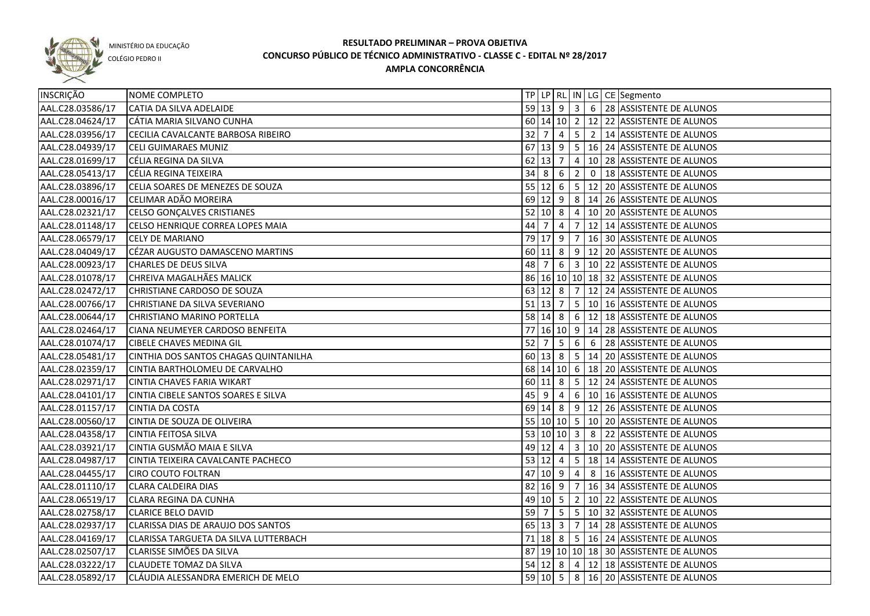

COLÉGIO PEDRO II

| <b>INSCRIÇÃO</b> | NOME COMPLETO                         |                                   |                       |                |            | TP   LP   RL   IN   LG   CE   Segmento                        |
|------------------|---------------------------------------|-----------------------------------|-----------------------|----------------|------------|---------------------------------------------------------------|
| AAL.C28.03586/17 | CATIA DA SILVA ADELAIDE               |                                   |                       |                |            | 59 13 9 3 6 28 ASSISTENTE DE ALUNOS                           |
| AAL.C28.04624/17 | CÁTIA MARIA SILVANO CUNHA             |                                   |                       |                |            | 60 14 10 2 12 22 ASSISTENTE DE ALUNOS                         |
| AAL.C28.03956/17 | CECILIA CAVALCANTE BARBOSA RIBEIRO    |                                   |                       |                |            | 32 7 4 5 2 14 ASSISTENTE DE ALUNOS                            |
| AAL.C28.04939/17 | <b>CELI GUIMARAES MUNIZ</b>           |                                   |                       |                |            | 67 13 9 5 16 24 ASSISTENTE DE ALUNOS                          |
| AAL.C28.01699/17 | CÉLIA REGINA DA SILVA                 |                                   |                       |                |            | 62 13 7 4 10 28 ASSISTENTE DE ALUNOS                          |
| AAL.C28.05413/17 | CÉLIA REGINA TEIXEIRA                 |                                   |                       |                |            | $34 \mid 8 \mid 6 \mid 2 \mid 0 \mid 18$ ASSISTENTE DE ALUNOS |
| AAL.C28.03896/17 | CELIA SOARES DE MENEZES DE SOUZA      |                                   |                       |                |            | 55 12 6 5 12 20 ASSISTENTE DE ALUNOS                          |
| AAL.C28.00016/17 | CELIMAR ADÃO MOREIRA                  |                                   |                       |                |            | 69 12 9 8 14 26 ASSISTENTE DE ALUNOS                          |
| AAL.C28.02321/17 | CELSO GONÇALVES CRISTIANES            |                                   |                       |                |            | 52 10 8 4 10 20 ASSISTENTE DE ALUNOS                          |
| AAL.C28.01148/17 | CELSO HENRIQUE CORREA LOPES MAIA      | $44 \overline{\smash{\big)}\,}$ 7 |                       | $\overline{4}$ |            | $7 \mid 12 \mid 14$ ASSISTENTE DE ALUNOS                      |
| AAL.C28.06579/17 | <b>CELY DE MARIANO</b>                |                                   |                       |                |            | 79 17 9 7 16 30 ASSISTENTE DE ALUNOS                          |
| AAL.C28.04049/17 | CÉZAR AUGUSTO DAMASCENO MARTINS       |                                   |                       |                |            | 60 11 8 9 12 20 ASSISTENTE DE ALUNOS                          |
| AAL.C28.00923/17 | CHARLES DE DEUS SILVA                 | 48 7                              |                       |                |            | $6 \mid 3 \mid 10 \mid 22$ ASSISTENTE DE ALUNOS               |
| AAL.C28.01078/17 | CHREIVA MAGALHÃES MALICK              |                                   |                       |                |            | 86 16 10 10 18 32 ASSISTENTE DE ALUNOS                        |
| AAL.C28.02472/17 | CHRISTIANE CARDOSO DE SOUZA           |                                   |                       |                |            | 63 12 8 7 12 24 ASSISTENTE DE ALUNOS                          |
| AAL.C28.00766/17 | CHRISTIANE DA SILVA SEVERIANO         |                                   |                       |                |            | 51   13   7   5   10   16   ASSISTENTE DE ALUNOS              |
| AAL.C28.00644/17 | CHRISTIANO MARINO PORTELLA            |                                   |                       |                |            | 58   14   8   6   12   18   ASSISTENTE DE ALUNOS              |
| AAL.C28.02464/17 | CIANA NEUMEYER CARDOSO BENFEITA       | 77                                |                       |                |            | 16  10  9   14   28   ASSISTENTE DE ALUNOS                    |
| AAL.C28.01074/17 | <b>CIBELE CHAVES MEDINA GIL</b>       | 52                                | $\overline{7}$        | $5^{\circ}$    | $6 \mid 6$ | 28 ASSISTENTE DE ALUNOS                                       |
| AAL.C28.05481/17 | CINTHIA DOS SANTOS CHAGAS QUINTANILHA |                                   | $60 \vert 13 \vert 8$ |                |            | 5 14 20 ASSISTENTE DE ALUNOS                                  |
| AAL.C28.02359/17 | CINTIA BARTHOLOMEU DE CARVALHO        |                                   |                       |                |            | 68 14 10 6 18 20 ASSISTENTE DE ALUNOS                         |
| AAL.C28.02971/17 | CINTIA CHAVES FARIA WIKART            |                                   | 60 11 8               |                |            |                                                               |
| AAL.C28.04101/17 | CINTIA CIBELE SANTOS SOARES E SILVA   |                                   | $45$   9              | $\overline{4}$ |            | 6   10   16   ASSISTENTE DE ALUNOS                            |
| AAL.C28.01157/17 | <b>CINTIA DA COSTA</b>                |                                   |                       |                |            | 69 14 8 9 12 26 ASSISTENTE DE ALUNOS                          |
| AAL.C28.00560/17 | CINTIA DE SOUZA DE OLIVEIRA           |                                   |                       |                |            | 55   10   10   5   10   20   ASSISTENTE DE ALUNOS             |
| AAL.C28.04358/17 | <b>CINTIA FEITOSA SILVA</b>           |                                   |                       |                |            | 53 10 10 3 8 22 ASSISTENTE DE ALUNOS                          |
| AAL.C28.03921/17 | CINTIA GUSMÃO MAIA E SILVA            |                                   | $49$ 12 4             |                |            | 3   10   20   ASSISTENTE DE ALUNOS                            |
| AAL.C28.04987/17 | CINTIA TEIXEIRA CAVALCANTE PACHECO    |                                   | $53 \mid 12 \mid 4$   |                |            | 5   18   14   ASSISTENTE DE ALUNOS                            |
| AAL.C28.04455/17 | <b>CIRO COUTO FOLTRAN</b>             |                                   |                       |                |            | 47 10 9 4 8 16 ASSISTENTE DE ALUNOS                           |
| AAL.C28.01110/17 | <b>CLARA CALDEIRA DIAS</b>            |                                   |                       |                |            | 82 16 9 7 16 34 ASSISTENTE DE ALUNOS                          |
| AAL.C28.06519/17 | <b>CLARA REGINA DA CUNHA</b>          |                                   |                       |                |            | 49 10 5 2 10 22 ASSISTENTE DE ALUNOS                          |
| AAL.C28.02758/17 | <b>CLARICE BELO DAVID</b>             |                                   |                       |                |            | 59 7 5 5 10 32 ASSISTENTE DE ALUNOS                           |
| AAL.C28.02937/17 | CLARISSA DIAS DE ARAUJO DOS SANTOS    |                                   |                       |                |            | 65 13 3 7 14 28 ASSISTENTE DE ALUNOS                          |
| AAL.C28.04169/17 | CLARISSA TARGUETA DA SILVA LUTTERBACH |                                   |                       |                |            | 71 18 8 5 16 24 ASSISTENTE DE ALUNOS                          |
| AAL.C28.02507/17 | CLARISSE SIMÕES DA SILVA              |                                   |                       |                |            | 87 19 10 10 18 30 ASSISTENTE DE ALUNOS                        |
| AAL.C28.03222/17 | <b>CLAUDETE TOMAZ DA SILVA</b>        |                                   |                       |                |            | 54 12 8 4 12 18 ASSISTENTE DE ALUNOS                          |
| AAL.C28.05892/17 | CLÁUDIA ALESSANDRA EMERICH DE MELO    |                                   |                       |                |            | 59 10 5 8 16 20 ASSISTENTE DE ALUNOS                          |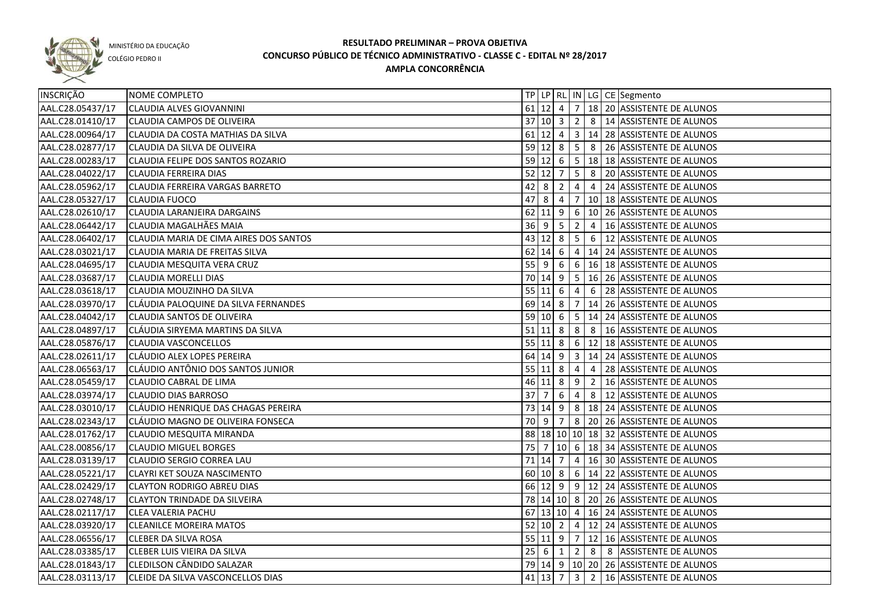

COLÉGIO PEDRO II

| INSCRIÇÃO        | NOME COMPLETO                          |      |                |                    |                |                | TP LP   RL   IN   LG   CE   Segmento               |
|------------------|----------------------------------------|------|----------------|--------------------|----------------|----------------|----------------------------------------------------|
| AAL.C28.05437/17 | <b>CLAUDIA ALVES GIOVANNINI</b>        |      |                |                    |                |                | 61 12 4 7 18 20 ASSISTENTE DE ALUNOS               |
| AAL.C28.01410/17 | <b>CLAUDIA CAMPOS DE OLIVEIRA</b>      |      |                |                    |                |                | 37   10   3   2   8   14   ASSISTENTE DE ALUNOS    |
| AAL.C28.00964/17 | CLAUDIA DA COSTA MATHIAS DA SILVA      |      |                |                    |                |                | 61   12   4   3   14   28   ASSISTENTE DE ALUNOS   |
| AAL.C28.02877/17 | CLAUDIA DA SILVA DE OLIVEIRA           |      |                | $59$ 12 8 5        |                |                | 8 26 ASSISTENTE DE ALUNOS                          |
| AAL.C28.00283/17 | CLAUDIA FELIPE DOS SANTOS ROZARIO      |      |                |                    |                |                | 59 12 6 5 18 18 ASSISTENTE DE ALUNOS               |
| AAL.C28.04022/17 | <b>CLAUDIA FERREIRA DIAS</b>           |      |                |                    |                |                | $52 12 7 5 8 20 $ ASSISTENTE DE ALUNOS             |
| AAL.C28.05962/17 | CLAUDIA FERREIRA VARGAS BARRETO        |      |                | $42 \mid 8 \mid 2$ |                |                | $4 \mid 4 \mid 24$ ASSISTENTE DE ALUNOS            |
| AAL.C28.05327/17 | <b>CLAUDIA FUOCO</b>                   |      |                |                    |                |                | 47 8 4 7 10 18 ASSISTENTE DE ALUNOS                |
| AAL.C28.02610/17 | CLAUDIA LARANJEIRA DARGAINS            |      |                |                    |                |                | 62 11 9 6 10 26 ASSISTENTE DE ALUNOS               |
| AAL.C28.06442/17 | CLAUDIA MAGALHÃES MAIA                 |      |                |                    |                |                | 36 9 5 2 4 16 ASSISTENTE DE ALUNOS                 |
| AAL.C28.06402/17 | CLAUDIA MARIA DE CIMA AIRES DOS SANTOS |      |                |                    |                |                | 43 12 8 5 6 12 ASSISTENTE DE ALUNOS                |
| AAL.C28.03021/17 | CLAUDIA MARIA DE FREITAS SILVA         |      |                |                    |                |                | 62 14 6 4 14 24 ASSISTENTE DE ALUNOS               |
| AAL.C28.04695/17 | CLAUDIA MESQUITA VERA CRUZ             |      |                |                    |                |                | 55 9 6 6 6 16 18 ASSISTENTE DE ALUNOS              |
| AAL.C28.03687/17 | <b>CLAUDIA MORELLI DIAS</b>            |      |                |                    |                |                | 70 14 9   5   16   26   ASSISTENTE DE ALUNOS       |
| AAL.C28.03618/17 | CLAUDIA MOUZINHO DA SILVA              |      | $55 \ 11 \ 6$  |                    | $\overline{4}$ |                | 6 28 ASSISTENTE DE ALUNOS                          |
| AAL.C28.03970/17 | CLÁUDIA PALOQUINE DA SILVA FERNANDES   |      |                |                    |                |                | 69 14 8 7 14 26 ASSISTENTE DE ALUNOS               |
| AAL.C28.04042/17 | <b>CLAUDIA SANTOS DE OLIVEIRA</b>      |      | $59$ 10 6      |                    |                |                | 5 14 24 ASSISTENTE DE ALUNOS                       |
| AAL.C28.04897/17 | CLÁUDIA SIRYEMA MARTINS DA SILVA       |      | $51$ 11 8      |                    |                |                | 8 8 16 ASSISTENTE DE ALUNOS                        |
| AAL.C28.05876/17 | <b>CLAUDIA VASCONCELLOS</b>            |      |                |                    |                |                | 55   11   8   6   12   18   ASSISTENTE DE ALUNOS   |
| AAL.C28.02611/17 | CLAUDIO ALEX LOPES PEREIRA             |      |                |                    |                |                | 64   14   9   3   14   24   ASSISTENTE DE ALUNOS   |
| AAL.C28.06563/17 | CLÁUDIO ANTÔNIO DOS SANTOS JUNIOR      |      |                | 55 11 8            | $\overline{4}$ |                | 4 28 ASSISTENTE DE ALUNOS                          |
| AAL.C28.05459/17 | <b>CLAUDIO CABRAL DE LIMA</b>          |      | 46 11 8        |                    | 9              | $\overline{2}$ | 16 ASSISTENTE DE ALUNOS                            |
| AAL.C28.03974/17 | <b>CLAUDIO DIAS BARROSO</b>            | 37   | $\overline{7}$ | 6                  | $\overline{4}$ | 8              | 12 ASSISTENTE DE ALUNOS                            |
| AAL.C28.03010/17 | CLÁUDIO HENRIQUE DAS CHAGAS PEREIRA    |      |                | 73 14 9            |                |                | 8   18   24   ASSISTENTE DE ALUNOS                 |
| AAL.C28.02343/17 | CLÁUDIO MAGNO DE OLIVEIRA FONSECA      | 70 9 |                | $\overline{7}$     |                |                | 8 20 26 ASSISTENTE DE ALUNOS                       |
| AAL.C28.01762/17 | CLAUDIO MESQUITA MIRANDA               |      |                |                    |                |                | 88   18   10   10   18   32   ASSISTENTE DE ALUNOS |
| AAL.C28.00856/17 | <b>CLAUDIO MIGUEL BORGES</b>           |      |                |                    |                |                | 75 7 10 6 18 34 ASSISTENTE DE ALUNOS               |
| AAL.C28.03139/17 | CLAUDIO SERGIO CORREA LAU              |      | 71 14 7        |                    |                |                | 4   16   30   ASSISTENTE DE ALUNOS                 |
| AAL.C28.05221/17 | <b>CLAYRI KET SOUZA NASCIMENTO</b>     |      |                |                    |                |                | $60 10 8 6 14 22$ ASSISTENTE DE ALUNOS             |
| AAL.C28.02429/17 | <b>CLAYTON RODRIGO ABREU DIAS</b>      |      |                |                    |                |                | 66 12 9 9 12 24 ASSISTENTE DE ALUNOS               |
| AAL.C28.02748/17 | <b>CLAYTON TRINDADE DA SILVEIRA</b>    |      |                |                    |                |                | 78 14 10 8 20 26 ASSISTENTE DE ALUNOS              |
| AAL.C28.02117/17 | <b>CLEA VALERIA PACHU</b>              |      |                |                    |                |                | 67 13 10 4 16 24 ASSISTENTE DE ALUNOS              |
| AAL.C28.03920/17 | <b>CLEANILCE MOREIRA MATOS</b>         |      |                |                    |                |                | 52 10 2 4 12 24 ASSISTENTE DE ALUNOS               |
| AAL.C28.06556/17 | <b>CLEBER DA SILVA ROSA</b>            |      |                |                    |                |                | 55 11 9 7 12 16 ASSISTENTE DE ALUNOS               |
| AAL.C28.03385/17 | CLEBER LUIS VIEIRA DA SILVA            |      |                |                    |                |                | 25   6   1   2   8   8   ASSISTENTE DE ALUNOS      |
| AAL.C28.01843/17 | <b>CLEDILSON CÂNDIDO SALAZAR</b>       |      |                |                    |                |                | 79 14 9 10 20 26 ASSISTENTE DE ALUNOS              |
| AAL.C28.03113/17 | CLEIDE DA SILVA VASCONCELLOS DIAS      |      |                |                    |                |                | 41 13 7 3 2 16 ASSISTENTE DE ALUNOS                |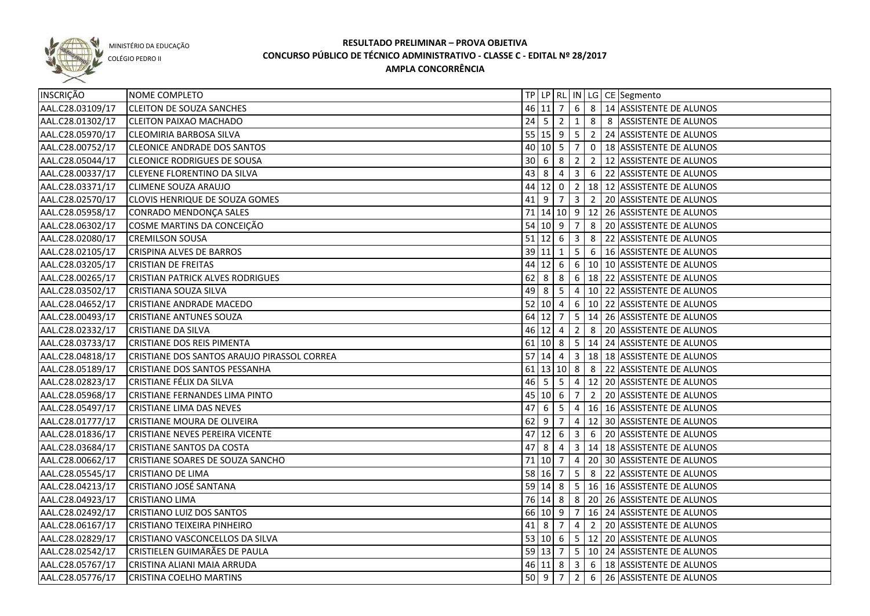

COLÉGIO PEDRO II

| INSCRIÇÃO        | NOME COMPLETO                               |      |                              |                 |                         |                 | TP   LP   RL   IN   LG   CE   Segmento               |
|------------------|---------------------------------------------|------|------------------------------|-----------------|-------------------------|-----------------|------------------------------------------------------|
| AAL.C28.03109/17 | <b>CLEITON DE SOUZA SANCHES</b>             |      |                              |                 |                         |                 | 46 11 7 6 8 14 ASSISTENTE DE ALUNOS                  |
| AAL.C28.01302/17 | <b>CLEITON PAIXAO MACHADO</b>               |      |                              |                 |                         |                 | 24 5 2 1 8 8 ASSISTENTE DE ALUNOS                    |
| AAL.C28.05970/17 | <b>CLEOMIRIA BARBOSA SILVA</b>              |      |                              |                 |                         |                 | 55 15 9 5 2 24 ASSISTENTE DE ALUNOS                  |
| AAL.C28.00752/17 | <b>CLEONICE ANDRADE DOS SANTOS</b>          |      |                              |                 |                         |                 | 40 10 5 7 0 18 ASSISTENTE DE ALUNOS                  |
| AAL.C28.05044/17 | <b>CLEONICE RODRIGUES DE SOUSA</b>          |      | $30 \quad 6 \quad 8 \quad 2$ |                 |                         |                 | 2 12 ASSISTENTE DE ALUNOS                            |
| AAL.C28.00337/17 | <b>CLEYENE FLORENTINO DA SILVA</b>          |      | $43 \ 8 \ 4$                 |                 |                         |                 | $3 \mid 6 \mid 22$ ASSISTENTE DE ALUNOS              |
| AAL.C28.03371/17 | <b>CLIMENE SOUZA ARAUJO</b>                 |      |                              |                 |                         |                 | 44 12 0 2 18 12 ASSISTENTE DE ALUNOS                 |
| AAL.C28.02570/17 | CLOVIS HENRIQUE DE SOUZA GOMES              |      | $41$ 9 7                     |                 |                         |                 | 3 2 20 ASSISTENTE DE ALUNOS                          |
| AAL.C28.05958/17 | CONRADO MENDONÇA SALES                      |      |                              |                 |                         |                 | 71 14 10 9 12 26 ASSISTENTE DE ALUNOS                |
| AAL.C28.06302/17 | COSME MARTINS DA CONCEIÇÃO                  |      | 54 10 9 7                    |                 |                         |                 | 8 20 ASSISTENTE DE ALUNOS                            |
| AAL.C28.02080/17 | <b>CREMILSON SOUSA</b>                      |      | $51$ 12 6                    |                 | $\overline{13}$         |                 | 8 22 ASSISTENTE DE ALUNOS                            |
| AAL.C28.02105/17 | CRISPINA ALVES DE BARROS                    |      | $39 11$                      | 1               |                         |                 | 5 6 16 ASSISTENTE DE ALUNOS                          |
| AAL.C28.03205/17 | <b>CRISTIAN DE FREITAS</b>                  | 44   | $12 \mid 6$                  |                 |                         |                 | $6 \mid 10 \mid 10$ ASSISTENTE DE ALUNOS             |
| AAL.C28.00265/17 | <b>CRISTIAN PATRICK ALVES RODRIGUES</b>     | 62   | $\overline{\phantom{0}}$ 8   | 8               |                         |                 | 6   18   22   ASSISTENTE DE ALUNOS                   |
| AAL.C28.03502/17 | CRISTIANA SOUZA SILVA                       | 49   | l 8                          | 5               | $\overline{4}$          |                 | 10 22 ASSISTENTE DE ALUNOS                           |
| AAL.C28.04652/17 | <b>CRISTIANE ANDRADE MACEDO</b>             |      | $52$ 10 4                    |                 |                         |                 | 6   10   22   ASSISTENTE DE ALUNOS                   |
| AAL.C28.00493/17 | <b>CRISTIANE ANTUNES SOUZA</b>              |      | 64 12 7                      |                 |                         |                 | $\vert$ 5 $\vert$ 14 $\vert$ 26 ASSISTENTE DE ALUNOS |
| AAL.C28.02332/17 | <b>CRISTIANE DA SILVA</b>                   |      | 46 12 4                      |                 | $\overline{2}$          | 8               | 20 ASSISTENTE DE ALUNOS                              |
| AAL.C28.03733/17 | CRISTIANE DOS REIS PIMENTA                  |      | $61$ 10 8                    |                 |                         |                 | $5   14   24$ ASSISTENTE DE ALUNOS                   |
| AAL.C28.04818/17 | CRISTIANE DOS SANTOS ARAUJO PIRASSOL CORREA |      | $57$ 14 4                    |                 | $\vert$ 3               |                 | 18 18 ASSISTENTE DE ALUNOS                           |
| AAL.C28.05189/17 | CRISTIANE DOS SANTOS PESSANHA               |      | $61$ 13 10 8                 |                 |                         | 8               | 22 ASSISTENTE DE ALUNOS                              |
| AAL.C28.02823/17 | CRISTIANE FÉLIX DA SILVA                    | 46 5 |                              | $5\phantom{.0}$ | $\overline{4}$          |                 | 12 20 ASSISTENTE DE ALUNOS                           |
| AAL.C28.05968/17 | CRISTIANE FERNANDES LIMA PINTO              |      | 45 10 6                      |                 | 7                       | $\overline{2}$  | 20 ASSISTENTE DE ALUNOS                              |
| AAL.C28.05497/17 | <b>CRISTIANE LIMA DAS NEVES</b>             | 47   | -6                           | $5\overline{5}$ | $\overline{4}$          |                 | 16 16 ASSISTENTE DE ALUNOS                           |
| AAL.C28.01777/17 | CRISTIANE MOURA DE OLIVEIRA                 | 62   | -9                           | 7               | 4                       |                 | 12 30 ASSISTENTE DE ALUNOS                           |
| AAL.C28.01836/17 | CRISTIANE NEVES PEREIRA VICENTE             | 47   | $12 \quad 6$                 |                 | $\overline{\mathbf{3}}$ | $6\overline{6}$ | 20 ASSISTENTE DE ALUNOS                              |
| AAL.C28.03684/17 | CRISTIANE SANTOS DA COSTA                   | 47   | 8                            | 4               |                         |                 | 3   14   18   ASSISTENTE DE ALUNOS                   |
| AAL.C28.00662/17 | CRISTIANE SOARES DE SOUZA SANCHO            |      | 71 10 7                      |                 | $\overline{4}$          |                 | 20 30 ASSISTENTE DE ALUNOS                           |
| AAL.C28.05545/17 | <b>CRISTIANO DE LIMA</b>                    |      | 58 16 7                      |                 | 5 <sup>1</sup>          |                 | 8 22 ASSISTENTE DE ALUNOS                            |
| AAL.C28.04213/17 | CRISTIANO JOSÉ SANTANA                      |      |                              |                 |                         |                 | 59 14 8 5 16 16 ASSISTENTE DE ALUNOS                 |
| AAL.C28.04923/17 | <b>CRISTIANO LIMA</b>                       |      |                              |                 |                         |                 | 76 14 8 8 20 26 ASSISTENTE DE ALUNOS                 |
| AAL.C28.02492/17 | CRISTIANO LUIZ DOS SANTOS                   |      |                              |                 |                         |                 | 66 10 9 7 16 24 ASSISTENTE DE ALUNOS                 |
| AAL.C28.06167/17 | CRISTIANO TEIXEIRA PINHEIRO                 |      |                              |                 |                         |                 | 41 8 7 4 2 20 ASSISTENTE DE ALUNOS                   |
| AAL.C28.02829/17 | CRISTIANO VASCONCELLOS DA SILVA             |      |                              |                 |                         |                 | 53 10 6 5 12 20 ASSISTENTE DE ALUNOS                 |
| AAL.C28.02542/17 | CRISTIELEN GUIMARÃES DE PAULA               |      |                              |                 |                         |                 | 59 13 7 5 10 24 ASSISTENTE DE ALUNOS                 |
| AAL.C28.05767/17 | CRISTINA ALIANI MAIA ARRUDA                 |      |                              |                 |                         |                 | 46 11 8 3 6 18 ASSISTENTE DE ALUNOS                  |
| AAL.C28.05776/17 | CRISTINA COELHO MARTINS                     |      | 50 9                         | $\overline{7}$  |                         |                 | 2 6 26 ASSISTENTE DE ALUNOS                          |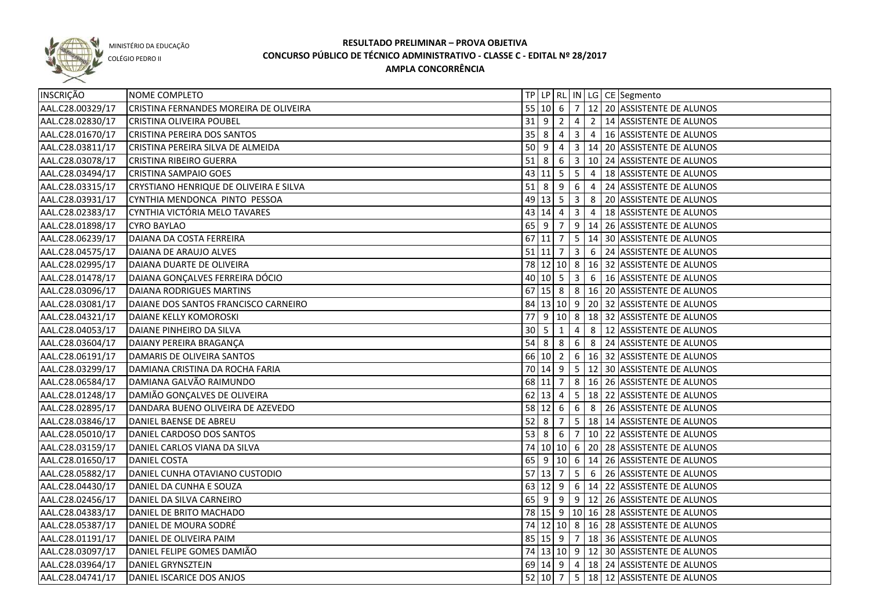

COLÉGIO PEDRO II

| INSCRIÇÃO        | NOME COMPLETO                          |    |                    |                |                |            | TP   LP   RL   IN   LG   CE   Segmento                        |
|------------------|----------------------------------------|----|--------------------|----------------|----------------|------------|---------------------------------------------------------------|
| AAL.C28.00329/17 | CRISTINA FERNANDES MOREIRA DE OLIVEIRA |    |                    |                |                |            | 55 10 6 7 12 20 ASSISTENTE DE ALUNOS                          |
| AAL.C28.02830/17 | CRISTINA OLIVEIRA POUBEL               |    | $31 \mid 9 \mid 2$ |                |                |            | 4 2 14 ASSISTENTE DE ALUNOS                                   |
| AAL.C28.01670/17 | CRISTINA PEREIRA DOS SANTOS            |    | $35 \mid 8 \mid 4$ |                |                |            | 3 4 16 ASSISTENTE DE ALUNOS                                   |
| AAL.C28.03811/17 | CRISTINA PEREIRA SILVA DE ALMEIDA      |    | $50 \mid 9 \mid 4$ |                |                |            | 3 14 20 ASSISTENTE DE ALUNOS                                  |
| AAL.C28.03078/17 | <b>CRISTINA RIBEIRO GUERRA</b>         |    |                    |                |                |            | 51 8 6 3 10 24 ASSISTENTE DE ALUNOS                           |
| AAL.C28.03494/17 | CRISTINA SAMPAIO GOES                  |    |                    |                |                |            | 43 11 5 5 4 18 ASSISTENTE DE ALUNOS                           |
| AAL.C28.03315/17 | CRYSTIANO HENRIQUE DE OLIVEIRA E SILVA |    |                    |                |                |            | $51 \mid 8 \mid 9 \mid 6 \mid 4 \mid 24$ ASSISTENTE DE ALUNOS |
| AAL.C28.03931/17 | CYNTHIA MENDONCA PINTO PESSOA          |    |                    |                |                |            | 49 13 5 3 8 20 ASSISTENTE DE ALUNOS                           |
| AAL.C28.02383/17 | CYNTHIA VICTÓRIA MELO TAVARES          |    |                    |                |                |            | 43   14   4   3   4   18   ASSISTENTE DE ALUNOS               |
| AAL.C28.01898/17 | <b>CYRO BAYLAO</b>                     |    | $65 \mid 9 \mid 7$ |                |                |            | $9   14   26  $ ASSISTENTE DE ALUNOS                          |
| AAL.C28.06239/17 | DAIANA DA COSTA FERREIRA               |    |                    |                |                |            | 67 11 7 5 14 30 ASSISTENTE DE ALUNOS                          |
| AAL.C28.04575/17 | DAIANA DE ARAUJO ALVES                 |    | $51$ 11 7          |                |                |            | $\vert 3 \vert 6 \vert 24 \vert$ ASSISTENTE DE ALUNOS         |
| AAL.C28.02995/17 | DAIANA DUARTE DE OLIVEIRA              |    |                    |                |                |            | 78 12 10 8 16 32 ASSISTENTE DE ALUNOS                         |
| AAL.C28.01478/17 | DAIANA GONÇALVES FERREIRA DÓCIO        |    |                    |                |                |            | 40 10 5 3 6 16 ASSISTENTE DE ALUNOS                           |
| AAL.C28.03096/17 | DAIANA RODRIGUES MARTINS               |    |                    |                |                |            | 67 15 8 8 3 16 20 ASSISTENTE DE ALUNOS                        |
| AAL.C28.03081/17 | DAIANE DOS SANTOS FRANCISCO CARNEIRO   |    |                    |                |                |            | 84 13 10 9 20 32 ASSISTENTE DE ALUNOS                         |
| AAL.C28.04321/17 | DAIANE KELLY KOMOROSKI                 | 77 | <u>g</u>           |                |                |            | 10 8 18 32 ASSISTENTE DE ALUNOS                               |
| AAL.C28.04053/17 | DAIANE PINHEIRO DA SILVA               | 30 | l 5                | $\overline{1}$ | 4              | 8          | 12 ASSISTENTE DE ALUNOS                                       |
| AAL.C28.03604/17 | DAIANY PEREIRA BRAGANÇA                | 54 | 8                  | 8              |                | $6 \mid 8$ | 24 ASSISTENTE DE ALUNOS                                       |
| AAL.C28.06191/17 | DAMARIS DE OLIVEIRA SANTOS             |    | 66 10 2            |                |                |            | 6   16   32   ASSISTENTE DE ALUNOS                            |
| AAL.C28.03299/17 | DAMIANA CRISTINA DA ROCHA FARIA        |    |                    |                |                |            | 70   14   9   5   12   30   ASSISTENTE DE ALUNOS              |
| AAL.C28.06584/17 | DAMIANA GALVÃO RAIMUNDO                |    | 68 11 7            |                |                |            | 8   16   26   ASSISTENTE DE ALUNOS                            |
| AAL.C28.01248/17 | DAMIÃO GONÇALVES DE OLIVEIRA           |    | 62 13 4            |                |                |            | 5   18   22   ASSISTENTE DE ALUNOS                            |
| AAL.C28.02895/17 | DANDARA BUENO OLIVEIRA DE AZEVEDO      |    | $58$ 12 6          |                | 6 <sub>1</sub> |            | 8 26 ASSISTENTE DE ALUNOS                                     |
| AAL.C28.03846/17 | DANIEL BAENSE DE ABREU                 | 52 | l 8                | 7              |                |            | 5   18   14   ASSISTENTE DE ALUNOS                            |
| AAL.C28.05010/17 | DANIEL CARDOSO DOS SANTOS              | 53 | l 8                | - 6            |                |            | 7   10   22   ASSISTENTE DE ALUNOS                            |
| AAL.C28.03159/17 | DANIEL CARLOS VIANA DA SILVA           |    |                    |                |                |            | 74 10 10 6 20 28 ASSISTENTE DE ALUNOS                         |
| AAL.C28.01650/17 | <b>DANIEL COSTA</b>                    |    |                    |                |                |            | 65 9 10 6 14 26 ASSISTENTE DE ALUNOS                          |
| AAL.C28.05882/17 | DANIEL CUNHA OTAVIANO CUSTODIO         |    |                    |                |                |            | 57 13 7 5 6 26 ASSISTENTE DE ALUNOS                           |
| AAL.C28.04430/17 | DANIEL DA CUNHA E SOUZA                |    |                    |                |                |            | 63 12 9 6 14 22 ASSISTENTE DE ALUNOS                          |
| AAL.C28.02456/17 | DANIEL DA SILVA CARNEIRO               |    |                    |                |                |            | 65 9 9 9 12 26 ASSISTENTE DE ALUNOS                           |
| AAL.C28.04383/17 | DANIEL DE BRITO MACHADO                |    |                    |                |                |            | 78 15 9 10 16 28 ASSISTENTE DE ALUNOS                         |
| AAL.C28.05387/17 | DANIEL DE MOURA SODRÉ                  |    |                    |                |                |            | 74 12 10 8 16 28 ASSISTENTE DE ALUNOS                         |
| AAL.C28.01191/17 | DANIEL DE OLIVEIRA PAIM                |    |                    |                |                |            | 85 15 9 7 18 36 ASSISTENTE DE ALUNOS                          |
| AAL.C28.03097/17 | DANIEL FELIPE GOMES DAMIÃO             |    |                    |                |                |            | 74 13 10 9 12 30 ASSISTENTE DE ALUNOS                         |
| AAL.C28.03964/17 | DANIEL GRYNSZTEJN                      |    |                    |                |                |            | 69 14 9 4 18 24 ASSISTENTE DE ALUNOS                          |
| AAL.C28.04741/17 | DANIEL ISCARICE DOS ANJOS              |    |                    |                |                |            | 52 10 7 5 18 12 ASSISTENTE DE ALUNOS                          |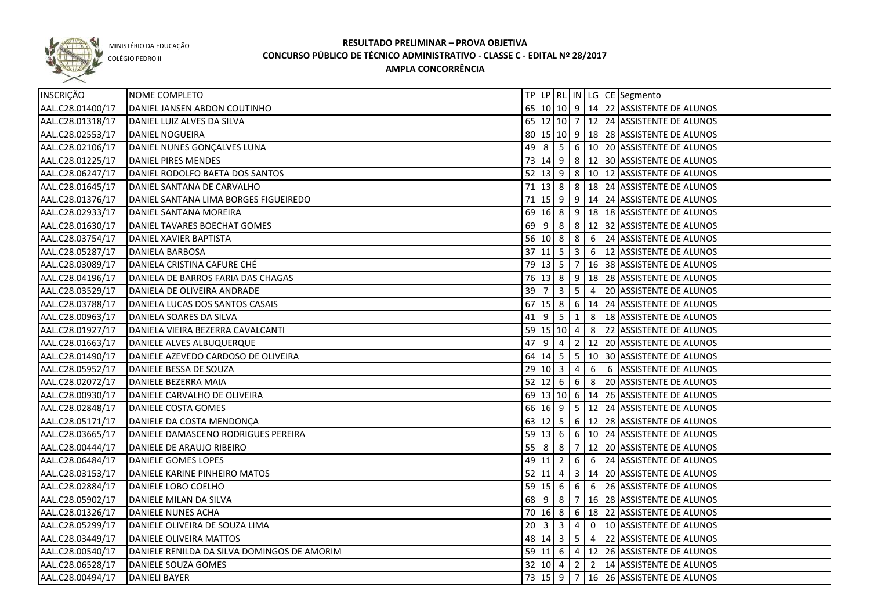

COLÉGIO PEDRO II

| INSCRIÇÃO        | NOME COMPLETO                               |                   |     |                            |                 |   | TP   LP   RL   IN   LG   CE   Segmento                 |
|------------------|---------------------------------------------|-------------------|-----|----------------------------|-----------------|---|--------------------------------------------------------|
| AAL.C28.01400/17 | DANIEL JANSEN ABDON COUTINHO                |                   |     |                            |                 |   | 65 10 10 9 14 22 ASSISTENTE DE ALUNOS                  |
| AAL.C28.01318/17 | DANIEL LUIZ ALVES DA SILVA                  |                   |     |                            |                 |   | 65 12 10 7 12 24 ASSISTENTE DE ALUNOS                  |
| AAL.C28.02553/17 | DANIEL NOGUEIRA                             |                   |     |                            |                 |   | 80 15 10 9 18 28 ASSISTENTE DE ALUNOS                  |
| AAL.C28.02106/17 | DANIEL NUNES GONÇALVES LUNA                 |                   |     |                            |                 |   | 49 8 5 6 10 20 ASSISTENTE DE ALUNOS                    |
| AAL.C28.01225/17 | DANIEL PIRES MENDES                         |                   |     |                            |                 |   | 73 14 9 8 12 30 ASSISTENTE DE ALUNOS                   |
| AAL.C28.06247/17 | DANIEL RODOLFO BAETA DOS SANTOS             |                   |     |                            |                 |   | 52 13 9 8 10 12 ASSISTENTE DE ALUNOS                   |
| AAL.C28.01645/17 | DANIEL SANTANA DE CARVALHO                  |                   |     |                            |                 |   | 71 13 8 8 18 18 24 ASSISTENTE DE ALUNOS                |
| AAL.C28.01376/17 | DANIEL SANTANA LIMA BORGES FIGUEIREDO       |                   |     |                            |                 |   | 71 15 9 9 14 24 ASSISTENTE DE ALUNOS                   |
| AAL.C28.02933/17 | DANIEL SANTANA MOREIRA                      |                   |     |                            |                 |   | 69 16 8 9 18 18 ASSISTENTE DE ALUNOS                   |
| AAL.C28.01630/17 | DANIEL TAVARES BOECHAT GOMES                |                   |     |                            |                 |   | 69 9 8 8 22 32 ASSISTENTE DE ALUNOS                    |
| AAL.C28.03754/17 | DANIEL XAVIER BAPTISTA                      |                   |     |                            |                 |   | 56 10 8 8 6 24 ASSISTENTE DE ALUNOS                    |
| AAL.C28.05287/17 | <b>DANIELA BARBOSA</b>                      |                   |     |                            |                 |   | 37 11 5 3 6 12 ASSISTENTE DE ALUNOS                    |
| AAL.C28.03089/17 | DANIELA CRISTINA CAFURE CHÉ                 |                   |     |                            |                 |   | 79 13 5 7 16 38 ASSISTENTE DE ALUNOS                   |
| AAL.C28.04196/17 | DANIELA DE BARROS FARIA DAS CHAGAS          |                   |     |                            |                 |   | 76 13 8 9 18 28 ASSISTENTE DE ALUNOS                   |
| AAL.C28.03529/17 | DANIELA DE OLIVEIRA ANDRADE                 | $39 \overline{7}$ |     | $\overline{\phantom{a}}$ 3 | $5 \mid 4$      |   | 20 ASSISTENTE DE ALUNOS                                |
| AAL.C28.03788/17 | DANIELA LUCAS DOS SANTOS CASAIS             | 67                |     |                            |                 |   | $\boxed{15}$ 8   6   14   24   ASSISTENTE DE ALUNOS    |
| AAL.C28.00963/17 | DANIELA SOARES DA SILVA                     | $41$   9          |     | l 5 I                      | $\vert 1 \vert$ |   | 8   18 ASSISTENTE DE ALUNOS                            |
| AAL.C28.01927/17 | DANIELA VIEIRA BEZERRA CAVALCANTI           |                   |     |                            |                 |   | 59 15 10 4 8 22 ASSISTENTE DE ALUNOS                   |
| AAL.C28.01663/17 | DANIELE ALVES ALBUQUERQUE                   | 47                | - 9 | $\overline{4}$             |                 |   | 2   12   20   ASSISTENTE DE ALUNOS                     |
| AAL.C28.01490/17 | DANIELE AZEVEDO CARDOSO DE OLIVEIRA         | 64                |     | $14 \quad 5$               |                 |   | $\vert 5 \vert 10 \vert 30 \vert$ ASSISTENTE DE ALUNOS |
| AAL.C28.05952/17 | DANIELE BESSA DE SOUZA                      |                   |     | 29 10 3                    | $\overline{4}$  | 6 | 6 ASSISTENTE DE ALUNOS                                 |
| AAL.C28.02072/17 | DANIELE BEZERRA MAIA                        |                   |     | 52   12   6   6            |                 |   | 8 20 ASSISTENTE DE ALUNOS                              |
| AAL.C28.00930/17 | DANIELE CARVALHO DE OLIVEIRA                |                   |     |                            |                 |   | 69 13 10 6 14 26 ASSISTENTE DE ALUNOS                  |
| AAL.C28.02848/17 | DANIELE COSTA GOMES                         |                   |     |                            |                 |   | 66 16 9 5 12 24 ASSISTENTE DE ALUNOS                   |
| AAL.C28.05171/17 | DANIELE DA COSTA MENDONÇA                   |                   |     |                            |                 |   | 63 12 5 6 12 28 ASSISTENTE DE ALUNOS                   |
| AAL.C28.03665/17 | DANIELE DAMASCENO RODRIGUES PEREIRA         | $59 \ 13 \ 6$     |     |                            |                 |   | 6   10   24 ASSISTENTE DE ALUNOS                       |
| AAL.C28.00444/17 | DANIELE DE ARAUJO RIBEIRO                   |                   |     | 55888                      |                 |   | $7 12 20 $ ASSISTENTE DE ALUNOS                        |
| AAL.C28.06484/17 | DANIELE GOMES LOPES                         |                   |     | 49 11 2                    |                 |   | 6 6 24 ASSISTENTE DE ALUNOS                            |
| AAL.C28.03153/17 | DANIELE KARINE PINHEIRO MATOS               |                   |     |                            |                 |   | 52 11 4 3 14 20 ASSISTENTE DE ALUNOS                   |
| AAL.C28.02884/17 | DANIELE LOBO COELHO                         |                   |     |                            |                 |   | 59 15 6 6 6 6 26 ASSISTENTE DE ALUNOS                  |
| AAL.C28.05902/17 | DANIELE MILAN DA SILVA                      |                   |     |                            |                 |   | 68 9 8 7 16 28 ASSISTENTE DE ALUNOS                    |
| AAL.C28.01326/17 | <b>DANIELE NUNES ACHA</b>                   |                   |     |                            |                 |   | 70 16 8 6 18 22 ASSISTENTE DE ALUNOS                   |
| AAL.C28.05299/17 | DANIELE OLIVEIRA DE SOUZA LIMA              |                   |     |                            |                 |   | 20 3 3 4 0 10 ASSISTENTE DE ALUNOS                     |
| AAL.C28.03449/17 | DANIELE OLIVEIRA MATTOS                     |                   |     |                            |                 |   | 48 14 3 5 4 22 ASSISTENTE DE ALUNOS                    |
| AAL.C28.00540/17 | DANIELE RENILDA DA SILVA DOMINGOS DE AMORIM |                   |     |                            |                 |   | 59 11 6 4 12 26 ASSISTENTE DE ALUNOS                   |
| AAL.C28.06528/17 | DANIELE SOUZA GOMES                         |                   |     |                            |                 |   | 32   10   4   2   2   14   ASSISTENTE DE ALUNOS        |
| AAL.C28.00494/17 | <b>DANIELI BAYER</b>                        |                   |     |                            |                 |   | 73 15 9 7 16 26 ASSISTENTE DE ALUNOS                   |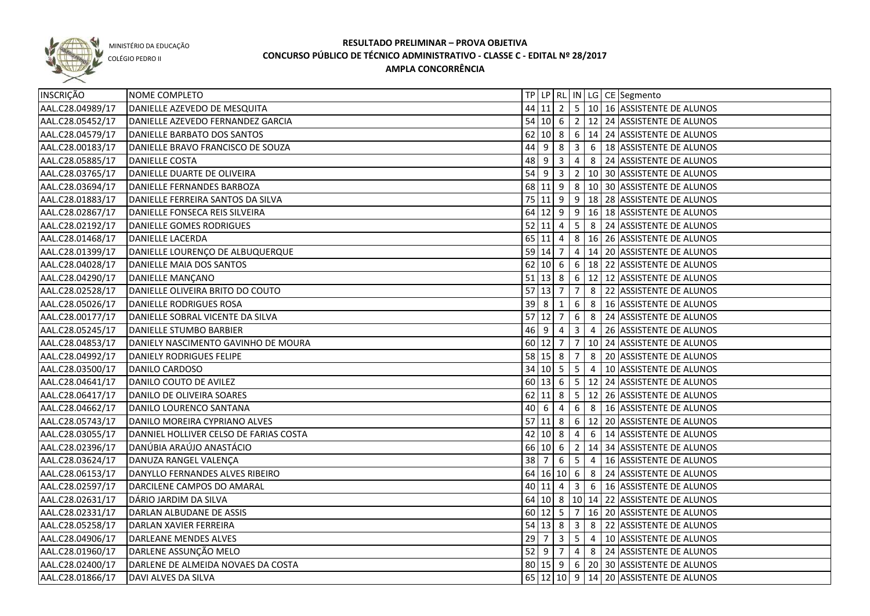

COLÉGIO PEDRO II

| INSCRIÇÃO        | NOME COMPLETO                          |             |                     |   |                 |                          | TP   LP   RL   IN   LG   CE   Segmento                 |
|------------------|----------------------------------------|-------------|---------------------|---|-----------------|--------------------------|--------------------------------------------------------|
| AAL.C28.04989/17 | DANIELLE AZEVEDO DE MESQUITA           |             |                     |   |                 |                          | 44 11 2 5 10 16 ASSISTENTE DE ALUNOS                   |
| AAL.C28.05452/17 | DANIELLE AZEVEDO FERNANDEZ GARCIA      |             |                     |   |                 |                          | 54 10 6 2 12 24 ASSISTENTE DE ALUNOS                   |
| AAL.C28.04579/17 | DANIELLE BARBATO DOS SANTOS            |             |                     |   |                 |                          | $62$  10  8   6   14   24   ASSISTENTE DE ALUNOS       |
| AAL.C28.00183/17 | DANIELLE BRAVO FRANCISCO DE SOUZA      |             |                     |   |                 |                          | 44 9 8 3 6 18 ASSISTENTE DE ALUNOS                     |
| AAL.C28.05885/17 | DANIELLE COSTA                         |             |                     |   |                 |                          | 48 9 3 4 8 24 ASSISTENTE DE ALUNOS                     |
| AAL.C28.03765/17 | DANIELLE DUARTE DE OLIVEIRA            |             |                     |   |                 |                          | 54 9 3 2 10 30 ASSISTENTE DE ALUNOS                    |
| AAL.C28.03694/17 | DANIELLE FERNANDES BARBOZA             |             |                     |   |                 |                          | 68 11 9 8 10 30 ASSISTENTE DE ALUNOS                   |
| AAL.C28.01883/17 | DANIELLE FERREIRA SANTOS DA SILVA      |             |                     |   |                 |                          | 75 11 9 9 18 28 ASSISTENTE DE ALUNOS                   |
| AAL.C28.02867/17 | DANIELLE FONSECA REIS SILVEIRA         |             |                     |   |                 |                          | 64 12 9 9 16 18 ASSISTENTE DE ALUNOS                   |
| AAL.C28.02192/17 | DANIELLE GOMES RODRIGUES               |             |                     |   |                 |                          | $52 11 4 5 8 24$ ASSISTENTE DE ALUNOS                  |
| AAL.C28.01468/17 | DANIELLE LACERDA                       |             |                     |   |                 |                          | 65 11 4 8 16 26 ASSISTENTE DE ALUNOS                   |
| AAL.C28.01399/17 | DANIELLE LOURENÇO DE ALBUQUERQUE       |             | 59 14 7             |   |                 |                          | 4 14 20 ASSISTENTE DE ALUNOS                           |
| AAL.C28.04028/17 | DANIELLE MAIA DOS SANTOS               |             |                     |   |                 |                          | 62 10 6 6 18 22 ASSISTENTE DE ALUNOS                   |
| AAL.C28.04290/17 | DANIELLE MANÇANO                       |             |                     |   |                 |                          | 51 13 8 6 12 12 ASSISTENTE DE ALUNOS                   |
| AAL.C28.02528/17 | DANIELLE OLIVEIRA BRITO DO COUTO       | 57          | 13 7                |   | $\overline{7}$  |                          | 8 22 ASSISTENTE DE ALUNOS                              |
| AAL.C28.05026/17 | DANIELLE RODRIGUES ROSA                | $39 \mid 8$ |                     | 1 | 6               |                          | 8   16 ASSISTENTE DE ALUNOS                            |
| AAL.C28.00177/17 | DANIELLE SOBRAL VICENTE DA SILVA       |             | $57$ 12 7           |   | $6\phantom{1}6$ |                          | 8 24 ASSISTENTE DE ALUNOS                              |
| AAL.C28.05245/17 | DANIELLE STUMBO BARBIER                |             |                     |   |                 |                          | 46 9 4 3 4 26 ASSISTENTE DE ALUNOS                     |
| AAL.C28.04853/17 | DANIELY NASCIMENTO GAVINHO DE MOURA    |             |                     |   |                 |                          | 60 12 7 7 10 24 ASSISTENTE DE ALUNOS                   |
| AAL.C28.04992/17 | DANIELY RODRIGUES FELIPE               |             | 58 15 8 7           |   |                 |                          | 8 20 ASSISTENTE DE ALUNOS                              |
| AAL.C28.03500/17 | DANILO CARDOSO                         |             |                     |   |                 | $\overline{34}$ 10 5 5 4 | 10 ASSISTENTE DE ALUNOS                                |
| AAL.C28.04641/17 | DANILO COUTO DE AVILEZ                 |             | 60 13 6             |   |                 |                          | $\vert 5 \vert 12 \vert 24 \vert$ ASSISTENTE DE ALUNOS |
| AAL.C28.06417/17 | DANILO DE OLIVEIRA SOARES              |             | $62$ 11 8           |   |                 |                          | 5   12   26   ASSISTENTE DE ALUNOS                     |
| AAL.C28.04662/17 | DANILO LOURENCO SANTANA                | 40          | $\overline{6}$      | 4 |                 |                          | 6 8 16 ASSISTENTE DE ALUNOS                            |
| AAL.C28.05743/17 | DANILO MOREIRA CYPRIANO ALVES          |             | $57$ 11 8           |   |                 |                          | 6   12   20 ASSISTENTE DE ALUNOS                       |
| AAL.C28.03055/17 | DANNIEL HOLLIVER CELSO DE FARIAS COSTA |             | $42 \mid 10 \mid 8$ |   | 4               |                          | 6   14 ASSISTENTE DE ALUNOS                            |
| AAL.C28.02396/17 | DANÚBIA ARAÚJO ANASTÁCIO               |             | 66 10 6             |   | 2               |                          | 14 34 ASSISTENTE DE ALUNOS                             |
| AAL.C28.03624/17 | DANUZA RANGEL VALENÇA                  | 38          | $\overline{7}$      | 6 | $5^{\circ}$     | $\overline{4}$           | 16 ASSISTENTE DE ALUNOS                                |
| AAL.C28.06153/17 | DANYLLO FERNANDES ALVES RIBEIRO        |             | 64 16 10 6          |   |                 |                          | 8 24 ASSISTENTE DE ALUNOS                              |
| AAL.C28.02597/17 | DARCILENE CAMPOS DO AMARAL             |             | $40 \ 11 \ 4$       |   | $\overline{3}$  |                          | 6 16 ASSISTENTE DE ALUNOS                              |
| AAL.C28.02631/17 | DÁRIO JARDIM DA SILVA                  |             |                     |   |                 |                          | 64 10 8 10 14 22 ASSISTENTE DE ALUNOS                  |
| AAL.C28.02331/17 | DARLAN ALBUDANE DE ASSIS               |             |                     |   |                 |                          | 60 12 5 7 16 20 ASSISTENTE DE ALUNOS                   |
| AAL.C28.05258/17 | DARLAN XAVIER FERREIRA                 |             |                     |   |                 |                          | 54 13 8 3 8 22 ASSISTENTE DE ALUNOS                    |
| AAL.C28.04906/17 | DARLEANE MENDES ALVES                  | 29          |                     |   |                 |                          | $7$ 3 5 4 10 ASSISTENTE DE ALUNOS                      |
| AAL.C28.01960/17 | DARLENE ASSUNÇÃO MELO                  |             |                     |   |                 |                          | 52 9 7 4 8 24 ASSISTENTE DE ALUNOS                     |
| AAL.C28.02400/17 | DARLENE DE ALMEIDA NOVAES DA COSTA     |             |                     |   |                 |                          | 80 15 9 6 20 30 ASSISTENTE DE ALUNOS                   |
| AAL.C28.01866/17 | DAVI ALVES DA SILVA                    |             |                     |   |                 |                          | 65 12 10 9 14 20 ASSISTENTE DE ALUNOS                  |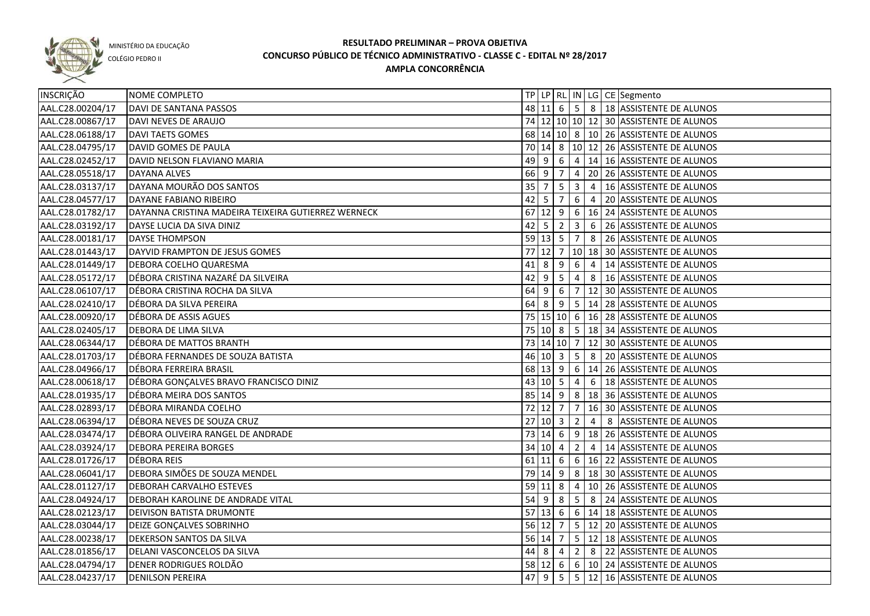

COLÉGIO PEDRO II

| INSCRIÇÃO        | NOME COMPLETO                                       |    |                     |                |                |                 | TP   LP   RL   IN   LG   CE   Segmento                        |
|------------------|-----------------------------------------------------|----|---------------------|----------------|----------------|-----------------|---------------------------------------------------------------|
| AAL.C28.00204/17 | DAVI DE SANTANA PASSOS                              |    |                     |                |                |                 | 48 11 6 5 8 18 ASSISTENTE DE ALUNOS                           |
| AAL.C28.00867/17 | DAVI NEVES DE ARAUJO                                |    |                     |                |                |                 | 74 12 10 10 12 30 ASSISTENTE DE ALUNOS                        |
| AAL.C28.06188/17 | <b>DAVI TAETS GOMES</b>                             |    |                     |                |                |                 | 68 14 10 8 10 26 ASSISTENTE DE ALUNOS                         |
| AAL.C28.04795/17 | DAVID GOMES DE PAULA                                |    |                     |                |                |                 | 70 14 8 10 12 26 ASSISTENTE DE ALUNOS                         |
| AAL.C28.02452/17 | DAVID NELSON FLAVIANO MARIA                         |    |                     |                |                |                 | 49 9 6 4 14 16 ASSISTENTE DE ALUNOS                           |
| AAL.C28.05518/17 | <b>DAYANA ALVES</b>                                 |    | 66 9 7              |                |                |                 | 4 20 26 ASSISTENTE DE ALUNOS                                  |
| AAL.C28.03137/17 | DAYANA MOURÃO DOS SANTOS                            |    | $35 \mid 7$         |                |                |                 | $\vert 5 \vert 3 \vert 4 \vert 16 \vert$ ASSISTENTE DE ALUNOS |
| AAL.C28.04577/17 | DAYANE FABIANO RIBEIRO                              |    | $42 \mid 5$         | $\overline{7}$ |                |                 | 6 4 20 ASSISTENTE DE ALUNOS                                   |
| AAL.C28.01782/17 | DAYANNA CRISTINA MADEIRA TEIXEIRA GUTIERREZ WERNECK |    |                     |                |                |                 | 67 12 9 6 16 24 ASSISTENTE DE ALUNOS                          |
| AAL.C28.03192/17 | DAYSE LUCIA DA SIVA DINIZ                           |    | $42 \mid 5$         | $\overline{2}$ |                |                 | 3 6 26 ASSISTENTE DE ALUNOS                                   |
| AAL.C28.00181/17 | <b>DAYSE THOMPSON</b>                               |    |                     |                |                |                 | 59 13 5 7 8 26 ASSISTENTE DE ALUNOS                           |
| AAL.C28.01443/17 | DAYVID FRAMPTON DE JESUS GOMES                      | 77 |                     | $12 \mid 7$    |                |                 | 10 18 30 ASSISTENTE DE ALUNOS                                 |
| AAL.C28.01449/17 | <b>DEBORA COELHO QUARESMA</b>                       | 41 | 8                   | 9              | 6              | $\vert 4 \vert$ | 14 ASSISTENTE DE ALUNOS                                       |
| AAL.C28.05172/17 | DÉBORA CRISTINA NAZARÉ DA SILVEIRA                  | 42 | -9                  | 5              | 4              |                 | 8   16 ASSISTENTE DE ALUNOS                                   |
| AAL.C28.06107/17 | DÉBORA CRISTINA ROCHA DA SILVA                      |    | 64 9                | 6              | $\overline{7}$ |                 | 12 30 ASSISTENTE DE ALUNOS                                    |
| AAL.C28.02410/17 | DÉBORA DA SILVA PEREIRA                             |    | $64 \mid 8$         |                |                |                 | $9$   5   14   28   ASSISTENTE DE ALUNOS                      |
| AAL.C28.00920/17 | DÉBORA DE ASSIS AGUES                               |    |                     |                |                |                 | 75 15 10 6 16 28 ASSISTENTE DE ALUNOS                         |
| AAL.C28.02405/17 | <b>DEBORA DE LIMA SILVA</b>                         |    |                     | 75 10 8        |                |                 | 5   18   34   ASSISTENTE DE ALUNOS                            |
| AAL.C28.06344/17 | DÉBORA DE MATTOS BRANTH                             |    |                     |                |                |                 | 73   14   10   7   12   30   ASSISTENTE DE ALUNOS             |
| AAL.C28.01703/17 | DÉBORA FERNANDES DE SOUZA BATISTA                   |    |                     | 46 10 3        | $5^{\circ}$    | 8               | 20 ASSISTENTE DE ALUNOS                                       |
| AAL.C28.04966/17 | DÉBORA FERREIRA BRASIL                              |    |                     | 68 13 9        |                |                 | 6 14 26 ASSISTENTE DE ALUNOS                                  |
| AAL.C28.00618/17 | DÉBORA GONÇALVES BRAVO FRANCISCO DINIZ              |    | $43 \mid 10 \mid 5$ |                | $\overline{4}$ | 6               | 18 ASSISTENTE DE ALUNOS                                       |
| AAL.C28.01935/17 | DÉBORA MEIRA DOS SANTOS                             |    |                     | 85 14 9        | 8 <sup>8</sup> |                 | 18 36 ASSISTENTE DE ALUNOS                                    |
| AAL.C28.02893/17 | DÉBORA MIRANDA COELHO                               |    | 72 12 7             |                | $\overline{7}$ |                 | 16 30 ASSISTENTE DE ALUNOS                                    |
| AAL.C28.06394/17 | DÉBORA NEVES DE SOUZA CRUZ                          |    | 27   10   3         |                | $\overline{2}$ | $\overline{4}$  | 8 ASSISTENTE DE ALUNOS                                        |
| AAL.C28.03474/17 | DÉBORA OLIVEIRA RANGEL DE ANDRADE                   |    | 73   14   6         |                |                |                 | $9$   18   26   ASSISTENTE DE ALUNOS                          |
| AAL.C28.03924/17 | <b>DEBORA PEREIRA BORGES</b>                        |    | 34   10   4         |                | $\overline{2}$ | $\vert 4 \vert$ | 14 ASSISTENTE DE ALUNOS                                       |
| AAL.C28.01726/17 | DÉBORA REIS                                         |    | $61$ 11 6           |                |                |                 | 6   16   22   ASSISTENTE DE ALUNOS                            |
| AAL.C28.06041/17 | DEBORA SIMÕES DE SOUZA MENDEL                       |    | 79 14 9             |                |                |                 | 8   18   30   ASSISTENTE DE ALUNOS                            |
| AAL.C28.01127/17 | <b>DEBORAH CARVALHO ESTEVES</b>                     |    | $59$ 11 8           |                |                |                 | 4   10   26   ASSISTENTE DE ALUNOS                            |
| AAL.C28.04924/17 | <b>DEBORAH KAROLINE DE ANDRADE VITAL</b>            |    | $54$ 9 8            |                |                |                 | 5 8 24 ASSISTENTE DE ALUNOS                                   |
| AAL.C28.02123/17 | <b>DEIVISON BATISTA DRUMONTE</b>                    |    |                     |                |                |                 | 57 13 6 6 14 18 ASSISTENTE DE ALUNOS                          |
| AAL.C28.03044/17 | <b>DEIZE GONÇALVES SOBRINHO</b>                     |    |                     | 56 12 7        |                |                 | $5 \mid 12 \mid 20$ ASSISTENTE DE ALUNOS                      |
| AAL.C28.00238/17 | <b>DEKERSON SANTOS DA SILVA</b>                     |    |                     |                |                |                 | 56 14 7 5 12 18 ASSISTENTE DE ALUNOS                          |
| AAL.C28.01856/17 | DELANI VASCONCELOS DA SILVA                         |    |                     | $44 \t8 \t4$   |                |                 | 2 8 22 ASSISTENTE DE ALUNOS                                   |
| AAL.C28.04794/17 | DENER RODRIGUES ROLDÃO                              |    |                     |                |                |                 | 58 12 6 6 10 24 ASSISTENTE DE ALUNOS                          |
| AAL.C28.04237/17 | <b>DENILSON PEREIRA</b>                             |    |                     |                |                |                 | 47 9 5 5 12 16 ASSISTENTE DE ALUNOS                           |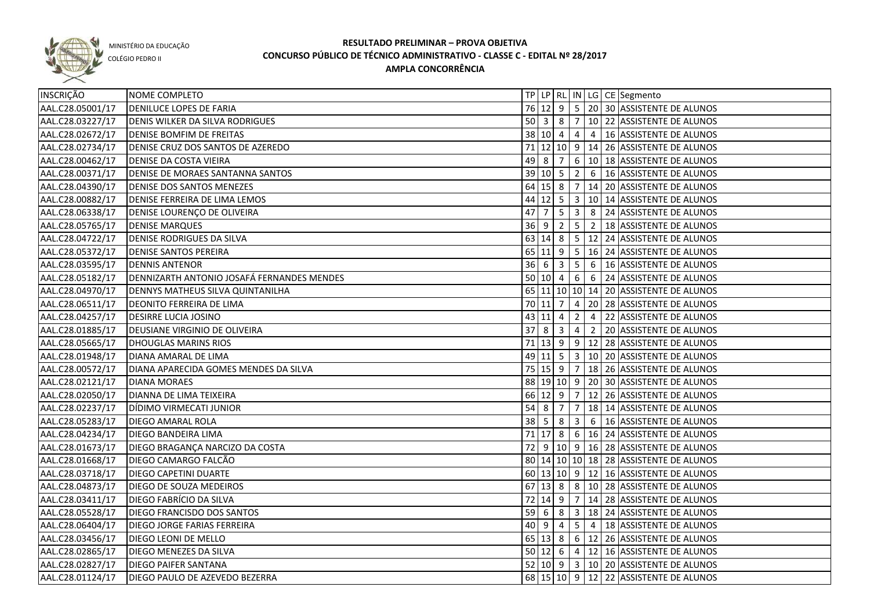

COLÉGIO PEDRO II

| INSCRIÇÃO        | NOME COMPLETO                              |                                  |                            |                |                         |                | TP LP RL IN LG CE Segmento                                    |
|------------------|--------------------------------------------|----------------------------------|----------------------------|----------------|-------------------------|----------------|---------------------------------------------------------------|
| AAL.C28.05001/17 | <b>DENILUCE LOPES DE FARIA</b>             |                                  |                            |                |                         |                | 76 12 9 5 20 30 ASSISTENTE DE ALUNOS                          |
| AAL.C28.03227/17 | <b>DENIS WILKER DA SILVA RODRIGUES</b>     |                                  |                            |                |                         |                | 50 3 8 7 10 22 ASSISTENTE DE ALUNOS                           |
| AAL.C28.02672/17 | <b>DENISE BOMFIM DE FREITAS</b>            |                                  |                            |                |                         |                | 38 10 4 4 4 16 ASSISTENTE DE ALUNOS                           |
| AAL.C28.02734/17 | DENISE CRUZ DOS SANTOS DE AZEREDO          |                                  |                            |                |                         |                | 71 12 10 9 14 26 ASSISTENTE DE ALUNOS                         |
| AAL.C28.00462/17 | <b>DENISE DA COSTA VIEIRA</b>              |                                  |                            |                |                         |                | 49 8 7 6 10 18 ASSISTENTE DE ALUNOS                           |
| AAL.C28.00371/17 | <b>DENISE DE MORAES SANTANNA SANTOS</b>    |                                  |                            |                |                         |                | 39 10 5 2 6 16 ASSISTENTE DE ALUNOS                           |
| AAL.C28.04390/17 | <b>DENISE DOS SANTOS MENEZES</b>           |                                  |                            |                |                         |                | 64 15 8 7 14 20 ASSISTENTE DE ALUNOS                          |
| AAL.C28.00882/17 | DENISE FERREIRA DE LIMA LEMOS              |                                  |                            |                |                         |                | 44 12 5 3 10 14 ASSISTENTE DE ALUNOS                          |
| AAL.C28.06338/17 | DENISE LOURENÇO DE OLIVEIRA                | $47 \mid 7$                      |                            |                |                         |                | $\vert 5 \vert 3 \vert 8 \vert 24 \vert$ ASSISTENTE DE ALUNOS |
| AAL.C28.05765/17 | <b>DENISE MARQUES</b>                      |                                  |                            |                |                         |                | 36 9 2 5 2 18 ASSISTENTE DE ALUNOS                            |
| AAL.C28.04722/17 | <b>DENISE RODRIGUES DA SILVA</b>           |                                  |                            |                |                         |                | 63 14 8 5 12 24 ASSISTENTE DE ALUNOS                          |
| AAL.C28.05372/17 | <b>DENISE SANTOS PEREIRA</b>               |                                  |                            |                |                         |                | 65 11 9 5 16 24 ASSISTENTE DE ALUNOS                          |
| AAL.C28.03595/17 | <b>DENNIS ANTENOR</b>                      |                                  | $36 \mid 6 \mid 3 \mid 5$  |                |                         |                | 6   16 ASSISTENTE DE ALUNOS                                   |
| AAL.C28.05182/17 | DENNIZARTH ANTONIO JOSAFÁ FERNANDES MENDES |                                  |                            |                |                         |                | 50 10 4 6 6 24 ASSISTENTE DE ALUNOS                           |
| AAL.C28.04970/17 | <b>DENNYS MATHEUS SILVA QUINTANILHA</b>    |                                  |                            |                |                         |                | 65 11 10 10 14 20 ASSISTENTE DE ALUNOS                        |
| AAL.C28.06511/17 | <b>DEONITO FERREIRA DE LIMA</b>            |                                  | $70$ 11 7 4                |                |                         |                | 20 28 ASSISTENTE DE ALUNOS                                    |
| AAL.C28.04257/17 | <b>DESIRRE LUCIA JOSINO</b>                |                                  | $43 \mid 11 \mid 4$        |                | $\overline{2}$          | $\overline{4}$ | 22 ASSISTENTE DE ALUNOS                                       |
| AAL.C28.01885/17 | DEUSIANE VIRGINIO DE OLIVEIRA              | 37                               | $\overline{\phantom{0}}$ 8 |                | $3 \mid 4$              |                | 2 20 ASSISTENTE DE ALUNOS                                     |
| AAL.C28.05665/17 | <b>DHOUGLAS MARINS RIOS</b>                |                                  |                            |                |                         |                | 71   13   9   9   12   28   ASSISTENTE DE ALUNOS              |
| AAL.C28.01948/17 | DIANA AMARAL DE LIMA                       |                                  |                            |                |                         |                | 49 11 5 3 10 20 ASSISTENTE DE ALUNOS                          |
| AAL.C28.00572/17 | DIANA APARECIDA GOMES MENDES DA SILVA      |                                  |                            |                |                         |                | 75   15   9   7   18   26   ASSISTENTE DE ALUNOS              |
| AAL.C28.02121/17 | <b>DIANA MORAES</b>                        |                                  |                            |                |                         |                | 88 19 10 9 20 30 ASSISTENTE DE ALUNOS                         |
| AAL.C28.02050/17 | DIANNA DE LIMA TEIXEIRA                    |                                  | 66 12 9 7                  |                |                         |                | 12 26 ASSISTENTE DE ALUNOS                                    |
| AAL.C28.02237/17 | DÍDIMO VIRMECATI JUNIOR                    | $54 \overline{\smash{\big)}\ 8}$ |                            | $\overline{7}$ | $\overline{7}$          |                | 18 14 ASSISTENTE DE ALUNOS                                    |
| AAL.C28.05283/17 | DIEGO AMARAL ROLA                          | 38                               | 5 <sup>1</sup>             | 8              | $\overline{\mathbf{3}}$ |                | 6   16 ASSISTENTE DE ALUNOS                                   |
| AAL.C28.04234/17 | DIEGO BANDEIRA LIMA                        | 71                               | 17 8                       |                |                         |                | 6 16 24 ASSISTENTE DE ALUNOS                                  |
| AAL.C28.01673/17 | DIEGO BRAGANÇA NARCIZO DA COSTA            | 72                               |                            |                |                         |                | $9 10 9 16 28$ ASSISTENTE DE ALUNOS                           |
| AAL.C28.01668/17 | DIEGO CAMARGO FALCÃO                       |                                  |                            |                |                         |                | 80 14 10 10 18 28 ASSISTENTE DE ALUNOS                        |
| AAL.C28.03718/17 | <b>DIEGO CAPETINI DUARTE</b>               |                                  |                            |                |                         |                | 60 13 10 9 12 16 ASSISTENTE DE ALUNOS                         |
| AAL.C28.04873/17 | DIEGO DE SOUZA MEDEIROS                    |                                  |                            |                |                         |                | 67 13 8 8 40 28 ASSISTENTE DE ALUNOS                          |
| AAL.C28.03411/17 | DIEGO FABRÍCIO DA SILVA                    |                                  |                            |                |                         |                | 72 14 9 7 14 28 ASSISTENTE DE ALUNOS                          |
| AAL.C28.05528/17 | <b>DIEGO FRANCISDO DOS SANTOS</b>          |                                  |                            |                |                         |                | 59 6 8 3 18 24 ASSISTENTE DE ALUNOS                           |
| AAL.C28.06404/17 | <b>DIEGO JORGE FARIAS FERREIRA</b>         |                                  |                            |                |                         |                | $40 \mid 9 \mid 4 \mid 5 \mid 4 \mid 18$ ASSISTENTE DE ALUNOS |
| AAL.C28.03456/17 | <b>DIEGO LEONI DE MELLO</b>                |                                  |                            |                |                         |                | 65 13 8 6 12 26 ASSISTENTE DE ALUNOS                          |
| AAL.C28.02865/17 | DIEGO MENEZES DA SILVA                     |                                  |                            |                |                         |                | 50 12 6 4 12 16 ASSISTENTE DE ALUNOS                          |
| AAL.C28.02827/17 | <b>DIEGO PAIFER SANTANA</b>                |                                  |                            |                |                         |                | 52 10 9 3 10 20 ASSISTENTE DE ALUNOS                          |
| AAL.C28.01124/17 | DIEGO PAULO DE AZEVEDO BEZERRA             |                                  |                            |                |                         |                | 68 15 10 9 12 22 ASSISTENTE DE ALUNOS                         |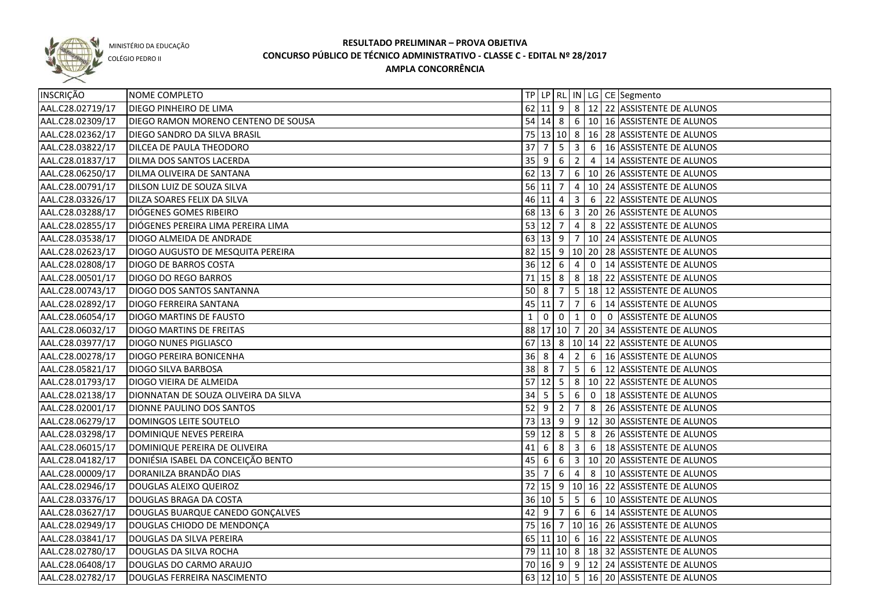

COLÉGIO PEDRO II

| INSCRIÇÃO        | NOME COMPLETO                        |                   |                     |                |                |                | TP   LP   RL   IN   LG   CE   Segmento           |
|------------------|--------------------------------------|-------------------|---------------------|----------------|----------------|----------------|--------------------------------------------------|
| AAL.C28.02719/17 | <b>DIEGO PINHEIRO DE LIMA</b>        |                   |                     |                |                |                | 62 11 9 8 12 22 ASSISTENTE DE ALUNOS             |
| AAL.C28.02309/17 | DIEGO RAMON MORENO CENTENO DE SOUSA  |                   |                     |                |                |                | 54 14 8 6 10 16 ASSISTENTE DE ALUNOS             |
| AAL.C28.02362/17 | <b>DIEGO SANDRO DA SILVA BRASIL</b>  |                   |                     |                |                |                | 75 13 10 8 16 28 ASSISTENTE DE ALUNOS            |
| AAL.C28.03822/17 | <b>DILCEA DE PAULA THEODORO</b>      | $37 \overline{7}$ |                     | $5^{\circ}$    |                |                | $3 \ 6 \ 16$ ASSISTENTE DE ALUNOS                |
| AAL.C28.01837/17 | <b>DILMA DOS SANTOS LACERDA</b>      |                   | $35 \mid 9 \mid 6$  |                |                |                | 2 4 14 ASSISTENTE DE ALUNOS                      |
| AAL.C28.06250/17 | DILMA OLIVEIRA DE SANTANA            |                   |                     |                |                |                | 62 13 7 6 10 26 ASSISTENTE DE ALUNOS             |
| AAL.C28.00791/17 | DILSON LUIZ DE SOUZA SILVA           |                   |                     |                |                |                | 56 11 7 4 10 24 ASSISTENTE DE ALUNOS             |
| AAL.C28.03326/17 | DILZA SOARES FELIX DA SILVA          |                   |                     |                |                |                | 46 11 4 3 6 22 ASSISTENTE DE ALUNOS              |
| AAL.C28.03288/17 | DIÓGENES GOMES RIBEIRO               |                   |                     |                |                |                | 68   13   6   3   20   26   ASSISTENTE DE ALUNOS |
| AAL.C28.02855/17 | DIÓGENES PEREIRA LIMA PEREIRA LIMA   |                   |                     |                |                |                | 53 12 7 4 8 22 ASSISTENTE DE ALUNOS              |
| AAL.C28.03538/17 | DIOGO ALMEIDA DE ANDRADE             |                   |                     |                |                |                | 63 13 9 7 10 24 ASSISTENTE DE ALUNOS             |
| AAL.C28.02623/17 | DIOGO AUGUSTO DE MESQUITA PEREIRA    |                   |                     |                |                |                | 82 15 9 10 20 28 ASSISTENTE DE ALUNOS            |
| AAL.C28.02808/17 | <b>DIOGO DE BARROS COSTA</b>         |                   |                     |                |                |                | 36 12 6 4 0 14 ASSISTENTE DE ALUNOS              |
| AAL.C28.00501/17 | <b>DIOGO DO REGO BARROS</b>          | 71                |                     |                |                |                | 15  8   8   18   22   ASSISTENTE DE ALUNOS       |
| AAL.C28.00743/17 | <b>DIOGO DOS SANTOS SANTANNA</b>     | $50 \mid 8$       |                     | $\overline{7}$ |                |                | 5   18   12   ASSISTENTE DE ALUNOS               |
| AAL.C28.02892/17 | <b>DIOGO FERREIRA SANTANA</b>        |                   | 45 11 7             |                | $\overline{7}$ | 6              | 14 ASSISTENTE DE ALUNOS                          |
| AAL.C28.06054/17 | <b>DIOGO MARTINS DE FAUSTO</b>       | $\mathbf{1}$      | $\Omega$            | $\overline{0}$ | $\mathbf{1}$   | $\overline{0}$ | 0 ASSISTENTE DE ALUNOS                           |
| AAL.C28.06032/17 | <b>DIOGO MARTINS DE FREITAS</b>      |                   |                     |                |                |                | 88 17 10 7 20 34 ASSISTENTE DE ALUNOS            |
| AAL.C28.03977/17 | <b>DIOGO NUNES PIGLIASCO</b>         | 67                |                     |                |                |                | 13  8   10   14   22   ASSISTENTE DE ALUNOS      |
| AAL.C28.00278/17 | DIOGO PEREIRA BONICENHA              | $36 \mid 8$       |                     | 4              | $\overline{2}$ | 6              | 16 ASSISTENTE DE ALUNOS                          |
| AAL.C28.05821/17 | <b>DIOGO SILVA BARBOSA</b>           | 38 8              |                     | 7              | 5 <sub>1</sub> | 6              | 12 ASSISTENTE DE ALUNOS                          |
| AAL.C28.01793/17 | DIOGO VIEIRA DE ALMEIDA              |                   | $57 \mid 12 \mid 5$ |                |                |                | 8   10   22   ASSISTENTE DE ALUNOS               |
| AAL.C28.02138/17 | DIONNATAN DE SOUZA OLIVEIRA DA SILVA | 34                | l 5                 | 5              | 6              | $\overline{0}$ | 18 ASSISTENTE DE ALUNOS                          |
| AAL.C28.02001/17 | DIONNE PAULINO DOS SANTOS            | 52                | l 9                 | $\overline{2}$ | 7              | 8              | 26 ASSISTENTE DE ALUNOS                          |
| AAL.C28.06279/17 | DOMINGOS LEITE SOUTELO               |                   | $73 \mid 13 \mid 9$ |                |                |                | 9 12 30 ASSISTENTE DE ALUNOS                     |
| AAL.C28.03298/17 | DOMINIQUE NEVES PEREIRA              |                   | $59$ 12 8           |                | 5              | 8              | 26 ASSISTENTE DE ALUNOS                          |
| AAL.C28.06015/17 | DOMINIQUE PEREIRA DE OLIVEIRA        | 41                | $\overline{6}$      | 8              | $\mathbf{3}$   | 6              | 18 ASSISTENTE DE ALUNOS                          |
| AAL.C28.04182/17 | DONIÉSIA ISABEL DA CONCEIÇÃO BENTO   | 45                | $\overline{6}$      | 6              |                |                | 3   10   20   ASSISTENTE DE ALUNOS               |
| AAL.C28.00009/17 | DORANILZA BRANDÃO DIAS               | $35 \mid 7$       |                     | 6              |                |                | 4 8 10 ASSISTENTE DE ALUNOS                      |
| AAL.C28.02946/17 | DOUGLAS ALEIXO QUEIROZ               |                   |                     |                |                |                | 72 15 9 10 16 22 ASSISTENTE DE ALUNOS            |
| AAL.C28.03376/17 | DOUGLAS BRAGA DA COSTA               |                   |                     |                |                |                | 36 10 5 5 6 10 ASSISTENTE DE ALUNOS              |
| AAL.C28.03627/17 | DOUGLAS BUARQUE CANEDO GONÇALVES     |                   |                     |                |                |                | 42 9 7 6 6 14 ASSISTENTE DE ALUNOS               |
| AAL.C28.02949/17 | DOUGLAS CHIODO DE MENDONÇA           |                   |                     |                |                |                | 75 16 7 10 16 26 ASSISTENTE DE ALUNOS            |
| AAL.C28.03841/17 | DOUGLAS DA SILVA PEREIRA             |                   |                     |                |                |                | 65 11 10 6 16 22 ASSISTENTE DE ALUNOS            |
| AAL.C28.02780/17 | DOUGLAS DA SILVA ROCHA               |                   |                     |                |                |                | 79 11 10 8 18 32 ASSISTENTE DE ALUNOS            |
| AAL.C28.06408/17 | DOUGLAS DO CARMO ARAUJO              |                   |                     |                |                |                | 70 16 9 9 12 24 ASSISTENTE DE ALUNOS             |
| AAL.C28.02782/17 | DOUGLAS FERREIRA NASCIMENTO          |                   |                     |                |                |                | 63 12 10 5 16 20 ASSISTENTE DE ALUNOS            |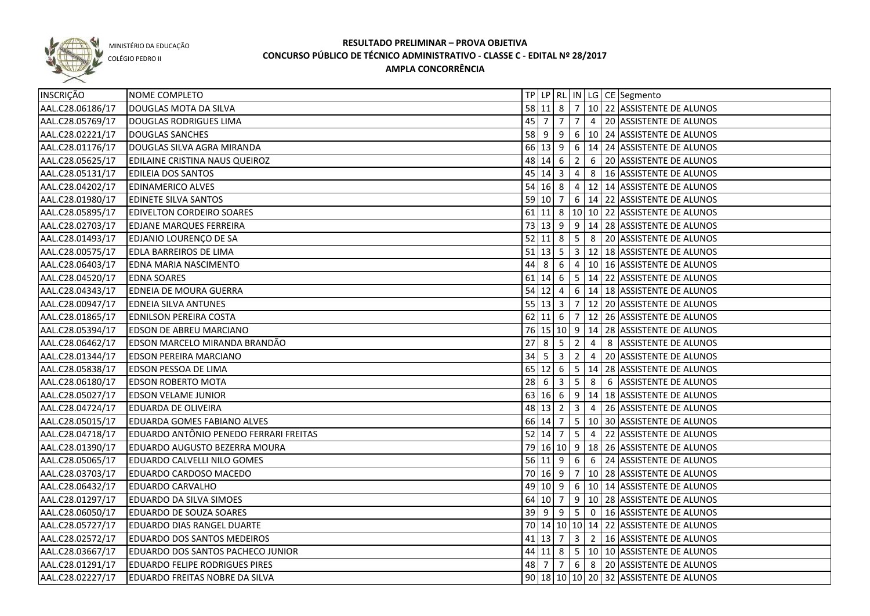

COLÉGIO PEDRO II

| INSCRIÇÃO        | NOME COMPLETO                          |                                  |                     |                         |                 |                 | TP   LP   RL   IN   LG   CE   Segmento               |
|------------------|----------------------------------------|----------------------------------|---------------------|-------------------------|-----------------|-----------------|------------------------------------------------------|
| AAL.C28.06186/17 | DOUGLAS MOTA DA SILVA                  |                                  | $58$ 11 8           |                         |                 |                 | $7   10   22  $ ASSISTENTE DE ALUNOS                 |
| AAL.C28.05769/17 | DOUGLAS RODRIGUES LIMA                 |                                  |                     | 45 7 7                  |                 |                 | 7 4 20 ASSISTENTE DE ALUNOS                          |
| AAL.C28.02221/17 | <b>DOUGLAS SANCHES</b>                 |                                  |                     |                         |                 |                 | 58 9 9 6 10 24 ASSISTENTE DE ALUNOS                  |
| AAL.C28.01176/17 | DOUGLAS SILVA AGRA MIRANDA             |                                  |                     |                         |                 |                 | 66 13 9 6 14 24 ASSISTENTE DE ALUNOS                 |
| AAL.C28.05625/17 | EDILAINE CRISTINA NAUS QUEIROZ         |                                  |                     |                         |                 |                 | 48 14 6 2 6 20 ASSISTENTE DE ALUNOS                  |
| AAL.C28.05131/17 | <b>EDILEIA DOS SANTOS</b>              |                                  |                     |                         |                 |                 | 45 14 3 4 8 16 ASSISTENTE DE ALUNOS                  |
| AAL.C28.04202/17 | <b>EDINAMERICO ALVES</b>               |                                  |                     |                         |                 |                 | 54 16 8 4 12 14 ASSISTENTE DE ALUNOS                 |
| AAL.C28.01980/17 | <b>EDINETE SILVA SANTOS</b>            |                                  | 59 10 7             |                         |                 |                 | $6 \mid 14 \mid 22$ ASSISTENTE DE ALUNOS             |
| AAL.C28.05895/17 | <b>EDIVELTON CORDEIRO SOARES</b>       |                                  |                     |                         |                 |                 | 61 11 8   10   10   22   ASSISTENTE DE ALUNOS        |
| AAL.C28.02703/17 | <b>EDJANE MARQUES FERREIRA</b>         |                                  |                     |                         |                 |                 | 73 13 9 9 14 28 ASSISTENTE DE ALUNOS                 |
| AAL.C28.01493/17 | EDJANIO LOURENÇO DE SA                 |                                  |                     |                         |                 |                 | 52 11 8 5 8 20 ASSISTENTE DE ALUNOS                  |
| AAL.C28.00575/17 | <b>EDLA BARREIROS DE LIMA</b>          |                                  |                     |                         |                 |                 | 51   13   5   3   12   18   ASSISTENTE DE ALUNOS     |
| AAL.C28.06403/17 | EDNA MARIA NASCIMENTO                  |                                  | 44 8                | 6                       |                 |                 | 4 10 16 ASSISTENTE DE ALUNOS                         |
| AAL.C28.04520/17 | <b>EDNA SOARES</b>                     |                                  | $61$ 14 6           |                         |                 |                 | $\vert$ 5 $\vert$ 14 $\vert$ 22 ASSISTENTE DE ALUNOS |
| AAL.C28.04343/17 | EDNEIA DE MOURA GUERRA                 |                                  | $54$ 12 4           |                         |                 |                 | 6   14   18   ASSISTENTE DE ALUNOS                   |
| AAL.C28.00947/17 | <b>EDNEIA SILVA ANTUNES</b>            |                                  | $55 \mid 13 \mid 3$ |                         |                 |                 | 7   12   20   ASSISTENTE DE ALUNOS                   |
| AAL.C28.01865/17 | <b>EDNILSON PEREIRA COSTA</b>          |                                  |                     |                         |                 |                 | 62 11 6 7 12 26 ASSISTENTE DE ALUNOS                 |
| AAL.C28.05394/17 | <b>EDSON DE ABREU MARCIANO</b>         |                                  |                     |                         |                 |                 | 76   15   10   9   14   28   ASSISTENTE DE ALUNOS    |
| AAL.C28.06462/17 | EDSON MARCELO MIRANDA BRANDÃO          | 27                               | 8                   | $5\phantom{.0}$         | $\overline{2}$  | $\overline{4}$  | 8 ASSISTENTE DE ALUNOS                               |
| AAL.C28.01344/17 | EDSON PEREIRA MARCIANO                 | $34 \overline{\smash{\big)}\ 5}$ |                     | $\overline{\mathbf{3}}$ | $\overline{2}$  | $\overline{4}$  | 20 ASSISTENTE DE ALUNOS                              |
| AAL.C28.05838/17 | EDSON PESSOA DE LIMA                   |                                  | 65 12 6             |                         | $\sqrt{5}$      |                 | 14 28 ASSISTENTE DE ALUNOS                           |
| AAL.C28.06180/17 | <b>EDSON ROBERTO MOTA</b>              | 28                               | -6                  | $\overline{\mathbf{3}}$ | $5\overline{)}$ | 8               | 6 ASSISTENTE DE ALUNOS                               |
| AAL.C28.05027/17 | <b>EDSON VELAME JUNIOR</b>             |                                  | 63 16 6             |                         | 9               |                 | 14 18 ASSISTENTE DE ALUNOS                           |
| AAL.C28.04724/17 | <b>EDUARDA DE OLIVEIRA</b>             |                                  | 48 13 2             |                         | $\overline{3}$  | $\overline{4}$  | 26 ASSISTENTE DE ALUNOS                              |
| AAL.C28.05015/17 | EDUARDA GOMES FABIANO ALVES            |                                  | 66 14 7             |                         | 5 <sup>1</sup>  |                 | 10 30 ASSISTENTE DE ALUNOS                           |
| AAL.C28.04718/17 | EDUARDO ANTÔNIO PENEDO FERRARI FREITAS |                                  | 52 14               | $\overline{7}$          | $5\overline{)}$ | $\overline{4}$  | 22 ASSISTENTE DE ALUNOS                              |
| AAL.C28.01390/17 | <b>EDUARDO AUGUSTO BEZERRA MOURA</b>   |                                  |                     |                         |                 |                 | 79 16 10 9 18 26 ASSISTENTE DE ALUNOS                |
| AAL.C28.05065/17 | EDUARDO CALVELLI NILO GOMES            |                                  | $56$ 11 9           |                         | 6               | $6\overline{6}$ | 24 ASSISTENTE DE ALUNOS                              |
| AAL.C28.03703/17 | EDUARDO CARDOSO MACEDO                 |                                  | 70 16 9             |                         | <b>7</b>        |                 | 10 28 ASSISTENTE DE ALUNOS                           |
| AAL.C28.06432/17 | <b>EDUARDO CARVALHO</b>                |                                  | 49 10 9             |                         |                 |                 | 6   10   14   ASSISTENTE DE ALUNOS                   |
| AAL.C28.01297/17 | EDUARDO DA SILVA SIMOES                |                                  | 64 10 7             |                         |                 |                 | 9   10   28   ASSISTENTE DE ALUNOS                   |
| AAL.C28.06050/17 | <b>EDUARDO DE SOUZA SOARES</b>         |                                  |                     |                         |                 |                 | 39 9 9 5 0 16 ASSISTENTE DE ALUNOS                   |
| AAL.C28.05727/17 | <b>EDUARDO DIAS RANGEL DUARTE</b>      |                                  |                     |                         |                 |                 | 70 14 10 10 14 22 ASSISTENTE DE ALUNOS               |
| AAL.C28.02572/17 | <b>EDUARDO DOS SANTOS MEDEIROS</b>     |                                  |                     |                         |                 |                 | 41 13 7 3 2 16 ASSISTENTE DE ALUNOS                  |
| AAL.C28.03667/17 | EDUARDO DOS SANTOS PACHECO JUNIOR      |                                  |                     |                         |                 |                 | 44 11 8 5 10 10 ASSISTENTE DE ALUNOS                 |
| AAL.C28.01291/17 | <b>EDUARDO FELIPE RODRIGUES PIRES</b>  |                                  | 48 7                | $\overline{7}$          |                 |                 | 6 8 20 ASSISTENTE DE ALUNOS                          |
| AAL.C28.02227/17 | EDUARDO FREITAS NOBRE DA SILVA         |                                  |                     |                         |                 |                 | 90 18 10 10 20 32 ASSISTENTE DE ALUNOS               |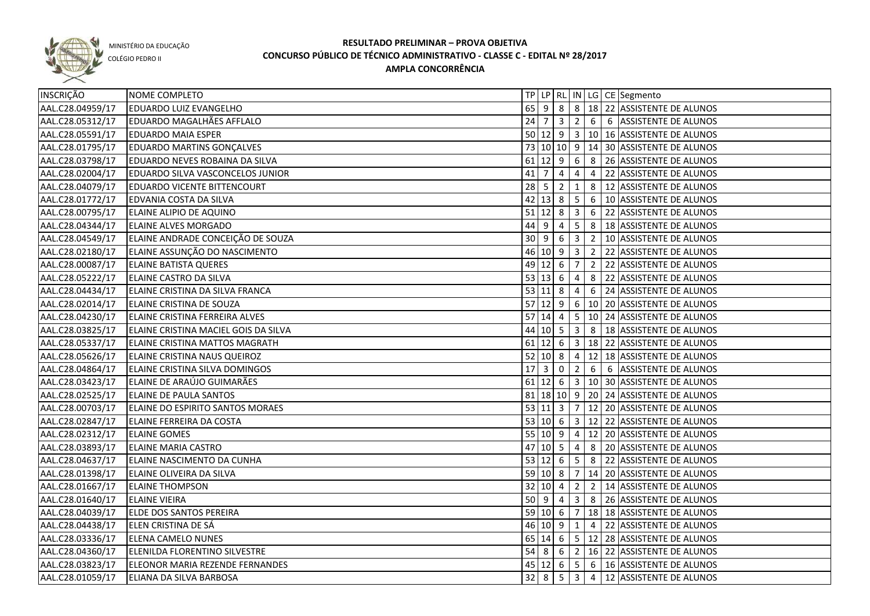

COLÉGIO PEDRO II

| INSCRIÇÃO        | NOME COMPLETO                           |             |                                  |                                  |                            |                 | TP   LP   RL   IN   LG   CE   Segmento           |
|------------------|-----------------------------------------|-------------|----------------------------------|----------------------------------|----------------------------|-----------------|--------------------------------------------------|
| AAL.C28.04959/17 | <b>EDUARDO LUIZ EVANGELHO</b>           |             | $65$   9                         | 8                                |                            |                 | 8   18   22   ASSISTENTE DE ALUNOS               |
| AAL.C28.05312/17 | <b>EDUARDO MAGALHÃES AFFLALO</b>        |             | $24 \mid 7 \mid 3$               |                                  |                            |                 | 2 6 6 ASSISTENTE DE ALUNOS                       |
| AAL.C28.05591/17 | <b>EDUARDO MAIA ESPER</b>               |             |                                  |                                  |                            |                 | 50 12 9 3 10 16 ASSISTENTE DE ALUNOS             |
| AAL.C28.01795/17 | <b>EDUARDO MARTINS GONÇALVES</b>        |             |                                  |                                  |                            |                 | 73 10 10 9 14 30 ASSISTENTE DE ALUNOS            |
| AAL.C28.03798/17 | EDUARDO NEVES ROBAINA DA SILVA          |             |                                  |                                  |                            |                 | 61 12 9 6 8 26 ASSISTENTE DE ALUNOS              |
| AAL.C28.02004/17 | <b>EDUARDO SILVA VASCONCELOS JUNIOR</b> |             | $41 \mid 7$                      | $\overline{4}$                   | $\overline{4}$             | $\overline{4}$  | 22 ASSISTENTE DE ALUNOS                          |
| AAL.C28.04079/17 | <b>EDUARDO VICENTE BITTENCOURT</b>      |             | $28 \mid 5$                      | $\overline{2}$                   | 1                          |                 | 8   12 ASSISTENTE DE ALUNOS                      |
| AAL.C28.01772/17 | EDVANIA COSTA DA SILVA                  |             |                                  |                                  |                            |                 | 42 13 8 5 6 10 ASSISTENTE DE ALUNOS              |
| AAL.C28.00795/17 | ELAINE ALIPIO DE AQUINO                 | $51$ 12 8   |                                  |                                  | 3                          |                 | 6 22 ASSISTENTE DE ALUNOS                        |
| AAL.C28.04344/17 | <b>ELAINE ALVES MORGADO</b>             | $44 \mid 9$ |                                  | $\overline{4}$                   | 5 <sup>1</sup>             |                 | 8   18 ASSISTENTE DE ALUNOS                      |
| AAL.C28.04549/17 | ELAINE ANDRADE CONCEIÇÃO DE SOUZA       | 30 9        |                                  | 6                                | 3                          | $\overline{2}$  | 10 ASSISTENTE DE ALUNOS                          |
| AAL.C28.02180/17 | ELAINE ASSUNÇÃO DO NASCIMENTO           |             | $46 \ 10 \ 9$                    |                                  | 3 <sup>1</sup>             |                 | 2 22 ASSISTENTE DE ALUNOS                        |
| AAL.C28.00087/17 | <b>ELAINE BATISTA QUERES</b>            |             | 49 12 6                          |                                  | $\overline{7}$             | $\overline{2}$  | 22 ASSISTENTE DE ALUNOS                          |
| AAL.C28.05222/17 | ELAINE CASTRO DA SILVA                  |             | $53 \ 13 \ 6$                    |                                  | 4                          | 8               | 22 ASSISTENTE DE ALUNOS                          |
| AAL.C28.04434/17 | ELAINE CRISTINA DA SILVA FRANCA         |             | 53   11   8                      |                                  | $\overline{4}$             | $6\phantom{1}6$ | 24 ASSISTENTE DE ALUNOS                          |
| AAL.C28.02014/17 | <b>ELAINE CRISTINA DE SOUZA</b>         | $57$ 12 9   |                                  |                                  |                            |                 | 6   10   20 ASSISTENTE DE ALUNOS                 |
| AAL.C28.04230/17 | ELAINE CRISTINA FERREIRA ALVES          | 57          | 14                               | $\overline{4}$                   | 5 <sup>5</sup>             |                 | 10 24 ASSISTENTE DE ALUNOS                       |
| AAL.C28.03825/17 | ELAINE CRISTINA MACIEL GOIS DA SILVA    |             | 44 10 5                          |                                  | $\overline{3}$             | 8               | 18 ASSISTENTE DE ALUNOS                          |
| AAL.C28.05337/17 | ELAINE CRISTINA MATTOS MAGRATH          |             | $61$ 12 6                        |                                  | 3 <sup>1</sup>             |                 | 18 22 ASSISTENTE DE ALUNOS                       |
| AAL.C28.05626/17 | ELAINE CRISTINA NAUS QUEIROZ            |             | $52 \ 10 \ 8$                    |                                  | $\overline{4}$             |                 | 12 18 ASSISTENTE DE ALUNOS                       |
| AAL.C28.04864/17 | ELAINE CRISTINA SILVA DOMINGOS          | 17          | l 3                              | $\mathbf 0$                      | $\overline{2}$             | 6               | 6 ASSISTENTE DE ALUNOS                           |
| AAL.C28.03423/17 | ELAINE DE ARAÚJO GUIMARÃES              |             | $61$   12                        | $6\overline{6}$                  | $\overline{\phantom{a}}$ 3 |                 | 10 30 ASSISTENTE DE ALUNOS                       |
| AAL.C28.02525/17 | <b>ELAINE DE PAULA SANTOS</b>           |             |                                  | $81 \,   18 \,   10 \,   9 \,  $ |                            |                 | 20 24 ASSISTENTE DE ALUNOS                       |
| AAL.C28.00703/17 | ELAINE DO ESPIRITO SANTOS MORAES        | 53   11   3 |                                  |                                  | $\overline{7}$             |                 | 12 20 ASSISTENTE DE ALUNOS                       |
| AAL.C28.02847/17 | <b>ELAINE FERREIRA DA COSTA</b>         |             | 53   10   6                      |                                  | 3                          |                 | 12 22 ASSISTENTE DE ALUNOS                       |
| AAL.C28.02312/17 | <b>ELAINE GOMES</b>                     | 55 10 9     |                                  |                                  | $\overline{4}$             |                 | 12   20 ASSISTENTE DE ALUNOS                     |
| AAL.C28.03893/17 | <b>ELAINE MARIA CASTRO</b>              | 47          | $10 \overline{\smash{\big)} }$ 5 |                                  | 4                          | 8               | 20 ASSISTENTE DE ALUNOS                          |
| AAL.C28.04637/17 | ELAINE NASCIMENTO DA CUNHA              |             | $53 \ 12 \ 6$                    |                                  | $5\phantom{.0}$            | 8               | 22 ASSISTENTE DE ALUNOS                          |
| AAL.C28.01398/17 | ELAINE OLIVEIRA DA SILVA                |             | 59 10 8                          |                                  | 7 <sup>7</sup>             |                 | 14 20 ASSISTENTE DE ALUNOS                       |
| AAL.C28.01667/17 | <b>ELAINE THOMPSON</b>                  |             | 32   10   4                      |                                  | $\overline{2}$             |                 | 2   14 ASSISTENTE DE ALUNOS                      |
| AAL.C28.01640/17 | <b>ELAINE VIEIRA</b>                    |             | $50 \mid 9 \mid 4$               |                                  |                            |                 | 3 8 26 ASSISTENTE DE ALUNOS                      |
| AAL.C28.04039/17 | ELDE DOS SANTOS PEREIRA                 |             | $59$ 10 6                        |                                  | $\overline{7}$             |                 | 18 18 ASSISTENTE DE ALUNOS                       |
| AAL.C28.04438/17 | ELEN CRISTINA DE SÁ                     |             |                                  | $46$ 10 9 1                      |                            |                 | 4 22 ASSISTENTE DE ALUNOS                        |
| AAL.C28.03336/17 | <b>ELENA CAMELO NUNES</b>               |             |                                  |                                  |                            |                 | 65   14   6   5   12   28   ASSISTENTE DE ALUNOS |
| AAL.C28.04360/17 | ELENILDA FLORENTINO SILVESTRE           |             |                                  |                                  |                            |                 | 54 8 6 2 16 22 ASSISTENTE DE ALUNOS              |
| AAL.C28.03823/17 | ELEONOR MARIA REZENDE FERNANDES         |             |                                  | 45 12 6                          |                            |                 | $5 \mid 6 \mid 16$ ASSISTENTE DE ALUNOS          |
| AAL.C28.01059/17 | <b>ELIANA DA SILVA BARBOSA</b>          |             | $32 \mid 8$                      |                                  |                            |                 | 5 3 4 12 ASSISTENTE DE ALUNOS                    |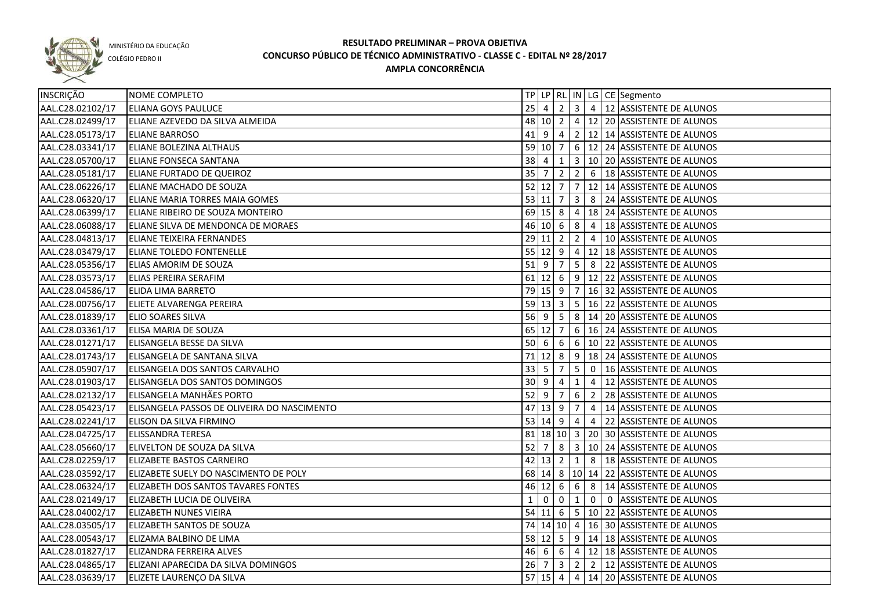

COLÉGIO PEDRO II

| <b>INSCRIÇÃO</b> | NOME COMPLETO                               |              |                                              |                |                 |                         | TP   LP   RL   IN   LG   CE   Segmento                                                                                                                                                                                                                                                                                                                                               |
|------------------|---------------------------------------------|--------------|----------------------------------------------|----------------|-----------------|-------------------------|--------------------------------------------------------------------------------------------------------------------------------------------------------------------------------------------------------------------------------------------------------------------------------------------------------------------------------------------------------------------------------------|
| AAL.C28.02102/17 | <b>ELIANA GOYS PAULUCE</b>                  | 25           | $\overline{4}$                               | $\overline{2}$ |                 |                         | $\vert 3 \vert 4 \vert 12 \vert$ ASSISTENTE DE ALUNOS                                                                                                                                                                                                                                                                                                                                |
| AAL.C28.02499/17 | ELIANE AZEVEDO DA SILVA ALMEIDA             |              |                                              |                |                 |                         | 48 10 2 4 12 20 ASSISTENTE DE ALUNOS                                                                                                                                                                                                                                                                                                                                                 |
| AAL.C28.05173/17 | <b>ELIANE BARROSO</b>                       |              | $41 \mid 9 \mid 4$                           |                |                 |                         | 2 12 14 ASSISTENTE DE ALUNOS                                                                                                                                                                                                                                                                                                                                                         |
| AAL.C28.03341/17 | <b>ELIANE BOLEZINA ALTHAUS</b>              |              |                                              |                |                 |                         | 59 10 7 6 12 24 ASSISTENTE DE ALUNOS                                                                                                                                                                                                                                                                                                                                                 |
| AAL.C28.05700/17 | <b>ELIANE FONSECA SANTANA</b>               |              | $38 \mid 4 \mid 1$                           |                |                 |                         | 3   10   20   ASSISTENTE DE ALUNOS                                                                                                                                                                                                                                                                                                                                                   |
| AAL.C28.05181/17 | <b>ELIANE FURTADO DE QUEIROZ</b>            |              | $35 \mid 7 \mid 2$                           |                |                 |                         | $26$ 18 ASSISTENTE DE ALUNOS                                                                                                                                                                                                                                                                                                                                                         |
| AAL.C28.06226/17 | <b>ELIANE MACHADO DE SOUZA</b>              |              |                                              |                |                 |                         | 52 12 7 7 12 14 ASSISTENTE DE ALUNOS                                                                                                                                                                                                                                                                                                                                                 |
| AAL.C28.06320/17 | ELIANE MARIA TORRES MAIA GOMES              |              | 53 11 7                                      |                |                 |                         | 3 8 24 ASSISTENTE DE ALUNOS                                                                                                                                                                                                                                                                                                                                                          |
| AAL.C28.06399/17 | ELIANE RIBEIRO DE SOUZA MONTEIRO            |              |                                              |                |                 |                         | 69 15 8 4 18 24 ASSISTENTE DE ALUNOS                                                                                                                                                                                                                                                                                                                                                 |
| AAL.C28.06088/17 | ELIANE SILVA DE MENDONCA DE MORAES          |              |                                              |                |                 |                         | 46 10 6 8 4 18 ASSISTENTE DE ALUNOS                                                                                                                                                                                                                                                                                                                                                  |
| AAL.C28.04813/17 | <b>ELIANE TEIXEIRA FERNANDES</b>            |              |                                              |                |                 |                         | 29 11 2 2 4 10 ASSISTENTE DE ALUNOS                                                                                                                                                                                                                                                                                                                                                  |
| AAL.C28.03479/17 | <b>ELIANE TOLEDO FONTENELLE</b>             |              |                                              |                |                 |                         | 55 12 9 4 12 18 ASSISTENTE DE ALUNOS                                                                                                                                                                                                                                                                                                                                                 |
| AAL.C28.05356/17 | <b>ELIAS AMORIM DE SOUZA</b>                | $51$ 9       |                                              | $\overline{7}$ |                 |                         | 5 8 22 ASSISTENTE DE ALUNOS                                                                                                                                                                                                                                                                                                                                                          |
| AAL.C28.03573/17 | <b>ELIAS PEREIRA SERAFIM</b>                |              |                                              |                |                 |                         | 61 12 6 9 12 22 ASSISTENTE DE ALUNOS                                                                                                                                                                                                                                                                                                                                                 |
| AAL.C28.04586/17 | <b>ELIDA LIMA BARRETO</b>                   |              |                                              |                |                 |                         | 79 15 9 7 16 32 ASSISTENTE DE ALUNOS                                                                                                                                                                                                                                                                                                                                                 |
| AAL.C28.00756/17 | <b>ELIETE ALVARENGA PEREIRA</b>             |              |                                              |                |                 |                         | 59 13 3 5 16 22 ASSISTENTE DE ALUNOS                                                                                                                                                                                                                                                                                                                                                 |
| AAL.C28.01839/17 | <b>ELIO SOARES SILVA</b>                    | $56$   9     |                                              | $5^{\circ}$    |                 |                         | 8   14   20   ASSISTENTE DE ALUNOS                                                                                                                                                                                                                                                                                                                                                   |
| AAL.C28.03361/17 | ELISA MARIA DE SOUZA                        |              | 65 12 7                                      |                |                 |                         | 6   16   24   ASSISTENTE DE ALUNOS                                                                                                                                                                                                                                                                                                                                                   |
| AAL.C28.01271/17 | ELISANGELA BESSE DA SILVA                   | $50$ 6       |                                              | 6              |                 |                         | 6   10   22   ASSISTENTE DE ALUNOS                                                                                                                                                                                                                                                                                                                                                   |
| AAL.C28.01743/17 | ELISANGELA DE SANTANA SILVA                 | 71           | $12 \mid 8$                                  |                | 9               |                         | 18 24 ASSISTENTE DE ALUNOS                                                                                                                                                                                                                                                                                                                                                           |
| AAL.C28.05907/17 | ELISANGELA DOS SANTOS CARVALHO              | 33           | - 5                                          | 7              | 5 <sub>1</sub>  | $\overline{\mathbf{0}}$ | 16 ASSISTENTE DE ALUNOS                                                                                                                                                                                                                                                                                                                                                              |
| AAL.C28.01903/17 | ELISANGELA DOS SANTOS DOMINGOS              | $30 \mid 9$  |                                              | 4              | $\mathbf{1}$    | $\overline{4}$          | 12 ASSISTENTE DE ALUNOS                                                                                                                                                                                                                                                                                                                                                              |
| AAL.C28.02132/17 | ELISANGELA MANHÃES PORTO                    | $52$ 9       |                                              | 7              | $6\overline{6}$ | $\vert$ 2               | 28 ASSISTENTE DE ALUNOS                                                                                                                                                                                                                                                                                                                                                              |
| AAL.C28.05423/17 | ELISANGELA PASSOS DE OLIVEIRA DO NASCIMENTO | 47           |                                              |                | 7               | $\overline{4}$          | 14 ASSISTENTE DE ALUNOS                                                                                                                                                                                                                                                                                                                                                              |
| AAL.C28.02241/17 | <b>ELISON DA SILVA FIRMINO</b>              |              | $53 \ 14 \ 9$                                |                | $\overline{4}$  | $\overline{4}$          | 22 ASSISTENTE DE ALUNOS                                                                                                                                                                                                                                                                                                                                                              |
| AAL.C28.04725/17 | <b>ELISSANDRA TERESA</b>                    |              |                                              |                |                 |                         | 81   18   10   3   20   30   ASSISTENTE DE ALUNOS                                                                                                                                                                                                                                                                                                                                    |
| AAL.C28.05660/17 | <b>ELIVELTON DE SOUZA DA SILVA</b>          | 52           | l 7                                          | 8              |                 |                         | 3 10 24 ASSISTENTE DE ALUNOS                                                                                                                                                                                                                                                                                                                                                         |
| AAL.C28.02259/17 | <b>ELIZABETE BASTOS CARNEIRO</b>            |              | $42 \begin{array}{ c c } 13 & 2 \end{array}$ |                | $\mathbf{1}$    |                         | 8   18 ASSISTENTE DE ALUNOS                                                                                                                                                                                                                                                                                                                                                          |
| AAL.C28.03592/17 | ELIZABETE SUELY DO NASCIMENTO DE POLY       |              |                                              |                |                 |                         | 68 14 8 10 14 22 ASSISTENTE DE ALUNOS                                                                                                                                                                                                                                                                                                                                                |
| AAL.C28.06324/17 | ELIZABETH DOS SANTOS TAVARES FONTES         |              |                                              |                |                 |                         | 46 12 6 6 8 14 ASSISTENTE DE ALUNOS                                                                                                                                                                                                                                                                                                                                                  |
| AAL.C28.02149/17 | <b>ELIZABETH LUCIA DE OLIVEIRA</b>          | $\mathbf{1}$ |                                              |                |                 |                         | $\overline{0}$ $\overline{0}$ $\overline{1}$ $\overline{0}$ $\overline{1}$ $\overline{0}$ $\overline{0}$ $\overline{0}$ $\overline{0}$ $\overline{0}$ $\overline{1}$ $\overline{0}$ $\overline{1}$ $\overline{0}$ $\overline{1}$ $\overline{0}$ $\overline{1}$ $\overline{0}$ $\overline{1}$ $\overline{0}$ $\overline{1}$ $\overline{0}$ $\overline{1}$ $\overline{0}$ $\overline{$ |
| AAL.C28.04002/17 | <b>ELIZABETH NUNES VIEIRA</b>               |              |                                              |                |                 |                         | 54 11 6 5 10 22 ASSISTENTE DE ALUNOS                                                                                                                                                                                                                                                                                                                                                 |
| AAL.C28.03505/17 | <b>ELIZABETH SANTOS DE SOUZA</b>            |              |                                              |                |                 |                         | 74 14 10 4 16 30 ASSISTENTE DE ALUNOS                                                                                                                                                                                                                                                                                                                                                |
| AAL.C28.00543/17 | ELIZAMA BALBINO DE LIMA                     |              |                                              |                |                 |                         | 58 12 5 9 14 18 ASSISTENTE DE ALUNOS                                                                                                                                                                                                                                                                                                                                                 |
| AAL.C28.01827/17 | <b>ELIZANDRA FERREIRA ALVES</b>             |              |                                              |                |                 |                         | 46 6 6 4 12 18 ASSISTENTE DE ALUNOS                                                                                                                                                                                                                                                                                                                                                  |
| AAL.C28.04865/17 | ELIZANI APARECIDA DA SILVA DOMINGOS         | $26$   7     |                                              |                |                 |                         | $3 \mid 2 \mid 2 \mid 12$ ASSISTENTE DE ALUNOS                                                                                                                                                                                                                                                                                                                                       |
| AAL.C28.03639/17 | ELIZETE LAURENÇO DA SILVA                   |              |                                              |                |                 |                         | 57 15 4 4 14 20 ASSISTENTE DE ALUNOS                                                                                                                                                                                                                                                                                                                                                 |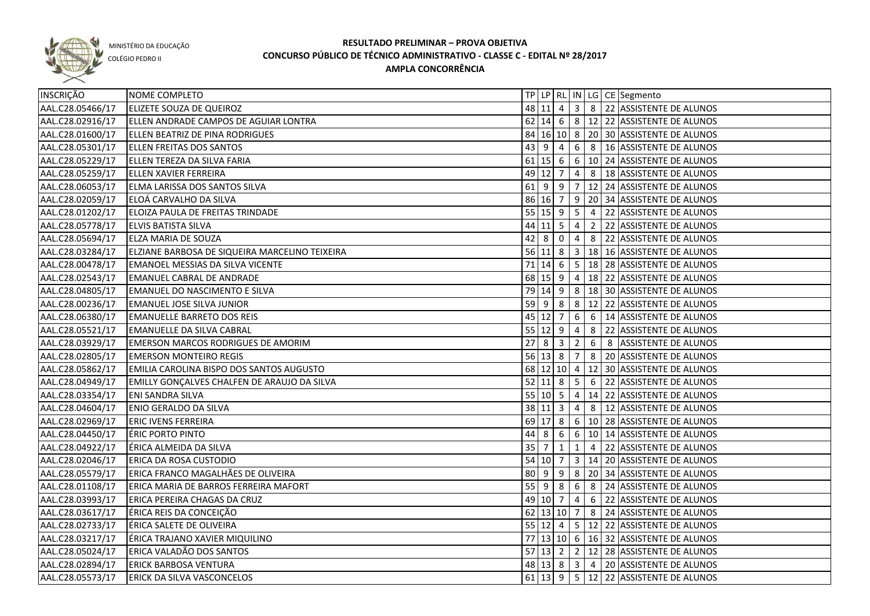

COLÉGIO PEDRO II

| INSCRIÇÃO        | NOME COMPLETO                                      |             |                  |                         |                |   | TP   LP   RL   IN   LG   CE   Segmento               |
|------------------|----------------------------------------------------|-------------|------------------|-------------------------|----------------|---|------------------------------------------------------|
| AAL.C28.05466/17 | <b>ELIZETE SOUZA DE QUEIROZ</b>                    |             |                  |                         |                |   | 48 11 4 3 8 22 ASSISTENTE DE ALUNOS                  |
| AAL.C28.02916/17 | ELLEN ANDRADE CAMPOS DE AGUIAR LONTRA              |             |                  |                         |                |   | 62 14 6 8 12 22 ASSISTENTE DE ALUNOS                 |
| AAL.C28.01600/17 | ELLEN BEATRIZ DE PINA RODRIGUES                    |             |                  |                         |                |   | 84 16 10 8 20 30 ASSISTENTE DE ALUNOS                |
| AAL.C28.05301/17 | <b>ELLEN FREITAS DOS SANTOS</b>                    |             |                  |                         |                |   | 43 9 4 6 8 16 ASSISTENTE DE ALUNOS                   |
| AAL.C28.05229/17 | ELLEN TEREZA DA SILVA FARIA                        |             |                  |                         |                |   | 61 15 6 6 10 24 ASSISTENTE DE ALUNOS                 |
| AAL.C28.05259/17 | <b>ELLEN XAVIER FERREIRA</b>                       |             |                  |                         |                |   | 49 12 7 4 8 18 ASSISTENTE DE ALUNOS                  |
| AAL.C28.06053/17 | ELMA LARISSA DOS SANTOS SILVA                      |             |                  |                         |                |   | 61 9 9 7 12 24 ASSISTENTE DE ALUNOS                  |
| AAL.C28.02059/17 | ELOÁ CARVALHO DA SILVA                             |             |                  |                         |                |   | 86 16 7 9 20 34 ASSISTENTE DE ALUNOS                 |
| AAL.C28.01202/17 | ELOIZA PAULA DE FREITAS TRINDADE                   |             |                  |                         |                |   | 55   15   9   5   4   22   ASSISTENTE DE ALUNOS      |
| AAL.C28.05778/17 | <b>ELVIS BATISTA SILVA</b>                         |             |                  |                         |                |   | 44 11 5 4 2 22 ASSISTENTE DE ALUNOS                  |
| AAL.C28.05694/17 | <b>ELZA MARIA DE SOUZA</b>                         |             | $42 \ 8 \ 0 \ 4$ |                         |                |   | 8 22 ASSISTENTE DE ALUNOS                            |
| AAL.C28.03284/17 | ELZIANE BARBOSA DE SIQUEIRA MARCELINO TEIXEIRA     |             |                  |                         |                |   | 56 11 8 3 18 16 ASSISTENTE DE ALUNOS                 |
| AAL.C28.00478/17 | <b>EMANOEL MESSIAS DA SILVA VICENTE</b>            |             |                  |                         |                |   | 71 14 6 5 18 28 ASSISTENTE DE ALUNOS                 |
| AAL.C28.02543/17 | <b>EMANUEL CABRAL DE ANDRADE</b>                   |             | 68 15 9 4        |                         |                |   | 18 22 ASSISTENTE DE ALUNOS                           |
| AAL.C28.04805/17 | EMANUEL DO NASCIMENTO E SILVA                      |             |                  |                         |                |   | 79 14 9 8 18 30 ASSISTENTE DE ALUNOS                 |
| AAL.C28.00236/17 | <b>EMANUEL JOSE SILVA JUNIOR</b>                   | $59$ 9      |                  |                         | 8 8            |   | 12 22 ASSISTENTE DE ALUNOS                           |
| AAL.C28.06380/17 | <b>EMANUELLE BARRETO DOS REIS</b>                  |             | $45$ 12 7 6      |                         |                |   | 6   14 ASSISTENTE DE ALUNOS                          |
| AAL.C28.05521/17 | <b>EMANUELLE DA SILVA CABRAL</b>                   |             | $55$ 12 9 4      |                         |                | 8 | 22 ASSISTENTE DE ALUNOS                              |
| AAL.C28.03929/17 | <b>EMERSON MARCOS RODRIGUES DE AMORIM</b>          | 27          | 8                | $\overline{\mathbf{3}}$ | $\overline{2}$ | 6 | 8 ASSISTENTE DE ALUNOS                               |
| AAL.C28.02805/17 | <b>EMERSON MONTEIRO REGIS</b>                      |             | 56 13 8 7        |                         |                | 8 | 20 ASSISTENTE DE ALUNOS                              |
| AAL.C28.05862/17 | EMILIA CAROLINA BISPO DOS SANTOS AUGUSTO           |             |                  |                         |                |   | 68 12 10 4 12 30 ASSISTENTE DE ALUNOS                |
| AAL.C28.04949/17 | <b>EMILLY GONÇALVES CHALFEN DE ARAUJO DA SILVA</b> |             | $52$ 11 8        |                         | 5 <sub>5</sub> | 6 | 22 ASSISTENTE DE ALUNOS                              |
| AAL.C28.03354/17 | <b>ENI SANDRA SILVA</b>                            |             | 55   10   5      |                         | $\overline{4}$ |   | 14 22 ASSISTENTE DE ALUNOS                           |
| AAL.C28.04604/17 | <b>ENIO GERALDO DA SILVA</b>                       |             | 38 11 3          |                         | $\overline{4}$ | 8 | 12 ASSISTENTE DE ALUNOS                              |
| AAL.C28.02969/17 | <b>ERIC IVENS FERREIRA</b>                         |             | 69 17 8          |                         |                |   | 6   10   28   ASSISTENTE DE ALUNOS                   |
| AAL.C28.04450/17 | <b>ÉRIC PORTO PINTO</b>                            | 44          | 8                | -6                      | 6 <sup>1</sup> |   | 10 14 ASSISTENTE DE ALUNOS                           |
| AAL.C28.04922/17 | ÉRICA ALMEIDA DA SILVA                             | 35          |                  | 1                       | 1              | 4 | 22 ASSISTENTE DE ALUNOS                              |
| AAL.C28.02046/17 | <b>ERICA DA ROSA CUSTODIO</b>                      |             | 54 10 7          |                         |                |   | $\vert$ 3 $\vert$ 14 $\vert$ 20 ASSISTENTE DE ALUNOS |
| AAL.C28.05579/17 | ERICA FRANCO MAGALHÃES DE OLIVEIRA                 | $80 \mid 9$ |                  |                         |                |   | 9 8 20 34 ASSISTENTE DE ALUNOS                       |
| AAL.C28.01108/17 | ERICA MARIA DE BARROS FERREIRA MAFORT              |             | 55   9   8   6   |                         |                |   | 8 24 ASSISTENTE DE ALUNOS                            |
| AAL.C28.03993/17 | ERICA PEREIRA CHAGAS DA CRUZ                       |             | 49 10 7          |                         | $\overline{4}$ |   | 6 22 ASSISTENTE DE ALUNOS                            |
| AAL.C28.03617/17 | ÉRICA REIS DA CONCEIÇÃO                            |             |                  |                         |                |   | 62 13 10 7 8 24 ASSISTENTE DE ALUNOS                 |
| AAL.C28.02733/17 | ÉRICA SALETE DE OLIVEIRA                           |             |                  |                         |                |   | 55 12 4 5 12 22 ASSISTENTE DE ALUNOS                 |
| AAL.C28.03217/17 | ÉRICA TRAJANO XAVIER MIQUILINO                     |             |                  |                         |                |   | 77 13 10 6 16 32 ASSISTENTE DE ALUNOS                |
| AAL.C28.05024/17 | ERICA VALADÃO DOS SANTOS                           |             |                  |                         |                |   | 57 13 2 2 2 12 28 ASSISTENTE DE ALUNOS               |
| AAL.C28.02894/17 | <b>ERICK BARBOSA VENTURA</b>                       |             |                  |                         |                |   | 48 13 8 3 4 20 ASSISTENTE DE ALUNOS                  |
| AAL.C28.05573/17 | ERICK DA SILVA VASCONCELOS                         |             |                  |                         |                |   | 61 13 9 5 12 22 ASSISTENTE DE ALUNOS                 |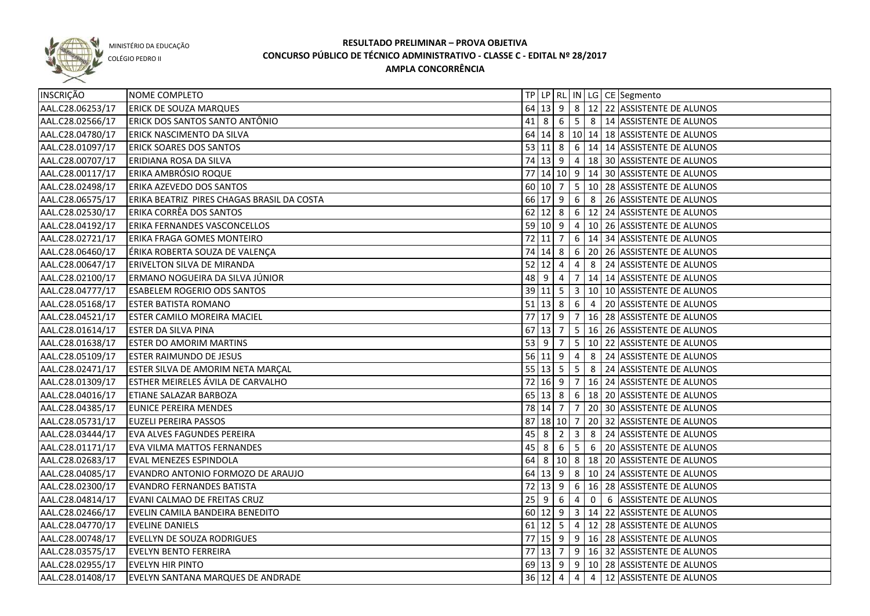

COLÉGIO PEDRO II

| INSCRIÇÃO        | NOME COMPLETO                              |    |                      |                |                 |            | TP   LP   RL   IN   LG   CE   Segmento    |
|------------------|--------------------------------------------|----|----------------------|----------------|-----------------|------------|-------------------------------------------|
| AAL.C28.06253/17 | <b>ERICK DE SOUZA MARQUES</b>              |    |                      |                |                 |            | 64 13 9 8 12 22 ASSISTENTE DE ALUNOS      |
| AAL.C28.02566/17 | ERICK DOS SANTOS SANTO ANTÔNIO             |    |                      |                |                 |            | 41 8 6 5 8 14 ASSISTENTE DE ALUNOS        |
| AAL.C28.04780/17 | ERICK NASCIMENTO DA SILVA                  |    |                      |                |                 |            | 64 14 8 10 14 18 ASSISTENTE DE ALUNOS     |
| AAL.C28.01097/17 | <b>ERICK SOARES DOS SANTOS</b>             |    |                      |                |                 |            | 53 11 8 6 14 14 ASSISTENTE DE ALUNOS      |
| AAL.C28.00707/17 | ERIDIANA ROSA DA SILVA                     |    |                      |                |                 |            | 74 13 9 4 18 30 ASSISTENTE DE ALUNOS      |
| AAL.C28.00117/17 | <b>ERIKA AMBRÓSIO ROQUE</b>                |    |                      |                |                 |            | 77 14 10 9 14 30 ASSISTENTE DE ALUNOS     |
| AAL.C28.02498/17 | ERIKA AZEVEDO DOS SANTOS                   |    |                      |                |                 |            | 60 10 7 5 10 28 ASSISTENTE DE ALUNOS      |
| AAL.C28.06575/17 | ERIKA BEATRIZ PIRES CHAGAS BRASIL DA COSTA |    |                      |                |                 |            | 66 17 9 6 8 26 ASSISTENTE DE ALUNOS       |
| AAL.C28.02530/17 | ERIKA CORRÊA DOS SANTOS                    |    |                      |                |                 |            | 62 12 8 6 12 24 ASSISTENTE DE ALUNOS      |
| AAL.C28.04192/17 | <b>ERIKA FERNANDES VASCONCELLOS</b>        |    |                      |                |                 |            | 59 10 9 4 10 26 ASSISTENTE DE ALUNOS      |
| AAL.C28.02721/17 | ERIKA FRAGA GOMES MONTEIRO                 |    | 72 11                | $\overline{7}$ |                 |            | 6   14   34   ASSISTENTE DE ALUNOS        |
| AAL.C28.06460/17 | ÉRIKA ROBERTA SOUZA DE VALENÇA             | 74 | $14 \mid 8$          |                |                 |            | 6 20 26 ASSISTENTE DE ALUNOS              |
| AAL.C28.00647/17 | <b>ERIVELTON SILVA DE MIRANDA</b>          |    | $52$ 12              | 4              | 4               |            | 8 24 ASSISTENTE DE ALUNOS                 |
| AAL.C28.02100/17 | ERMANO NOGUEIRA DA SILVA JÚNIOR            |    | 48 9                 | 4              | 7 <sup>7</sup>  |            | 14 14 ASSISTENTE DE ALUNOS                |
| AAL.C28.04777/17 | <b>ESABELEM ROGERIO ODS SANTOS</b>         |    | 39 11 5              |                | $\vert$ 3       |            | 10 10 ASSISTENTE DE ALUNOS                |
| AAL.C28.05168/17 | <b>ESTER BATISTA ROMANO</b>                |    | $51$ 13 8            |                |                 | $6 \mid 4$ | 20 ASSISTENTE DE ALUNOS                   |
| AAL.C28.04521/17 | <b>ESTER CAMILO MOREIRA MACIEL</b>         |    |                      |                |                 |            | 77 17 9 7 16 28 ASSISTENTE DE ALUNOS      |
| AAL.C28.01614/17 | <b>ESTER DA SILVA PINA</b>                 |    | 67 13 7              |                |                 |            | 5   16   26   ASSISTENTE DE ALUNOS        |
| AAL.C28.01638/17 | <b>ESTER DO AMORIM MARTINS</b>             |    | $53 \mid 9$          | $\overline{7}$ |                 |            | 5   10   22   ASSISTENTE DE ALUNOS        |
| AAL.C28.05109/17 | <b>ESTER RAIMUNDO DE JESUS</b>             |    | 56 11 9              |                | $\overline{4}$  | 8          | 24 ASSISTENTE DE ALUNOS                   |
| AAL.C28.02471/17 | ESTER SILVA DE AMORIM NETA MARÇAL          |    | $55 \ 13 \ 5$        |                | $\overline{5}$  | 8          | 24 ASSISTENTE DE ALUNOS                   |
| AAL.C28.01309/17 | ESTHER MEIRELES ÁVILA DE CARVALHO          |    | $72 \mid 16 \mid 9$  |                | $\overline{7}$  |            | 16 24 ASSISTENTE DE ALUNOS                |
| AAL.C28.04016/17 | <b>ETIANE SALAZAR BARBOZA</b>              |    | 65 13 8              |                |                 |            | 6   18   20   ASSISTENTE DE ALUNOS        |
| AAL.C28.04385/17 | <b>EUNICE PEREIRA MENDES</b>               |    | 78 14 7              |                | 7               |            | 20 30 ASSISTENTE DE ALUNOS                |
| AAL.C28.05731/17 | <b>EUZELI PEREIRA PASSOS</b>               |    | 87 18 10 7           |                |                 |            | 20 32 ASSISTENTE DE ALUNOS                |
| AAL.C28.03444/17 | EVA ALVES FAGUNDES PEREIRA                 | 45 | - 8                  | $\overline{2}$ | 3               | 8          | 24 ASSISTENTE DE ALUNOS                   |
| AAL.C28.01171/17 | <b>EVA VILMA MATTOS FERNANDES</b>          | 45 | 8                    | 6              | $5\phantom{.0}$ | 6          | 20 ASSISTENTE DE ALUNOS                   |
| AAL.C28.02683/17 | <b>EVAL MENEZES ESPINDOLA</b>              | 64 | 8                    |                |                 |            | 10   8   18   20   ASSISTENTE DE ALUNOS   |
| AAL.C28.04085/17 | EVANDRO ANTONIO FORMOZO DE ARAUJO          |    | $64$ 13 9            |                |                 |            | $\sqrt{8}$ 10   24   ASSISTENTE DE ALUNOS |
| AAL.C28.02300/17 | <b>EVANDRO FERNANDES BATISTA</b>           |    | $72$ 13 9            |                |                 |            | 6   16   28   ASSISTENTE DE ALUNOS        |
| AAL.C28.04814/17 | EVANI CALMAO DE FREITAS CRUZ               |    | $25 \quad 9 \quad 6$ |                | $\overline{4}$  |            | 0 6 ASSISTENTE DE ALUNOS                  |
| AAL.C28.02466/17 | EVELIN CAMILA BANDEIRA BENEDITO            |    |                      |                |                 |            | 60 12 9 3 14 22 ASSISTENTE DE ALUNOS      |
| AAL.C28.04770/17 | <b>EVELINE DANIELS</b>                     |    |                      |                |                 |            | 61 12 5 4 12 28 ASSISTENTE DE ALUNOS      |
| AAL.C28.00748/17 | EVELLYN DE SOUZA RODRIGUES                 |    |                      |                |                 |            | 77 15 9 9 16 28 ASSISTENTE DE ALUNOS      |
| AAL.C28.03575/17 | <b>EVELYN BENTO FERREIRA</b>               |    | $77$ 13 7            |                |                 |            | 9 16 32 ASSISTENTE DE ALUNOS              |
| AAL.C28.02955/17 | <b>EVELYN HIR PINTO</b>                    |    |                      |                |                 |            | 69 13 9 9 10 28 ASSISTENTE DE ALUNOS      |
| AAL.C28.01408/17 | EVELYN SANTANA MARQUES DE ANDRADE          |    |                      |                |                 |            | 36 12 4 4 4 12 ASSISTENTE DE ALUNOS       |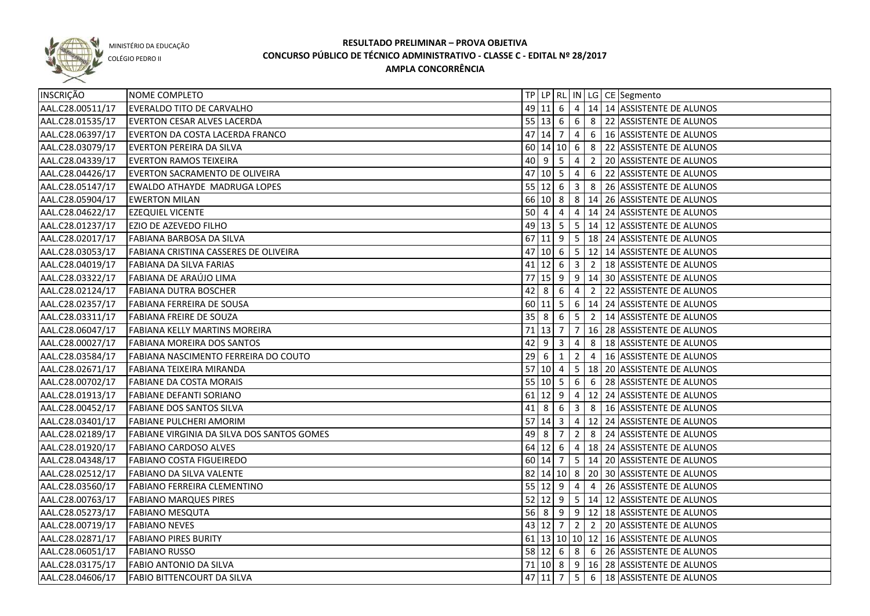

COLÉGIO PEDRO II

| AAL.C28.00511/17<br>49 11 6 4 14 14 ASSISTENTE DE ALUNOS<br><b>EVERALDO TITO DE CARVALHO</b><br>AAL.C28.01535/17<br>$55 13666$ 8 22 ASSISTENTE DE ALUNOS<br><b>EVERTON CESAR ALVES LACERDA</b><br>AAL.C28.06397/17<br>47 14 7 4 6 16 ASSISTENTE DE ALUNOS<br>EVERTON DA COSTA LACERDA FRANCO<br>AAL.C28.03079/17<br>60   14   10   6   8   22   ASSISTENTE DE ALUNOS<br><b>EVERTON PEREIRA DA SILVA</b><br>AAL.C28.04339/17<br>40   9   5   4<br><b>EVERTON RAMOS TEIXEIRA</b><br>2 20 ASSISTENTE DE ALUNOS<br>AAL.C28.04426/17<br>$47$ 10 5 4<br>6 22 ASSISTENTE DE ALUNOS<br><b>EVERTON SACRAMENTO DE OLIVEIRA</b><br>55   12   6   3<br>AAL.C28.05147/17<br>EWALDO ATHAYDE MADRUGA LOPES<br>8 26 ASSISTENTE DE ALUNOS<br>66 10 8 8 14 26 ASSISTENTE DE ALUNOS<br>AAL.C28.05904/17<br><b>EWERTON MILAN</b><br>$50 \mid 4$<br>AAL.C28.04622/17<br>$\overline{4}$<br>14 24 ASSISTENTE DE ALUNOS<br><b>EZEQUIEL VICENTE</b><br>4<br>49 13 5 5 14 12 ASSISTENTE DE ALUNOS<br>AAL.C28.01237/17<br><b>EZIO DE AZEVEDO FILHO</b><br>67 11 9 5 18 24 ASSISTENTE DE ALUNOS<br>AAL.C28.02017/17<br>FABIANA BARBOSA DA SILVA<br>47<br>12 14 ASSISTENTE DE ALUNOS<br>AAL.C28.03053/17<br>FABIANA CRISTINA CASSERES DE OLIVEIRA<br>$41$ 12 6 3<br>2   18 ASSISTENTE DE ALUNOS<br>AAL.C28.04019/17<br><b>FABIANA DA SILVA FARIAS</b><br>77<br> 15  9   9   14   30   ASSISTENTE DE ALUNOS<br>AAL.C28.03322/17<br>FABIANA DE ARAÚJO LIMA<br>$42 \mid 8$<br>2 22 ASSISTENTE DE ALUNOS<br>AAL.C28.02124/17<br><b>FABIANA DUTRA BOSCHER</b><br>$6\overline{6}$<br>$\overline{4}$<br>$60$   11  5 <br>6   14   24   ASSISTENTE DE ALUNOS<br>AAL.C28.02357/17<br>FABIANA FERREIRA DE SOUSA<br>$35 \mid 8$<br>5 <sup>1</sup><br>2   14 ASSISTENTE DE ALUNOS<br>AAL.C28.03311/17<br><b>FABIANA FREIRE DE SOUZA</b><br>- 6<br>71 13 7<br>$\overline{7}$<br>16 28 ASSISTENTE DE ALUNOS<br>AAL.C28.06047/17<br>FABIANA KELLY MARTINS MOREIRA<br>42<br>AAL.C28.00027/17<br>8<br>18 ASSISTENTE DE ALUNOS<br><b>FABIANA MOREIRA DOS SANTOS</b><br>l 9<br>l 3<br>4<br>29<br>$\overline{2}$<br>16 ASSISTENTE DE ALUNOS<br>AAL.C28.03584/17<br>FABIANA NASCIMENTO FERREIRA DO COUTO<br>6<br>$\vert 1 \vert$<br>$\overline{4}$<br>57 10 4<br>5   18   20   ASSISTENTE DE ALUNOS<br>AAL.C28.02671/17<br>FABIANA TEIXEIRA MIRANDA<br>55   10   5<br>6 28 ASSISTENTE DE ALUNOS<br>AAL.C28.00702/17<br><b>FABIANE DA COSTA MORAIS</b><br>6<br>$61$ 12 9<br>12 24 ASSISTENTE DE ALUNOS<br>AAL.C28.01913/17<br><b>FABIANE DEFANTI SORIANO</b><br>4<br>41<br>AAL.C28.00452/17<br><b>FABIANE DOS SANTOS SILVA</b><br>8   16 ASSISTENTE DE ALUNOS<br>$8 \mid 6$<br>$\overline{\mathbf{3}}$<br>57<br>12 24 ASSISTENTE DE ALUNOS<br>AAL.C28.03401/17<br>$14 \mid 3$<br>$\overline{4}$<br><b>FABIANE PULCHERI AMORIM</b><br>49<br>8 24 ASSISTENTE DE ALUNOS<br>AAL.C28.02189/17<br>FABIANE VIRGINIA DA SILVA DOS SANTOS GOMES<br>8<br>$\overline{2}$<br>7<br>64 12 6 4 18 24 ASSISTENTE DE ALUNOS<br>AAL.C28.01920/17<br><b>FABIANO CARDOSO ALVES</b><br>60   14   7   5   14   20   ASSISTENTE DE ALUNOS<br>AAL.C28.04348/17<br><b>FABIANO COSTA FIGUEIREDO</b><br>82 14 10 8 20 30 ASSISTENTE DE ALUNOS<br>AAL.C28.02512/17<br>FABIANO DA SILVA VALENTE<br>AAL.C28.03560/17<br>55 12 9 4 4 26 ASSISTENTE DE ALUNOS<br>FABIANO FERREIRA CLEMENTINO<br>52 12 9 5 14 12 ASSISTENTE DE ALUNOS<br>AAL.C28.00763/17<br><b>FABIANO MARQUES PIRES</b><br>AAL.C28.05273/17<br>56 8 9 9 12 18 ASSISTENTE DE ALUNOS<br><b>FABIANO MESQUTA</b><br>AAL.C28.00719/17<br>43 12 7 2 2 20 ASSISTENTE DE ALUNOS<br><b>FABIANO NEVES</b><br>AAL.C28.02871/17<br>61   13   10   10   12   16   ASSISTENTE DE ALUNOS<br><b>FABIANO PIRES BURITY</b><br>58 12 6 8 6 26 ASSISTENTE DE ALUNOS<br>AAL.C28.06051/17<br><b>FABIANO RUSSO</b><br>71   10   8   9   16   28   ASSISTENTE DE ALUNOS<br>AAL.C28.03175/17<br><b>FABIO ANTONIO DA SILVA</b><br>47 11 7 5 6 18 ASSISTENTE DE ALUNOS<br>AAL.C28.04606/17<br><b>FABIO BITTENCOURT DA SILVA</b> | INSCRIÇÃO | NOME COMPLETO |  |  |  | TP   LP   RL   IN   LG   CE   Segmento |
|------------------------------------------------------------------------------------------------------------------------------------------------------------------------------------------------------------------------------------------------------------------------------------------------------------------------------------------------------------------------------------------------------------------------------------------------------------------------------------------------------------------------------------------------------------------------------------------------------------------------------------------------------------------------------------------------------------------------------------------------------------------------------------------------------------------------------------------------------------------------------------------------------------------------------------------------------------------------------------------------------------------------------------------------------------------------------------------------------------------------------------------------------------------------------------------------------------------------------------------------------------------------------------------------------------------------------------------------------------------------------------------------------------------------------------------------------------------------------------------------------------------------------------------------------------------------------------------------------------------------------------------------------------------------------------------------------------------------------------------------------------------------------------------------------------------------------------------------------------------------------------------------------------------------------------------------------------------------------------------------------------------------------------------------------------------------------------------------------------------------------------------------------------------------------------------------------------------------------------------------------------------------------------------------------------------------------------------------------------------------------------------------------------------------------------------------------------------------------------------------------------------------------------------------------------------------------------------------------------------------------------------------------------------------------------------------------------------------------------------------------------------------------------------------------------------------------------------------------------------------------------------------------------------------------------------------------------------------------------------------------------------------------------------------------------------------------------------------------------------------------------------------------------------------------------------------------------------------------------------------------------------------------------------------------------------------------------------------------------------------------------------------------------------------------------------------------------------------------------------------------------------------------------------------------------------------------------------------------------------------------------------------------------------------------------------------------------------------------------------------------------------------------------------------------------------------------------------------------------------------------------------------------------------------------------------------------------------------------------|-----------|---------------|--|--|--|----------------------------------------|
|                                                                                                                                                                                                                                                                                                                                                                                                                                                                                                                                                                                                                                                                                                                                                                                                                                                                                                                                                                                                                                                                                                                                                                                                                                                                                                                                                                                                                                                                                                                                                                                                                                                                                                                                                                                                                                                                                                                                                                                                                                                                                                                                                                                                                                                                                                                                                                                                                                                                                                                                                                                                                                                                                                                                                                                                                                                                                                                                                                                                                                                                                                                                                                                                                                                                                                                                                                                                                                                                                                                                                                                                                                                                                                                                                                                                                                                                                                                                                                                    |           |               |  |  |  |                                        |
|                                                                                                                                                                                                                                                                                                                                                                                                                                                                                                                                                                                                                                                                                                                                                                                                                                                                                                                                                                                                                                                                                                                                                                                                                                                                                                                                                                                                                                                                                                                                                                                                                                                                                                                                                                                                                                                                                                                                                                                                                                                                                                                                                                                                                                                                                                                                                                                                                                                                                                                                                                                                                                                                                                                                                                                                                                                                                                                                                                                                                                                                                                                                                                                                                                                                                                                                                                                                                                                                                                                                                                                                                                                                                                                                                                                                                                                                                                                                                                                    |           |               |  |  |  |                                        |
|                                                                                                                                                                                                                                                                                                                                                                                                                                                                                                                                                                                                                                                                                                                                                                                                                                                                                                                                                                                                                                                                                                                                                                                                                                                                                                                                                                                                                                                                                                                                                                                                                                                                                                                                                                                                                                                                                                                                                                                                                                                                                                                                                                                                                                                                                                                                                                                                                                                                                                                                                                                                                                                                                                                                                                                                                                                                                                                                                                                                                                                                                                                                                                                                                                                                                                                                                                                                                                                                                                                                                                                                                                                                                                                                                                                                                                                                                                                                                                                    |           |               |  |  |  |                                        |
|                                                                                                                                                                                                                                                                                                                                                                                                                                                                                                                                                                                                                                                                                                                                                                                                                                                                                                                                                                                                                                                                                                                                                                                                                                                                                                                                                                                                                                                                                                                                                                                                                                                                                                                                                                                                                                                                                                                                                                                                                                                                                                                                                                                                                                                                                                                                                                                                                                                                                                                                                                                                                                                                                                                                                                                                                                                                                                                                                                                                                                                                                                                                                                                                                                                                                                                                                                                                                                                                                                                                                                                                                                                                                                                                                                                                                                                                                                                                                                                    |           |               |  |  |  |                                        |
|                                                                                                                                                                                                                                                                                                                                                                                                                                                                                                                                                                                                                                                                                                                                                                                                                                                                                                                                                                                                                                                                                                                                                                                                                                                                                                                                                                                                                                                                                                                                                                                                                                                                                                                                                                                                                                                                                                                                                                                                                                                                                                                                                                                                                                                                                                                                                                                                                                                                                                                                                                                                                                                                                                                                                                                                                                                                                                                                                                                                                                                                                                                                                                                                                                                                                                                                                                                                                                                                                                                                                                                                                                                                                                                                                                                                                                                                                                                                                                                    |           |               |  |  |  |                                        |
|                                                                                                                                                                                                                                                                                                                                                                                                                                                                                                                                                                                                                                                                                                                                                                                                                                                                                                                                                                                                                                                                                                                                                                                                                                                                                                                                                                                                                                                                                                                                                                                                                                                                                                                                                                                                                                                                                                                                                                                                                                                                                                                                                                                                                                                                                                                                                                                                                                                                                                                                                                                                                                                                                                                                                                                                                                                                                                                                                                                                                                                                                                                                                                                                                                                                                                                                                                                                                                                                                                                                                                                                                                                                                                                                                                                                                                                                                                                                                                                    |           |               |  |  |  |                                        |
|                                                                                                                                                                                                                                                                                                                                                                                                                                                                                                                                                                                                                                                                                                                                                                                                                                                                                                                                                                                                                                                                                                                                                                                                                                                                                                                                                                                                                                                                                                                                                                                                                                                                                                                                                                                                                                                                                                                                                                                                                                                                                                                                                                                                                                                                                                                                                                                                                                                                                                                                                                                                                                                                                                                                                                                                                                                                                                                                                                                                                                                                                                                                                                                                                                                                                                                                                                                                                                                                                                                                                                                                                                                                                                                                                                                                                                                                                                                                                                                    |           |               |  |  |  |                                        |
|                                                                                                                                                                                                                                                                                                                                                                                                                                                                                                                                                                                                                                                                                                                                                                                                                                                                                                                                                                                                                                                                                                                                                                                                                                                                                                                                                                                                                                                                                                                                                                                                                                                                                                                                                                                                                                                                                                                                                                                                                                                                                                                                                                                                                                                                                                                                                                                                                                                                                                                                                                                                                                                                                                                                                                                                                                                                                                                                                                                                                                                                                                                                                                                                                                                                                                                                                                                                                                                                                                                                                                                                                                                                                                                                                                                                                                                                                                                                                                                    |           |               |  |  |  |                                        |
|                                                                                                                                                                                                                                                                                                                                                                                                                                                                                                                                                                                                                                                                                                                                                                                                                                                                                                                                                                                                                                                                                                                                                                                                                                                                                                                                                                                                                                                                                                                                                                                                                                                                                                                                                                                                                                                                                                                                                                                                                                                                                                                                                                                                                                                                                                                                                                                                                                                                                                                                                                                                                                                                                                                                                                                                                                                                                                                                                                                                                                                                                                                                                                                                                                                                                                                                                                                                                                                                                                                                                                                                                                                                                                                                                                                                                                                                                                                                                                                    |           |               |  |  |  |                                        |
|                                                                                                                                                                                                                                                                                                                                                                                                                                                                                                                                                                                                                                                                                                                                                                                                                                                                                                                                                                                                                                                                                                                                                                                                                                                                                                                                                                                                                                                                                                                                                                                                                                                                                                                                                                                                                                                                                                                                                                                                                                                                                                                                                                                                                                                                                                                                                                                                                                                                                                                                                                                                                                                                                                                                                                                                                                                                                                                                                                                                                                                                                                                                                                                                                                                                                                                                                                                                                                                                                                                                                                                                                                                                                                                                                                                                                                                                                                                                                                                    |           |               |  |  |  |                                        |
|                                                                                                                                                                                                                                                                                                                                                                                                                                                                                                                                                                                                                                                                                                                                                                                                                                                                                                                                                                                                                                                                                                                                                                                                                                                                                                                                                                                                                                                                                                                                                                                                                                                                                                                                                                                                                                                                                                                                                                                                                                                                                                                                                                                                                                                                                                                                                                                                                                                                                                                                                                                                                                                                                                                                                                                                                                                                                                                                                                                                                                                                                                                                                                                                                                                                                                                                                                                                                                                                                                                                                                                                                                                                                                                                                                                                                                                                                                                                                                                    |           |               |  |  |  |                                        |
|                                                                                                                                                                                                                                                                                                                                                                                                                                                                                                                                                                                                                                                                                                                                                                                                                                                                                                                                                                                                                                                                                                                                                                                                                                                                                                                                                                                                                                                                                                                                                                                                                                                                                                                                                                                                                                                                                                                                                                                                                                                                                                                                                                                                                                                                                                                                                                                                                                                                                                                                                                                                                                                                                                                                                                                                                                                                                                                                                                                                                                                                                                                                                                                                                                                                                                                                                                                                                                                                                                                                                                                                                                                                                                                                                                                                                                                                                                                                                                                    |           |               |  |  |  |                                        |
|                                                                                                                                                                                                                                                                                                                                                                                                                                                                                                                                                                                                                                                                                                                                                                                                                                                                                                                                                                                                                                                                                                                                                                                                                                                                                                                                                                                                                                                                                                                                                                                                                                                                                                                                                                                                                                                                                                                                                                                                                                                                                                                                                                                                                                                                                                                                                                                                                                                                                                                                                                                                                                                                                                                                                                                                                                                                                                                                                                                                                                                                                                                                                                                                                                                                                                                                                                                                                                                                                                                                                                                                                                                                                                                                                                                                                                                                                                                                                                                    |           |               |  |  |  |                                        |
|                                                                                                                                                                                                                                                                                                                                                                                                                                                                                                                                                                                                                                                                                                                                                                                                                                                                                                                                                                                                                                                                                                                                                                                                                                                                                                                                                                                                                                                                                                                                                                                                                                                                                                                                                                                                                                                                                                                                                                                                                                                                                                                                                                                                                                                                                                                                                                                                                                                                                                                                                                                                                                                                                                                                                                                                                                                                                                                                                                                                                                                                                                                                                                                                                                                                                                                                                                                                                                                                                                                                                                                                                                                                                                                                                                                                                                                                                                                                                                                    |           |               |  |  |  |                                        |
|                                                                                                                                                                                                                                                                                                                                                                                                                                                                                                                                                                                                                                                                                                                                                                                                                                                                                                                                                                                                                                                                                                                                                                                                                                                                                                                                                                                                                                                                                                                                                                                                                                                                                                                                                                                                                                                                                                                                                                                                                                                                                                                                                                                                                                                                                                                                                                                                                                                                                                                                                                                                                                                                                                                                                                                                                                                                                                                                                                                                                                                                                                                                                                                                                                                                                                                                                                                                                                                                                                                                                                                                                                                                                                                                                                                                                                                                                                                                                                                    |           |               |  |  |  |                                        |
|                                                                                                                                                                                                                                                                                                                                                                                                                                                                                                                                                                                                                                                                                                                                                                                                                                                                                                                                                                                                                                                                                                                                                                                                                                                                                                                                                                                                                                                                                                                                                                                                                                                                                                                                                                                                                                                                                                                                                                                                                                                                                                                                                                                                                                                                                                                                                                                                                                                                                                                                                                                                                                                                                                                                                                                                                                                                                                                                                                                                                                                                                                                                                                                                                                                                                                                                                                                                                                                                                                                                                                                                                                                                                                                                                                                                                                                                                                                                                                                    |           |               |  |  |  |                                        |
|                                                                                                                                                                                                                                                                                                                                                                                                                                                                                                                                                                                                                                                                                                                                                                                                                                                                                                                                                                                                                                                                                                                                                                                                                                                                                                                                                                                                                                                                                                                                                                                                                                                                                                                                                                                                                                                                                                                                                                                                                                                                                                                                                                                                                                                                                                                                                                                                                                                                                                                                                                                                                                                                                                                                                                                                                                                                                                                                                                                                                                                                                                                                                                                                                                                                                                                                                                                                                                                                                                                                                                                                                                                                                                                                                                                                                                                                                                                                                                                    |           |               |  |  |  |                                        |
|                                                                                                                                                                                                                                                                                                                                                                                                                                                                                                                                                                                                                                                                                                                                                                                                                                                                                                                                                                                                                                                                                                                                                                                                                                                                                                                                                                                                                                                                                                                                                                                                                                                                                                                                                                                                                                                                                                                                                                                                                                                                                                                                                                                                                                                                                                                                                                                                                                                                                                                                                                                                                                                                                                                                                                                                                                                                                                                                                                                                                                                                                                                                                                                                                                                                                                                                                                                                                                                                                                                                                                                                                                                                                                                                                                                                                                                                                                                                                                                    |           |               |  |  |  |                                        |
|                                                                                                                                                                                                                                                                                                                                                                                                                                                                                                                                                                                                                                                                                                                                                                                                                                                                                                                                                                                                                                                                                                                                                                                                                                                                                                                                                                                                                                                                                                                                                                                                                                                                                                                                                                                                                                                                                                                                                                                                                                                                                                                                                                                                                                                                                                                                                                                                                                                                                                                                                                                                                                                                                                                                                                                                                                                                                                                                                                                                                                                                                                                                                                                                                                                                                                                                                                                                                                                                                                                                                                                                                                                                                                                                                                                                                                                                                                                                                                                    |           |               |  |  |  |                                        |
|                                                                                                                                                                                                                                                                                                                                                                                                                                                                                                                                                                                                                                                                                                                                                                                                                                                                                                                                                                                                                                                                                                                                                                                                                                                                                                                                                                                                                                                                                                                                                                                                                                                                                                                                                                                                                                                                                                                                                                                                                                                                                                                                                                                                                                                                                                                                                                                                                                                                                                                                                                                                                                                                                                                                                                                                                                                                                                                                                                                                                                                                                                                                                                                                                                                                                                                                                                                                                                                                                                                                                                                                                                                                                                                                                                                                                                                                                                                                                                                    |           |               |  |  |  |                                        |
|                                                                                                                                                                                                                                                                                                                                                                                                                                                                                                                                                                                                                                                                                                                                                                                                                                                                                                                                                                                                                                                                                                                                                                                                                                                                                                                                                                                                                                                                                                                                                                                                                                                                                                                                                                                                                                                                                                                                                                                                                                                                                                                                                                                                                                                                                                                                                                                                                                                                                                                                                                                                                                                                                                                                                                                                                                                                                                                                                                                                                                                                                                                                                                                                                                                                                                                                                                                                                                                                                                                                                                                                                                                                                                                                                                                                                                                                                                                                                                                    |           |               |  |  |  |                                        |
|                                                                                                                                                                                                                                                                                                                                                                                                                                                                                                                                                                                                                                                                                                                                                                                                                                                                                                                                                                                                                                                                                                                                                                                                                                                                                                                                                                                                                                                                                                                                                                                                                                                                                                                                                                                                                                                                                                                                                                                                                                                                                                                                                                                                                                                                                                                                                                                                                                                                                                                                                                                                                                                                                                                                                                                                                                                                                                                                                                                                                                                                                                                                                                                                                                                                                                                                                                                                                                                                                                                                                                                                                                                                                                                                                                                                                                                                                                                                                                                    |           |               |  |  |  |                                        |
|                                                                                                                                                                                                                                                                                                                                                                                                                                                                                                                                                                                                                                                                                                                                                                                                                                                                                                                                                                                                                                                                                                                                                                                                                                                                                                                                                                                                                                                                                                                                                                                                                                                                                                                                                                                                                                                                                                                                                                                                                                                                                                                                                                                                                                                                                                                                                                                                                                                                                                                                                                                                                                                                                                                                                                                                                                                                                                                                                                                                                                                                                                                                                                                                                                                                                                                                                                                                                                                                                                                                                                                                                                                                                                                                                                                                                                                                                                                                                                                    |           |               |  |  |  |                                        |
|                                                                                                                                                                                                                                                                                                                                                                                                                                                                                                                                                                                                                                                                                                                                                                                                                                                                                                                                                                                                                                                                                                                                                                                                                                                                                                                                                                                                                                                                                                                                                                                                                                                                                                                                                                                                                                                                                                                                                                                                                                                                                                                                                                                                                                                                                                                                                                                                                                                                                                                                                                                                                                                                                                                                                                                                                                                                                                                                                                                                                                                                                                                                                                                                                                                                                                                                                                                                                                                                                                                                                                                                                                                                                                                                                                                                                                                                                                                                                                                    |           |               |  |  |  |                                        |
|                                                                                                                                                                                                                                                                                                                                                                                                                                                                                                                                                                                                                                                                                                                                                                                                                                                                                                                                                                                                                                                                                                                                                                                                                                                                                                                                                                                                                                                                                                                                                                                                                                                                                                                                                                                                                                                                                                                                                                                                                                                                                                                                                                                                                                                                                                                                                                                                                                                                                                                                                                                                                                                                                                                                                                                                                                                                                                                                                                                                                                                                                                                                                                                                                                                                                                                                                                                                                                                                                                                                                                                                                                                                                                                                                                                                                                                                                                                                                                                    |           |               |  |  |  |                                        |
|                                                                                                                                                                                                                                                                                                                                                                                                                                                                                                                                                                                                                                                                                                                                                                                                                                                                                                                                                                                                                                                                                                                                                                                                                                                                                                                                                                                                                                                                                                                                                                                                                                                                                                                                                                                                                                                                                                                                                                                                                                                                                                                                                                                                                                                                                                                                                                                                                                                                                                                                                                                                                                                                                                                                                                                                                                                                                                                                                                                                                                                                                                                                                                                                                                                                                                                                                                                                                                                                                                                                                                                                                                                                                                                                                                                                                                                                                                                                                                                    |           |               |  |  |  |                                        |
|                                                                                                                                                                                                                                                                                                                                                                                                                                                                                                                                                                                                                                                                                                                                                                                                                                                                                                                                                                                                                                                                                                                                                                                                                                                                                                                                                                                                                                                                                                                                                                                                                                                                                                                                                                                                                                                                                                                                                                                                                                                                                                                                                                                                                                                                                                                                                                                                                                                                                                                                                                                                                                                                                                                                                                                                                                                                                                                                                                                                                                                                                                                                                                                                                                                                                                                                                                                                                                                                                                                                                                                                                                                                                                                                                                                                                                                                                                                                                                                    |           |               |  |  |  |                                        |
|                                                                                                                                                                                                                                                                                                                                                                                                                                                                                                                                                                                                                                                                                                                                                                                                                                                                                                                                                                                                                                                                                                                                                                                                                                                                                                                                                                                                                                                                                                                                                                                                                                                                                                                                                                                                                                                                                                                                                                                                                                                                                                                                                                                                                                                                                                                                                                                                                                                                                                                                                                                                                                                                                                                                                                                                                                                                                                                                                                                                                                                                                                                                                                                                                                                                                                                                                                                                                                                                                                                                                                                                                                                                                                                                                                                                                                                                                                                                                                                    |           |               |  |  |  |                                        |
|                                                                                                                                                                                                                                                                                                                                                                                                                                                                                                                                                                                                                                                                                                                                                                                                                                                                                                                                                                                                                                                                                                                                                                                                                                                                                                                                                                                                                                                                                                                                                                                                                                                                                                                                                                                                                                                                                                                                                                                                                                                                                                                                                                                                                                                                                                                                                                                                                                                                                                                                                                                                                                                                                                                                                                                                                                                                                                                                                                                                                                                                                                                                                                                                                                                                                                                                                                                                                                                                                                                                                                                                                                                                                                                                                                                                                                                                                                                                                                                    |           |               |  |  |  |                                        |
|                                                                                                                                                                                                                                                                                                                                                                                                                                                                                                                                                                                                                                                                                                                                                                                                                                                                                                                                                                                                                                                                                                                                                                                                                                                                                                                                                                                                                                                                                                                                                                                                                                                                                                                                                                                                                                                                                                                                                                                                                                                                                                                                                                                                                                                                                                                                                                                                                                                                                                                                                                                                                                                                                                                                                                                                                                                                                                                                                                                                                                                                                                                                                                                                                                                                                                                                                                                                                                                                                                                                                                                                                                                                                                                                                                                                                                                                                                                                                                                    |           |               |  |  |  |                                        |
|                                                                                                                                                                                                                                                                                                                                                                                                                                                                                                                                                                                                                                                                                                                                                                                                                                                                                                                                                                                                                                                                                                                                                                                                                                                                                                                                                                                                                                                                                                                                                                                                                                                                                                                                                                                                                                                                                                                                                                                                                                                                                                                                                                                                                                                                                                                                                                                                                                                                                                                                                                                                                                                                                                                                                                                                                                                                                                                                                                                                                                                                                                                                                                                                                                                                                                                                                                                                                                                                                                                                                                                                                                                                                                                                                                                                                                                                                                                                                                                    |           |               |  |  |  |                                        |
|                                                                                                                                                                                                                                                                                                                                                                                                                                                                                                                                                                                                                                                                                                                                                                                                                                                                                                                                                                                                                                                                                                                                                                                                                                                                                                                                                                                                                                                                                                                                                                                                                                                                                                                                                                                                                                                                                                                                                                                                                                                                                                                                                                                                                                                                                                                                                                                                                                                                                                                                                                                                                                                                                                                                                                                                                                                                                                                                                                                                                                                                                                                                                                                                                                                                                                                                                                                                                                                                                                                                                                                                                                                                                                                                                                                                                                                                                                                                                                                    |           |               |  |  |  |                                        |
|                                                                                                                                                                                                                                                                                                                                                                                                                                                                                                                                                                                                                                                                                                                                                                                                                                                                                                                                                                                                                                                                                                                                                                                                                                                                                                                                                                                                                                                                                                                                                                                                                                                                                                                                                                                                                                                                                                                                                                                                                                                                                                                                                                                                                                                                                                                                                                                                                                                                                                                                                                                                                                                                                                                                                                                                                                                                                                                                                                                                                                                                                                                                                                                                                                                                                                                                                                                                                                                                                                                                                                                                                                                                                                                                                                                                                                                                                                                                                                                    |           |               |  |  |  |                                        |
|                                                                                                                                                                                                                                                                                                                                                                                                                                                                                                                                                                                                                                                                                                                                                                                                                                                                                                                                                                                                                                                                                                                                                                                                                                                                                                                                                                                                                                                                                                                                                                                                                                                                                                                                                                                                                                                                                                                                                                                                                                                                                                                                                                                                                                                                                                                                                                                                                                                                                                                                                                                                                                                                                                                                                                                                                                                                                                                                                                                                                                                                                                                                                                                                                                                                                                                                                                                                                                                                                                                                                                                                                                                                                                                                                                                                                                                                                                                                                                                    |           |               |  |  |  |                                        |
|                                                                                                                                                                                                                                                                                                                                                                                                                                                                                                                                                                                                                                                                                                                                                                                                                                                                                                                                                                                                                                                                                                                                                                                                                                                                                                                                                                                                                                                                                                                                                                                                                                                                                                                                                                                                                                                                                                                                                                                                                                                                                                                                                                                                                                                                                                                                                                                                                                                                                                                                                                                                                                                                                                                                                                                                                                                                                                                                                                                                                                                                                                                                                                                                                                                                                                                                                                                                                                                                                                                                                                                                                                                                                                                                                                                                                                                                                                                                                                                    |           |               |  |  |  |                                        |
|                                                                                                                                                                                                                                                                                                                                                                                                                                                                                                                                                                                                                                                                                                                                                                                                                                                                                                                                                                                                                                                                                                                                                                                                                                                                                                                                                                                                                                                                                                                                                                                                                                                                                                                                                                                                                                                                                                                                                                                                                                                                                                                                                                                                                                                                                                                                                                                                                                                                                                                                                                                                                                                                                                                                                                                                                                                                                                                                                                                                                                                                                                                                                                                                                                                                                                                                                                                                                                                                                                                                                                                                                                                                                                                                                                                                                                                                                                                                                                                    |           |               |  |  |  |                                        |
|                                                                                                                                                                                                                                                                                                                                                                                                                                                                                                                                                                                                                                                                                                                                                                                                                                                                                                                                                                                                                                                                                                                                                                                                                                                                                                                                                                                                                                                                                                                                                                                                                                                                                                                                                                                                                                                                                                                                                                                                                                                                                                                                                                                                                                                                                                                                                                                                                                                                                                                                                                                                                                                                                                                                                                                                                                                                                                                                                                                                                                                                                                                                                                                                                                                                                                                                                                                                                                                                                                                                                                                                                                                                                                                                                                                                                                                                                                                                                                                    |           |               |  |  |  |                                        |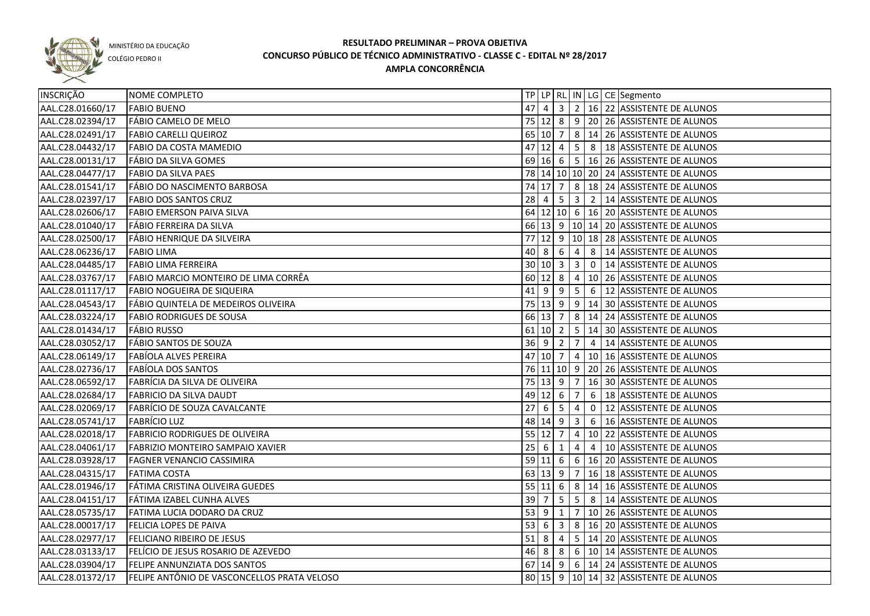

COLÉGIO PEDRO II

| INSCRIÇÃO        | NOME COMPLETO                               |                     |             |                                  |                         |                | TP   LP   RL   IN   LG   CE   Segmento           |
|------------------|---------------------------------------------|---------------------|-------------|----------------------------------|-------------------------|----------------|--------------------------------------------------|
| AAL.C28.01660/17 | <b>FABIO BUENO</b>                          |                     |             |                                  |                         |                | 47 4 3 2 16 22 ASSISTENTE DE ALUNOS              |
| AAL.C28.02394/17 | FÁBIO CAMELO DE MELO                        |                     |             |                                  |                         |                | 75   12   8   9   20   26   ASSISTENTE DE ALUNOS |
| AAL.C28.02491/17 | <b>FABIO CARELLI QUEIROZ</b>                |                     |             |                                  |                         |                | 65 10 7 8 14 26 ASSISTENTE DE ALUNOS             |
| AAL.C28.04432/17 | <b>FABIO DA COSTA MAMEDIO</b>               |                     |             |                                  |                         |                | 47 12 4 5 8 18 ASSISTENTE DE ALUNOS              |
| AAL.C28.00131/17 | FÁBIO DA SILVA GOMES                        |                     |             |                                  |                         |                | 69 16 6 5 16 26 ASSISTENTE DE ALUNOS             |
| AAL.C28.04477/17 | <b>FABIO DA SILVA PAES</b>                  |                     |             |                                  |                         |                | 78 14 10 10 20 24 ASSISTENTE DE ALUNOS           |
| AAL.C28.01541/17 | FÁBIO DO NASCIMENTO BARBOSA                 |                     |             |                                  |                         |                | 74 17 7 8 18 24 ASSISTENTE DE ALUNOS             |
| AAL.C28.02397/17 | <b>FABIO DOS SANTOS CRUZ</b>                |                     |             |                                  |                         |                | 28 4 5 3 2 14 ASSISTENTE DE ALUNOS               |
| AAL.C28.02606/17 | <b>FABIO EMERSON PAIVA SILVA</b>            |                     |             |                                  |                         |                | 64 12 10 6 16 20 ASSISTENTE DE ALUNOS            |
| AAL.C28.01040/17 | FÁBIO FERREIRA DA SILVA                     |                     |             |                                  |                         |                | 66 13 9 10 14 20 ASSISTENTE DE ALUNOS            |
| AAL.C28.02500/17 | <b>FÁBIO HENRIQUE DA SILVEIRA</b>           |                     |             |                                  |                         |                | 77 12 9 10 18 28 ASSISTENTE DE ALUNOS            |
| AAL.C28.06236/17 | <b>FABIO LIMA</b>                           |                     | 40 8        | 6                                | $\overline{4}$          |                | 8   14 ASSISTENTE DE ALUNOS                      |
| AAL.C28.04485/17 | <b>FABIO LIMA FERREIRA</b>                  | 30 10 3             |             |                                  | 3                       |                | 0   14 ASSISTENTE DE ALUNOS                      |
| AAL.C28.03767/17 | FABIO MARCIO MONTEIRO DE LIMA CORRÊA        | 60                  | $12 \mid 8$ |                                  |                         |                | 4   10   26   ASSISTENTE DE ALUNOS               |
| AAL.C28.01117/17 | <b>FABIO NOGUEIRA DE SIQUEIRA</b>           | $41 \mid 9$         |             | $\overline{9}$                   | 5 <sup>1</sup>          |                | 6   12 ASSISTENTE DE ALUNOS                      |
| AAL.C28.04543/17 | FÁBIO QUINTELA DE MEDEIROS OLIVEIRA         |                     |             |                                  |                         |                | 75 13 9 9 14 30 ASSISTENTE DE ALUNOS             |
| AAL.C28.03224/17 | <b>FABIO RODRIGUES DE SOUSA</b>             |                     |             |                                  |                         |                | 66 13 7 8 14 24 ASSISTENTE DE ALUNOS             |
| AAL.C28.01434/17 | <b>FÁBIO RUSSO</b>                          | $61$ 10 2           |             |                                  |                         |                | 5   14   30   ASSISTENTE DE ALUNOS               |
| AAL.C28.03052/17 | <b>FÁBIO SANTOS DE SOUZA</b>                | $36 \quad 9$        |             | $\overline{2}$                   | 7 <sup>1</sup>          |                | 4   14   ASSISTENTE DE ALUNOS                    |
| AAL.C28.06149/17 | <b>FABÍOLA ALVES PEREIRA</b>                | $47$ 10 7           |             |                                  |                         |                | 4   10   16   ASSISTENTE DE ALUNOS               |
| AAL.C28.02736/17 | <b>FABIOLA DOS SANTOS</b>                   |                     |             |                                  |                         |                | 76 11 10 9 20 26 ASSISTENTE DE ALUNOS            |
| AAL.C28.06592/17 | FABRÍCIA DA SILVA DE OLIVEIRA               | 75                  | $13 \mid 9$ |                                  | $-7$                    |                | 16 30 ASSISTENTE DE ALUNOS                       |
| AAL.C28.02684/17 | <b>FABRICIO DA SILVA DAUDT</b>              |                     | 49 12 6     |                                  | $\overline{7}$          | 6              | 18 ASSISTENTE DE ALUNOS                          |
| AAL.C28.02069/17 | <b>FABRÍCIO DE SOUZA CAVALCANTE</b>         | $27\,$              | - 6         | $\begin{array}{c} 5 \end{array}$ | $\overline{4}$          | $\overline{0}$ | 12 ASSISTENTE DE ALUNOS                          |
| AAL.C28.05741/17 | <b>FABRÍCIO LUZ</b>                         | 48                  | 14 9        |                                  | $\overline{\mathbf{3}}$ |                | 6   16 ASSISTENTE DE ALUNOS                      |
| AAL.C28.02018/17 | <b>FABRICIO RODRIGUES DE OLIVEIRA</b>       | 55                  | <b>12</b>   | 7                                | $\overline{4}$          |                | 10 22 ASSISTENTE DE ALUNOS                       |
| AAL.C28.04061/17 | <b>FABRIZIO MONTEIRO SAMPAIO XAVIER</b>     | 25                  | - 6         | 1                                | 4                       | 4              | 10 ASSISTENTE DE ALUNOS                          |
| AAL.C28.03928/17 | <b>FAGNER VENANCIO CASSIMIRA</b>            | $59$ 11 6           |             |                                  |                         |                | 6   16   20   ASSISTENTE DE ALUNOS               |
| AAL.C28.04315/17 | <b>FATIMA COSTA</b>                         | $63 \mid 13 \mid 9$ |             |                                  |                         |                | 7   16   18   ASSISTENTE DE ALUNOS               |
| AAL.C28.01946/17 | FÁTIMA CRISTINA OLIVEIRA GUEDES             | $55 \ 11 \ 6$       |             |                                  |                         |                | 8   14   16   ASSISTENTE DE ALUNOS               |
| AAL.C28.04151/17 | FÁTIMA IZABEL CUNHA ALVES                   |                     |             | $39 \mid 7 \mid 5$               |                         |                | 5 8 14 ASSISTENTE DE ALUNOS                      |
| AAL.C28.05735/17 | FATIMA LUCIA DODARO DA CRUZ                 |                     |             |                                  |                         |                | 53 9 1 7 10 26 ASSISTENTE DE ALUNOS              |
| AAL.C28.00017/17 | <b>FELICIA LOPES DE PAIVA</b>               |                     |             |                                  |                         |                | 53 6 3 8 16 20 ASSISTENTE DE ALUNOS              |
| AAL.C28.02977/17 | <b>FELICIANO RIBEIRO DE JESUS</b>           |                     |             |                                  |                         |                | 51 8 4 5 14 20 ASSISTENTE DE ALUNOS              |
| AAL.C28.03133/17 | FELÍCIO DE JESUS ROSARIO DE AZEVEDO         |                     |             |                                  |                         |                | 46 8 8 6 10 14 ASSISTENTE DE ALUNOS              |
| AAL.C28.03904/17 | FELIPE ANNUNZIATA DOS SANTOS                |                     |             |                                  |                         |                | $67$  14  9  6 14  24  ASSISTENTE DE ALUNOS      |
| AAL.C28.01372/17 | FELIPE ANTÔNIO DE VASCONCELLOS PRATA VELOSO |                     |             |                                  |                         |                | 80 15 9 10 14 32 ASSISTENTE DE ALUNOS            |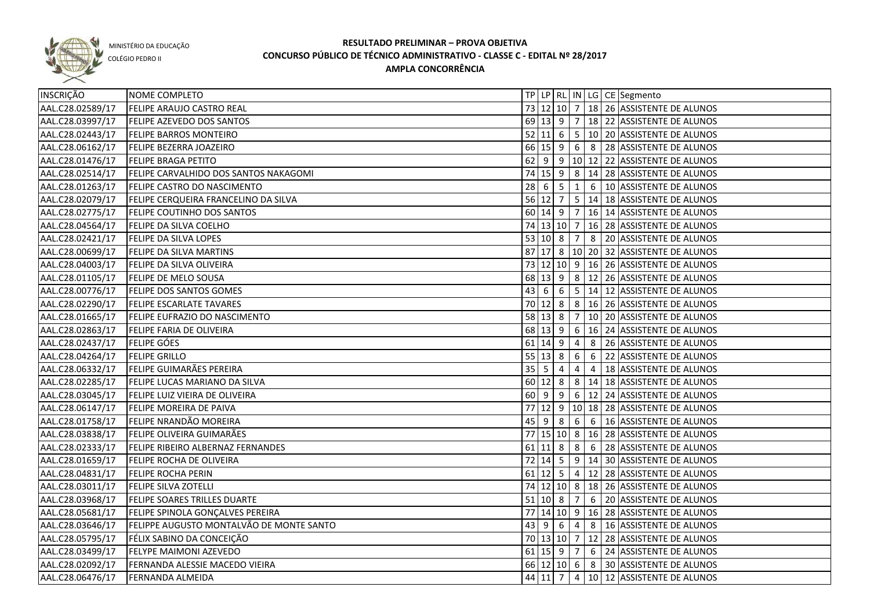

COLÉGIO PEDRO II

| INSCRIÇÃO        | NOME COMPLETO                            |             |               |                         |                 |                | TP   LP   RL   IN   LG   CE   Segmento            |
|------------------|------------------------------------------|-------------|---------------|-------------------------|-----------------|----------------|---------------------------------------------------|
| AAL.C28.02589/17 | <b>FELIPE ARAUJO CASTRO REAL</b>         |             |               |                         |                 |                | 73 12 10 7 18 26 ASSISTENTE DE ALUNOS             |
| AAL.C28.03997/17 | <b>FELIPE AZEVEDO DOS SANTOS</b>         |             |               |                         |                 |                | 69 13 9 7 18 22 ASSISTENTE DE ALUNOS              |
| AAL.C28.02443/17 | <b>FELIPE BARROS MONTEIRO</b>            |             | $52 \ 11 \ 6$ |                         |                 |                | $5 10 20$ ASSISTENTE DE ALUNOS                    |
| AAL.C28.06162/17 | <b>FELIPE BEZERRA JOAZEIRO</b>           |             |               |                         |                 |                | 66 15 9 6 8 28 ASSISTENTE DE ALUNOS               |
| AAL.C28.01476/17 | <b>FELIPE BRAGA PETITO</b>               |             |               |                         |                 |                | 62 9 9 10 12 22 ASSISTENTE DE ALUNOS              |
| AAL.C28.02514/17 | FELIPE CARVALHIDO DOS SANTOS NAKAGOMI    |             |               |                         |                 |                | 74 15 9 8 14 28 ASSISTENTE DE ALUNOS              |
| AAL.C28.01263/17 | FELIPE CASTRO DO NASCIMENTO              |             |               | $28 \mid 6 \mid 5 \mid$ |                 |                | 1 6 10 ASSISTENTE DE ALUNOS                       |
| AAL.C28.02079/17 | FELIPE CERQUEIRA FRANCELINO DA SILVA     |             | 56 12 7       |                         |                 |                | 5 14 18 ASSISTENTE DE ALUNOS                      |
| AAL.C28.02775/17 | FELIPE COUTINHO DOS SANTOS               |             |               |                         |                 |                | 60   14   9   7   16   14   ASSISTENTE DE ALUNOS  |
| AAL.C28.04564/17 | FELIPE DA SILVA COELHO                   |             |               |                         |                 |                | 74 13 10 7 16 28 ASSISTENTE DE ALUNOS             |
| AAL.C28.02421/17 | <b>FELIPE DA SILVA LOPES</b>             |             |               | 53   10   8             | $\vert$ 7       |                | 8 20 ASSISTENTE DE ALUNOS                         |
| AAL.C28.00699/17 | <b>FELIPE DA SILVA MARTINS</b>           |             |               |                         |                 |                | 87 17 8 10 20 32 ASSISTENTE DE ALUNOS             |
| AAL.C28.04003/17 | FELIPE DA SILVA OLIVEIRA                 |             |               |                         |                 |                | 73 12 10 9 16 26 ASSISTENTE DE ALUNOS             |
| AAL.C28.01105/17 | FELIPE DE MELO SOUSA                     |             | 68 13 9       |                         |                 |                | 8   12   26   ASSISTENTE DE ALUNOS                |
| AAL.C28.00776/17 | <b>FELIPE DOS SANTOS GOMES</b>           | 43          | 6             | 6                       |                 |                | 5   14   12   ASSISTENTE DE ALUNOS                |
| AAL.C28.02290/17 | <b>FELIPE ESCARLATE TAVARES</b>          |             | 70 12 8       |                         |                 |                | 8   16   26   ASSISTENTE DE ALUNOS                |
| AAL.C28.01665/17 | FELIPE EUFRAZIO DO NASCIMENTO            |             | $58$ 13 8     |                         | $\overline{7}$  |                | 10 20 ASSISTENTE DE ALUNOS                        |
| AAL.C28.02863/17 | <b>FELIPE FARIA DE OLIVEIRA</b>          |             | 68 13 9       |                         | 6               |                | 16 24 ASSISTENTE DE ALUNOS                        |
| AAL.C28.02437/17 | <b>FELIPE GÓES</b>                       |             | $61$ 14 9     |                         | 4               | 8              | 26 ASSISTENTE DE ALUNOS                           |
| AAL.C28.04264/17 | <b>FELIPE GRILLO</b>                     |             | 55   13   8   |                         | $6\phantom{1}6$ | 6              | 22 ASSISTENTE DE ALUNOS                           |
| AAL.C28.06332/17 | FELIPE GUIMARÃES PEREIRA                 | $35 \mid 5$ |               | 4                       | 4               | $\overline{4}$ | 18 ASSISTENTE DE ALUNOS                           |
| AAL.C28.02285/17 | FELIPE LUCAS MARIANO DA SILVA            |             | 60 12         | 8                       |                 |                | 8   14   18   ASSISTENTE DE ALUNOS                |
| AAL.C28.03045/17 | FELIPE LUIZ VIEIRA DE OLIVEIRA           | 60 9        |               | 9                       |                 |                | 6   12   24   ASSISTENTE DE ALUNOS                |
| AAL.C28.06147/17 | <b>FELIPE MOREIRA DE PAIVA</b>           | 77          | 12            | 9                       |                 |                | 10 18 28 ASSISTENTE DE ALUNOS                     |
| AAL.C28.01758/17 | FELIPE NRANDÃO MOREIRA                   | 45          | -9            | 8                       | $6\overline{6}$ |                | 6   16 ASSISTENTE DE ALUNOS                       |
| AAL.C28.03838/17 | FELIPE OLIVEIRA GUIMARÃES                |             |               |                         |                 |                | 77   15   10   8   16   28   ASSISTENTE DE ALUNOS |
| AAL.C28.02333/17 | FELIPE RIBEIRO ALBERNAZ FERNANDES        |             | $61$ 11 8     |                         | 8               | 6              | 28 ASSISTENTE DE ALUNOS                           |
| AAL.C28.01659/17 | <b>FELIPE ROCHA DE OLIVEIRA</b>          |             | $72$ 14 5     |                         |                 |                | 9   14   30 ASSISTENTE DE ALUNOS                  |
| AAL.C28.04831/17 | <b>FELIPE ROCHA PERIN</b>                |             |               |                         |                 |                | 61 12 5 4 12 28 ASSISTENTE DE ALUNOS              |
| AAL.C28.03011/17 | <b>FELIPE SILVA ZOTELLI</b>              |             |               |                         |                 |                | 74 12 10 8 18 26 ASSISTENTE DE ALUNOS             |
| AAL.C28.03968/17 | <b>FELIPE SOARES TRILLES DUARTE</b>      | $51$ 10 8   |               |                         |                 |                | 7 6 20 ASSISTENTE DE ALUNOS                       |
| AAL.C28.05681/17 | FELIPE SPINOLA GONÇALVES PEREIRA         |             |               |                         |                 |                | 77 14 10 9 16 28 ASSISTENTE DE ALUNOS             |
| AAL.C28.03646/17 | FELIPPE AUGUSTO MONTALVÃO DE MONTE SANTO |             |               |                         |                 |                | 43 9 6 4 8 16 ASSISTENTE DE ALUNOS                |
| AAL.C28.05795/17 | FÉLIX SABINO DA CONCEIÇÃO                |             |               |                         |                 |                | 70 13 10 7 12 28 ASSISTENTE DE ALUNOS             |
| AAL.C28.03499/17 | FELYPE MAIMONI AZEVEDO                   |             |               | $61$ 15 9 7             |                 |                | 6 24 ASSISTENTE DE ALUNOS                         |
| AAL.C28.02092/17 | FERNANDA ALESSIE MACEDO VIEIRA           |             |               |                         |                 |                | 66 12 10 6 8 30 ASSISTENTE DE ALUNOS              |
| AAL.C28.06476/17 | FERNANDA ALMEIDA                         |             | $44$ 11 7     |                         |                 |                | 4 10 12 ASSISTENTE DE ALUNOS                      |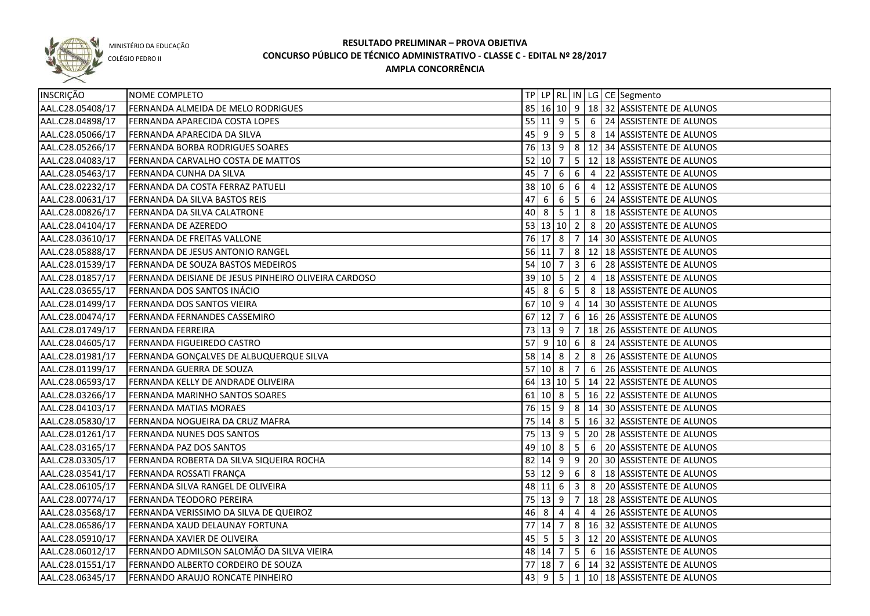

COLÉGIO PEDRO II

| INSCRIÇÃO        | NOME COMPLETO                                        |             |                            |                   |                |                 | TP   LP   RL   IN   LG   CE   Segmento                |
|------------------|------------------------------------------------------|-------------|----------------------------|-------------------|----------------|-----------------|-------------------------------------------------------|
| AAL.C28.05408/17 | FERNANDA ALMEIDA DE MELO RODRIGUES                   |             |                            |                   |                |                 | 85 16 10 9 18 32 ASSISTENTE DE ALUNOS                 |
| AAL.C28.04898/17 | FERNANDA APARECIDA COSTA LOPES                       |             |                            |                   |                |                 | 55 11 9 5 6 24 ASSISTENTE DE ALUNOS                   |
| AAL.C28.05066/17 | FERNANDA APARECIDA DA SILVA                          |             |                            |                   |                |                 | 45 9 9 5 8 14 ASSISTENTE DE ALUNOS                    |
| AAL.C28.05266/17 | <b>FERNANDA BORBA RODRIGUES SOARES</b>               |             |                            |                   |                |                 | 76 13 9 8 12 34 ASSISTENTE DE ALUNOS                  |
| AAL.C28.04083/17 | FERNANDA CARVALHO COSTA DE MATTOS                    |             |                            |                   |                |                 | 52 10 7 5 12 18 ASSISTENTE DE ALUNOS                  |
| AAL.C28.05463/17 | <b>FERNANDA CUNHA DA SILVA</b>                       |             |                            |                   |                |                 | 45 7 6 6 4 22 ASSISTENTE DE ALUNOS                    |
| AAL.C28.02232/17 | <b>FERNANDA DA COSTA FERRAZ PATUELI</b>              |             |                            |                   |                |                 | 38 10 6 6 4 12 ASSISTENTE DE ALUNOS                   |
| AAL.C28.00631/17 | <b>FERNANDA DA SILVA BASTOS REIS</b>                 |             |                            |                   |                |                 | 47 6 6 5 6 24 ASSISTENTE DE ALUNOS                    |
| AAL.C28.00826/17 | FERNANDA DA SILVA CALATRONE                          |             |                            |                   |                |                 | 40 8 5 1 8 18 ASSISTENTE DE ALUNOS                    |
| AAL.C28.04104/17 | <b>FERNANDA DE AZEREDO</b>                           |             |                            |                   |                |                 | 53 13 10 2 8 20 ASSISTENTE DE ALUNOS                  |
| AAL.C28.03610/17 | <b>FERNANDA DE FREITAS VALLONE</b>                   |             |                            |                   |                |                 | 76 17 8 7 14 30 ASSISTENTE DE ALUNOS                  |
| AAL.C28.05888/17 | FERNANDA DE JESUS ANTONIO RANGEL                     |             |                            |                   |                |                 | 56 11 7 8 12 18 ASSISTENTE DE ALUNOS                  |
| AAL.C28.01539/17 | FERNANDA DE SOUZA BASTOS MEDEIROS                    |             | $54$ 10 7                  |                   |                |                 | $\vert 3 \vert 6 \vert 28 \vert$ ASSISTENTE DE ALUNOS |
| AAL.C28.01857/17 | FERNANDA DEISIANE DE JESUS PINHEIRO OLIVEIRA CARDOSO |             |                            | $39 \ 10 \ 5 \ 2$ |                | $\vert 4 \vert$ | 18 ASSISTENTE DE ALUNOS                               |
| AAL.C28.03655/17 | FERNANDA DOS SANTOS INÁCIO                           | 45          | $\overline{\phantom{0}}$ 8 | 6                 |                |                 | $\vert 5 \vert 8 \vert 18 \vert$ ASSISTENTE DE ALUNOS |
| AAL.C28.01499/17 | FERNANDA DOS SANTOS VIEIRA                           | 67          | 10 9                       |                   | 4              |                 | 14 30 ASSISTENTE DE ALUNOS                            |
| AAL.C28.00474/17 | FERNANDA FERNANDES CASSEMIRO                         | $67$ 12 7   |                            |                   |                |                 | $6 16 26$ ASSISTENTE DE ALUNOS                        |
| AAL.C28.01749/17 | <b>FERNANDA FERREIRA</b>                             |             |                            | 73 13 9 7         |                |                 | 18 26 ASSISTENTE DE ALUNOS                            |
| AAL.C28.04605/17 | <b>FERNANDA FIGUEIREDO CASTRO</b>                    |             |                            |                   |                |                 | 57 9 10 6 8 24 ASSISTENTE DE ALUNOS                   |
| AAL.C28.01981/17 | FERNANDA GONÇALVES DE ALBUQUERQUE SILVA              |             |                            |                   |                |                 | 58 14 8 2 8 26 ASSISTENTE DE ALUNOS                   |
| AAL.C28.01199/17 | FERNANDA GUERRA DE SOUZA                             |             |                            |                   |                |                 | 57 10 8 7 6 26 ASSISTENTE DE ALUNOS                   |
| AAL.C28.06593/17 | FERNANDA KELLY DE ANDRADE OLIVEIRA                   |             |                            |                   |                |                 | 64 13 10 5 14 22 ASSISTENTE DE ALUNOS                 |
| AAL.C28.03266/17 | FERNANDA MARINHO SANTOS SOARES                       |             |                            | $61$ 10 8         |                |                 | 5   16   22   ASSISTENTE DE ALUNOS                    |
| AAL.C28.04103/17 | <b>FERNANDA MATIAS MORAES</b>                        |             |                            |                   |                |                 | 76   15   9   8   14   30   ASSISTENTE DE ALUNOS      |
| AAL.C28.05830/17 | FERNANDA NOGUEIRA DA CRUZ MAFRA                      |             |                            |                   |                |                 | 75   14   8   5   16   32   ASSISTENTE DE ALUNOS      |
| AAL.C28.01261/17 | <b>FERNANDA NUNES DOS SANTOS</b>                     |             |                            |                   |                |                 | 75   13   9   5   20   28   ASSISTENTE DE ALUNOS      |
| AAL.C28.03165/17 | <b>FERNANDA PAZ DOS SANTOS</b>                       |             |                            | $49$ 10 8 5       |                | 6 <sup>6</sup>  | 20 ASSISTENTE DE ALUNOS                               |
| AAL.C28.03305/17 | FERNANDA ROBERTA DA SILVA SIQUEIRA ROCHA             |             |                            |                   |                |                 | 82   14   9   9   20   30   ASSISTENTE DE ALUNOS      |
| AAL.C28.03541/17 | FERNANDA ROSSATI FRANÇA                              |             |                            | 53 12 9 6         |                | 8 <sup>1</sup>  | 18 ASSISTENTE DE ALUNOS                               |
| AAL.C28.06105/17 | FERNANDA SILVA RANGEL DE OLIVEIRA                    |             | 48 11 6                    |                   | 3              | 8               | 20 ASSISTENTE DE ALUNOS                               |
| AAL.C28.00774/17 | <b>FERNANDA TEODORO PEREIRA</b>                      |             | 75 13 9                    |                   |                |                 | 7   18   28   ASSISTENTE DE ALUNOS                    |
| AAL.C28.03568/17 | FERNANDA VERISSIMO DA SILVA DE QUEIROZ               | $46 \mid 8$ |                            | 4                 | $\overline{4}$ | $\overline{4}$  | 26 ASSISTENTE DE ALUNOS                               |
| AAL.C28.06586/17 | FERNANDA XAUD DELAUNAY FORTUNA                       |             | $77$ 14 7                  |                   |                |                 | 8   16   32   ASSISTENTE DE ALUNOS                    |
| AAL.C28.05910/17 | FERNANDA XAVIER DE OLIVEIRA                          |             |                            |                   |                |                 | 45   5   5   3   12   20   ASSISTENTE DE ALUNOS       |
| AAL.C28.06012/17 | FERNANDO ADMILSON SALOMÃO DA SILVA VIEIRA            |             |                            |                   |                |                 | 48 14 7 5 6 16 ASSISTENTE DE ALUNOS                   |
| AAL.C28.01551/17 | FERNANDO ALBERTO CORDEIRO DE SOUZA                   |             |                            |                   |                |                 | 77 18 7 6 14 32 ASSISTENTE DE ALUNOS                  |
| AAL.C28.06345/17 | FERNANDO ARAUJO RONCATE PINHEIRO                     |             |                            |                   |                |                 | 43 9 5 1 10 18 ASSISTENTE DE ALUNOS                   |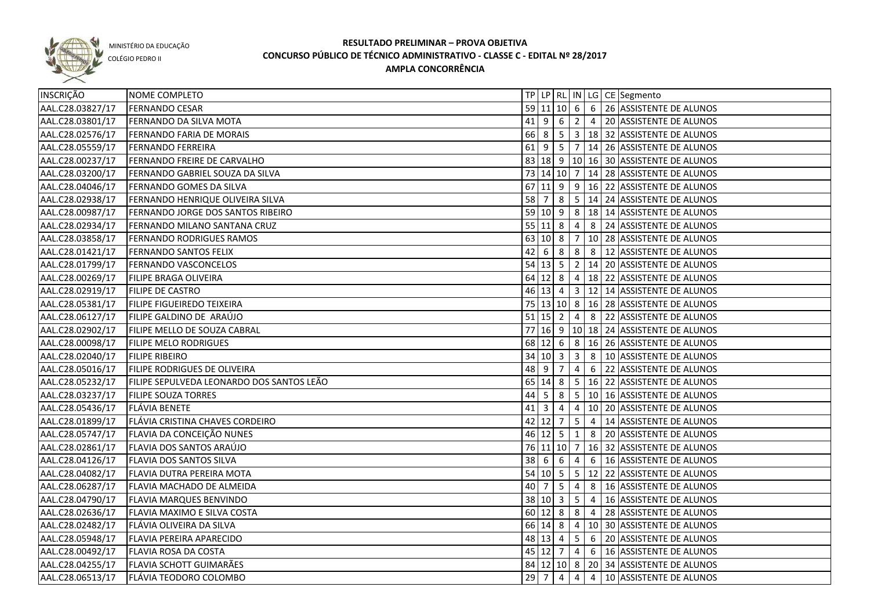

COLÉGIO PEDRO II

| INSCRIÇÃO        | NOME COMPLETO                             |             |                    |                |                         |   | TP LP   RL   IN   LG   CE   Segmento              |
|------------------|-------------------------------------------|-------------|--------------------|----------------|-------------------------|---|---------------------------------------------------|
| AAL.C28.03827/17 | <b>FERNANDO CESAR</b>                     |             |                    |                |                         |   | 59 11 10 6 6 26 ASSISTENTE DE ALUNOS              |
| AAL.C28.03801/17 | <b>FERNANDO DA SILVA MOTA</b>             |             |                    |                |                         |   | 41 9 6 2 4 20 ASSISTENTE DE ALUNOS                |
| AAL.C28.02576/17 | <b>FERNANDO FARIA DE MORAIS</b>           |             |                    |                |                         |   | 66 8 5 3 18 32 ASSISTENTE DE ALUNOS               |
| AAL.C28.05559/17 | <b>FERNANDO FERREIRA</b>                  |             |                    |                |                         |   | 61 9 5 7 14 26 ASSISTENTE DE ALUNOS               |
| AAL.C28.00237/17 | FERNANDO FREIRE DE CARVALHO               |             |                    |                |                         |   | 83   18   9   10   16   30   ASSISTENTE DE ALUNOS |
| AAL.C28.03200/17 | FERNANDO GABRIEL SOUZA DA SILVA           |             |                    |                |                         |   | 73 14 10 7 14 28 ASSISTENTE DE ALUNOS             |
| AAL.C28.04046/17 | FERNANDO GOMES DA SILVA                   |             |                    |                |                         |   | 67 11 9 9 16 22 ASSISTENTE DE ALUNOS              |
| AAL.C28.02938/17 | FERNANDO HENRIQUE OLIVEIRA SILVA          |             |                    |                |                         |   | 58 7 8 5 14 24 ASSISTENTE DE ALUNOS               |
| AAL.C28.00987/17 | FERNANDO JORGE DOS SANTOS RIBEIRO         |             |                    |                |                         |   | 59 10 9 8 18 14 ASSISTENTE DE ALUNOS              |
| AAL.C28.02934/17 | FERNANDO MILANO SANTANA CRUZ              |             |                    |                |                         |   | 55 11 8 4 8 24 ASSISTENTE DE ALUNOS               |
| AAL.C28.03858/17 | <b>FERNANDO RODRIGUES RAMOS</b>           |             |                    |                |                         |   | 63 10 8 7 10 28 ASSISTENTE DE ALUNOS              |
| AAL.C28.01421/17 | <b>FERNANDO SANTOS FELIX</b>              | 42          | 6 <sub>6</sub>     | 8              |                         |   | 8 8 12 ASSISTENTE DE ALUNOS                       |
| AAL.C28.01799/17 | FERNANDO VASCONCELOS                      |             |                    | $54$ 13 5      |                         |   | 2   14   20   ASSISTENTE DE ALUNOS                |
| AAL.C28.00269/17 | <b>FILIPE BRAGA OLIVEIRA</b>              |             |                    | $64$   12   8  |                         |   | $4   18   22  $ ASSISTENTE DE ALUNOS              |
| AAL.C28.02919/17 | <b>FILIPE DE CASTRO</b>                   |             |                    |                |                         |   | 46 13 4 3 12 14 ASSISTENTE DE ALUNOS              |
| AAL.C28.05381/17 | <b>FILIPE FIGUEIREDO TEIXEIRA</b>         |             |                    |                |                         |   | 75   13   10   8   16   28   ASSISTENTE DE ALUNOS |
| AAL.C28.06127/17 | FILIPE GALDINO DE ARAÚJO                  |             | $51$ 15 2          |                |                         |   | 4 8 22 ASSISTENTE DE ALUNOS                       |
| AAL.C28.02902/17 | FILIPE MELLO DE SOUZA CABRAL              |             |                    |                |                         |   | 77 16 9 10 18 24 ASSISTENTE DE ALUNOS             |
| AAL.C28.00098/17 | <b>FILIPE MELO RODRIGUES</b>              | 68          | $12 \mid 6$        |                | 8 <sup>1</sup>          |   | 16 26 ASSISTENTE DE ALUNOS                        |
| AAL.C28.02040/17 | <b>FILIPE RIBEIRO</b>                     |             | 34   10   3        |                | $\overline{\mathbf{3}}$ | 8 | 10 ASSISTENTE DE ALUNOS                           |
| AAL.C28.05016/17 | FILIPE RODRIGUES DE OLIVEIRA              | 48 9        |                    | 7              | $\overline{4}$          |   | 6 22 ASSISTENTE DE ALUNOS                         |
| AAL.C28.05232/17 | FILIPE SEPULVEDA LEONARDO DOS SANTOS LEÃO | 65          | $14 \mid 8$        |                |                         |   | $5 \mid 16 \mid 22$ ASSISTENTE DE ALUNOS          |
| AAL.C28.03237/17 | <b>FILIPE SOUZA TORRES</b>                | 44          | - 5                | 8              |                         |   | 5   10   16 ASSISTENTE DE ALUNOS                  |
| AAL.C28.05436/17 | <b>FLÁVIA BENETE</b>                      | $41$   3    |                    | 4              |                         |   | 4   10   20   ASSISTENTE DE ALUNOS                |
| AAL.C28.01899/17 | FLÁVIA CRISTINA CHAVES CORDEIRO           |             | 42 12              | $\vert$ 7      | 5 <sup>1</sup>          |   | 4   14 ASSISTENTE DE ALUNOS                       |
| AAL.C28.05747/17 | FLAVIA DA CONCEIÇÃO NUNES                 |             | $46$ 12 5          |                | $\mathbf{1}$            |   | 8 20 ASSISTENTE DE ALUNOS                         |
| AAL.C28.02861/17 | FLAVIA DOS SANTOS ARAÚJO                  |             |                    |                |                         |   | 76 11 10 7 16 32 ASSISTENTE DE ALUNOS             |
| AAL.C28.04126/17 | <b>FLAVIA DOS SANTOS SILVA</b>            |             | $38 \mid 6 \mid 6$ |                | $\overline{4}$          |   | 6   16 ASSISTENTE DE ALUNOS                       |
| AAL.C28.04082/17 | FLAVIA DUTRA PEREIRA MOTA                 |             |                    |                |                         |   | 54 10 5 5 12 22 ASSISTENTE DE ALUNOS              |
| AAL.C28.06287/17 | <b>FLAVIA MACHADO DE ALMEIDA</b>          |             |                    |                |                         |   | 40 7 5 4 8 16 ASSISTENTE DE ALUNOS                |
| AAL.C28.04790/17 | <b>FLAVIA MARQUES BENVINDO</b>            |             |                    |                |                         |   | 38 10 3 5 4 16 ASSISTENTE DE ALUNOS               |
| AAL.C28.02636/17 | FLAVIA MAXIMO E SILVA COSTA               |             |                    |                |                         |   | $60 12 8 8 4 28$ ASSISTENTE DE ALUNOS             |
| AAL.C28.02482/17 | FLÁVIA OLIVEIRA DA SILVA                  |             |                    |                |                         |   | 66 14 8 4 10 30 ASSISTENTE DE ALUNOS              |
| AAL.C28.05948/17 | <b>FLAVIA PEREIRA APARECIDO</b>           |             |                    |                |                         |   | 48 13 4 5 6 20 ASSISTENTE DE ALUNOS               |
| AAL.C28.00492/17 | <b>FLAVIA ROSA DA COSTA</b>               |             |                    |                |                         |   | 45 12 7 4 6 16 ASSISTENTE DE ALUNOS               |
| AAL.C28.04255/17 | <b>FLAVIA SCHOTT GUIMARÃES</b>            |             |                    |                |                         |   | 84 12 10 8 20 34 ASSISTENTE DE ALUNOS             |
| AAL.C28.06513/17 | FLÁVIA TEODORO COLOMBO                    | $29 \mid 7$ |                    | $\overline{4}$ | 4                       |   | 4 10 ASSISTENTE DE ALUNOS                         |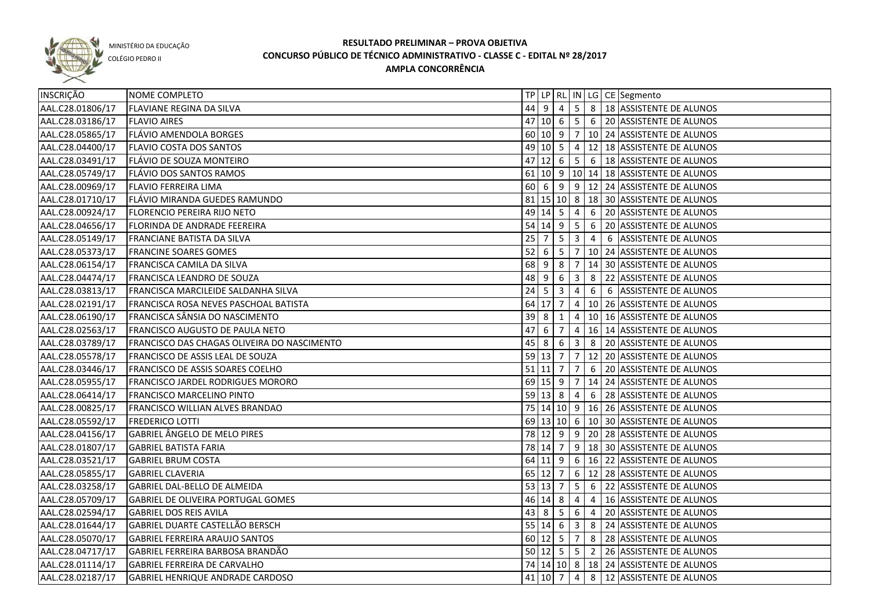

COLÉGIO PEDRO II

| <b>INSCRIÇÃO</b> | NOME COMPLETO                               |                   |                |                |                         |                | TP LP   RL   IN   LG   CE   Segmento    |
|------------------|---------------------------------------------|-------------------|----------------|----------------|-------------------------|----------------|-----------------------------------------|
| AAL.C28.01806/17 | <b>FLAVIANE REGINA DA SILVA</b>             |                   | $44$ 9 4       |                |                         |                | 5 8 18 ASSISTENTE DE ALUNOS             |
| AAL.C28.03186/17 | <b>FLAVIO AIRES</b>                         |                   |                |                |                         |                | 47 10 6 5 6 20 ASSISTENTE DE ALUNOS     |
| AAL.C28.05865/17 | <b>FLÁVIO AMENDOLA BORGES</b>               |                   |                |                |                         |                | 60 10 9 7 10 24 ASSISTENTE DE ALUNOS    |
| AAL.C28.04400/17 | <b>FLAVIO COSTA DOS SANTOS</b>              |                   |                |                |                         |                | 49 10 5 4 12 18 ASSISTENTE DE ALUNOS    |
| AAL.C28.03491/17 | FLÁVIO DE SOUZA MONTEIRO                    |                   |                |                |                         |                | 47 12 6 5 6 18 ASSISTENTE DE ALUNOS     |
| AAL.C28.05749/17 | FLÁVIO DOS SANTOS RAMOS                     |                   |                |                |                         |                | 61 10 9 10 14 18 ASSISTENTE DE ALUNOS   |
| AAL.C28.00969/17 | FLAVIO FERREIRA LIMA                        |                   |                |                |                         |                | 60 6 9 9 12 24 ASSISTENTE DE ALUNOS     |
| AAL.C28.01710/17 | FLÁVIO MIRANDA GUEDES RAMUNDO               |                   |                |                |                         |                | 81 15 10 8 18 30 ASSISTENTE DE ALUNOS   |
| AAL.C28.00924/17 | FLORENCIO PEREIRA RIJO NETO                 |                   |                | 49 14 5        | $\overline{4}$          |                | 6 20 ASSISTENTE DE ALUNOS               |
| AAL.C28.04656/17 | FLORINDA DE ANDRADE FEEREIRA                |                   |                | $54$ 14 9      | $5^{\circ}$             | 6              | 20 ASSISTENTE DE ALUNOS                 |
| AAL.C28.05149/17 | FRANCIANE BATISTA DA SILVA                  | 25                | $\overline{7}$ | 5              | $\overline{\mathbf{3}}$ | $\overline{4}$ | 6 ASSISTENTE DE ALUNOS                  |
| AAL.C28.05373/17 | <b>FRANCINE SOARES GOMES</b>                | 52                | 6              | 5              | $\overline{7}$          |                | 10 24 ASSISTENTE DE ALUNOS              |
| AAL.C28.06154/17 | FRANCISCA CAMILA DA SILVA                   | 68 9              |                | 8              | 7                       |                | 14 30 ASSISTENTE DE ALUNOS              |
| AAL.C28.04474/17 | <b>FRANCISCA LEANDRO DE SOUZA</b>           | 48                | l 9            | 6              | $\overline{3}$          | 8              | 22 ASSISTENTE DE ALUNOS                 |
| AAL.C28.03813/17 | FRANCISCA MARCILEIDE SALDANHA SILVA         | $24 \overline{5}$ |                | $\overline{3}$ | 4                       | 6              | 6 ASSISTENTE DE ALUNOS                  |
| AAL.C28.02191/17 | FRANCISCA ROSA NEVES PASCHOAL BATISTA       |                   | 64 17          | $\overline{7}$ | $\overline{4}$          |                | 10 26 ASSISTENTE DE ALUNOS              |
| AAL.C28.06190/17 | FRANCISCA SÂNSIA DO NASCIMENTO              | $39$ $8$          |                | 1              | 4                       |                | 10 16 ASSISTENTE DE ALUNOS              |
| AAL.C28.02563/17 | FRANCISCO AUGUSTO DE PAULA NETO             | 47                | - 6            | 7              | $\overline{4}$          |                | 16 14 ASSISTENTE DE ALUNOS              |
| AAL.C28.03789/17 | FRANCISCO DAS CHAGAS OLIVEIRA DO NASCIMENTO |                   | $45 \mid 8$    | 6              | $\overline{\mathbf{3}}$ | 8              | 20 ASSISTENTE DE ALUNOS                 |
| AAL.C28.05578/17 | FRANCISCO DE ASSIS LEAL DE SOUZA            |                   | 59 13 7        |                | $\overline{7}$          |                | 12 20 ASSISTENTE DE ALUNOS              |
| AAL.C28.03446/17 | FRANCISCO DE ASSIS SOARES COELHO            |                   | $51$ 11 7      |                | $\overline{7}$          | 6              | 20 ASSISTENTE DE ALUNOS                 |
| AAL.C28.05955/17 | FRANCISCO JARDEL RODRIGUES MORORO           |                   | $69$ 15 9      |                | $\overline{7}$          |                | 14 24 ASSISTENTE DE ALUNOS              |
| AAL.C28.06414/17 | <b>FRANCISCO MARCELINO PINTO</b>            |                   | $59$ 13 8      |                | $\overline{4}$          | 6              | 28 ASSISTENTE DE ALUNOS                 |
| AAL.C28.00825/17 | <b>FRANCISCO WILLIAN ALVES BRANDAO</b>      |                   |                |                |                         |                | 75 14 10 9 16 26 ASSISTENTE DE ALUNOS   |
| AAL.C28.05592/17 | <b>FREDERICO LOTTI</b>                      |                   |                |                |                         |                | 69 13 10 6 10 30 ASSISTENTE DE ALUNOS   |
| AAL.C28.04156/17 | GABRIEL ÂNGELO DE MELO PIRES                |                   |                | 78 12 9        | 9 <sup>1</sup>          |                | 20 28 ASSISTENTE DE ALUNOS              |
| AAL.C28.01807/17 | <b>GABRIEL BATISTA FARIA</b>                |                   | 78 14          | 7              |                         |                | 9   18   30 ASSISTENTE DE ALUNOS        |
| AAL.C28.03521/17 | <b>GABRIEL BRUM COSTA</b>                   |                   | $64$ 11        | 9              |                         |                | 6   16   22   ASSISTENTE DE ALUNOS      |
| AAL.C28.05855/17 | <b>GABRIEL CLAVERIA</b>                     |                   | 65 12          | 7              |                         |                | 6   12   28   ASSISTENTE DE ALUNOS      |
| AAL.C28.03258/17 | GABRIEL DAL-BELLO DE ALMEIDA                |                   | 53 13          | $\overline{7}$ | 5 <sub>1</sub>          | 6              | 22 ASSISTENTE DE ALUNOS                 |
| AAL.C28.05709/17 | <b>GABRIEL DE OLIVEIRA PORTUGAL GOMES</b>   |                   | 46 14 8        |                | $\overline{4}$          | $\overline{4}$ | 16 ASSISTENTE DE ALUNOS                 |
| AAL.C28.02594/17 | <b>GABRIEL DOS REIS AVILA</b>               |                   | $43 \mid 8$    | 5 <sub>5</sub> |                         |                | 6 4 20 ASSISTENTE DE ALUNOS             |
| AAL.C28.01644/17 | GABRIEL DUARTE CASTELLÃO BERSCH             |                   | $55 \ 14 \ 6$  |                |                         |                | $3 \mid 8 \mid 24$ ASSISTENTE DE ALUNOS |
| AAL.C28.05070/17 | <b>GABRIEL FERREIRA ARAUJO SANTOS</b>       |                   |                |                |                         |                | 60 12 5 7 8 28 ASSISTENTE DE ALUNOS     |
| AAL.C28.04717/17 | GABRIEL FERREIRA BARBOSA BRANDÃO            |                   |                |                |                         |                | 50 12 5 5 7 2 26 ASSISTENTE DE ALUNOS   |
| AAL.C28.01114/17 | GABRIEL FERREIRA DE CARVALHO                |                   |                |                |                         |                | 74 14 10 8 18 24 ASSISTENTE DE ALUNOS   |
| AAL.C28.02187/17 | GABRIEL HENRIQUE ANDRADE CARDOSO            |                   | 41 10 7        |                | $\overline{4}$          |                | 8   12 ASSISTENTE DE ALUNOS             |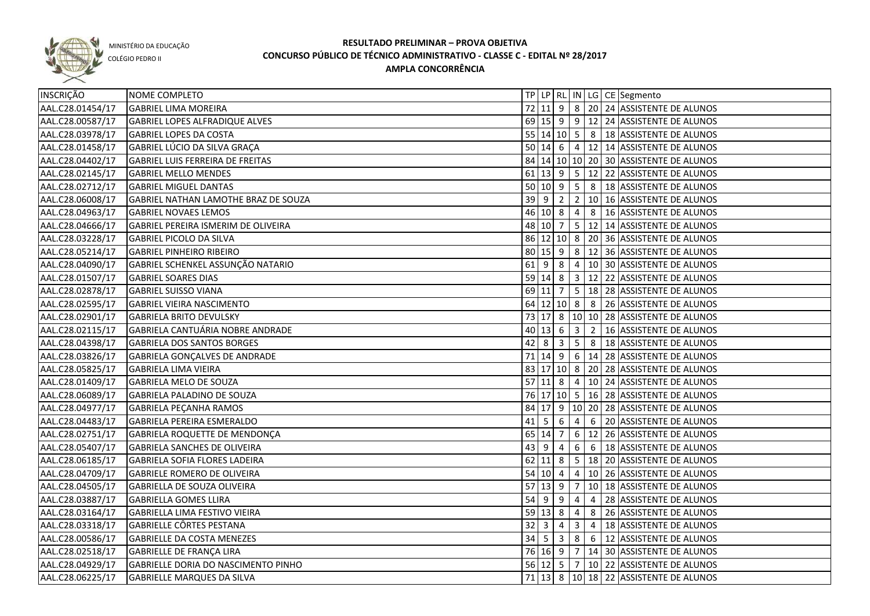

COLÉGIO PEDRO II

| INSCRIÇÃO        | NOME COMPLETO                        |             |                  |                           |                         |                | TP   LP   RL   IN   LG   CE   Segmento            |
|------------------|--------------------------------------|-------------|------------------|---------------------------|-------------------------|----------------|---------------------------------------------------|
| AAL.C28.01454/17 | <b>GABRIEL LIMA MOREIRA</b>          |             |                  |                           |                         |                | 72 11 9 8 20 24 ASSISTENTE DE ALUNOS              |
| AAL.C28.00587/17 | GABRIEL LOPES ALFRADIQUE ALVES       |             |                  |                           |                         |                | 69 15 9 9 12 24 ASSISTENTE DE ALUNOS              |
| AAL.C28.03978/17 | <b>GABRIEL LOPES DA COSTA</b>        |             |                  |                           |                         |                | 55 14 10 5 8 3 18 ASSISTENTE DE ALUNOS            |
| AAL.C28.01458/17 | GABRIEL LÚCIO DA SILVA GRAÇA         |             |                  |                           |                         |                | 50 14 6 4 12 14 ASSISTENTE DE ALUNOS              |
| AAL.C28.04402/17 | GABRIEL LUIS FERREIRA DE FREITAS     |             |                  |                           |                         |                | 84 14 10 10 20 30 ASSISTENTE DE ALUNOS            |
| AAL.C28.02145/17 | <b>GABRIEL MELLO MENDES</b>          |             |                  |                           |                         |                | 61 13 9 5 12 22 ASSISTENTE DE ALUNOS              |
| AAL.C28.02712/17 | <b>GABRIEL MIGUEL DANTAS</b>         |             |                  |                           |                         |                | 50 10 9 5 8 3 18 ASSISTENTE DE ALUNOS             |
| AAL.C28.06008/17 | GABRIEL NATHAN LAMOTHE BRAZ DE SOUZA |             |                  | $39 \mid 9 \mid 2$        |                         |                | 2   10   16   ASSISTENTE DE ALUNOS                |
| AAL.C28.04963/17 | <b>GABRIEL NOVAES LEMOS</b>          |             |                  |                           |                         |                | 46 10 8 4 8 16 ASSISTENTE DE ALUNOS               |
| AAL.C28.04666/17 | GABRIEL PEREIRA ISMERIM DE OLIVEIRA  |             | 48 10 7          |                           |                         |                | 5 12 14 ASSISTENTE DE ALUNOS                      |
| AAL.C28.03228/17 | <b>GABRIEL PICOLO DA SILVA</b>       |             |                  |                           |                         |                | 86 12 10 8 20 36 ASSISTENTE DE ALUNOS             |
| AAL.C28.05214/17 | <b>GABRIEL PINHEIRO RIBEIRO</b>      |             |                  |                           |                         |                | 80 15 9 8 12 36 ASSISTENTE DE ALUNOS              |
| AAL.C28.04090/17 | GABRIEL SCHENKEL ASSUNÇÃO NATARIO    |             | $61$ 9 8         |                           |                         |                | 4 10 30 ASSISTENTE DE ALUNOS                      |
| AAL.C28.01507/17 | <b>GABRIEL SOARES DIAS</b>           |             |                  |                           |                         |                | 59 14 8 3 12 22 ASSISTENTE DE ALUNOS              |
| AAL.C28.02878/17 | <b>GABRIEL SUISSO VIANA</b>          | 69 11       |                  | $\overline{7}$            |                         |                | 5   18   28   ASSISTENTE DE ALUNOS                |
| AAL.C28.02595/17 | <b>GABRIEL VIEIRA NASCIMENTO</b>     |             |                  |                           |                         |                | 64   12   10   8   8   26   ASSISTENTE DE ALUNOS  |
| AAL.C28.02901/17 | <b>GABRIELA BRITO DEVULSKY</b>       |             |                  |                           |                         |                | 73   17   8   10   10   28   ASSISTENTE DE ALUNOS |
| AAL.C28.02115/17 | GABRIELA CANTUÁRIA NOBRE ANDRADE     |             | 40 13 6          |                           | $\overline{\mathbf{3}}$ | $\overline{2}$ | 16 ASSISTENTE DE ALUNOS                           |
| AAL.C28.04398/17 | <b>GABRIELA DOS SANTOS BORGES</b>    | 42          | 8                | $\overline{\mathbf{3}}$   | 5 <sup>5</sup>          | 8              | 18 ASSISTENTE DE ALUNOS                           |
| AAL.C28.03826/17 | GABRIELA GONÇALVES DE ANDRADE        |             | $71$ 14 9        |                           |                         |                | $6 \mid 14 \mid 28 \mid$ ASSISTENTE DE ALUNOS     |
| AAL.C28.05825/17 | <b>GABRIELA LIMA VIEIRA</b>          |             |                  | 83 17 10 8                |                         |                | 20 28 ASSISTENTE DE ALUNOS                        |
| AAL.C28.01409/17 | GABRIELA MELO DE SOUZA               | $57$ 11 8   |                  |                           | $\overline{4}$          |                | 10 24 ASSISTENTE DE ALUNOS                        |
| AAL.C28.06089/17 | GABRIELA PALADINO DE SOUZA           |             |                  |                           |                         |                | 76 17 10 5 16 28 ASSISTENTE DE ALUNOS             |
| AAL.C28.04977/17 | GABRIELA PEÇANHA RAMOS               |             |                  |                           |                         |                | 84   17   9   10   20   28   ASSISTENTE DE ALUNOS |
| AAL.C28.04483/17 | GABRIELA PEREIRA ESMERALDO           | $41 \mid 5$ |                  | $6\overline{6}$           | 4                       |                | 6 20 ASSISTENTE DE ALUNOS                         |
| AAL.C28.02751/17 | GABRIELA ROQUETTE DE MENDONÇA        | 65 14       |                  | 7                         |                         |                | 6   12   26   ASSISTENTE DE ALUNOS                |
| AAL.C28.05407/17 | <b>GABRIELA SANCHES DE OLIVEIRA</b>  | 43          | 9                | 4                         | $6\overline{6}$         |                | 6   18   ASSISTENTE DE ALUNOS                     |
| AAL.C28.06185/17 | GABRIELA SOFIA FLORES LADEIRA        |             | $62$  11         | 8                         |                         |                | 5   18   20 ASSISTENTE DE ALUNOS                  |
| AAL.C28.04709/17 | <b>GABRIELE ROMERO DE OLIVEIRA</b>   | $54$ 10 4   |                  |                           |                         |                | 4   10   26   ASSISTENTE DE ALUNOS                |
| AAL.C28.04505/17 | GABRIELLA DE SOUZA OLIVEIRA          | $57$ 13 9   |                  |                           |                         |                | 7   10   18   ASSISTENTE DE ALUNOS                |
| AAL.C28.03887/17 | <b>GABRIELLA GOMES LLIRA</b>         | $54$ 9 9    |                  |                           | $\overline{4}$          |                | 4 28 ASSISTENTE DE ALUNOS                         |
| AAL.C28.03164/17 | GABRIELLA LIMA FESTIVO VIEIRA        | $59$ 13 8   |                  |                           | $\overline{4}$          |                | 8 26 ASSISTENTE DE ALUNOS                         |
| AAL.C28.03318/17 | GABRIELLE CÔRTES PESTANA             |             | $32 \mid 3 \mid$ | $\vert 4 \vert$           | $\overline{\mathbf{3}}$ |                | 4   18 ASSISTENTE DE ALUNOS                       |
| AAL.C28.00586/17 | <b>GABRIELLE DA COSTA MENEZES</b>    |             |                  | $34 \mid 5 \mid 3 \mid 8$ |                         |                | 6   12 ASSISTENTE DE ALUNOS                       |
| AAL.C28.02518/17 | GABRIELLE DE FRANÇA LIRA             |             |                  |                           |                         |                | 76 16 9 7 14 30 ASSISTENTE DE ALUNOS              |
| AAL.C28.04929/17 | GABRIELLE DORIA DO NASCIMENTO PINHO  |             |                  |                           |                         |                | 56 12 5 7 10 22 ASSISTENTE DE ALUNOS              |
| AAL.C28.06225/17 | <b>GABRIELLE MARQUES DA SILVA</b>    |             |                  |                           |                         |                | 71 13 8 10 18 22 ASSISTENTE DE ALUNOS             |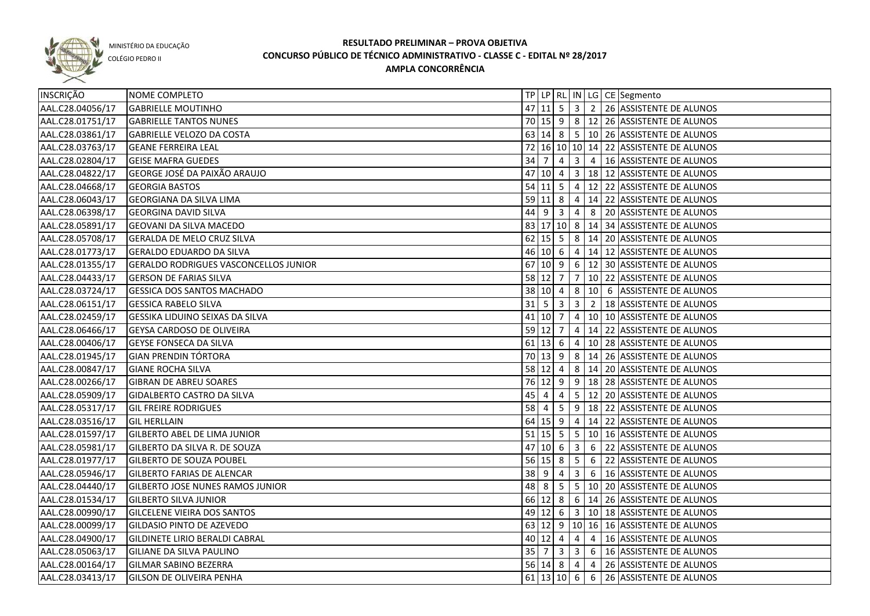

COLÉGIO PEDRO II

| INSCRIÇÃO        | NOME COMPLETO                                |      |                     |                                          |                         |   | TP LP   RL   IN   LG   CE   Segmento                  |
|------------------|----------------------------------------------|------|---------------------|------------------------------------------|-------------------------|---|-------------------------------------------------------|
| AAL.C28.04056/17 | <b>GABRIELLE MOUTINHO</b>                    |      |                     |                                          |                         |   | 47 11 5 3 2 26 ASSISTENTE DE ALUNOS                   |
| AAL.C28.01751/17 | <b>GABRIELLE TANTOS NUNES</b>                |      |                     |                                          |                         |   | 70 15 9 8 12 26 ASSISTENTE DE ALUNOS                  |
| AAL.C28.03861/17 | GABRIELLE VELOZO DA COSTA                    |      |                     |                                          |                         |   | 63 14 8 5 10 26 ASSISTENTE DE ALUNOS                  |
| AAL.C28.03763/17 | <b>GEANE FERREIRA LEAL</b>                   |      |                     |                                          |                         |   | 72 16 10 10 14 22 ASSISTENTE DE ALUNOS                |
| AAL.C28.02804/17 | <b>GEISE MAFRA GUEDES</b>                    |      |                     |                                          |                         |   | 34 7 4 3 4 16 ASSISTENTE DE ALUNOS                    |
| AAL.C28.04822/17 | GEORGE JOSÉ DA PAIXÃO ARAUJO                 |      |                     |                                          |                         |   | 47 10 4 3 18 12 ASSISTENTE DE ALUNOS                  |
| AAL.C28.04668/17 | <b>GEORGIA BASTOS</b>                        |      |                     |                                          |                         |   | 54 11 5 4 12 22 ASSISTENTE DE ALUNOS                  |
| AAL.C28.06043/17 | <b>GEORGIANA DA SILVA LIMA</b>               |      |                     |                                          |                         |   | 59 11 8 4 14 22 ASSISTENTE DE ALUNOS                  |
| AAL.C28.06398/17 | <b>GEORGINA DAVID SILVA</b>                  |      |                     |                                          |                         |   | 44 9 3 4 8 20 ASSISTENTE DE ALUNOS                    |
| AAL.C28.05891/17 | <b>GEOVANI DA SILVA MACEDO</b>               |      |                     |                                          |                         |   | 83 17 10 8 14 34 ASSISTENTE DE ALUNOS                 |
| AAL.C28.05708/17 | <b>GERALDA DE MELO CRUZ SILVA</b>            |      |                     |                                          |                         |   | 62   15   5   8   14   20   ASSISTENTE DE ALUNOS      |
| AAL.C28.01773/17 | <b>GERALDO EDUARDO DA SILVA</b>              |      |                     |                                          |                         |   | 46 10 6 4 14 12 ASSISTENTE DE ALUNOS                  |
| AAL.C28.01355/17 | <b>GERALDO RODRIGUES VASCONCELLOS JUNIOR</b> |      |                     |                                          |                         |   | 67 10 9 6 12 30 ASSISTENTE DE ALUNOS                  |
| AAL.C28.04433/17 | <b>GERSON DE FARIAS SILVA</b>                |      | $58$ 12 7           |                                          |                         |   | 7   10   22   ASSISTENTE DE ALUNOS                    |
| AAL.C28.03724/17 | <b>GESSICA DOS SANTOS MACHADO</b>            | 38   | 10 4                |                                          |                         |   | 8   10   6   ASSISTENTE DE ALUNOS                     |
| AAL.C28.06151/17 | <b>GESSICA RABELO SILVA</b>                  |      |                     |                                          |                         |   | 31   5   3   3   2   18   ASSISTENTE DE ALUNOS        |
| AAL.C28.02459/17 | GESSIKA LIDUINO SEIXAS DA SILVA              |      | $41$ 10 7           |                                          |                         |   | 4 10 10 ASSISTENTE DE ALUNOS                          |
| AAL.C28.06466/17 | <b>GEYSA CARDOSO DE OLIVEIRA</b>             |      | 59 12 7             |                                          |                         |   | 4   14   22   ASSISTENTE DE ALUNOS                    |
| AAL.C28.00406/17 | <b>GEYSE FONSECA DA SILVA</b>                |      | $61 \mid 13 \mid 6$ |                                          |                         |   | 4   10   28   ASSISTENTE DE ALUNOS                    |
| AAL.C28.01945/17 | <b>GIAN PRENDIN TÓRTORA</b>                  |      |                     | 70 13 9                                  |                         |   | 8   14   26   ASSISTENTE DE ALUNOS                    |
| AAL.C28.00847/17 | <b>GIANE ROCHA SILVA</b>                     |      | 58 12 4             |                                          |                         |   | 8   14   20   ASSISTENTE DE ALUNOS                    |
| AAL.C28.00266/17 | <b>GIBRAN DE ABREU SOARES</b>                | 76   | $12 \mid 9$         |                                          | 9                       |   | 18 28 ASSISTENTE DE ALUNOS                            |
| AAL.C28.05909/17 | <b>GIDALBERTO CASTRO DA SILVA</b>            | 45   | 4                   | 4                                        |                         |   | 5   12   20   ASSISTENTE DE ALUNOS                    |
| AAL.C28.05317/17 | <b>GIL FREIRE RODRIGUES</b>                  | 58   | 4                   | $5^{\circ}$                              |                         |   | $9$   18   22   ASSISTENTE DE ALUNOS                  |
| AAL.C28.03516/17 | <b>GIL HERLLAIN</b>                          |      | $64$ 15 9           |                                          | 4                       |   | 14 22 ASSISTENTE DE ALUNOS                            |
| AAL.C28.01597/17 | <b>GILBERTO ABEL DE LIMA JUNIOR</b>          |      |                     | 51 15 5                                  | 5                       |   | 10 16 ASSISTENTE DE ALUNOS                            |
| AAL.C28.05981/17 | GILBERTO DA SILVA R. DE SOUZA                |      | $47$ 10 6           |                                          | $\overline{\mathbf{3}}$ | 6 | 22 ASSISTENTE DE ALUNOS                               |
| AAL.C28.01977/17 | <b>GILBERTO DE SOUZA POUBEL</b>              |      | $56$ 15 8           |                                          | 5 <sub>1</sub>          | 6 | 22 ASSISTENTE DE ALUNOS                               |
| AAL.C28.05946/17 | <b>GILBERTO FARIAS DE ALENCAR</b>            | 38 9 |                     | $\overline{4}$                           | $\mathbf{3}$            |   | 6   16 ASSISTENTE DE ALUNOS                           |
| AAL.C28.04440/17 | <b>GILBERTO JOSE NUNES RAMOS JUNIOR</b>      |      | 48 8                | $\begin{array}{c} \boxed{5} \end{array}$ |                         |   | $5 \mid 10 \mid 20$ ASSISTENTE DE ALUNOS              |
| AAL.C28.01534/17 | <b>GILBERTO SILVA JUNIOR</b>                 |      |                     |                                          |                         |   | 66 12 8 6 14 26 ASSISTENTE DE ALUNOS                  |
| AAL.C28.00990/17 | <b>GILCELENE VIEIRA DOS SANTOS</b>           |      |                     |                                          |                         |   | 49 12 6 3 10 18 ASSISTENTE DE ALUNOS                  |
| AAL.C28.00099/17 | <b>GILDASIO PINTO DE AZEVEDO</b>             |      |                     |                                          |                         |   | 63 12 9 10 16 16 ASSISTENTE DE ALUNOS                 |
| AAL.C28.04900/17 | GILDINETE LIRIO BERALDI CABRAL               |      |                     | $40 \ 12 \ 4$                            |                         |   | 4 4 16 ASSISTENTE DE ALUNOS                           |
| AAL.C28.05063/17 | <b>GILIANE DA SILVA PAULINO</b>              |      |                     |                                          |                         |   | 35   7   3   3   6   16   ASSISTENTE DE ALUNOS        |
| AAL.C28.00164/17 | <b>GILMAR SABINO BEZERRA</b>                 |      |                     | $56$ 14 8                                |                         |   | $\vert 4 \vert 4 \vert 26 \vert$ ASSISTENTE DE ALUNOS |
| AAL.C28.03413/17 | <b>GILSON DE OLIVEIRA PENHA</b>              |      |                     |                                          |                         |   | 61 13 10 6 6 26 ASSISTENTE DE ALUNOS                  |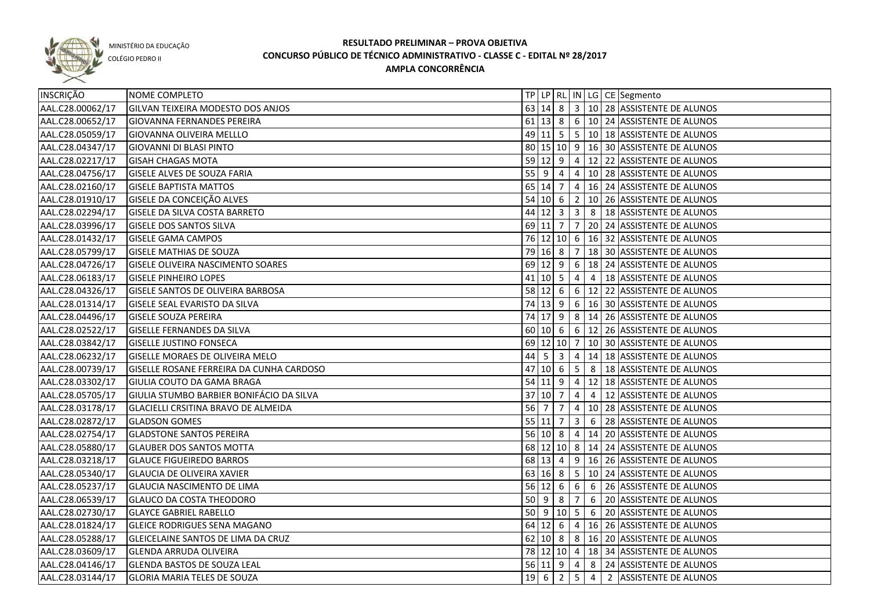

COLÉGIO PEDRO II

| INSCRIÇÃO        | NOME COMPLETO                            |    |                     |                         |                 |                | TP   LP   RL   IN   LG   CE   Segmento           |
|------------------|------------------------------------------|----|---------------------|-------------------------|-----------------|----------------|--------------------------------------------------|
| AAL.C28.00062/17 | GILVAN TEIXEIRA MODESTO DOS ANJOS        |    |                     |                         |                 |                | 63 14 8 3 10 28 ASSISTENTE DE ALUNOS             |
| AAL.C28.00652/17 | <b>GIOVANNA FERNANDES PEREIRA</b>        |    |                     |                         |                 |                | 61 13 8 6 10 24 ASSISTENTE DE ALUNOS             |
| AAL.C28.05059/17 | <b>GIOVANNA OLIVEIRA MELLLO</b>          |    |                     |                         |                 |                | 49 11 5 5 10 18 ASSISTENTE DE ALUNOS             |
| AAL.C28.04347/17 | <b>GIOVANNI DI BLASI PINTO</b>           |    |                     |                         |                 |                | 80 15 10 9 16 30 ASSISTENTE DE ALUNOS            |
| AAL.C28.02217/17 | <b>GISAH CHAGAS MOTA</b>                 |    |                     |                         |                 |                | 59 12 9 4 12 22 ASSISTENTE DE ALUNOS             |
| AAL.C28.04756/17 | <b>GISELE ALVES DE SOUZA FARIA</b>       |    |                     |                         |                 |                | 55 9 4 4 10 28 ASSISTENTE DE ALUNOS              |
| AAL.C28.02160/17 | <b>GISELE BAPTISTA MATTOS</b>            |    |                     |                         |                 |                | 65   14   7   4   16   24   ASSISTENTE DE ALUNOS |
| AAL.C28.01910/17 | GISELE DA CONCEIÇÃO ALVES                |    |                     |                         |                 |                | 54 10 6 2 10 26 ASSISTENTE DE ALUNOS             |
| AAL.C28.02294/17 | <b>GISELE DA SILVA COSTA BARRETO</b>     |    |                     |                         |                 |                |                                                  |
| AAL.C28.03996/17 | <b>GISELE DOS SANTOS SILVA</b>           |    |                     |                         |                 |                | 69 11 7 7 20 24 ASSISTENTE DE ALUNOS             |
| AAL.C28.01432/17 | <b>GISELE GAMA CAMPOS</b>                |    |                     |                         |                 |                | 76 12 10 6 16 32 ASSISTENTE DE ALUNOS            |
| AAL.C28.05799/17 | <b>GISELE MATHIAS DE SOUZA</b>           |    |                     |                         |                 |                | 79 16 8 7 18 30 ASSISTENTE DE ALUNOS             |
| AAL.C28.04726/17 | <b>GISELE OLIVEIRA NASCIMENTO SOARES</b> |    |                     |                         |                 |                | 69 12 9 6 18 24 ASSISTENTE DE ALUNOS             |
| AAL.C28.06183/17 | <b>GISELE PINHEIRO LOPES</b>             |    | $41$ 10 5           |                         | $\overline{4}$  |                | 4   18 ASSISTENTE DE ALUNOS                      |
| AAL.C28.04326/17 | GISELE SANTOS DE OLIVEIRA BARBOSA        |    | $58$ 12 6           |                         |                 |                | $6 \mid 12 \mid 22$ ASSISTENTE DE ALUNOS         |
| AAL.C28.01314/17 | GISELE SEAL EVARISTO DA SILVA            |    | $74 \mid 13 \mid 9$ |                         |                 |                | 6   16   30   ASSISTENTE DE ALUNOS               |
| AAL.C28.04496/17 | <b>GISELE SOUZA PEREIRA</b>              |    |                     |                         |                 |                | 74 17 9 8 14 26 ASSISTENTE DE ALUNOS             |
| AAL.C28.02522/17 | <b>GISELLE FERNANDES DA SILVA</b>        |    |                     |                         |                 |                | 60 10 6 6 12 26 ASSISTENTE DE ALUNOS             |
| AAL.C28.03842/17 | <b>GISELLE JUSTINO FONSECA</b>           |    |                     |                         |                 |                | 69 12 10 7 10 30 ASSISTENTE DE ALUNOS            |
| AAL.C28.06232/17 | GISELLE MORAES DE OLIVEIRA MELO          |    |                     | $44 \mid 5 \mid 3$      |                 |                | 4   14   18   ASSISTENTE DE ALUNOS               |
| AAL.C28.00739/17 | GISELLE ROSANE FERREIRA DA CUNHA CARDOSO |    | 47 10 6             |                         | l 5 I           |                | 8   18 ASSISTENTE DE ALUNOS                      |
| AAL.C28.03302/17 | GIULIA COUTO DA GAMA BRAGA               |    |                     | 54 11 9                 | $\vert 4 \vert$ |                | 12 18 ASSISTENTE DE ALUNOS                       |
| AAL.C28.05705/17 | GIULIA STUMBO BARBIER BONIFÁCIO DA SILVA |    | 37   10   7         |                         | 4               | $\overline{4}$ | 12 ASSISTENTE DE ALUNOS                          |
| AAL.C28.03178/17 | GLACIELLI CRSITINA BRAVO DE ALMEIDA      | 56 | l 7                 | 7                       | $\overline{4}$  |                | 10 28 ASSISTENTE DE ALUNOS                       |
| AAL.C28.02872/17 | <b>GLADSON GOMES</b>                     |    | $55$ 11 7           |                         | $\overline{3}$  | 6              | 28 ASSISTENTE DE ALUNOS                          |
| AAL.C28.02754/17 | <b>GLADSTONE SANTOS PEREIRA</b>          |    | $56$ 10 8           |                         |                 |                | 4   14   20   ASSISTENTE DE ALUNOS               |
| AAL.C28.05880/17 | <b>GLAUBER DOS SANTOS MOTTA</b>          |    |                     |                         |                 |                | 68 12 10 8 14 24 ASSISTENTE DE ALUNOS            |
| AAL.C28.03218/17 | <b>GLAUCE FIGUEIREDO BARROS</b>          |    | 68 13 4             |                         |                 |                | 9   16   26   ASSISTENTE DE ALUNOS               |
| AAL.C28.05340/17 | <b>GLAUCIA DE OLIVEIRA XAVIER</b>        |    |                     |                         |                 |                | 63   16   8   5   10   24   ASSISTENTE DE ALUNOS |
| AAL.C28.05237/17 | <b>GLAUCIA NASCIMENTO DE LIMA</b>        |    | $56 \ 12 \ 6$       |                         | 6               | 6              | 26 ASSISTENTE DE ALUNOS                          |
| AAL.C28.06539/17 | <b>GLAUCO DA COSTA THEODORO</b>          |    | $50$   9            | 8                       | 7               | 6              | 20 ASSISTENTE DE ALUNOS                          |
| AAL.C28.02730/17 | <b>GLAYCE GABRIEL RABELLO</b>            |    |                     |                         |                 |                | 50 9 10 5 6 20 ASSISTENTE DE ALUNOS              |
| AAL.C28.01824/17 | <b>GLEICE RODRIGUES SENA MAGANO</b>      |    |                     |                         |                 |                | 64 12 6 4 16 26 ASSISTENTE DE ALUNOS             |
| AAL.C28.05288/17 | GLEICELAINE SANTOS DE LIMA DA CRUZ       |    |                     |                         |                 |                | 62 10 8 8 16 20 ASSISTENTE DE ALUNOS             |
| AAL.C28.03609/17 | <b>GLENDA ARRUDA OLIVEIRA</b>            |    |                     |                         |                 |                | 78 12 10 4 18 34 ASSISTENTE DE ALUNOS            |
| AAL.C28.04146/17 | <b>GLENDA BASTOS DE SOUZA LEAL</b>       |    |                     |                         |                 |                | 56 11 9 4 8 24 ASSISTENTE DE ALUNOS              |
| AAL.C28.03144/17 | <b>GLORIA MARIA TELES DE SOUZA</b>       |    |                     | $19 \mid 6 \mid 2 \mid$ |                 |                | 5 4 2 ASSISTENTE DE ALUNOS                       |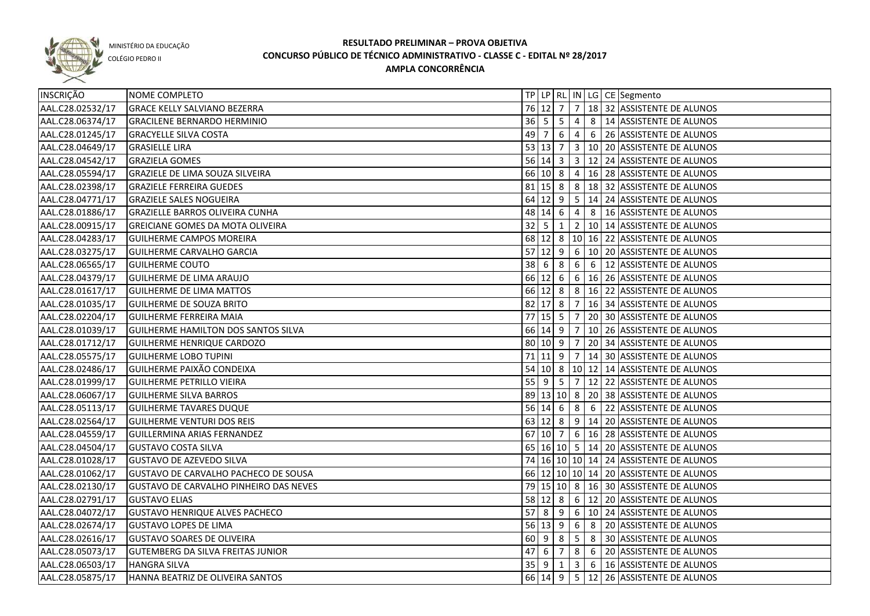

COLÉGIO PEDRO II

| INSCRIÇÃO        | NOME COMPLETO                            |             |                     |                |                 |   | TP   LP   RL   IN   LG   CE   Segmento           |
|------------------|------------------------------------------|-------------|---------------------|----------------|-----------------|---|--------------------------------------------------|
| AAL.C28.02532/17 | <b>GRACE KELLY SALVIANO BEZERRA</b>      |             |                     |                |                 |   | 76 12 7 7 18 32 ASSISTENTE DE ALUNOS             |
| AAL.C28.06374/17 | <b>GRACILENE BERNARDO HERMINIO</b>       |             |                     |                |                 |   |                                                  |
| AAL.C28.01245/17 | <b>GRACYELLE SILVA COSTA</b>             |             | 49 7                | 6              |                 |   | 4 6 26 ASSISTENTE DE ALUNOS                      |
| AAL.C28.04649/17 | <b>GRASIELLE LIRA</b>                    |             | $53 \mid 13 \mid 7$ |                |                 |   | 3   10   20   ASSISTENTE DE ALUNOS               |
| AAL.C28.04542/17 | <b>GRAZIELA GOMES</b>                    |             |                     |                |                 |   | 56   14   3   3   12   24   ASSISTENTE DE ALUNOS |
| AAL.C28.05594/17 | <b>GRAZIELE DE LIMA SOUZA SILVEIRA</b>   |             |                     |                |                 |   | 66 10 8 4 16 28 ASSISTENTE DE ALUNOS             |
| AAL.C28.02398/17 | <b>GRAZIELE FERREIRA GUEDES</b>          |             |                     |                |                 |   | 81 15 8 8 18 32 ASSISTENTE DE ALUNOS             |
| AAL.C28.04771/17 | <b>GRAZIELE SALES NOGUEIRA</b>           |             |                     |                |                 |   | 64 12 9 5 14 24 ASSISTENTE DE ALUNOS             |
| AAL.C28.01886/17 | <b>GRAZIELLE BARROS OLIVEIRA CUNHA</b>   |             |                     | 48 14 6        |                 |   | 4 8 16 ASSISTENTE DE ALUNOS                      |
| AAL.C28.00915/17 | GREICIANE GOMES DA MOTA OLIVEIRA         | $32 \mid 5$ |                     | 1              |                 |   | 2   10   14   ASSISTENTE DE ALUNOS               |
| AAL.C28.04283/17 | GUILHERME CAMPOS MOREIRA                 |             |                     | 68 12 8        |                 |   | 10 16 22 ASSISTENTE DE ALUNOS                    |
| AAL.C28.03275/17 | GUILHERME CARVALHO GARCIA                |             | $57$ 12             | 9              | 6               |   | 10 20 ASSISTENTE DE ALUNOS                       |
| AAL.C28.06565/17 | <b>GUILHERME COUTO</b>                   | $38 \mid 6$ |                     | 8              |                 |   | 6 6 12 ASSISTENTE DE ALUNOS                      |
| AAL.C28.04379/17 | GUILHERME DE LIMA ARAUJO                 |             | 66 12 6             |                |                 |   | 6   16   26   ASSISTENTE DE ALUNOS               |
| AAL.C28.01617/17 | <b>GUILHERME DE LIMA MATTOS</b>          |             |                     | 66 12 8        |                 |   | 8   16   22   ASSISTENTE DE ALUNOS               |
| AAL.C28.01035/17 | <b>GUILHERME DE SOUZA BRITO</b>          |             | 82 17 8             |                | $\overline{7}$  |   | 16 34 ASSISTENTE DE ALUNOS                       |
| AAL.C28.02204/17 | <b>GUILHERME FERREIRA MAIA</b>           |             |                     | $77$ 15 5      | 7               |   | 20 30 ASSISTENTE DE ALUNOS                       |
| AAL.C28.01039/17 | GUILHERME HAMILTON DOS SANTOS SILVA      |             |                     | 66 14 9        | 7               |   | 10 26 ASSISTENTE DE ALUNOS                       |
| AAL.C28.01712/17 | GUILHERME HENRIQUE CARDOZO               |             | 80 10 9             |                | $\overline{7}$  |   | 20 34 ASSISTENTE DE ALUNOS                       |
| AAL.C28.05575/17 | <b>GUILHERME LOBO TUPINI</b>             |             |                     | $71$ 11 9      | $\overline{7}$  |   | 14 30 ASSISTENTE DE ALUNOS                       |
| AAL.C28.02486/17 | <b>GUILHERME PAIXÃO CONDEIXA</b>         |             |                     | 54 10 8        |                 |   | 10 12 14 ASSISTENTE DE ALUNOS                    |
| AAL.C28.01999/17 | <b>GUILHERME PETRILLO VIEIRA</b>         | $55$ 9      |                     | - 5            | $\overline{7}$  |   | 12 22 ASSISTENTE DE ALUNOS                       |
| AAL.C28.06067/17 | <b>GUILHERME SILVA BARROS</b>            |             |                     |                |                 |   | 89 13 10 8 20 38 ASSISTENTE DE ALUNOS            |
| AAL.C28.05113/17 | <b>GUILHERME TAVARES DUQUE</b>           |             | $56$ 14 6           |                | 8               | 6 | 22 ASSISTENTE DE ALUNOS                          |
| AAL.C28.02564/17 | <b>GUILHERME VENTURI DOS REIS</b>        |             | 63 12 8             |                |                 |   | 9   14   20   ASSISTENTE DE ALUNOS               |
| AAL.C28.04559/17 | GUILLERMINA ARIAS FERNANDEZ              |             | 67 10 7             |                | $6\overline{6}$ |   | 16 28 ASSISTENTE DE ALUNOS                       |
| AAL.C28.04504/17 | <b>GUSTAVO COSTA SILVA</b>               |             |                     |                |                 |   | 65 16 10 5 14 20 ASSISTENTE DE ALUNOS            |
| AAL.C28.01028/17 | <b>GUSTAVO DE AZEVEDO SILVA</b>          |             |                     |                |                 |   | 74 16 10 10 14 24 ASSISTENTE DE ALUNOS           |
| AAL.C28.01062/17 | GUSTAVO DE CARVALHO PACHECO DE SOUSA     |             |                     |                |                 |   | 66 12 10 10 14 20 ASSISTENTE DE ALUNOS           |
| AAL.C28.02130/17 | GUSTAVO DE CARVALHO PINHEIRO DAS NEVES   |             |                     |                |                 |   | 79 15 10 8 16 30 ASSISTENTE DE ALUNOS            |
| AAL.C28.02791/17 | <b>GUSTAVO ELIAS</b>                     |             |                     |                |                 |   | 58 12 8 6 12 20 ASSISTENTE DE ALUNOS             |
| AAL.C28.04072/17 | <b>GUSTAVO HENRIQUE ALVES PACHECO</b>    |             |                     |                |                 |   | 57 8 9 6 10 24 ASSISTENTE DE ALUNOS              |
| AAL.C28.02674/17 | <b>GUSTAVO LOPES DE LIMA</b>             |             |                     | $56 \ 13 \ 9$  |                 |   | 6 8 20 ASSISTENTE DE ALUNOS                      |
| AAL.C28.02616/17 | <b>GUSTAVO SOARES DE OLIVEIRA</b>        |             |                     | 60 9 8         |                 |   | 5 8 30 ASSISTENTE DE ALUNOS                      |
| AAL.C28.05073/17 | <b>GUTEMBERG DA SILVA FREITAS JUNIOR</b> |             | $47 \quad 6$        | $\overline{7}$ |                 |   | 8 6 20 ASSISTENTE DE ALUNOS                      |
| AAL.C28.06503/17 | <b>HANGRA SILVA</b>                      |             | $35$ 9              | $\overline{1}$ |                 |   | $3   6   16  $ ASSISTENTE DE ALUNOS              |
| AAL.C28.05875/17 | HANNA BEATRIZ DE OLIVEIRA SANTOS         |             |                     |                |                 |   | 66 14 9 5 12 26 ASSISTENTE DE ALUNOS             |
|                  |                                          |             |                     |                |                 |   |                                                  |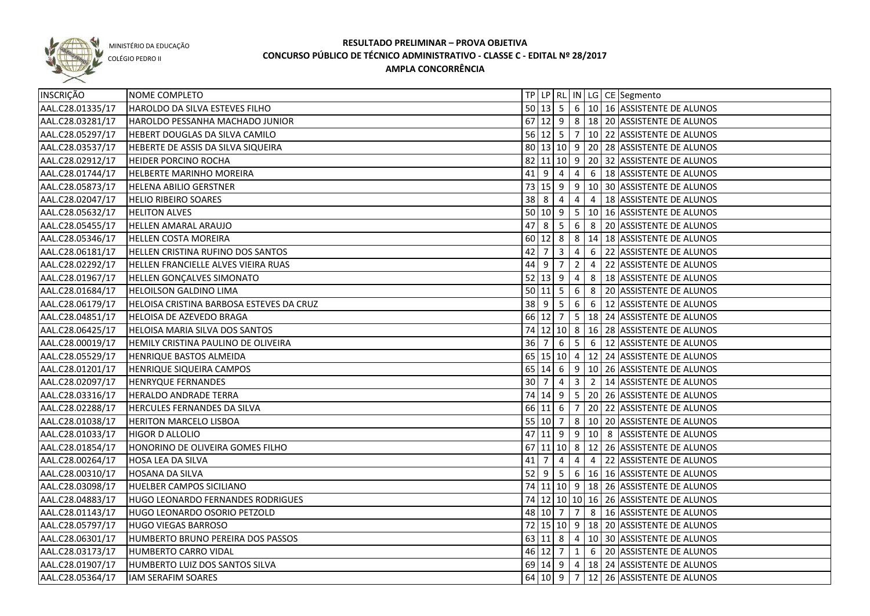

COLÉGIO PEDRO II

| INSCRIÇÃO        | NOME COMPLETO                            |        |                |                                          |                |                | TP LP RL IN LG CE Segmento                       |
|------------------|------------------------------------------|--------|----------------|------------------------------------------|----------------|----------------|--------------------------------------------------|
| AAL.C28.01335/17 | HAROLDO DA SILVA ESTEVES FILHO           |        |                |                                          |                |                | 50 13 5 6 10 16 ASSISTENTE DE ALUNOS             |
| AAL.C28.03281/17 | HAROLDO PESSANHA MACHADO JUNIOR          |        |                |                                          |                |                | 67 12 9 8 18 20 ASSISTENTE DE ALUNOS             |
| AAL.C28.05297/17 | HEBERT DOUGLAS DA SILVA CAMILO           |        |                |                                          |                |                | 56 12 5 7 10 22 ASSISTENTE DE ALUNOS             |
| AAL.C28.03537/17 | HEBERTE DE ASSIS DA SILVA SIQUEIRA       |        |                |                                          |                |                | 80 13 10 9 20 28 ASSISTENTE DE ALUNOS            |
| AAL.C28.02912/17 | <b>HEIDER PORCINO ROCHA</b>              |        |                |                                          |                |                | 82 11 10 9 20 32 ASSISTENTE DE ALUNOS            |
| AAL.C28.01744/17 | <b>HELBERTE MARINHO MOREIRA</b>          |        |                |                                          |                |                | $41$   9   4   4   6   18   ASSISTENTE DE ALUNOS |
| AAL.C28.05873/17 | <b>HELENA ABILIO GERSTNER</b>            |        |                |                                          |                |                | 73 15 9 9 10 30 ASSISTENTE DE ALUNOS             |
| AAL.C28.02047/17 | <b>HELIO RIBEIRO SOARES</b>              |        | 38   8   4   4 |                                          |                |                | 4   18 ASSISTENTE DE ALUNOS                      |
| AAL.C28.05632/17 | <b>HELITON ALVES</b>                     |        |                |                                          |                |                | 50 10 9 5 10 16 ASSISTENTE DE ALUNOS             |
| AAL.C28.05455/17 | <b>HELLEN AMARAL ARAUJO</b>              |        |                |                                          |                |                | 47 8 5 6 8 20 ASSISTENTE DE ALUNOS               |
| AAL.C28.05346/17 | <b>HELLEN COSTA MOREIRA</b>              |        |                |                                          |                |                | 60 12 8 8 3 14 18 ASSISTENTE DE ALUNOS           |
| AAL.C28.06181/17 | HELLEN CRISTINA RUFINO DOS SANTOS        | 42     | $\overline{7}$ | $\overline{\mathbf{3}}$                  | $\overline{4}$ |                | 6 22 ASSISTENTE DE ALUNOS                        |
| AAL.C28.02292/17 | HELLEN FRANCIELLE ALVES VIEIRA RUAS      | 44     | l 9            | $\overline{7}$                           | $\overline{2}$ | 4              | 22 ASSISTENTE DE ALUNOS                          |
| AAL.C28.01967/17 | HELLEN GONÇALVES SIMONATO                |        | $52$ 13 9      |                                          | 4              | 8              | 18 ASSISTENTE DE ALUNOS                          |
| AAL.C28.01684/17 | <b>HELOILSON GALDINO LIMA</b>            |        | $50$ 11 5      |                                          | 6              | 8              | 20 ASSISTENTE DE ALUNOS                          |
| AAL.C28.06179/17 | HELOISA CRISTINA BARBOSA ESTEVES DA CRUZ | 38 9   |                | $\begin{array}{c} \boxed{5} \end{array}$ | $\overline{6}$ | 6              | 12 ASSISTENTE DE ALUNOS                          |
| AAL.C28.04851/17 | HELOISA DE AZEVEDO BRAGA                 |        |                |                                          |                |                | 66 12 7 5 18 24 ASSISTENTE DE ALUNOS             |
| AAL.C28.06425/17 | HELOISA MARIA SILVA DOS SANTOS           |        | 74 12 10 8     |                                          |                |                | 16 28 ASSISTENTE DE ALUNOS                       |
| AAL.C28.00019/17 | HEMILY CRISTINA PAULINO DE OLIVEIRA      | 36 7   |                | $6\overline{6}$                          | 5 <sup>5</sup> | 6              | 12 ASSISTENTE DE ALUNOS                          |
| AAL.C28.05529/17 | HENRIQUE BASTOS ALMEIDA                  |        | 65 15 10 4     |                                          |                |                | 12 24 ASSISTENTE DE ALUNOS                       |
| AAL.C28.01201/17 | HENRIQUE SIQUEIRA CAMPOS                 |        | $65 \ 14 \ 6$  |                                          |                |                | 9   10   26   ASSISTENTE DE ALUNOS               |
| AAL.C28.02097/17 | <b>HENRYQUE FERNANDES</b>                | 30     | $\overline{7}$ | $\overline{4}$                           | $\overline{3}$ | $\overline{2}$ | 14 ASSISTENTE DE ALUNOS                          |
| AAL.C28.03316/17 | <b>HERALDO ANDRADE TERRA</b>             |        | 74 14 9        |                                          | 5 <sup>1</sup> |                | 20 26 ASSISTENTE DE ALUNOS                       |
| AAL.C28.02288/17 | <b>HERCULES FERNANDES DA SILVA</b>       |        | 66 11 6        |                                          | $\overline{7}$ |                | 20 22 ASSISTENTE DE ALUNOS                       |
| AAL.C28.01038/17 | <b>HERITON MARCELO LISBOA</b>            |        | 55 10 7        |                                          |                |                | 8   10   20   ASSISTENTE DE ALUNOS               |
| AAL.C28.01033/17 | <b>HIGOR D ALLOLIO</b>                   | 47     | $11$   9       |                                          |                |                | 9   10   8   ASSISTENTE DE ALUNOS                |
| AAL.C28.01854/17 | HONORINO DE OLIVEIRA GOMES FILHO         |        |                |                                          |                |                | 67 11 10 8 12 26 ASSISTENTE DE ALUNOS            |
| AAL.C28.00264/17 | HOSA LEA DA SILVA                        | 41     | $\overline{7}$ | $\overline{4}$                           | 4              | 4              | 22 ASSISTENTE DE ALUNOS                          |
| AAL.C28.00310/17 | <b>HOSANA DA SILVA</b>                   | $52$ 9 |                | 5                                        |                |                | 6   16   16   ASSISTENTE DE ALUNOS               |
| AAL.C28.03098/17 | <b>HUELBER CAMPOS SICILIANO</b>          |        |                |                                          |                |                | 74 11 10 9 18 26 ASSISTENTE DE ALUNOS            |
| AAL.C28.04883/17 | HUGO LEONARDO FERNANDES RODRIGUES        |        |                |                                          |                |                | 74 12 10 10 16 26 ASSISTENTE DE ALUNOS           |
| AAL.C28.01143/17 | HUGO LEONARDO OSORIO PETZOLD             |        |                |                                          |                |                | 48 10 7 7 8 16 ASSISTENTE DE ALUNOS              |
| AAL.C28.05797/17 | <b>HUGO VIEGAS BARROSO</b>               |        |                |                                          |                |                | 72 15 10 9 18 20 ASSISTENTE DE ALUNOS            |
| AAL.C28.06301/17 | HUMBERTO BRUNO PEREIRA DOS PASSOS        |        |                |                                          |                |                | 63 11 8 4 10 30 ASSISTENTE DE ALUNOS             |
| AAL.C28.03173/17 | HUMBERTO CARRO VIDAL                     |        |                |                                          |                |                | 46 12 7 1 6 20 ASSISTENTE DE ALUNOS              |
| AAL.C28.01907/17 | HUMBERTO LUIZ DOS SANTOS SILVA           |        |                |                                          |                |                | 69 14 9 4 18 24 ASSISTENTE DE ALUNOS             |
| AAL.C28.05364/17 | IAM SERAFIM SOARES                       |        |                |                                          |                |                | 64   10   9   7   12   26   ASSISTENTE DE ALUNOS |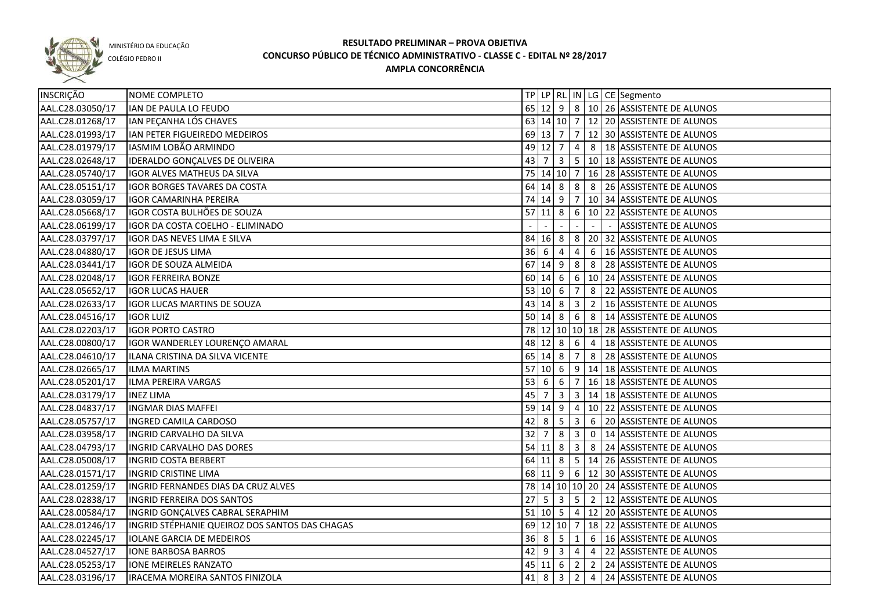

COLÉGIO PEDRO II

| INSCRIÇÃO        | NOME COMPLETO                                  |    |                               |                         |                         |                | TP LP   RL   IN   LG   CE   Segmento              |
|------------------|------------------------------------------------|----|-------------------------------|-------------------------|-------------------------|----------------|---------------------------------------------------|
| AAL.C28.03050/17 | IAN DE PAULA LO FEUDO                          |    |                               |                         |                         |                | 65 12 9 8 10 26 ASSISTENTE DE ALUNOS              |
| AAL.C28.01268/17 | IAN PEÇANHA LÓS CHAVES                         |    |                               |                         |                         |                | 63 14 10 7 12 20 ASSISTENTE DE ALUNOS             |
| AAL.C28.01993/17 | IAN PETER FIGUEIREDO MEDEIROS                  |    |                               |                         |                         |                | 69 13 7 7 12 30 ASSISTENTE DE ALUNOS              |
| AAL.C28.01979/17 | IASMIM LOBÃO ARMINDO                           |    |                               | 49 12 7                 |                         |                | 4 8 18 ASSISTENTE DE ALUNOS                       |
| AAL.C28.02648/17 | IDERALDO GONÇALVES DE OLIVEIRA                 |    |                               | $43 \mid 7 \mid 3$      |                         |                | 5 10 18 ASSISTENTE DE ALUNOS                      |
| AAL.C28.05740/17 | IGOR ALVES MATHEUS DA SILVA                    |    |                               |                         |                         |                | 75   14   10   7   16   28   ASSISTENTE DE ALUNOS |
| AAL.C28.05151/17 | <b>IGOR BORGES TAVARES DA COSTA</b>            |    |                               | 64 14 8                 |                         |                | $8 \mid 8 \mid 26$ ASSISTENTE DE ALUNOS           |
| AAL.C28.03059/17 | <b>IGOR CAMARINHA PEREIRA</b>                  |    |                               |                         |                         |                | 74 14 9 7 10 34 ASSISTENTE DE ALUNOS              |
| AAL.C28.05668/17 | IGOR COSTA BULHÕES DE SOUZA                    |    |                               | $57$ 11 8               |                         |                | 6   10   22   ASSISTENTE DE ALUNOS                |
| AAL.C28.06199/17 | IGOR DA COSTA COELHO - ELIMINADO               |    |                               |                         |                         |                | <b>ASSISTENTE DE ALUNOS</b>                       |
| AAL.C28.03797/17 | IGOR DAS NEVES LIMA E SILVA                    |    | 84 16 8                       |                         |                         |                | 8 20 32 ASSISTENTE DE ALUNOS                      |
| AAL.C28.04880/17 | <b>IGOR DE JESUS LIMA</b>                      |    | $36 \overline{6}$             | 4                       | $\overline{4}$          | 6              | 16 ASSISTENTE DE ALUNOS                           |
| AAL.C28.03441/17 | IGOR DE SOUZA ALMEIDA                          |    | 67 14                         | 9                       | 8                       | 8              | 28 ASSISTENTE DE ALUNOS                           |
| AAL.C28.02048/17 | <b>IGOR FERREIRA BONZE</b>                     |    | 60 14                         | $6\overline{6}$         |                         |                | 6   10   24   ASSISTENTE DE ALUNOS                |
| AAL.C28.05652/17 | <b>IGOR LUCAS HAUER</b>                        |    | 53   10   6                   |                         | $\overline{7}$          | 8              | 22 ASSISTENTE DE ALUNOS                           |
| AAL.C28.02633/17 | <b>IGOR LUCAS MARTINS DE SOUZA</b>             |    | 43 14                         | l 8                     | $\overline{3}$          | $\overline{2}$ | 16 ASSISTENTE DE ALUNOS                           |
| AAL.C28.04516/17 | <b>IGOR LUIZ</b>                               |    |                               | $50 \ 14 \ 8$           | 6                       |                | 8   14 ASSISTENTE DE ALUNOS                       |
| AAL.C28.02203/17 | <b>IGOR PORTO CASTRO</b>                       |    |                               |                         |                         |                | 78 12 10 10 18 28 ASSISTENTE DE ALUNOS            |
| AAL.C28.00800/17 | IGOR WANDERLEY LOURENÇO AMARAL                 |    | 48 12 8                       |                         | 6                       | $\overline{4}$ | 18 ASSISTENTE DE ALUNOS                           |
| AAL.C28.04610/17 | ILANA CRISTINA DA SILVA VICENTE                |    | 65 14 8                       |                         | $\overline{7}$          | 8              | 28 ASSISTENTE DE ALUNOS                           |
| AAL.C28.02665/17 | <b>ILMA MARTINS</b>                            |    | 57 10 6                       |                         | 9                       |                | 14 18 ASSISTENTE DE ALUNOS                        |
| AAL.C28.05201/17 | ILMA PEREIRA VARGAS                            | 53 | 6                             | 6                       | $\overline{7}$          |                | 16 18 ASSISTENTE DE ALUNOS                        |
| AAL.C28.03179/17 | <b>INEZ LIMA</b>                               | 45 |                               | 3                       | $\overline{\mathbf{3}}$ |                | 14 18 ASSISTENTE DE ALUNOS                        |
| AAL.C28.04837/17 | <b>INGMAR DIAS MAFFEI</b>                      |    | 59 14                         | 9                       | 4                       |                | 10 22 ASSISTENTE DE ALUNOS                        |
| AAL.C28.05757/17 | <b>INGRED CAMILA CARDOSO</b>                   | 42 | 8                             | -5                      | $\overline{3}$          | 6              | 20 ASSISTENTE DE ALUNOS                           |
| AAL.C28.03958/17 | INGRID CARVALHO DA SILVA                       | 32 |                               | 8                       | 3                       | $\mathsf 0$    | 14 ASSISTENTE DE ALUNOS                           |
| AAL.C28.04793/17 | INGRID CARVALHO DAS DORES                      |    | $54$ 11                       | 8                       | $\mathbf{3}$            | 8              | 24 ASSISTENTE DE ALUNOS                           |
| AAL.C28.05008/17 | <b>INGRID COSTA BERBERT</b>                    |    | 64 11                         | 8                       |                         |                | 5   14   26   ASSISTENTE DE ALUNOS                |
| AAL.C28.01571/17 | <b>INGRID CRISTINE LIMA</b>                    |    |                               |                         |                         |                | 68 11 9 6 12 30 ASSISTENTE DE ALUNOS              |
| AAL.C28.01259/17 | INGRID FERNANDES DIAS DA CRUZ ALVES            |    |                               |                         |                         |                | 78 14 10 10 20 24 ASSISTENTE DE ALUNOS            |
| AAL.C28.02838/17 | <b>INGRID FERREIRA DOS SANTOS</b>              |    | $27 \overline{\phantom{0}}$ 5 | $\overline{\mathbf{3}}$ |                         |                | 5 2 12 ASSISTENTE DE ALUNOS                       |
| AAL.C28.00584/17 | INGRID GONÇALVES CABRAL SERAPHIM               |    |                               |                         |                         |                | 51 10 5 4 12 20 ASSISTENTE DE ALUNOS              |
| AAL.C28.01246/17 | INGRID STÉPHANIE QUEIROZ DOS SANTOS DAS CHAGAS |    |                               |                         |                         |                | 69 12 10 7 18 22 ASSISTENTE DE ALUNOS             |
| AAL.C28.02245/17 | <b>IOLANE GARCIA DE MEDEIROS</b>               |    | 36 8                          | 5 <sup>5</sup>          | $\overline{1}$          |                | 6   16 ASSISTENTE DE ALUNOS                       |
| AAL.C28.04527/17 | <b>IONE BARBOSA BARROS</b>                     |    |                               | $42 \mid 9 \mid 3 \mid$ |                         | $4 \mid 4$     | 22 ASSISTENTE DE ALUNOS                           |
| AAL.C28.05253/17 | <b>IONE MEIRELES RANZATO</b>                   |    |                               |                         |                         |                | 45 11 6 2 2 24 ASSISTENTE DE ALUNOS               |
| AAL.C28.03196/17 | IRACEMA MOREIRA SANTOS FINIZOLA                |    | $41 \vert 8$                  | $\overline{\mathbf{3}}$ |                         |                | 2 4 24 ASSISTENTE DE ALUNOS                       |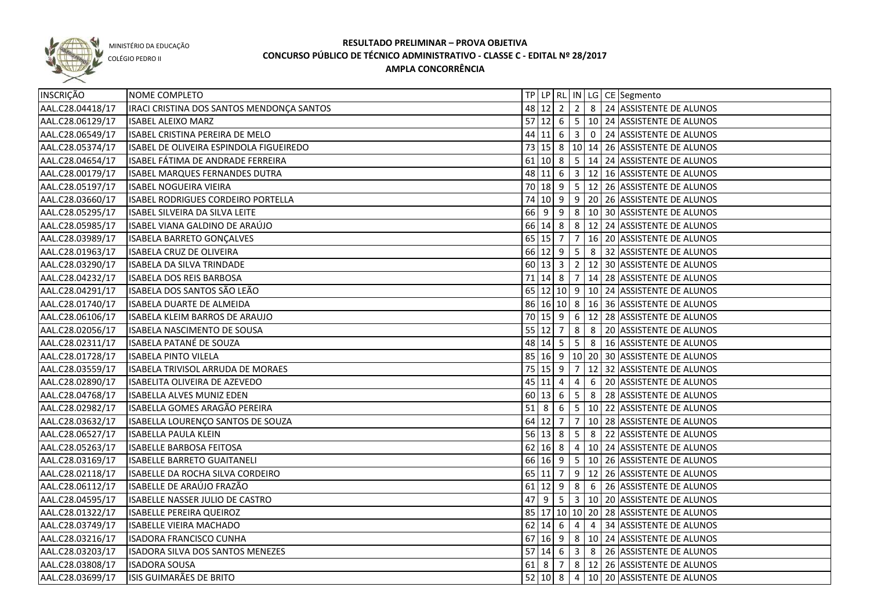

COLÉGIO PEDRO II

| INSCRIÇÃO        | NOME COMPLETO                             |                    |                                   |                                  |                |                                             | TP LP RL IN LG CE Segmento                       |
|------------------|-------------------------------------------|--------------------|-----------------------------------|----------------------------------|----------------|---------------------------------------------|--------------------------------------------------|
| AAL.C28.04418/17 | IRACI CRISTINA DOS SANTOS MENDONÇA SANTOS |                    |                                   |                                  |                |                                             |                                                  |
| AAL.C28.06129/17 | <b>ISABEL ALEIXO MARZ</b>                 |                    |                                   |                                  |                |                                             | 57 12 6 5 10 24 ASSISTENTE DE ALUNOS             |
| AAL.C28.06549/17 | ISABEL CRISTINA PEREIRA DE MELO           |                    |                                   |                                  |                |                                             | 44 11 6 3 0 24 ASSISTENTE DE ALUNOS              |
| AAL.C28.05374/17 | ISABEL DE OLIVEIRA ESPINDOLA FIGUEIREDO   |                    |                                   |                                  |                |                                             | 73 15 8 10 14 26 ASSISTENTE DE ALUNOS            |
| AAL.C28.04654/17 | ISABEL FATIMA DE ANDRADE FERREIRA         |                    |                                   |                                  |                |                                             | 61 10 8 5 14 24 ASSISTENTE DE ALUNOS             |
| AAL.C28.00179/17 | <b>ISABEL MARQUES FERNANDES DUTRA</b>     |                    |                                   |                                  |                |                                             | 48 11 6 3 12 16 ASSISTENTE DE ALUNOS             |
| AAL.C28.05197/17 | <b>ISABEL NOGUEIRA VIEIRA</b>             |                    |                                   |                                  |                |                                             | 70 18 9 5 12 26 ASSISTENTE DE ALUNOS             |
| AAL.C28.03660/17 | ISABEL RODRIGUES CORDEIRO PORTELLA        |                    |                                   |                                  |                |                                             | 74 10 9 9 20 26 ASSISTENTE DE ALUNOS             |
| AAL.C28.05295/17 | ISABEL SILVEIRA DA SILVA LEITE            |                    |                                   |                                  |                |                                             | 66 9 9 8 10 30 ASSISTENTE DE ALUNOS              |
| AAL.C28.05985/17 | ISABEL VIANA GALDINO DE ARAÚJO            |                    |                                   |                                  |                |                                             | 66 14 8 8 12 24 ASSISTENTE DE ALUNOS             |
| AAL.C28.03989/17 | ISABELA BARRETO GONÇALVES                 |                    |                                   |                                  |                |                                             | 65   15   7   7   16   20   ASSISTENTE DE ALUNOS |
| AAL.C28.01963/17 | ISABELA CRUZ DE OLIVEIRA                  |                    |                                   |                                  |                |                                             | 66 12 9 5 8 32 ASSISTENTE DE ALUNOS              |
| AAL.C28.03290/17 | ISABELA DA SILVA TRINDADE                 |                    |                                   |                                  |                |                                             | 60 13 3 2 12 30 ASSISTENTE DE ALUNOS             |
| AAL.C28.04232/17 | ISABELA DOS REIS BARBOSA                  |                    |                                   |                                  |                |                                             | 71   14   8   7   14   28   ASSISTENTE DE ALUNOS |
| AAL.C28.04291/17 | ISABELA DOS SANTOS SÃO LEÃO               |                    |                                   |                                  |                |                                             | 65 12 10 9 10 24 ASSISTENTE DE ALUNOS            |
| AAL.C28.01740/17 | ISABELA DUARTE DE ALMEIDA                 |                    |                                   |                                  |                |                                             | 86 16 10 8 16 36 ASSISTENTE DE ALUNOS            |
| AAL.C28.06106/17 | ISABELA KLEIM BARROS DE ARAUJO            |                    |                                   |                                  |                |                                             | 70 15 9 6 12 28 ASSISTENTE DE ALUNOS             |
| AAL.C28.02056/17 | ISABELA NASCIMENTO DE SOUSA               |                    | 55 12 7                           |                                  | $8 \mid 8$     |                                             | 20 ASSISTENTE DE ALUNOS                          |
| AAL.C28.02311/17 | ISABELA PATANÉ DE SOUZA                   |                    | $48 \mid 14 \mid 5 \mid 5 \mid 8$ |                                  |                |                                             | 16 ASSISTENTE DE ALUNOS                          |
| AAL.C28.01728/17 | <b>ISABELA PINTO VILELA</b>               |                    |                                   |                                  |                |                                             | 85 16 9 10 20 30 ASSISTENTE DE ALUNOS            |
| AAL.C28.03559/17 | ISABELA TRIVISOL ARRUDA DE MORAES         |                    |                                   |                                  |                |                                             | 75   15   9   7   12   32   ASSISTENTE DE ALUNOS |
| AAL.C28.02890/17 | ISABELITA OLIVEIRA DE AZEVEDO             |                    | 45 11 4                           |                                  | 4              | 6                                           | 20 ASSISTENTE DE ALUNOS                          |
| AAL.C28.04768/17 | ISABELLA ALVES MUNIZ EDEN                 |                    | $60 \ 13 \ 6$                     |                                  | 5 <sub>1</sub> | $\begin{array}{ c c } \hline 8 \end{array}$ | 28 ASSISTENTE DE ALUNOS                          |
| AAL.C28.02982/17 | ISABELLA GOMES ARAGÃO PEREIRA             | $51 \vert 8 \vert$ |                                   | $\begin{array}{c} 6 \end{array}$ |                |                                             | 5   10   22   ASSISTENTE DE ALUNOS               |
| AAL.C28.03632/17 | ISABELLA LOURENÇO SANTOS DE SOUZA         |                    | 64 12 7                           |                                  | $\overline{7}$ |                                             | 10 28 ASSISTENTE DE ALUNOS                       |
| AAL.C28.06527/17 | <b>ISABELLA PAULA KLEIN</b>               |                    | 56 13 8                           |                                  | 5              | 8                                           | 22 ASSISTENTE DE ALUNOS                          |
| AAL.C28.05263/17 | <b>ISABELLE BARBOSA FEITOSA</b>           |                    | $62 \mid 16 \mid 8$               |                                  |                |                                             | 4   10   24   ASSISTENTE DE ALUNOS               |
| AAL.C28.03169/17 | <b>ISABELLE BARRETO GUAITANELI</b>        |                    |                                   |                                  |                |                                             | 66 16 9 5 10 26 ASSISTENTE DE ALUNOS             |
| AAL.C28.02118/17 | ISABELLE DA ROCHA SILVA CORDEIRO          |                    | $65$ 11 7                         |                                  |                |                                             | 9   12   26   ASSISTENTE DE ALUNOS               |
| AAL.C28.06112/17 | ISABELLE DE ARAÚJO FRAZÃO                 |                    | $61$ 12 9                         |                                  | $8 \mid 6$     |                                             | 26 ASSISTENTE DE ALUNOS                          |
| AAL.C28.04595/17 | ISABELLE NASSER JULIO DE CASTRO           |                    |                                   |                                  |                |                                             | 47 9 5 3 10 20 ASSISTENTE DE ALUNOS              |
| AAL.C28.01322/17 | ISABELLE PEREIRA QUEIROZ                  |                    |                                   |                                  |                |                                             | 85 17 10 10 20 28 ASSISTENTE DE ALUNOS           |
| AAL.C28.03749/17 | <b>ISABELLE VIEIRA MACHADO</b>            |                    | $62 \ 14 \ 6$                     |                                  |                |                                             | 4 4 34 ASSISTENTE DE ALUNOS                      |
| AAL.C28.03216/17 | <b>ISADORA FRANCISCO CUNHA</b>            |                    |                                   |                                  |                |                                             | 67 16 9 8 10 24 ASSISTENTE DE ALUNOS             |
| AAL.C28.03203/17 | ISADORA SILVA DOS SANTOS MENEZES          |                    |                                   |                                  |                |                                             | 57 14 6 3 8 26 ASSISTENTE DE ALUNOS              |
| AAL.C28.03808/17 | <b>ISADORA SOUSA</b>                      |                    |                                   |                                  |                |                                             | 61 8 7 8 12 26 ASSISTENTE DE ALUNOS              |
| AAL.C28.03699/17 | ISIS GUIMARÃES DE BRITO                   |                    |                                   |                                  |                |                                             | 52 10 8 4 10 20 ASSISTENTE DE ALUNOS             |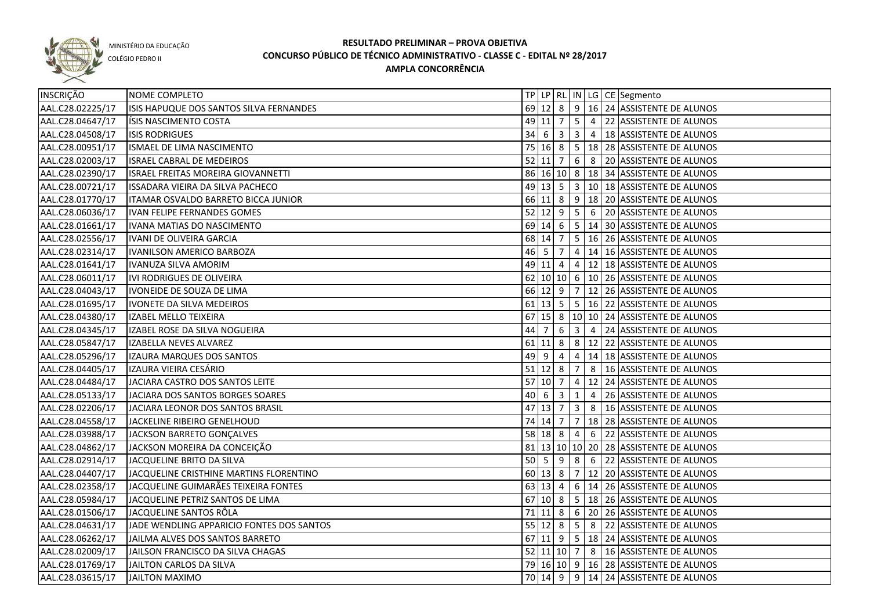

COLÉGIO PEDRO II

| INSCRIÇÃO        | NOME COMPLETO                             |      |           |                         |                         |                | TP   LP   RL   IN   LG   CE   Segmento                |
|------------------|-------------------------------------------|------|-----------|-------------------------|-------------------------|----------------|-------------------------------------------------------|
| AAL.C28.02225/17 | ISIS HAPUQUE DOS SANTOS SILVA FERNANDES   |      |           |                         |                         |                | 69 12 8 9 16 24 ASSISTENTE DE ALUNOS                  |
| AAL.C28.04647/17 | ISIS NASCIMENTO COSTA                     |      | 49 11 7   |                         |                         |                | $\vert 5 \vert 4 \vert 22 \vert$ ASSISTENTE DE ALUNOS |
| AAL.C28.04508/17 | <b>ISIS RODRIGUES</b>                     |      |           |                         |                         |                | 34 6 3 3 4 4 3 8 ASSISTENTE DE ALUNOS                 |
| AAL.C28.00951/17 | ISMAEL DE LIMA NASCIMENTO                 |      |           |                         |                         |                | 75 16 8 5 18 28 ASSISTENTE DE ALUNOS                  |
| AAL.C28.02003/17 | <b>ISRAEL CABRAL DE MEDEIROS</b>          |      |           |                         |                         |                | 52 11 7 6 8 20 ASSISTENTE DE ALUNOS                   |
| AAL.C28.02390/17 | <b>ISRAEL FREITAS MOREIRA GIOVANNETTI</b> |      |           |                         |                         |                | 86 16 10 8 18 34 ASSISTENTE DE ALUNOS                 |
| AAL.C28.00721/17 | ISSADARA VIEIRA DA SILVA PACHECO          |      |           |                         |                         |                | 49 13 5 3 10 18 ASSISTENTE DE ALUNOS                  |
| AAL.C28.01770/17 | ITAMAR OSVALDO BARRETO BICCA JUNIOR       |      |           |                         |                         |                | 66 11 8 9 18 20 ASSISTENTE DE ALUNOS                  |
| AAL.C28.06036/17 | <b>IVAN FELIPE FERNANDES GOMES</b>        |      |           |                         |                         |                | 52 12 9 5 6 20 ASSISTENTE DE ALUNOS                   |
| AAL.C28.01661/17 | IVANA MATIAS DO NASCIMENTO                |      |           |                         |                         |                | 69 14 6 5 14 30 ASSISTENTE DE ALUNOS                  |
| AAL.C28.02556/17 | IVANI DE OLIVEIRA GARCIA                  |      | 68 14 7   |                         |                         |                | $\vert$ 5 $\vert$ 16 $\vert$ 26 ASSISTENTE DE ALUNOS  |
| AAL.C28.02314/17 | <b>IVANILSON AMERICO BARBOZA</b>          |      | 46 5      | $\overline{7}$          |                         |                | 4   14   16   ASSISTENTE DE ALUNOS                    |
| AAL.C28.01641/17 | IVANUZA SILVA AMORIM                      |      |           |                         |                         |                | 49 11 4 4 12 18 ASSISTENTE DE ALUNOS                  |
| AAL.C28.06011/17 | IVI RODRIGUES DE OLIVEIRA                 |      |           |                         |                         |                | 62 10 10 6 10 26 ASSISTENTE DE ALUNOS                 |
| AAL.C28.04043/17 | IVONEIDE DE SOUZA DE LIMA                 |      |           |                         |                         |                | 66 12 9 7 12 26 ASSISTENTE DE ALUNOS                  |
| AAL.C28.01695/17 | IVONETE DA SILVA MEDEIROS                 |      |           |                         |                         |                | 61   13   5   5   16   22   ASSISTENTE DE ALUNOS      |
| AAL.C28.04380/17 | IZABEL MELLO TEIXEIRA                     |      |           |                         |                         |                | 67 15 8 10 10 24 ASSISTENTE DE ALUNOS                 |
| AAL.C28.04345/17 | IZABEL ROSE DA SILVA NOGUEIRA             | 44   | 7         | 6                       |                         |                | 3 4 24 ASSISTENTE DE ALUNOS                           |
| AAL.C28.05847/17 | IZABELLA NEVES ALVAREZ                    |      | $61$ 11 8 |                         |                         |                | 8   12   22   ASSISTENTE DE ALUNOS                    |
| AAL.C28.05296/17 | IZAURA MARQUES DOS SANTOS                 | 49 9 |           | 4                       | $\overline{4}$          |                | 14 18 ASSISTENTE DE ALUNOS                            |
| AAL.C28.04405/17 | IZAURA VIEIRA CESÁRIO                     |      | $51$ 12 8 |                         | $\overline{7}$          | 8              | 16 ASSISTENTE DE ALUNOS                               |
| AAL.C28.04484/17 | JACIARA CASTRO DOS SANTOS LEITE           |      | 57 10 7   |                         | $\overline{4}$          |                | 12 24 ASSISTENTE DE ALUNOS                            |
| AAL.C28.05133/17 | JACIARA DOS SANTOS BORGES SOARES          | 40 6 |           | $\overline{\mathbf{3}}$ | 1                       | $\overline{4}$ | 26 ASSISTENTE DE ALUNOS                               |
| AAL.C28.02206/17 | JACIARA LEONOR DOS SANTOS BRASIL          |      | 47 13 7   |                         | $\overline{\mathbf{3}}$ | 8              | 16 ASSISTENTE DE ALUNOS                               |
| AAL.C28.04558/17 | JACKELINE RIBEIRO GENELHOUD               |      | 74 14 7   |                         | $\overline{7}$          |                | 18 28 ASSISTENTE DE ALUNOS                            |
| AAL.C28.03988/17 | JACKSON BARRETO GONÇALVES                 |      | $58$ 18 8 |                         | $\overline{4}$          | 6              | 22 ASSISTENTE DE ALUNOS                               |
| AAL.C28.04862/17 | JACKSON MOREIRA DA CONCEIÇÃO              |      |           |                         |                         |                | 81   13   10   10   20   28   ASSISTENTE DE ALUNOS    |
| AAL.C28.02914/17 | JACQUELINE BRITO DA SILVA                 |      | $50$ 5    | 9                       | 8                       | 6              | 22 ASSISTENTE DE ALUNOS                               |
| AAL.C28.04407/17 | JACQUELINE CRISTHINE MARTINS FLORENTINO   |      | 60 13 8   |                         |                         |                | 7   12   20   ASSISTENTE DE ALUNOS                    |
| AAL.C28.02358/17 | JACQUELINE GUIMARÃES TEIXEIRA FONTES      |      | 63 13 4   |                         |                         |                | 6   14   26   ASSISTENTE DE ALUNOS                    |
| AAL.C28.05984/17 | JACQUELINE PETRIZ SANTOS DE LIMA          |      | $67$ 10 8 |                         |                         |                | 5   18   26   ASSISTENTE DE ALUNOS                    |
| AAL.C28.01506/17 | JACQUELINE SANTOS RÔLA                    |      |           |                         |                         |                | 71 11 8 6 20 26 ASSISTENTE DE ALUNOS                  |
| AAL.C28.04631/17 | JADE WENDLING APPARICIO FONTES DOS SANTOS |      |           |                         |                         |                | 55 12 8 5 8 22 ASSISTENTE DE ALUNOS                   |
| AAL.C28.06262/17 | JAILMA ALVES DOS SANTOS BARRETO           |      |           |                         |                         |                | 67 11 9 5 18 24 ASSISTENTE DE ALUNOS                  |
| AAL.C28.02009/17 | JAILSON FRANCISCO DA SILVA CHAGAS         |      |           |                         |                         |                | 52 11 10 7 8 16 ASSISTENTE DE ALUNOS                  |
| AAL.C28.01769/17 | JAILTON CARLOS DA SILVA                   |      |           |                         |                         |                | 79 16 10 9 16 28 ASSISTENTE DE ALUNOS                 |
| AAL.C28.03615/17 | <b>JAILTON MAXIMO</b>                     |      |           |                         |                         |                | 70 14 9 9 14 24 ASSISTENTE DE ALUNOS                  |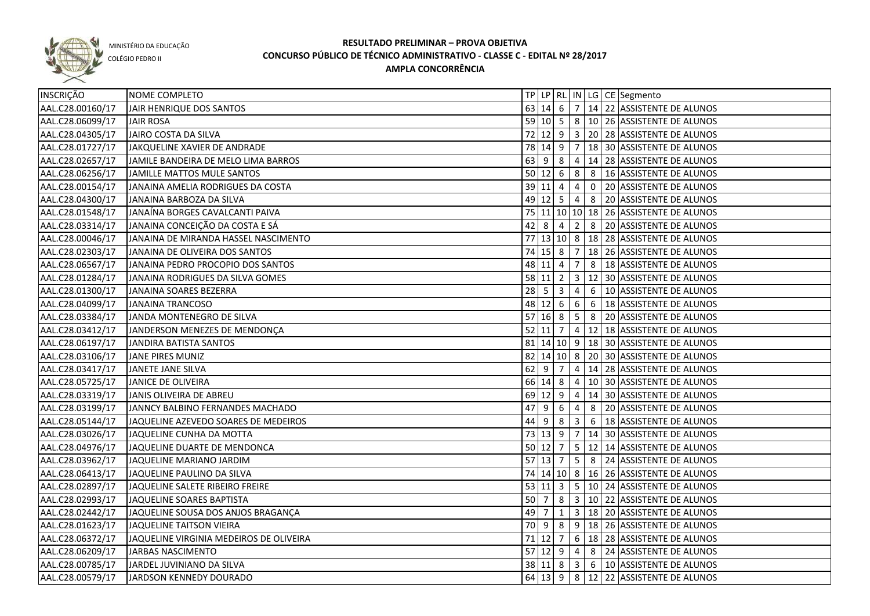

COLÉGIO PEDRO II

| INSCRIÇÃO        | NOME COMPLETO                           |              |                        |                |                         |                 | TP   LP   RL   IN   LG   CE   Segmento                 |
|------------------|-----------------------------------------|--------------|------------------------|----------------|-------------------------|-----------------|--------------------------------------------------------|
| AAL.C28.00160/17 | JAIR HENRIQUE DOS SANTOS                |              | 63   14   6            |                |                         |                 | $7   14   22  $ ASSISTENTE DE ALUNOS                   |
| AAL.C28.06099/17 | <b>JAIR ROSA</b>                        |              |                        |                |                         |                 | 59 10 5 8 10 26 ASSISTENTE DE ALUNOS                   |
| AAL.C28.04305/17 | JAIRO COSTA DA SILVA                    |              |                        |                |                         |                 | 72 12 9 3 20 28 ASSISTENTE DE ALUNOS                   |
| AAL.C28.01727/17 | JAKQUELINE XAVIER DE ANDRADE            |              |                        |                |                         |                 | 78 14 9 7 18 30 ASSISTENTE DE ALUNOS                   |
| AAL.C28.02657/17 | JAMILE BANDEIRA DE MELO LIMA BARROS     |              | $63 \mid 9 \mid 8$     |                |                         |                 | $\vert 4 \vert 14 \vert 28 \vert$ ASSISTENTE DE ALUNOS |
| AAL.C28.06256/17 | JAMILLE MATTOS MULE SANTOS              |              | $50 \ 12 \ 6$          |                |                         |                 | 8 8 16 ASSISTENTE DE ALUNOS                            |
| AAL.C28.00154/17 | JANAINA AMELIA RODRIGUES DA COSTA       |              | $39 \mid 11 \mid 4$    |                | $\overline{4}$          |                 | 0 20 ASSISTENTE DE ALUNOS                              |
| AAL.C28.04300/17 | JANAINA BARBOZA DA SILVA                |              |                        |                |                         |                 | 49 12 5 4 8 20 ASSISTENTE DE ALUNOS                    |
| AAL.C28.01548/17 | JANAÍNA BORGES CAVALCANTI PAIVA         |              |                        |                |                         |                 | 75 11 10 10 18 26 ASSISTENTE DE ALUNOS                 |
| AAL.C28.03314/17 | JANAINA CONCEIÇÃO DA COSTA E SÁ         |              | 42 8                   | $\overline{4}$ | $\overline{2}$          |                 | 8 20 ASSISTENTE DE ALUNOS                              |
| AAL.C28.00046/17 | JANAINA DE MIRANDA HASSEL NASCIMENTO    |              |                        |                |                         |                 | 77 13 10 8 18 28 ASSISTENTE DE ALUNOS                  |
| AAL.C28.02303/17 | JANAINA DE OLIVEIRA DOS SANTOS          |              | $74$ 15 8              |                | $\overline{7}$          |                 | 18 26 ASSISTENTE DE ALUNOS                             |
| AAL.C28.06567/17 | JANAINA PEDRO PROCOPIO DOS SANTOS       |              | 48 11                  | 4              | $\overline{7}$          |                 | 8   18 ASSISTENTE DE ALUNOS                            |
| AAL.C28.01284/17 | JANAINA RODRIGUES DA SILVA GOMES        |              | 58 11                  | $\overline{2}$ | $\overline{\mathbf{3}}$ |                 | 12 30 ASSISTENTE DE ALUNOS                             |
| AAL.C28.01300/17 | JANAINA SOARES BEZERRA                  | $28 \quad 5$ |                        | $\overline{3}$ | 4                       | $6\phantom{.}6$ | 10 ASSISTENTE DE ALUNOS                                |
| AAL.C28.04099/17 | <b>JANAINA TRANCOSO</b>                 |              | 48 12 6                |                | 6                       | 6               | 18 ASSISTENTE DE ALUNOS                                |
| AAL.C28.03384/17 | JANDA MONTENEGRO DE SILVA               |              | 57 16 8                |                | 5 <sup>1</sup>          | 8               | 20 ASSISTENTE DE ALUNOS                                |
| AAL.C28.03412/17 | JANDERSON MENEZES DE MENDONÇA           |              | $52$ 11 7              |                |                         |                 | 4   12   18   ASSISTENTE DE ALUNOS                     |
| AAL.C28.06197/17 | JANDIRA BATISTA SANTOS                  |              |                        |                |                         |                 | 81   14   10   9   18   30   ASSISTENTE DE ALUNOS      |
| AAL.C28.03106/17 | JANE PIRES MUNIZ                        |              | 82 14 10 8             |                |                         |                 | 20 30 ASSISTENTE DE ALUNOS                             |
| AAL.C28.03417/17 | JANETE JANE SILVA                       | 62           | -9                     | 7              | 4                       |                 | 14 28 ASSISTENTE DE ALUNOS                             |
| AAL.C28.05725/17 | JANICE DE OLIVEIRA                      |              | 66 14 8                |                | $\overline{4}$          |                 | 10 30 ASSISTENTE DE ALUNOS                             |
| AAL.C28.03319/17 | JANIS OLIVEIRA DE ABREU                 |              | 69 12                  | 9              | $\overline{4}$          |                 | 14 30 ASSISTENTE DE ALUNOS                             |
| AAL.C28.03199/17 | JANNCY BALBINO FERNANDES MACHADO        | 47           | 9                      | -6             | 4                       | 8               | 20 ASSISTENTE DE ALUNOS                                |
| AAL.C28.05144/17 | JAQUELINE AZEVEDO SOARES DE MEDEIROS    | 44           | 9                      | 8              | 3                       | 6               | 18 ASSISTENTE DE ALUNOS                                |
| AAL.C28.03026/17 | JAQUELINE CUNHA DA MOTTA                |              | 73 13                  | 9              | $\overline{7}$          |                 | 14 30 ASSISTENTE DE ALUNOS                             |
| AAL.C28.04976/17 | JAQUELINE DUARTE DE MENDONCA            |              | $50$ 12                | $\overline{7}$ | 5 <sup>1</sup>          |                 | 12 14 ASSISTENTE DE ALUNOS                             |
| AAL.C28.03962/17 | JAQUELINE MARIANO JARDIM                |              | $57$ 13                | $\overline{7}$ | $5\phantom{.0}$         |                 | 8 24 ASSISTENTE DE ALUNOS                              |
| AAL.C28.06413/17 | JAQUELINE PAULINO DA SILVA              |              |                        |                |                         |                 | 74 14 10 8 16 26 ASSISTENTE DE ALUNOS                  |
| AAL.C28.02897/17 | JAQUELINE SALETE RIBEIRO FREIRE         |              | 53   11   3            |                |                         |                 | 5   10   24   ASSISTENTE DE ALUNOS                     |
| AAL.C28.02993/17 | JAQUELINE SOARES BAPTISTA               | 50 7         |                        | 8              |                         |                 | 3   10   22   ASSISTENTE DE ALUNOS                     |
| AAL.C28.02442/17 | JAQUELINE SOUSA DOS ANJOS BRAGANÇA      | $49$ 7       |                        | $\mathbf{1}$   |                         |                 | 3   18   20   ASSISTENTE DE ALUNOS                     |
| AAL.C28.01623/17 | JAQUELINE TAITSON VIEIRA                |              | $70 \mid 9 \mid 8$     |                |                         |                 | 9 18 26 ASSISTENTE DE ALUNOS                           |
| AAL.C28.06372/17 | JAQUELINE VIRGINIA MEDEIROS DE OLIVEIRA |              | $71$ 12 $\overline{7}$ |                |                         |                 | 6 18 28 ASSISTENTE DE ALUNOS                           |
| AAL.C28.06209/17 | <b>JARBAS NASCIMENTO</b>                |              |                        |                |                         |                 | 57 12 9 4 8 24 ASSISTENTE DE ALUNOS                    |
| AAL.C28.00785/17 | JARDEL JUVINIANO DA SILVA               |              |                        |                |                         |                 | 38 11 8 3 6 10 ASSISTENTE DE ALUNOS                    |
| AAL.C28.00579/17 | JARDSON KENNEDY DOURADO                 |              |                        |                |                         |                 | 64 13 9 8 12 22 ASSISTENTE DE ALUNOS                   |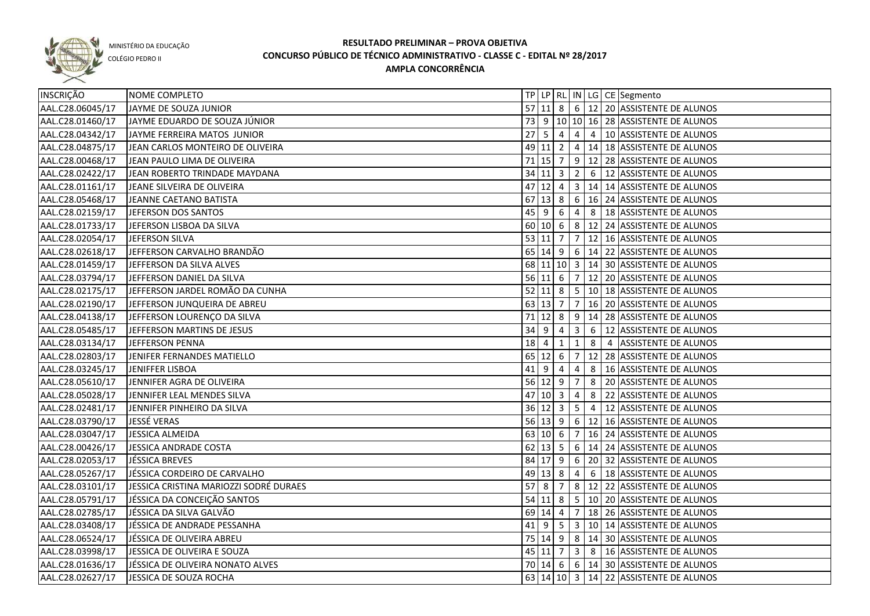

COLÉGIO PEDRO II

| <b>INSCRIÇÃO</b> | NOME COMPLETO                          |             |                     |            |                         |    | TP LP RL IN LG CE Segmento                                                                 |
|------------------|----------------------------------------|-------------|---------------------|------------|-------------------------|----|--------------------------------------------------------------------------------------------|
| AAL.C28.06045/17 | JAYME DE SOUZA JUNIOR                  |             |                     |            |                         |    | 57 11 8 6 12 20 ASSISTENTE DE ALUNOS                                                       |
| AAL.C28.01460/17 | JAYME EDUARDO DE SOUZA JÚNIOR          |             |                     |            |                         |    | 73 9 10 10 16 28 ASSISTENTE DE ALUNOS                                                      |
| AAL.C28.04342/17 | JAYME FERREIRA MATOS JUNIOR            |             |                     |            |                         |    | $\overline{27}$ 5 $\overline{6}$ 4 $\overline{4}$ 4 $\overline{4}$ 10 ASSISTENTE DE ALUNOS |
| AAL.C28.04875/17 | JEAN CARLOS MONTEIRO DE OLIVEIRA       |             |                     |            |                         |    | 49 11 2 4 14 18 ASSISTENTE DE ALUNOS                                                       |
| AAL.C28.00468/17 | JEAN PAULO LIMA DE OLIVEIRA            |             |                     |            |                         |    | 71 15 7 9 12 28 ASSISTENTE DE ALUNOS                                                       |
| AAL.C28.02422/17 | JEAN ROBERTO TRINDADE MAYDANA          |             | $34$ 11 $3$ 2       |            |                         |    | 6 12 ASSISTENTE DE ALUNOS                                                                  |
| AAL.C28.01161/17 | JEANE SILVEIRA DE OLIVEIRA             |             |                     |            |                         |    | 47 12 4 3 14 14 ASSISTENTE DE ALUNOS                                                       |
| AAL.C28.05468/17 | JEANNE CAETANO BATISTA                 |             |                     |            |                         |    | 67 13 8 6 16 24 ASSISTENTE DE ALUNOS                                                       |
| AAL.C28.02159/17 | JEFERSON DOS SANTOS                    |             | $45 \mid 9 \mid 6$  |            | $\overline{4}$          |    | 8   18 ASSISTENTE DE ALUNOS                                                                |
| AAL.C28.01733/17 | JEFERSON LISBOA DA SILVA               |             |                     |            |                         |    | 60 10 6 8 12 24 ASSISTENTE DE ALUNOS                                                       |
| AAL.C28.02054/17 | JEFERSON SILVA                         |             | 53 11 7             |            | $\overline{7}$          |    | 12 16 ASSISTENTE DE ALUNOS                                                                 |
| AAL.C28.02618/17 | JEFFERSON CARVALHO BRANDÃO             |             |                     |            |                         |    | 65   14   9   6   14   22   ASSISTENTE DE ALUNOS                                           |
| AAL.C28.01459/17 | JEFFERSON DA SILVA ALVES               |             |                     |            |                         |    | 68 11 10 3 14 30 ASSISTENTE DE ALUNOS                                                      |
| AAL.C28.03794/17 | JEFFERSON DANIEL DA SILVA              |             | $56$ 11 6 7         |            |                         |    | 12 20 ASSISTENTE DE ALUNOS                                                                 |
| AAL.C28.02175/17 | JEFFERSON JARDEL ROMÃO DA CUNHA        |             | $52$ 11 8 5         |            |                         |    | 10 18 ASSISTENTE DE ALUNOS                                                                 |
| AAL.C28.02190/17 | JEFFERSON JUNQUEIRA DE ABREU           |             | $63$ 13 7 7         |            |                         |    | 16 20 ASSISTENTE DE ALUNOS                                                                 |
| AAL.C28.04138/17 | JEFFERSON LOURENÇO DA SILVA            |             | $71$ 12 8 9         |            |                         |    | 14 28 ASSISTENTE DE ALUNOS                                                                 |
| AAL.C28.05485/17 | JEFFERSON MARTINS DE JESUS             | $34 \mid 9$ |                     | 4          | $\overline{\mathbf{3}}$ | 6  | 12 ASSISTENTE DE ALUNOS                                                                    |
| AAL.C28.03134/17 | JEFFERSON PENNA                        | 18          | -4                  | 1          | $\mathbf{1}$            | 8  | 4 ASSISTENTE DE ALUNOS                                                                     |
| AAL.C28.02803/17 | JENIFER FERNANDES MATIELLO             |             | $65$ 12 6           |            | $\overline{7}$          | 12 | 28 ASSISTENTE DE ALUNOS                                                                    |
| AAL.C28.03245/17 | JENIFFER LISBOA                        | 41          | 9                   | 4          | 4                       | 8  | 16 ASSISTENTE DE ALUNOS                                                                    |
| AAL.C28.05610/17 | JENNIFER AGRA DE OLIVEIRA              |             | $56$ 12 9           |            | 7                       | 8  | 20 ASSISTENTE DE ALUNOS                                                                    |
| AAL.C28.05028/17 | JENNIFER LEAL MENDES SILVA             |             | $47$ 10 3           |            | 4                       | 8  | 22 ASSISTENTE DE ALUNOS                                                                    |
| AAL.C28.02481/17 | JENNIFER PINHEIRO DA SILVA             |             | 36 12 3             |            | $5\phantom{.0}$         | 4  | 12 ASSISTENTE DE ALUNOS                                                                    |
| AAL.C28.03790/17 | JESSÉ VERAS                            |             | $56 \ 13 \ 9$       |            | 6                       |    | 12 16 ASSISTENTE DE ALUNOS                                                                 |
| AAL.C28.03047/17 | JESSICA ALMEIDA                        |             | 63   10   6         |            | $\overline{7}$          |    | 16 24 ASSISTENTE DE ALUNOS                                                                 |
| AAL.C28.00426/17 | JESSICA ANDRADE COSTA                  |             | $62$ 13 5           |            |                         |    | 6   14   24   ASSISTENTE DE ALUNOS                                                         |
| AAL.C28.02053/17 | JÉSSICA BREVES                         |             | 84 17 9             |            |                         |    | 6 20 32 ASSISTENTE DE ALUNOS                                                               |
| AAL.C28.05267/17 | JÉSSICA CORDEIRO DE CARVALHO           |             | $49 \mid 13 \mid 8$ |            | $\overline{4}$          |    | 6   18 ASSISTENTE DE ALUNOS                                                                |
| AAL.C28.03101/17 | JESSICA CRISTINA MARIOZZI SODRÉ DURAES |             | $57$   8            | $\sqrt{7}$ |                         |    | 8   12   22   ASSISTENTE DE ALUNOS                                                         |
| AAL.C28.05791/17 | JÉSSICA DA CONCEIÇÃO SANTOS            |             |                     |            |                         |    | 54 11 8 5 10 20 ASSISTENTE DE ALUNOS                                                       |
| AAL.C28.02785/17 | JÉSSICA DA SILVA GALVÃO                |             | 69 14 4             |            |                         |    | $\sqrt{7}$ 18   26   ASSISTENTE DE ALUNOS                                                  |
| AAL.C28.03408/17 | JÉSSICA DE ANDRADE PESSANHA            |             |                     |            |                         |    | 41 9 5 3 10 14 ASSISTENTE DE ALUNOS                                                        |
| AAL.C28.06524/17 | JÉSSICA DE OLIVEIRA ABREU              |             |                     |            |                         |    | 75 14 9 8 14 30 ASSISTENTE DE ALUNOS                                                       |
| AAL.C28.03998/17 | JESSICA DE OLIVEIRA E SOUZA            |             |                     |            |                         |    | 45 11 7 3 8 16 ASSISTENTE DE ALUNOS                                                        |
| AAL.C28.01636/17 | JÉSSICA DE OLIVEIRA NONATO ALVES       |             |                     |            |                         |    | 70 14 6 6 14 30 ASSISTENTE DE ALUNOS                                                       |
| AAL.C28.02627/17 | JESSICA DE SOUZA ROCHA                 |             |                     |            |                         |    | 63 14 10 3 14 22 ASSISTENTE DE ALUNOS                                                      |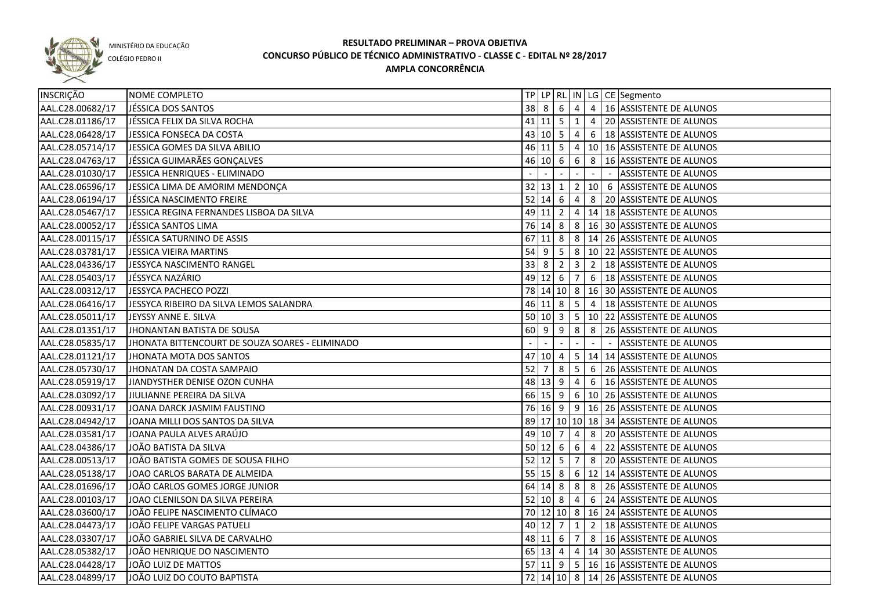

COLÉGIO PEDRO II

| INSCRIÇÃO        | NOME COMPLETO                                   |             |                     |                     |                |   | TP LP   RL   IN   LG   CE   Segmento             |
|------------------|-------------------------------------------------|-------------|---------------------|---------------------|----------------|---|--------------------------------------------------|
| AAL.C28.00682/17 | JÉSSICA DOS SANTOS                              |             |                     |                     |                |   | 38 8 6 4 4 16 ASSISTENTE DE ALUNOS               |
| AAL.C28.01186/17 | JÉSSICA FELIX DA SILVA ROCHA                    |             |                     |                     |                |   | 41 11   5   1   4   20   ASSISTENTE DE ALUNOS    |
| AAL.C28.06428/17 | JESSICA FONSECA DA COSTA                        |             |                     |                     |                |   | 43 10 5 4 6 18 ASSISTENTE DE ALUNOS              |
| AAL.C28.05714/17 | JESSICA GOMES DA SILVA ABILIO                   |             |                     |                     |                |   | 46 11   5   4   10   16   ASSISTENTE DE ALUNOS   |
| AAL.C28.04763/17 | JÉSSICA GUIMARÃES GONÇALVES                     |             |                     |                     |                |   | 46 10 6 6 8 16 ASSISTENTE DE ALUNOS              |
| AAL.C28.01030/17 | JESSICA HENRIQUES - ELIMINADO                   |             |                     |                     |                |   | ASSISTENTE DE ALUNOS                             |
| AAL.C28.06596/17 | JESSICA LIMA DE AMORIM MENDONÇA                 |             |                     | $32$ 13 1           |                |   | 2   10   6   ASSISTENTE DE ALUNOS                |
| AAL.C28.06194/17 | JÉSSICA NASCIMENTO FREIRE                       |             |                     |                     |                |   | 52 14 6 4 8 20 ASSISTENTE DE ALUNOS              |
| AAL.C28.05467/17 | JESSICA REGINA FERNANDES LISBOA DA SILVA        |             |                     |                     |                |   | 49 11 2 4 14 18 ASSISTENTE DE ALUNOS             |
| AAL.C28.00052/17 | JÉSSICA SANTOS LIMA                             |             |                     |                     |                |   | 76 14 8 8 16 30 ASSISTENTE DE ALUNOS             |
| AAL.C28.00115/17 | JÉSSICA SATURNINO DE ASSIS                      |             |                     |                     |                |   | 67 11 8 8 3 14 26 ASSISTENTE DE ALUNOS           |
| AAL.C28.03781/17 | JESSICA VIEIRA MARTINS                          |             |                     |                     |                |   | 54 9 5 8 10 22 ASSISTENTE DE ALUNOS              |
| AAL.C28.04336/17 | JESSYCA NASCIMENTO RANGEL                       | $33 \mid 8$ |                     | $\sqrt{2}$          | 3              |   | 2   18 ASSISTENTE DE ALUNOS                      |
| AAL.C28.05403/17 | JÉSSYCA NAZÁRIO                                 | 49          | $12 \mid 6$         |                     | $\overline{7}$ |   | 6   18 ASSISTENTE DE ALUNOS                      |
| AAL.C28.00312/17 | JESSYCA PACHECO POZZI                           |             |                     |                     |                |   | 78 14 10 8 16 30 ASSISTENTE DE ALUNOS            |
| AAL.C28.06416/17 | JESSYCA RIBEIRO DA SILVA LEMOS SALANDRA         |             |                     |                     |                |   | 46   11   8   5   4   18   ASSISTENTE DE ALUNOS  |
| AAL.C28.05011/17 | JEYSSY ANNE E. SILVA                            |             |                     |                     |                |   | 50   10   3   5   10   22   ASSISTENTE DE ALUNOS |
| AAL.C28.01351/17 | JHONANTAN BATISTA DE SOUSA                      | 60          | 9                   | 9                   | 8              | 8 | 26 ASSISTENTE DE ALUNOS                          |
| AAL.C28.05835/17 | JHONATA BITTENCOURT DE SOUZA SOARES - ELIMINADO |             |                     |                     |                |   | <b>ASSISTENTE DE ALUNOS</b>                      |
| AAL.C28.01121/17 | JHONATA MOTA DOS SANTOS                         | 47          | 10 4                |                     | 5 <sub>1</sub> |   | 14 14 ASSISTENTE DE ALUNOS                       |
| AAL.C28.05730/17 | JHONATAN DA COSTA SAMPAIO                       | 52          | 7                   | 8                   | $5^{\circ}$    | 6 | 26 ASSISTENTE DE ALUNOS                          |
| AAL.C28.05919/17 | JIANDYSTHER DENISE OZON CUNHA                   |             | 48 13 9             |                     | $\overline{4}$ | 6 | 16 ASSISTENTE DE ALUNOS                          |
| AAL.C28.03092/17 | JIULIANNE PEREIRA DA SILVA                      |             |                     | $66 \mid 15 \mid 9$ |                |   | 6   10   26   ASSISTENTE DE ALUNOS               |
| AAL.C28.00931/17 | JOANA DARCK JASMIM FAUSTINO                     |             |                     |                     |                |   | 76 16 9 9 16 26 ASSISTENTE DE ALUNOS             |
| AAL.C28.04942/17 | JOANA MILLI DOS SANTOS DA SILVA                 |             |                     |                     |                |   | 89 17 10 10 18 34 ASSISTENTE DE ALUNOS           |
| AAL.C28.03581/17 | JOANA PAULA ALVES ARAÚJO                        |             | 49 10 7             |                     | $\overline{4}$ | 8 | 20 ASSISTENTE DE ALUNOS                          |
| AAL.C28.04386/17 | JOÃO BATISTA DA SILVA                           |             | $50 \,   12 \,   6$ |                     | 6              | 4 | 22 ASSISTENTE DE ALUNOS                          |
| AAL.C28.00513/17 | JOÃO BATISTA GOMES DE SOUSA FILHO               |             | $52$ 12 5           |                     | $\overline{7}$ |   | 8 20 ASSISTENTE DE ALUNOS                        |
| AAL.C28.05138/17 | JOAO CARLOS BARATA DE ALMEIDA                   |             | $55 \ 15 \ 8$       |                     |                |   | 6   12   14 ASSISTENTE DE ALUNOS                 |
| AAL.C28.01696/17 | JOÃO CARLOS GOMES JORGE JUNIOR                  |             | $64$ 14 8           |                     | 8 <sup>8</sup> |   | 8 26 ASSISTENTE DE ALUNOS                        |
| AAL.C28.00103/17 | JOAO CLENILSON DA SILVA PEREIRA                 |             |                     | 52   10   8         |                |   | 4 6 24 ASSISTENTE DE ALUNOS                      |
| AAL.C28.03600/17 | JOÃO FELIPE NASCIMENTO CLÍMACO                  |             |                     |                     |                |   | 70 12 10 8 16 24 ASSISTENTE DE ALUNOS            |
| AAL.C28.04473/17 | JOÃO FELIPE VARGAS PATUELI                      |             |                     |                     |                |   | 40 12 7 1 2 18 ASSISTENTE DE ALUNOS              |
| AAL.C28.03307/17 | JOÃO GABRIEL SILVA DE CARVALHO                  |             |                     |                     |                |   | 48 11 6 7 8 16 ASSISTENTE DE ALUNOS              |
| AAL.C28.05382/17 | JOÃO HENRIQUE DO NASCIMENTO                     |             |                     |                     |                |   | 65 13 4 4 4 14 30 ASSISTENTE DE ALUNOS           |
| AAL.C28.04428/17 | JOÃO LUIZ DE MATTOS                             |             |                     |                     |                |   | 57 11 9 5 16 16 ASSISTENTE DE ALUNOS             |
| AAL.C28.04899/17 | JOÃO LUIZ DO COUTO BAPTISTA                     |             |                     |                     |                |   | 72 14 10 8 14 26 ASSISTENTE DE ALUNOS            |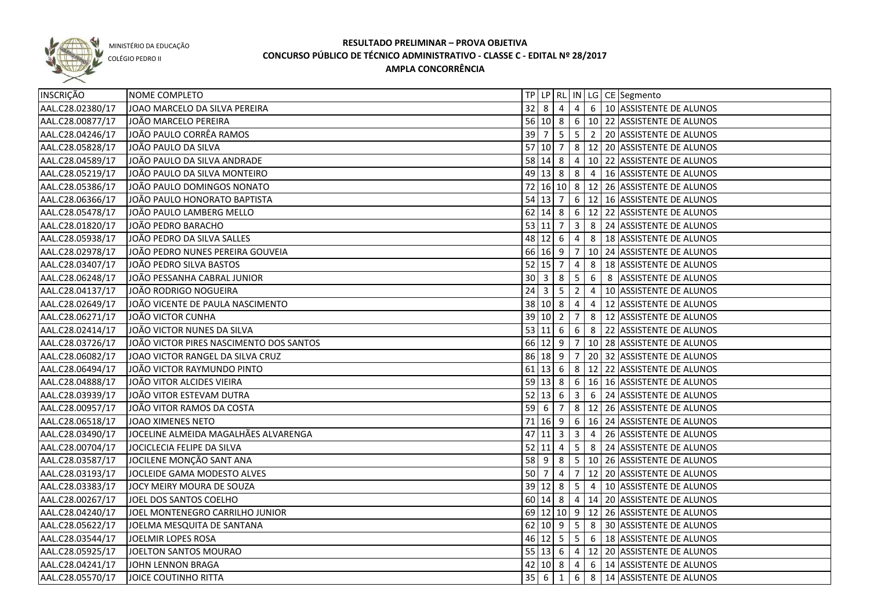

COLÉGIO PEDRO II

| <b>INSCRIÇÃO</b> | <b>NOME COMPLETO</b>                    |                   |                     |                |                |                | TP LP RL IN LG CE Segmento                    |
|------------------|-----------------------------------------|-------------------|---------------------|----------------|----------------|----------------|-----------------------------------------------|
| AAL.C28.02380/17 | JOAO MARCELO DA SILVA PEREIRA           |                   |                     | $32$ 8 4       |                |                | 4 6 10 ASSISTENTE DE ALUNOS                   |
| AAL.C28.00877/17 | JOÃO MARCELO PEREIRA                    |                   |                     |                |                |                | 56 10 8 6 10 22 ASSISTENTE DE ALUNOS          |
| AAL.C28.04246/17 | JOÃO PAULO CORRÊA RAMOS                 |                   |                     |                |                |                | 39 7 5 5 2 20 ASSISTENTE DE ALUNOS            |
| AAL.C28.05828/17 | JOÃO PAULO DA SILVA                     |                   |                     |                |                |                | 57 10 7 8 12 20 ASSISTENTE DE ALUNOS          |
| AAL.C28.04589/17 | JOÃO PAULO DA SILVA ANDRADE             |                   |                     |                |                |                | 58 14 8 4 10 22 ASSISTENTE DE ALUNOS          |
| AAL.C28.05219/17 | JOÃO PAULO DA SILVA MONTEIRO            |                   |                     |                |                |                | 49 13 8 8 4 16 ASSISTENTE DE ALUNOS           |
| AAL.C28.05386/17 | JOÃO PAULO DOMINGOS NONATO              |                   |                     |                |                |                | 72 16 10 8 12 26 ASSISTENTE DE ALUNOS         |
| AAL.C28.06366/17 | JOÃO PAULO HONORATO BAPTISTA            |                   | $54$ 13 7           |                |                |                | $\sqrt{6}$ 12   16   ASSISTENTE DE ALUNOS     |
| AAL.C28.05478/17 | JOÃO PAULO LAMBERG MELLO                |                   |                     |                |                |                | 62 14 8 6 12 22 ASSISTENTE DE ALUNOS          |
| AAL.C28.01820/17 | JOÃO PEDRO BARACHO                      |                   | 53 11               | $\overline{7}$ |                |                | 3 8 24 ASSISTENTE DE ALUNOS                   |
| AAL.C28.05938/17 | JOÃO PEDRO DA SILVA SALLES              |                   | $48$ 12 6           |                | $\overline{4}$ |                | 8   18 ASSISTENTE DE ALUNOS                   |
| AAL.C28.02978/17 | JOÃO PEDRO NUNES PEREIRA GOUVEIA        |                   |                     | 66 16 9 7      |                |                | 10 24 ASSISTENTE DE ALUNOS                    |
| AAL.C28.03407/17 | JOÃO PEDRO SILVA BASTOS                 |                   | $52$ 15 7           |                | $\overline{4}$ | 8              | 18 ASSISTENTE DE ALUNOS                       |
| AAL.C28.06248/17 | JOÃO PESSANHA CABRAL JUNIOR             |                   | $30 \mid 3$         | 8              | $5^{\circ}$    | 6              | 8 ASSISTENTE DE ALUNOS                        |
| AAL.C28.04137/17 | JOÃO RODRIGO NOGUEIRA                   | $24 \overline{3}$ |                     | 5              | $\overline{2}$ | $\vert 4$      | 10 ASSISTENTE DE ALUNOS                       |
| AAL.C28.02649/17 | JOÃO VICENTE DE PAULA NASCIMENTO        |                   | 38 10 8             |                | $\overline{4}$ | $\overline{4}$ | 12 ASSISTENTE DE ALUNOS                       |
| AAL.C28.06271/17 | JOÃO VICTOR CUNHA                       |                   | 39 10 2             |                | $\overline{7}$ | 8              | 12 ASSISTENTE DE ALUNOS                       |
| AAL.C28.02414/17 | JOÃO VICTOR NUNES DA SILVA              |                   |                     |                |                | 53 11 6 6 8    | 22 ASSISTENTE DE ALUNOS                       |
| AAL.C28.03726/17 | JOÃO VICTOR PIRES NASCIMENTO DOS SANTOS |                   | 66 12 9             |                | $\overline{7}$ |                | 10 28 ASSISTENTE DE ALUNOS                    |
| AAL.C28.06082/17 | JOAO VICTOR RANGEL DA SILVA CRUZ        |                   | 86 18 9             |                | $\overline{7}$ |                | 20 32 ASSISTENTE DE ALUNOS                    |
| AAL.C28.06494/17 | JOÃO VICTOR RAYMUNDO PINTO              |                   | $61$ 13 6           |                |                |                | $8 \mid 12 \mid 22 \mid$ ASSISTENTE DE ALUNOS |
| AAL.C28.04888/17 | JOÃO VITOR ALCIDES VIEIRA               |                   | $59 \ 13 \ 8$       |                |                |                | 6   16   16 ASSISTENTE DE ALUNOS              |
| AAL.C28.03939/17 | JOÃO VITOR ESTEVAM DUTRA                |                   | $52 \mid 13 \mid 6$ |                | 3              |                | 6 24 ASSISTENTE DE ALUNOS                     |
| AAL.C28.00957/17 | JOÃO VITOR RAMOS DA COSTA               | $59$ 6            |                     | 7              |                |                | 8   12   26   ASSISTENTE DE ALUNOS            |
| AAL.C28.06518/17 | JOAO XIMENES NETO                       | 71                | 16 9                |                |                |                | 6 16 24 ASSISTENTE DE ALUNOS                  |
| AAL.C28.03490/17 | JOCELINE ALMEIDA MAGALHÃES ALVARENGA    | 47                | <b>11</b>           | 3              | 3              | $\overline{4}$ | 26 ASSISTENTE DE ALUNOS                       |
| AAL.C28.00704/17 | JOCICLECIA FELIPE DA SILVA              |                   | $52$  11            | $\overline{4}$ |                |                | 5 8 24 ASSISTENTE DE ALUNOS                   |
| AAL.C28.03587/17 | JOCILENE MONÇÃO SANT ANA                |                   | $58$ 9              | 8              |                |                | 5 10 26 ASSISTENTE DE ALUNOS                  |
| AAL.C28.03193/17 | JOCLEIDE GAMA MODESTO ALVES             |                   | 50 7                | $\overline{4}$ |                |                | 7 12 20 ASSISTENTE DE ALUNOS                  |
| AAL.C28.03383/17 | JOCY MEIRY MOURA DE SOUZA               |                   |                     |                |                |                | 39 12 8 5 4 10 ASSISTENTE DE ALUNOS           |
| AAL.C28.00267/17 | JOEL DOS SANTOS COELHO                  |                   |                     |                |                |                | 60 14 8 4 14 20 ASSISTENTE DE ALUNOS          |
| AAL.C28.04240/17 | JOEL MONTENEGRO CARRILHO JUNIOR         |                   |                     |                |                |                | 69 12 10 9 12 26 ASSISTENTE DE ALUNOS         |
| AAL.C28.05622/17 | JOELMA MESQUITA DE SANTANA              |                   |                     |                |                |                | 62 10 9   5   8   30 ASSISTENTE DE ALUNOS     |
| AAL.C28.03544/17 | JOELMIR LOPES ROSA                      |                   |                     |                |                |                | 46 12 5 5 6 18 ASSISTENTE DE ALUNOS           |
| AAL.C28.05925/17 | JOELTON SANTOS MOURAO                   |                   |                     |                |                |                | 55 13 6 4 12 20 ASSISTENTE DE ALUNOS          |
| AAL.C28.04241/17 | JOHN LENNON BRAGA                       |                   |                     | $42 \ 10 \ 8$  | $\overline{4}$ |                | 6 14 ASSISTENTE DE ALUNOS                     |
| AAL.C28.05570/17 | JOICE COUTINHO RITTA                    | $35 \mid 6$       |                     | $\mathbf{1}$   |                |                | 6 8 14 ASSISTENTE DE ALUNOS                   |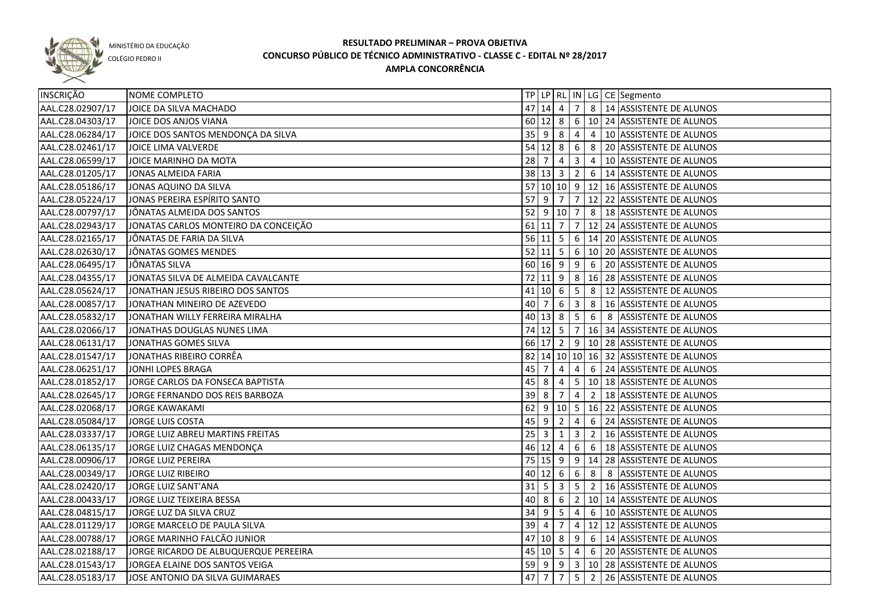

COLÉGIO PEDRO II

| INSCRIÇÃO        | NOME COMPLETO                         |        |                     |                         |                 |                 | TP   LP   RL   IN   LG   CE   Segmento   |
|------------------|---------------------------------------|--------|---------------------|-------------------------|-----------------|-----------------|------------------------------------------|
| AAL.C28.02907/17 | JOICE DA SILVA MACHADO                | 47     | 14                  | $\overline{4}$          | $\overline{7}$  |                 | 8   14 ASSISTENTE DE ALUNOS              |
| AAL.C28.04303/17 | JOICE DOS ANJOS VIANA                 |        | 60 12 8             |                         |                 |                 | $6 \mid 10 \mid 24$ ASSISTENTE DE ALUNOS |
| AAL.C28.06284/17 | JOICE DOS SANTOS MENDONÇA DA SILVA    |        | $35 \mid 9 \mid 8$  |                         | $\overline{4}$  |                 | 4 10 ASSISTENTE DE ALUNOS                |
| AAL.C28.02461/17 | JOICE LIMA VALVERDE                   |        | $54$ 12 8           |                         | $6\overline{6}$ |                 | 8 20 ASSISTENTE DE ALUNOS                |
| AAL.C28.06599/17 | JOICE MARINHO DA MOTA                 |        | $28 \overline{7}$   | $\overline{4}$          | 3 <sup>1</sup>  |                 | 4   10 ASSISTENTE DE ALUNOS              |
| AAL.C28.01205/17 | JONAS ALMEIDA FARIA                   |        | 38 13 3             |                         |                 |                 | $2   6   14$ ASSISTENTE DE ALUNOS        |
| AAL.C28.05186/17 | JONAS AQUINO DA SILVA                 |        |                     |                         |                 |                 | 57 10 10 9 12 16 ASSISTENTE DE ALUNOS    |
| AAL.C28.05224/17 | JONAS PEREIRA ESPÍRITO SANTO          |        |                     |                         |                 |                 | 57 9 7 7 12 22 ASSISTENTE DE ALUNOS      |
| AAL.C28.00797/17 | JÔNATAS ALMEIDA DOS SANTOS            |        |                     |                         |                 |                 | 52 9 10 7 8 18 ASSISTENTE DE ALUNOS      |
| AAL.C28.02943/17 | JONATAS CARLOS MONTEIRO DA CONCEIÇÃO  |        | $61$ 11 7           |                         |                 |                 | 7 12 24 ASSISTENTE DE ALUNOS             |
| AAL.C28.02165/17 | JÔNATAS DE FARIA DA SILVA             |        |                     |                         |                 |                 | 56 11 5 6 14 20 ASSISTENTE DE ALUNOS     |
| AAL.C28.02630/17 | JÔNATAS GOMES MENDES                  |        |                     |                         |                 |                 | 52 11 5 6 10 20 ASSISTENTE DE ALUNOS     |
| AAL.C28.06495/17 | JÔNATAS SILVA                         |        |                     |                         |                 |                 | 60 16 9 9 6 20 ASSISTENTE DE ALUNOS      |
| AAL.C28.04355/17 | JONATAS SILVA DE ALMEIDA CAVALCANTE   |        |                     |                         |                 |                 | 72 11 9 8 16 28 ASSISTENTE DE ALUNOS     |
| AAL.C28.05624/17 | JONATHAN JESUS RIBEIRO DOS SANTOS     |        | $41$ 10 6           |                         | $\vert 5 \vert$ |                 | 8   12 ASSISTENTE DE ALUNOS              |
| AAL.C28.00857/17 | JONATHAN MINEIRO DE AZEVEDO           | 40     | $\overline{7}$      | 6                       | 3 <sup>1</sup>  | 8               | 16 ASSISTENTE DE ALUNOS                  |
| AAL.C28.05832/17 | JONATHAN WILLY FERREIRA MIRALHA       |        | 40 13 8             |                         | 5 <sub>5</sub>  | 6               | 8 ASSISTENTE DE ALUNOS                   |
| AAL.C28.02066/17 | JONATHAS DOUGLAS NUNES LIMA           |        | $74$ 12 5           |                         | $\overline{7}$  |                 | 16 34 ASSISTENTE DE ALUNOS               |
| AAL.C28.06131/17 | JONATHAS GOMES SILVA                  |        |                     |                         |                 |                 | 66 17 2 9 10 28 ASSISTENTE DE ALUNOS     |
| AAL.C28.01547/17 | JONATHAS RIBEIRO CORRÊA               |        |                     |                         |                 |                 | 82 14 10 10 16 32 ASSISTENTE DE ALUNOS   |
| AAL.C28.06251/17 | JONHI LOPES BRAGA                     | 45     | $\overline{7}$      | 4                       | 4               | 6               | 24 ASSISTENTE DE ALUNOS                  |
| AAL.C28.01852/17 | JORGE CARLOS DA FONSECA BAPTISTA      | 45     | -8                  | 4                       | 5 <sup>5</sup>  |                 | 10 18 ASSISTENTE DE ALUNOS               |
| AAL.C28.02645/17 | JORGE FERNANDO DOS REIS BARBOZA       | 39     | -8                  | 7                       | 4               | $\overline{2}$  | 18 ASSISTENTE DE ALUNOS                  |
| AAL.C28.02068/17 | <b>JORGE KAWAKAMI</b>                 | 62     | -9                  | 10 5                    |                 |                 | 16 22 ASSISTENTE DE ALUNOS               |
| AAL.C28.05084/17 | JORGE LUIS COSTA                      | 45     | -9                  | $\overline{2}$          | 4               | 6               | 24 ASSISTENTE DE ALUNOS                  |
| AAL.C28.03337/17 | JORGE LUIZ ABREU MARTINS FREITAS      | 25     | 3                   | $\mathbf{1}$            | $\mathbf{3}$    | $\overline{2}$  | 16 ASSISTENTE DE ALUNOS                  |
| AAL.C28.06135/17 | JORGE LUIZ CHAGAS MENDONÇA            |        | 46 12               | 4                       | $6\overline{6}$ | $6\overline{6}$ | 18 ASSISTENTE DE ALUNOS                  |
| AAL.C28.00906/17 | JORGE LUIZ PEREIRA                    |        | $75 \mid 15 \mid 9$ |                         | 9               |                 | 14 28 ASSISTENTE DE ALUNOS               |
| AAL.C28.00349/17 | JORGE LUIZ RIBEIRO                    |        | 40 12               | $6\overline{6}$         | $6\overline{6}$ | 8               | 8 ASSISTENTE DE ALUNOS                   |
| AAL.C28.02420/17 | <b>JORGE LUIZ SANT'ANA</b>            | 31     | -5                  | $\overline{\mathbf{3}}$ | 5               | $\overline{2}$  | 16 ASSISTENTE DE ALUNOS                  |
| AAL.C28.00433/17 | JORGE LUIZ TEIXEIRA BESSA             | 40     | 8                   | 6                       | $\overline{2}$  |                 | 10 14 ASSISTENTE DE ALUNOS               |
| AAL.C28.04815/17 | JORGE LUZ DA SILVA CRUZ               | 34     | -9                  | 5                       | 4               | $6\phantom{.}6$ | 10 ASSISTENTE DE ALUNOS                  |
| AAL.C28.01129/17 | JORGE MARCELO DE PAULA SILVA          | $39$ 4 |                     | $\overline{7}$          |                 |                 | 4   12   12   ASSISTENTE DE ALUNOS       |
| AAL.C28.00788/17 | JORGE MARINHO FALCÃO JUNIOR           |        | 47 10 8             |                         | 9               |                 | 6   14 ASSISTENTE DE ALUNOS              |
| AAL.C28.02188/17 | JORGE RICARDO DE ALBUQUERQUE PEREEIRA |        |                     |                         |                 |                 | 45 10 5 4 6 20 ASSISTENTE DE ALUNOS      |
| AAL.C28.01543/17 | JORGEA ELAINE DOS SANTOS VEIGA        |        |                     |                         |                 |                 | 59 9 9 3 10 28 ASSISTENTE DE ALUNOS      |
| AAL.C28.05183/17 | JOSE ANTONIO DA SILVA GUIMARAES       | 47 7   |                     | $\overline{7}$          | 5 <sup>1</sup>  |                 | 2 26 ASSISTENTE DE ALUNOS                |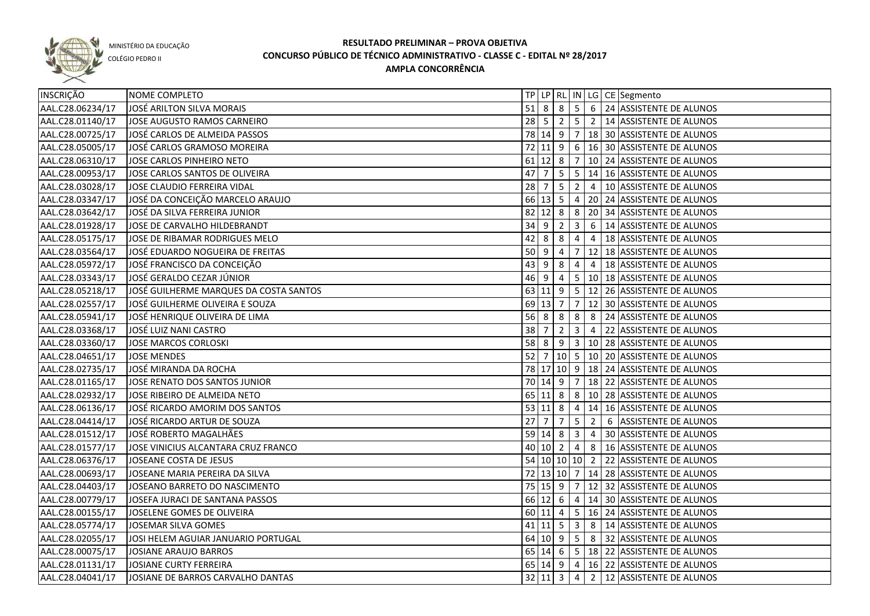

COLÉGIO PEDRO II

| <b>INSCRIÇÃO</b> | NOME COMPLETO                          |             |                            |                |                         |                | TP LP RL IN LG CE Segmento                      |
|------------------|----------------------------------------|-------------|----------------------------|----------------|-------------------------|----------------|-------------------------------------------------|
| AAL.C28.06234/17 | JOSÉ ARILTON SILVA MORAIS              |             |                            |                |                         |                | 51 8 8 5 6 24 ASSISTENTE DE ALUNOS              |
| AAL.C28.01140/17 | JOSE AUGUSTO RAMOS CARNEIRO            |             |                            |                |                         |                | 28   5   2   5   2   14   ASSISTENTE DE ALUNOS  |
| AAL.C28.00725/17 | JOSÉ CARLOS DE ALMEIDA PASSOS          |             |                            |                |                         |                | 78 14 9 7 18 30 ASSISTENTE DE ALUNOS            |
| AAL.C28.05005/17 | JOSÉ CARLOS GRAMOSO MOREIRA            |             |                            |                |                         |                | 72 11 9 6 16 30 ASSISTENTE DE ALUNOS            |
| AAL.C28.06310/17 | JOSE CARLOS PINHEIRO NETO              |             |                            |                |                         |                | 61 12 8 7 10 24 ASSISTENTE DE ALUNOS            |
| AAL.C28.00953/17 | JOSE CARLOS SANTOS DE OLIVEIRA         | 47 7        |                            |                |                         |                | $5 \mid 5 \mid 14 \mid 16$ ASSISTENTE DE ALUNOS |
| AAL.C28.03028/17 | JOSE CLAUDIO FERREIRA VIDAL            | $28 \mid 7$ |                            |                |                         |                | $5 \mid 2 \mid 4 \mid 10$ ASSISTENTE DE ALUNOS  |
| AAL.C28.03347/17 | JOSÉ DA CONCEIÇÃO MARCELO ARAUJO       |             |                            |                |                         |                | 66 13 5 4 20 24 ASSISTENTE DE ALUNOS            |
| AAL.C28.03642/17 | JOSÉ DA SILVA FERREIRA JUNIOR          |             |                            |                |                         |                | 82 12 8 8 20 34 ASSISTENTE DE ALUNOS            |
| AAL.C28.01928/17 | JOSE DE CARVALHO HILDEBRANDT           | 34          | 9                          | $\overline{2}$ | $\overline{\mathbf{3}}$ |                | 6   14 ASSISTENTE DE ALUNOS                     |
| AAL.C28.05175/17 | JOSE DE RIBAMAR RODRIGUES MELO         | 42          | 8                          | 8              | 4                       | $\overline{4}$ | 18 ASSISTENTE DE ALUNOS                         |
| AAL.C28.03564/17 | JOSÉ EDUARDO NOGUEIRA DE FREITAS       | 50 9        |                            | 4              | $\overline{7}$          |                | 12 18 ASSISTENTE DE ALUNOS                      |
| AAL.C28.05972/17 | JOSÉ FRANCISCO DA CONCEIÇÃO            | 43          | <u>g</u>                   | 8              | 4                       | $\overline{4}$ | 18 ASSISTENTE DE ALUNOS                         |
| AAL.C28.03343/17 | JOSÉ GERALDO CEZAR JÚNIOR              | 46 9        |                            | $\overline{4}$ |                         |                | 5   10   18   ASSISTENTE DE ALUNOS              |
| AAL.C28.05218/17 | JOSÉ GUILHERME MARQUES DA COSTA SANTOS |             |                            |                |                         |                | 63 11 9 5 12 26 ASSISTENTE DE ALUNOS            |
| AAL.C28.02557/17 | JOSÉ GUILHERME OLIVEIRA E SOUZA        |             | 69 13 7                    |                | $\overline{7}$          |                | 12 30 ASSISTENTE DE ALUNOS                      |
| AAL.C28.05941/17 | JOSÉ HENRIQUE OLIVEIRA DE LIMA         |             | $56 \mid 8$                | 8              | 8                       | 8              | 24 ASSISTENTE DE ALUNOS                         |
| AAL.C28.03368/17 | JOSÉ LUIZ NANI CASTRO                  | 38          | 7                          | $\overline{2}$ | $\overline{3}$          | $\overline{4}$ | 22 ASSISTENTE DE ALUNOS                         |
| AAL.C28.03360/17 | JOSE MARCOS CORLOSKI                   | 58          | 8                          | 9              | $\overline{\mathbf{3}}$ |                | 10 28 ASSISTENTE DE ALUNOS                      |
| AAL.C28.04651/17 | <b>JOSE MENDES</b>                     | 52          | 7                          |                |                         |                | 10 5 10 20 ASSISTENTE DE ALUNOS                 |
| AAL.C28.02735/17 | JOSÉ MIRANDA DA ROCHA                  |             |                            |                |                         |                | 78 17 10 9 18 24 ASSISTENTE DE ALUNOS           |
| AAL.C28.01165/17 | JOSE RENATO DOS SANTOS JUNIOR          |             | 70 14 9                    |                | $\overline{7}$          |                | 18 22 ASSISTENTE DE ALUNOS                      |
| AAL.C28.02932/17 | JOSE RIBEIRO DE ALMEIDA NETO           |             | $65$ 11 8                  |                |                         |                | 8   10   28   ASSISTENTE DE ALUNOS              |
| AAL.C28.06136/17 | JOSÉ RICARDO AMORIM DOS SANTOS         |             | 53 11 8                    |                | $4 \mid$                |                | 14 16 ASSISTENTE DE ALUNOS                      |
| AAL.C28.04414/17 | JOSÉ RICARDO ARTUR DE SOUZA            | $27$        | 7                          | $\overline{7}$ | 5                       | $\overline{2}$ | 6 ASSISTENTE DE ALUNOS                          |
| AAL.C28.01512/17 | JOSÉ ROBERTO MAGALHÃES                 |             | 59 14 8                    |                | $\overline{3}$          | $\overline{4}$ | 30 ASSISTENTE DE ALUNOS                         |
| AAL.C28.01577/17 | JOSE VINICIUS ALCANTARA CRUZ FRANCO    |             | $40 \mid 10 \mid 2 \mid 4$ |                |                         |                | 8   16 ASSISTENTE DE ALUNOS                     |
| AAL.C28.06376/17 | JOSEANE COSTA DE JESUS                 |             |                            |                |                         |                | 54 10 10 10 2 22 ASSISTENTE DE ALUNOS           |
| AAL.C28.00693/17 | JOSEANE MARIA PEREIRA DA SILVA         |             |                            |                |                         |                | 72 13 10 7 14 28 ASSISTENTE DE ALUNOS           |
| AAL.C28.04403/17 | JOSEANO BARRETO DO NASCIMENTO          |             |                            |                |                         |                | 75 15 9 7 12 32 ASSISTENTE DE ALUNOS            |
| AAL.C28.00779/17 | JOSEFA JURACI DE SANTANA PASSOS        |             |                            |                |                         |                | 66 12 6 4 14 30 ASSISTENTE DE ALUNOS            |
| AAL.C28.00155/17 | JOSELENE GOMES DE OLIVEIRA             |             |                            |                |                         |                | 60 11 4 5 16 24 ASSISTENTE DE ALUNOS            |
| AAL.C28.05774/17 | JOSEMAR SILVA GOMES                    |             |                            |                |                         |                | 41   11   5   3   8   14   ASSISTENTE DE ALUNOS |
| AAL.C28.02055/17 | JOSI HELEM AGUIAR JANUARIO PORTUGAL    |             |                            |                |                         |                | 64 10 9 5 8 32 ASSISTENTE DE ALUNOS             |
| AAL.C28.00075/17 | JOSIANE ARAUJO BARROS                  |             |                            |                |                         |                | 65 14 6 5 18 22 ASSISTENTE DE ALUNOS            |
| AAL.C28.01131/17 | JOSIANE CURTY FERREIRA                 |             |                            |                |                         |                | 65 14 9 4 16 22 ASSISTENTE DE ALUNOS            |
| AAL.C28.04041/17 | JOSIANE DE BARROS CARVALHO DANTAS      |             |                            |                |                         |                | 32 11 3 4 2 12 ASSISTENTE DE ALUNOS             |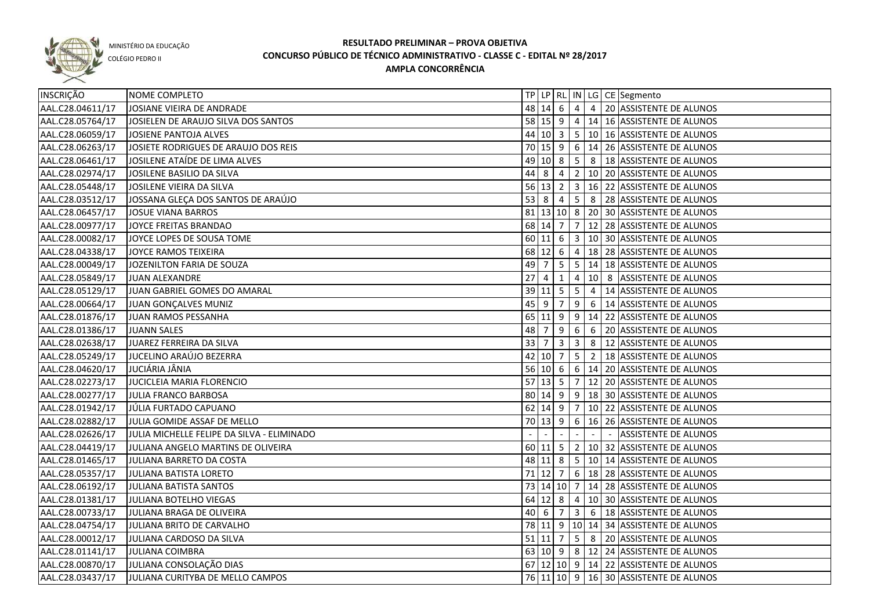

COLÉGIO PEDRO II

| INSCRIÇÃO        | NOME COMPLETO                              |             |                        |                |                 |                | TP   LP   RL   IN   LG   CE   Segmento                         |
|------------------|--------------------------------------------|-------------|------------------------|----------------|-----------------|----------------|----------------------------------------------------------------|
| AAL.C28.04611/17 | JOSIANE VIEIRA DE ANDRADE                  |             | $48$ 14 6 4            |                |                 |                | 4 20 ASSISTENTE DE ALUNOS                                      |
| AAL.C28.05764/17 | JOSIELEN DE ARAUJO SILVA DOS SANTOS        |             |                        |                |                 |                | 58 15 9 4 14 16 ASSISTENTE DE ALUNOS                           |
| AAL.C28.06059/17 | JOSIENE PANTOJA ALVES                      |             |                        |                |                 |                | 44 10 3 5 10 16 ASSISTENTE DE ALUNOS                           |
| AAL.C28.06263/17 | JOSIETE RODRIGUES DE ARAUJO DOS REIS       |             |                        |                |                 |                | 70 15 9 6 14 26 ASSISTENTE DE ALUNOS                           |
| AAL.C28.06461/17 | JOSILENE ATAÍDE DE LIMA ALVES              |             |                        |                |                 |                | 49 10 8 5 8 18 ASSISTENTE DE ALUNOS                            |
| AAL.C28.02974/17 | JOSILENE BASILIO DA SILVA                  |             |                        |                |                 |                | 44 8 4 2 10 20 ASSISTENTE DE ALUNOS                            |
| AAL.C28.05448/17 | JOSILENE VIEIRA DA SILVA                   |             |                        |                |                 |                | 56 13 2 3 16 22 ASSISTENTE DE ALUNOS                           |
| AAL.C28.03512/17 | JOSSANA GLEÇA DOS SANTOS DE ARAÚJO         |             |                        |                |                 |                | 53 8 4 5 8 28 ASSISTENTE DE ALUNOS                             |
| AAL.C28.06457/17 | JOSUE VIANA BARROS                         |             |                        |                |                 |                | 81   13   10   8   20   30   ASSISTENTE DE ALUNOS              |
| AAL.C28.00977/17 | JOYCE FREITAS BRANDAO                      |             |                        |                |                 |                | 68 14 7 7 12 28 ASSISTENTE DE ALUNOS                           |
| AAL.C28.00082/17 | JOYCE LOPES DE SOUSA TOME                  |             |                        |                |                 |                | 60 11 6 3 10 30 ASSISTENTE DE ALUNOS                           |
| AAL.C28.04338/17 | JOYCE RAMOS TEIXEIRA                       |             |                        |                |                 |                | 68 12 6 4 18 28 ASSISTENTE DE ALUNOS                           |
| AAL.C28.00049/17 | JOZENILTON FARIA DE SOUZA                  | 49 7        |                        |                |                 |                | $\vert 5 \vert 5 \vert 14 \vert 18 \vert$ ASSISTENTE DE ALUNOS |
| AAL.C28.05849/17 | JUAN ALEXANDRE                             | 27          | $\overline{4}$         | 1              | 4               |                | 10 8 ASSISTENTE DE ALUNOS                                      |
| AAL.C28.05129/17 | JUAN GABRIEL GOMES DO AMARAL               |             | $39$ 11 5 5            |                |                 | $\overline{4}$ | 14 ASSISTENTE DE ALUNOS                                        |
| AAL.C28.00664/17 | JUAN GONÇALVES MUNIZ                       | 45 9        |                        | $\overline{7}$ | 9               | 6              | 14 ASSISTENTE DE ALUNOS                                        |
| AAL.C28.01876/17 | JUAN RAMOS PESSANHA                        |             | $65$ 11 9 9            |                |                 |                | 14 22 ASSISTENTE DE ALUNOS                                     |
| AAL.C28.01386/17 | <b>JUANN SALES</b>                         | 48 7        |                        | 9              | $6\overline{6}$ | 6              | 20 ASSISTENTE DE ALUNOS                                        |
| AAL.C28.02638/17 | JUAREZ FERREIRA DA SILVA                   | $33 \mid 7$ |                        | $3 \mid 3$     |                 |                | 8   12 ASSISTENTE DE ALUNOS                                    |
| AAL.C28.05249/17 | JUCELINO ARAÚJO BEZERRA                    |             |                        |                |                 |                | 42   10   7   5   2   18   ASSISTENTE DE ALUNOS                |
| AAL.C28.04620/17 | JUCIÁRIA JÂNIA                             |             |                        |                |                 |                | 56 10 6 6 14 20 ASSISTENTE DE ALUNOS                           |
| AAL.C28.02273/17 | JUCICLEIA MARIA FLORENCIO                  |             | $57$ 13 5              |                | $\overline{7}$  |                | 12 20 ASSISTENTE DE ALUNOS                                     |
| AAL.C28.00277/17 | JULIA FRANCO BARBOSA                       |             | 80   14   9   9        |                |                 |                | 18 30 ASSISTENTE DE ALUNOS                                     |
| AAL.C28.01942/17 | JÚLIA FURTADO CAPUANO                      |             | $62$ 14 9 7            |                |                 |                | 10 22 ASSISTENTE DE ALUNOS                                     |
| AAL.C28.02882/17 | JULIA GOMIDE ASSAF DE MELLO                |             | 70 13 9                |                | 6               |                | 16 26 ASSISTENTE DE ALUNOS                                     |
| AAL.C28.02626/17 | JULIA MICHELLE FELIPE DA SILVA - ELIMINADO |             |                        |                |                 |                | <b>ASSISTENTE DE ALUNOS</b>                                    |
| AAL.C28.04419/17 | JULIANA ANGELO MARTINS DE OLIVEIRA         |             | $60$ 11 5              |                |                 |                | 2   10   32   ASSISTENTE DE ALUNOS                             |
| AAL.C28.01465/17 | JULIANA BARRETO DA COSTA                   |             |                        |                |                 |                | 48 11 8 5 10 14 ASSISTENTE DE ALUNOS                           |
| AAL.C28.05357/17 | JULIANA BATISTA LORETO                     |             | $71$ 12 $\overline{7}$ |                |                 |                | 6   18   28   ASSISTENTE DE ALUNOS                             |
| AAL.C28.06192/17 | JULIANA BATISTA SANTOS                     |             |                        |                |                 |                | 73 14 10 7 14 28 ASSISTENTE DE ALUNOS                          |
| AAL.C28.01381/17 | JULIANA BOTELHO VIEGAS                     |             | $64$ 12 8 4            |                |                 |                | 10 30 ASSISTENTE DE ALUNOS                                     |
| AAL.C28.00733/17 | JULIANA BRAGA DE OLIVEIRA                  |             |                        |                |                 |                | 40 6 7 3 6 18 ASSISTENTE DE ALUNOS                             |
| AAL.C28.04754/17 | JULIANA BRITO DE CARVALHO                  |             |                        |                |                 |                | 78 11 9 10 14 34 ASSISTENTE DE ALUNOS                          |
| AAL.C28.00012/17 | JULIANA CARDOSO DA SILVA                   |             |                        |                |                 |                | 51 11 7 5 8 20 ASSISTENTE DE ALUNOS                            |
| AAL.C28.01141/17 | <b>JULIANA COIMBRA</b>                     |             |                        |                |                 |                | 63 10 9 8 12 24 ASSISTENTE DE ALUNOS                           |
| AAL.C28.00870/17 | JULIANA CONSOLAÇÃO DIAS                    |             |                        |                |                 |                | 67 12 10 9 14 22 ASSISTENTE DE ALUNOS                          |
| AAL.C28.03437/17 | JULIANA CURITYBA DE MELLO CAMPOS           |             |                        |                |                 |                | 76 11 10 9 16 30 ASSISTENTE DE ALUNOS                          |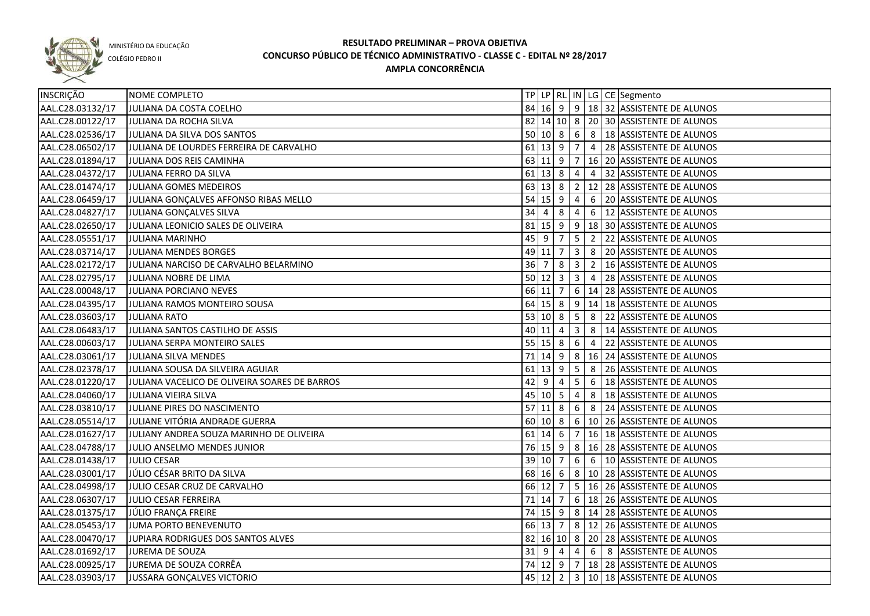

COLÉGIO PEDRO II

| INSCRIÇÃO        | NOME COMPLETO                                 |                                  |               |                      |                         |                 | TP LP RL IN LG CE Segmento                      |
|------------------|-----------------------------------------------|----------------------------------|---------------|----------------------|-------------------------|-----------------|-------------------------------------------------|
| AAL.C28.03132/17 | JULIANA DA COSTA COELHO                       |                                  |               |                      |                         |                 | 84 16 9 9 18 32 ASSISTENTE DE ALUNOS            |
| AAL.C28.00122/17 | JULIANA DA ROCHA SILVA                        |                                  |               |                      |                         |                 | 82 14 10 8 20 30 ASSISTENTE DE ALUNOS           |
| AAL.C28.02536/17 | JULIANA DA SILVA DOS SANTOS                   |                                  |               |                      |                         |                 | $50 10 8 6 8 18$ ASSISTENTE DE ALUNOS           |
| AAL.C28.06502/17 | JULIANA DE LOURDES FERREIRA DE CARVALHO       |                                  |               |                      |                         |                 | 61 13 9 7 4 28 ASSISTENTE DE ALUNOS             |
| AAL.C28.01894/17 | JULIANA DOS REIS CAMINHA                      |                                  |               |                      |                         |                 | 63 11 9 7 16 20 ASSISTENTE DE ALUNOS            |
| AAL.C28.04372/17 | JULIANA FERRO DA SILVA                        |                                  |               |                      |                         |                 | 61   13   8   4   4   32   ASSISTENTE DE ALUNOS |
| AAL.C28.01474/17 | JULIANA GOMES MEDEIROS                        |                                  |               |                      |                         |                 | 63 13 8 2 12 28 ASSISTENTE DE ALUNOS            |
| AAL.C28.06459/17 | JULIANA GONÇALVES AFFONSO RIBAS MELLO         |                                  |               |                      |                         |                 | 54 15 9 4 6 20 ASSISTENTE DE ALUNOS             |
| AAL.C28.04827/17 | JULIANA GONÇALVES SILVA                       | 34 4                             |               | 8                    | $\overline{4}$          |                 | 6 12 ASSISTENTE DE ALUNOS                       |
| AAL.C28.02650/17 | JULIANA LEONICIO SALES DE OLIVEIRA            |                                  |               | $81 \ 15 \ 9$        |                         |                 | $9   18   30$ ASSISTENTE DE ALUNOS              |
| AAL.C28.05551/17 | <b>JULIANA MARINHO</b>                        | 45 9                             |               | $\overline{7}$       | $5\overline{)}$         |                 | 2 22 ASSISTENTE DE ALUNOS                       |
| AAL.C28.03714/17 | JULIANA MENDES BORGES                         |                                  | 49 11         | $\overline{7}$       |                         |                 | 3 8 20 ASSISTENTE DE ALUNOS                     |
| AAL.C28.02172/17 | JULIANA NARCISO DE CARVALHO BELARMINO         | $36 \overline{\smash{\big)} }$ 7 |               | 8                    | $\overline{\mathbf{3}}$ | $\vert$ 2       | 16 ASSISTENTE DE ALUNOS                         |
| AAL.C28.02795/17 | JULIANA NOBRE DE LIMA                         |                                  | $50 \ 12 \ 3$ |                      | $\overline{\mathbf{3}}$ | $\vert 4$       | 28 ASSISTENTE DE ALUNOS                         |
| AAL.C28.00048/17 | JULIANA PORCIANO NEVES                        |                                  | 66 11         | $\overline{7}$       |                         |                 | 6   14   28   ASSISTENTE DE ALUNOS              |
| AAL.C28.04395/17 | JULIANA RAMOS MONTEIRO SOUSA                  |                                  |               | $64$ 15 8            |                         |                 | $9$   14   18   ASSISTENTE DE ALUNOS            |
| AAL.C28.03603/17 | <b>JULIANA RATO</b>                           |                                  | 53   10   8   |                      | 5 <sub>1</sub>          |                 | 8 22 ASSISTENTE DE ALUNOS                       |
| AAL.C28.06483/17 | JULIANA SANTOS CASTILHO DE ASSIS              |                                  | 40 11 4       |                      | $\overline{\mathbf{3}}$ | 8               | 14 ASSISTENTE DE ALUNOS                         |
| AAL.C28.00603/17 | JULIANA SERPA MONTEIRO SALES                  |                                  | $55$ 15 8     |                      | 6                       | $\vert 4 \vert$ | 22 ASSISTENTE DE ALUNOS                         |
| AAL.C28.03061/17 | JULIANA SILVA MENDES                          |                                  |               | $71$ 14 9            | 8                       |                 | 16 24 ASSISTENTE DE ALUNOS                      |
| AAL.C28.02378/17 | JULIANA SOUSA DA SILVEIRA AGUIAR              | 61                               | $13 \quad 9$  |                      | $5\phantom{.0}$         | 8               | 26 ASSISTENTE DE ALUNOS                         |
| AAL.C28.01220/17 | JULIANA VACELICO DE OLIVEIRA SOARES DE BARROS | 42                               | 9             | 4                    | 5                       | 6               | 18 ASSISTENTE DE ALUNOS                         |
| AAL.C28.04060/17 | JULIANA VIEIRA SILVA                          |                                  | 45 10 5       |                      | 4                       | 8               | 18 ASSISTENTE DE ALUNOS                         |
| AAL.C28.03810/17 | JULIANE PIRES DO NASCIMENTO                   |                                  |               | $57$ 11 8            | 6                       | 8               | 24 ASSISTENTE DE ALUNOS                         |
| AAL.C28.05514/17 | JULIANE VITÓRIA ANDRADE GUERRA                |                                  |               | 60 10 8              |                         |                 | 6   10   26   ASSISTENTE DE ALUNOS              |
| AAL.C28.01627/17 | JULIANY ANDREA SOUZA MARINHO DE OLIVEIRA      |                                  | $61$ 14 6     |                      | $\overline{7}$          |                 | 16 18 ASSISTENTE DE ALUNOS                      |
| AAL.C28.04788/17 | JULIO ANSELMO MENDES JUNIOR                   |                                  |               | $76$ 15 9            |                         |                 | 8 16 28 ASSISTENTE DE ALUNOS                    |
| AAL.C28.01438/17 | <b>JULIO CESAR</b>                            |                                  | 39 10 7       |                      | $6\phantom{.}6$         | 6               | 10 ASSISTENTE DE ALUNOS                         |
| AAL.C28.03001/17 | JÚLIO CÉSAR BRITO DA SILVA                    |                                  | 68 16 6       |                      |                         |                 | 8   10   28   ASSISTENTE DE ALUNOS              |
| AAL.C28.04998/17 | JULIO CESAR CRUZ DE CARVALHO                  |                                  | 66 12         | $\overline{7}$       |                         |                 | 5   16   26   ASSISTENTE DE ALUNOS              |
| AAL.C28.06307/17 | JULIO CESAR FERREIRA                          |                                  | $71$ 14       | $\overline{7}$       |                         |                 | 6 18 26 ASSISTENTE DE ALUNOS                    |
| AAL.C28.01375/17 | JÚLIO FRANÇA FREIRE                           |                                  |               |                      |                         |                 | 74 15 9 8 14 28 ASSISTENTE DE ALUNOS            |
| AAL.C28.05453/17 | JUMA PORTO BENEVENUTO                         |                                  |               | 66 13 7              |                         |                 | $\sqrt{8}$   12   26   ASSISTENTE DE ALUNOS     |
| AAL.C28.00470/17 | JUPIARA RODRIGUES DOS SANTOS ALVES            |                                  |               |                      |                         |                 | 82 16 10 8 20 28 ASSISTENTE DE ALUNOS           |
| AAL.C28.01692/17 | JUREMA DE SOUZA                               |                                  |               | $31 \quad 9 \quad 4$ |                         |                 | 4 6 8 ASSISTENTE DE ALUNOS                      |
| AAL.C28.00925/17 | JUREMA DE SOUZA CORRÊA                        |                                  |               | 74 12 9              |                         |                 | $7   18   28  $ ASSISTENTE DE ALUNOS            |
| AAL.C28.03903/17 | JUSSARA GONÇALVES VICTORIO                    |                                  |               | $45 \mid 12 \mid 2$  |                         |                 | 3 10 18 ASSISTENTE DE ALUNOS                    |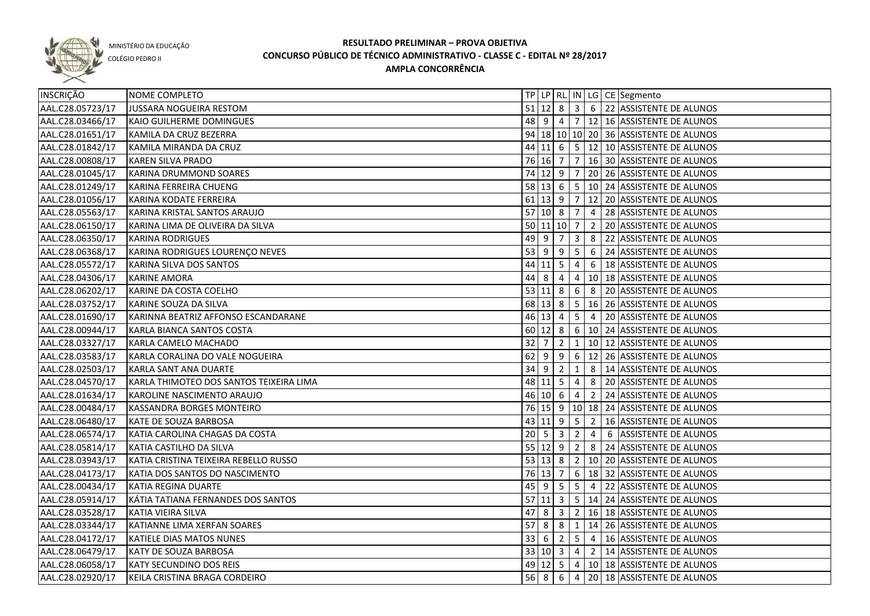

COLÉGIO PEDRO II

| INSCRIÇÃO        | NOME COMPLETO                           |             |             |                     |                 |                                             | TP   LP   RL   IN   LG   CE   Segmento                |
|------------------|-----------------------------------------|-------------|-------------|---------------------|-----------------|---------------------------------------------|-------------------------------------------------------|
| AAL.C28.05723/17 | JUSSARA NOGUEIRA RESTOM                 |             |             |                     |                 |                                             | 51 12 8 3 6 22 ASSISTENTE DE ALUNOS                   |
| AAL.C28.03466/17 | KAIO GUILHERME DOMINGUES                |             |             |                     |                 |                                             | 48 9 4 7 12 16 ASSISTENTE DE ALUNOS                   |
| AAL.C28.01651/17 | KAMILA DA CRUZ BEZERRA                  |             |             |                     |                 |                                             | 94 18 10 10 20 36 ASSISTENTE DE ALUNOS                |
| AAL.C28.01842/17 | KAMILA MIRANDA DA CRUZ                  |             |             |                     |                 |                                             | 44 11 6 5 12 10 ASSISTENTE DE ALUNOS                  |
| AAL.C28.00808/17 | <b>KAREN SILVA PRADO</b>                |             |             | 76 16 7             |                 |                                             | 7 16 30 ASSISTENTE DE ALUNOS                          |
| AAL.C28.01045/17 | KARINA DRUMMOND SOARES                  |             |             |                     |                 |                                             | 74 12 9 7 20 26 ASSISTENTE DE ALUNOS                  |
| AAL.C28.01249/17 | <b>KARINA FERREIRA CHUENG</b>           |             |             |                     |                 |                                             | 58 13 6 5 10 24 ASSISTENTE DE ALUNOS                  |
| AAL.C28.01056/17 | KARINA KODATE FERREIRA                  |             |             | $61$ 13 9 7         |                 |                                             | 12 20 ASSISTENTE DE ALUNOS                            |
| AAL.C28.05563/17 | KARINA KRISTAL SANTOS ARAUJO            |             |             | $57$ 10 8 7         |                 |                                             | 4 28 ASSISTENTE DE ALUNOS                             |
| AAL.C28.06150/17 | KARINA LIMA DE OLIVEIRA DA SILVA        |             |             | 50 11 10 7          |                 |                                             | 2 20 ASSISTENTE DE ALUNOS                             |
| AAL.C28.06350/17 | <b>KARINA RODRIGUES</b>                 | 49 9        |             | $\overline{7}$      | $\mathbf{3}$    |                                             | 8 22 ASSISTENTE DE ALUNOS                             |
| AAL.C28.06368/17 | KARINA RODRIGUES LOURENÇO NEVES         | 53          | l 9         | 9                   | 5               | 6                                           | 24 ASSISTENTE DE ALUNOS                               |
| AAL.C28.05572/17 | KARINA SILVA DOS SANTOS                 |             |             | $44$ 11 5           | 4               | 6                                           | 18 ASSISTENTE DE ALUNOS                               |
| AAL.C28.04306/17 | <b>KARINE AMORA</b>                     | 44          | 8           | 4                   | 4               |                                             | 10 18 ASSISTENTE DE ALUNOS                            |
| AAL.C28.06202/17 | KARINE DA COSTA COELHO                  |             |             | 53   11   8         | 6 <sup>1</sup>  | $\begin{array}{ c c } \hline 8 \end{array}$ | 20 ASSISTENTE DE ALUNOS                               |
| AAL.C28.03752/17 | KARINE SOUZA DA SILVA                   |             |             | 68 13 8             | $\sqrt{5}$      |                                             | 16 26 ASSISTENTE DE ALUNOS                            |
| AAL.C28.01690/17 | KARINNA BEATRIZ AFFONSO ESCANDARANE     |             |             | 46 13 4             | 5 <sup>5</sup>  | $\overline{4}$                              | 20 ASSISTENTE DE ALUNOS                               |
| AAL.C28.00944/17 | KARLA BIANCA SANTOS COSTA               |             |             | $60 \ 12 \ 8$       |                 |                                             | 6   10   24   ASSISTENTE DE ALUNOS                    |
| AAL.C28.03327/17 | KARLA CAMELO MACHADO                    | 32          | 7           | $\overline{2}$      | $\mathbf{1}$    |                                             | 10 12 ASSISTENTE DE ALUNOS                            |
| AAL.C28.03583/17 | KARLA CORALINA DO VALE NOGUEIRA         | 62          | -9          | 9                   | 6               |                                             | 12 26 ASSISTENTE DE ALUNOS                            |
| AAL.C28.02503/17 | KARLA SANT ANA DUARTE                   | 34          | - 9         | $\overline{2}$      | $\mathbf{1}$    | 8                                           | 14 ASSISTENTE DE ALUNOS                               |
| AAL.C28.04570/17 | KARLA THIMOTEO DOS SANTOS TEIXEIRA LIMA |             |             | 48 11 5             | 4               | 8                                           | 20 ASSISTENTE DE ALUNOS                               |
| AAL.C28.01634/17 | KAROLINE NASCIMENTO ARAUJO              |             |             | $46$ 10 6           | 4               | $\overline{2}$                              | 24 ASSISTENTE DE ALUNOS                               |
| AAL.C28.00484/17 | KASSANDRA BORGES MONTEIRO               |             |             |                     |                 |                                             | 76 15 9 10 18 24 ASSISTENTE DE ALUNOS                 |
| AAL.C28.06480/17 | KATE DE SOUZA BARBOSA                   |             |             | 43 11 9             | $5\phantom{.0}$ | $\overline{2}$                              | 16 ASSISTENTE DE ALUNOS                               |
| AAL.C28.06574/17 | KATIA CAROLINA CHAGAS DA COSTA          | $20 \mid 5$ |             | $\overline{3}$      | $\overline{2}$  | $\overline{4}$                              | 6 ASSISTENTE DE ALUNOS                                |
| AAL.C28.05814/17 | KATIA CASTILHO DA SILVA                 |             |             | 55 12 9             | 2 <sup>1</sup>  |                                             | 8 24 ASSISTENTE DE ALUNOS                             |
| AAL.C28.03943/17 | KATIA CRISTINA TEIXEIRA REBELLO RUSSO   |             |             | $53 \mid 13 \mid 8$ |                 |                                             | 2   10   20   ASSISTENTE DE ALUNOS                    |
| AAL.C28.04173/17 | KATIA DOS SANTOS DO NASCIMENTO          |             |             | 76 13 7             |                 |                                             | 6 18 32 ASSISTENTE DE ALUNOS                          |
| AAL.C28.00434/17 | KATIA REGINA DUARTE                     |             |             | $45 \mid 9 \mid 5$  |                 |                                             | $\vert 5 \vert 4 \vert 22 \vert$ ASSISTENTE DE ALUNOS |
| AAL.C28.05914/17 | KÁTIA TATIANA FERNANDES DOS SANTOS      |             |             |                     |                 |                                             | 57 11 3 5 14 24 ASSISTENTE DE ALUNOS                  |
| AAL.C28.03528/17 | KATIA VIEIRA SILVA                      |             |             |                     |                 |                                             | 47 8 3 2 16 18 ASSISTENTE DE ALUNOS                   |
| AAL.C28.03344/17 | KATIANNE LIMA XERFAN SOARES             |             |             |                     |                 |                                             | 57 8 8 1 1 14 26 ASSISTENTE DE ALUNOS                 |
| AAL.C28.04172/17 | KATIELE DIAS MATOS NUNES                |             |             |                     |                 |                                             | 33 6 2 5 4 16 ASSISTENTE DE ALUNOS                    |
| AAL.C28.06479/17 | KATY DE SOUZA BARBOSA                   |             |             |                     |                 |                                             | 33 10 3 4 2 14 ASSISTENTE DE ALUNOS                   |
| AAL.C28.06058/17 | <b>KATY SECUNDINO DOS REIS</b>          |             |             |                     |                 |                                             | 49 12 5 4 10 18 ASSISTENTE DE ALUNOS                  |
| AAL.C28.02920/17 | KEILA CRISTINA BRAGA CORDEIRO           |             | $56 \mid 8$ | 6                   |                 |                                             | 4 20 18 ASSISTENTE DE ALUNOS                          |
|                  |                                         |             |             |                     |                 |                                             |                                                       |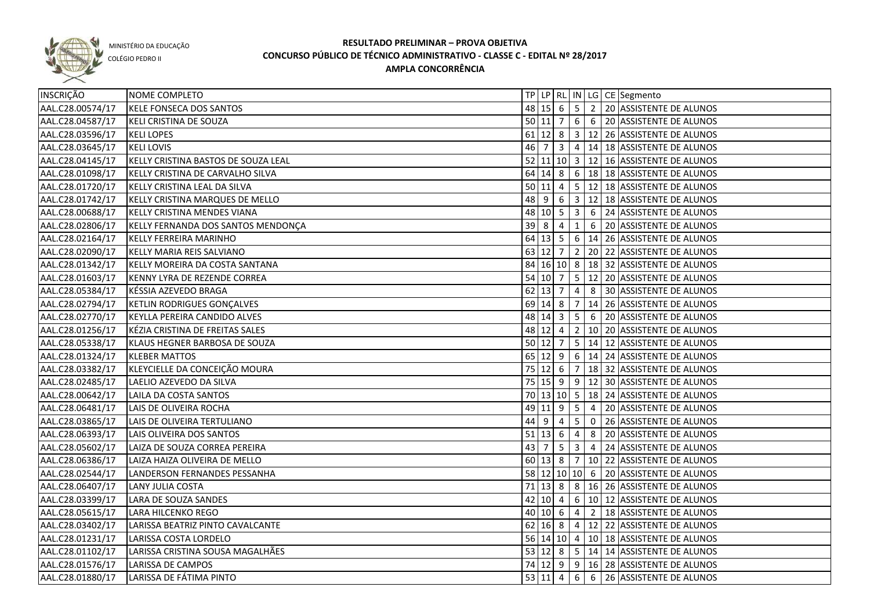

COLÉGIO PEDRO II

| INSCRIÇÃO        | NOME COMPLETO                       |    |                |                     |                 |                | TP   LP   RL   IN   LG   CE   Segmento       |
|------------------|-------------------------------------|----|----------------|---------------------|-----------------|----------------|----------------------------------------------|
| AAL.C28.00574/17 | KELE FONSECA DOS SANTOS             |    |                |                     |                 |                | 48 15 6 5 2 20 ASSISTENTE DE ALUNOS          |
| AAL.C28.04587/17 | KELI CRISTINA DE SOUZA              |    |                | $50$ 11 7           |                 |                | 6 6 20 ASSISTENTE DE ALUNOS                  |
| AAL.C28.03596/17 | <b>KELI LOPES</b>                   |    |                |                     |                 |                | 61 12 8 3 12 26 ASSISTENTE DE ALUNOS         |
| AAL.C28.03645/17 | <b>KELI LOVIS</b>                   |    |                |                     |                 |                | 46 7 3 4 14 18 ASSISTENTE DE ALUNOS          |
| AAL.C28.04145/17 | KELLY CRISTINA BASTOS DE SOUZA LEAL |    |                |                     |                 |                | 52 11 10 3 12 16 ASSISTENTE DE ALUNOS        |
| AAL.C28.01098/17 | KELLY CRISTINA DE CARVALHO SILVA    |    |                |                     |                 |                | 64 14 8 6 18 18 ASSISTENTE DE ALUNOS         |
| AAL.C28.01720/17 | KELLY CRISTINA LEAL DA SILVA        |    |                |                     |                 |                | 50 11 4 5 12 18 ASSISTENTE DE ALUNOS         |
| AAL.C28.01742/17 | KELLY CRISTINA MARQUES DE MELLO     |    |                |                     |                 |                | 48 9 6 3 12 18 ASSISTENTE DE ALUNOS          |
| AAL.C28.00688/17 | KELLY CRISTINA MENDES VIANA         |    |                |                     |                 |                | 48 10 5 3 6 24 ASSISTENTE DE ALUNOS          |
| AAL.C28.02806/17 | KELLY FERNANDA DOS SANTOS MENDONÇA  |    | $39 \mid 8$    | $\overline{4}$      | $\mathbf{1}$    |                | 6 20 ASSISTENTE DE ALUNOS                    |
| AAL.C28.02164/17 | KELLY FERREIRA MARINHO              |    |                | $64 \mid 13 \mid 5$ |                 |                | $6   14   26  $ ASSISTENTE DE ALUNOS         |
| AAL.C28.02090/17 | KELLY MARIA REIS SALVIANO           |    | 63 12          | $\overline{7}$      |                 |                | 2   20   22   ASSISTENTE DE ALUNOS           |
| AAL.C28.01342/17 | KELLY MOREIRA DA COSTA SANTANA      |    |                |                     |                 |                | 84 16 10 8 18 32 ASSISTENTE DE ALUNOS        |
| AAL.C28.01603/17 | KENNY LYRA DE REZENDE CORREA        |    | $54$ 10 7      |                     |                 |                | 5   12   20   ASSISTENTE DE ALUNOS           |
| AAL.C28.05384/17 | KÉSSIA AZEVEDO BRAGA                |    | $62$ 13 7      |                     | $\overline{4}$  |                | 8 30 ASSISTENTE DE ALUNOS                    |
| AAL.C28.02794/17 | KETLIN RODRIGUES GONÇALVES          |    | 69 14 8        |                     | $\overline{7}$  |                | 14 26 ASSISTENTE DE ALUNOS                   |
| AAL.C28.02770/17 | KEYLLA PEREIRA CANDIDO ALVES        |    |                | 48 14 3             | 5 <sup>5</sup>  | 6              | 20 ASSISTENTE DE ALUNOS                      |
| AAL.C28.01256/17 | KÉZIA CRISTINA DE FREITAS SALES     |    |                | 48 12 4             | 2               |                | 10 20 ASSISTENTE DE ALUNOS                   |
| AAL.C28.05338/17 | KLAUS HEGNER BARBOSA DE SOUZA       |    | 50 12          | $\overline{7}$      | 5 <sub>5</sub>  |                | 14 12 ASSISTENTE DE ALUNOS                   |
| AAL.C28.01324/17 | <b>KLEBER MATTOS</b>                |    | 65 12 9        |                     |                 |                | 6   14   24   ASSISTENTE DE ALUNOS           |
| AAL.C28.03382/17 | KLEYCIELLE DA CONCEIÇÃO MOURA       |    | $75$ 12 6      |                     | $\overline{7}$  |                | 18 32 ASSISTENTE DE ALUNOS                   |
| AAL.C28.02485/17 | LAELIO AZEVEDO DA SILVA             |    |                | 75 15 9             | 9               |                | 12 30 ASSISTENTE DE ALUNOS                   |
| AAL.C28.00642/17 | LAILA DA COSTA SANTOS               |    |                | 70 13 10 5          |                 |                | 18 24 ASSISTENTE DE ALUNOS                   |
| AAL.C28.06481/17 | LAIS DE OLIVEIRA ROCHA              |    |                | 49 11 9             | $5\overline{5}$ | $\overline{4}$ | 20 ASSISTENTE DE ALUNOS                      |
| AAL.C28.03865/17 | LAIS DE OLIVEIRA TERTULIANO         | 44 | -9             | 4                   | 5 <sub>1</sub>  | $\overline{0}$ | 26 ASSISTENTE DE ALUNOS                      |
| AAL.C28.06393/17 | LAIS OLIVEIRA DOS SANTOS            | 51 | 13             | 6                   | 4               | 8              | 20 ASSISTENTE DE ALUNOS                      |
| AAL.C28.05602/17 | LAIZA DE SOUZA CORREA PEREIRA       | 43 | $\overline{7}$ | 5                   | $\mathbf{3}$    | $\overline{4}$ | 24 ASSISTENTE DE ALUNOS                      |
| AAL.C28.06386/17 | LAIZA HAIZA OLIVEIRA DE MELLO       |    |                | 60 13 8             |                 |                | 7   10   22   ASSISTENTE DE ALUNOS           |
| AAL.C28.02544/17 | LANDERSON FERNANDES PESSANHA        |    |                |                     |                 |                | 58 12 10 10 6 20 ASSISTENTE DE ALUNOS        |
| AAL.C28.06407/17 | LANY JULIA COSTA                    |    |                |                     |                 |                | 71 13 8 8 4 6 16 26 ASSISTENTE DE ALUNOS     |
| AAL.C28.03399/17 | LARA DE SOUZA SANDES                |    |                | 42 10 4             |                 |                | $\boxed{6}$   10   12   ASSISTENTE DE ALUNOS |
| AAL.C28.05615/17 | LARA HILCENKO REGO                  |    |                |                     |                 |                | 40 10 6 4 2 18 ASSISTENTE DE ALUNOS          |
| AAL.C28.03402/17 | LARISSA BEATRIZ PINTO CAVALCANTE    |    |                |                     |                 |                | 62 16 8 4 12 22 ASSISTENTE DE ALUNOS         |
| AAL.C28.01231/17 | LARISSA COSTA LORDELO               |    |                |                     |                 |                | 56 14 10 4 10 18 ASSISTENTE DE ALUNOS        |
| AAL.C28.01102/17 | LARISSA CRISTINA SOUSA MAGALHÃES    |    |                |                     |                 |                | 53 12 8 5 14 14 ASSISTENTE DE ALUNOS         |
| AAL.C28.01576/17 | <b>LARISSA DE CAMPOS</b>            |    |                |                     |                 |                | 74 12 9 9 16 28 ASSISTENTE DE ALUNOS         |
| AAL.C28.01880/17 | LARISSA DE FÁTIMA PINTO             |    |                | 53   11   4         |                 |                | 6 6 26 ASSISTENTE DE ALUNOS                  |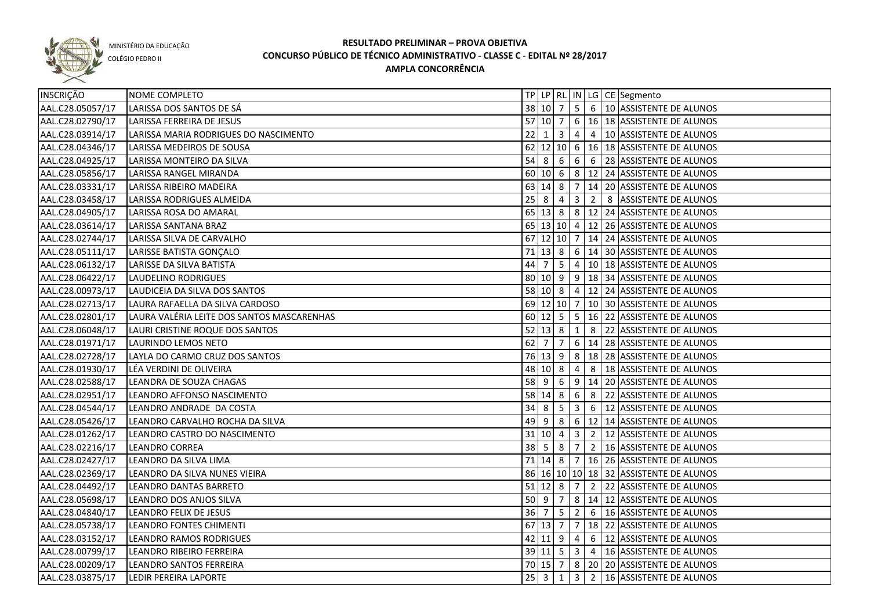

COLÉGIO PEDRO II

| LARISSA DOS SANTOS DE SÁ |                                                                                                                                                                                                                                                                                                                                                                                                                                                                                                                                                                                                                                                                                                                                                                                                                                                                                                                                                                                                                                                                               |     |                                                                          |                                                                                                                                                                                         |                                                                             |                                                                                                      | TP   LP   RL   IN   LG   CE   Segmento                         |
|--------------------------|-------------------------------------------------------------------------------------------------------------------------------------------------------------------------------------------------------------------------------------------------------------------------------------------------------------------------------------------------------------------------------------------------------------------------------------------------------------------------------------------------------------------------------------------------------------------------------------------------------------------------------------------------------------------------------------------------------------------------------------------------------------------------------------------------------------------------------------------------------------------------------------------------------------------------------------------------------------------------------------------------------------------------------------------------------------------------------|-----|--------------------------------------------------------------------------|-----------------------------------------------------------------------------------------------------------------------------------------------------------------------------------------|-----------------------------------------------------------------------------|------------------------------------------------------------------------------------------------------|----------------------------------------------------------------|
|                          |                                                                                                                                                                                                                                                                                                                                                                                                                                                                                                                                                                                                                                                                                                                                                                                                                                                                                                                                                                                                                                                                               |     |                                                                          |                                                                                                                                                                                         |                                                                             |                                                                                                      | 38 10 7 5 6 10 ASSISTENTE DE ALUNOS                            |
|                          |                                                                                                                                                                                                                                                                                                                                                                                                                                                                                                                                                                                                                                                                                                                                                                                                                                                                                                                                                                                                                                                                               |     |                                                                          |                                                                                                                                                                                         |                                                                             |                                                                                                      | 57 10 7 6 16 18 ASSISTENTE DE ALUNOS                           |
|                          |                                                                                                                                                                                                                                                                                                                                                                                                                                                                                                                                                                                                                                                                                                                                                                                                                                                                                                                                                                                                                                                                               |     |                                                                          |                                                                                                                                                                                         |                                                                             |                                                                                                      | 4 4 10 ASSISTENTE DE ALUNOS                                    |
|                          |                                                                                                                                                                                                                                                                                                                                                                                                                                                                                                                                                                                                                                                                                                                                                                                                                                                                                                                                                                                                                                                                               |     |                                                                          |                                                                                                                                                                                         |                                                                             |                                                                                                      | 62 12 10 6 16 18 ASSISTENTE DE ALUNOS                          |
|                          |                                                                                                                                                                                                                                                                                                                                                                                                                                                                                                                                                                                                                                                                                                                                                                                                                                                                                                                                                                                                                                                                               |     |                                                                          |                                                                                                                                                                                         |                                                                             |                                                                                                      | 54 8 6 6 6 6 28 ASSISTENTE DE ALUNOS                           |
|                          |                                                                                                                                                                                                                                                                                                                                                                                                                                                                                                                                                                                                                                                                                                                                                                                                                                                                                                                                                                                                                                                                               |     |                                                                          |                                                                                                                                                                                         |                                                                             |                                                                                                      | 60 10 6 8 12 24 ASSISTENTE DE ALUNOS                           |
|                          |                                                                                                                                                                                                                                                                                                                                                                                                                                                                                                                                                                                                                                                                                                                                                                                                                                                                                                                                                                                                                                                                               |     |                                                                          |                                                                                                                                                                                         |                                                                             |                                                                                                      | 63 14 8 7 14 20 ASSISTENTE DE ALUNOS                           |
|                          |                                                                                                                                                                                                                                                                                                                                                                                                                                                                                                                                                                                                                                                                                                                                                                                                                                                                                                                                                                                                                                                                               |     |                                                                          |                                                                                                                                                                                         |                                                                             |                                                                                                      | 2 8 ASSISTENTE DE ALUNOS                                       |
|                          |                                                                                                                                                                                                                                                                                                                                                                                                                                                                                                                                                                                                                                                                                                                                                                                                                                                                                                                                                                                                                                                                               |     |                                                                          |                                                                                                                                                                                         |                                                                             |                                                                                                      | 65   13   8   8   12   24   ASSISTENTE DE ALUNOS               |
|                          |                                                                                                                                                                                                                                                                                                                                                                                                                                                                                                                                                                                                                                                                                                                                                                                                                                                                                                                                                                                                                                                                               |     |                                                                          |                                                                                                                                                                                         |                                                                             |                                                                                                      | 65 13 10 4 12 26 ASSISTENTE DE ALUNOS                          |
|                          |                                                                                                                                                                                                                                                                                                                                                                                                                                                                                                                                                                                                                                                                                                                                                                                                                                                                                                                                                                                                                                                                               |     |                                                                          |                                                                                                                                                                                         |                                                                             |                                                                                                      | 67 12 10 7 14 24 ASSISTENTE DE ALUNOS                          |
|                          |                                                                                                                                                                                                                                                                                                                                                                                                                                                                                                                                                                                                                                                                                                                                                                                                                                                                                                                                                                                                                                                                               |     |                                                                          |                                                                                                                                                                                         |                                                                             |                                                                                                      | $6 \mid 14 \mid 30$ ASSISTENTE DE ALUNOS                       |
|                          |                                                                                                                                                                                                                                                                                                                                                                                                                                                                                                                                                                                                                                                                                                                                                                                                                                                                                                                                                                                                                                                                               |     |                                                                          |                                                                                                                                                                                         |                                                                             |                                                                                                      | $\vert 5 \vert 4 \vert 10 \vert 18 \vert$ ASSISTENTE DE ALUNOS |
|                          |                                                                                                                                                                                                                                                                                                                                                                                                                                                                                                                                                                                                                                                                                                                                                                                                                                                                                                                                                                                                                                                                               |     |                                                                          |                                                                                                                                                                                         |                                                                             |                                                                                                      | 80 10 9 9 18 34 ASSISTENTE DE ALUNOS                           |
|                          |                                                                                                                                                                                                                                                                                                                                                                                                                                                                                                                                                                                                                                                                                                                                                                                                                                                                                                                                                                                                                                                                               |     |                                                                          |                                                                                                                                                                                         |                                                                             |                                                                                                      | 58 10 8 4 12 24 ASSISTENTE DE ALUNOS                           |
|                          |                                                                                                                                                                                                                                                                                                                                                                                                                                                                                                                                                                                                                                                                                                                                                                                                                                                                                                                                                                                                                                                                               |     |                                                                          |                                                                                                                                                                                         |                                                                             |                                                                                                      | 69 12 10 7 10 30 ASSISTENTE DE ALUNOS                          |
|                          |                                                                                                                                                                                                                                                                                                                                                                                                                                                                                                                                                                                                                                                                                                                                                                                                                                                                                                                                                                                                                                                                               |     |                                                                          |                                                                                                                                                                                         |                                                                             |                                                                                                      | 16 22 ASSISTENTE DE ALUNOS                                     |
|                          |                                                                                                                                                                                                                                                                                                                                                                                                                                                                                                                                                                                                                                                                                                                                                                                                                                                                                                                                                                                                                                                                               |     |                                                                          |                                                                                                                                                                                         | 8                                                                           |                                                                                                      | 22 ASSISTENTE DE ALUNOS                                        |
|                          | 62                                                                                                                                                                                                                                                                                                                                                                                                                                                                                                                                                                                                                                                                                                                                                                                                                                                                                                                                                                                                                                                                            | 7   | 7                                                                        |                                                                                                                                                                                         |                                                                             |                                                                                                      | 6   14   28   ASSISTENTE DE ALUNOS                             |
|                          |                                                                                                                                                                                                                                                                                                                                                                                                                                                                                                                                                                                                                                                                                                                                                                                                                                                                                                                                                                                                                                                                               |     |                                                                          |                                                                                                                                                                                         |                                                                             |                                                                                                      | 18 28 ASSISTENTE DE ALUNOS                                     |
|                          |                                                                                                                                                                                                                                                                                                                                                                                                                                                                                                                                                                                                                                                                                                                                                                                                                                                                                                                                                                                                                                                                               |     |                                                                          | $\overline{4}$                                                                                                                                                                          |                                                                             |                                                                                                      | 8   18 ASSISTENTE DE ALUNOS                                    |
|                          |                                                                                                                                                                                                                                                                                                                                                                                                                                                                                                                                                                                                                                                                                                                                                                                                                                                                                                                                                                                                                                                                               | l 9 |                                                                          |                                                                                                                                                                                         |                                                                             |                                                                                                      | 14 20 ASSISTENTE DE ALUNOS                                     |
|                          |                                                                                                                                                                                                                                                                                                                                                                                                                                                                                                                                                                                                                                                                                                                                                                                                                                                                                                                                                                                                                                                                               |     |                                                                          | 6                                                                                                                                                                                       |                                                                             |                                                                                                      | 8 22 ASSISTENTE DE ALUNOS                                      |
|                          |                                                                                                                                                                                                                                                                                                                                                                                                                                                                                                                                                                                                                                                                                                                                                                                                                                                                                                                                                                                                                                                                               |     |                                                                          |                                                                                                                                                                                         |                                                                             |                                                                                                      | 6   12 ASSISTENTE DE ALUNOS                                    |
|                          |                                                                                                                                                                                                                                                                                                                                                                                                                                                                                                                                                                                                                                                                                                                                                                                                                                                                                                                                                                                                                                                                               | -9  |                                                                          |                                                                                                                                                                                         |                                                                             |                                                                                                      | 6   12   14   ASSISTENTE DE ALUNOS                             |
|                          |                                                                                                                                                                                                                                                                                                                                                                                                                                                                                                                                                                                                                                                                                                                                                                                                                                                                                                                                                                                                                                                                               |     |                                                                          | $\mathbf{3}$                                                                                                                                                                            |                                                                             |                                                                                                      | 2   12   ASSISTENTE DE ALUNOS                                  |
|                          |                                                                                                                                                                                                                                                                                                                                                                                                                                                                                                                                                                                                                                                                                                                                                                                                                                                                                                                                                                                                                                                                               |     |                                                                          |                                                                                                                                                                                         |                                                                             |                                                                                                      | 2   16 ASSISTENTE DE ALUNOS                                    |
|                          |                                                                                                                                                                                                                                                                                                                                                                                                                                                                                                                                                                                                                                                                                                                                                                                                                                                                                                                                                                                                                                                                               |     |                                                                          |                                                                                                                                                                                         |                                                                             |                                                                                                      | 71   14   8   7   16   26   ASSISTENTE DE ALUNOS               |
|                          |                                                                                                                                                                                                                                                                                                                                                                                                                                                                                                                                                                                                                                                                                                                                                                                                                                                                                                                                                                                                                                                                               |     |                                                                          |                                                                                                                                                                                         |                                                                             |                                                                                                      | 86 16 10 10 18 32 ASSISTENTE DE ALUNOS                         |
|                          |                                                                                                                                                                                                                                                                                                                                                                                                                                                                                                                                                                                                                                                                                                                                                                                                                                                                                                                                                                                                                                                                               |     |                                                                          |                                                                                                                                                                                         |                                                                             |                                                                                                      | $ 7 2 22 $ ASSISTENTE DE ALUNOS                                |
|                          |                                                                                                                                                                                                                                                                                                                                                                                                                                                                                                                                                                                                                                                                                                                                                                                                                                                                                                                                                                                                                                                                               |     |                                                                          |                                                                                                                                                                                         |                                                                             |                                                                                                      | 8   14   12   ASSISTENTE DE ALUNOS                             |
|                          |                                                                                                                                                                                                                                                                                                                                                                                                                                                                                                                                                                                                                                                                                                                                                                                                                                                                                                                                                                                                                                                                               |     |                                                                          |                                                                                                                                                                                         |                                                                             |                                                                                                      | 36 7 5 2 6 16 ASSISTENTE DE ALUNOS                             |
|                          |                                                                                                                                                                                                                                                                                                                                                                                                                                                                                                                                                                                                                                                                                                                                                                                                                                                                                                                                                                                                                                                                               |     |                                                                          |                                                                                                                                                                                         |                                                                             |                                                                                                      | 7   18   22   ASSISTENTE DE ALUNOS                             |
|                          |                                                                                                                                                                                                                                                                                                                                                                                                                                                                                                                                                                                                                                                                                                                                                                                                                                                                                                                                                                                                                                                                               |     |                                                                          |                                                                                                                                                                                         |                                                                             |                                                                                                      | 6   12 ASSISTENTE DE ALUNOS                                    |
|                          |                                                                                                                                                                                                                                                                                                                                                                                                                                                                                                                                                                                                                                                                                                                                                                                                                                                                                                                                                                                                                                                                               |     |                                                                          |                                                                                                                                                                                         |                                                                             |                                                                                                      | 39 11 5 3 4 16 ASSISTENTE DE ALUNOS                            |
|                          |                                                                                                                                                                                                                                                                                                                                                                                                                                                                                                                                                                                                                                                                                                                                                                                                                                                                                                                                                                                                                                                                               |     |                                                                          |                                                                                                                                                                                         |                                                                             |                                                                                                      | 70 15 7 8 20 20 ASSISTENTE DE ALUNOS                           |
|                          |                                                                                                                                                                                                                                                                                                                                                                                                                                                                                                                                                                                                                                                                                                                                                                                                                                                                                                                                                                                                                                                                               |     |                                                                          |                                                                                                                                                                                         |                                                                             |                                                                                                      | 3 2 16 ASSISTENTE DE ALUNOS                                    |
|                          | LARISSA FERREIRA DE JESUS<br>LARISSA MARIA RODRIGUES DO NASCIMENTO<br>LARISSA MEDEIROS DE SOUSA<br>LARISSA MONTEIRO DA SILVA<br>LARISSA RANGEL MIRANDA<br>LARISSA RIBEIRO MADEIRA<br>LARISSA RODRIGUES ALMEIDA<br>LARISSA ROSA DO AMARAL<br>LARISSA SANTANA BRAZ<br>LARISSA SILVA DE CARVALHO<br>LARISSE BATISTA GONÇALO<br>LARISSE DA SILVA BATISTA<br>LAUDELINO RODRIGUES<br>LAUDICEIA DA SILVA DOS SANTOS<br>LAURA RAFAELLA DA SILVA CARDOSO<br>LAURA VALÉRIA LEITE DOS SANTOS MASCARENHAS<br>LAURI CRISTINE ROQUE DOS SANTOS<br>LAURINDO LEMOS NETO<br>LAYLA DO CARMO CRUZ DOS SANTOS<br>LÉA VERDINI DE OLIVEIRA<br>LEANDRA DE SOUZA CHAGAS<br>LEANDRO AFFONSO NASCIMENTO<br>LEANDRO ANDRADE DA COSTA<br>LEANDRO CARVALHO ROCHA DA SILVA<br>LEANDRO CASTRO DO NASCIMENTO<br>LEANDRO CORREA<br>LEANDRO DA SILVA LIMA<br>LEANDRO DA SILVA NUNES VIEIRA<br>LEANDRO DANTAS BARRETO<br>LEANDRO DOS ANJOS SILVA<br>LEANDRO FELIX DE JESUS<br>LEANDRO FONTES CHIMENTI<br>LEANDRO RAMOS RODRIGUES<br>LEANDRO RIBEIRO FERREIRA<br>LEANDRO SANTOS FERREIRA<br>LEDIR PEREIRA LAPORTE |     | 71<br>44 7<br>58<br>$34 \overline{\smash{)}8}$<br>49<br>$25 \mid 3 \mid$ | $13 \mid 8$<br>$52 \ 13 \ 8$<br>76 13 9<br>48 10 8<br>$6\overline{6}$<br>$58$ 14 8<br>5<br>8<br>31   10   4<br>$38 \mid 5 \mid 8$<br>$50$ 9 7<br>$67 \mid 13 \mid 7$<br>$\vert 1 \vert$ | 22   1   3  <br>$\vert 1 \vert$<br>$\overline{7}$<br>$51$ 12 8<br>$42$ 11 9 | $25 \mid 8 \mid 4 \mid 3 \mid$<br>$60$   12   5   5  <br>8 <sup>8</sup><br>9<br>3 <sup>1</sup><br> 4 |                                                                |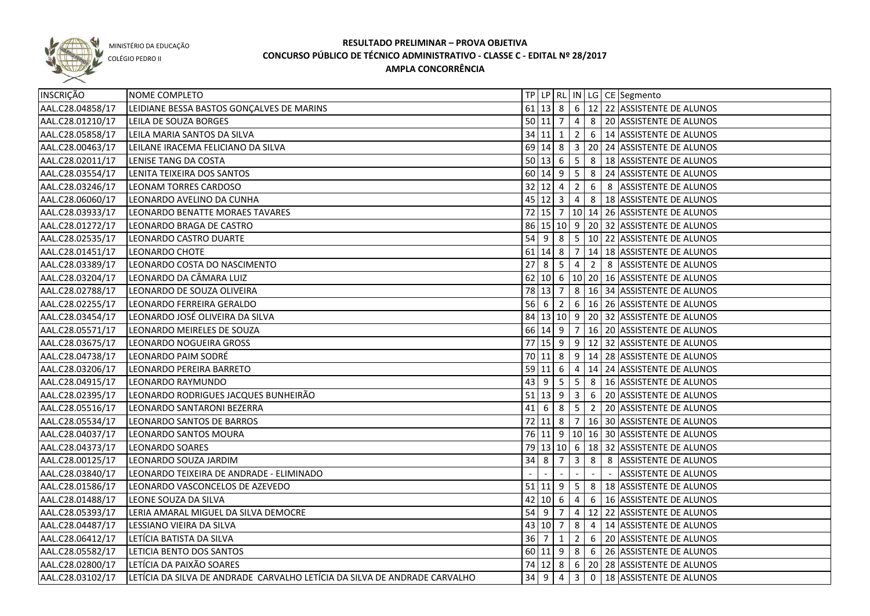

COLÉGIO PEDRO II

| INSCRIÇÃO        | NOME COMPLETO                                                             |    |                     |                                  |                                  |                | TP LP RL IN LG CE Segmento                        |
|------------------|---------------------------------------------------------------------------|----|---------------------|----------------------------------|----------------------------------|----------------|---------------------------------------------------|
| AAL.C28.04858/17 | LEIDIANE BESSA BASTOS GONÇALVES DE MARINS                                 |    |                     |                                  |                                  |                | 61 13 8 6 12 22 ASSISTENTE DE ALUNOS              |
| AAL.C28.01210/17 | LEILA DE SOUZA BORGES                                                     |    | 50 11 7             |                                  | $\overline{4}$                   |                | 8 20 ASSISTENTE DE ALUNOS                         |
| AAL.C28.05858/17 | LEILA MARIA SANTOS DA SILVA                                               |    | 34 11 1             |                                  | 2                                |                | 6 14 ASSISTENTE DE ALUNOS                         |
| AAL.C28.00463/17 | LEILANE IRACEMA FELICIANO DA SILVA                                        |    |                     |                                  |                                  |                | 69 14 8 3 20 24 ASSISTENTE DE ALUNOS              |
| AAL.C28.02011/17 | LENISE TANG DA COSTA                                                      |    |                     |                                  |                                  |                | 50 13 6 5 8 18 ASSISTENTE DE ALUNOS               |
| AAL.C28.03554/17 | LENITA TEIXEIRA DOS SANTOS                                                |    |                     |                                  |                                  |                | 60 14 9 5 8 24 ASSISTENTE DE ALUNOS               |
| AAL.C28.03246/17 | <b>LEONAM TORRES CARDOSO</b>                                              |    | 32   12   4   2     |                                  |                                  |                | 6 8 ASSISTENTE DE ALUNOS                          |
| AAL.C28.06060/17 | LEONARDO AVELINO DA CUNHA                                                 |    |                     |                                  |                                  |                | 45 12 3 4 8 18 ASSISTENTE DE ALUNOS               |
| AAL.C28.03933/17 | LEONARDO BENATTE MORAES TAVARES                                           |    |                     |                                  |                                  |                | 72 15 7   10   14   26   ASSISTENTE DE ALUNOS     |
| AAL.C28.01272/17 | LEONARDO BRAGA DE CASTRO                                                  |    |                     |                                  |                                  |                | 86 15 10 9 20 32 ASSISTENTE DE ALUNOS             |
| AAL.C28.02535/17 | LEONARDO CASTRO DUARTE                                                    |    |                     |                                  |                                  |                | 54 9 8 5 10 22 ASSISTENTE DE ALUNOS               |
| AAL.C28.01451/17 | LEONARDO CHOTE                                                            |    | $61$ 14 8 7         |                                  |                                  |                | 14 18 ASSISTENTE DE ALUNOS                        |
| AAL.C28.03389/17 | LEONARDO COSTA DO NASCIMENTO                                              | 27 | 8 5 4               |                                  |                                  |                | 2 8 ASSISTENTE DE ALUNOS                          |
| AAL.C28.03204/17 | LEONARDO DA CÂMARA LUIZ                                                   |    |                     |                                  |                                  |                | 62 10 6 10 20 16 ASSISTENTE DE ALUNOS             |
| AAL.C28.02788/17 | LEONARDO DE SOUZA OLIVEIRA                                                |    | 78 13 7             |                                  |                                  |                | 8   16   34   ASSISTENTE DE ALUNOS                |
| AAL.C28.02255/17 | LEONARDO FERREIRA GERALDO                                                 |    | 56 6                |                                  |                                  |                | $2   6   16   26  $ ASSISTENTE DE ALUNOS          |
| AAL.C28.03454/17 | LEONARDO JOSÉ OLIVEIRA DA SILVA                                           |    |                     |                                  |                                  |                | 84 13 10 9 20 32 ASSISTENTE DE ALUNOS             |
| AAL.C28.05571/17 | LEONARDO MEIRELES DE SOUZA                                                |    | 66 14 9 7           |                                  |                                  |                | 16 20 ASSISTENTE DE ALUNOS                        |
| AAL.C28.03675/17 | LEONARDO NOGUEIRA GROSS                                                   |    |                     |                                  |                                  |                | 77 15 9 9 12 32 ASSISTENTE DE ALUNOS              |
| AAL.C28.04738/17 | LEONARDO PAIM SODRÉ                                                       |    | $70$ 11 8           |                                  |                                  |                | 9   14   28   ASSISTENTE DE ALUNOS                |
| AAL.C28.03206/17 | LEONARDO PEREIRA BARRETO                                                  |    | $59$ 11 6           |                                  | $\overline{4}$                   |                | 14 24 ASSISTENTE DE ALUNOS                        |
| AAL.C28.04915/17 | LEONARDO RAYMUNDO                                                         |    | $43 \mid 9$         | $5^{\circ}$                      | $5\overline{)}$                  | 8              | 16 ASSISTENTE DE ALUNOS                           |
| AAL.C28.02395/17 | LEONARDO RODRIGUES JACQUES BUNHEIRÃO                                      |    | $51$ 13 9           |                                  | $\overline{3}$                   | 6              | 20 ASSISTENTE DE ALUNOS                           |
| AAL.C28.05516/17 | LEONARDO SANTARONI BEZERRA                                                | 41 | -6                  | 8                                | $\begin{array}{c} 5 \end{array}$ | $\overline{2}$ | 20 ASSISTENTE DE ALUNOS                           |
| AAL.C28.05534/17 | LEONARDO SANTOS DE BARROS                                                 |    | $72$ 11 8           |                                  | $\overline{7}$                   |                | 16 30 ASSISTENTE DE ALUNOS                        |
| AAL.C28.04037/17 | LEONARDO SANTOS MOURA                                                     |    |                     |                                  |                                  |                | 76 11 9 10 16 30 ASSISTENTE DE ALUNOS             |
| AAL.C28.04373/17 | <b>LEONARDO SOARES</b>                                                    |    |                     |                                  |                                  |                | 79   13   10   6   18   32   ASSISTENTE DE ALUNOS |
| AAL.C28.00125/17 | LEONARDO SOUZA JARDIM                                                     | 34 | 8                   | $\overline{7}$                   | $\overline{3}$                   | 8              | 8 ASSISTENTE DE ALUNOS                            |
| AAL.C28.03840/17 | LEONARDO TEIXEIRA DE ANDRADE - ELIMINADO                                  |    |                     |                                  |                                  |                | <b>ASSISTENTE DE ALUNOS</b>                       |
| AAL.C28.01586/17 | LEONARDO VASCONCELOS DE AZEVEDO                                           |    |                     |                                  |                                  |                | 51 11 9 5 8 18 ASSISTENTE DE ALUNOS               |
| AAL.C28.01488/17 | LEONE SOUZA DA SILVA                                                      |    | $42 \ 10 \ 6$       |                                  | $\overline{4}$                   |                | 6 16 ASSISTENTE DE ALUNOS                         |
| AAL.C28.05393/17 | LERIA AMARAL MIGUEL DA SILVA DEMOCRE                                      |    |                     |                                  |                                  |                | 54 9 7 4 12 22 ASSISTENTE DE ALUNOS               |
| AAL.C28.04487/17 | LESSIANO VIEIRA DA SILVA                                                  |    | $43 \mid 10 \mid 7$ |                                  | 8 <sup>1</sup>                   |                | 4   14 ASSISTENTE DE ALUNOS                       |
| AAL.C28.06412/17 | LETÍCIA BATISTA DA SILVA                                                  |    | 36 7                | $\begin{array}{c} 1 \end{array}$ | $\overline{2}$                   |                | 6 20 ASSISTENTE DE ALUNOS                         |
| AAL.C28.05582/17 | LETICIA BENTO DOS SANTOS                                                  |    |                     |                                  |                                  |                | 60 11 9 8 6 26 ASSISTENTE DE ALUNOS               |
| AAL.C28.02800/17 | LETÍCIA DA PAIXÃO SOARES                                                  |    |                     |                                  |                                  |                | 74 12 8 6 20 28 ASSISTENTE DE ALUNOS              |
| AAL.C28.03102/17 | LETÍCIA DA SILVA DE ANDRADE CARVALHO LETÍCIA DA SILVA DE ANDRADE CARVALHO |    | 34 9                |                                  | $4 \mid 3$                       |                | 0 18 ASSISTENTE DE ALUNOS                         |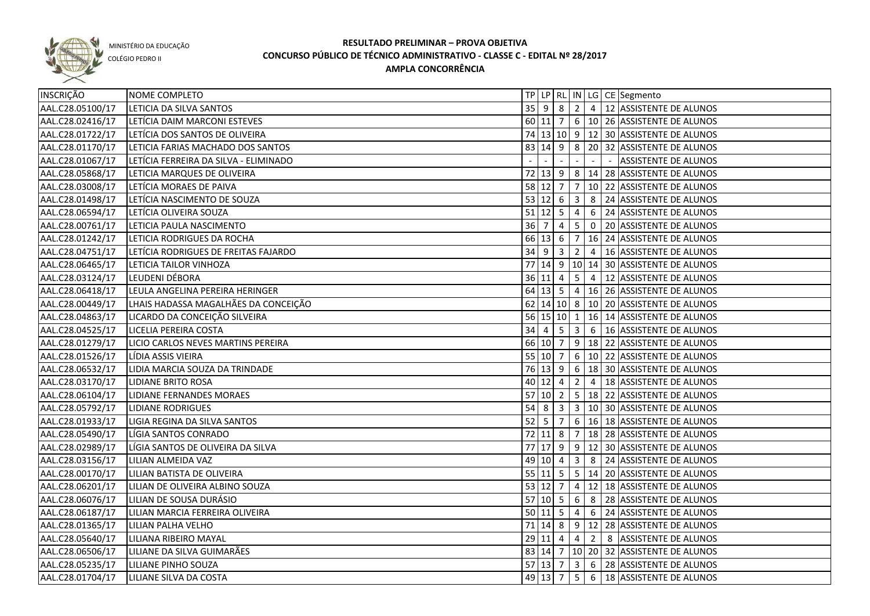

COLÉGIO PEDRO II

| INSCRIÇÃO        | NOME COMPLETO                         |                                   |                     |                         |                         |                | TP   LP   RL   IN   LG   CE   Segmento                        |
|------------------|---------------------------------------|-----------------------------------|---------------------|-------------------------|-------------------------|----------------|---------------------------------------------------------------|
| AAL.C28.05100/17 | LETICIA DA SILVA SANTOS               | $35$ 9                            |                     | 8                       |                         |                | 2 4 12 ASSISTENTE DE ALUNOS                                   |
| AAL.C28.02416/17 | LETÍCIA DAIM MARCONI ESTEVES          |                                   | 60 11 7             |                         |                         |                | 6 10 26 ASSISTENTE DE ALUNOS                                  |
| AAL.C28.01722/17 | LETÍCIA DOS SANTOS DE OLIVEIRA        |                                   |                     |                         |                         |                | 74 13 10 9 12 30 ASSISTENTE DE ALUNOS                         |
| AAL.C28.01170/17 | LETICIA FARIAS MACHADO DOS SANTOS     |                                   | 83 14 9             |                         |                         |                | 8 20 32 ASSISTENTE DE ALUNOS                                  |
| AAL.C28.01067/17 | LETÍCIA FERREIRA DA SILVA - ELIMINADO |                                   |                     |                         |                         |                | <b>ASSISTENTE DE ALUNOS</b>                                   |
| AAL.C28.05868/17 | LETICIA MARQUES DE OLIVEIRA           |                                   |                     |                         |                         |                | 72 13 9 8 14 28 ASSISTENTE DE ALUNOS                          |
| AAL.C28.03008/17 | LETÍCIA MORAES DE PAIVA               | 58 12 7                           |                     |                         |                         |                | $ 7 10 22 $ ASSISTENTE DE ALUNOS                              |
| AAL.C28.01498/17 | LETÍCIA NASCIMENTO DE SOUZA           |                                   |                     |                         |                         |                | 53 12 6 3 8 24 ASSISTENTE DE ALUNOS                           |
| AAL.C28.06594/17 | LETÍCIA OLIVEIRA SOUZA                |                                   |                     |                         |                         |                | 51 12 5 4 6 24 ASSISTENTE DE ALUNOS                           |
| AAL.C28.00761/17 | LETICIA PAULA NASCIMENTO              | $36 \overline{\smash{\big)}\,}$ 7 |                     | $\overline{4}$          |                         |                | $\vert 5 \vert 0 \vert 20 \vert$ ASSISTENT <u>E DE ALUNOS</u> |
| AAL.C28.01242/17 | LETICIA RODRIGUES DA ROCHA            |                                   |                     |                         |                         |                | 66 13 6 7 16 24 ASSISTENTE DE ALUNOS                          |
| AAL.C28.04751/17 | LETÍCIA RODRIGUES DE FREITAS FAJARDO  |                                   | $34 \mid 9 \mid 3$  |                         |                         |                | 2 4 16 ASSISTENTE DE ALUNOS                                   |
| AAL.C28.06465/17 | LETICIA TAILOR VINHOZA                |                                   |                     |                         |                         |                | 77 14 9 10 14 30 ASSISTENTE DE ALUNOS                         |
| AAL.C28.03124/17 | LEUDENI DÉBORA                        |                                   | $36$ 11 4           |                         | $5\overline{)}$         | $\overline{4}$ | 12 ASSISTENTE DE ALUNOS                                       |
| AAL.C28.06418/17 | LEULA ANGELINA PEREIRA HERINGER       |                                   | $64 \mid 13 \mid 5$ |                         |                         |                | 4   16   26   ASSISTENTE DE ALUNOS                            |
| AAL.C28.00449/17 | LHAIS HADASSA MAGALHÃES DA CONCEIÇÃO  |                                   |                     |                         |                         |                | 62 14 10 8 10 20 ASSISTENTE DE ALUNOS                         |
| AAL.C28.04863/17 | LICARDO DA CONCEIÇÃO SILVEIRA         |                                   |                     | $56$ 15 10 1            |                         |                | 16 14 ASSISTENTE DE ALUNOS                                    |
| AAL.C28.04525/17 | LICELIA PEREIRA COSTA                 | 34                                | 4                   | $5^{\circ}$             | $\overline{\mathbf{3}}$ |                | 6 16 ASSISTENTE DE ALUNOS                                     |
| AAL.C28.01279/17 | LICIO CARLOS NEVES MARTINS PEREIRA    |                                   | 66 10 7             |                         |                         |                | $9   18   22  $ ASSISTENTE DE ALUNOS                          |
| AAL.C28.01526/17 | LÍDIA ASSIS VIEIRA                    |                                   | 55 10 7             |                         |                         |                | 6   10   22   ASSISTENTE DE ALUNOS                            |
| AAL.C28.06532/17 | LIDIA MARCIA SOUZA DA TRINDADE        |                                   | $76 \mid 13 \mid 9$ |                         | 6 <sup>1</sup>          |                | 18 30 ASSISTENTE DE ALUNOS                                    |
| AAL.C28.03170/17 | <b>LIDIANE BRITO ROSA</b>             |                                   | 40 12               | $\overline{4}$          | $\overline{2}$          | $\overline{4}$ | 18 ASSISTENTE DE ALUNOS                                       |
| AAL.C28.06104/17 | LIDIANE FERNANDES MORAES              | $57$ 10 2                         |                     |                         |                         |                | 5   18   22   ASSISTENTE DE ALUNOS                            |
| AAL.C28.05792/17 | <b>LIDIANE RODRIGUES</b>              | 54                                | 8                   | $\overline{\mathbf{3}}$ |                         |                | 3   10   30   ASSISTENTE DE ALUNOS                            |
| AAL.C28.01933/17 | LIGIA REGINA DA SILVA SANTOS          | 52                                | l 5                 | $\overline{7}$          |                         |                | 6   16   18   ASSISTENTE DE ALUNOS                            |
| AAL.C28.05490/17 | LÍGIA SANTOS CONRADO                  | 72                                | 11                  | 8                       | $\overline{7}$          |                | 18 28 ASSISTENTE DE ALUNOS                                    |
| AAL.C28.02989/17 | LÍGIA SANTOS DE OLIVEIRA DA SILVA     |                                   | 77 17 9             |                         |                         |                | $9$   12   30   ASSISTENTE DE ALUNOS                          |
| AAL.C28.03156/17 | LILIAN ALMEIDA VAZ                    |                                   | 49 10 4             |                         |                         |                | 3 8 24 ASSISTENTE DE ALUNOS                                   |
| AAL.C28.00170/17 | LILIAN BATISTA DE OLIVEIRA            |                                   |                     |                         |                         |                | 55 11 5 5 14 20 ASSISTENTE DE ALUNOS                          |
| AAL.C28.06201/17 | LILIAN DE OLIVEIRA ALBINO SOUZA       |                                   |                     | $53$ 12 7               |                         |                | 4 12 18 ASSISTENTE DE ALUNOS                                  |
| AAL.C28.06076/17 | LILIAN DE SOUSA DURÁSIO               |                                   |                     | $57$ 10 5               |                         |                | $6 \mid 8 \mid 28$ ASSISTENTE DE ALUNOS                       |
| AAL.C28.06187/17 | LILIAN MARCIA FERREIRA OLIVEIRA       |                                   |                     |                         |                         |                | 50 11 5 4 6 24 ASSISTENTE DE ALUNOS                           |
| AAL.C28.01365/17 | LILIAN PALHA VELHO                    |                                   |                     |                         |                         |                | 71   14   8   9   12   28   ASSISTENTE DE ALUNOS              |
| AAL.C28.05640/17 | LILIANA RIBEIRO MAYAL                 |                                   | $29$ 11 4           |                         |                         |                | 4 2 8 ASSISTENTE DE ALUNOS                                    |
| AAL.C28.06506/17 | LILIANE DA SILVA GUIMARÃES            |                                   |                     |                         |                         |                | 83 14 7 10 20 32 ASSISTENTE DE ALUNOS                         |
| AAL.C28.05235/17 | LILIANE PINHO SOUZA                   |                                   | $57$ 13 7           |                         |                         |                | 3 6 28 ASSISTENTE DE ALUNOS                                   |
| AAL.C28.01704/17 | LILIANE SILVA DA COSTA                |                                   | $49 \mid 13 \mid 7$ |                         |                         |                | $\sqrt{5}$ 6   18   ASSISTENTE DE ALUNOS                      |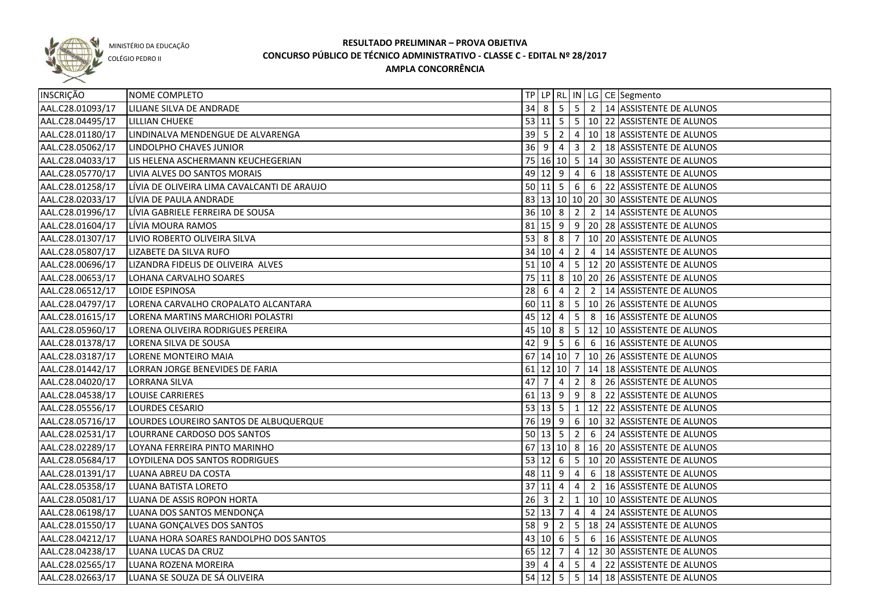

COLÉGIO PEDRO II

| <b>INSCRIÇÃO</b> | NOME COMPLETO                               |                                  |                      |                 |                 |             | TP   LP   RL   IN   LG   CE   Segmento                |
|------------------|---------------------------------------------|----------------------------------|----------------------|-----------------|-----------------|-------------|-------------------------------------------------------|
| AAL.C28.01093/17 | LILIANE SILVA DE ANDRADE                    | 34                               | 8                    | $5\overline{5}$ |                 |             | 5 2 14 ASSISTENTE DE ALUNOS                           |
| AAL.C28.04495/17 | <b>LILLIAN CHUEKE</b>                       |                                  |                      |                 |                 |             | 53 11 5 5 10 22 ASSISTENTE DE ALUNOS                  |
| AAL.C28.01180/17 | LINDINALVA MENDENGUE DE ALVARENGA           |                                  |                      |                 |                 |             | 39   5   2   4   10   18   ASSISTENTE DE ALUNOS       |
| AAL.C28.05062/17 | LINDOLPHO CHAVES JUNIOR                     |                                  | $36 \quad 9 \quad 4$ |                 | $\overline{3}$  |             | 2   18 ASSISTENTE DE ALUNOS                           |
| AAL.C28.04033/17 | LIS HELENA ASCHERMANN KEUCHEGERIAN          |                                  |                      |                 |                 |             | 75 16 10 5 14 30 ASSISTENTE DE ALUNOS                 |
| AAL.C28.05770/17 | LIVIA ALVES DO SANTOS MORAIS                |                                  |                      |                 |                 |             | $49 12 9 4 6 18$ ASSISTENTE DE ALUNOS                 |
| AAL.C28.01258/17 | LÍVIA DE OLIVEIRA LIMA CAVALCANTI DE ARAUJO |                                  |                      |                 |                 |             | 50 11 5 6 6 22 ASSISTENTE DE ALUNOS                   |
| AAL.C28.02033/17 | LÍVIA DE PAULA ANDRADE                      |                                  |                      |                 |                 |             | 83 13 10 10 20 30 ASSISTENTE DE ALUNOS                |
| AAL.C28.01996/17 | LÍVIA GABRIELE FERREIRA DE SOUSA            |                                  |                      |                 |                 |             | 36 10 8 2 2 14 ASSISTENTE DE ALUNOS                   |
| AAL.C28.01604/17 | LÍVIA MOURA RAMOS                           |                                  |                      |                 |                 |             | 81 15 9 9 20 28 ASSISTENTE DE ALUNOS                  |
| AAL.C28.01307/17 | LIVIO ROBERTO OLIVEIRA SILVA                |                                  |                      |                 |                 |             | 53 8 8 7 10 20 ASSISTENTE DE ALUNOS                   |
| AAL.C28.05807/17 | LIZABETE DA SILVA RUFO                      |                                  |                      |                 |                 |             | 34 10 4 2 4 14 ASSISTENTE DE ALUNOS                   |
| AAL.C28.00696/17 | LIZANDRA FIDELIS DE OLIVEIRA ALVES          |                                  |                      |                 |                 |             | 51 10 4 5 12 20 ASSISTENTE DE ALUNOS                  |
| AAL.C28.00653/17 | LOHANA CARVALHO SOARES                      |                                  |                      |                 |                 |             | 75   11   8   10   20   26   ASSISTENTE DE ALUNOS     |
| AAL.C28.06512/17 | LOIDE ESPINOSA                              | $28 \overline{6}$                |                      | $\overline{4}$  | $\overline{2}$  |             | 2   14 ASSISTENTE DE ALUNOS                           |
| AAL.C28.04797/17 | LORENA CARVALHO CROPALATO ALCANTARA         |                                  |                      |                 |                 |             | 60 11 8 5 10 26 ASSISTENTE DE ALUNOS                  |
| AAL.C28.01615/17 | LORENA MARTINS MARCHIORI POLASTRI           |                                  | $45 \ 12 \ 4$        |                 | $5\overline{5}$ |             | 8   16 ASSISTENTE DE ALUNOS                           |
| AAL.C28.05960/17 | LORENA OLIVEIRA RODRIGUES PEREIRA           |                                  | $45 \ 10 \ 8$        |                 |                 |             | 5   12   10   ASSISTENTE DE ALUNOS                    |
| AAL.C28.01378/17 | LORENA SILVA DE SOUSA                       | 42 9                             |                      | $5^{\circ}$     |                 |             | 6 6 16 ASSISTENTE DE ALUNOS                           |
| AAL.C28.03187/17 | LORENE MONTEIRO MAIA                        |                                  |                      |                 |                 |             | 67 14 10 7 10 26 ASSISTENTE DE ALUNOS                 |
| AAL.C28.01442/17 | LORRAN JORGE BENEVIDES DE FARIA             |                                  |                      | 61 12 10 7      |                 |             | 14 18 ASSISTENTE DE ALUNOS                            |
| AAL.C28.04020/17 | LORRANA SILVA                               | 47                               | 7                    | $\overline{4}$  | $\overline{2}$  | 8           | 26 ASSISTENTE DE ALUNOS                               |
| AAL.C28.04538/17 | <b>LOUISE CARRIERES</b>                     |                                  | $61$ 13 9            |                 | 9               | 8           | 22 ASSISTENTE DE ALUNOS                               |
| AAL.C28.05556/17 | LOURDES CESARIO                             |                                  | $53 \mid 13 \mid 5$  |                 | $\frac{1}{1}$   |             | 12 22 ASSISTENTE DE ALUNOS                            |
| AAL.C28.05716/17 | LOURDES LOUREIRO SANTOS DE ALBUQUERQUE      |                                  |                      |                 |                 |             | 76 19 9 6 10 32 ASSISTENTE DE ALUNOS                  |
| AAL.C28.02531/17 | LOURRANE CARDOSO DOS SANTOS                 |                                  | $50 \ 13 \ 5$        |                 | $\overline{2}$  | 6           | 24 ASSISTENTE DE ALUNOS                               |
| AAL.C28.02289/17 | LOYANA FERREIRA PINTO MARINHO               |                                  |                      |                 |                 |             | 67 13 10 8 16 20 ASSISTENTE DE ALUNOS                 |
| AAL.C28.05684/17 | LOYDILENA DOS SANTOS RODRIGUES              |                                  | $53 \mid 12 \mid 6$  |                 | 5 <sub>1</sub>  |             | 10 20 ASSISTENTE DE ALUNOS                            |
| AAL.C28.01391/17 | LUANA ABREU DA COSTA                        |                                  | 48 11 9              |                 | 4               | 6           | 18 ASSISTENTE DE ALUNOS                               |
| AAL.C28.05358/17 | LUANA BATISTA LORETO                        |                                  | 37 11                | 4               | $\overline{4}$  | $2^{\circ}$ | 16 ASSISTENTE DE ALUNOS                               |
| AAL.C28.05081/17 | LUANA DE ASSIS ROPON HORTA                  | $26 \overline{\smash{\big)}\ 3}$ |                      | 2               | 1               |             | 10 10 ASSISTENTE DE ALUNOS                            |
| AAL.C28.06198/17 | LUANA DOS SANTOS MENDONÇA                   |                                  | $52$ 13 7            |                 |                 |             | 4 4 24 ASSISTENTE DE ALUNOS                           |
| AAL.C28.01550/17 | LUANA GONÇALVES DOS SANTOS                  |                                  |                      |                 |                 |             | 58 9 2 5 18 24 ASSISTENTE DE ALUNOS                   |
| AAL.C28.04212/17 | LUANA HORA SOARES RANDOLPHO DOS SANTOS      |                                  |                      |                 |                 |             | 43 10 6 5 6 16 ASSISTENTE DE ALUNOS                   |
| AAL.C28.04238/17 | LUANA LUCAS DA CRUZ                         |                                  |                      |                 |                 |             | 65 12 7 4 12 30 ASSISTENTE DE ALUNOS                  |
| AAL.C28.02565/17 | LUANA ROZENA MOREIRA                        |                                  | $39$ 4               | $\overline{4}$  |                 |             | $\vert 5 \vert 4 \vert 22 \vert$ ASSISTENTE DE ALUNOS |
| AAL.C28.02663/17 | LUANA SE SOUZA DE SÁ OLIVEIRA               |                                  |                      |                 |                 |             | 54 12 5 5 14 18 ASSISTENTE DE ALUNOS                  |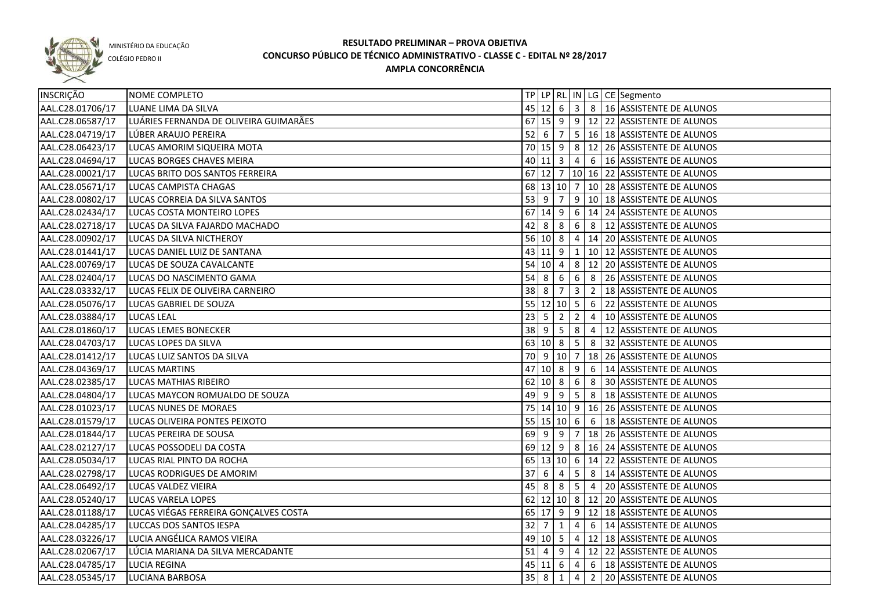

COLÉGIO PEDRO II

| INSCRIÇÃO        | NOME COMPLETO                          |             |              |                                  |                         |                | TP   LP   RL   IN   LG   CE   Segmento            |
|------------------|----------------------------------------|-------------|--------------|----------------------------------|-------------------------|----------------|---------------------------------------------------|
| AAL.C28.01706/17 | LUANE LIMA DA SILVA                    |             |              |                                  |                         |                | 45 12 6 3 8 16 ASSISTENTE DE ALUNOS               |
| AAL.C28.06587/17 | LUÁRIES FERNANDA DE OLIVEIRA GUIMARÃES |             |              |                                  |                         |                | 67 15 9 9 12 22 ASSISTENTE DE ALUNOS              |
| AAL.C28.04719/17 | LÚBER ARAUJO PEREIRA                   |             |              |                                  |                         |                | 52 6 7 5 16 18 ASSISTENTE DE ALUNOS               |
| AAL.C28.06423/17 | LUCAS AMORIM SIQUEIRA MOTA             |             |              |                                  |                         |                | 70 15 9 8 12 26 ASSISTENTE DE ALUNOS              |
| AAL.C28.04694/17 | LUCAS BORGES CHAVES MEIRA              |             |              |                                  |                         |                | 40 11 3 4 6 16 ASSISTENTE DE ALUNOS               |
| AAL.C28.00021/17 | LUCAS BRITO DOS SANTOS FERREIRA        |             |              |                                  |                         |                | 67 12 7 10 16 22 ASSISTENTE DE ALUNOS             |
| AAL.C28.05671/17 | LUCAS CAMPISTA CHAGAS                  |             |              |                                  |                         |                | 68   13   10   7   10   28   ASSISTENTE DE ALUNOS |
| AAL.C28.00802/17 | LUCAS CORREIA DA SILVA SANTOS          |             |              |                                  |                         |                | 53 9 7 9 10 18 ASSISTENTE DE ALUNOS               |
| AAL.C28.02434/17 | LUCAS COSTA MONTEIRO LOPES             |             |              |                                  |                         |                | 67 14 9 6 14 24 ASSISTENTE DE ALUNOS              |
| AAL.C28.02718/17 | LUCAS DA SILVA FAJARDO MACHADO         |             |              |                                  |                         |                | 42 8 8 6 8 12 ASSISTENTE DE ALUNOS                |
| AAL.C28.00902/17 | LUCAS DA SILVA NICTHEROY               |             |              |                                  |                         |                | 56 10 8 4 14 20 ASSISTENTE DE ALUNOS              |
| AAL.C28.01441/17 | LUCAS DANIEL LUIZ DE SANTANA           |             |              |                                  |                         |                | 43 11 9 1 10 12 ASSISTENTE DE ALUNOS              |
| AAL.C28.00769/17 | LUCAS DE SOUZA CAVALCANTE              |             |              | $54$ 10 4                        |                         |                | 8 12 20 ASSISTENTE DE ALUNOS                      |
| AAL.C28.02404/17 | LUCAS DO NASCIMENTO GAMA               | 54          | 8            | $\overline{6}$                   |                         |                | 6 8 26 ASSISTENTE DE ALUNOS                       |
| AAL.C28.03332/17 | LUCAS FELIX DE OLIVEIRA CARNEIRO       | $38 \mid 8$ |              | $\overline{7}$                   | $\overline{\mathbf{3}}$ |                | 2   18 ASSISTENTE DE ALUNOS                       |
| AAL.C28.05076/17 | LUCAS GABRIEL DE SOUZA                 |             |              | 55 12 10 5 6                     |                         |                | 22 ASSISTENTE DE ALUNOS                           |
| AAL.C28.03884/17 | LUCAS LEAL                             | 23          | 5            | $\sqrt{2}$                       | $\overline{2}$          | $\overline{4}$ | 10 ASSISTENTE DE ALUNOS                           |
| AAL.C28.01860/17 | <b>LUCAS LEMES BONECKER</b>            | $38$ 9      |              | 5 <sup>5</sup>                   | 8                       |                | 4   12 ASSISTENTE DE ALUNOS                       |
| AAL.C28.04703/17 | LUCAS LOPES DA SILVA                   | 63          | 10 8         |                                  | 5 <sub>1</sub>          | 8              | 32 ASSISTENTE DE ALUNOS                           |
| AAL.C28.01412/17 | LUCAS LUIZ SANTOS DA SILVA             | 70          |              | 9 10 7                           |                         |                | 18 26 ASSISTENTE DE ALUNOS                        |
| AAL.C28.04369/17 | <b>LUCAS MARTINS</b>                   | 47          | $10 \vert 8$ |                                  | 9                       | 6              | 14 ASSISTENTE DE ALUNOS                           |
| AAL.C28.02385/17 | LUCAS MATHIAS RIBEIRO                  | 62          | 10 8         |                                  | 6                       | 8              | 30 ASSISTENTE DE ALUNOS                           |
| AAL.C28.04804/17 | LUCAS MAYCON ROMUALDO DE SOUZA         | 49          | l 9          | $\begin{array}{c} 9 \end{array}$ | 5 <sup>5</sup>          | 8              | 18 ASSISTENTE DE ALUNOS                           |
| AAL.C28.01023/17 | LUCAS NUNES DE MORAES                  |             |              |                                  |                         |                | 75   14   10   9   16   26   ASSISTENTE DE ALUNOS |
| AAL.C28.01579/17 | LUCAS OLIVEIRA PONTES PEIXOTO          | 55 15 10 6  |              |                                  |                         |                | 6   18 ASSISTENTE DE ALUNOS                       |
| AAL.C28.01844/17 | LUCAS PEREIRA DE SOUSA                 | 69 9 9      |              |                                  | <b>7</b>                |                | 18 26 ASSISTENTE DE ALUNOS                        |
| AAL.C28.02127/17 | LUCAS POSSODELI DA COSTA               |             | $69$ 12 9    |                                  |                         |                | 8   16   24   ASSISTENTE DE ALUNOS                |
| AAL.C28.05034/17 | LUCAS RIAL PINTO DA ROCHA              |             |              |                                  |                         |                | 65 13 10 6 14 22 ASSISTENTE DE ALUNOS             |
| AAL.C28.02798/17 | LUCAS RODRIGUES DE AMORIM              | $37 \mid 6$ |              | $\overline{4}$                   | 5 <sub>1</sub>          |                | 8   14 ASSISTENTE DE ALUNOS                       |
| AAL.C28.06492/17 | LUCAS VALDEZ VIEIRA                    |             |              |                                  |                         |                | 45 8 8 5 4 20 ASSISTENTE DE ALUNOS                |
| AAL.C28.05240/17 | LUCAS VARELA LOPES                     |             |              |                                  |                         |                | 62 12 10 8 12 20 ASSISTENTE DE ALUNOS             |
| AAL.C28.01188/17 | LUCAS VIÉGAS FERREIRA GONÇALVES COSTA  |             |              |                                  |                         |                | 65 17 9 9 12 18 ASSISTENTE DE ALUNOS              |
| AAL.C28.04285/17 | LUCCAS DOS SANTOS IESPA                |             |              | $32 \mid 7 \mid 1 \mid$          |                         |                |                                                   |
| AAL.C28.03226/17 | LUCIA ANGÉLICA RAMOS VIEIRA            |             |              |                                  |                         |                | 49   10   5   4   12   18   ASSISTENTE DE ALUNOS  |
| AAL.C28.02067/17 | LÚCIA MARIANA DA SILVA MERCADANTE      |             |              |                                  |                         |                | 51 4 9 4 12 22 ASSISTENTE DE ALUNOS               |
| AAL.C28.04785/17 | <b>LUCIA REGINA</b>                    |             |              |                                  |                         |                | 45 11 6 4 6 18 ASSISTENTE DE ALUNOS               |
| AAL.C28.05345/17 | LUCIANA BARBOSA                        |             |              |                                  |                         |                | 35 8 1 4 2 20 ASSISTENTE DE ALUNOS                |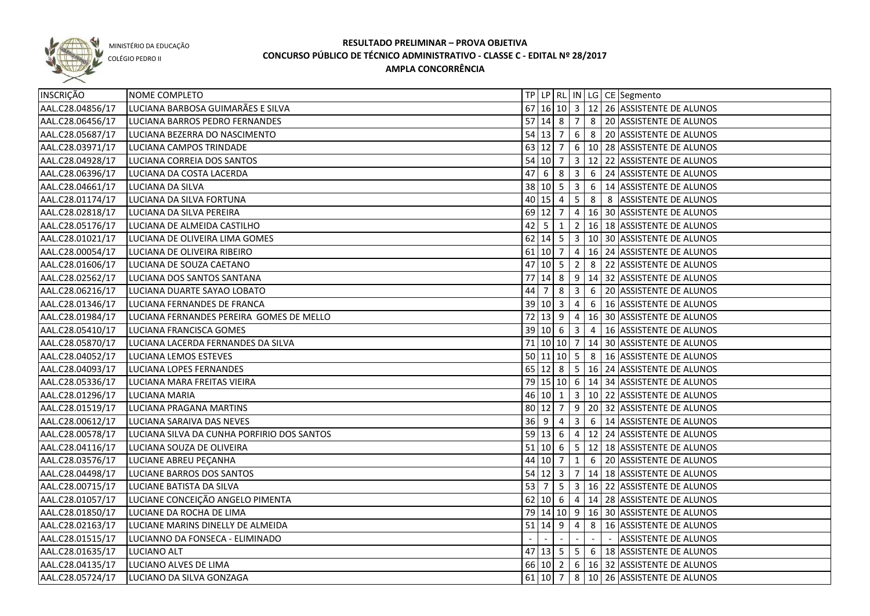

COLÉGIO PEDRO II

| INSCRIÇÃO        | NOME COMPLETO                              |             |                    |                           |                         |                | TP LP   RL   IN   LG   CE   Segmento                 |
|------------------|--------------------------------------------|-------------|--------------------|---------------------------|-------------------------|----------------|------------------------------------------------------|
| AAL.C28.04856/17 | LUCIANA BARBOSA GUIMARÃES E SILVA          |             |                    |                           |                         |                | 67 16 10 3 12 26 ASSISTENTE DE ALUNOS                |
| AAL.C28.06456/17 | LUCIANA BARROS PEDRO FERNANDES             |             |                    |                           |                         |                | 57 14 8 7 8 20 ASSISTENTE DE ALUNOS                  |
| AAL.C28.05687/17 | LUCIANA BEZERRA DO NASCIMENTO              |             |                    |                           |                         |                | 54 13 7 6 8 20 ASSISTENTE DE ALUNOS                  |
| AAL.C28.03971/17 | LUCIANA CAMPOS TRINDADE                    |             |                    |                           |                         |                | 63 12 7 6 10 28 ASSISTENTE DE ALUNOS                 |
| AAL.C28.04928/17 | LUCIANA CORREIA DOS SANTOS                 |             |                    |                           |                         |                | 54   10   7   3   12   22   ASSISTENTE DE ALUNOS     |
| AAL.C28.06396/17 | LUCIANA DA COSTA LACERDA                   |             |                    | $47 \mid 6 \mid 8 \mid 3$ |                         |                | 6 24 ASSISTENTE DE ALUNOS                            |
| AAL.C28.04661/17 | LUCIANA DA SILVA                           |             |                    |                           |                         |                | 38 10 5 3 6 14 ASSISTENTE DE ALUNOS                  |
| AAL.C28.01174/17 | LUCIANA DA SILVA FORTUNA                   |             |                    |                           |                         |                | 40 15 4 5 8 8 ASSISTENTE DE ALUNOS                   |
| AAL.C28.02818/17 | LUCIANA DA SILVA PEREIRA                   |             | $69$ 12 7          |                           |                         |                | 4   16   30   ASSISTENTE DE ALUNOS                   |
| AAL.C28.05176/17 | LUCIANA DE ALMEIDA CASTILHO                |             | $42 \mid 5 \mid 1$ |                           |                         |                | 2   16   18   ASSISTENTE DE ALUNOS                   |
| AAL.C28.01021/17 | LUCIANA DE OLIVEIRA LIMA GOMES             |             |                    |                           |                         |                | 62   14   5   3   10   30   ASSISTENTE DE ALUNOS     |
| AAL.C28.00054/17 | LUCIANA DE OLIVEIRA RIBEIRO                |             | $61$ 10 7          |                           |                         |                | 4   16   24   ASSISTENTE DE ALUNOS                   |
| AAL.C28.01606/17 | LUCIANA DE SOUZA CAETANO                   | 47          | $10 \mid 5$        |                           | $\overline{2}$          | 8              | 22 ASSISTENTE DE ALUNOS                              |
| AAL.C28.02562/17 | LUCIANA DOS SANTOS SANTANA                 | 77          | 14 8               |                           | 9                       |                | 14 32 ASSISTENTE DE ALUNOS                           |
| AAL.C28.06216/17 | LUCIANA DUARTE SAYAO LOBATO                | 44          | 7                  | 8                         | $\overline{\mathbf{3}}$ |                | 6 20 ASSISTENTE DE ALUNOS                            |
| AAL.C28.01346/17 | LUCIANA FERNANDES DE FRANCA                |             | 39 10 3            |                           | $\overline{4}$          | 6              | 16 ASSISTENTE DE ALUNOS                              |
| AAL.C28.01984/17 | LUCIANA FERNANDES PEREIRA GOMES DE MELLO   | 72          |                    | $13 \mid 9$               | $\overline{4}$          |                | 16 30 ASSISTENTE DE ALUNOS                           |
| AAL.C28.05410/17 | LUCIANA FRANCISCA GOMES                    |             | 39   10   6        |                           | $\overline{\mathbf{3}}$ | $\overline{4}$ | 16 ASSISTENTE DE ALUNOS                              |
| AAL.C28.05870/17 | LUCIANA LACERDA FERNANDES DA SILVA         |             |                    | 71 10 10 7                |                         |                | 14 30 ASSISTENTE DE ALUNOS                           |
| AAL.C28.04052/17 | LUCIANA LEMOS ESTEVES                      |             |                    | 50 11 10 5                |                         | 8              | 16 ASSISTENTE DE ALUNOS                              |
| AAL.C28.04093/17 | LUCIANA LOPES FERNANDES                    |             |                    |                           |                         |                | 65 12 8 5 16 24 ASSISTENTE DE ALUNOS                 |
| AAL.C28.05336/17 | LUCIANA MARA FREITAS VIEIRA                |             |                    |                           |                         |                | 79 15 10 6 14 34 ASSISTENTE DE ALUNOS                |
| AAL.C28.01296/17 | LUCIANA MARIA                              |             |                    | 46 10 1                   |                         |                | 3   10   22   ASSISTENTE DE ALUNOS                   |
| AAL.C28.01519/17 | LUCIANA PRAGANA MARTINS                    | 80 12 7     |                    |                           |                         |                | 9 20 32 ASSISTENTE DE ALUNOS                         |
| AAL.C28.00612/17 | LUCIANA SARAIVA DAS NEVES                  | $36 \mid 9$ |                    | -4                        | $\overline{3}$          |                | 6   14 ASSISTENTE DE ALUNOS                          |
| AAL.C28.00578/17 | LUCIANA SILVA DA CUNHA PORFIRIO DOS SANTOS |             | 59 13              | 6                         | $\overline{4}$          |                | 12 24 ASSISTENTE DE ALUNOS                           |
| AAL.C28.04116/17 | LUCIANA SOUZA DE OLIVEIRA                  | 51   10   6 |                    |                           |                         |                | $\vert$ 5 $\vert$ 12 $\vert$ 18 ASSISTENTE DE ALUNOS |
| AAL.C28.03576/17 | LUCIANE ABREU PEÇANHA                      |             | 44 10 7            |                           | 1                       |                | 6 20 ASSISTENTE DE ALUNOS                            |
| AAL.C28.04498/17 | LUCIANE BARROS DOS SANTOS                  |             |                    | $54$ 12 3                 |                         |                | 7 14 18 ASSISTENTE DE ALUNOS                         |
| AAL.C28.00715/17 | LUCIANE BATISTA DA SILVA                   |             |                    |                           |                         |                | 53   7   5   3   16   22   ASSISTENTE DE ALUNOS      |
| AAL.C28.01057/17 | LUCIANE CONCEIÇÃO ANGELO PIMENTA           |             |                    |                           |                         |                | 62 10 6 4 14 28 ASSISTENTE DE ALUNOS                 |
| AAL.C28.01850/17 | LUCIANE DA ROCHA DE LIMA                   |             |                    |                           |                         |                | 79 14 10 9 16 30 ASSISTENTE DE ALUNOS                |
| AAL.C28.02163/17 | LUCIANE MARINS DINELLY DE ALMEIDA          |             | $51$ 14 9          |                           | $\overline{4}$          |                | 8   16 ASSISTENTE DE ALUNOS                          |
| AAL.C28.01515/17 | LUCIANNO DA FONSECA - ELIMINADO            |             |                    |                           | $\sim$                  | $\sim$         | ASSISTENTE DE ALUNOS                                 |
| AAL.C28.01635/17 | LUCIANO ALT                                |             |                    |                           |                         |                | 47 13 5 5 6 18 ASSISTENTE DE ALUNOS                  |
| AAL.C28.04135/17 | LUCIANO ALVES DE LIMA                      |             |                    |                           |                         |                | 66 10 2 6 16 32 ASSISTENTE DE ALUNOS                 |
| AAL.C28.05724/17 | LUCIANO DA SILVA GONZAGA                   |             | $61$ 10 7          |                           |                         |                | 8 10 26 ASSISTENTE DE ALUNOS                         |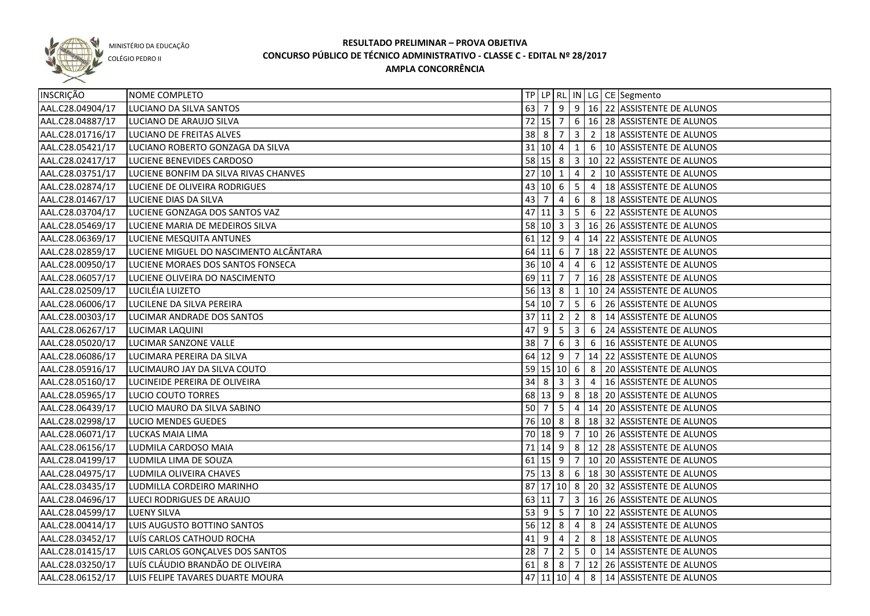

COLÉGIO PEDRO II

| <b>INSCRIÇÃO</b> | NOME COMPLETO                          |    |                        |                         |                         |                 | TP   LP   RL   IN   LG   CE   Segmento                                     |
|------------------|----------------------------------------|----|------------------------|-------------------------|-------------------------|-----------------|----------------------------------------------------------------------------|
| AAL.C28.04904/17 | LUCIANO DA SILVA SANTOS                | 63 |                        |                         |                         |                 | 9 9 16 22 ASSISTENTE DE ALUNOS                                             |
| AAL.C28.04887/17 | LUCIANO DE ARAUJO SILVA                |    | $72$ 15 $\overline{7}$ |                         |                         |                 | $\vert 6 \vert 16 \vert 28 \vert$ ASSISTENTE DE ALUNOS                     |
| AAL.C28.01716/17 | LUCIANO DE FREITAS ALVES               |    | $38 \mid 8 \mid 7$     |                         |                         |                 | $3 \mid 2 \mid 18$ ASSISTENTE DE ALUNOS                                    |
| AAL.C28.05421/17 | LUCIANO ROBERTO GONZAGA DA SILVA       |    | 31   10   4            |                         |                         |                 | 1 6   10 ASSISTENTE DE ALUNOS                                              |
| AAL.C28.02417/17 | LUCIENE BENEVIDES CARDOSO              |    |                        |                         |                         |                 | 58 15 8 3 10 22 ASSISTENTE DE ALUNOS                                       |
| AAL.C28.03751/17 | LUCIENE BONFIM DA SILVA RIVAS CHANVES  |    | 27 10 1                |                         |                         |                 | 4 2 10 ASSISTENTE DE ALUNOS                                                |
| AAL.C28.02874/17 | LUCIENE DE OLIVEIRA RODRIGUES          |    | $43 \ 10 \ 6$          |                         |                         |                 | $\vert$ 5 $\vert$ 4 $\vert$ 18 ASSISTENTE DE ALUNOS                        |
| AAL.C28.01467/17 | LUCIENE DIAS DA SILVA                  |    | $43 \mid 7 \mid 4$     |                         |                         |                 | 6 8 18 ASSISTENTE DE ALUNOS                                                |
| AAL.C28.03704/17 | LUCIENE GONZAGA DOS SANTOS VAZ         |    |                        | $47$ 11 3               |                         |                 | 5 6 22 ASSISTENTE DE ALUNOS                                                |
| AAL.C28.05469/17 | LUCIENE MARIA DE MEDEIROS SILVA        |    |                        |                         |                         |                 | 58 10 3 3 16 26 ASSISTENTE DE ALUNOS                                       |
| AAL.C28.06369/17 | LUCIENE MESQUITA ANTUNES               |    |                        |                         |                         |                 | 61 12 9 4 14 22 ASSISTENTE DE ALUNOS                                       |
| AAL.C28.02859/17 | LUCIENE MIGUEL DO NASCIMENTO ALCÂNTARA |    |                        | $64$ 11 6 7             |                         |                 | 18 22 ASSISTENTE DE ALUNOS                                                 |
| AAL.C28.00950/17 | LUCIENE MORAES DOS SANTOS FONSECA      |    | 36   10   4            |                         | $\overline{4}$          |                 | 6   12 ASSISTENTE DE ALUNOS                                                |
| AAL.C28.06057/17 | LUCIENE OLIVEIRA DO NASCIMENTO         |    | 69 11 7                |                         | $\overline{7}$          |                 | 16 28 ASSISTENTE DE ALUNOS                                                 |
| AAL.C28.02509/17 | LUCILÉIA LUIZETO                       |    |                        | $56$ 13 8 1             |                         |                 | 10 24 ASSISTENTE DE ALUNOS                                                 |
| AAL.C28.06006/17 | LUCILENE DA SILVA PEREIRA              |    | $54$ 10 7              |                         | $5\phantom{.0}$         | 6               | 26 ASSISTENTE DE ALUNOS                                                    |
| AAL.C28.00303/17 | LUCIMAR ANDRADE DOS SANTOS             |    | 37 11 2                |                         | $\overline{2}$          | 8               | 14 ASSISTENTE DE ALUNOS                                                    |
| AAL.C28.06267/17 | LUCIMAR LAQUINI                        | 47 | l 9                    | 5                       | $\overline{\mathbf{3}}$ | 6               | 24 ASSISTENTE DE ALUNOS                                                    |
| AAL.C28.05020/17 | LUCIMAR SANZONE VALLE                  | 38 | l 7                    | 6                       | $\overline{\mathbf{3}}$ | $6\overline{6}$ | 16 ASSISTENTE DE ALUNOS                                                    |
| AAL.C28.06086/17 | LUCIMARA PEREIRA DA SILVA              |    |                        | 64 12 9                 | $\overline{7}$          |                 | 14 22 ASSISTENTE DE ALUNOS                                                 |
| AAL.C28.05916/17 | LUCIMAURO JAY DA SILVA COUTO           |    |                        | 59 15 10 6              |                         | 8               | 20 ASSISTENTE DE ALUNOS                                                    |
| AAL.C28.05160/17 | LUCINEIDE PEREIRA DE OLIVEIRA          | 34 | - 8                    | $\overline{\mathbf{3}}$ | $\overline{3}$          | $\overline{4}$  | 16 ASSISTENTE DE ALUNOS                                                    |
| AAL.C28.05965/17 | LUCIO COUTO TORRES                     |    | 68 13 9                |                         | 8                       |                 | 18 20 ASSISTENTE DE ALUNOS                                                 |
| AAL.C28.06439/17 | LUCIO MAURO DA SILVA SABINO            | 50 | 7                      | 5                       | $\overline{4}$          |                 | 14 20 ASSISTENTE DE ALUNOS                                                 |
| AAL.C28.02998/17 | LUCIO MENDES GUEDES                    |    | 76 10 8                |                         |                         |                 | 8   18   32   ASSISTENTE DE ALUNOS                                         |
| AAL.C28.06071/17 | LUCKAS MAIA LIMA                       |    | 70 18 9                |                         | $\overline{7}$          |                 | 10 26 ASSISTENTE DE ALUNOS                                                 |
| AAL.C28.06156/17 | LUDMILA CARDOSO MAIA                   | 71 | $14 \mid 9$            |                         | 8                       |                 | 12 28 ASSISTENTE DE ALUNOS                                                 |
| AAL.C28.04199/17 | LUDMILA LIMA DE SOUZA                  |    | $61$ 15 9              |                         | $\overline{7}$          |                 | 10 20 ASSISTENTE DE ALUNOS                                                 |
| AAL.C28.04975/17 | LUDMILA OLIVEIRA CHAVES                |    | $75 \mid 13 \mid 8$    |                         |                         |                 | 6   18   30   ASSISTENTE DE ALUNOS                                         |
| AAL.C28.03435/17 | LUDMILLA CORDEIRO MARINHO              |    |                        |                         |                         |                 | 87 17 10 8 20 32 ASSISTENTE DE ALUNOS                                      |
| AAL.C28.04696/17 | LUECI RODRIGUES DE ARAUJO              |    | $63$ 11 7              |                         |                         |                 | 3   16   26   ASSISTENTE DE ALUNOS                                         |
| AAL.C28.04599/17 | LUENY SILVA                            |    |                        |                         |                         |                 | 53 9 5 7 10 22 ASSISTENTE DE ALUNOS                                        |
| AAL.C28.00414/17 | LUIS AUGUSTO BOTTINO SANTOS            |    | $56$ 12 8              |                         |                         |                 | 4 8 24 ASSISTENTE DE ALUNOS                                                |
| AAL.C28.03452/17 | LUÍS CARLOS CATHOUD ROCHA              |    | $41 \mid 9 \mid 4$     |                         |                         |                 | 2 8 18 ASSISTENTE DE ALUNOS                                                |
| AAL.C28.01415/17 | LUIS CARLOS GONÇALVES DOS SANTOS       |    |                        |                         |                         |                 | 28 $\vert$ 7 $\vert$ 2 $\vert$ 5 $\vert$ 0 $\vert$ 14 ASSISTENTE DE ALUNOS |
| AAL.C28.03250/17 | LUÍS CLÁUDIO BRANDÃO DE OLIVEIRA       |    |                        |                         |                         |                 | 61 8 8 7 12 26 ASSISTENTE DE ALUNOS                                        |
| AAL.C28.06152/17 | LUIS FELIPE TAVARES DUARTE MOURA       |    |                        |                         |                         |                 | 47 11 10 4 8 14 ASSISTENTE DE ALUNOS                                       |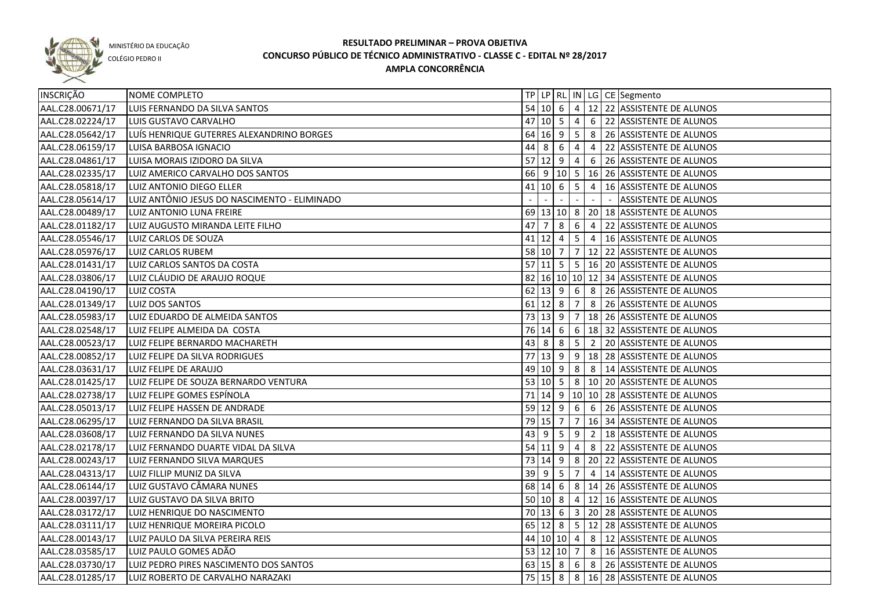

COLÉGIO PEDRO II

| INSCRIÇÃO        | NOME COMPLETO                                |    |                    |            |                |                |                          | TP LP RL IN LG CE Segmento                       |
|------------------|----------------------------------------------|----|--------------------|------------|----------------|----------------|--------------------------|--------------------------------------------------|
| AAL.C28.00671/17 | LUIS FERNANDO DA SILVA SANTOS                |    |                    |            |                |                |                          | 54 10 6 4 12 22 ASSISTENTE DE ALUNOS             |
| AAL.C28.02224/17 | LUIS GUSTAVO CARVALHO                        |    | $47$ 10 5 4        |            |                |                |                          | 6 22 ASSISTENTE DE ALUNOS                        |
| AAL.C28.05642/17 | LUÍS HENRIQUE GUTERRES ALEXANDRINO BORGES    |    | $64$ 16 9 5        |            |                |                |                          | 8 26 ASSISTENTE DE ALUNOS                        |
| AAL.C28.06159/17 | LUISA BARBOSA IGNACIO                        |    | $44 \mid 8 \mid 6$ |            | $\overline{4}$ |                |                          | 4 22 ASSISTENTE DE ALUNOS                        |
| AAL.C28.04861/17 | LUISA MORAIS IZIDORO DA SILVA                |    | $57$   12   9   4  |            |                |                |                          | 6 26 ASSISTENTE DE ALUNOS                        |
| AAL.C28.02335/17 | LUIZ AMERICO CARVALHO DOS SANTOS             |    |                    |            |                |                |                          | 66 9 10 5 16 26 ASSISTENTE DE ALUNOS             |
| AAL.C28.05818/17 | LUIZ ANTONIO DIEGO ELLER                     |    | $41$ 10 6 5        |            |                |                |                          | 4   16 ASSISTENTE DE ALUNOS                      |
| AAL.C28.05614/17 | LUIZ ANTÔNIO JESUS DO NASCIMENTO - ELIMINADO |    |                    |            |                |                | $\overline{\phantom{a}}$ | <b>ASSISTENTE DE ALUNOS</b>                      |
| AAL.C28.00489/17 | LUIZ ANTONIO LUNA FREIRE                     |    |                    |            |                |                |                          | 69 13 10 8 20 18 ASSISTENTE DE ALUNOS            |
| AAL.C28.01182/17 | LUIZ AUGUSTO MIRANDA LEITE FILHO             |    |                    |            |                |                |                          | 47   7   8   6   4   22   ASSISTENTE DE ALUNOS   |
| AAL.C28.05546/17 | LUIZ CARLOS DE SOUZA                         |    |                    |            |                |                |                          | 41 12 4 5 4 16 ASSISTENTE DE ALUNOS              |
| AAL.C28.05976/17 | LUIZ CARLOS RUBEM                            |    |                    |            |                |                |                          | 58 10 7 7 12 22 ASSISTENTE DE ALUNOS             |
| AAL.C28.01431/17 | LUIZ CARLOS SANTOS DA COSTA                  |    |                    |            |                |                |                          | 57 11 5 5 16 20 ASSISTENTE DE ALUNOS             |
| AAL.C28.03806/17 | LUIZ CLÁUDIO DE ARAUJO ROQUE                 |    |                    |            |                |                |                          | 82 16 10 10 12 34 ASSISTENTE DE ALUNOS           |
| AAL.C28.04190/17 | <b>LUIZ COSTA</b>                            |    | $62$ 13 9 6        |            |                |                |                          | 8 26 ASSISTENTE DE ALUNOS                        |
| AAL.C28.01349/17 | LUIZ DOS SANTOS                              |    | $61$ 12 8 7        |            |                |                |                          | 8 26 ASSISTENTE DE ALUNOS                        |
| AAL.C28.05983/17 | LUIZ EDUARDO DE ALMEIDA SANTOS               |    | 73 13 9 7          |            |                |                |                          | 18 26 ASSISTENTE DE ALUNOS                       |
| AAL.C28.02548/17 | LUIZ FELIPE ALMEIDA DA COSTA                 |    | 76 14 6 6          |            |                |                |                          | 18 32 ASSISTENTE DE ALUNOS                       |
| AAL.C28.00523/17 | LUIZ FELIPE BERNARDO MACHARETH               |    | 43 8               | $8 \mid 5$ |                | $\overline{2}$ |                          | 20 ASSISTENTE DE ALUNOS                          |
| AAL.C28.00852/17 | LUIZ FELIPE DA SILVA RODRIGUES               | 77 |                    |            |                |                |                          | 13  9   9   18   28   ASSISTENTE DE ALUNOS       |
| AAL.C28.03631/17 | LUIZ FELIPE DE ARAUJO                        |    | 49 10 9 8          |            |                |                |                          | 8   14 ASSISTENTE DE ALUNOS                      |
| AAL.C28.01425/17 | LUIZ FELIPE DE SOUZA BERNARDO VENTURA        |    | 53 10 5 8          |            |                |                |                          | 10 20 ASSISTENTE DE ALUNOS                       |
| AAL.C28.02738/17 | LUIZ FELIPE GOMES ESPÍNOLA                   |    |                    |            |                |                |                          | 71 14 9 10 10 28 ASSISTENTE DE ALUNOS            |
| AAL.C28.05013/17 | LUIZ FELIPE HASSEN DE ANDRADE                |    | 59 12 9            |            | 6 <sup>6</sup> | 6              |                          | 26 ASSISTENTE DE ALUNOS                          |
| AAL.C28.06295/17 | LUIZ FERNANDO DA SILVA BRASIL                |    | 79 15 7            |            | $\overline{7}$ |                |                          | 16 34 ASSISTENTE DE ALUNOS                       |
| AAL.C28.03608/17 | LUIZ FERNANDO DA SILVA NUNES                 | 43 | 9                  | 5          | 9              | $\overline{2}$ |                          | 18 ASSISTENTE DE ALUNOS                          |
| AAL.C28.02178/17 | LUIZ FERNANDO DUARTE VIDAL DA SILVA          |    | $54$ 11 9          |            | 4              | 8              |                          | 22 ASSISTENTE DE ALUNOS                          |
| AAL.C28.00243/17 | LUIZ FERNANDO SILVA MARQUES                  |    | 73 14 9            |            |                |                |                          | 8 20 22 ASSISTENTE DE ALUNOS                     |
| AAL.C28.04313/17 | LUIZ FILLIP MUNIZ DA SILVA                   | 39 | <u>9</u>           | 5          | 7              | $\overline{4}$ |                          | 14 ASSISTENTE DE ALUNOS                          |
| AAL.C28.06144/17 | LUIZ GUSTAVO CÂMARA NUNES                    |    | 68 14 6            |            |                |                |                          | 8   14   26   ASSISTENTE DE ALUNOS               |
| AAL.C28.00397/17 | LUIZ GUSTAVO DA SILVA BRITO                  |    | 50   10   8        |            | $\overline{4}$ |                |                          | 12 16 ASSISTENTE DE ALUNOS                       |
| AAL.C28.03172/17 | LUIZ HENRIQUE DO NASCIMENTO                  |    |                    |            |                |                |                          | 70 13 6 3 20 28 ASSISTENTE DE ALUNOS             |
| AAL.C28.03111/17 | LUIZ HENRIQUE MOREIRA PICOLO                 |    |                    |            |                |                |                          | 65 12 8 5 12 28 ASSISTENTE DE ALUNOS             |
| AAL.C28.00143/17 | LUIZ PAULO DA SILVA PEREIRA REIS             |    |                    |            |                |                |                          | 44 10 10 4 8 12 ASSISTENTE DE ALUNOS             |
| AAL.C28.03585/17 | LUIZ PAULO GOMES ADÃO                        |    |                    |            |                |                |                          | 53 12 10 7 8 16 ASSISTENTE DE ALUNOS             |
| AAL.C28.03730/17 | LUIZ PEDRO PIRES NASCIMENTO DOS SANTOS       |    |                    |            |                |                |                          | $63 15 8 6 8 26$ ASSISTENTE DE ALUNOS            |
| AAL.C28.01285/17 | LUIZ ROBERTO DE CARVALHO NARAZAKI            |    |                    |            |                |                |                          | 75   15   8   8   16   28   ASSISTENTE DE ALUNOS |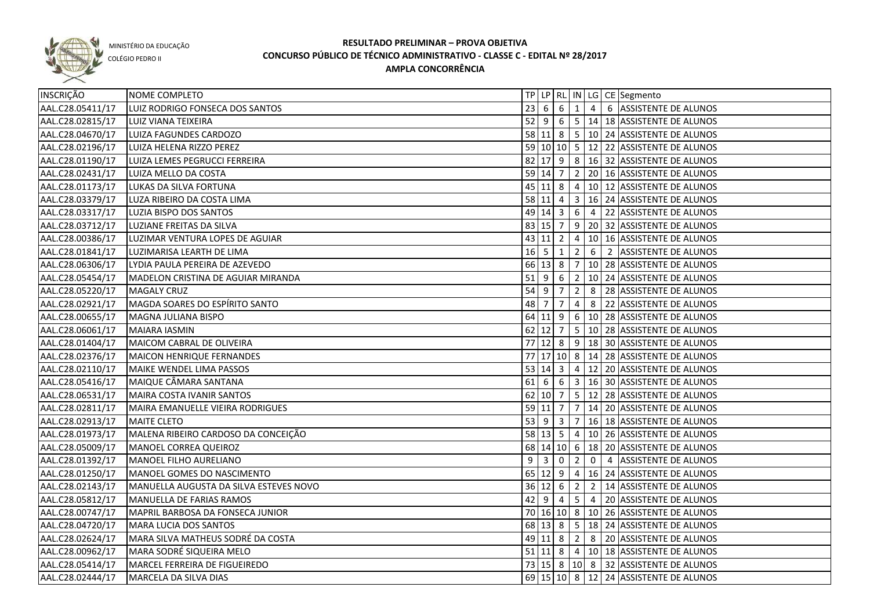

COLÉGIO PEDRO II

| <b>INSCRIÇÃO</b> | <b>NOME COMPLETO</b>                   |              |                     |                         |                                          |   | TP LP RL IN LG CE Segmento                             |
|------------------|----------------------------------------|--------------|---------------------|-------------------------|------------------------------------------|---|--------------------------------------------------------|
| AAL.C28.05411/17 | LUIZ RODRIGO FONSECA DOS SANTOS        |              | $23 \mid 6 \mid 6$  |                         |                                          |   | $\boxed{1}$ 4   6   ASSISTENTE DE ALUNOS               |
| AAL.C28.02815/17 | LUIZ VIANA TEIXEIRA                    |              |                     |                         |                                          |   | 52 9 6 5 14 18 ASSISTENTE DE ALUNOS                    |
| AAL.C28.04670/17 | LUIZA FAGUNDES CARDOZO                 |              |                     |                         |                                          |   | 58 11 8 5 10 24 ASSISTENTE DE ALUNOS                   |
| AAL.C28.02196/17 | LUIZA HELENA RIZZO PEREZ               |              |                     |                         |                                          |   | 59 10 10 5 12 22 ASSISTENTE DE ALUNOS                  |
| AAL.C28.01190/17 | LUIZA LEMES PEGRUCCI FERREIRA          |              |                     |                         |                                          |   | 82 17 9 8 16 32 ASSISTENTE DE ALUNOS                   |
| AAL.C28.02431/17 | LUIZA MELLO DA COSTA                   |              | 59 14 7             |                         |                                          |   | $\vert$ 2 $\vert$ 20 $\vert$ 16 ASSISTENTE DE ALUNOS   |
| AAL.C28.01173/17 | LUKAS DA SILVA FORTUNA                 |              |                     |                         |                                          |   | 45 11 8 4 10 12 ASSISTENTE DE ALUNOS                   |
| AAL.C28.03379/17 | LUZA RIBEIRO DA COSTA LIMA             |              |                     |                         |                                          |   | 58 11 4 3 16 24 ASSISTENTE DE ALUNOS                   |
| AAL.C28.03317/17 | LUZIA BISPO DOS SANTOS                 |              | $49 \mid 14 \mid 3$ |                         |                                          |   | $\vert 6 \vert 4 \vert 22 \vert$ ASSISTENTE DE ALUNOS  |
| AAL.C28.03712/17 | LUZIANE FREITAS DA SILVA               |              | 83 15 7             |                         |                                          |   | 9 20 32 ASSISTENTE DE ALUNOS                           |
| AAL.C28.00386/17 | LUZIMAR VENTURA LOPES DE AGUIAR        |              | 43 11               | $\overline{2}$          |                                          |   | 4   10   16   ASSISTENTE DE ALUNOS                     |
| AAL.C28.01841/17 | LUZIMARISA LEARTH DE LIMA              | $16 \quad 5$ |                     | 1                       | $2^{\circ}$                              |   | 6 2 ASSISTENTE DE ALUNOS                               |
| AAL.C28.06306/17 | LYDIA PAULA PEREIRA DE AZEVEDO         |              | 66 13 8             |                         | $\overline{7}$                           |   | 10 28 ASSISTENTE DE ALUNOS                             |
| AAL.C28.05454/17 | MADELON CRISTINA DE AGUIAR MIRANDA     | $51$ 9       |                     | 6                       | $\begin{array}{c} \boxed{2} \end{array}$ |   | 10 24 ASSISTENTE DE ALUNOS                             |
| AAL.C28.05220/17 | <b>MAGALY CRUZ</b>                     | $54$ 9       |                     | $\overline{7}$          | $2^{\circ}$                              | 8 | 28 ASSISTENTE DE ALUNOS                                |
| AAL.C28.02921/17 | MAGDA SOARES DO ESPÍRITO SANTO         | 48           | $\overline{7}$      | $\overline{7}$          | $\overline{4}$                           | 8 | 22 ASSISTENTE DE ALUNOS                                |
| AAL.C28.00655/17 | MAGNA JULIANA BISPO                    |              | $64$ 11 9           |                         |                                          |   | 6   10   28   ASSISTENTE DE ALUNOS                     |
| AAL.C28.06061/17 | MAIARA IASMIN                          |              | $62$ 12 7           |                         |                                          |   | $\vert 5 \vert 10 \vert 28 \vert$ ASSISTENTE DE ALUNOS |
| AAL.C28.01404/17 | MAICOM CABRAL DE OLIVEIRA              |              | $77$ 12 8           |                         | 9                                        |   | 18 30 ASSISTENTE DE ALUNOS                             |
| AAL.C28.02376/17 | MAICON HENRIQUE FERNANDES              |              |                     |                         |                                          |   | 77 17 10 8 14 28 ASSISTENTE DE ALUNOS                  |
| AAL.C28.02110/17 | MAIKE WENDEL LIMA PASSOS               |              | 53 14 3             |                         |                                          |   | 4   12   20   ASSISTENTE DE ALUNOS                     |
| AAL.C28.05416/17 | MAIQUE CÂMARA SANTANA                  | 61           | -6                  | 6                       |                                          |   | 3   16   30   ASSISTENTE DE ALUNOS                     |
| AAL.C28.06531/17 | MAIRA COSTA IVANIR SANTOS              |              | 62 10 7             |                         |                                          |   | $5 \mid 12 \mid 28 \mid$ ASSISTENTE DE ALUNOS          |
| AAL.C28.02811/17 | MAIRA EMANUELLE VIEIRA RODRIGUES       |              | 59 11               | 7                       |                                          |   | 7   14   20   ASSISTENTE DE ALUNOS                     |
| AAL.C28.02913/17 | MAITE CLETO                            | 53           | l 9                 | $\overline{\mathbf{3}}$ |                                          |   | 7   16   18   ASSISTENTE DE ALUNOS                     |
| AAL.C28.01973/17 | MALENA RIBEIRO CARDOSO DA CONCEIÇÃO    |              | $58$ 13 5           |                         | $\overline{4}$                           |   | 10 26 ASSISTENTE DE ALUNOS                             |
| AAL.C28.05009/17 | MANOEL CORREA QUEIROZ                  |              |                     |                         |                                          |   | 68 14 10 6 18 20 ASSISTENTE DE ALUNOS                  |
| AAL.C28.01392/17 | MANOEL FILHO AURELIANO                 | 9            | l 3                 | $\overline{0}$          |                                          |   | 2 0 4 ASSISTENTE DE ALUNOS                             |
| AAL.C28.01250/17 | <b>MANOEL GOMES DO NASCIMENTO</b>      |              |                     |                         |                                          |   | 65 12 9 4 16 24 ASSISTENTE DE ALUNOS                   |
| AAL.C28.02143/17 | MANUELLA AUGUSTA DA SILVA ESTEVES NOVO |              | $36 \ 12 \ 6$       |                         |                                          |   | 2 2 2 14 ASSISTENTE DE ALUNOS                          |
| AAL.C28.05812/17 | MANUELLA DE FARIAS RAMOS               |              | $42 \mid 9 \mid 4$  |                         |                                          |   | $\overline{5}$   4   20   ASSISTENTE DE ALUNOS         |
| AAL.C28.00747/17 | MAPRIL BARBOSA DA FONSECA JUNIOR       |              |                     |                         |                                          |   | 70 16 10 8 10 26 ASSISTENTE DE ALUNOS                  |
| AAL.C28.04720/17 | MARA LUCIA DOS SANTOS                  |              |                     |                         |                                          |   | 68 13 8 5 18 24 ASSISTENTE DE ALUNOS                   |
| AAL.C28.02624/17 | MARA SILVA MATHEUS SODRÉ DA COSTA      |              |                     |                         |                                          |   | 49 11 8 2 8 20 ASSISTENTE DE ALUNOS                    |
| AAL.C28.00962/17 | MARA SODRÉ SIQUEIRA MELO               |              |                     |                         |                                          |   | 51 11 8 4 10 18 ASSISTENTE DE ALUNOS                   |
| AAL.C28.05414/17 | MARCEL FERREIRA DE FIGUEIREDO          |              |                     |                         |                                          |   | 73 15 8 10 8 32 ASSISTENTE DE ALUNOS                   |
| AAL.C28.02444/17 | MARCELA DA SILVA DIAS                  |              |                     |                         |                                          |   | 69 15 10 8 12 24 ASSISTENTE DE ALUNOS                  |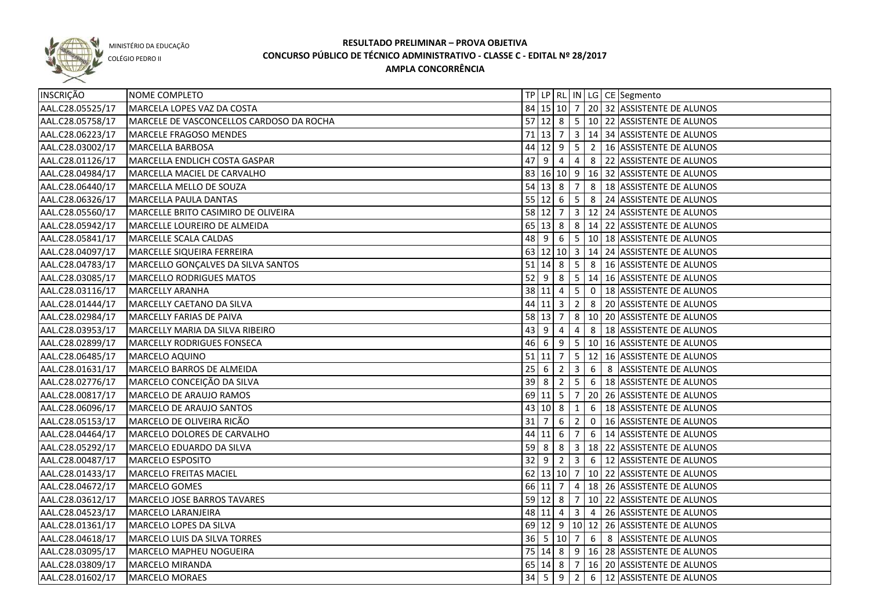

COLÉGIO PEDRO II

| INSCRIÇÃO        | NOME COMPLETO                            |    |                    |                 |                         |    | TP LP RL IN LG CE Segmento                      |
|------------------|------------------------------------------|----|--------------------|-----------------|-------------------------|----|-------------------------------------------------|
| AAL.C28.05525/17 | MARCELA LOPES VAZ DA COSTA               |    |                    |                 |                         |    | 84 15 10 7 20 32 ASSISTENTE DE ALUNOS           |
| AAL.C28.05758/17 | MARCELE DE VASCONCELLOS CARDOSO DA ROCHA |    |                    |                 |                         |    | 57 12 8 5 10 22 ASSISTENTE DE ALUNOS            |
| AAL.C28.06223/17 | MARCELE FRAGOSO MENDES                   |    |                    |                 |                         |    | 71 13 7 3 14 34 ASSISTENTE DE ALUNOS            |
| AAL.C28.03002/17 | MARCELLA BARBOSA                         |    |                    |                 |                         |    | 44 12 9 5 2 16 ASSISTENTE DE ALUNOS             |
| AAL.C28.01126/17 | MARCELLA ENDLICH COSTA GASPAR            |    |                    |                 |                         |    | 47 9 4 4 4 8 22 ASSISTENTE DE ALUNOS            |
| AAL.C28.04984/17 | MARCELLA MACIEL DE CARVALHO              |    |                    |                 |                         |    | 83 16 10 9 16 32 ASSISTENTE DE ALUNOS           |
| AAL.C28.06440/17 | <b>IMARCELLA MELLO DE SOUZA</b>          |    |                    |                 |                         |    | 54 13 8 7 8 18 ASSISTENTE DE ALUNOS             |
| AAL.C28.06326/17 | MARCELLA PAULA DANTAS                    |    |                    |                 |                         |    | 55 12 6 5 8 24 ASSISTENTE DE ALUNOS             |
| AAL.C28.05560/17 | MARCELLE BRITO CASIMIRO DE OLIVEIRA      |    |                    |                 |                         |    | 58 12 7 3 12 24 ASSISTENTE DE ALUNOS            |
| AAL.C28.05942/17 | MARCELLE LOUREIRO DE ALMEIDA             |    |                    |                 |                         |    | 65 13 8 8 14 22 ASSISTENTE DE ALUNOS            |
| AAL.C28.05841/17 | MARCELLE SCALA CALDAS                    |    |                    |                 |                         |    | 48 9 6 5 10 18 ASSISTENTE DE ALUNOS             |
| AAL.C28.04097/17 | MARCELLE SIQUEIRA FERREIRA               |    |                    |                 |                         |    | 63 12 10 3 14 24 ASSISTENTE DE ALUNOS           |
| AAL.C28.04783/17 | MARCELLO GONÇALVES DA SILVA SANTOS       |    |                    |                 |                         |    | 51   14   8   5   8   16   ASSISTENTE DE ALUNOS |
| AAL.C28.03085/17 | MARCELLO RODRIGUES MATOS                 |    |                    |                 |                         |    | 52 9 8 5 14 16 ASSISTENTE DE ALUNOS             |
| AAL.C28.03116/17 | MARCELLY ARANHA                          |    | $38$ 11 4 5        |                 |                         |    | 0   18 ASSISTENTE DE ALUNOS                     |
| AAL.C28.01444/17 | MARCELLY CAETANO DA SILVA                |    | $44$ 11 3 2        |                 |                         |    | 8 20 ASSISTENTE DE ALUNOS                       |
| AAL.C28.02984/17 | MARCELLY FARIAS DE PAIVA                 |    | $58$ 13 7 8        |                 |                         |    | 10 20 ASSISTENTE DE ALUNOS                      |
| AAL.C28.03953/17 | MARCELLY MARIA DA SILVA RIBEIRO          |    | $43 \mid 9 \mid 4$ |                 | 4                       |    | 8   18 ASSISTENTE DE ALUNOS                     |
| AAL.C28.02899/17 | MARCELLY RODRIGUES FONSECA               |    | $46 \mid 6$        |                 |                         |    | $9$ 5 10 16 ASSISTENTE DE ALUNOS                |
| AAL.C28.06485/17 | MARCELO AQUINO                           |    | $51$ 11 7 5        |                 |                         | 12 | 16 ASSISTENTE DE ALUNOS                         |
| AAL.C28.01631/17 | MARCELO BARROS DE ALMEIDA                | 25 | 6                  | $\frac{1}{2}$   | $\overline{\mathbf{3}}$ | 6  | 8 ASSISTENTE DE ALUNOS                          |
| AAL.C28.02776/17 | MARCELO CONCEIÇÃO DA SILVA               | 39 | 8                  | $\overline{2}$  | $5\overline{)}$         | 6  | 18 ASSISTENTE DE ALUNOS                         |
| AAL.C28.00817/17 | MARCELO DE ARAUJO RAMOS                  |    | $69$ 11 5          |                 | $\overline{7}$          |    | 20 26 ASSISTENTE DE ALUNOS                      |
| AAL.C28.06096/17 | MARCELO DE ARAUJO SANTOS                 |    | 43 10 8            |                 | 1                       | 6  | 18 ASSISTENTE DE ALUNOS                         |
| AAL.C28.05153/17 | MARCELO DE OLIVEIRA RICÃO                | 31 | $\overline{7}$     | 6               | $\overline{2}$          | 0  | 16 ASSISTENTE DE ALUNOS                         |
| AAL.C28.04464/17 | MARCELO DOLORES DE CARVALHO              |    | 44 11 6            |                 | 7                       | 6  | 14 ASSISTENTE DE ALUNOS                         |
| AAL.C28.05292/17 | MARCELO EDUARDO DA SILVA                 | 59 | l 8 l              | 8               |                         |    | 3   18   22   ASSISTENTE DE ALUNOS              |
| AAL.C28.00487/17 | MARCELO ESPOSITO                         |    | $32$ 9             | $\vert 2 \vert$ | $\overline{\mathbf{3}}$ |    | 6 12 ASSISTENTE DE ALUNOS                       |
| AAL.C28.01433/17 | MARCELO FREITAS MACIEL                   |    | 62 13 10 7         |                 |                         |    | 10 22 ASSISTENTE DE ALUNOS                      |
| AAL.C28.04672/17 | MARCELO GOMES                            |    | $66$ 11 7 4        |                 |                         |    | 18 26 ASSISTENTE DE ALUNOS                      |
| AAL.C28.03612/17 | MARCELO JOSE BARROS TAVARES              |    |                    |                 |                         |    | 59 12 8 7 10 22 ASSISTENTE DE ALUNOS            |
| AAL.C28.04523/17 | MARCELO LARANJEIRA                       |    |                    |                 |                         |    | 48 11 4 3 4 26 ASSISTENTE DE ALUNOS             |
| AAL.C28.01361/17 | MARCELO LOPES DA SILVA                   |    |                    |                 |                         |    | 69 12 9 10 12 26 ASSISTENTE DE ALUNOS           |
| AAL.C28.04618/17 | MARCELO LUIS DA SILVA TORRES             |    |                    |                 |                         |    | 36 5 10 7 6 8 ASSISTENTE DE ALUNOS              |
| AAL.C28.03095/17 | MARCELO MAPHEU NOGUEIRA                  |    |                    |                 |                         |    | 75 14 8 9 16 28 ASSISTENTE DE ALUNOS            |
| AAL.C28.03809/17 | MARCELO MIRANDA                          |    | 65 14 8 7          |                 |                         |    | 16 20 ASSISTENTE DE ALUNOS                      |
| AAL.C28.01602/17 | MARCELO MORAES                           |    |                    |                 |                         |    | 34   5   9   2   6   12   ASSISTENTE DE ALUNOS  |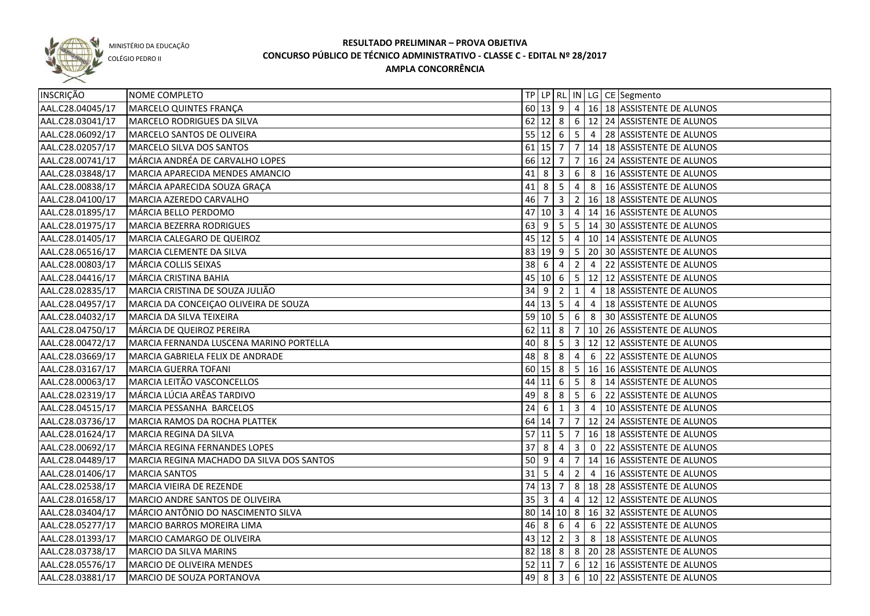

COLÉGIO PEDRO II

| <b>INSCRIÇÃO</b> | NOME COMPLETO                             |                                  |                     |                 |                         |                | TP   LP   RL   IN   LG   CE   Segmento           |
|------------------|-------------------------------------------|----------------------------------|---------------------|-----------------|-------------------------|----------------|--------------------------------------------------|
| AAL.C28.04045/17 | MARCELO QUINTES FRANÇA                    |                                  |                     |                 |                         |                | 60 13 9 4 16 18 ASSISTENTE DE ALUNOS             |
| AAL.C28.03041/17 | MARCELO RODRIGUES DA SILVA                |                                  |                     |                 |                         |                | 62 12 8 6 12 24 ASSISTENTE DE ALUNOS             |
| AAL.C28.06092/17 | MARCELO SANTOS DE OLIVEIRA                |                                  |                     |                 |                         |                | 55 12 6 5 4 28 ASSISTENTE DE ALUNOS              |
| AAL.C28.02057/17 | MARCELO SILVA DOS SANTOS                  |                                  |                     |                 |                         |                | 61 15 7 7 14 18 ASSISTENTE DE ALUNOS             |
| AAL.C28.00741/17 | MÁRCIA ANDRÉA DE CARVALHO LOPES           |                                  |                     |                 |                         |                | 66   12   7   7   16   24   ASSISTENTE DE ALUNOS |
| AAL.C28.03848/17 | MARCIA APARECIDA MENDES AMANCIO           |                                  | $41 \, 8 \, 3$      |                 |                         |                | 6 8 16 ASSISTENTE DE ALUNOS                      |
| AAL.C28.00838/17 | MÁRCIA APARECIDA SOUZA GRAÇA              |                                  |                     |                 |                         |                | 41 8 5 4 8 16 ASSISTENTE DE ALUNOS               |
| AAL.C28.04100/17 | MARCIA AZEREDO CARVALHO                   | $46$ 7                           |                     |                 |                         |                | 3 2 16 18 ASSISTENTE DE ALUNOS                   |
| AAL.C28.01895/17 | MÁRCIA BELLO PERDOMO                      |                                  | 47 10 3             |                 |                         |                | $4   14   16  $ ASSISTENTE DE ALUNOS             |
| AAL.C28.01975/17 | MARCIA BEZERRA RODRIGUES                  |                                  | $63$   9            |                 |                         |                | $5 \mid 5 \mid 14 \mid 30$ ASSISTENTE DE ALUNOS  |
| AAL.C28.01405/17 | MARCIA CALEGARO DE QUEIROZ                |                                  | $45 \mid 12 \mid 5$ |                 |                         |                | 4 10 14 ASSISTENTE DE ALUNOS                     |
| AAL.C28.06516/17 | MARCIA CLEMENTE DA SILVA                  |                                  |                     |                 |                         |                | 83   19   9   5   20   30   ASSISTENTE DE ALUNOS |
| AAL.C28.00803/17 | MÁRCIA COLLIS SEIXAS                      | $38 \mid 6$                      |                     | 4               | $\overline{2}$          | $\overline{4}$ | 22 ASSISTENTE DE ALUNOS                          |
| AAL.C28.04416/17 | MÁRCIA CRISTINA BAHIA                     |                                  | 45 10 6             |                 |                         |                | $5$   12   12   ASSISTENTE DE ALUNOS             |
| AAL.C28.02835/17 | MARCIA CRISTINA DE SOUZA JULIÃO           | 34                               | <u>9</u>            | $\overline{2}$  | 1                       | $\overline{4}$ | 18 ASSISTENTE DE ALUNOS                          |
| AAL.C28.04957/17 | MARCIA DA CONCEIÇÃO OLIVEIRA DE SOUZA     |                                  | $44 \mid 13 \mid 5$ |                 | $\overline{4}$          | $\overline{4}$ | 18 ASSISTENTE DE ALUNOS                          |
| AAL.C28.04032/17 | MARCIA DA SILVA TEIXEIRA                  |                                  | 59   10   5         |                 | 6 <sup>6</sup>          | 8              | 30 ASSISTENTE DE ALUNOS                          |
| AAL.C28.04750/17 | MÁRCIA DE QUEIROZ PEREIRA                 |                                  | $62$ 11 8           |                 | 7                       |                | 10 26 ASSISTENTE DE ALUNOS                       |
| AAL.C28.00472/17 | MARCIA FERNANDA LUSCENA MARINO PORTELLA   | 40                               | 8                   | $5\phantom{.0}$ | $\overline{\mathbf{3}}$ |                | 12 12 ASSISTENTE DE ALUNOS                       |
| AAL.C28.03669/17 | MARCIA GABRIELA FELIX DE ANDRADE          | 48                               | 8                   | 8               | 4                       | 6              | 22 ASSISTENTE DE ALUNOS                          |
| AAL.C28.03167/17 | MARCIA GUERRA TOFANI                      |                                  | 60 15 8             |                 |                         |                | 5   16   16 ASSISTENTE DE ALUNOS                 |
| AAL.C28.00063/17 | MARCIA LEITÃO VASCONCELLOS                | 44                               | $11 \mid 6$         |                 | $5\overline{5}$         | 8              | 14 ASSISTENTE DE ALUNOS                          |
| AAL.C28.02319/17 | MÁRCIA LÚCIA ARÊAS TARDIVO                | 49                               | -8                  | -8              | $5\overline{)}$         | 6              | 22 ASSISTENTE DE ALUNOS                          |
| AAL.C28.04515/17 | MARCIA PESSANHA BARCELOS                  | 24                               | -6                  | 1               | $\mathbf{3}$            | $\overline{4}$ | 10 ASSISTENTE DE ALUNOS                          |
| AAL.C28.03736/17 | MARCIA RAMOS DA ROCHA PLATTEK             |                                  | 64 14 7             |                 |                         |                | 7   12   24   ASSISTENTE DE ALUNOS               |
| AAL.C28.01624/17 | MARCIA REGINA DA SILVA                    | 57                               | <b>11</b>           | -5              | 7                       |                | 16 18 ASSISTENTE DE ALUNOS                       |
| AAL.C28.00692/17 | MÁRCIA REGINA FERNANDES LOPES             | $37 \, 8$                        |                     | 4               | $\mathbf{3}$            |                | 0 22 ASSISTENTE DE ALUNOS                        |
| AAL.C28.04489/17 | MARCIA REGINA MACHADO DA SILVA DOS SANTOS | $50 \overline{\smash{\big)}\ 9}$ |                     | 4               |                         |                | 7   14   16   ASSISTENTE DE ALUNOS               |
| AAL.C28.01406/17 | <b>MARCIA SANTOS</b>                      |                                  | $31 \mid 5$         | $\overline{4}$  |                         |                | 2 4 16 ASSISTENTE DE ALUNOS                      |
| AAL.C28.02538/17 | MARCIA VIEIRA DE REZENDE                  |                                  | $74$ 13 7           |                 |                         |                | 8   18   28   ASSISTENTE DE ALUNOS               |
| AAL.C28.01658/17 | <b>MARCIO ANDRE SANTOS DE OLIVEIRA</b>    |                                  | $35 \mid 3 \mid 4$  |                 |                         |                | 4   12   12   ASSISTENTE DE ALUNOS               |
| AAL.C28.03404/17 | MÁRCIO ANTÔNIO DO NASCIMENTO SILVA        |                                  |                     |                 |                         |                | 80 14 10 8 16 32 ASSISTENTE DE ALUNOS            |
| AAL.C28.05277/17 | MARCIO BARROS MOREIRA LIMA                |                                  | $46 \ 8 \ 6 \ 4$    |                 |                         |                | 6 22 ASSISTENTE DE ALUNOS                        |
| AAL.C28.01393/17 | MARCIO CAMARGO DE OLIVEIRA                |                                  |                     |                 |                         |                | 43 12 2 3 8 18 ASSISTENTE DE ALUNOS              |
| AAL.C28.03738/17 | MARCIO DA SILVA MARINS                    |                                  |                     |                 |                         |                | 82 18 8 8 20 28 ASSISTENTE DE ALUNOS             |
| AAL.C28.05576/17 | MARCIO DE OLIVEIRA MENDES                 |                                  | $52$ 11 7           |                 |                         |                | 6 12 16 ASSISTENTE DE ALUNOS                     |
| AAL.C28.03881/17 | MARCIO DE SOUZA PORTANOVA                 |                                  | 49 8                |                 |                         |                | 3 6 10 22 ASSISTENTE DE ALUNOS                   |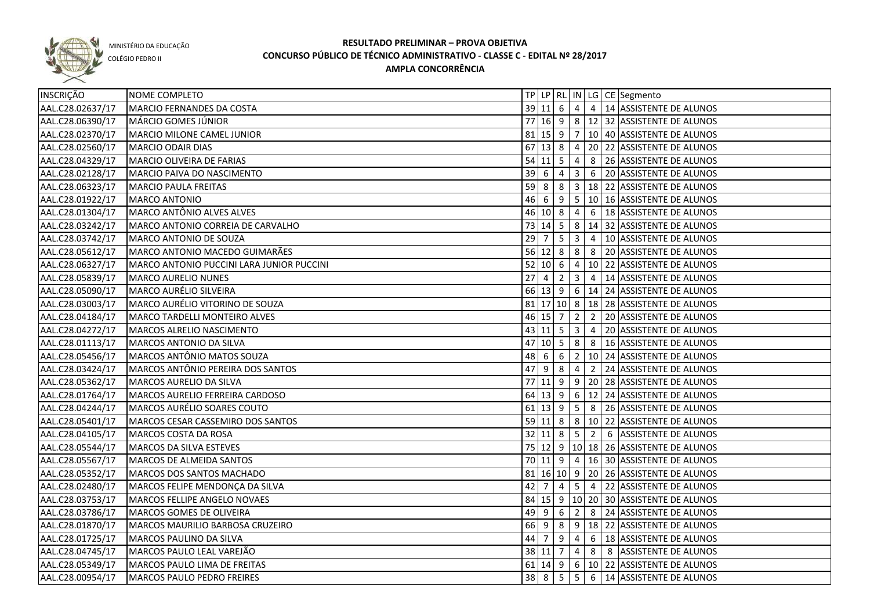

COLÉGIO PEDRO II

| INSCRIÇÃO        | NOME COMPLETO                             |    |                                  |            |                |                | TP   LP   RL   IN   LG   CE   Segmento            |
|------------------|-------------------------------------------|----|----------------------------------|------------|----------------|----------------|---------------------------------------------------|
| AAL.C28.02637/17 | MARCIO FERNANDES DA COSTA                 |    |                                  |            |                |                | 39 11 6 4 4 14 ASSISTENTE DE ALUNOS               |
| AAL.C28.06390/17 | MÁRCIO GOMES JÚNIOR                       |    |                                  |            |                |                | 77 16 9 8 12 32 ASSISTENTE DE ALUNOS              |
| AAL.C28.02370/17 | MARCIO MILONE CAMEL JUNIOR                |    |                                  |            |                |                | 81   15   9   7   10   40   ASSISTENTE DE ALUNOS  |
| AAL.C28.02560/17 | MARCIO ODAIR DIAS                         |    |                                  |            |                |                | 67 13 8 4 20 22 ASSISTENTE DE ALUNOS              |
| AAL.C28.04329/17 | MARCIO OLIVEIRA DE FARIAS                 |    |                                  |            |                |                | 54 11 5 4 8 26 ASSISTENTE DE ALUNOS               |
| AAL.C28.02128/17 | MARCIO PAIVA DO NASCIMENTO                |    |                                  |            |                |                | 39 6 4 3 6 20 ASSISTENTE DE ALUNOS                |
| AAL.C28.06323/17 | <b>MARCIO PAULA FREITAS</b>               |    |                                  |            |                |                | 59 8 8 3 3 18 22 ASSISTENTE DE ALUNOS             |
| AAL.C28.01922/17 | MARCO ANTONIO                             |    |                                  |            |                |                | 46 6 9 5 10 16 ASSISTENTE DE ALUNOS               |
| AAL.C28.01304/17 | MARCO ANTÔNIO ALVES ALVES                 |    | 46 10 8 4                        |            |                |                | 6   18 ASSISTENTE DE ALUNOS                       |
| AAL.C28.03242/17 | MARCO ANTONIO CORREIA DE CARVALHO         |    |                                  |            |                |                | 73   14   5   8   14   32   ASSISTENTE DE ALUNOS  |
| AAL.C28.03742/17 | MARCO ANTONIO DE SOUZA                    | 29 | $\overline{7}$                   | $5 \mid 3$ |                | $\overline{4}$ | 10 ASSISTENTE DE ALUNOS                           |
| AAL.C28.05612/17 | MARCO ANTONIO MACEDO GUIMARÃES            |    | $56$ 12 8 8                      |            |                |                | 8 20 ASSISTENTE DE ALUNOS                         |
| AAL.C28.06327/17 | MARCO ANTONIO PUCCINI LARA JUNIOR PUCCINI |    | 52   10   6                      |            | 4              |                | 10 22 ASSISTENTE DE ALUNOS                        |
| AAL.C28.05839/17 | <b>MARCO AURELIO NUNES</b>                | 27 | $\overline{4}$                   |            | $2 \mid 3$     | $\overline{4}$ | 14 ASSISTENTE DE ALUNOS                           |
| AAL.C28.05090/17 | MARCO AURÉLIO SILVEIRA                    |    |                                  |            |                |                | 66 13 9 6 14 24 ASSISTENTE DE ALUNOS              |
| AAL.C28.03003/17 | MARCO AURÉLIO VITORINO DE SOUZA           |    |                                  |            |                |                | 81   17   10   8   18   28   ASSISTENTE DE ALUNOS |
| AAL.C28.04184/17 | MARCO TARDELLI MONTEIRO ALVES             |    | $46$ 15 7 2                      |            |                |                | 2 20 ASSISTENTE DE ALUNOS                         |
| AAL.C28.04272/17 | MARCOS ALRELIO NASCIMENTO                 |    | $43 \mid 11 \mid 5 \mid 3 \mid$  |            |                | $\sqrt{4}$     | 20 ASSISTENTE DE ALUNOS                           |
| AAL.C28.01113/17 | MARCOS ANTONIO DA SILVA                   | 47 | $10 \overline{\smash{\big)}\ 5}$ |            | 8              | - 8            | 16 ASSISTENTE DE ALUNOS                           |
| AAL.C28.05456/17 | MARCOS ANTÔNIO MATOS SOUZA                |    | 48 6                             | 6          | $\overline{2}$ |                | 10 24 ASSISTENTE DE ALUNOS                        |
| AAL.C28.03424/17 | MARCOS ANTÔNIO PEREIRA DOS SANTOS         | 47 | l 9                              | 8          | 4              | $\overline{2}$ | 24 ASSISTENTE DE ALUNOS                           |
| AAL.C28.05362/17 | MARCOS AURELIO DA SILVA                   |    |                                  |            |                |                | 77 11 9 9 20 28 ASSISTENTE DE ALUNOS              |
| AAL.C28.01764/17 | MARCOS AURELIO FERREIRA CARDOSO           |    |                                  |            |                |                | 64 13 9 6 12 24 ASSISTENTE DE ALUNOS              |
| AAL.C28.04244/17 | MARCOS AURÉLIO SOARES COUTO               |    |                                  |            |                |                | 61   13   9   5   8   26   ASSISTENTE DE ALUNOS   |
| AAL.C28.05401/17 | MARCOS CESAR CASSEMIRO DOS SANTOS         |    |                                  |            |                |                | 59   11   8   8   10   22   ASSISTENTE DE ALUNOS  |
| AAL.C28.04105/17 | MARCOS COSTA DA ROSA                      |    |                                  |            |                | $32$ 11 8 5 2  | 6 ASSISTENTE DE ALUNOS                            |
| AAL.C28.05544/17 | MARCOS DA SILVA ESTEVES                   |    |                                  |            |                |                | 75 12 9 10 18 26 ASSISTENTE DE ALUNOS             |
| AAL.C28.05567/17 | MARCOS DE ALMEIDA SANTOS                  |    | 70 11 9 4                        |            |                |                | 16 30 ASSISTENTE DE ALUNOS                        |
| AAL.C28.05352/17 | MARCOS DOS SANTOS MACHADO                 |    |                                  |            |                |                | 81   16   10   9   20   26   ASSISTENTE DE ALUNOS |
| AAL.C28.02480/17 | MARCOS FELIPE MENDONÇA DA SILVA           |    | $42 \mid 7$                      | 4          |                |                | 5 4 22 ASSISTENTE DE ALUNOS                       |
| AAL.C28.03753/17 | MARCOS FELLIPE ANGELO NOVAES              |    |                                  |            |                |                | 84 15 9 10 20 30 ASSISTENTE DE ALUNOS             |
| AAL.C28.03786/17 | MARCOS GOMES DE OLIVEIRA                  |    | $49$ $9$ 6                       |            |                |                | 2 8 24 ASSISTENTE DE ALUNOS                       |
| AAL.C28.01870/17 | <b>MARCOS MAURILIO BARBOSA CRUZEIRO</b>   |    |                                  |            |                |                | 66 9 8 9 18 22 ASSISTENTE DE ALUNOS               |
| AAL.C28.01725/17 | MARCOS PAULINO DA SILVA                   |    |                                  |            |                |                | 44 7 9 4 6 18 ASSISTENTE DE ALUNOS                |
| AAL.C28.04745/17 | MARCOS PAULO LEAL VAREJÃO                 |    |                                  |            |                |                | 38 11 7 4 8 8 ASSISTENTE DE ALUNOS                |
| AAL.C28.05349/17 | MARCOS PAULO LIMA DE FREITAS              |    |                                  |            |                |                | 61 14 9 6 10 22 ASSISTENTE DE ALUNOS              |
| AAL.C28.00954/17 | MARCOS PAULO PEDRO FREIRES                |    |                                  |            |                |                | 38 8 5 5 6 14 ASSISTENTE DE ALUNOS                |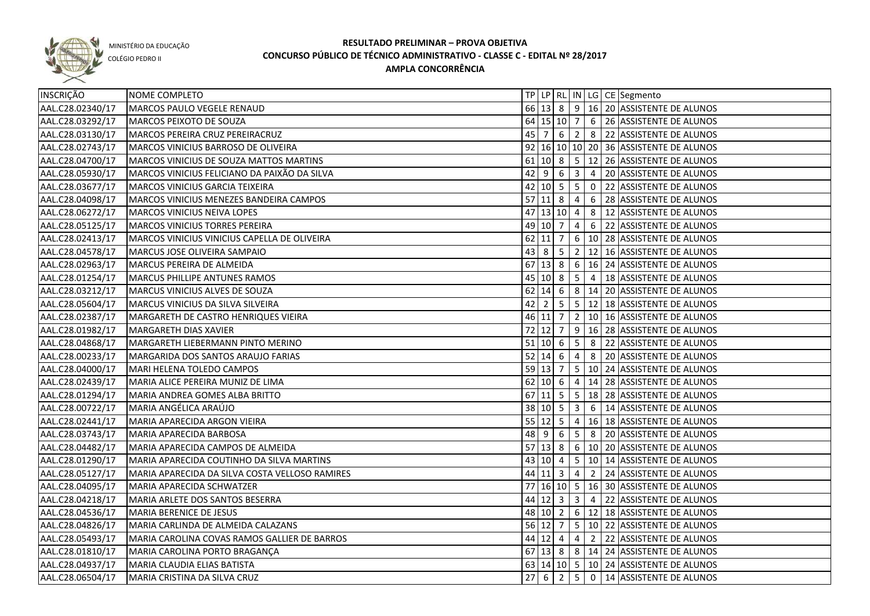

COLÉGIO PEDRO II

| INSCRIÇÃO        | NOME COMPLETO                                  |    |                   |                 |                         |   | TP   LP   RL   IN   LG   CE   Segmento                |
|------------------|------------------------------------------------|----|-------------------|-----------------|-------------------------|---|-------------------------------------------------------|
| AAL.C28.02340/17 | MARCOS PAULO VEGELE RENAUD                     |    |                   |                 |                         |   | 66 13 8 9 16 20 ASSISTENTE DE ALUNOS                  |
| AAL.C28.03292/17 | MARCOS PEIXOTO DE SOUZA                        |    |                   |                 |                         |   | 64   15   10   7   6   26   ASSISTENTE DE ALUNOS      |
| AAL.C28.03130/17 | MARCOS PEREIRA CRUZ PEREIRACRUZ                |    |                   |                 |                         |   | 45   7   6   2   8   22   ASSISTENTE DE ALUNOS        |
| AAL.C28.02743/17 | <b>MARCOS VINICIUS BARROSO DE OLIVEIRA</b>     |    |                   |                 |                         |   | 92 16 10 10 20 36 ASSISTENTE DE ALUNOS                |
| AAL.C28.04700/17 | <b>MARCOS VINICIUS DE SOUZA MATTOS MARTINS</b> |    |                   |                 |                         |   | 61   10   8   5   12   26   ASSISTENTE DE ALUNOS      |
| AAL.C28.05930/17 | MARCOS VINICIUS FELICIANO DA PAIXÃO DA SILVA   |    |                   |                 |                         |   | 42 9 6 3 4 20 ASSISTENTE DE ALUNOS                    |
| AAL.C28.03677/17 | MARCOS VINICIUS GARCIA TEIXEIRA                |    |                   |                 |                         |   | 42 10 5 5 0 22 ASSISTENTE DE ALUNOS                   |
| AAL.C28.04098/17 | MARCOS VINICIUS MENEZES BANDEIRA CAMPOS        |    | 57 11 8 4         |                 |                         |   | 6 28 ASSISTENTE DE ALUNOS                             |
| AAL.C28.06272/17 | MARCOS VINICIUS NEIVA LOPES                    |    |                   |                 |                         |   | 47 13 10 4 8 12 ASSISTENTE DE ALUNOS                  |
| AAL.C28.05125/17 | MARCOS VINICIUS TORRES PEREIRA                 |    | 49 10 7 4         |                 |                         |   | 6 22 ASSISTENTE DE ALUNOS                             |
| AAL.C28.02413/17 | MARCOS VINICIUS VINICIUS CAPELLA DE OLIVEIRA   |    |                   |                 |                         |   | 62 11 7 6 10 28 ASSISTENTE DE ALUNOS                  |
| AAL.C28.04578/17 | MARCUS JOSE OLIVEIRA SAMPAIO                   |    |                   |                 |                         |   | 43 8 5 2 12 16 ASSISTENTE DE ALUNOS                   |
| AAL.C28.02963/17 | MARCUS PEREIRA DE ALMEIDA                      |    |                   |                 |                         |   | 67 13 8 6 16 24 ASSISTENTE DE ALUNOS                  |
| AAL.C28.01254/17 | MARCUS PHILLIPE ANTUNES RAMOS                  |    | $45$   10   8   5 |                 |                         |   | 4   18 ASSISTENTE DE ALUNOS                           |
| AAL.C28.03212/17 | MARCUS VINICIUS ALVES DE SOUZA                 |    |                   |                 |                         |   | 62 14 6 8 14 20 ASSISTENTE DE ALUNOS                  |
| AAL.C28.05604/17 | MARCUS VINICIUS DA SILVA SILVEIRA              | 42 | l 2               | $5 \mid 5 \mid$ |                         |   | 12 18 ASSISTENTE DE ALUNOS                            |
| AAL.C28.02387/17 | MARGARETH DE CASTRO HENRIQUES VIEIRA           |    |                   |                 |                         |   | 46 11 7 2 10 16 ASSISTENTE DE ALUNOS                  |
| AAL.C28.01982/17 | MARGARETH DIAS XAVIER                          |    |                   |                 |                         |   | 72 12 7 9 16 28 ASSISTENTE DE ALUNOS                  |
| AAL.C28.04868/17 | MARGARETH LIEBERMANN PINTO MERINO              |    | 51   10   6       |                 |                         |   | $\vert 5 \vert 8 \vert 22 \vert$ ASSISTENTE DE ALUNOS |
| AAL.C28.00233/17 | MARGARIDA DOS SANTOS ARAUJO FARIAS             |    | $52$ 14 6         |                 | $\vert 4 \vert$         |   | 8 20 ASSISTENTE DE ALUNOS                             |
| AAL.C28.04000/17 | MARI HELENA TOLEDO CAMPOS                      |    |                   |                 |                         |   | 59   13   7   5   10   24   ASSISTENTE DE ALUNOS      |
| AAL.C28.02439/17 | MARIA ALICE PEREIRA MUNIZ DE LIMA              |    | $62$ 10 6         |                 | $4 \mid$                |   | 14 28 ASSISTENTE DE ALUNOS                            |
| AAL.C28.01294/17 | MARIA ANDREA GOMES ALBA BRITTO                 | 67 |                   |                 |                         |   | 11  5   5   18   28   ASSISTENTE DE ALUNOS            |
| AAL.C28.00722/17 | MARIA ANGÉLICA ARAÚJO                          |    | 38 10 5           |                 | $\overline{\mathbf{3}}$ |   | 6   14 ASSISTENTE DE ALUNOS                           |
| AAL.C28.02441/17 | MARIA APARECIDA ARGON VIEIRA                   |    | $55$ 12 5         |                 | $\overline{4}$          |   | 16 18 ASSISTENTE DE ALUNOS                            |
| AAL.C28.03743/17 | MARIA APARECIDA BARBOSA                        | 48 | -9                | -6              | $5\phantom{.0}$         | 8 | 20 ASSISTENTE DE ALUNOS                               |
| AAL.C28.04482/17 | MARIA APARECIDA CAMPOS DE ALMEIDA              |    | $57$ 13 8         |                 |                         |   | 6 10 20 ASSISTENTE DE ALUNOS                          |
| AAL.C28.01290/17 | MARIA APARECIDA COUTINHO DA SILVA MARTINS      |    |                   |                 |                         |   | 43   10   4   5   10   14   ASSISTENTE DE ALUNOS      |
| AAL.C28.05127/17 | MARIA APARECIDA DA SILVA COSTA VELLOSO RAMIRES |    | $44$ 11 3 4       |                 |                         |   | 2 24 ASSISTENTE DE ALUNOS                             |
| AAL.C28.04095/17 | <b>MARIA APARECIDA SCHWATZER</b>               |    |                   |                 |                         |   | 77 16 10 5 16 30 ASSISTENTE DE ALUNOS                 |
| AAL.C28.04218/17 | MARIA ARLETE DOS SANTOS BESERRA                |    |                   |                 |                         |   | 44 12 3 3 4 22 ASSISTENTE DE ALUNOS                   |
| AAL.C28.04536/17 | MARIA BERENICE DE JESUS                        |    |                   |                 |                         |   | 48 10 2 6 12 18 ASSISTENTE DE ALUNOS                  |
| AAL.C28.04826/17 | MARIA CARLINDA DE ALMEIDA CALAZANS             |    |                   |                 |                         |   | 56 12 7 5 10 22 ASSISTENTE DE ALUNOS                  |
| AAL.C28.05493/17 | MARIA CAROLINA COVAS RAMOS GALLIER DE BARROS   |    |                   |                 |                         |   | 44 12 4 4 2 22 ASSISTENTE DE ALUNOS                   |
| AAL.C28.01810/17 | MARIA CAROLINA PORTO BRAGANÇA                  |    |                   |                 |                         |   | 67 13 8 8 4 14 24 ASSISTENTE DE ALUNOS                |
| AAL.C28.04937/17 | MARIA CLAUDIA ELIAS BATISTA                    |    |                   |                 |                         |   | 63   14   10   5   10   24   ASSISTENTE DE ALUNOS     |
| AAL.C28.06504/17 | MARIA CRISTINA DA SILVA CRUZ                   | 27 |                   |                 |                         |   | $6$   2   5   0   14   ASSISTENTE DE ALUNOS           |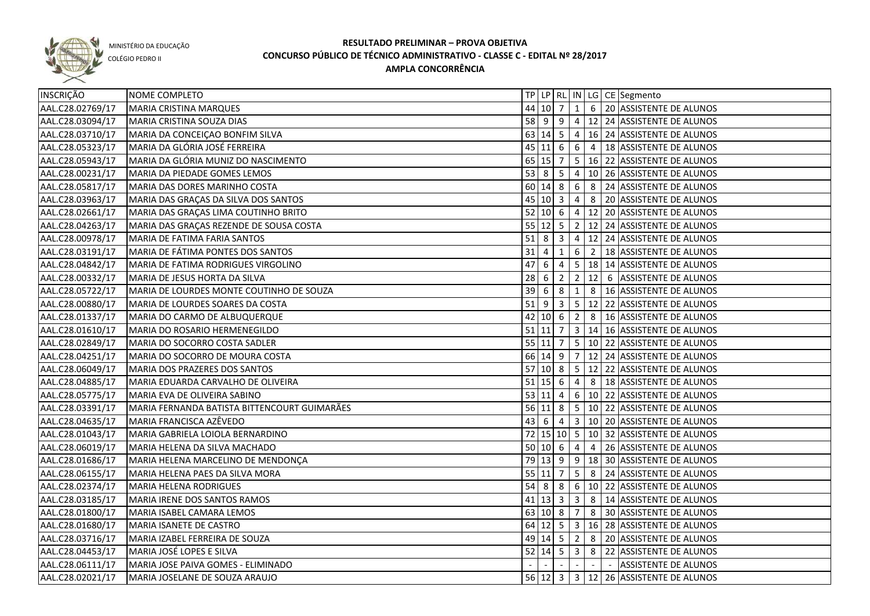

COLÉGIO PEDRO II

| INSCRIÇÃO        | NOME COMPLETO                                |                    |                                              |                         |                         |                | TP   LP   RL   IN   LG   CE   Segmento            |
|------------------|----------------------------------------------|--------------------|----------------------------------------------|-------------------------|-------------------------|----------------|---------------------------------------------------|
| AAL.C28.02769/17 | MARIA CRISTINA MARQUES                       |                    | 44 10 7                                      |                         | 1                       |                | 6 20 ASSISTENTE DE ALUNOS                         |
| AAL.C28.03094/17 | MARIA CRISTINA SOUZA DIAS                    |                    |                                              |                         |                         |                | 58 9 9 4 12 24 ASSISTENTE DE ALUNOS               |
| AAL.C28.03710/17 | MARIA DA CONCEIÇÃO BONFIM SILVA              |                    |                                              |                         |                         |                | 63 14 5 4 16 24 ASSISTENTE DE ALUNOS              |
| AAL.C28.05323/17 | MARIA DA GLÓRIA JOSÉ FERREIRA                |                    |                                              |                         |                         |                | 45 11 6 6 4 18 ASSISTENTE DE ALUNOS               |
| AAL.C28.05943/17 | MARIA DA GLÓRIA MUNIZ DO NASCIMENTO          |                    | 65 15 7                                      |                         |                         |                | 5 16 22 ASSISTENTE DE ALUNOS                      |
| AAL.C28.00231/17 | <b>MARIA DA PIEDADE GOMES LEMOS</b>          |                    |                                              |                         |                         |                | 53 8 5 4 10 26 ASSISTENTE DE ALUNOS               |
| AAL.C28.05817/17 | MARIA DAS DORES MARINHO COSTA                |                    | 60 14 8                                      |                         |                         |                | 6 8 24 ASSISTENTE DE ALUNOS                       |
| AAL.C28.03963/17 | MARIA DAS GRAÇAS DA SILVA DOS SANTOS         |                    | 45 10 3                                      |                         |                         |                | 4 8 20 ASSISTENTE DE ALUNOS                       |
| AAL.C28.02661/17 | MARIA DAS GRAÇAS LIMA COUTINHO BRITO         |                    |                                              |                         |                         |                | 52 10 6 4 12 20 ASSISTENTE DE ALUNOS              |
| AAL.C28.04263/17 | MARIA DAS GRAÇAS REZENDE DE SOUSA COSTA      |                    |                                              |                         |                         |                | 55 12 5 2 12 24 ASSISTENTE DE ALUNOS              |
| AAL.C28.00978/17 | MARIA DE FATIMA FARIA SANTOS                 | $51 \mid 8 \mid 3$ |                                              |                         |                         |                | 4   12   24   ASSISTENTE DE ALUNOS                |
| AAL.C28.03191/17 | MARIA DE FÁTIMA PONTES DOS SANTOS            | 31                 | 4                                            | $\mathbf{1}$            |                         |                | 6 2 18 ASSISTENTE DE ALUNOS                       |
| AAL.C28.04842/17 | MARIA DE FATIMA RODRIGUES VIRGOLINO          | 47                 | 6                                            | 4                       |                         |                | 5   18   14   ASSISTENTE DE ALUNOS                |
| AAL.C28.00332/17 | MARIA DE JESUS HORTA DA SILVA                | 28                 | 6                                            | $\overline{2}$          |                         |                | 2   12   6   ASSISTENTE DE ALUNOS                 |
| AAL.C28.05722/17 | MARIA DE LOURDES MONTE COUTINHO DE SOUZA     | 39                 | 6                                            | 8                       | 1                       |                | 8   16 ASSISTENTE DE ALUNOS                       |
| AAL.C28.00880/17 | MARIA DE LOURDES SOARES DA COSTA             | $51$ 9             |                                              | $\overline{\mathbf{3}}$ |                         |                | 5   12   22   ASSISTENTE DE ALUNOS                |
| AAL.C28.01337/17 | MARIA DO CARMO DE ALBUQUERQUE                |                    | $42 \begin{array}{ c c } 10 & 6 \end{array}$ |                         | $\overline{2}$          |                | 8   16 ASSISTENTE DE ALUNOS                       |
| AAL.C28.01610/17 | MARIA DO ROSARIO HERMENEGILDO                |                    | $51$ 11 7                                    |                         |                         |                | 3   14   16   ASSISTENTE DE ALUNOS                |
| AAL.C28.02849/17 | MARIA DO SOCORRO COSTA SADLER                |                    | 55 11 7                                      |                         |                         |                | 5   10   22   ASSISTENTE DE ALUNOS                |
| AAL.C28.04251/17 | MARIA DO SOCORRO DE MOURA COSTA              |                    | $66$ 14 9                                    |                         | 7                       |                | 12 24 ASSISTENTE DE ALUNOS                        |
| AAL.C28.06049/17 | MARIA DOS PRAZERES DOS SANTOS                | $57$ 10 8          |                                              |                         |                         |                | 5   12   22   ASSISTENTE DE ALUNOS                |
| AAL.C28.04885/17 | MARIA EDUARDA CARVALHO DE OLIVEIRA           | $51$ 15 6          |                                              |                         | $\overline{4}$          | 8              | 18 ASSISTENTE DE ALUNOS                           |
| AAL.C28.05775/17 | MARIA EVA DE OLIVEIRA SABINO                 | 53   11   4        |                                              |                         |                         |                | 6   10   22   ASSISTENTE DE ALUNOS                |
| AAL.C28.03391/17 | MARIA FERNANDA BATISTA BITTENCOURT GUIMARÃES |                    | $56$ 11 8                                    |                         | 5 <sub>5</sub>          |                | 10 22 ASSISTENTE DE ALUNOS                        |
| AAL.C28.04635/17 | MARIA FRANCISCA AZÊVEDO                      | 43                 | -6                                           | 4                       | 3 <sup>1</sup>          |                | 10 20 ASSISTENTE DE ALUNOS                        |
| AAL.C28.01043/17 | MARIA GABRIELA LOIOLA BERNARDINO             |                    |                                              |                         |                         |                | 72   15   10   5   10   32   ASSISTENTE DE ALUNOS |
| AAL.C28.06019/17 | MARIA HELENA DA SILVA MACHADO                |                    | 50   10   6                                  |                         | $\overline{4}$          | $\overline{4}$ | 26 ASSISTENTE DE ALUNOS                           |
| AAL.C28.01686/17 | MARIA HELENA MARCELINO DE MENDONÇA           |                    | 79 13 9                                      |                         |                         |                | $9$   18   30   ASSISTENTE DE ALUNOS              |
| AAL.C28.06155/17 | MARIA HELENA PAES DA SILVA MORA              |                    | 55 11                                        | $\overline{7}$          | 5 <sup>5</sup>          |                | 8 24 ASSISTENTE DE ALUNOS                         |
| AAL.C28.02374/17 | MARIA HELENA RODRIGUES                       |                    | 54 8                                         | 8                       |                         |                | $\boxed{6}$   10   22   ASSISTENTE DE ALUNOS      |
| AAL.C28.03185/17 | MARIA IRENE DOS SANTOS RAMOS                 |                    | $41 \ 13 \ 3$                                |                         |                         |                | $3 \mid 8 \mid 14$ ASSISTENTE DE ALUNOS           |
| AAL.C28.01800/17 | MARIA ISABEL CAMARA LEMOS                    |                    | 63 10 8                                      |                         | $\overline{7}$          |                | 8 30 ASSISTENTE DE ALUNOS                         |
| AAL.C28.01680/17 | MARIA ISANETE DE CASTRO                      |                    |                                              |                         |                         |                | 64 12 5 3 16 28 ASSISTENTE DE ALUNOS              |
| AAL.C28.03716/17 | MARIA IZABEL FERREIRA DE SOUZA               |                    |                                              |                         |                         |                | 49 14 5 2 8 20 ASSISTENTE DE ALUNOS               |
| AAL.C28.04453/17 | MARIA JOSÉ LOPES E SILVA                     |                    | $52 \mid 14 \mid 5$                          |                         | $\overline{\mathbf{3}}$ |                | 8 22 ASSISTENTE DE ALUNOS                         |
| AAL.C28.06111/17 | MARIA JOSE PAIVA GOMES - ELIMINADO           |                    |                                              |                         | $\overline{a}$          | $\sim$         | ASSISTENTE DE ALUNOS                              |
| AAL.C28.02021/17 | MARIA JOSELANE DE SOUZA ARAUJO               |                    |                                              |                         |                         |                | 56 12 3 3 12 26 ASSISTENTE DE ALUNOS              |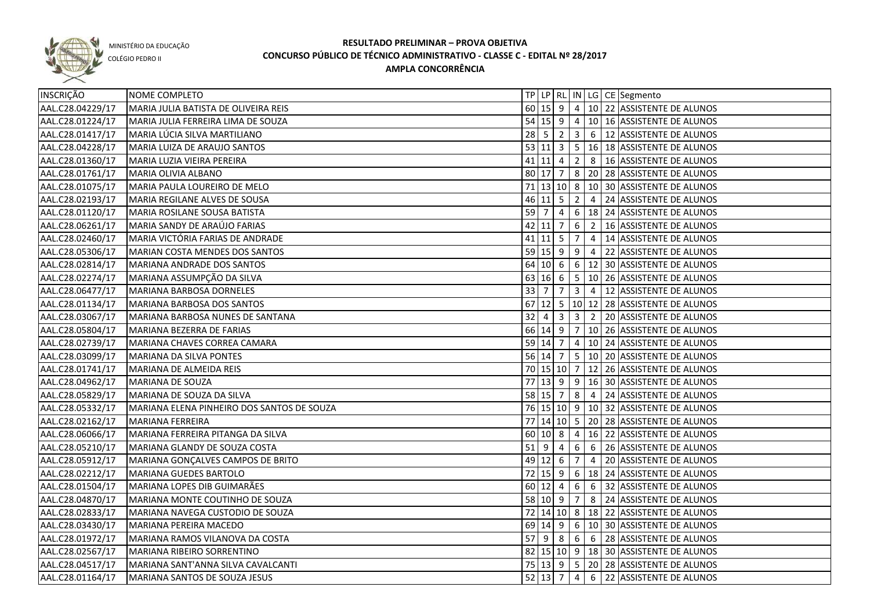

COLÉGIO PEDRO II

| <b>INSCRIÇÃO</b> | NOME COMPLETO                              |             |                   |                |                |                | TP   LP   RL   IN   LG   CE   Segmento                                                   |
|------------------|--------------------------------------------|-------------|-------------------|----------------|----------------|----------------|------------------------------------------------------------------------------------------|
| AAL.C28.04229/17 | MARIA JULIA BATISTA DE OLIVEIRA REIS       |             |                   |                |                |                | 60   15   9   4   10   22   ASSISTENTE DE ALUNOS                                         |
| AAL.C28.01224/17 | MARIA JULIA FERREIRA LIMA DE SOUZA         |             |                   |                |                |                | 54 15 9 4 10 16 ASSISTENTE DE ALUNOS                                                     |
| AAL.C28.01417/17 | MARIA LÚCIA SILVA MARTILIANO               |             |                   |                |                |                | 28 5 2 3 6 12 ASSISTENTE DE ALUNOS                                                       |
| AAL.C28.04228/17 | <b>MARIA LUIZA DE ARAUJO SANTOS</b>        |             |                   |                |                |                | 53 11 3 5 16 18 ASSISTENTE DE ALUNOS                                                     |
| AAL.C28.01360/17 | MARIA LUZIA VIEIRA PEREIRA                 |             |                   |                |                |                | 41 11 4 2 8 16 ASSISTENTE DE ALUNOS                                                      |
| AAL.C28.01761/17 | MARIA OLIVIA ALBANO                        |             |                   |                |                |                | 80 17 7 8 20 28 ASSISTENTE DE ALUNOS                                                     |
| AAL.C28.01075/17 | MARIA PAULA LOUREIRO DE MELO               |             |                   |                |                |                | 71 13 10 8 10 30 ASSISTENTE DE ALUNOS                                                    |
| AAL.C28.02193/17 | MARIA REGILANE ALVES DE SOUSA              |             |                   |                |                |                | 46 11 5 2 4 24 ASSISTENTE DE ALUNOS                                                      |
| AAL.C28.01120/17 | MARIA ROSILANE SOUSA BATISTA               |             |                   |                |                |                | 59 7 4 6 18 24 ASSISTENTE DE ALUNOS                                                      |
| AAL.C28.06261/17 | MARIA SANDY DE ARAÚJO FARIAS               |             |                   |                |                |                | 42 11 7 6 2 16 ASSISTENTE DE ALUNOS                                                      |
| AAL.C28.02460/17 | MARIA VICTÓRIA FARIAS DE ANDRADE           |             | $41$   11   5   7 |                |                |                | 4   14   ASSISTENTE DE ALUNOS                                                            |
| AAL.C28.05306/17 | MARIAN COSTA MENDES DOS SANTOS             |             | $59$ 15 9 9       |                |                |                | 4 22 ASSISTENTE DE ALUNOS                                                                |
| AAL.C28.02814/17 | MARIANA ANDRADE DOS SANTOS                 |             |                   |                |                |                | 64 10 6 6 12 30 ASSISTENTE DE ALUNOS                                                     |
| AAL.C28.02274/17 | MARIANA ASSUMPÇÃO DA SILVA                 |             | $63$ 16 6 5       |                |                |                | 10 26 ASSISTENTE DE ALUNOS                                                               |
| AAL.C28.06477/17 | MARIANA BARBOSA DORNELES                   | $33 \mid 7$ |                   | 7 <sup>1</sup> | $\vert$ 3      | 4              | 12 ASSISTENTE DE ALUNOS                                                                  |
| AAL.C28.01134/17 | MARIANA BARBOSA DOS SANTOS                 |             |                   |                |                |                | 67 12 5 10 12 28 ASSISTENTE DE ALUNOS                                                    |
| AAL.C28.03067/17 | MARIANA BARBOSA NUNES DE SANTANA           | 32          |                   |                |                |                | 4 3 3 2 2 20 ASSISTENTE DE ALUNOS                                                        |
| AAL.C28.05804/17 | MARIANA BEZERRA DE FARIAS                  |             | 66 14 9 7         |                |                |                | 10 26 ASSISTENTE DE ALUNOS                                                               |
| AAL.C28.02739/17 | MARIANA CHAVES CORREA CAMARA               |             | 59 14 7 4         |                |                |                | 10 24 ASSISTENTE DE ALUNOS                                                               |
| AAL.C28.03099/17 | MARIANA DA SILVA PONTES                    |             |                   |                |                |                | 56 14 7 5 10 20 ASSISTENTE DE ALUNOS                                                     |
| AAL.C28.01741/17 | MARIANA DE ALMEIDA REIS                    |             | 70 15 10 7        |                |                |                | 12 26 ASSISTENTE DE ALUNOS                                                               |
| AAL.C28.04962/17 | MARIANA DE SOUZA                           |             |                   |                |                |                | 77 13 9 9 16 30 ASSISTENTE DE ALUNOS                                                     |
| AAL.C28.05829/17 | MARIANA DE SOUZA DA SILVA                  |             | 58 15 7           |                | 8              |                | 4 24 ASSISTENTE DE ALUNOS                                                                |
| AAL.C28.05332/17 | MARIANA ELENA PINHEIRO DOS SANTOS DE SOUZA |             |                   |                |                |                | 76 15 10 9 10 32 ASSISTENTE DE ALUNOS                                                    |
| AAL.C28.02162/17 | <b>MARIANA FERREIRA</b>                    |             |                   |                |                |                | 77   14   10   5   20   28   ASSISTENTE DE ALUNOS                                        |
| AAL.C28.06066/17 | MARIANA FERREIRA PITANGA DA SILVA          |             | $60 \ 10 \ 8$     |                | 4              |                | 16 22 ASSISTENTE DE ALUNOS                                                               |
| AAL.C28.05210/17 | MARIANA GLANDY DE SOUZA COSTA              | $51$   9    |                   | 4              | 6              | 6              | 26 ASSISTENTE DE ALUNOS                                                                  |
| AAL.C28.05912/17 | MARIANA GONÇALVES CAMPOS DE BRITO          |             | $49$ 12 6         |                | $\overline{7}$ | $\overline{4}$ | 20 ASSISTENTE DE ALUNOS                                                                  |
| AAL.C28.02212/17 | MARIANA GUEDES BARTOLO                     |             |                   |                |                |                | 72 15 9 6 18 24 ASSISTENTE DE ALUNOS                                                     |
| AAL.C28.01504/17 | MARIANA LOPES DIB GUIMARÃES                |             |                   |                |                |                | $60$  12  4  6  6  32  ASSISTENTE DE ALUNOS                                              |
| AAL.C28.04870/17 | MARIANA MONTE COUTINHO DE SOUZA            |             |                   |                |                |                | 58 10 9 7 8 24 ASSISTENTE DE ALUNOS                                                      |
| AAL.C28.02833/17 | MARIANA NAVEGA CUSTODIO DE SOUZA           |             |                   |                |                |                | 72 14 10 8 18 22 ASSISTENTE DE ALUNOS                                                    |
| AAL.C28.03430/17 | MARIANA PEREIRA MACEDO                     |             |                   |                |                |                | 69 14 9 6 10 30 ASSISTENTE DE ALUNOS                                                     |
| AAL.C28.01972/17 | MARIANA RAMOS VILANOVA DA COSTA            |             |                   |                |                |                | $\overline{57}$ 9 $\overline{8}$ 8 $\overline{6}$ 6 $\overline{28}$ ASSISTENTE DE ALUNOS |
| AAL.C28.02567/17 | MARIANA RIBEIRO SORRENTINO                 |             |                   |                |                |                | 82 15 10 9 18 30 ASSISTENTE DE ALUNOS                                                    |
| AAL.C28.04517/17 | MARIANA SANT'ANNA SILVA CAVALCANTI         |             |                   |                |                |                | 75 13 9 5 20 28 ASSISTENTE DE ALUNOS                                                     |
| AAL.C28.01164/17 | MARIANA SANTOS DE SOUZA JESUS              |             | $52$ 13 7 4       |                |                |                | 6 22 ASSISTENTE DE ALUNOS                                                                |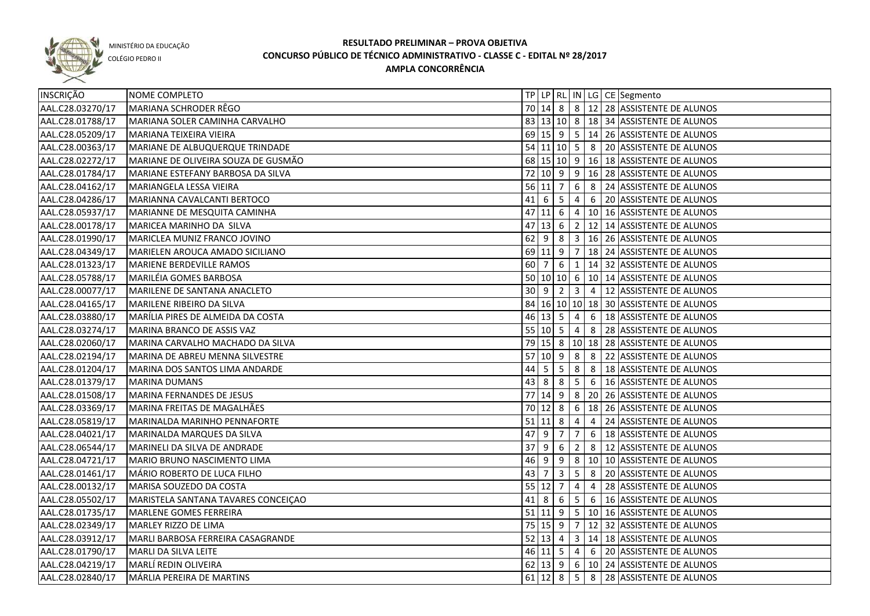

COLÉGIO PEDRO II

| INSCRIÇÃO        | NOME COMPLETO                       |    |                      |                      |                 |                | TP LP RL IN LG CE Segmento                        |
|------------------|-------------------------------------|----|----------------------|----------------------|-----------------|----------------|---------------------------------------------------|
| AAL.C28.03270/17 | MARIANA SCHRODER RÊGO               |    |                      |                      |                 |                | 70   14   8   8   12   28   ASSISTENTE DE ALUNOS  |
| AAL.C28.01788/17 | MARIANA SOLER CAMINHA CARVALHO      |    |                      |                      |                 |                | 83   13   10   8   18   34   ASSISTENTE DE ALUNOS |
| AAL.C28.05209/17 | MARIANA TEIXEIRA VIEIRA             |    |                      |                      |                 |                | 69   15   9   5   14   26   ASSISTENTE DE ALUNOS  |
| AAL.C28.00363/17 | MARIANE DE ALBUQUERQUE TRINDADE     |    |                      |                      |                 |                | 54 11 10 5 8 20 ASSISTENTE DE ALUNOS              |
| AAL.C28.02272/17 | MARIANE DE OLIVEIRA SOUZA DE GUSMÃO |    |                      |                      |                 |                | 68 15 10 9 16 18 ASSISTENTE DE ALUNOS             |
| AAL.C28.01784/17 | MARIANE ESTEFANY BARBOSA DA SILVA   |    |                      |                      |                 |                | 72 10 9 9 16 28 ASSISTENTE DE ALUNOS              |
| AAL.C28.04162/17 | MARIANGELA LESSA VIEIRA             |    |                      | 56 11 7              |                 |                | 6 8 24 ASSISTENTE DE ALUNOS                       |
| AAL.C28.04286/17 | MARIANNA CAVALCANTI BERTOCO         |    |                      | $41 \ 6 \ 5$         |                 |                | 4 6 20 ASSISTENTE DE ALUNOS                       |
| AAL.C28.05937/17 | MARIANNE DE MESQUITA CAMINHA        |    |                      |                      |                 |                | 47 11 6 4 10 16 ASSISTENTE DE ALUNOS              |
| AAL.C28.00178/17 | MARICEA MARINHO DA SILVA            |    |                      |                      |                 |                | 47 13 6 2 12 14 ASSISTENTE DE ALUNOS              |
| AAL.C28.01990/17 | MARICLEA MUNIZ FRANCO JOVINO        |    |                      |                      |                 |                | 62 9 8 3 16 26 ASSISTENTE DE ALUNOS               |
| AAL.C28.04349/17 | MARIELEN AROUCA AMADO SICILIANO     |    |                      |                      |                 |                | 69 11 9 7 18 24 ASSISTENTE DE ALUNOS              |
| AAL.C28.01323/17 | MARIENE BERDEVILLE RAMOS            |    | 60 7                 |                      |                 |                | $6 \mid 1 \mid 14 \mid 32$ ASSISTENTE DE ALUNOS   |
| AAL.C28.05788/17 | MARILÉIA GOMES BARBOSA              |    |                      |                      |                 |                | 50 10 10 6 10 14 ASSISTENTE DE ALUNOS             |
| AAL.C28.00077/17 | MARILENE DE SANTANA ANACLETO        |    |                      |                      |                 |                | 30 9 2 3 4 12 ASSISTENTE DE ALUNOS                |
| AAL.C28.04165/17 | MARILENE RIBEIRO DA SILVA           |    |                      |                      |                 |                | 84 16 10 10 18 30 ASSISTENTE DE ALUNOS            |
| AAL.C28.03880/17 | MARÍLIA PIRES DE ALMEIDA DA COSTA   |    |                      | $46 \mid 13 \mid 5$  | $\overline{4}$  |                | 6 18 ASSISTENTE DE ALUNOS                         |
| AAL.C28.03274/17 | MARINA BRANCO DE ASSIS VAZ          |    |                      | 55 10 5 4            |                 |                | 8 28 ASSISTENTE DE ALUNOS                         |
| AAL.C28.02060/17 | MARINA CARVALHO MACHADO DA SILVA    |    |                      |                      |                 |                | 79 15 8 10 18 28 ASSISTENTE DE ALUNOS             |
| AAL.C28.02194/17 | MARINA DE ABREU MENNA SILVESTRE     |    |                      |                      |                 |                | 57 10 9 8 8 22 ASSISTENTE DE ALUNOS               |
| AAL.C28.01204/17 | MARINA DOS SANTOS LIMA ANDARDE      | 44 | 5 <sup>5</sup>       | $5^{\circ}$          | 8               | 8              | 18 ASSISTENTE DE ALUNOS                           |
| AAL.C28.01379/17 | <b>MARINA DUMANS</b>                | 43 | 8                    | 8                    | $5\overline{)}$ | 6              | 16 ASSISTENTE DE ALUNOS                           |
| AAL.C28.01508/17 | MARINA FERNANDES DE JESUS           |    |                      | 77 14 9              | $\sqrt{8}$      |                | 20 26 ASSISTENTE DE ALUNOS                        |
| AAL.C28.03369/17 | MARINA FREITAS DE MAGALHÃES         |    |                      | $\overline{70}$ 12 8 |                 |                | 6   18   26   ASSISTENTE DE ALUNOS                |
| AAL.C28.05819/17 | MARINALDA MARINHO PENNAFORTE        |    |                      | $51$ 11 8            | 4               | $\overline{4}$ | 24 ASSISTENTE DE ALUNOS                           |
| AAL.C28.04021/17 | MARINALDA MARQUES DA SILVA          | 47 | -9                   | 7                    | 7               | 6              | 18 ASSISTENTE DE ALUNOS                           |
| AAL.C28.06544/17 | MARINELI DA SILVA DE ANDRADE        | 37 | l 9                  | 6                    | $\overline{2}$  | 8              | 12 ASSISTENTE DE ALUNOS                           |
| AAL.C28.04721/17 | MARIO BRUNO NASCIMENTO LIMA         |    | $46 \mid 9$          | 9                    |                 |                | 8   10   10   ASSISTENTE DE ALUNOS                |
| AAL.C28.01461/17 | MÁRIO ROBERTO DE LUCA FILHO         | 43 | $\overline{7}$       | $\mathbf{3}$         | 5 <sub>1</sub>  |                | 8 20 ASSISTENTE DE ALUNOS                         |
| AAL.C28.00132/17 | MARISA SOUZEDO DA COSTA             |    | $55$ 12 7            |                      | $\overline{4}$  | 4              | 28 ASSISTENTE DE ALUNOS                           |
| AAL.C28.05502/17 | MARISTELA SANTANA TAVARES CONCEIÇÃO |    | $41 \quad 8 \quad 6$ |                      |                 |                | $5 \mid 6 \mid 16$ ASSISTENTE DE ALUNOS           |
| AAL.C28.01735/17 | MARLENE GOMES FERREIRA              |    |                      |                      |                 |                | 51 11 9 5 10 16 ASSISTENTE DE ALUNOS              |
| AAL.C28.02349/17 | MARLEY RIZZO DE LIMA                |    |                      |                      |                 |                | 75 15 9 7 12 32 ASSISTENTE DE ALUNOS              |
| AAL.C28.03912/17 | MARLI BARBOSA FERREIRA CASAGRANDE   |    |                      |                      |                 |                | 52 13 4 3 14 18 ASSISTENTE DE ALUNOS              |
| AAL.C28.01790/17 | MARLI DA SILVA LEITE                |    |                      |                      |                 |                | 46 11 5 4 6 20 ASSISTENTE DE ALUNOS               |
| AAL.C28.04219/17 | MARLÍ REDIN OLIVEIRA                |    |                      |                      |                 |                | 62 13 9 6 10 24 ASSISTENTE DE ALUNOS              |
| AAL.C28.02840/17 | MÁRLIA PEREIRA DE MARTINS           |    |                      |                      |                 |                | 61 12 8 5 8 28 ASSISTENTE DE ALUNOS               |
|                  |                                     |    |                      |                      |                 |                |                                                   |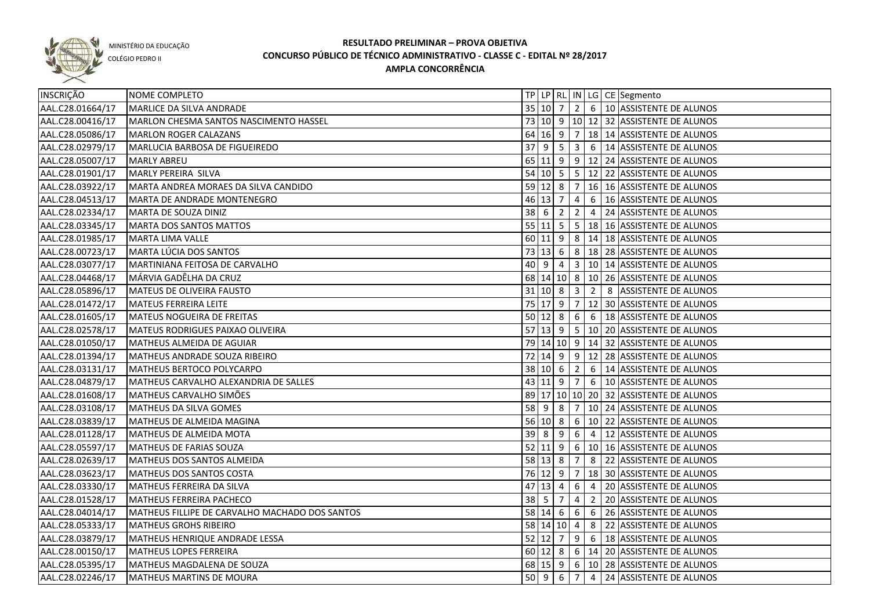

COLÉGIO PEDRO II

| INSCRIÇÃO        | <b>NOME COMPLETO</b>                           |      |             |                                                                 |                         |                | TP LP RL IN LG CE Segmento                             |
|------------------|------------------------------------------------|------|-------------|-----------------------------------------------------------------|-------------------------|----------------|--------------------------------------------------------|
| AAL.C28.01664/17 | MARLICE DA SILVA ANDRADE                       |      |             |                                                                 |                         |                | 35 10 7 2 6 10 ASSISTENTE DE ALUNOS                    |
| AAL.C28.00416/17 | MARLON CHESMA SANTOS NASCIMENTO HASSEL         |      |             |                                                                 |                         |                | 73 10 9 10 12 32 ASSISTENTE DE ALUNOS                  |
| AAL.C28.05086/17 | MARLON ROGER CALAZANS                          |      |             |                                                                 |                         |                | 64 16 9 7 18 14 ASSISTENTE DE ALUNOS                   |
| AAL.C28.02979/17 | MARLUCIA BARBOSA DE FIGUEIREDO                 |      |             |                                                                 |                         |                | 37 9 5 3 6 14 ASSISTENTE DE ALUNOS                     |
| AAL.C28.05007/17 | <b>MARLY ABREU</b>                             |      |             |                                                                 |                         |                | 65 11 9 9 12 24 ASSISTENTE DE ALUNOS                   |
| AAL.C28.01901/17 | MARLY PEREIRA SILVA                            |      |             |                                                                 |                         |                | 54 10 5 5 12 22 ASSISTENTE DE ALUNOS                   |
| AAL.C28.03922/17 | MARTA ANDREA MORAES DA SILVA CANDIDO           |      |             |                                                                 |                         |                | 59 12 8 7 16 16 ASSISTENTE DE ALUNOS                   |
| AAL.C28.04513/17 | MARTA DE ANDRADE MONTENEGRO                    |      | 46 13 7     |                                                                 | $\overline{4}$          |                | 6   16 ASSISTENTE DE ALUNOS                            |
| AAL.C28.02334/17 | MARTA DE SOUZA DINIZ                           |      | $38 \mid 6$ | $\overline{2}$                                                  | $\overline{2}$          |                | 4 24 ASSISTENTE DE ALUNOS                              |
| AAL.C28.03345/17 | <b>MARTA DOS SANTOS MATTOS</b>                 |      |             |                                                                 |                         |                | 55   11   5   5   18   16   ASSISTENTE DE ALUNOS       |
| AAL.C28.01985/17 | <b>MARTA LIMA VALLE</b>                        |      |             |                                                                 |                         |                | 60 11 9 8 14 18 ASSISTENTE DE ALUNOS                   |
| AAL.C28.00723/17 | MARTA LÚCIA DOS SANTOS                         |      | $73$ 13 6   |                                                                 |                         |                | 8   18   28   ASSISTENTE DE ALUNOS                     |
| AAL.C28.03077/17 | MARTINIANA FEITOSA DE CARVALHO                 | 40 9 |             | 4                                                               |                         |                | 3   10   14   ASSISTENTE DE ALUNOS                     |
| AAL.C28.04468/17 | MÁRVIA GADÊLHA DA CRUZ                         |      |             |                                                                 |                         |                | 68 14 10 8 10 26 ASSISTENTE DE ALUNOS                  |
| AAL.C28.05896/17 | MATEUS DE OLIVEIRA FAUSTO                      |      |             | 31 10 8                                                         | $\overline{\mathbf{3}}$ | $\vert$ 2      | 8 ASSISTENTE DE ALUNOS                                 |
| AAL.C28.01472/17 | <b>MATEUS FERREIRA LEITE</b>                   |      |             | 75 17 9                                                         | $\overline{7}$          |                | 12 30 ASSISTENTE DE ALUNOS                             |
| AAL.C28.01605/17 | <b>MATEUS NOGUEIRA DE FREITAS</b>              |      |             | $50 \ 12 \ 8$                                                   | 6                       | 6              | 18 ASSISTENTE DE ALUNOS                                |
| AAL.C28.02578/17 | MATEUS RODRIGUES PAIXAO OLIVEIRA               |      |             | $57$ 13 9                                                       |                         |                | $\vert 5 \vert 10 \vert 20 \vert$ ASSISTENTE DE ALUNOS |
| AAL.C28.01050/17 | MATHEUS ALMEIDA DE AGUIAR                      |      |             |                                                                 |                         |                | 79   14   10   9   14   32   ASSISTENTE DE ALUNOS      |
| AAL.C28.01394/17 | MATHEUS ANDRADE SOUZA RIBEIRO                  |      |             | $72 \mid 14 \mid 9$                                             | 9                       |                | 12 28 ASSISTENTE DE ALUNOS                             |
| AAL.C28.03131/17 | MATHEUS BERTOCO POLYCARPO                      |      | 38   10   6 |                                                                 | $\overline{2}$          | 6              | 14 ASSISTENTE DE ALUNOS                                |
| AAL.C28.04879/17 | MATHEUS CARVALHO ALEXANDRIA DE SALLES          |      |             | $43 \mid 11 \mid 9$                                             | 7                       | 6              | 10 ASSISTENTE DE ALUNOS                                |
| AAL.C28.01608/17 | MATHEUS CARVALHO SIMÕES                        |      |             |                                                                 |                         |                | 89 17 10 10 20 32 ASSISTENTE DE ALUNOS                 |
| AAL.C28.03108/17 | MATHEUS DA SILVA GOMES                         |      | $58$ 9      | 8                                                               | $\overline{7}$          |                | 10 24 ASSISTENTE DE ALUNOS                             |
| AAL.C28.03839/17 | MATHEUS DE ALMEIDA MAGINA                      |      | $56$ 10 8   |                                                                 | 6                       |                | 10 22 ASSISTENTE DE ALUNOS                             |
| AAL.C28.01128/17 | MATHEUS DE ALMEIDA MOTA                        | 39   | -8          | 9                                                               | 6                       | $\overline{4}$ | 12 ASSISTENTE DE ALUNOS                                |
| AAL.C28.05597/17 | MATHEUS DE FARIAS SOUZA                        |      | $52$ 11 9   |                                                                 |                         |                | 6   10   16 ASSISTENTE DE ALUNOS                       |
| AAL.C28.02639/17 | MATHEUS DOS SANTOS ALMEIDA                     |      | $58$ 13 8   |                                                                 | $\overline{7}$          |                | 8 22 ASSISTENTE DE ALUNOS                              |
| AAL.C28.03623/17 | MATHEUS DOS SANTOS COSTA                       |      |             | 76 12 9                                                         |                         |                | 7 18 30 ASSISTENTE DE ALUNOS                           |
| AAL.C28.03330/17 | <b>MATHEUS FERREIRA DA SILVA</b>               |      |             | 47 13 4                                                         |                         |                | 6 4 20 ASSISTENTE DE ALUNOS                            |
| AAL.C28.01528/17 | <b>MATHEUS FERREIRA PACHECO</b>                |      | $38 \mid 5$ | $\overline{7}$                                                  |                         |                | 4 2 20 ASSISTENTE DE ALUNOS                            |
| AAL.C28.04014/17 | MATHEUS FILLIPE DE CARVALHO MACHADO DOS SANTOS |      |             |                                                                 |                         |                | 58 14 6 6 6 6 26 ASSISTENTE DE ALUNOS                  |
| AAL.C28.05333/17 | MATHEUS GROHS RIBEIRO                          |      |             |                                                                 |                         |                | 58 14 10 4 8 22 ASSISTENTE DE ALUNOS                   |
| AAL.C28.03879/17 | MATHEUS HENRIQUE ANDRADE LESSA                 |      |             | $52 \begin{array}{ c c c } \hline 12 & 7 \\ \hline \end{array}$ |                         |                | 9 6   18 ASSISTENTE DE ALUNOS                          |
| AAL.C28.00150/17 | MATHEUS LOPES FERREIRA                         |      |             |                                                                 |                         |                | 60 12 8 6 14 20 ASSISTENTE DE ALUNOS                   |
| AAL.C28.05395/17 | MATHEUS MAGDALENA DE SOUZA                     |      |             |                                                                 |                         |                | 68 15 9 6 10 28 ASSISTENTE DE ALUNOS                   |
| AAL.C28.02246/17 | MATHEUS MARTINS DE MOURA                       |      | $50 \mid 9$ | 6                                                               | $\overline{7}$          |                | 4 24 ASSISTENTE DE ALUNOS                              |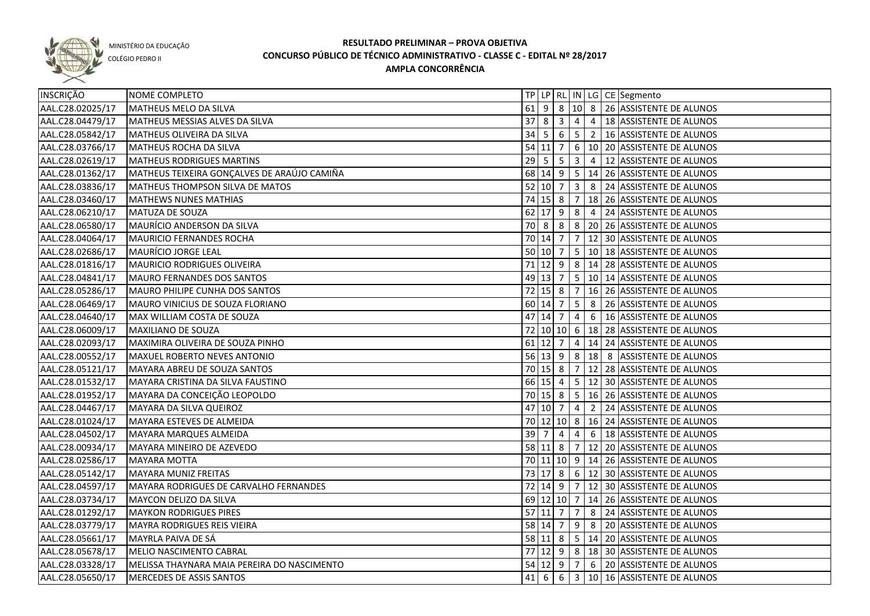

COLÉGIO PEDRO II

| <b>INSCRIÇÃO</b> | NOME COMPLETO                                 |                   |                     |   |                |                | TP   LP   RL   IN   LG   CE   Segmento                 |
|------------------|-----------------------------------------------|-------------------|---------------------|---|----------------|----------------|--------------------------------------------------------|
| AAL.C28.02025/17 | MATHEUS MELO DA SILVA                         | $61$ 9            |                     |   |                |                | 8 10 8 26 ASSISTENTE DE ALUNOS                         |
| AAL.C28.04479/17 | MATHEUS MESSIAS ALVES DA SILVA                |                   | $37 \mid 8 \mid 3$  |   | $\overline{4}$ |                | 4   18 ASSISTENTE DE ALUNOS                            |
| AAL.C28.05842/17 | MATHEUS OLIVEIRA DA SILVA                     |                   | $34 \mid 5 \mid 6$  |   |                |                | $\vert 5 \vert 2 \vert 16 \vert$ ASSISTENTE DE ALUNOS  |
| AAL.C28.03766/17 | <b>MATHEUS ROCHA DA SILVA</b>                 |                   |                     |   |                |                | 54 11 7 6 10 20 ASSISTENTE DE ALUNOS                   |
| AAL.C28.02619/17 | <b>MATHEUS RODRIGUES MARTINS</b>              |                   |                     |   |                |                | 29   5   5   3   4   12   ASSISTENTE DE ALUNOS         |
| AAL.C28.01362/17 | MATHEUS TEIXEIRA GONÇALVES DE ARAÚJO CAMIÑA   |                   |                     |   |                |                | 68 14 9 5 14 26 ASSISTENTE DE ALUNOS                   |
| AAL.C28.03836/17 | MATHEUS THOMPSON SILVA DE MATOS               |                   |                     |   |                |                | 52 10 7 3 8 24 ASSISTENTE DE ALUNOS                    |
| AAL.C28.03460/17 | MATHEWS NUNES MATHIAS                         |                   |                     |   |                |                | 74 15 8 7 18 26 ASSISTENTE DE ALUNOS                   |
| AAL.C28.06210/17 | MATUZA DE SOUZA                               |                   |                     |   |                |                | 62 17 9 8 4 24 ASSISTENTE DE ALUNOS                    |
| AAL.C28.06580/17 | MAURÍCIO ANDERSON DA SILVA                    |                   |                     |   |                |                | 70 8 8 8 20 26 ASSISTENTE DE ALUNOS                    |
| AAL.C28.04064/17 | MAURICIO FERNANDES ROCHA                      |                   | $70$ 14 7           |   |                |                | 7   12   30   ASSISTENTE DE ALUNOS                     |
| AAL.C28.02686/17 | MAURÍCIO JORGE LEAL                           |                   | $50 \ 10 \ 7$       |   |                |                | 5 10 18 ASSISTENTE DE ALUNOS                           |
| AAL.C28.01816/17 | MAURICIO RODRIGUES OLIVEIRA                   |                   |                     |   |                |                | 71 12 9 8 14 28 ASSISTENTE DE ALUNOS                   |
| AAL.C28.04841/17 | MAURO FERNANDES DOS SANTOS                    |                   | 49 13 7             |   |                |                | 5   10   14   ASSISTENTE DE ALUNOS                     |
| AAL.C28.05286/17 | MAURO PHILIPE CUNHA DOS SANTOS                |                   |                     |   |                |                | 72 15 8 7 16 26 ASSISTENTE DE ALUNOS                   |
| AAL.C28.06469/17 | MAURO VINICIUS DE SOUZA FLORIANO              |                   | 60 14 7             |   | 5              | 8              | 26 ASSISTENTE DE ALUNOS                                |
| AAL.C28.04640/17 | MAX WILLIAM COSTA DE SOUZA                    |                   | 47 14 7             |   | $\overline{4}$ | 6              | 16 ASSISTENTE DE ALUNOS                                |
| AAL.C28.06009/17 | MAXILIANO DE SOUZA                            |                   |                     |   |                |                | 72   10   10   6   18   28   ASSISTENTE DE ALUNOS      |
| AAL.C28.02093/17 | MAXIMIRA OLIVEIRA DE SOUZA PINHO              |                   | $61$ 12 7           |   |                |                | 4   14   24   ASSISTENTE DE ALUNOS                     |
| AAL.C28.00552/17 | MAXUEL ROBERTO NEVES ANTONIO                  |                   |                     |   |                |                | 56   13   9   8   18   8   ASSISTENTE DE ALUNOS        |
| AAL.C28.05121/17 | MAYARA ABREU DE SOUZA SANTOS                  |                   | 70 15 8             |   |                |                | 7   12   28   ASSISTENTE DE ALUNOS                     |
| AAL.C28.01532/17 | MAYARA CRISTINA DA SILVA FAUSTINO             |                   | 66 15 4             |   |                |                | $\vert 5 \vert 12 \vert 30 \vert$ ASSISTENTE DE ALUNOS |
| AAL.C28.01952/17 | MAYARA DA CONCEIÇÃO LEOPOLDO                  |                   | 70 15 8             |   | 5              |                | 16 26 ASSISTENTE DE ALUNOS                             |
| AAL.C28.04467/17 | MAYARA DA SILVA QUEIROZ                       |                   | 47 10 7             |   | $\overline{4}$ | $\overline{2}$ | 24 ASSISTENTE DE ALUNOS                                |
| AAL.C28.01024/17 | MAYARA ESTEVES DE ALMEIDA                     |                   |                     |   |                |                | 70 12 10 8 16 24 ASSISTENTE DE ALUNOS                  |
| AAL.C28.04502/17 | MAYARA MARQUES ALMEIDA                        | 39                | 7                   | 4 | 4              | 6              | 18 ASSISTENTE DE ALUNOS                                |
| AAL.C28.00934/17 | MAYARA MINEIRO DE AZEVEDO                     |                   | $58$ 11 8           |   | $\overline{7}$ |                | 12 20 ASSISTENTE DE ALUNOS                             |
| AAL.C28.02586/17 | <b>MAYARA MOTTA</b>                           |                   |                     |   |                |                | 70 11 10 9 14 26 ASSISTENTE DE ALUNOS                  |
| AAL.C28.05142/17 | MAYARA MUNIZ FREITAS                          |                   |                     |   |                |                | 73 17 8 6 12 30 ASSISTENTE DE ALUNOS                   |
| AAL.C28.04597/17 | <b>MAYARA RODRIGUES DE CARVALHO FERNANDES</b> |                   | $72 \mid 14 \mid 9$ |   |                |                | 7 12 30 ASSISTENTE DE ALUNOS                           |
| AAL.C28.03734/17 | MAYCON DELIZO DA SILVA                        |                   |                     |   |                |                | 69 12 10 7 14 26 ASSISTENTE DE ALUNOS                  |
| AAL.C28.01292/17 | <b>MAYKON RODRIGUES PIRES</b>                 |                   |                     |   |                |                | 57 11 7 7 8 24 ASSISTENTE DE ALUNOS                    |
| AAL.C28.03779/17 | MAYRA RODRIGUES REIS VIEIRA                   |                   |                     |   |                |                | 58 14 7 9 8 20 ASSISTENTE DE ALUNOS                    |
| AAL.C28.05661/17 | MAYRLA PAIVA DE SÁ                            |                   |                     |   |                |                | 58 11 8 5 14 20 ASSISTENTE DE ALUNOS                   |
| AAL.C28.05678/17 | MELIO NASCIMENTO CABRAL                       |                   |                     |   |                |                | 77 12 9 8 18 30 ASSISTENTE DE ALUNOS                   |
| AAL.C28.03328/17 | MELISSA THAYNARA MAIA PEREIRA DO NASCIMENTO   |                   | $54$ 12 9 7         |   |                |                | 6 20 ASSISTENTE DE ALUNOS                              |
| AAL.C28.05650/17 | MERCEDES DE ASSIS SANTOS                      | $41 \overline{6}$ |                     |   |                |                | 6 3 10 16 ASSISTENTE DE ALUNOS                         |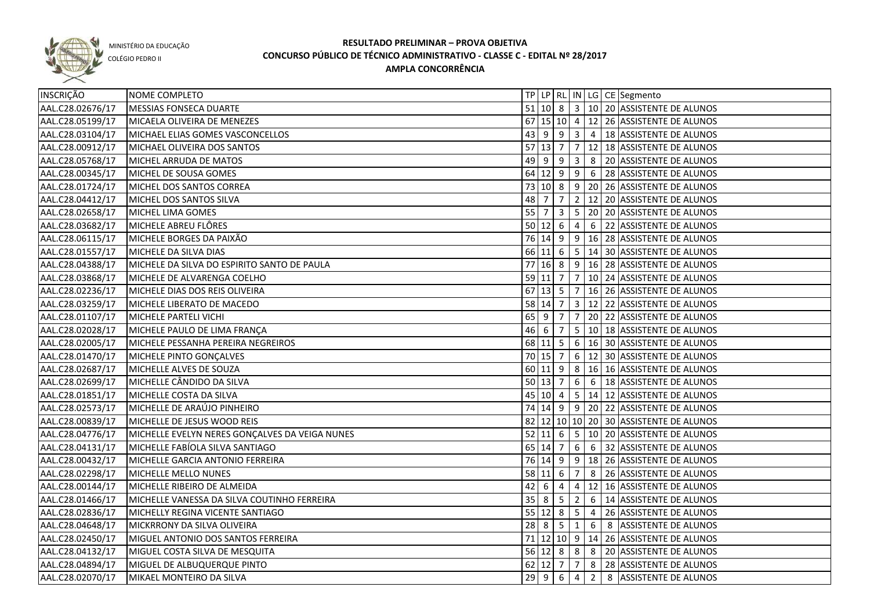

COLÉGIO PEDRO II

|                                    |                                                                                                                                                                                                                                                                                                                                                                                                                                                                                                                                                                                                                                                                                                                                                                                                                                                                                                                                                                                                                                                                                                                                                                               |                                                                                |                                                                                                                                                                                                                     |                                      |                                                               | 67 15 10 4 12 26 ASSISTENTE DE ALUNOS                                                            |
|------------------------------------|-------------------------------------------------------------------------------------------------------------------------------------------------------------------------------------------------------------------------------------------------------------------------------------------------------------------------------------------------------------------------------------------------------------------------------------------------------------------------------------------------------------------------------------------------------------------------------------------------------------------------------------------------------------------------------------------------------------------------------------------------------------------------------------------------------------------------------------------------------------------------------------------------------------------------------------------------------------------------------------------------------------------------------------------------------------------------------------------------------------------------------------------------------------------------------|--------------------------------------------------------------------------------|---------------------------------------------------------------------------------------------------------------------------------------------------------------------------------------------------------------------|--------------------------------------|---------------------------------------------------------------|--------------------------------------------------------------------------------------------------|
|                                    |                                                                                                                                                                                                                                                                                                                                                                                                                                                                                                                                                                                                                                                                                                                                                                                                                                                                                                                                                                                                                                                                                                                                                                               |                                                                                |                                                                                                                                                                                                                     |                                      |                                                               | 43 9 9 3 4 18 ASSISTENTE DE ALUNOS                                                               |
|                                    |                                                                                                                                                                                                                                                                                                                                                                                                                                                                                                                                                                                                                                                                                                                                                                                                                                                                                                                                                                                                                                                                                                                                                                               |                                                                                |                                                                                                                                                                                                                     |                                      |                                                               | 7 12 18 ASSISTENTE DE ALUNOS                                                                     |
|                                    |                                                                                                                                                                                                                                                                                                                                                                                                                                                                                                                                                                                                                                                                                                                                                                                                                                                                                                                                                                                                                                                                                                                                                                               |                                                                                |                                                                                                                                                                                                                     |                                      |                                                               | 8 20 ASSISTENTE DE ALUNOS                                                                        |
|                                    |                                                                                                                                                                                                                                                                                                                                                                                                                                                                                                                                                                                                                                                                                                                                                                                                                                                                                                                                                                                                                                                                                                                                                                               |                                                                                |                                                                                                                                                                                                                     |                                      |                                                               | 64 12 9 9 6 28 ASSISTENTE DE ALUNOS                                                              |
|                                    |                                                                                                                                                                                                                                                                                                                                                                                                                                                                                                                                                                                                                                                                                                                                                                                                                                                                                                                                                                                                                                                                                                                                                                               |                                                                                |                                                                                                                                                                                                                     |                                      |                                                               | 73 10 8 9 20 26 ASSISTENTE DE ALUNOS                                                             |
|                                    |                                                                                                                                                                                                                                                                                                                                                                                                                                                                                                                                                                                                                                                                                                                                                                                                                                                                                                                                                                                                                                                                                                                                                                               | $\overline{7}$                                                                 |                                                                                                                                                                                                                     |                                      |                                                               | 2   12   20   ASSISTENTE DE ALUNOS                                                               |
|                                    |                                                                                                                                                                                                                                                                                                                                                                                                                                                                                                                                                                                                                                                                                                                                                                                                                                                                                                                                                                                                                                                                                                                                                                               | $\overline{\mathbf{3}}$                                                        |                                                                                                                                                                                                                     |                                      |                                                               | 5 20 20 ASSISTENTE DE ALUNOS                                                                     |
|                                    |                                                                                                                                                                                                                                                                                                                                                                                                                                                                                                                                                                                                                                                                                                                                                                                                                                                                                                                                                                                                                                                                                                                                                                               |                                                                                | $\overline{4}$                                                                                                                                                                                                      |                                      |                                                               | 6 22 ASSISTENTE DE ALUNOS                                                                        |
|                                    |                                                                                                                                                                                                                                                                                                                                                                                                                                                                                                                                                                                                                                                                                                                                                                                                                                                                                                                                                                                                                                                                                                                                                                               |                                                                                |                                                                                                                                                                                                                     |                                      |                                                               | 76 14 9 9 16 28 ASSISTENTE DE ALUNOS                                                             |
|                                    |                                                                                                                                                                                                                                                                                                                                                                                                                                                                                                                                                                                                                                                                                                                                                                                                                                                                                                                                                                                                                                                                                                                                                                               |                                                                                |                                                                                                                                                                                                                     |                                      |                                                               | 5   14   30   ASSISTENTE DE ALUNOS                                                               |
|                                    | 77                                                                                                                                                                                                                                                                                                                                                                                                                                                                                                                                                                                                                                                                                                                                                                                                                                                                                                                                                                                                                                                                                                                                                                            |                                                                                |                                                                                                                                                                                                                     |                                      |                                                               | 16  8   9   16   28   ASSISTENTE DE ALUNOS                                                       |
|                                    |                                                                                                                                                                                                                                                                                                                                                                                                                                                                                                                                                                                                                                                                                                                                                                                                                                                                                                                                                                                                                                                                                                                                                                               |                                                                                |                                                                                                                                                                                                                     |                                      |                                                               | 10 24 ASSISTENTE DE ALUNOS                                                                       |
|                                    |                                                                                                                                                                                                                                                                                                                                                                                                                                                                                                                                                                                                                                                                                                                                                                                                                                                                                                                                                                                                                                                                                                                                                                               |                                                                                |                                                                                                                                                                                                                     |                                      |                                                               | 16 26 ASSISTENTE DE ALUNOS                                                                       |
|                                    |                                                                                                                                                                                                                                                                                                                                                                                                                                                                                                                                                                                                                                                                                                                                                                                                                                                                                                                                                                                                                                                                                                                                                                               |                                                                                |                                                                                                                                                                                                                     |                                      |                                                               | 12 22 ASSISTENTE DE ALUNOS                                                                       |
|                                    |                                                                                                                                                                                                                                                                                                                                                                                                                                                                                                                                                                                                                                                                                                                                                                                                                                                                                                                                                                                                                                                                                                                                                                               | 7                                                                              |                                                                                                                                                                                                                     |                                      |                                                               | 7   20   22   ASSISTENTE DE ALUNOS                                                               |
|                                    |                                                                                                                                                                                                                                                                                                                                                                                                                                                                                                                                                                                                                                                                                                                                                                                                                                                                                                                                                                                                                                                                                                                                                                               | $\overline{7}$                                                                 |                                                                                                                                                                                                                     |                                      |                                                               | 5   10   18   ASSISTENTE DE ALUNOS                                                               |
| MICHELE PESSANHA PEREIRA NEGREIROS |                                                                                                                                                                                                                                                                                                                                                                                                                                                                                                                                                                                                                                                                                                                                                                                                                                                                                                                                                                                                                                                                                                                                                                               |                                                                                |                                                                                                                                                                                                                     |                                      |                                                               | 6   16   30   ASSISTENTE DE ALUNOS                                                               |
|                                    |                                                                                                                                                                                                                                                                                                                                                                                                                                                                                                                                                                                                                                                                                                                                                                                                                                                                                                                                                                                                                                                                                                                                                                               |                                                                                |                                                                                                                                                                                                                     |                                      |                                                               | 6   12   30   ASSISTENTE DE ALUNOS                                                               |
|                                    |                                                                                                                                                                                                                                                                                                                                                                                                                                                                                                                                                                                                                                                                                                                                                                                                                                                                                                                                                                                                                                                                                                                                                                               |                                                                                |                                                                                                                                                                                                                     |                                      |                                                               | 8   16   16 ASSISTENTE DE ALUNOS                                                                 |
|                                    |                                                                                                                                                                                                                                                                                                                                                                                                                                                                                                                                                                                                                                                                                                                                                                                                                                                                                                                                                                                                                                                                                                                                                                               |                                                                                | 6                                                                                                                                                                                                                   |                                      |                                                               | 6   18 ASSISTENTE DE ALUNOS                                                                      |
|                                    |                                                                                                                                                                                                                                                                                                                                                                                                                                                                                                                                                                                                                                                                                                                                                                                                                                                                                                                                                                                                                                                                                                                                                                               |                                                                                |                                                                                                                                                                                                                     |                                      |                                                               | 5   14   12   ASSISTENTE DE ALUNOS                                                               |
|                                    |                                                                                                                                                                                                                                                                                                                                                                                                                                                                                                                                                                                                                                                                                                                                                                                                                                                                                                                                                                                                                                                                                                                                                                               |                                                                                |                                                                                                                                                                                                                     |                                      |                                                               | 74   14   9   9   20   22   ASSISTENTE DE ALUNOS                                                 |
|                                    |                                                                                                                                                                                                                                                                                                                                                                                                                                                                                                                                                                                                                                                                                                                                                                                                                                                                                                                                                                                                                                                                                                                                                                               |                                                                                |                                                                                                                                                                                                                     |                                      |                                                               | 82 12 10 10 20 30 ASSISTENTE DE ALUNOS                                                           |
|                                    |                                                                                                                                                                                                                                                                                                                                                                                                                                                                                                                                                                                                                                                                                                                                                                                                                                                                                                                                                                                                                                                                                                                                                                               |                                                                                |                                                                                                                                                                                                                     |                                      |                                                               | 5   10   20   ASSISTENTE DE ALUNOS                                                               |
|                                    |                                                                                                                                                                                                                                                                                                                                                                                                                                                                                                                                                                                                                                                                                                                                                                                                                                                                                                                                                                                                                                                                                                                                                                               |                                                                                | 6                                                                                                                                                                                                                   |                                      |                                                               | 6 32 ASSISTENTE DE ALUNOS                                                                        |
|                                    |                                                                                                                                                                                                                                                                                                                                                                                                                                                                                                                                                                                                                                                                                                                                                                                                                                                                                                                                                                                                                                                                                                                                                                               |                                                                                |                                                                                                                                                                                                                     |                                      |                                                               | 9   18   26   ASSISTENTE DE ALUNOS                                                               |
|                                    |                                                                                                                                                                                                                                                                                                                                                                                                                                                                                                                                                                                                                                                                                                                                                                                                                                                                                                                                                                                                                                                                                                                                                                               |                                                                                | 7                                                                                                                                                                                                                   |                                      |                                                               | 8 26 ASSISTENTE DE ALUNOS                                                                        |
|                                    |                                                                                                                                                                                                                                                                                                                                                                                                                                                                                                                                                                                                                                                                                                                                                                                                                                                                                                                                                                                                                                                                                                                                                                               | 4                                                                              |                                                                                                                                                                                                                     |                                      |                                                               | 12 16 ASSISTENTE DE ALUNOS                                                                       |
|                                    |                                                                                                                                                                                                                                                                                                                                                                                                                                                                                                                                                                                                                                                                                                                                                                                                                                                                                                                                                                                                                                                                                                                                                                               | 5                                                                              |                                                                                                                                                                                                                     |                                      |                                                               | 2 6 14 ASSISTENTE DE ALUNOS                                                                      |
|                                    |                                                                                                                                                                                                                                                                                                                                                                                                                                                                                                                                                                                                                                                                                                                                                                                                                                                                                                                                                                                                                                                                                                                                                                               |                                                                                |                                                                                                                                                                                                                     |                                      |                                                               | 5 4 26 ASSISTENTE DE ALUNOS                                                                      |
|                                    |                                                                                                                                                                                                                                                                                                                                                                                                                                                                                                                                                                                                                                                                                                                                                                                                                                                                                                                                                                                                                                                                                                                                                                               |                                                                                |                                                                                                                                                                                                                     |                                      |                                                               | 6 8 ASSISTENTE DE ALUNOS                                                                         |
|                                    |                                                                                                                                                                                                                                                                                                                                                                                                                                                                                                                                                                                                                                                                                                                                                                                                                                                                                                                                                                                                                                                                                                                                                                               |                                                                                |                                                                                                                                                                                                                     |                                      |                                                               | 71 12 10 9 14 26 ASSISTENTE DE ALUNOS                                                            |
|                                    |                                                                                                                                                                                                                                                                                                                                                                                                                                                                                                                                                                                                                                                                                                                                                                                                                                                                                                                                                                                                                                                                                                                                                                               |                                                                                |                                                                                                                                                                                                                     |                                      |                                                               | 8 20 ASSISTENTE DE ALUNOS                                                                        |
|                                    |                                                                                                                                                                                                                                                                                                                                                                                                                                                                                                                                                                                                                                                                                                                                                                                                                                                                                                                                                                                                                                                                                                                                                                               |                                                                                | $\overline{7}$                                                                                                                                                                                                      |                                      |                                                               | 8 28 ASSISTENTE DE ALUNOS                                                                        |
|                                    |                                                                                                                                                                                                                                                                                                                                                                                                                                                                                                                                                                                                                                                                                                                                                                                                                                                                                                                                                                                                                                                                                                                                                                               | $6\overline{6}$                                                                |                                                                                                                                                                                                                     |                                      |                                                               | 8 ASSISTENTE DE ALUNOS                                                                           |
|                                    | NOME COMPLETO<br>MESSIAS FONSECA DUARTE<br>MICAELA OLIVEIRA DE MENEZES<br>MICHAEL ELIAS GOMES VASCONCELLOS<br>MICHAEL OLIVEIRA DOS SANTOS<br>MICHEL ARRUDA DE MATOS<br>MICHEL DE SOUSA GOMES<br>MICHEL DOS SANTOS CORREA<br>MICHEL DOS SANTOS SILVA<br>MICHEL LIMA GOMES<br>MICHELE ABREU FLÔRES<br>MICHELE BORGES DA PAIXÃO<br>MICHELE DA SILVA DIAS<br>MICHELE DA SILVA DO ESPIRITO SANTO DE PAULA<br>MICHELE DE ALVARENGA COELHO<br>MICHELE DIAS DOS REIS OLIVEIRA<br>MICHELE LIBERATO DE MACEDO<br>MICHELE PARTELI VICHI<br>MICHELE PAULO DE LIMA FRANÇA<br>MICHELE PINTO GONÇALVES<br>MICHELLE ALVES DE SOUZA<br>MICHELLE CÂNDIDO DA SILVA<br>MICHELLE COSTA DA SILVA<br>MICHELLE DE ARAÚJO PINHEIRO<br>MICHELLE DE JESUS WOOD REIS<br>MICHELLE EVELYN NERES GONÇALVES DA VEIGA NUNES<br>MICHELLE FABÍOLA SILVA SANTIAGO<br>MICHELLE GARCIA ANTONIO FERREIRA<br>MICHELLE MELLO NUNES<br>MICHELLE RIBEIRO DE ALMEIDA<br>MICHELLE VANESSA DA SILVA COUTINHO FERREIRA<br>MICHELLY REGINA VICENTE SANTIAGO<br>MICKRRONY DA SILVA OLIVEIRA<br>MIGUEL ANTONIO DOS SANTOS FERREIRA<br>MIGUEL COSTA SILVA DE MESQUITA<br>MIGUEL DE ALBUQUERQUE PINTO<br>MIKAEL MONTEIRO DA SILVA | 48 7<br>$55$ 7<br>$65$   9<br>$46 \mid 6$<br>$42 \mid 6$<br>$35$   8<br>$29$ 9 | $57$ 13 7<br>$49 \mid 9 \mid 9$<br>$50 \ 12 \ 6$<br>66 11 6<br>$59$ 11 7<br>$58$ 14 7<br>$68$ 11 5<br>70 15 7<br>$50$ 13 7<br>45 10 4<br>52   11   6<br>65 14 7<br>76 14 9<br>58 11 6<br>$55 \ 12 \ 8$<br>$62$ 12 7 | $\sqrt{7}$<br>$67$ 13 5 7<br>60 11 9 | 3 <br> 3 <br>4<br>$28$ 8 5 1<br>$56$ 12 8 8<br>$\overline{4}$ | TP   LP   RL   IN   LG   CE   Segmento<br>51 10 8 3 10 20 ASSISTENTE DE ALUNOS<br>$\overline{2}$ |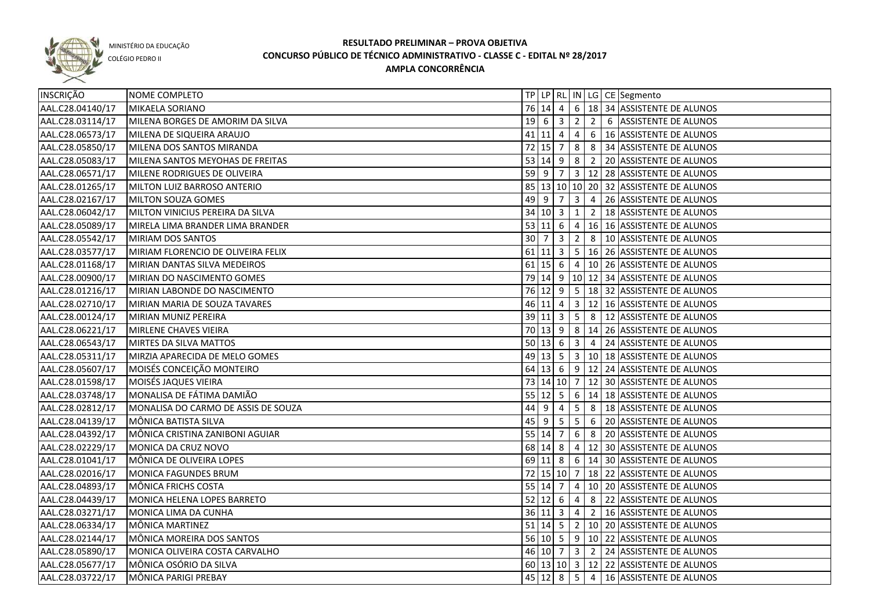

COLÉGIO PEDRO II

| INSCRIÇÃO        | NOME COMPLETO                       |                        |                         |                 |   | TP   LP   RL   IN   LG   CE   Segmento            |
|------------------|-------------------------------------|------------------------|-------------------------|-----------------|---|---------------------------------------------------|
| AAL.C28.04140/17 | MIKAELA SORIANO                     |                        | 76 14 4                 |                 |   | 6 18 34 ASSISTENTE DE ALUNOS                      |
| AAL.C28.03114/17 | MILENA BORGES DE AMORIM DA SILVA    |                        | $19 \mid 6 \mid 3 \mid$ |                 |   | 2 2 6 ASSISTENTE DE ALUNOS                        |
| AAL.C28.06573/17 | MILENA DE SIQUEIRA ARAUJO           | $41$ 11 4              |                         | $\overline{4}$  |   | 6   16 ASSISTENTE DE ALUNOS                       |
| AAL.C28.05850/17 | MILENA DOS SANTOS MIRANDA           | $72$ 15 $\overline{7}$ |                         | 8 <sup>8</sup>  |   | 8 34 ASSISTENTE DE ALUNOS                         |
| AAL.C28.05083/17 | MILENA SANTOS MEYOHAS DE FREITAS    | $53 \ 14 \ 9$          |                         | $\infty$        |   | 2 20 ASSISTENTE DE ALUNOS                         |
| AAL.C28.06571/17 | <b>MILENE RODRIGUES DE OLIVEIRA</b> |                        |                         |                 |   | 59 9 7 3 12 28 ASSISTENTE DE ALUNOS               |
| AAL.C28.01265/17 | MILTON LUIZ BARROSO ANTERIO         |                        |                         |                 |   | 85 13 10 10 20 32 ASSISTENTE DE ALUNOS            |
| AAL.C28.02167/17 | <b>MILTON SOUZA GOMES</b>           |                        |                         |                 |   | 49 9 7 3 4 26 ASSISTENTE DE ALUNOS                |
| AAL.C28.06042/17 | MILTON VINICIUS PEREIRA DA SILVA    |                        |                         |                 |   | 34 10 3 1 2 18 ASSISTENTE DE ALUNOS               |
| AAL.C28.05089/17 | MIRELA LIMA BRANDER LIMA BRANDER    |                        |                         |                 |   | 53 11 6 4 16 16 ASSISTENTE DE ALUNOS              |
| AAL.C28.05542/17 | MIRIAM DOS SANTOS                   |                        |                         |                 |   | 30 7 3 2 8 10 ASSISTENTE DE ALUNOS                |
| AAL.C28.03577/17 | MIRIAM FLORENCIO DE OLIVEIRA FELIX  |                        |                         |                 |   | 61 11 3 5 16 26 ASSISTENTE DE ALUNOS              |
| AAL.C28.01168/17 | MIRIAN DANTAS SILVA MEDEIROS        |                        |                         |                 |   | 61 15 6 4 10 26 ASSISTENTE DE ALUNOS              |
| AAL.C28.00900/17 | MIRIAN DO NASCIMENTO GOMES          |                        |                         |                 |   | 79 14 9 10 12 34 ASSISTENTE DE ALUNOS             |
| AAL.C28.01216/17 | MIRIAN LABONDE DO NASCIMENTO        |                        |                         |                 |   | 76 12 9 5 18 32 ASSISTENTE DE ALUNOS              |
| AAL.C28.02710/17 | MIRIAN MARIA DE SOUZA TAVARES       |                        | $46$ 11 4               |                 |   | $3 \mid 12 \mid 16$ ASSISTENTE DE ALUNOS          |
| AAL.C28.00124/17 | MIRIAN MUNIZ PEREIRA                |                        |                         |                 |   | 39 11 3 5 8 12 ASSISTENTE DE ALUNOS               |
| AAL.C28.06221/17 | MIRLENE CHAVES VIEIRA               |                        | 70 13 9                 |                 |   | 8 14 26 ASSISTENTE DE ALUNOS                      |
| AAL.C28.06543/17 | MIRTES DA SILVA MATTOS              | $50 \mid 13 \mid 6$    |                         |                 |   | 3 4 24 ASSISTENTE DE ALUNOS                       |
| AAL.C28.05311/17 | MIRZIA APARECIDA DE MELO GOMES      |                        |                         |                 |   | 49 13 5 3 10 18 ASSISTENTE DE ALUNOS              |
| AAL.C28.05607/17 | MOISÉS CONCEIÇÃO MONTEIRO           |                        |                         |                 |   | 64 13 6 9 12 24 ASSISTENTE DE ALUNOS              |
| AAL.C28.01598/17 | MOISÉS JAQUES VIEIRA                |                        |                         |                 |   | 73   14   10   7   12   30   ASSISTENTE DE ALUNOS |
| AAL.C28.03748/17 | MONALISA DE FÁTIMA DAMIÃO           |                        | $55 \ 12 \ 5$           |                 |   | $6 \mid 14 \mid 18 \mid$ ASSISTENTE DE ALUNOS     |
| AAL.C28.02812/17 | MONALISA DO CARMO DE ASSIS DE SOUZA | $44 \mid 9$            | $\overline{4}$          | $5\phantom{.0}$ | 8 | 18 ASSISTENTE DE ALUNOS                           |
| AAL.C28.04139/17 | MÔNICA BATISTA SILVA                | 45 9                   | $5^{\circ}$             | $5\overline{)}$ | 6 | 20 ASSISTENTE DE ALUNOS                           |
| AAL.C28.04392/17 | MÔNICA CRISTINA ZANIBONI AGUIAR     | 55 14 7                |                         | $6\overline{6}$ | 8 | 20 ASSISTENTE DE ALUNOS                           |
| AAL.C28.02229/17 | MONICA DA CRUZ NOVO                 | 68 14 8                |                         |                 |   | 4   12   30   ASSISTENTE DE ALUNOS                |
| AAL.C28.01041/17 | MÔNICA DE OLIVEIRA LOPES            | $69$ 11 8              |                         |                 |   | 6 14 30 ASSISTENTE DE ALUNOS                      |
| AAL.C28.02016/17 | MONICA FAGUNDES BRUM                |                        |                         |                 |   | 72 15 10 7 18 22 ASSISTENTE DE ALUNOS             |
| AAL.C28.04893/17 | MÔNICA FRICHS COSTA                 | 55 14 7                |                         | $\overline{4}$  |   | 10 20 ASSISTENTE DE ALUNOS                        |
| AAL.C28.04439/17 | MONICA HELENA LOPES BARRETO         | $52 \mid 12 \mid 6$    |                         | $\overline{4}$  |   | 8 22 ASSISTENTE DE ALUNOS                         |
| AAL.C28.03271/17 | MONICA LIMA DA CUNHA                |                        | 36 11 3                 |                 |   | 4 2 16 ASSISTENTE DE ALUNOS                       |
| AAL.C28.06334/17 | MÔNICA MARTINEZ                     |                        |                         |                 |   | 51 14 5 2 10 20 ASSISTENTE DE ALUNOS              |
| AAL.C28.02144/17 | MÔNICA MOREIRA DOS SANTOS           |                        |                         |                 |   | 56 10 5 9 10 22 ASSISTENTE DE ALUNOS              |
| AAL.C28.05890/17 | MONICA OLIVEIRA COSTA CARVALHO      |                        |                         |                 |   | 46 10 7 3 2 24 ASSISTENTE DE ALUNOS               |
| AAL.C28.05677/17 | MÔNICA OSÓRIO DA SILVA              |                        |                         |                 |   | 60 13 10 3 12 22 ASSISTENTE DE ALUNOS             |
| AAL.C28.03722/17 | MÔNICA PARIGI PREBAY                |                        |                         |                 |   | 45 12 8 5 4 16 ASSISTENTE DE ALUNOS               |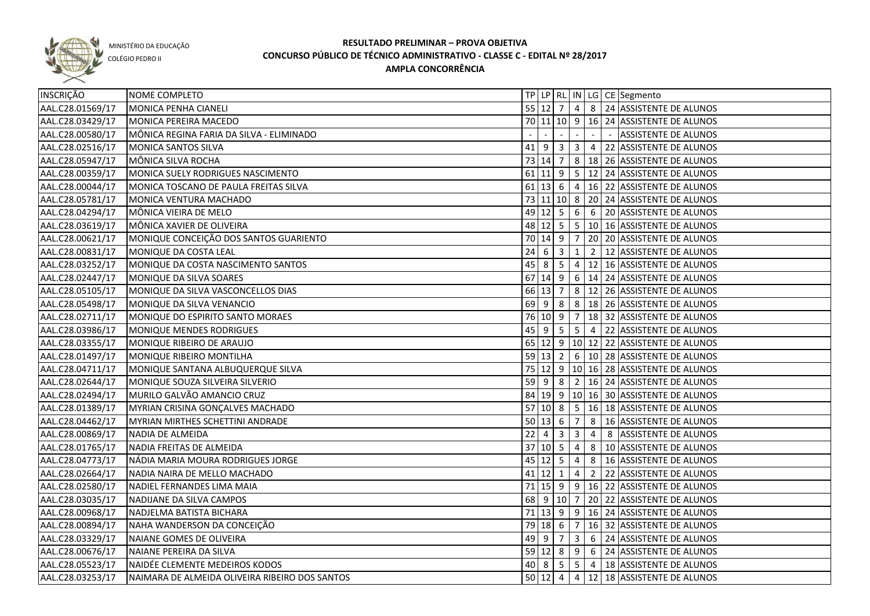

COLÉGIO PEDRO II

| INSCRIÇÃO        | NOME COMPLETO                                  |    |                     |                         |                         |                |        | TP   LP   RL   IN   LG   CE   Segmento                      |
|------------------|------------------------------------------------|----|---------------------|-------------------------|-------------------------|----------------|--------|-------------------------------------------------------------|
| AAL.C28.01569/17 | MONICA PENHA CIANELI                           |    |                     |                         |                         |                |        | 55 12 7 4 8 24 ASSISTENTE DE ALUNOS                         |
| AAL.C28.03429/17 | MONICA PEREIRA MACEDO                          |    |                     |                         |                         |                |        | 70 11 10 9 16 24 ASSISTENTE DE ALUNOS                       |
| AAL.C28.00580/17 | MÔNICA REGINA FARIA DA SILVA - ELIMINADO       |    |                     |                         |                         |                | $\sim$ | <b>ASSISTENTE DE ALUNOS</b>                                 |
| AAL.C28.02516/17 | MONICA SANTOS SILVA                            |    |                     |                         |                         |                |        | 41 9 3 3 4 22 ASSISTENTE DE ALUNOS                          |
| AAL.C28.05947/17 | MÔNICA SILVA ROCHA                             |    |                     |                         |                         |                |        | 73 14 7 8 18 26 ASSISTENTE DE ALUNOS                        |
| AAL.C28.00359/17 | MONICA SUELY RODRIGUES NASCIMENTO              |    |                     |                         |                         |                |        | $\overline{61}$ 11   9   5   12   24   ASSISTENTE DE ALUNOS |
| AAL.C28.00044/17 | MONICA TOSCANO DE PAULA FREITAS SILVA          |    |                     |                         |                         |                |        | 61   13   6   4   16   22   ASSISTENTE DE ALUNOS            |
| AAL.C28.05781/17 | MONICA VENTURA MACHADO                         |    |                     |                         |                         |                |        | 73 11 10 8 20 24 ASSISTENTE DE ALUNOS                       |
| AAL.C28.04294/17 | MÔNICA VIEIRA DE MELO                          |    |                     |                         |                         |                |        | 49   12   5   6   6   20   ASSISTENTE DE ALUNOS             |
| AAL.C28.03619/17 | MÔNICA XAVIER DE OLIVEIRA                      |    |                     |                         |                         |                |        | 48 12 5 5 10 16 ASSISTENTE DE ALUNOS                        |
| AAL.C28.00621/17 | MONIQUE CONCEIÇÃO DOS SANTOS GUARIENTO         |    |                     |                         |                         |                |        | 70   14   9   7   20   20   ASSISTENTE DE ALUNOS            |
| AAL.C28.00831/17 | MONIQUE DA COSTA LEAL                          | 24 |                     | $6 \mid 3 \mid$         | ┃ 1 ┃                   |                |        | 2   12 ASSISTENTE DE ALUNOS                                 |
| AAL.C28.03252/17 | MONIQUE DA COSTA NASCIMENTO SANTOS             |    |                     |                         |                         |                |        | 45   8   5   4   12   16   ASSISTENTE DE ALUNOS             |
| AAL.C28.02447/17 | MONIQUE DA SILVA SOARES                        |    |                     | $67$ 14 9               |                         |                |        | $6 \mid 14 \mid 24$ ASSISTENTE DE ALUNOS                    |
| AAL.C28.05105/17 | MONIQUE DA SILVA VASCONCELLOS DIAS             |    | 66 13 7             |                         |                         |                |        | 8   12   26   ASSISTENTE DE ALUNOS                          |
| AAL.C28.05498/17 | MONIQUE DA SILVA VENANCIO                      |    |                     |                         |                         |                |        | 69   9   8   8   18   26   ASSISTENTE DE ALUNOS             |
| AAL.C28.02711/17 | MONIQUE DO ESPIRITO SANTO MORAES               |    |                     |                         |                         |                |        | 76 10 9 7 18 32 ASSISTENTE DE ALUNOS                        |
| AAL.C28.03986/17 | MONIQUE MENDES RODRIGUES                       | 45 | l 9                 | $5^{\circ}$             | 5 <sup>1</sup>          |                |        | 4 22 ASSISTENTE DE ALUNOS                                   |
| AAL.C28.03355/17 | MONIQUE RIBEIRO DE ARAUJO                      |    |                     |                         |                         |                |        | 65 12 9 10 12 22 ASSISTENTE DE ALUNOS                       |
| AAL.C28.01497/17 | MONIQUE RIBEIRO MONTILHA                       |    |                     | 59 13 2                 |                         |                |        | 6   10   28   ASSISTENTE DE ALUNOS                          |
| AAL.C28.04711/17 | MONIQUE SANTANA ALBUQUERQUE SILVA              | 75 |                     |                         |                         |                |        | 12 9 10 16 28 ASSISTENTE DE ALUNOS                          |
| AAL.C28.02644/17 | MONIQUE SOUZA SILVEIRA SILVERIO                | 59 | l 9                 | 8                       | 2                       |                |        | 16 24 ASSISTENTE DE ALUNOS                                  |
| AAL.C28.02494/17 | MURILO GALVÃO AMANCIO CRUZ                     |    |                     |                         |                         |                |        | 84 19 9 10 16 30 ASSISTENTE DE ALUNOS                       |
| AAL.C28.01389/17 | MYRIAN CRISINA GONÇALVES MACHADO               |    |                     |                         |                         |                |        | 57 10 8 5 16 18 ASSISTENTE DE ALUNOS                        |
| AAL.C28.04462/17 | MYRIAN MIRTHES SCHETTINI ANDRADE               |    |                     | $50 \mid 13 \mid 6$     | $\overline{7}$          | 8 <sup>8</sup> |        | 16 ASSISTENTE DE ALUNOS                                     |
| AAL.C28.00869/17 | NADIA DE ALMEIDA                               | 22 | 4                   | $\overline{\mathbf{3}}$ | $\overline{\mathbf{3}}$ | $\overline{4}$ |        | 8 ASSISTENTE DE ALUNOS                                      |
| AAL.C28.01765/17 | NADIA FREITAS DE ALMEIDA                       |    | 37 10 5             |                         | $\overline{4}$          |                |        | 8   10 ASSISTENTE DE ALUNOS                                 |
| AAL.C28.04773/17 | NÁDIA MARIA MOURA RODRIGUES JORGE              |    | $45 \mid 12 \mid 5$ |                         | $\overline{4}$          |                |        | 8   16 ASSISTENTE DE ALUNOS                                 |
| AAL.C28.02664/17 | NADIA NAIRA DE MELLO MACHADO                   |    | $41$ 12 1           |                         | $\overline{4}$          | $\overline{2}$ |        | 22 ASSISTENTE DE ALUNOS                                     |
| AAL.C28.02580/17 | NADIEL FERNANDES LIMA MAIA                     |    |                     |                         |                         |                |        | 71 15 9 9 16 22 ASSISTENTE DE ALUNOS                        |
| AAL.C28.03035/17 | NADIJANE DA SILVA CAMPOS                       |    |                     |                         |                         |                |        | 68 9 10 7 20 22 ASSISTENTE DE ALUNOS                        |
| AAL.C28.00968/17 | NADJELMA BATISTA BICHARA                       |    |                     |                         |                         |                |        | 71 13 9 9 16 24 ASSISTENTE DE ALUNOS                        |
| AAL.C28.00894/17 | NAHA WANDERSON DA CONCEIÇÃO                    |    |                     |                         |                         |                |        | 79 18 6 7 16 32 ASSISTENTE DE ALUNOS                        |
| AAL.C28.03329/17 | NAIANE GOMES DE OLIVEIRA                       |    |                     |                         |                         |                |        | 49 9 7 3 6 24 ASSISTENTE DE ALUNOS                          |
| AAL.C28.00676/17 | NAIANE PEREIRA DA SILVA                        |    |                     |                         |                         |                |        | 59 12 8 9 6 24 ASSISTENTE DE ALUNOS                         |
| AAL.C28.05523/17 | NAIDÉE CLEMENTE MEDEIROS KODOS                 |    |                     |                         |                         |                |        | 40 8 5 5 4 18 ASSISTENTE DE ALUNOS                          |
| AAL.C28.03253/17 | NAIMARA DE ALMEIDA OLIVEIRA RIBEIRO DOS SANTOS |    |                     |                         |                         |                |        | 50 12 4 4 12 18 ASSISTENTE DE ALUNOS                        |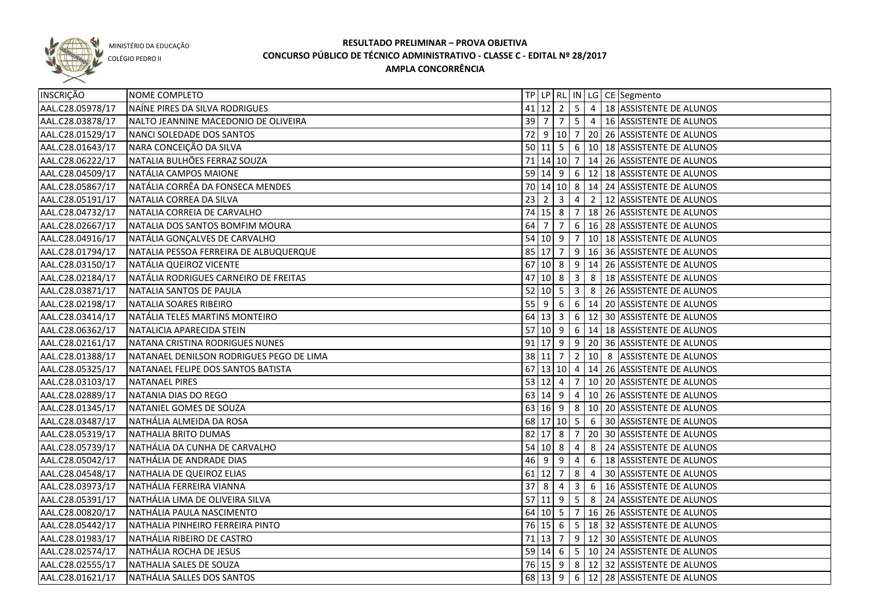

COLÉGIO PEDRO II

| INSCRIÇÃO        | NOME COMPLETO                             |          |                            |                |                                  |    | TP   LP   RL   IN   LG   CE   Segmento            |
|------------------|-------------------------------------------|----------|----------------------------|----------------|----------------------------------|----|---------------------------------------------------|
| AAL.C28.05978/17 | NAÍNE PIRES DA SILVA RODRIGUES            |          |                            |                |                                  |    | 41 12 2 5 4 18 ASSISTENTE DE ALUNOS               |
| AAL.C28.03878/17 | NALTO JEANNINE MACEDONIO DE OLIVEIRA      |          |                            |                |                                  |    | 39   7   7   5   4   16   ASSISTENTE DE ALUNOS    |
| AAL.C28.01529/17 | NANCI SOLEDADE DOS SANTOS                 |          |                            |                |                                  |    | 72 9 10 7 20 26 ASSISTENTE DE ALUNOS              |
| AAL.C28.01643/17 | NARA CONCEIÇÃO DA SILVA                   |          |                            |                |                                  |    | 50 11 5 6 10 18 ASSISTENTE DE ALUNOS              |
| AAL.C28.06222/17 | NATALIA BULHÕES FERRAZ SOUZA              |          |                            |                |                                  |    | 71   14   10   7   14   26   ASSISTENTE DE ALUNOS |
| AAL.C28.04509/17 | NATÁLIA CAMPOS MAIONE                     |          |                            |                |                                  |    | 59   14   9   6   12   18   ASSISTENTE DE ALUNOS  |
| AAL.C28.05867/17 | NATÁLIA CORRÊA DA FONSECA MENDES          |          |                            |                |                                  |    | 70 14 10 8 14 24 ASSISTENTE DE ALUNOS             |
| AAL.C28.05191/17 | NATALIA CORREA DA SILVA                   |          |                            |                |                                  |    | 23   2   3   4   2   12   ASSISTENTE DE ALUNOS    |
| AAL.C28.04732/17 | NATALIA CORREIA DE CARVALHO               |          |                            |                |                                  |    | 74   15   8   7   18   26   ASSISTENTE DE ALUNOS  |
| AAL.C28.02667/17 | NATALIA DOS SANTOS BOMFIM MOURA           |          | 64 7 7                     |                |                                  |    | $6   16   28  $ ASSISTENTE DE ALUNOS              |
| AAL.C28.04916/17 | NATÁLIA GONÇALVES DE CARVALHO             |          |                            |                |                                  |    | 54 10 9 7 10 18 ASSISTENTE DE ALUNOS              |
| AAL.C28.01794/17 | NATALIA PESSOA FERREIRA DE ALBUQUERQUE    |          |                            |                |                                  |    | 85 17 7 9 16 36 ASSISTENTE DE ALUNOS              |
| AAL.C28.03150/17 | NATÁLIA QUEIROZ VICENTE                   |          |                            |                |                                  |    | 67 10 8 9 14 26 ASSISTENTE DE ALUNOS              |
| AAL.C28.02184/17 | NATÁLIA RODRIGUES CARNEIRO DE FREITAS     |          | $47$ 10 8 3                |                |                                  | 8  | 18 ASSISTENTE DE ALUNOS                           |
| AAL.C28.03871/17 | NATALIA SANTOS DE PAULA                   |          | $52 \mid 10 \mid 5 \mid 3$ |                |                                  | 8  | 26 ASSISTENTE DE ALUNOS                           |
| AAL.C28.02198/17 | NATALIA SOARES RIBEIRO                    | $55$   9 |                            | 6              | 6                                |    | 14 20 ASSISTENTE DE ALUNOS                        |
| AAL.C28.03414/17 | NATÁLIA TELES MARTINS MONTEIRO            |          | $64$ 13 3 6                |                |                                  |    | 12 30 ASSISTENTE DE ALUNOS                        |
| AAL.C28.06362/17 | NATALICIA APARECIDA STEIN                 |          |                            |                |                                  |    | 57 10 9 6 14 18 ASSISTENTE DE ALUNOS              |
| AAL.C28.02161/17 | NATANA CRISTINA RODRIGUES NUNES           |          |                            |                |                                  |    | 91 17 9 9 20 36 ASSISTENTE DE ALUNOS              |
| AAL.C28.01388/17 | INATANAEL DENILSON RODRIGUES PEGO DE LIMA |          |                            |                |                                  |    | 38 11 7 2 10 8 ASSISTENTE DE ALUNOS               |
| AAL.C28.05325/17 | NATANAEL FELIPE DOS SANTOS BATISTA        |          |                            |                |                                  |    | 67   13   10   4   14   26   ASSISTENTE DE ALUNOS |
| AAL.C28.03103/17 | <b>NATANAEL PIRES</b>                     |          | $53 \ 12 \ 4$              |                | $\overline{7}$                   |    | 10 20 ASSISTENTE DE ALUNOS                        |
| AAL.C28.02889/17 | NATANIA DIAS DO REGO                      |          | 63   14   9                |                | $\begin{array}{c} 4 \end{array}$ |    | 10 26 ASSISTENTE DE ALUNOS                        |
| AAL.C28.01345/17 | NATANIEL GOMES DE SOUZA                   |          | 63 16 9                    |                |                                  |    | 8   10   20   ASSISTENTE DE ALUNOS                |
| AAL.C28.03487/17 | NATHÁLIA ALMEIDA DA ROSA                  |          | 68 17 10 5                 |                |                                  | 6  | 30 ASSISTENTE DE ALUNOS                           |
| AAL.C28.05319/17 | NATHALIA BRITO DUMAS                      |          | 82 17 8                    |                | 7                                | 20 | 30 ASSISTENTE DE ALUNOS                           |
| AAL.C28.05739/17 | NATHÁLIA DA CUNHA DE CARVALHO             |          | 54   10   8                |                | 4                                | 8  | 24 ASSISTENTE DE ALUNOS                           |
| AAL.C28.05042/17 | NATHÁLIA DE ANDRADE DIAS                  | 46       | - 9                        | $\overline{9}$ | 4                                | 6  | 18 ASSISTENTE DE ALUNOS                           |
| AAL.C28.04548/17 | NATHALIA DE QUEIROZ ELIAS                 |          | $61$   12  7               |                | 8                                | 4  | 30 ASSISTENTE DE ALUNOS                           |
| AAL.C28.03973/17 | NATHÁLIA FERREIRA VIANNA                  | $37$ 8   |                            | 4              | $\overline{3}$                   | 6  | 16 ASSISTENTE DE ALUNOS                           |
| AAL.C28.05391/17 | NATHÁLIA LIMA DE OLIVEIRA SILVA           |          | $57$ 11 9                  |                | $\begin{array}{c} 5 \end{array}$ |    | 8 24 ASSISTENTE DE ALUNOS                         |
| AAL.C28.00820/17 | NATHÁLIA PAULA NASCIMENTO                 |          |                            |                |                                  |    | 64 10 5 7 16 26 ASSISTENTE DE ALUNOS              |
| AAL.C28.05442/17 | NATHALIA PINHEIRO FERREIRA PINTO          |          |                            |                |                                  |    | 76 15 6 5 18 32 ASSISTENTE DE ALUNOS              |
| AAL.C28.01983/17 | NATHÁLIA RIBEIRO DE CASTRO                |          |                            |                |                                  |    | 71 13 7 9 12 30 ASSISTENTE DE ALUNOS              |
| AAL.C28.02574/17 | NATHÁLIA ROCHA DE JESUS                   |          |                            |                |                                  |    | 59 14 6 5 10 24 ASSISTENTE DE ALUNOS              |
| AAL.C28.02555/17 | NATHALIA SALES DE SOUZA                   |          |                            |                |                                  |    | 76 15 9 8 12 32 ASSISTENTE DE ALUNOS              |
| AAL.C28.01621/17 | NATHÁLIA SALLES DOS SANTOS                |          |                            |                |                                  |    | 68 13 9 6 12 28 ASSISTENTE DE ALUNOS              |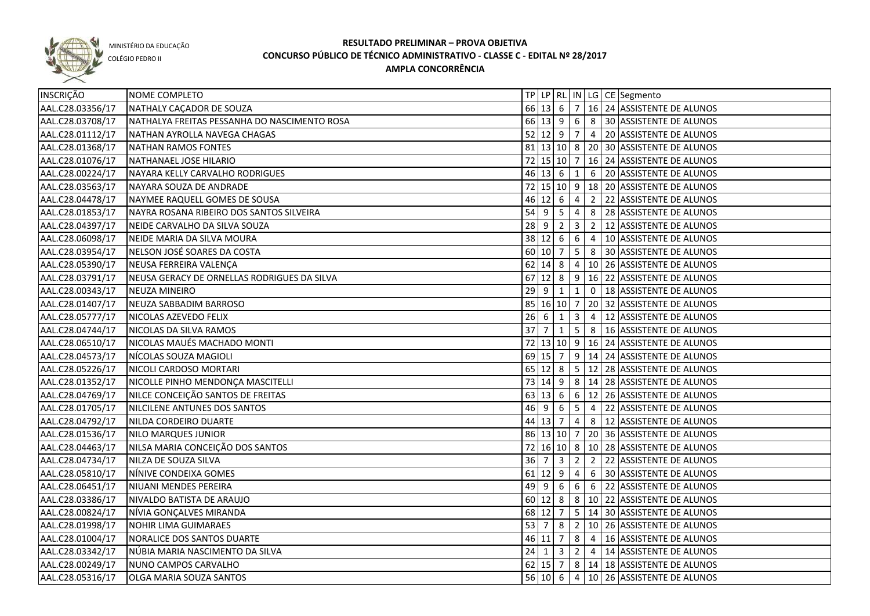

COLÉGIO PEDRO II

| INSCRIÇÃO        | NOME COMPLETO                                |        |                     |                         |                 |                | TP   LP   RL   IN   LG   CE   Segmento                |
|------------------|----------------------------------------------|--------|---------------------|-------------------------|-----------------|----------------|-------------------------------------------------------|
| AAL.C28.03356/17 | NATHALY CAÇADOR DE SOUZA                     |        |                     |                         |                 |                | 66 13 6 7 16 24 ASSISTENTE DE ALUNOS                  |
| AAL.C28.03708/17 | NATHALYA FREITAS PESSANHA DO NASCIMENTO ROSA |        |                     |                         |                 |                | 66 13 9 6 8 30 ASSISTENTE DE ALUNOS                   |
| AAL.C28.01112/17 | NATHAN AYROLLA NAVEGA CHAGAS                 |        |                     |                         |                 |                | 52 12 9 7 4 20 ASSISTENTE DE ALUNOS                   |
| AAL.C28.01368/17 | NATHAN RAMOS FONTES                          |        |                     |                         |                 |                | 81   13   10   8   20   30   ASSISTENTE DE ALUNOS     |
| AAL.C28.01076/17 | NATHANAEL JOSE HILARIO                       |        |                     |                         |                 |                | 72 15 10 7 16 24 ASSISTENTE DE ALUNOS                 |
| AAL.C28.00224/17 | NAYARA KELLY CARVALHO RODRIGUES              |        |                     |                         |                 |                | 46 13 6 1 6 20 ASSISTENTE DE ALUNOS                   |
| AAL.C28.03563/17 | NAYARA SOUZA DE ANDRADE                      |        |                     |                         |                 |                | 72 15 10 9 18 20 ASSISTENTE DE ALUNOS                 |
| AAL.C28.04478/17 | NAYMEE RAQUELL GOMES DE SOUSA                |        |                     |                         |                 |                | 46 12 6 4 2 22 ASSISTENTE DE ALUNOS                   |
| AAL.C28.01853/17 | NAYRA ROSANA RIBEIRO DOS SANTOS SILVEIRA     |        |                     |                         |                 |                | 54 9 5 4 8 28 ASSISTENTE DE ALUNOS                    |
| AAL.C28.04397/17 | NEIDE CARVALHO DA SILVA SOUZA                |        |                     |                         |                 |                | 28 9 2 3 2 12 ASSISTENTE DE ALUNOS                    |
| AAL.C28.06098/17 | NEIDE MARIA DA SILVA MOURA                   |        |                     |                         |                 |                | 38 12 6 6 4 10 ASSISTENTE DE ALUNOS                   |
| AAL.C28.03954/17 | NELSON JOSÉ SOARES DA COSTA                  |        | $60 \ 10 \ 7$       |                         |                 |                | $\vert 5 \vert 8 \vert 30 \vert$ ASSISTENTE DE ALUNOS |
| AAL.C28.05390/17 | NEUSA FERREIRA VALENÇA                       |        |                     |                         |                 |                | 62 14 8 4 10 26 ASSISTENTE DE ALUNOS                  |
| AAL.C28.03791/17 | NEUSA GERACY DE ORNELLAS RODRIGUES DA SILVA  |        |                     |                         |                 |                | 67 12 8 9 16 22 ASSISTENTE DE ALUNOS                  |
| AAL.C28.00343/17 | <b>NEUZA MINEIRO</b>                         | $29$ 9 |                     | $\overline{1}$          | $\mathbf{1}$    |                | 0   18 ASSISTENTE DE ALUNOS                           |
| AAL.C28.01407/17 | NEUZA SABBADIM BARROSO                       |        | 85 16 10 7          |                         |                 |                | 20 32 ASSISTENTE DE ALUNOS                            |
| AAL.C28.05777/17 | NICOLAS AZEVEDO FELIX                        | 26     | $\overline{6}$      | $\mathbf{1}$            | $\mathbf{3}$    | $\overline{4}$ | 12 ASSISTENTE DE ALUNOS                               |
| AAL.C28.04744/17 | NICOLAS DA SILVA RAMOS                       | 37     | $\overline{7}$      | $\mathbf{1}$            |                 |                | 5 8 16 ASSISTENTE DE ALUNOS                           |
| AAL.C28.06510/17 | NICOLAS MAUÉS MACHADO MONTI                  |        |                     |                         |                 |                | 72 13 10 9 16 24 ASSISTENTE DE ALUNOS                 |
| AAL.C28.04573/17 | NÍCOLAS SOUZA MAGIOLI                        |        |                     |                         |                 |                | 69 15 7 9 14 24 ASSISTENTE DE ALUNOS                  |
| AAL.C28.05226/17 | NICOLI CARDOSO MORTARI                       |        |                     |                         |                 |                | 65   12   8   5   12   28   ASSISTENTE DE ALUNOS      |
| AAL.C28.01352/17 | NICOLLE PINHO MENDONÇA MASCITELLI            |        |                     |                         |                 |                | 73   14   9   8   14   28   ASSISTENTE DE ALUNOS      |
| AAL.C28.04769/17 | NILCE CONCEIÇÃO SANTOS DE FREITAS            |        | $63 \mid 13 \mid 6$ |                         | 6 <sup>1</sup>  |                | 12 26 ASSISTENTE DE ALUNOS                            |
| AAL.C28.01705/17 | NILCILENE ANTUNES DOS SANTOS                 |        | 46 9                | $\sqrt{6}$              | 5 <sub>1</sub>  | $\vert 4$      | 22 ASSISTENTE DE ALUNOS                               |
| AAL.C28.04792/17 | NILDA CORDEIRO DUARTE                        |        | 44 13 7             |                         | 4               | 8              | 12 ASSISTENTE DE ALUNOS                               |
| AAL.C28.01536/17 | NILO MARQUES JUNIOR                          |        | 86 13 10 7          |                         |                 |                | 20 36 ASSISTENTE DE ALUNOS                            |
| AAL.C28.04463/17 | NILSA MARIA CONCEIÇÃO DOS SANTOS             |        |                     |                         |                 |                | 72   16   10   8   10   28   ASSISTENTE DE ALUNOS     |
| AAL.C28.04734/17 | NILZA DE SOUZA SILVA                         | 36     | -7                  | $\overline{\mathbf{3}}$ | $\overline{2}$  | $\overline{2}$ | 22 ASSISTENTE DE ALUNOS                               |
| AAL.C28.05810/17 | NÍNIVE CONDEIXA GOMES                        |        | $61$   12   9       |                         | 4               | 6              | 30 ASSISTENTE DE ALUNOS                               |
| AAL.C28.06451/17 | NIUANI MENDES PEREIRA                        | $49$ 9 |                     | 6                       | $6\overline{6}$ | 6              | 22 ASSISTENTE DE ALUNOS                               |
| AAL.C28.03386/17 | NIVALDO BATISTA DE ARAUJO                    |        | $60 \ 12 \ 8$       |                         |                 |                | $8 \mid 10 \mid 22$ ASSISTENTE DE ALUNOS              |
| AAL.C28.00824/17 | NÍVIA GONÇALVES MIRANDA                      |        |                     |                         |                 |                | 68 12 7 5 14 30 ASSISTENTE DE ALUNOS                  |
| AAL.C28.01998/17 | NOHIR LIMA GUIMARAES                         |        |                     |                         |                 |                | 53 7 8 2 10 26 ASSISTENTE DE ALUNOS                   |
| AAL.C28.01004/17 | NORALICE DOS SANTOS DUARTE                   |        |                     |                         |                 |                | 46 11 7 8 4 16 ASSISTENTE DE ALUNOS                   |
| AAL.C28.03342/17 | NÚBIA MARIA NASCIMENTO DA SILVA              |        |                     |                         |                 |                | 24 $1$ 3 $2$ $4$ $14$ ASSISTENTE DE ALUNOS            |
| AAL.C28.00249/17 | NUNO CAMPOS CARVALHO                         |        |                     |                         |                 |                | 62 15 7 8 14 18 ASSISTENTE DE ALUNOS                  |
| AAL.C28.05316/17 | <b>OLGA MARIA SOUZA SANTOS</b>               |        |                     |                         |                 |                | 56 10 6 4 10 26 ASSISTENTE DE ALUNOS                  |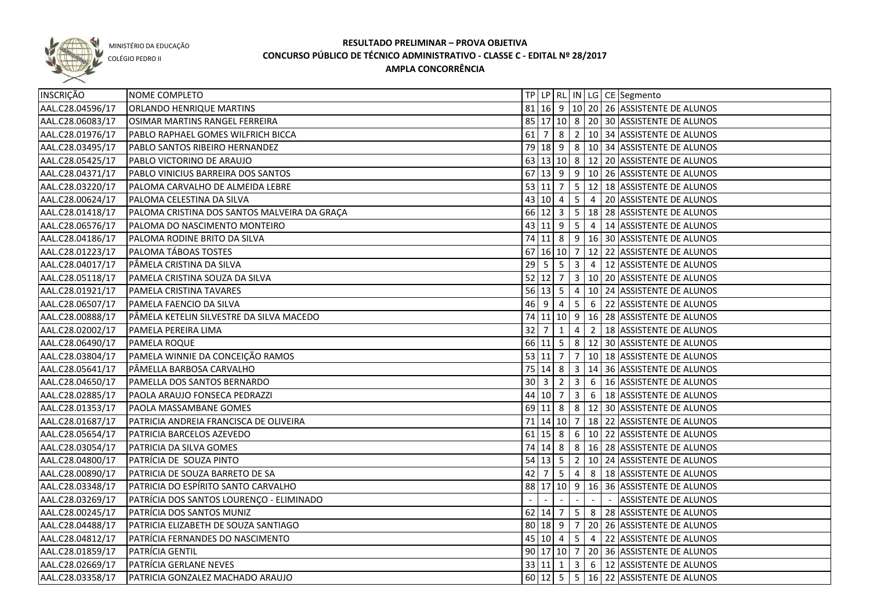

#### COLÉGIO PEDRO II

| INSCRIÇÃO        | NOME COMPLETO                                |    |             |                     |                         |                 | TP   LP   RL   IN   LG   CE   Segmento                 |
|------------------|----------------------------------------------|----|-------------|---------------------|-------------------------|-----------------|--------------------------------------------------------|
| AAL.C28.04596/17 | ORLANDO HENRIQUE MARTINS                     |    |             |                     |                         |                 | 81 16 9 10 20 26 ASSISTENTE DE ALUNOS                  |
| AAL.C28.06083/17 | OSIMAR MARTINS RANGEL FERREIRA               |    |             |                     |                         |                 | 85 17 10 8 20 30 ASSISTENTE DE ALUNOS                  |
| AAL.C28.01976/17 | PABLO RAPHAEL GOMES WILFRICH BICCA           |    |             |                     |                         |                 | 61   7   8   2   10   34   ASSISTENTE DE ALUNOS        |
| AAL.C28.03495/17 | PABLO SANTOS RIBEIRO HERNANDEZ               |    |             |                     |                         |                 | 79   18   9   8   10   34   ASSISTENTE DE ALUNOS       |
| AAL.C28.05425/17 | PABLO VICTORINO DE ARAUJO                    |    |             |                     |                         |                 | 63 13 10 8 12 20 ASSISTENTE DE ALUNOS                  |
| AAL.C28.04371/17 | PABLO VINICIUS BARREIRA DOS SANTOS           |    |             |                     |                         |                 | 67 13 9 9 10 26 ASSISTENTE DE ALUNOS                   |
| AAL.C28.03220/17 | PALOMA CARVALHO DE ALMEIDA LEBRE             |    | 53 11       | $\overline{7}$      |                         |                 | 5   12   18 ASSISTENTE DE ALUNOS                       |
| AAL.C28.00624/17 | PALOMA CELESTINA DA SILVA                    |    |             | 43 10 4             |                         |                 | 5 4 20 ASSISTENTE DE ALUNOS                            |
| AAL.C28.01418/17 | PALOMA CRISTINA DOS SANTOS MALVEIRA DA GRAÇA |    |             | $66$ 12 3           |                         |                 | $\vert 5 \vert 18 \vert 28 \vert$ ASSISTENTE DE ALUNOS |
| AAL.C28.06576/17 | PALOMA DO NASCIMENTO MONTEIRO                | 43 | 11          | 9                   | $5\overline{5}$         | $\overline{4}$  | 14 ASSISTENTE DE ALUNOS                                |
| AAL.C28.04186/17 | PALOMA RODINE BRITO DA SILVA                 |    |             | 74 11 8             |                         |                 | 9   16   30 ASSISTENTE DE ALUNOS                       |
| AAL.C28.01223/17 | PALOMA TÁBOAS TOSTES                         |    |             |                     |                         |                 | 67 16 10 7 12 22 ASSISTENTE DE ALUNOS                  |
| AAL.C28.04017/17 | <b>PÂMELA CRISTINA DA SILVA</b>              |    | $29$ 5      | 5                   | $\overline{\mathbf{3}}$ | $\vert 4 \vert$ | 12 ASSISTENTE DE ALUNOS                                |
| AAL.C28.05118/17 | PAMELA CRISTINA SOUZA DA SILVA               |    |             | $52$ 12 7           | 3 <sup>1</sup>          |                 | 10 20 ASSISTENTE DE ALUNOS                             |
| AAL.C28.01921/17 | PAMELA CRISTINA TAVARES                      |    |             | $56 \mid 13 \mid 5$ | $\overline{4}$          |                 | 10 24 ASSISTENTE DE ALUNOS                             |
| AAL.C28.06507/17 | PAMELA FAENCIO DA SILVA                      |    | $46 \mid 9$ | $\overline{4}$      | $5\overline{)}$         | 6               | 22 ASSISTENTE DE ALUNOS                                |
| AAL.C28.00888/17 | PÂMELA KETELIN SILVESTRE DA SILVA MACEDO     |    |             | 74 11 10 9          |                         |                 | 16 28 ASSISTENTE DE ALUNOS                             |
| AAL.C28.02002/17 | PAMELA PEREIRA LIMA                          | 32 | 7           | 1                   | 4                       | $\overline{2}$  | 18 ASSISTENTE DE ALUNOS                                |
| AAL.C28.06490/17 | PAMELA ROQUE                                 |    |             | $66$ 11 5           |                         |                 | 8   12   30   ASSISTENTE DE ALUNOS                     |
| AAL.C28.03804/17 | PAMELA WINNIE DA CONCEIÇÃO RAMOS             |    | 53 11       | $\overline{7}$      | $\overline{7}$          |                 | 10 18 ASSISTENTE DE ALUNOS                             |
| AAL.C28.05641/17 | PÂMELLA BARBOSA CARVALHO                     |    |             | 75 14 8             | 3 <sup>1</sup>          |                 | 14 36 ASSISTENTE DE ALUNOS                             |
| AAL.C28.04650/17 | PAMELLA DOS SANTOS BERNARDO                  | 30 | -3          | 2                   | $\overline{3}$          | 6               | 16 ASSISTENTE DE ALUNOS                                |
| AAL.C28.02885/17 | PAOLA ARAUJO FONSECA PEDRAZZI                |    | 44 10 7     |                     | $\overline{\mathbf{3}}$ | 6               | 18 ASSISTENTE DE ALUNOS                                |
| AAL.C28.01353/17 | PAOLA MASSAMBANE GOMES                       |    | 69 11       | 8                   |                         |                 | 8   12   30   ASSISTENTE DE ALUNOS                     |
| AAL.C28.01687/17 | PATRICIA ANDREIA FRANCISCA DE OLIVEIRA       |    |             | 71 14 10 7          |                         |                 | 18 22 ASSISTENTE DE ALUNOS                             |
| AAL.C28.05654/17 | PATRICIA BARCELOS AZEVEDO                    |    |             | $61$ 15 8           |                         |                 | 6   10   22   ASSISTENTE DE ALUNOS                     |
| AAL.C28.03054/17 | PATRICIA DA SILVA GOMES                      |    |             | 74 14 8             |                         |                 | 8   16   28   ASSISTENTE DE ALUNOS                     |
| AAL.C28.04800/17 | PATRÍCIA DE SOUZA PINTO                      |    |             |                     |                         |                 | 54   13   5   2   10   24   ASSISTENTE DE ALUNOS       |
| AAL.C28.00890/17 | PATRICIA DE SOUZA BARRETO DE SA              | 42 |             |                     |                         |                 | $7 \mid 5 \mid 4 \mid 8 \mid 18$ ASSISTENTE DE ALUNOS  |
| AAL.C28.03348/17 | PATRICIA DO ESPÍRITO SANTO CARVALHO          |    |             |                     |                         |                 | 88 17 10 9 16 36 ASSISTENTE DE ALUNOS                  |
| AAL.C28.03269/17 | PATRÍCIA DOS SANTOS LOURENÇO - ELIMINADO     |    |             |                     |                         | $\sim$          | ASSISTENTE DE ALUNOS                                   |
| AAL.C28.00245/17 | PATRÍCIA DOS SANTOS MUNIZ                    |    |             | 62 14 7             |                         |                 | 5 8 28 ASSISTENTE DE ALUNOS                            |
| AAL.C28.04488/17 | PATRICIA ELIZABETH DE SOUZA SANTIAGO         |    |             | 80 18 9 7           |                         |                 | 20 26 ASSISTENTE DE ALUNOS                             |
| AAL.C28.04812/17 | PATRÍCIA FERNANDES DO NASCIMENTO             |    |             |                     |                         |                 | 45 10 4 5 4 22 ASSISTENTE DE ALUNOS                    |
| AAL.C28.01859/17 | PATRÍCIA GENTIL                              |    |             |                     |                         |                 | 90 17 10 7 20 36 ASSISTENTE DE ALUNOS                  |
| AAL.C28.02669/17 | PATRÍCIA GERLANE NEVES                       |    |             | 33 11 1             |                         |                 | 3 6 12 ASSISTENTE DE ALUNOS                            |
| AAL.C28.03358/17 | PATRICIA GONZALEZ MACHADO ARAUJO             |    |             |                     |                         |                 | 60 12 5 5 16 22 ASSISTENTE DE ALUNOS                   |
|                  |                                              |    |             |                     |                         |                 |                                                        |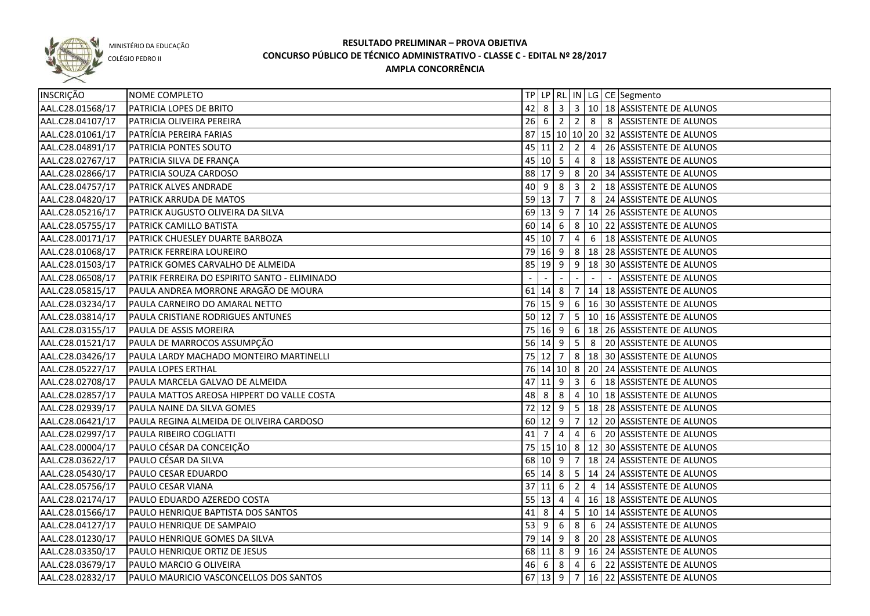

COLÉGIO PEDRO II

| INSCRIÇÃO        | NOME COMPLETO                                 |        |                            |           |                |                | TP   LP   RL   IN   LG   CE   Segmento            |
|------------------|-----------------------------------------------|--------|----------------------------|-----------|----------------|----------------|---------------------------------------------------|
| AAL.C28.01568/17 | PATRICIA LOPES DE BRITO                       | 42     | 8                          |           |                |                | $3   3   10   18  $ ASSISTENTE DE ALUNOS          |
| AAL.C28.04107/17 | <b>PATRICIA OLIVEIRA PEREIRA</b>              |        | $26 \mid 6 \mid 2$         |           |                |                | 2 8 8 ASSISTENTE DE ALUNOS                        |
| AAL.C28.01061/17 | PATRÍCIA PEREIRA FARIAS                       |        |                            |           |                |                | 87 15 10 10 20 32 ASSISTENTE DE ALUNOS            |
| AAL.C28.04891/17 | <b>PATRICIA PONTES SOUTO</b>                  |        | $45$  11 2                 |           |                |                | 2 4 26 ASSISTENTE DE ALUNOS                       |
| AAL.C28.02767/17 | PATRICIA SILVA DE FRANÇA                      |        |                            |           |                |                | 45 10 5 4 8 18 ASSISTENTE DE ALUNOS               |
| AAL.C28.02866/17 | <b>PATRICIA SOUZA CARDOSO</b>                 |        |                            |           |                |                | 88 17 9 8 20 34 ASSISTENTE DE ALUNOS              |
| AAL.C28.04757/17 | <b>PATRICK ALVES ANDRADE</b>                  |        |                            |           |                |                | 40 9 8 3 2 18 ASSISTENTE DE ALUNOS                |
| AAL.C28.04820/17 | <b>PATRICK ARRUDA DE MATOS</b>                |        |                            |           |                |                | 59 13 7 7 8 24 ASSISTENTE DE ALUNOS               |
| AAL.C28.05216/17 | PATRICK AUGUSTO OLIVEIRA DA SILVA             |        |                            |           |                |                | 69 13 9 7 14 26 ASSISTENTE DE ALUNOS              |
| AAL.C28.05755/17 | <b>PATRICK CAMILLO BATISTA</b>                |        |                            |           |                |                | 60 14 6 8 10 22 ASSISTENTE DE ALUNOS              |
| AAL.C28.00171/17 | PATRICK CHUESLEY DUARTE BARBOZA               |        |                            |           |                |                | 45 10 7 4 6 18 ASSISTENTE DE ALUNOS               |
| AAL.C28.01068/17 | PATRICK FERREIRA LOUREIRO                     |        |                            |           |                |                | 79 16 9 8 18 28 ASSISTENTE DE ALUNOS              |
| AAL.C28.01503/17 | PATRICK GOMES CARVALHO DE ALMEIDA             |        |                            |           |                |                | 85   19   9   9   18   30   ASSISTENTE DE ALUNOS  |
| AAL.C28.06508/17 | PATRIK FERREIRA DO ESPIRITO SANTO - ELIMINADO |        |                            |           |                |                | <b>ASSISTENTE DE ALUNOS</b>                       |
| AAL.C28.05815/17 | PAULA ANDREA MORRONE ARAGÃO DE MOURA          |        |                            |           |                |                | 61 14 8 7 14 18 ASSISTENTE DE ALUNOS              |
| AAL.C28.03234/17 | PAULA CARNEIRO DO AMARAL NETTO                |        |                            |           |                |                | 76 15 9 6 16 30 ASSISTENTE DE ALUNOS              |
| AAL.C28.03814/17 | PAULA CRISTIANE RODRIGUES ANTUNES             |        |                            |           |                |                | 50   12   7   5   10   16   ASSISTENTE DE ALUNOS  |
| AAL.C28.03155/17 | PAULA DE ASSIS MOREIRA                        |        |                            |           |                |                | 75   16   9   6   18   26   ASSISTENTE DE ALUNOS  |
| AAL.C28.01521/17 | PAULA DE MARROCOS ASSUMPÇÃO                   |        |                            |           |                |                | 56 14 9 5 8 20 ASSISTENTE DE ALUNOS               |
| AAL.C28.03426/17 | PAULA LARDY MACHADO MONTEIRO MARTINELLI       |        | $75 \mid 12 \mid 7$        |           |                |                | 8   18   30   ASSISTENTE DE ALUNOS                |
| AAL.C28.05227/17 | <b>PAULA LOPES ERTHAL</b>                     |        |                            |           |                |                | 76 14 10 8 20 24 ASSISTENTE DE ALUNOS             |
| AAL.C28.02708/17 | PAULA MARCELA GALVAO DE ALMEIDA               | 47     | $\vert 11 \vert 9 \vert 3$ |           |                | 6              | 18 ASSISTENTE DE ALUNOS                           |
| AAL.C28.02857/17 | PAULA MATTOS AREOSA HIPPERT DO VALLE COSTA    | 48 8   |                            | 8         | $\overline{4}$ |                | 10 18 ASSISTENTE DE ALUNOS                        |
| AAL.C28.02939/17 | PAULA NAINE DA SILVA GOMES                    |        |                            |           |                |                | 72   12   9   5   18   28   ASSISTENTE DE ALUNOS  |
| AAL.C28.06421/17 | PAULA REGINA ALMEIDA DE OLIVEIRA CARDOSO      |        | 60 12 9                    |           | $\overline{7}$ |                | 12 20 ASSISTENTE DE ALUNOS                        |
| AAL.C28.02997/17 | PAULA RIBEIRO COGLIATTI                       | 41     | 7                          | 4         | 4              | 6              | 20 ASSISTENTE DE ALUNOS                           |
| AAL.C28.00004/17 | PAULO CÉSAR DA CONCEIÇÃO                      |        |                            |           |                |                | 75   15   10   8   12   30   ASSISTENTE DE ALUNOS |
| AAL.C28.03622/17 | PAULO CÉSAR DA SILVA                          |        | 68 10 9                    |           | $\overline{7}$ |                | 18 24 ASSISTENTE DE ALUNOS                        |
| AAL.C28.05430/17 | PAULO CESAR EDUARDO                           |        | $65 \ 14 \ 8$              |           |                |                | 5 14 24 ASSISTENTE DE ALUNOS                      |
| AAL.C28.05756/17 | PAULO CESAR VIANA                             | 37     | $11$   6                   |           | $\overline{2}$ | $\overline{4}$ | 14 ASSISTENTE DE ALUNOS                           |
| AAL.C28.02174/17 | PAULO EDUARDO AZEREDO COSTA                   |        | 55   13   4                |           | 4              |                | 16 18 ASSISTENTE DE ALUNOS                        |
| AAL.C28.01566/17 | PAULO HENRIQUE BAPTISTA DOS SANTOS            | 41     | - 8                        | 4         | 5 <sub>1</sub> |                | 10 14 ASSISTENTE DE ALUNOS                        |
| AAL.C28.04127/17 | PAULO HENRIQUE DE SAMPAIO                     | $53$ 9 |                            | 6         | $8\phantom{1}$ | 6              | 24 ASSISTENTE DE ALUNOS                           |
| AAL.C28.01230/17 | PAULO HENRIQUE GOMES DA SILVA                 |        |                            |           |                |                | 79 14 9 8 20 28 ASSISTENTE DE ALUNOS              |
| AAL.C28.03350/17 | PAULO HENRIQUE ORTIZ DE JESUS                 |        |                            |           |                |                | 68 11 8 9 16 24 ASSISTENTE DE ALUNOS              |
| AAL.C28.03679/17 | PAULO MARCIO G OLIVEIRA                       |        | 46 6                       | $\vert$ 8 |                |                |                                                   |
| AAL.C28.02832/17 | PAULO MAURICIO VASCONCELLOS DOS SANTOS        |        |                            |           |                |                | 67 13 9 7 16 22 ASSISTENTE DE ALUNOS              |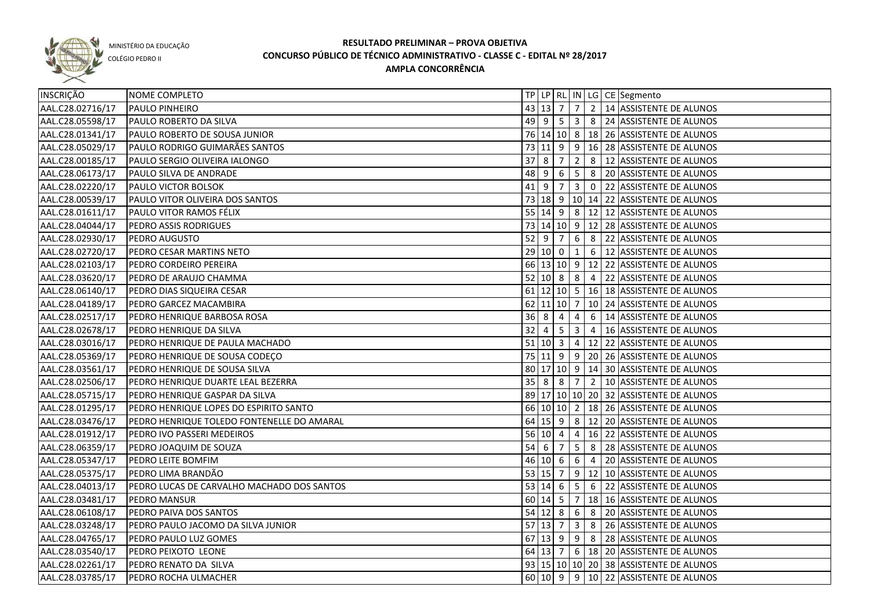

COLÉGIO PEDRO II

| INSCRIÇÃO        | NOME COMPLETO                              |             |   |                    |                |  | TP   LP   RL   IN   LG   CE   Segmento |
|------------------|--------------------------------------------|-------------|---|--------------------|----------------|--|----------------------------------------|
| AAL.C28.02716/17 | <b>PAULO PINHEIRO</b>                      |             |   |                    |                |  | 43 13 7 7 2 14 ASSISTENTE DE ALUNOS    |
| AAL.C28.05598/17 | <b>PAULO ROBERTO DA SILVA</b>              |             |   |                    |                |  | 49 9 5 3 8 24 ASSISTENTE DE ALUNOS     |
| AAL.C28.01341/17 | PAULO ROBERTO DE SOUSA JUNIOR              |             |   |                    |                |  | 76 14 10 8 18 26 ASSISTENTE DE ALUNOS  |
| AAL.C28.05029/17 | <b>PAULO RODRIGO GUIMARÃES SANTOS</b>      |             |   |                    |                |  | 73 11 9 9 16 28 ASSISTENTE DE ALUNOS   |
| AAL.C28.00185/17 | PAULO SERGIO OLIVEIRA IALONGO              |             |   |                    |                |  | 37 8 7 2 8 12 ASSISTENTE DE ALUNOS     |
| AAL.C28.06173/17 | PAULO SILVA DE ANDRADE                     |             |   |                    |                |  | 48 9 6 5 8 20 ASSISTENTE DE ALUNOS     |
| AAL.C28.02220/17 | PAULO VICTOR BOLSOK                        |             |   |                    |                |  | 41 9 7 3 0 22 ASSISTENTE DE ALUNOS     |
| AAL.C28.00539/17 | PAULO VITOR OLIVEIRA DOS SANTOS            |             |   |                    |                |  | 73 18 9 10 14 22 ASSISTENTE DE ALUNOS  |
| AAL.C28.01611/17 | PAULO VITOR RAMOS FÉLIX                    |             |   |                    |                |  | 55 14 9 8 12 12 ASSISTENTE DE ALUNOS   |
| AAL.C28.04044/17 | PEDRO ASSIS RODRIGUES                      |             |   |                    |                |  | 73 14 10 9 12 28 ASSISTENTE DE ALUNOS  |
| AAL.C28.02930/17 | <b>PEDRO AUGUSTO</b>                       |             |   | $52$ 9 7           |                |  | 6 8 22 ASSISTENTE DE ALUNOS            |
| AAL.C28.02720/17 | PEDRO CESAR MARTINS NETO                   |             |   |                    |                |  | 29 10 0 1 6 12 ASSISTENTE DE ALUNOS    |
| AAL.C28.02103/17 | PEDRO CORDEIRO PEREIRA                     |             |   |                    |                |  | 66 13 10 9 12 22 ASSISTENTE DE ALUNOS  |
| AAL.C28.03620/17 | PEDRO DE ARAUJO CHAMMA                     |             |   |                    |                |  | 52 10 8 8 4 22 ASSISTENTE DE ALUNOS    |
| AAL.C28.06140/17 | PEDRO DIAS SIQUEIRA CESAR                  |             |   |                    |                |  | 61 12 10 5 16 18 ASSISTENTE DE ALUNOS  |
| AAL.C28.04189/17 | PEDRO GARCEZ MACAMBIRA                     |             |   |                    |                |  | 62 11 10 7 10 24 ASSISTENTE DE ALUNOS  |
| AAL.C28.02517/17 | PEDRO HENRIQUE BARBOSA ROSA                | $36 \mid 8$ |   | $\sqrt{4}$         | $\overline{4}$ |  | 6 14 ASSISTENTE DE ALUNOS              |
| AAL.C28.02678/17 | PEDRO HENRIQUE DA SILVA                    | 32          | 4 | 5 <sup>5</sup>     | 3              |  | 4   16 ASSISTENTE DE ALUNOS            |
| AAL.C28.03016/17 | PEDRO HENRIQUE DE PAULA MACHADO            |             |   | 51   10   3        |                |  | 4 12 22 ASSISTENTE DE ALUNOS           |
| AAL.C28.05369/17 | PEDRO HENRIQUE DE SOUSA CODEÇO             |             |   |                    |                |  | 75 11 9 9 20 26 ASSISTENTE DE ALUNOS   |
| AAL.C28.03561/17 | PEDRO HENRIQUE DE SOUSA SILVA              |             |   |                    |                |  | 80 17 10 9 14 30 ASSISTENTE DE ALUNOS  |
| AAL.C28.02506/17 | PEDRO HENRIQUE DUARTE LEAL BEZERRA         |             |   | $35 \mid 8 \mid 8$ | 7 <sup>1</sup> |  | 2   10 ASSISTENTE DE ALUNOS            |
| AAL.C28.05715/17 | PEDRO HENRIQUE GASPAR DA SILVA             |             |   |                    |                |  | 89 17 10 10 20 32 ASSISTENTE DE ALUNOS |
| AAL.C28.01295/17 | PEDRO HENRIQUE LOPES DO ESPIRITO SANTO     |             |   |                    |                |  | 66 10 10 2 18 26 ASSISTENTE DE ALUNOS  |
| AAL.C28.03476/17 | PEDRO HENRIQUE TOLEDO FONTENELLE DO AMARAL |             |   |                    |                |  | 64 15 9 8 12 20 ASSISTENTE DE ALUNOS   |
| AAL.C28.01912/17 | PEDRO IVO PASSERI MEDEIROS                 |             |   |                    |                |  | 56 10 4 4 4 16 22 ASSISTENTE DE ALUNOS |
| AAL.C28.06359/17 | PEDRO JOAQUIM DE SOUZA                     |             |   |                    |                |  | 54 6 7 5 8 28 ASSISTENTE DE ALUNOS     |
| AAL.C28.05347/17 | <b>PEDRO LEITE BOMFIM</b>                  |             |   |                    |                |  | 46 10 6 6 4 20 ASSISTENTE DE ALUNOS    |
| AAL.C28.05375/17 | PEDRO LIMA BRANDÃO                         |             |   |                    |                |  | 53 15 7 9 12 10 ASSISTENTE DE ALUNOS   |
| AAL.C28.04013/17 | PEDRO LUCAS DE CARVALHO MACHADO DOS SANTOS |             |   |                    |                |  | 53 14 6 5 6 22 ASSISTENTE DE ALUNOS    |
| AAL.C28.03481/17 | PEDRO MANSUR                               |             |   |                    |                |  | 60 14 5 7 18 16 ASSISTENTE DE ALUNOS   |
| AAL.C28.06108/17 | PEDRO PAIVA DOS SANTOS                     |             |   |                    |                |  | 54 12 8 6 8 20 ASSISTENTE DE ALUNOS    |
| AAL.C28.03248/17 | PEDRO PAULO JACOMO DA SILVA JUNIOR         |             |   |                    |                |  | 57 13 7 3 8 26 ASSISTENTE DE ALUNOS    |
| AAL.C28.04765/17 | PEDRO PAULO LUZ GOMES                      |             |   |                    |                |  | 67 13 9 9 8 28 ASSISTENTE DE ALUNOS    |
| AAL.C28.03540/17 | PEDRO PEIXOTO LEONE                        |             |   |                    |                |  | 64 13 7 6 18 20 ASSISTENTE DE ALUNOS   |
| AAL.C28.02261/17 | PEDRO RENATO DA SILVA                      |             |   |                    |                |  | 93 15 10 10 20 38 ASSISTENTE DE ALUNOS |
| AAL.C28.03785/17 | PEDRO ROCHA ULMACHER                       |             |   |                    |                |  | 60 10 9 9 10 22 ASSISTENTE DE ALUNOS   |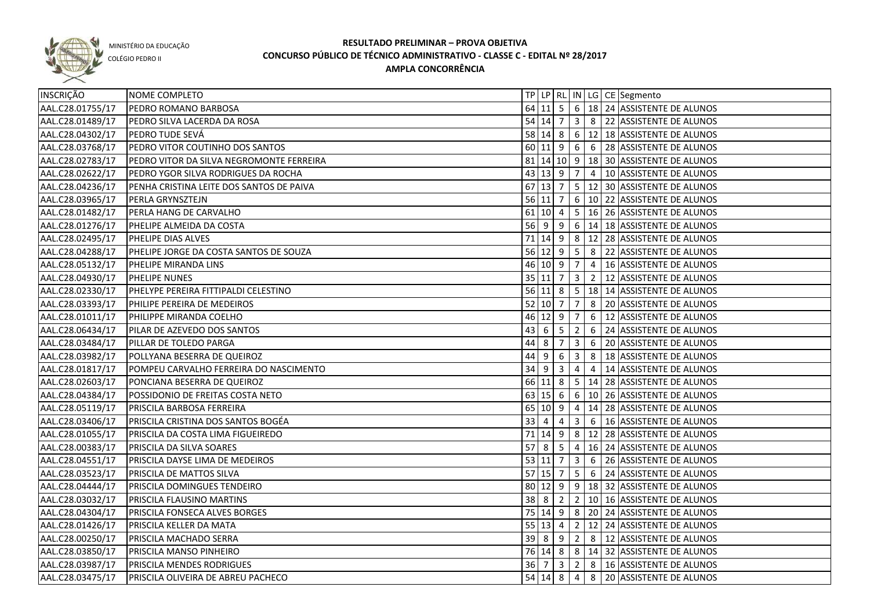

COLÉGIO PEDRO II

| INSCRIÇÃO        | NOME COMPLETO                               |    |                            |                |                         |   | TP   LP   RL   IN   LG   CE   Segmento           |
|------------------|---------------------------------------------|----|----------------------------|----------------|-------------------------|---|--------------------------------------------------|
| AAL.C28.01755/17 | PEDRO ROMANO BARBOSA                        |    |                            |                |                         |   | 64 11 5 6 18 24 ASSISTENTE DE ALUNOS             |
| AAL.C28.01489/17 | PEDRO SILVA LACERDA DA ROSA                 |    |                            |                |                         |   | 54 14 7 3 8 22 ASSISTENTE DE ALUNOS              |
| AAL.C28.04302/17 | PEDRO TUDE SEVÁ                             |    |                            |                |                         |   | 58 14 8 6 12 18 ASSISTENTE DE ALUNOS             |
| AAL.C28.03768/17 | PEDRO VITOR COUTINHO DOS SANTOS             |    |                            |                |                         |   | 60 11 9 6 6 28 ASSISTENTE DE ALUNOS              |
| AAL.C28.02783/17 | PEDRO VITOR DA SILVA NEGROMONTE FERREIRA    |    |                            |                |                         |   | 81 14 10 9 18 30 ASSISTENTE DE ALUNOS            |
| AAL.C28.02622/17 | <b>IPEDRO YGOR SILVA RODRIGUES DA ROCHA</b> |    |                            |                |                         |   | 43 13 9 7 4 10 ASSISTENTE DE ALUNOS              |
| AAL.C28.04236/17 | PENHA CRISTINA LEITE DOS SANTOS DE PAIVA    |    |                            |                |                         |   | 67 13 7 5 12 30 ASSISTENTE DE ALUNOS             |
| AAL.C28.03965/17 | <b>PERLA GRYNSZTEJN</b>                     |    |                            |                |                         |   | 56 11 7 6 10 22 ASSISTENTE DE ALUNOS             |
| AAL.C28.01482/17 | PERLA HANG DE CARVALHO                      |    |                            |                |                         |   | 61 10 4 5 16 26 ASSISTENTE DE ALUNOS             |
| AAL.C28.01276/17 | PHELIPE ALMEIDA DA COSTA                    |    |                            |                |                         |   | 56 9 9 6 14 18 ASSISTENTE DE ALUNOS              |
| AAL.C28.02495/17 | PHELIPE DIAS ALVES                          |    |                            |                |                         |   | 71 14 9 8 12 28 ASSISTENTE DE ALUNOS             |
| AAL.C28.04288/17 | PHELIPE JORGE DA COSTA SANTOS DE SOUZA      |    |                            |                |                         |   | 56 12 9 5 8 22 ASSISTENTE DE ALUNOS              |
| AAL.C28.05132/17 | PHELIPE MIRANDA LINS                        |    | $46$ 10 9 7                |                |                         |   | 4   16 ASSISTENTE DE ALUNOS                      |
| AAL.C28.04930/17 | <b>PHELIPE NUNES</b>                        |    | $35 \mid 11 \mid 7 \mid 3$ |                |                         |   | 2   12 ASSISTENTE DE ALUNOS                      |
| AAL.C28.02330/17 | PHELYPE PEREIRA FITTIPALDI CELESTINO        |    |                            |                |                         |   | 56 11 8 5 18 14 ASSISTENTE DE ALUNOS             |
| AAL.C28.03393/17 | PHILIPE PEREIRA DE MEDEIROS                 |    | $52$ 10 7 7                |                |                         |   | 8 20 ASSISTENTE DE ALUNOS                        |
| AAL.C28.01011/17 | PHILIPPE MIRANDA COELHO                     |    | $46$ 12 9 7                |                |                         | 6 | 12 ASSISTENTE DE ALUNOS                          |
| AAL.C28.06434/17 | PILAR DE AZEVEDO DOS SANTOS                 | 43 | 6 <sup>1</sup>             | $5 \mid 2$     |                         | 6 | 24 ASSISTENTE DE ALUNOS                          |
| AAL.C28.03484/17 | PILLAR DE TOLEDO PARGA                      | 44 | 8                          | $7 \mid 3$     |                         | 6 | 20 ASSISTENTE DE ALUNOS                          |
| AAL.C28.03982/17 | POLLYANA BESERRA DE QUEIROZ                 | 44 | 9                          | 6              | $\vert$ 3               | 8 | 18 ASSISTENTE DE ALUNOS                          |
| AAL.C28.01817/17 | POMPEU CARVALHO FERREIRA DO NASCIMENTO      |    | $34$ 9 3                   |                | $\overline{4}$          | 4 | 14 ASSISTENTE DE ALUNOS                          |
| AAL.C28.02603/17 | PONCIANA BESERRA DE QUEIROZ                 |    |                            |                |                         |   | 66 11 8 5 14 28 ASSISTENTE DE ALUNOS             |
| AAL.C28.04384/17 | POSSIDONIO DE FREITAS COSTA NETO            |    | 63   15   6                |                |                         |   | $6 \mid 10 \mid 26$ ASSISTENTE DE ALUNOS         |
| AAL.C28.05119/17 | PRISCILA BARBOSA FERREIRA                   |    | 65 10 9                    |                | 4                       |   | 14 28 ASSISTENTE DE ALUNOS                       |
| AAL.C28.03406/17 | PRISCILA CRISTINA DOS SANTOS BOGÉA          | 33 | -4                         | 4              | 3                       | 6 | 16 ASSISTENTE DE ALUNOS                          |
| AAL.C28.01055/17 | PRISCILA DA COSTA LIMA FIGUEIREDO           |    | 71 14 9                    |                | 8                       |   | 12 28 ASSISTENTE DE ALUNOS                       |
| AAL.C28.00383/17 | PRISCILA DA SILVA SOARES                    |    | $57 \mid 8 \mid 5$         |                | $\overline{4}$          |   | 16 24 ASSISTENTE DE ALUNOS                       |
| AAL.C28.04551/17 | PRISCILA DAYSE LIMA DE MEDEIROS             |    | 53 11 7                    |                | $\overline{\mathbf{3}}$ | 6 | 26 ASSISTENTE DE ALUNOS                          |
| AAL.C28.03523/17 | PRISCILA DE MATTOS SILVA                    |    | $57$ 15 7                  |                | 5 <sup>5</sup>          | 6 | 24 ASSISTENTE DE ALUNOS                          |
| AAL.C28.04444/17 | PRISCILA DOMINGUES TENDEIRO                 |    | $80 \ 12 \ 9$              |                |                         |   | 9   18   32   ASSISTENTE DE ALUNOS               |
| AAL.C28.03032/17 | PRISCILA FLAUSINO MARTINS                   |    | 38 8                       | $\overline{2}$ |                         |   | 2   10   16   ASSISTENTE DE ALUNOS               |
| AAL.C28.04304/17 | PRISCILA FONSECA ALVES BORGES               |    |                            |                |                         |   | 75   14   9   8   20   24   ASSISTENTE DE ALUNOS |
| AAL.C28.01426/17 | PRISCILA KELLER DA MATA                     |    | $55 \mid 13 \mid 4$        |                |                         |   | 2   12   24   ASSISTENTE DE ALUNOS               |
| AAL.C28.00250/17 | <b>PRISCILA MACHADO SERRA</b>               |    | $39$ $8$ $9$               |                |                         |   | 2 8 12 ASSISTENTE DE ALUNOS                      |
| AAL.C28.03850/17 | PRISCILA MANSO PINHEIRO                     |    |                            |                |                         |   | 76 14 8 8 14 32 ASSISTENTE DE ALUNOS             |
| AAL.C28.03987/17 | PRISCILA MENDES RODRIGUES                   |    |                            |                |                         |   | 36 7 3 2 8 16 ASSISTENTE DE ALUNOS               |
| AAL.C28.03475/17 | <b>PRISCILA OLIVEIRA DE ABREU PACHECO</b>   |    |                            |                |                         |   | 54 14 8 4 8 20 ASSISTENTE DE ALUNOS              |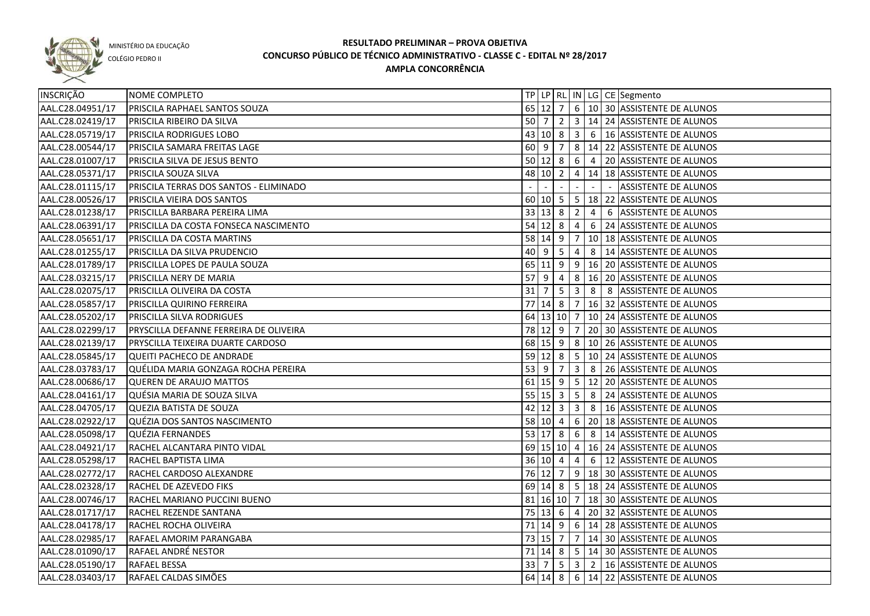

COLÉGIO PEDRO II

| 65 12 7 6 10 30 ASSISTENTE DE ALUNOS<br>AAL.C28.04951/17<br>PRISCILA RAPHAEL SANTOS SOUZA<br>AAL.C28.02419/17<br>50   7   2   3   14   24   ASSISTENTE DE ALUNOS<br>PRISCILA RIBEIRO DA SILVA<br>AAL.C28.05719/17<br>43 10 8 3 6 16 ASSISTENTE DE ALUNOS<br><b>PRISCILA RODRIGUES LOBO</b><br>8 14 22 ASSISTENTE DE ALUNOS<br>AAL.C28.00544/17<br>$60 \mid 9 \mid 7$<br>PRISCILA SAMARA FREITAS LAGE<br>AAL.C28.01007/17<br>50 12 8 6 4 20 ASSISTENTE DE ALUNOS<br>PRISCILA SILVA DE JESUS BENTO<br>AAL.C28.05371/17<br><b>PRISCILA SOUZA SILVA</b><br>48 10 2 4 14 18 ASSISTENTE DE ALUNOS<br>AAL.C28.01115/17<br>PRISCILA TERRAS DOS SANTOS - ELIMINADO<br>ASSISTENTE DE ALUNOS<br>AAL.C28.00526/17<br>PRISCILA VIEIRA DOS SANTOS<br>60 10 5 5 18 22 ASSISTENTE DE ALUNOS<br>$33 \mid 13 \mid 8$<br>$\overline{2}$<br>AAL.C28.01238/17<br>PRISCILLA BARBARA PEREIRA LIMA<br>$\overline{4}$<br>6 ASSISTENTE DE ALUNOS<br>$54$ 12 8<br>$\overline{4}$<br>AAL.C28.06391/17<br>PRISCILLA DA COSTA FONSECA NASCIMENTO<br>6 24 ASSISTENTE DE ALUNOS<br>58 14 9<br>7   10   18   ASSISTENTE DE ALUNOS<br>AAL.C28.05651/17<br>PRISCILLA DA COSTA MARTINS<br>$40$   9<br>5<br>$\overline{4}$<br>AAL.C28.01255/17<br>PRISCILLA DA SILVA PRUDENCIO<br>8   14 ASSISTENTE DE ALUNOS<br>9 16 20 ASSISTENTE DE ALUNOS<br>65 11 9<br>AAL.C28.01789/17<br>PRISCILLA LOPES DE PAULA SOUZA<br>57<br>8   16   20   ASSISTENTE DE ALUNOS<br>AAL.C28.03215/17<br><b>PRISCILLA NERY DE MARIA</b><br>l 9<br>$\sqrt{4}$<br>31<br>5<br>$\overline{\mathbf{3}}$<br>8 8 ASSISTENTE DE ALUNOS<br>AAL.C28.02075/17<br>PRISCILLA OLIVEIRA DA COSTA<br>7<br>$77$ 14 8<br>7   16   32   ASSISTENTE DE ALUNOS<br>AAL.C28.05857/17<br>PRISCILLA QUIRINO FERREIRA<br>64 13 10 7<br>10 24 ASSISTENTE DE ALUNOS<br>AAL.C28.05202/17<br><b>PRISCILLA SILVA RODRIGUES</b><br>78 12 9<br>AAL.C28.02299/17<br>$\overline{7}$<br>20 30 ASSISTENTE DE ALUNOS<br> PRYSCILLA DEFANNE FERREIRA DE OLIVEIRA<br>68 15 9<br>8   10   26   ASSISTENTE DE ALUNOS<br>AAL.C28.02139/17<br>PRYSCILLA TEIXEIRA DUARTE CARDOSO<br>$59$ 12 8<br>5 <sub>1</sub><br>10 24 ASSISTENTE DE ALUNOS<br>AAL.C28.05845/17<br>QUEITI PACHECO DE ANDRADE<br>$53 \mid 9$<br>$\overline{3}$<br>8 26 ASSISTENTE DE ALUNOS<br>AAL.C28.03783/17<br>QUÉLIDA MARIA GONZAGA ROCHA PEREIRA<br>7<br>$61$ 15 9<br>5 <sub>1</sub><br>12 20 ASSISTENTE DE ALUNOS<br>AAL.C28.00686/17<br>QUEREN DE ARAUJO MATTOS<br>$55 \ 15 \ 3$<br>5 <sup>5</sup><br>8 24 ASSISTENTE DE ALUNOS<br>AAL.C28.04161/17<br>QUÉSIA MARIA DE SOUZA SILVA<br>$42 \mid 12 \mid 3$<br>3 <sup>1</sup><br>8   16 ASSISTENTE DE ALUNOS<br>AAL.C28.04705/17<br><b>QUEZIA BATISTA DE SOUZA</b><br>6 20 18 ASSISTENTE DE ALUNOS<br>AAL.C28.02922/17<br>QUÉZIA DOS SANTOS NASCIMENTO<br>58   10   4<br>53 17 8<br>6<br>AAL.C28.05098/17<br>QUÉZIA FERNANDES<br>8   14 ASSISTENTE DE ALUNOS<br>69 15 10 4 16 24 ASSISTENTE DE ALUNOS<br>AAL.C28.04921/17<br>RACHEL ALCANTARA PINTO VIDAL<br>4 6 12 ASSISTENTE DE ALUNOS<br>36   10   4<br>AAL.C28.05298/17<br>RACHEL BAPTISTA LIMA<br>76 12 7 9 18 30 ASSISTENTE DE ALUNOS<br>AAL.C28.02772/17<br>RACHEL CARDOSO ALEXANDRE<br>69 14 8 5 18 24 ASSISTENTE DE ALUNOS<br>AAL.C28.02328/17<br>RACHEL DE AZEVEDO FIKS<br>81 16 10 7 18 30 ASSISTENTE DE ALUNOS<br>AAL.C28.00746/17<br>RACHEL MARIANO PUCCINI BUENO<br>AAL.C28.01717/17<br>75   13   6   4   20   32   ASSISTENTE DE ALUNOS<br>RACHEL REZENDE SANTANA<br>71 14 9 6 14 28 ASSISTENTE DE ALUNOS<br>AAL.C28.04178/17<br>RACHEL ROCHA OLIVEIRA<br>AAL.C28.02985/17<br>73 15 7 7 14 30 ASSISTENTE DE ALUNOS<br>RAFAEL AMORIM PARANGABA<br>71 14 8 5 14 30 ASSISTENTE DE ALUNOS<br>AAL.C28.01090/17<br>RAFAEL ANDRÉ NESTOR<br>33   7   5   3   2   16   ASSISTENTE DE ALUNOS<br>AAL.C28.05190/17<br><b>RAFAEL BESSA</b><br>64 14 8 6 14 22 ASSISTENTE DE ALUNOS<br>AAL.C28.03403/17<br>RAFAEL CALDAS SIMÕES | INSCRIÇÃO | NOME COMPLETO |  |  |  | TP LP RL IN LG CE Segmento |
|------------------------------------------------------------------------------------------------------------------------------------------------------------------------------------------------------------------------------------------------------------------------------------------------------------------------------------------------------------------------------------------------------------------------------------------------------------------------------------------------------------------------------------------------------------------------------------------------------------------------------------------------------------------------------------------------------------------------------------------------------------------------------------------------------------------------------------------------------------------------------------------------------------------------------------------------------------------------------------------------------------------------------------------------------------------------------------------------------------------------------------------------------------------------------------------------------------------------------------------------------------------------------------------------------------------------------------------------------------------------------------------------------------------------------------------------------------------------------------------------------------------------------------------------------------------------------------------------------------------------------------------------------------------------------------------------------------------------------------------------------------------------------------------------------------------------------------------------------------------------------------------------------------------------------------------------------------------------------------------------------------------------------------------------------------------------------------------------------------------------------------------------------------------------------------------------------------------------------------------------------------------------------------------------------------------------------------------------------------------------------------------------------------------------------------------------------------------------------------------------------------------------------------------------------------------------------------------------------------------------------------------------------------------------------------------------------------------------------------------------------------------------------------------------------------------------------------------------------------------------------------------------------------------------------------------------------------------------------------------------------------------------------------------------------------------------------------------------------------------------------------------------------------------------------------------------------------------------------------------------------------------------------------------------------------------------------------------------------------------------------------------------------------------------------------------------------------------------------------------------------------------------------------------------------------------------------------------------------------------------------------------------------------------------------------------------------------------------------------------------------------------------------------------------------------------------------------------------------------------------------------------------|-----------|---------------|--|--|--|----------------------------|
|                                                                                                                                                                                                                                                                                                                                                                                                                                                                                                                                                                                                                                                                                                                                                                                                                                                                                                                                                                                                                                                                                                                                                                                                                                                                                                                                                                                                                                                                                                                                                                                                                                                                                                                                                                                                                                                                                                                                                                                                                                                                                                                                                                                                                                                                                                                                                                                                                                                                                                                                                                                                                                                                                                                                                                                                                                                                                                                                                                                                                                                                                                                                                                                                                                                                                                                                                                                                                                                                                                                                                                                                                                                                                                                                                                                                                                                                                                |           |               |  |  |  |                            |
|                                                                                                                                                                                                                                                                                                                                                                                                                                                                                                                                                                                                                                                                                                                                                                                                                                                                                                                                                                                                                                                                                                                                                                                                                                                                                                                                                                                                                                                                                                                                                                                                                                                                                                                                                                                                                                                                                                                                                                                                                                                                                                                                                                                                                                                                                                                                                                                                                                                                                                                                                                                                                                                                                                                                                                                                                                                                                                                                                                                                                                                                                                                                                                                                                                                                                                                                                                                                                                                                                                                                                                                                                                                                                                                                                                                                                                                                                                |           |               |  |  |  |                            |
|                                                                                                                                                                                                                                                                                                                                                                                                                                                                                                                                                                                                                                                                                                                                                                                                                                                                                                                                                                                                                                                                                                                                                                                                                                                                                                                                                                                                                                                                                                                                                                                                                                                                                                                                                                                                                                                                                                                                                                                                                                                                                                                                                                                                                                                                                                                                                                                                                                                                                                                                                                                                                                                                                                                                                                                                                                                                                                                                                                                                                                                                                                                                                                                                                                                                                                                                                                                                                                                                                                                                                                                                                                                                                                                                                                                                                                                                                                |           |               |  |  |  |                            |
|                                                                                                                                                                                                                                                                                                                                                                                                                                                                                                                                                                                                                                                                                                                                                                                                                                                                                                                                                                                                                                                                                                                                                                                                                                                                                                                                                                                                                                                                                                                                                                                                                                                                                                                                                                                                                                                                                                                                                                                                                                                                                                                                                                                                                                                                                                                                                                                                                                                                                                                                                                                                                                                                                                                                                                                                                                                                                                                                                                                                                                                                                                                                                                                                                                                                                                                                                                                                                                                                                                                                                                                                                                                                                                                                                                                                                                                                                                |           |               |  |  |  |                            |
|                                                                                                                                                                                                                                                                                                                                                                                                                                                                                                                                                                                                                                                                                                                                                                                                                                                                                                                                                                                                                                                                                                                                                                                                                                                                                                                                                                                                                                                                                                                                                                                                                                                                                                                                                                                                                                                                                                                                                                                                                                                                                                                                                                                                                                                                                                                                                                                                                                                                                                                                                                                                                                                                                                                                                                                                                                                                                                                                                                                                                                                                                                                                                                                                                                                                                                                                                                                                                                                                                                                                                                                                                                                                                                                                                                                                                                                                                                |           |               |  |  |  |                            |
|                                                                                                                                                                                                                                                                                                                                                                                                                                                                                                                                                                                                                                                                                                                                                                                                                                                                                                                                                                                                                                                                                                                                                                                                                                                                                                                                                                                                                                                                                                                                                                                                                                                                                                                                                                                                                                                                                                                                                                                                                                                                                                                                                                                                                                                                                                                                                                                                                                                                                                                                                                                                                                                                                                                                                                                                                                                                                                                                                                                                                                                                                                                                                                                                                                                                                                                                                                                                                                                                                                                                                                                                                                                                                                                                                                                                                                                                                                |           |               |  |  |  |                            |
|                                                                                                                                                                                                                                                                                                                                                                                                                                                                                                                                                                                                                                                                                                                                                                                                                                                                                                                                                                                                                                                                                                                                                                                                                                                                                                                                                                                                                                                                                                                                                                                                                                                                                                                                                                                                                                                                                                                                                                                                                                                                                                                                                                                                                                                                                                                                                                                                                                                                                                                                                                                                                                                                                                                                                                                                                                                                                                                                                                                                                                                                                                                                                                                                                                                                                                                                                                                                                                                                                                                                                                                                                                                                                                                                                                                                                                                                                                |           |               |  |  |  |                            |
|                                                                                                                                                                                                                                                                                                                                                                                                                                                                                                                                                                                                                                                                                                                                                                                                                                                                                                                                                                                                                                                                                                                                                                                                                                                                                                                                                                                                                                                                                                                                                                                                                                                                                                                                                                                                                                                                                                                                                                                                                                                                                                                                                                                                                                                                                                                                                                                                                                                                                                                                                                                                                                                                                                                                                                                                                                                                                                                                                                                                                                                                                                                                                                                                                                                                                                                                                                                                                                                                                                                                                                                                                                                                                                                                                                                                                                                                                                |           |               |  |  |  |                            |
|                                                                                                                                                                                                                                                                                                                                                                                                                                                                                                                                                                                                                                                                                                                                                                                                                                                                                                                                                                                                                                                                                                                                                                                                                                                                                                                                                                                                                                                                                                                                                                                                                                                                                                                                                                                                                                                                                                                                                                                                                                                                                                                                                                                                                                                                                                                                                                                                                                                                                                                                                                                                                                                                                                                                                                                                                                                                                                                                                                                                                                                                                                                                                                                                                                                                                                                                                                                                                                                                                                                                                                                                                                                                                                                                                                                                                                                                                                |           |               |  |  |  |                            |
|                                                                                                                                                                                                                                                                                                                                                                                                                                                                                                                                                                                                                                                                                                                                                                                                                                                                                                                                                                                                                                                                                                                                                                                                                                                                                                                                                                                                                                                                                                                                                                                                                                                                                                                                                                                                                                                                                                                                                                                                                                                                                                                                                                                                                                                                                                                                                                                                                                                                                                                                                                                                                                                                                                                                                                                                                                                                                                                                                                                                                                                                                                                                                                                                                                                                                                                                                                                                                                                                                                                                                                                                                                                                                                                                                                                                                                                                                                |           |               |  |  |  |                            |
|                                                                                                                                                                                                                                                                                                                                                                                                                                                                                                                                                                                                                                                                                                                                                                                                                                                                                                                                                                                                                                                                                                                                                                                                                                                                                                                                                                                                                                                                                                                                                                                                                                                                                                                                                                                                                                                                                                                                                                                                                                                                                                                                                                                                                                                                                                                                                                                                                                                                                                                                                                                                                                                                                                                                                                                                                                                                                                                                                                                                                                                                                                                                                                                                                                                                                                                                                                                                                                                                                                                                                                                                                                                                                                                                                                                                                                                                                                |           |               |  |  |  |                            |
|                                                                                                                                                                                                                                                                                                                                                                                                                                                                                                                                                                                                                                                                                                                                                                                                                                                                                                                                                                                                                                                                                                                                                                                                                                                                                                                                                                                                                                                                                                                                                                                                                                                                                                                                                                                                                                                                                                                                                                                                                                                                                                                                                                                                                                                                                                                                                                                                                                                                                                                                                                                                                                                                                                                                                                                                                                                                                                                                                                                                                                                                                                                                                                                                                                                                                                                                                                                                                                                                                                                                                                                                                                                                                                                                                                                                                                                                                                |           |               |  |  |  |                            |
|                                                                                                                                                                                                                                                                                                                                                                                                                                                                                                                                                                                                                                                                                                                                                                                                                                                                                                                                                                                                                                                                                                                                                                                                                                                                                                                                                                                                                                                                                                                                                                                                                                                                                                                                                                                                                                                                                                                                                                                                                                                                                                                                                                                                                                                                                                                                                                                                                                                                                                                                                                                                                                                                                                                                                                                                                                                                                                                                                                                                                                                                                                                                                                                                                                                                                                                                                                                                                                                                                                                                                                                                                                                                                                                                                                                                                                                                                                |           |               |  |  |  |                            |
|                                                                                                                                                                                                                                                                                                                                                                                                                                                                                                                                                                                                                                                                                                                                                                                                                                                                                                                                                                                                                                                                                                                                                                                                                                                                                                                                                                                                                                                                                                                                                                                                                                                                                                                                                                                                                                                                                                                                                                                                                                                                                                                                                                                                                                                                                                                                                                                                                                                                                                                                                                                                                                                                                                                                                                                                                                                                                                                                                                                                                                                                                                                                                                                                                                                                                                                                                                                                                                                                                                                                                                                                                                                                                                                                                                                                                                                                                                |           |               |  |  |  |                            |
|                                                                                                                                                                                                                                                                                                                                                                                                                                                                                                                                                                                                                                                                                                                                                                                                                                                                                                                                                                                                                                                                                                                                                                                                                                                                                                                                                                                                                                                                                                                                                                                                                                                                                                                                                                                                                                                                                                                                                                                                                                                                                                                                                                                                                                                                                                                                                                                                                                                                                                                                                                                                                                                                                                                                                                                                                                                                                                                                                                                                                                                                                                                                                                                                                                                                                                                                                                                                                                                                                                                                                                                                                                                                                                                                                                                                                                                                                                |           |               |  |  |  |                            |
|                                                                                                                                                                                                                                                                                                                                                                                                                                                                                                                                                                                                                                                                                                                                                                                                                                                                                                                                                                                                                                                                                                                                                                                                                                                                                                                                                                                                                                                                                                                                                                                                                                                                                                                                                                                                                                                                                                                                                                                                                                                                                                                                                                                                                                                                                                                                                                                                                                                                                                                                                                                                                                                                                                                                                                                                                                                                                                                                                                                                                                                                                                                                                                                                                                                                                                                                                                                                                                                                                                                                                                                                                                                                                                                                                                                                                                                                                                |           |               |  |  |  |                            |
|                                                                                                                                                                                                                                                                                                                                                                                                                                                                                                                                                                                                                                                                                                                                                                                                                                                                                                                                                                                                                                                                                                                                                                                                                                                                                                                                                                                                                                                                                                                                                                                                                                                                                                                                                                                                                                                                                                                                                                                                                                                                                                                                                                                                                                                                                                                                                                                                                                                                                                                                                                                                                                                                                                                                                                                                                                                                                                                                                                                                                                                                                                                                                                                                                                                                                                                                                                                                                                                                                                                                                                                                                                                                                                                                                                                                                                                                                                |           |               |  |  |  |                            |
|                                                                                                                                                                                                                                                                                                                                                                                                                                                                                                                                                                                                                                                                                                                                                                                                                                                                                                                                                                                                                                                                                                                                                                                                                                                                                                                                                                                                                                                                                                                                                                                                                                                                                                                                                                                                                                                                                                                                                                                                                                                                                                                                                                                                                                                                                                                                                                                                                                                                                                                                                                                                                                                                                                                                                                                                                                                                                                                                                                                                                                                                                                                                                                                                                                                                                                                                                                                                                                                                                                                                                                                                                                                                                                                                                                                                                                                                                                |           |               |  |  |  |                            |
|                                                                                                                                                                                                                                                                                                                                                                                                                                                                                                                                                                                                                                                                                                                                                                                                                                                                                                                                                                                                                                                                                                                                                                                                                                                                                                                                                                                                                                                                                                                                                                                                                                                                                                                                                                                                                                                                                                                                                                                                                                                                                                                                                                                                                                                                                                                                                                                                                                                                                                                                                                                                                                                                                                                                                                                                                                                                                                                                                                                                                                                                                                                                                                                                                                                                                                                                                                                                                                                                                                                                                                                                                                                                                                                                                                                                                                                                                                |           |               |  |  |  |                            |
|                                                                                                                                                                                                                                                                                                                                                                                                                                                                                                                                                                                                                                                                                                                                                                                                                                                                                                                                                                                                                                                                                                                                                                                                                                                                                                                                                                                                                                                                                                                                                                                                                                                                                                                                                                                                                                                                                                                                                                                                                                                                                                                                                                                                                                                                                                                                                                                                                                                                                                                                                                                                                                                                                                                                                                                                                                                                                                                                                                                                                                                                                                                                                                                                                                                                                                                                                                                                                                                                                                                                                                                                                                                                                                                                                                                                                                                                                                |           |               |  |  |  |                            |
|                                                                                                                                                                                                                                                                                                                                                                                                                                                                                                                                                                                                                                                                                                                                                                                                                                                                                                                                                                                                                                                                                                                                                                                                                                                                                                                                                                                                                                                                                                                                                                                                                                                                                                                                                                                                                                                                                                                                                                                                                                                                                                                                                                                                                                                                                                                                                                                                                                                                                                                                                                                                                                                                                                                                                                                                                                                                                                                                                                                                                                                                                                                                                                                                                                                                                                                                                                                                                                                                                                                                                                                                                                                                                                                                                                                                                                                                                                |           |               |  |  |  |                            |
|                                                                                                                                                                                                                                                                                                                                                                                                                                                                                                                                                                                                                                                                                                                                                                                                                                                                                                                                                                                                                                                                                                                                                                                                                                                                                                                                                                                                                                                                                                                                                                                                                                                                                                                                                                                                                                                                                                                                                                                                                                                                                                                                                                                                                                                                                                                                                                                                                                                                                                                                                                                                                                                                                                                                                                                                                                                                                                                                                                                                                                                                                                                                                                                                                                                                                                                                                                                                                                                                                                                                                                                                                                                                                                                                                                                                                                                                                                |           |               |  |  |  |                            |
|                                                                                                                                                                                                                                                                                                                                                                                                                                                                                                                                                                                                                                                                                                                                                                                                                                                                                                                                                                                                                                                                                                                                                                                                                                                                                                                                                                                                                                                                                                                                                                                                                                                                                                                                                                                                                                                                                                                                                                                                                                                                                                                                                                                                                                                                                                                                                                                                                                                                                                                                                                                                                                                                                                                                                                                                                                                                                                                                                                                                                                                                                                                                                                                                                                                                                                                                                                                                                                                                                                                                                                                                                                                                                                                                                                                                                                                                                                |           |               |  |  |  |                            |
|                                                                                                                                                                                                                                                                                                                                                                                                                                                                                                                                                                                                                                                                                                                                                                                                                                                                                                                                                                                                                                                                                                                                                                                                                                                                                                                                                                                                                                                                                                                                                                                                                                                                                                                                                                                                                                                                                                                                                                                                                                                                                                                                                                                                                                                                                                                                                                                                                                                                                                                                                                                                                                                                                                                                                                                                                                                                                                                                                                                                                                                                                                                                                                                                                                                                                                                                                                                                                                                                                                                                                                                                                                                                                                                                                                                                                                                                                                |           |               |  |  |  |                            |
|                                                                                                                                                                                                                                                                                                                                                                                                                                                                                                                                                                                                                                                                                                                                                                                                                                                                                                                                                                                                                                                                                                                                                                                                                                                                                                                                                                                                                                                                                                                                                                                                                                                                                                                                                                                                                                                                                                                                                                                                                                                                                                                                                                                                                                                                                                                                                                                                                                                                                                                                                                                                                                                                                                                                                                                                                                                                                                                                                                                                                                                                                                                                                                                                                                                                                                                                                                                                                                                                                                                                                                                                                                                                                                                                                                                                                                                                                                |           |               |  |  |  |                            |
|                                                                                                                                                                                                                                                                                                                                                                                                                                                                                                                                                                                                                                                                                                                                                                                                                                                                                                                                                                                                                                                                                                                                                                                                                                                                                                                                                                                                                                                                                                                                                                                                                                                                                                                                                                                                                                                                                                                                                                                                                                                                                                                                                                                                                                                                                                                                                                                                                                                                                                                                                                                                                                                                                                                                                                                                                                                                                                                                                                                                                                                                                                                                                                                                                                                                                                                                                                                                                                                                                                                                                                                                                                                                                                                                                                                                                                                                                                |           |               |  |  |  |                            |
|                                                                                                                                                                                                                                                                                                                                                                                                                                                                                                                                                                                                                                                                                                                                                                                                                                                                                                                                                                                                                                                                                                                                                                                                                                                                                                                                                                                                                                                                                                                                                                                                                                                                                                                                                                                                                                                                                                                                                                                                                                                                                                                                                                                                                                                                                                                                                                                                                                                                                                                                                                                                                                                                                                                                                                                                                                                                                                                                                                                                                                                                                                                                                                                                                                                                                                                                                                                                                                                                                                                                                                                                                                                                                                                                                                                                                                                                                                |           |               |  |  |  |                            |
|                                                                                                                                                                                                                                                                                                                                                                                                                                                                                                                                                                                                                                                                                                                                                                                                                                                                                                                                                                                                                                                                                                                                                                                                                                                                                                                                                                                                                                                                                                                                                                                                                                                                                                                                                                                                                                                                                                                                                                                                                                                                                                                                                                                                                                                                                                                                                                                                                                                                                                                                                                                                                                                                                                                                                                                                                                                                                                                                                                                                                                                                                                                                                                                                                                                                                                                                                                                                                                                                                                                                                                                                                                                                                                                                                                                                                                                                                                |           |               |  |  |  |                            |
|                                                                                                                                                                                                                                                                                                                                                                                                                                                                                                                                                                                                                                                                                                                                                                                                                                                                                                                                                                                                                                                                                                                                                                                                                                                                                                                                                                                                                                                                                                                                                                                                                                                                                                                                                                                                                                                                                                                                                                                                                                                                                                                                                                                                                                                                                                                                                                                                                                                                                                                                                                                                                                                                                                                                                                                                                                                                                                                                                                                                                                                                                                                                                                                                                                                                                                                                                                                                                                                                                                                                                                                                                                                                                                                                                                                                                                                                                                |           |               |  |  |  |                            |
|                                                                                                                                                                                                                                                                                                                                                                                                                                                                                                                                                                                                                                                                                                                                                                                                                                                                                                                                                                                                                                                                                                                                                                                                                                                                                                                                                                                                                                                                                                                                                                                                                                                                                                                                                                                                                                                                                                                                                                                                                                                                                                                                                                                                                                                                                                                                                                                                                                                                                                                                                                                                                                                                                                                                                                                                                                                                                                                                                                                                                                                                                                                                                                                                                                                                                                                                                                                                                                                                                                                                                                                                                                                                                                                                                                                                                                                                                                |           |               |  |  |  |                            |
|                                                                                                                                                                                                                                                                                                                                                                                                                                                                                                                                                                                                                                                                                                                                                                                                                                                                                                                                                                                                                                                                                                                                                                                                                                                                                                                                                                                                                                                                                                                                                                                                                                                                                                                                                                                                                                                                                                                                                                                                                                                                                                                                                                                                                                                                                                                                                                                                                                                                                                                                                                                                                                                                                                                                                                                                                                                                                                                                                                                                                                                                                                                                                                                                                                                                                                                                                                                                                                                                                                                                                                                                                                                                                                                                                                                                                                                                                                |           |               |  |  |  |                            |
|                                                                                                                                                                                                                                                                                                                                                                                                                                                                                                                                                                                                                                                                                                                                                                                                                                                                                                                                                                                                                                                                                                                                                                                                                                                                                                                                                                                                                                                                                                                                                                                                                                                                                                                                                                                                                                                                                                                                                                                                                                                                                                                                                                                                                                                                                                                                                                                                                                                                                                                                                                                                                                                                                                                                                                                                                                                                                                                                                                                                                                                                                                                                                                                                                                                                                                                                                                                                                                                                                                                                                                                                                                                                                                                                                                                                                                                                                                |           |               |  |  |  |                            |
|                                                                                                                                                                                                                                                                                                                                                                                                                                                                                                                                                                                                                                                                                                                                                                                                                                                                                                                                                                                                                                                                                                                                                                                                                                                                                                                                                                                                                                                                                                                                                                                                                                                                                                                                                                                                                                                                                                                                                                                                                                                                                                                                                                                                                                                                                                                                                                                                                                                                                                                                                                                                                                                                                                                                                                                                                                                                                                                                                                                                                                                                                                                                                                                                                                                                                                                                                                                                                                                                                                                                                                                                                                                                                                                                                                                                                                                                                                |           |               |  |  |  |                            |
|                                                                                                                                                                                                                                                                                                                                                                                                                                                                                                                                                                                                                                                                                                                                                                                                                                                                                                                                                                                                                                                                                                                                                                                                                                                                                                                                                                                                                                                                                                                                                                                                                                                                                                                                                                                                                                                                                                                                                                                                                                                                                                                                                                                                                                                                                                                                                                                                                                                                                                                                                                                                                                                                                                                                                                                                                                                                                                                                                                                                                                                                                                                                                                                                                                                                                                                                                                                                                                                                                                                                                                                                                                                                                                                                                                                                                                                                                                |           |               |  |  |  |                            |
|                                                                                                                                                                                                                                                                                                                                                                                                                                                                                                                                                                                                                                                                                                                                                                                                                                                                                                                                                                                                                                                                                                                                                                                                                                                                                                                                                                                                                                                                                                                                                                                                                                                                                                                                                                                                                                                                                                                                                                                                                                                                                                                                                                                                                                                                                                                                                                                                                                                                                                                                                                                                                                                                                                                                                                                                                                                                                                                                                                                                                                                                                                                                                                                                                                                                                                                                                                                                                                                                                                                                                                                                                                                                                                                                                                                                                                                                                                |           |               |  |  |  |                            |
|                                                                                                                                                                                                                                                                                                                                                                                                                                                                                                                                                                                                                                                                                                                                                                                                                                                                                                                                                                                                                                                                                                                                                                                                                                                                                                                                                                                                                                                                                                                                                                                                                                                                                                                                                                                                                                                                                                                                                                                                                                                                                                                                                                                                                                                                                                                                                                                                                                                                                                                                                                                                                                                                                                                                                                                                                                                                                                                                                                                                                                                                                                                                                                                                                                                                                                                                                                                                                                                                                                                                                                                                                                                                                                                                                                                                                                                                                                |           |               |  |  |  |                            |
|                                                                                                                                                                                                                                                                                                                                                                                                                                                                                                                                                                                                                                                                                                                                                                                                                                                                                                                                                                                                                                                                                                                                                                                                                                                                                                                                                                                                                                                                                                                                                                                                                                                                                                                                                                                                                                                                                                                                                                                                                                                                                                                                                                                                                                                                                                                                                                                                                                                                                                                                                                                                                                                                                                                                                                                                                                                                                                                                                                                                                                                                                                                                                                                                                                                                                                                                                                                                                                                                                                                                                                                                                                                                                                                                                                                                                                                                                                |           |               |  |  |  |                            |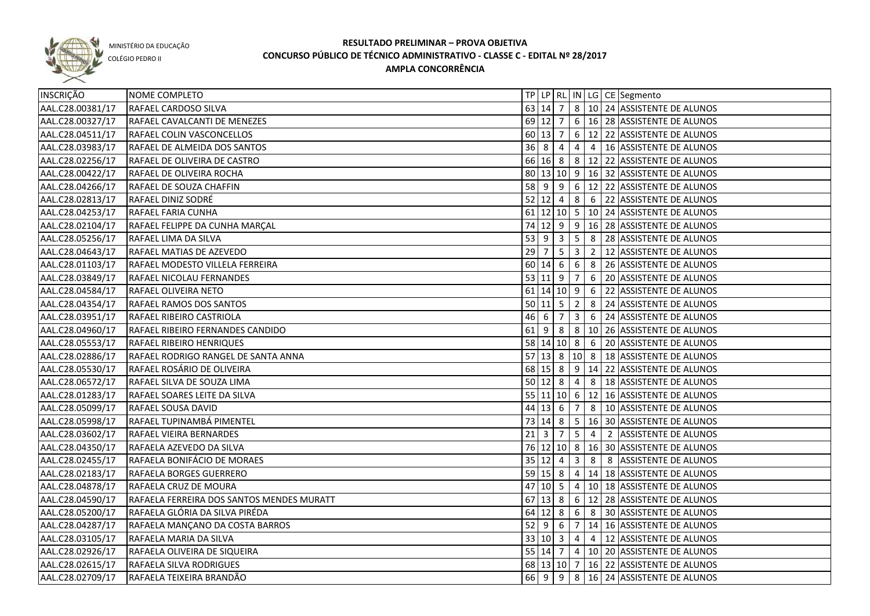

COLÉGIO PEDRO II

| INSCRIÇÃO        | NOME COMPLETO                             |           |                     |                 |                         |                 | TP   LP   RL   IN   LG   CE   Segmento                |
|------------------|-------------------------------------------|-----------|---------------------|-----------------|-------------------------|-----------------|-------------------------------------------------------|
| AAL.C28.00381/17 | RAFAEL CARDOSO SILVA                      |           |                     | 63   14   7     |                         |                 | 8   10   24   ASSISTENTE DE ALUNOS                    |
| AAL.C28.00327/17 | RAFAEL CAVALCANTI DE MENEZES              |           |                     | 69 12 7         |                         |                 | $\sqrt{6}$ 16   28   ASSISTENTE DE ALUNOS             |
| AAL.C28.04511/17 | RAFAEL COLIN VASCONCELLOS                 |           | $60 \mid 13 \mid 7$ |                 |                         |                 | 6   12   22   ASSISTENTE DE ALUNOS                    |
| AAL.C28.03983/17 | RAFAEL DE ALMEIDA DOS SANTOS              |           | $36 \ 8 \ 4$        |                 |                         |                 | 4 4 16 ASSISTENTE DE ALUNOS                           |
| AAL.C28.02256/17 | RAFAEL DE OLIVEIRA DE CASTRO              |           |                     |                 |                         |                 | 66 16 8 8 12 22 ASSISTENTE DE ALUNOS                  |
| AAL.C28.00422/17 | RAFAEL DE OLIVEIRA ROCHA                  |           |                     |                 |                         |                 | 80 13 10 9 16 32 ASSISTENTE DE ALUNOS                 |
| AAL.C28.04266/17 | RAFAEL DE SOUZA CHAFFIN                   |           |                     |                 |                         |                 | 58 9 9 6 12 22 ASSISTENTE DE ALUNOS                   |
| AAL.C28.02813/17 | RAFAEL DINIZ SODRÉ                        | $52$ 12 4 |                     |                 |                         |                 | 8 6 22 ASSISTENTE DE ALUNOS                           |
| AAL.C28.04253/17 | RAFAEL FARIA CUNHA                        |           |                     |                 |                         |                 | 61 12 10 5 10 24 ASSISTENTE DE ALUNOS                 |
| AAL.C28.02104/17 | RAFAEL FELIPPE DA CUNHA MARÇAL            |           |                     |                 |                         |                 | 74 12 9 9 16 28 ASSISTENTE DE ALUNOS                  |
| AAL.C28.05256/17 | RAFAEL LIMA DA SILVA                      |           | $53 \mid 9 \mid 3$  |                 |                         |                 | $\vert 5 \vert 8 \vert 28 \vert$ ASSISTENTE DE ALUNOS |
| AAL.C28.04643/17 | RAFAEL MATIAS DE AZEVEDO                  | $29$ 7    |                     | $5\overline{)}$ | 3 <sup>1</sup>          |                 | 2   12 ASSISTENTE DE ALUNOS                           |
| AAL.C28.01103/17 | RAFAEL MODESTO VILLELA FERREIRA           |           | 60 14 6             |                 |                         |                 | 6 8 26 ASSISTENTE DE ALUNOS                           |
| AAL.C28.03849/17 | RAFAEL NICOLAU FERNANDES                  |           | $53 \mid 11 \mid 9$ |                 | $\overline{7}$          | 6               | 20 ASSISTENTE DE ALUNOS                               |
| AAL.C28.04584/17 | RAFAEL OLIVEIRA NETO                      |           |                     | $61$ 14 10 9    |                         | 6               | 22 ASSISTENTE DE ALUNOS                               |
| AAL.C28.04354/17 | RAFAEL RAMOS DOS SANTOS                   |           | $50 \ 11 \ 5$       |                 | $\overline{2}$          | 8               | 24 ASSISTENTE DE ALUNOS                               |
| AAL.C28.03951/17 | RAFAEL RIBEIRO CASTRIOLA                  | 46 6      |                     | $\overline{7}$  | $\overline{3}$          |                 | 6 24 ASSISTENTE DE ALUNOS                             |
| AAL.C28.04960/17 | RAFAEL RIBEIRO FERNANDES CANDIDO          | 61        | l 9                 | 8               | 8                       |                 | 10 26 ASSISTENTE DE ALUNOS                            |
| AAL.C28.05553/17 | RAFAEL RIBEIRO HENRIQUES                  |           |                     | 58 14 10 8      |                         | $6\overline{6}$ | 20 ASSISTENTE DE ALUNOS                               |
| AAL.C28.02886/17 | RAFAEL RODRIGO RANGEL DE SANTA ANNA       |           |                     | $57$ 13 8       |                         | $10 \vert 8$    | 18 ASSISTENTE DE ALUNOS                               |
| AAL.C28.05530/17 | RAFAEL ROSÁRIO DE OLIVEIRA                |           | 68 15 8             |                 |                         |                 | 9   14   22   ASSISTENTE DE ALUNOS                    |
| AAL.C28.06572/17 | RAFAEL SILVA DE SOUZA LIMA                |           | $50 \ 12 \ 8$       |                 | $\overline{4}$          | 8               | 18 ASSISTENTE DE ALUNOS                               |
| AAL.C28.01283/17 | RAFAEL SOARES LEITE DA SILVA              |           |                     | $55$ 11 10 6    |                         |                 | 12 16 ASSISTENTE DE ALUNOS                            |
| AAL.C28.05099/17 | RAFAEL SOUSA DAVID                        |           | 44 13 6             |                 | $\overline{7}$          | 8               | 10 ASSISTENTE DE ALUNOS                               |
| AAL.C28.05998/17 | RAFAEL TUPINAMBÁ PIMENTEL                 |           | 73 14 8             |                 | $5\overline{)}$         |                 | 16 30 ASSISTENTE DE ALUNOS                            |
| AAL.C28.03602/17 | RAFAEL VIEIRA BERNARDES                   | $21\,$    | 3                   | 7               | 5                       | $\overline{4}$  | 2 ASSISTENTE DE ALUNOS                                |
| AAL.C28.04350/17 | RAFAELA AZEVEDO DA SILVA                  |           |                     |                 |                         |                 | 76 12 10 8 16 30 ASSISTENTE DE ALUNOS                 |
| AAL.C28.02455/17 | RAFAELA BONIFÁCIO DE MORAES               |           | 35 12               | $\overline{4}$  | $\overline{\mathbf{3}}$ | 8               | 8 ASSISTENTE DE ALUNOS                                |
| AAL.C28.02183/17 | RAFAELA BORGES GUERRERO                   | 59 15 8   |                     |                 | $\overline{4}$          |                 | 14 18 ASSISTENTE DE ALUNOS                            |
| AAL.C28.04878/17 | RAFAELA CRUZ DE MOURA                     |           | $47$ 10 5           |                 | $\overline{4}$          |                 | 10 18 ASSISTENTE DE ALUNOS                            |
| AAL.C28.04590/17 | RAFAELA FERREIRA DOS SANTOS MENDES MURATT |           | $67$ 13 8           |                 |                         |                 | $6 \mid 12 \mid 28$ ASSISTENTE DE ALUNOS              |
| AAL.C28.05200/17 | RAFAELA GLÓRIA DA SILVA PIRÉDA            |           | $64$ 12 8           |                 |                         |                 | 6 8 30 ASSISTENTE DE ALUNOS                           |
| AAL.C28.04287/17 | RAFAELA MANÇANO DA COSTA BARROS           |           | $52 \mid 9 \mid 6$  |                 |                         |                 | 7   14   16   ASSISTENTE DE ALUNOS                    |
| AAL.C28.03105/17 | RAFAELA MARIA DA SILVA                    |           |                     | 33   10   3     |                         |                 | 4 4 12 ASSISTENTE DE ALUNOS                           |
| AAL.C28.02926/17 | RAFAELA OLIVEIRA DE SIQUEIRA              |           |                     |                 |                         |                 | 55   14   7   4   10   20   ASSISTENTE DE ALUNOS      |
| AAL.C28.02615/17 | RAFAELA SILVA RODRIGUES                   |           |                     |                 |                         |                 | 68 13 10 7 16 22 ASSISTENTE DE ALUNOS                 |
| AAL.C28.02709/17 | RAFAELA TEIXEIRA BRANDÃO                  |           | 66 9                | $\sqrt{9}$      |                         |                 | 8 16 24 ASSISTENTE DE ALUNOS                          |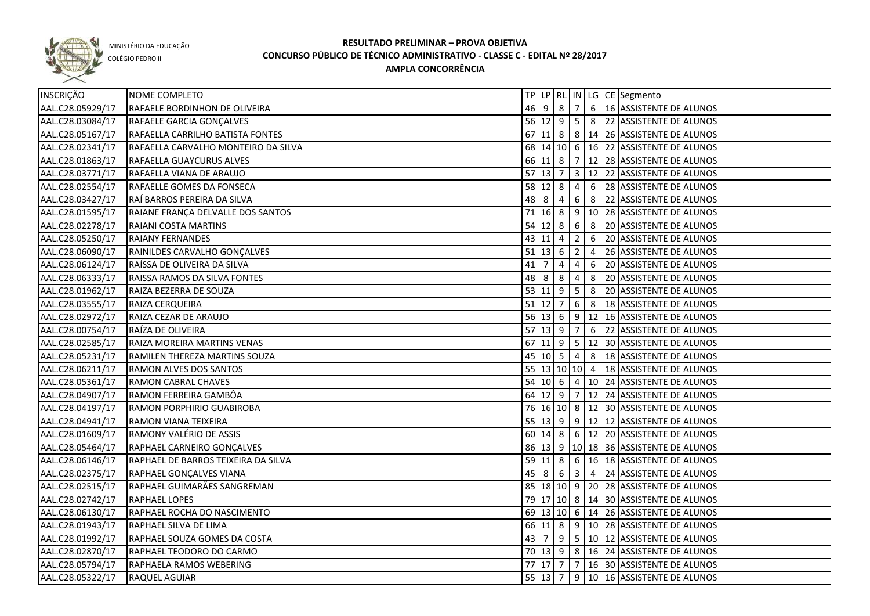

COLÉGIO PEDRO II

| 46 9 8 7 6 16 ASSISTENTE DE ALUNOS<br>AAL.C28.05929/17<br>RAFAELE BORDINHON DE OLIVEIRA<br>AAL.C28.03084/17<br>56 12 9 5 8 22 ASSISTENTE DE ALUNOS<br>RAFAELE GARCIA GONÇALVES<br>AAL.C28.05167/17<br>67 11 8 8 4 14 26 ASSISTENTE DE ALUNOS<br>RAFAELLA CARRILHO BATISTA FONTES<br>68 14 10 6 16 22 ASSISTENTE DE ALUNOS<br>AAL.C28.02341/17<br>RAFAELLA CARVALHO MONTEIRO DA SILVA<br>AAL.C28.01863/17<br>66 11 8 7 12 28 ASSISTENTE DE ALUNOS<br>RAFAELLA GUAYCURUS ALVES<br>$57$   13  7<br>3 12 22 ASSISTENTE DE ALUNOS<br>AAL.C28.03771/17<br>RAFAELLA VIANA DE ARAUJO<br>$58$ 12 8<br>AAL.C28.02554/17<br>$\overline{4}$<br>6 28 ASSISTENTE DE ALUNOS<br>RAFAELLE GOMES DA FONSECA<br>48 8<br>6 8 22 ASSISTENTE DE ALUNOS<br>AAL.C28.03427/17<br>RAÍ BARROS PEREIRA DA SILVA<br>$\overline{4}$<br>$71$ 16 8<br>$\vert 9 \vert 10 \vert 28 \vert$ ASSISTENTE DE ALUNOS<br>AAL.C28.01595/17<br>RAIANE FRANÇA DELVALLE DOS SANTOS<br>54 12<br>6<br>8 20 ASSISTENTE DE ALUNOS<br>AAL.C28.02278/17<br>RAIANI COSTA MARTINS<br>8<br>43<br>$\overline{2}$<br>6<br>AAL.C28.05250/17<br><b>RAIANY FERNANDES</b><br>$\overline{4}$<br>20 ASSISTENTE DE ALUNOS<br>11<br>$51$ 13<br>$\overline{2}$<br>AAL.C28.06090/17<br>RAINILDES CARVALHO GONÇALVES<br>6<br>4<br>26 ASSISTENTE DE ALUNOS<br>41<br>AAL.C28.06124/17<br>RAÍSSA DE OLIVEIRA DA SILVA<br>$\overline{7}$<br>4<br>4<br>6<br>20 ASSISTENTE DE ALUNOS<br>48 8<br>AAL.C28.06333/17<br>RAISSA RAMOS DA SILVA FONTES<br>8<br>4<br>8<br>20 ASSISTENTE DE ALUNOS<br>53 11 9<br>$5\overline{)}$<br>8<br>AAL.C28.01962/17<br>RAIZA BEZERRA DE SOUZA<br>20 ASSISTENTE DE ALUNOS<br>$51$ 12<br>6<br>8<br>AAL.C28.03555/17<br>RAIZA CERQUEIRA<br>$\overline{7}$<br>18 ASSISTENTE DE ALUNOS<br>$56$ 13 6<br>9<br>12 16 ASSISTENTE DE ALUNOS<br>AAL.C28.02972/17<br>RAIZA CEZAR DE ARAUJO<br>$57$ 13 9<br>6<br>AAL.C28.00754/17<br>RAÍZA DE OLIVEIRA<br>7<br>22 ASSISTENTE DE ALUNOS<br>$67$ 11 9<br>$5\overline{)}$<br>12 30 ASSISTENTE DE ALUNOS<br>AAL.C28.02585/17<br>RAIZA MOREIRA MARTINS VENAS<br>45 10 5<br>8<br>AAL.C28.05231/17<br>$\overline{4}$<br>18 ASSISTENTE DE ALUNOS<br>RAMILEN THEREZA MARTINS SOUZA<br>$\overline{55}$ 13 10 10 4<br>AAL.C28.06211/17<br>RAMON ALVES DOS SANTOS<br>18 ASSISTENTE DE ALUNOS<br>54   10   6<br>10 24 ASSISTENTE DE ALUNOS<br>AAL.C28.05361/17<br>RAMON CABRAL CHAVES<br>$\overline{4}$<br>64 12 9<br>12 24 ASSISTENTE DE ALUNOS<br>RAMON FERREIRA GAMBÔA<br>AAL.C28.04907/17<br>7<br>76 16 10 8 12 30 ASSISTENTE DE ALUNOS<br>AAL.C28.04197/17<br>RAMON PORPHIRIO GUABIROBA<br>$55 \mid 13 \mid 9$<br>9   12   12   ASSISTENTE DE ALUNOS<br>AAL.C28.04941/17<br>RAMON VIANA TEIXEIRA<br>6   12   20   ASSISTENTE DE ALUNOS<br>RAMONY VALÉRIO DE ASSIS<br>60 14<br>AAL.C28.01609/17<br>8<br>86 13 9 10 18 36 ASSISTENTE DE ALUNOS<br>AAL.C28.05464/17<br>RAPHAEL CARNEIRO GONÇALVES<br>6 16 18 ASSISTENTE DE ALUNOS<br>$59$ 11 8<br>AAL.C28.06146/17<br>RAPHAEL DE BARROS TEIXEIRA DA SILVA<br>3 4 24 ASSISTENTE DE ALUNOS<br>AAL.C28.02375/17<br>$45 \mid 8 \mid 6$<br>RAPHAEL GONÇALVES VIANA<br>85   18   10   9   20   28   ASSISTENTE DE ALUNOS<br>AAL.C28.02515/17<br>RAPHAEL GUIMARÃES SANGREMAN<br>AAL.C28.02742/17<br>79 17 10 8 14 30 ASSISTENTE DE ALUNOS<br><b>RAPHAEL LOPES</b><br>AAL.C28.06130/17<br>69 13 10 6 14 26 ASSISTENTE DE ALUNOS<br>RAPHAEL ROCHA DO NASCIMENTO<br>AAL.C28.01943/17<br>66 11 8<br>9 10 28 ASSISTENTE DE ALUNOS<br>RAPHAEL SILVA DE LIMA<br>$\boxed{9}$ $\boxed{5}$ $\boxed{10}$ $\boxed{12}$ ASSISTENTE DE ALUNOS<br>AAL.C28.01992/17<br>$43 \mid 7$<br>RAPHAEL SOUZA GOMES DA COSTA<br>70 13 9 8 16 24 ASSISTENTE DE ALUNOS<br>AAL.C28.02870/17<br>RAPHAEL TEODORO DO CARMO<br>77 17 7<br>16 30 ASSISTENTE DE ALUNOS<br>AAL.C28.05794/17<br>7 <sup>1</sup><br>RAPHAELA RAMOS WEBERING<br>9 10 16 ASSISTENTE DE ALUNOS<br>AAL.C28.05322/17<br>$55 \mid 13 \mid 7$<br>RAQUEL AGUIAR | INSCRIÇÃO | NOME COMPLETO |  |  |  | TP   LP   RL   IN   LG   CE   Segmento |
|------------------------------------------------------------------------------------------------------------------------------------------------------------------------------------------------------------------------------------------------------------------------------------------------------------------------------------------------------------------------------------------------------------------------------------------------------------------------------------------------------------------------------------------------------------------------------------------------------------------------------------------------------------------------------------------------------------------------------------------------------------------------------------------------------------------------------------------------------------------------------------------------------------------------------------------------------------------------------------------------------------------------------------------------------------------------------------------------------------------------------------------------------------------------------------------------------------------------------------------------------------------------------------------------------------------------------------------------------------------------------------------------------------------------------------------------------------------------------------------------------------------------------------------------------------------------------------------------------------------------------------------------------------------------------------------------------------------------------------------------------------------------------------------------------------------------------------------------------------------------------------------------------------------------------------------------------------------------------------------------------------------------------------------------------------------------------------------------------------------------------------------------------------------------------------------------------------------------------------------------------------------------------------------------------------------------------------------------------------------------------------------------------------------------------------------------------------------------------------------------------------------------------------------------------------------------------------------------------------------------------------------------------------------------------------------------------------------------------------------------------------------------------------------------------------------------------------------------------------------------------------------------------------------------------------------------------------------------------------------------------------------------------------------------------------------------------------------------------------------------------------------------------------------------------------------------------------------------------------------------------------------------------------------------------------------------------------------------------------------------------------------------------------------------------------------------------------------------------------------------------------------------------------------------------------------------------------------------------------------------------------------------------------------------------------------------------------------------------------------------------------------------------------------------------------------------------------------------------------------------------------------------------------------------|-----------|---------------|--|--|--|----------------------------------------|
|                                                                                                                                                                                                                                                                                                                                                                                                                                                                                                                                                                                                                                                                                                                                                                                                                                                                                                                                                                                                                                                                                                                                                                                                                                                                                                                                                                                                                                                                                                                                                                                                                                                                                                                                                                                                                                                                                                                                                                                                                                                                                                                                                                                                                                                                                                                                                                                                                                                                                                                                                                                                                                                                                                                                                                                                                                                                                                                                                                                                                                                                                                                                                                                                                                                                                                                                                                                                                                                                                                                                                                                                                                                                                                                                                                                                                                                                                                                        |           |               |  |  |  |                                        |
|                                                                                                                                                                                                                                                                                                                                                                                                                                                                                                                                                                                                                                                                                                                                                                                                                                                                                                                                                                                                                                                                                                                                                                                                                                                                                                                                                                                                                                                                                                                                                                                                                                                                                                                                                                                                                                                                                                                                                                                                                                                                                                                                                                                                                                                                                                                                                                                                                                                                                                                                                                                                                                                                                                                                                                                                                                                                                                                                                                                                                                                                                                                                                                                                                                                                                                                                                                                                                                                                                                                                                                                                                                                                                                                                                                                                                                                                                                                        |           |               |  |  |  |                                        |
|                                                                                                                                                                                                                                                                                                                                                                                                                                                                                                                                                                                                                                                                                                                                                                                                                                                                                                                                                                                                                                                                                                                                                                                                                                                                                                                                                                                                                                                                                                                                                                                                                                                                                                                                                                                                                                                                                                                                                                                                                                                                                                                                                                                                                                                                                                                                                                                                                                                                                                                                                                                                                                                                                                                                                                                                                                                                                                                                                                                                                                                                                                                                                                                                                                                                                                                                                                                                                                                                                                                                                                                                                                                                                                                                                                                                                                                                                                                        |           |               |  |  |  |                                        |
|                                                                                                                                                                                                                                                                                                                                                                                                                                                                                                                                                                                                                                                                                                                                                                                                                                                                                                                                                                                                                                                                                                                                                                                                                                                                                                                                                                                                                                                                                                                                                                                                                                                                                                                                                                                                                                                                                                                                                                                                                                                                                                                                                                                                                                                                                                                                                                                                                                                                                                                                                                                                                                                                                                                                                                                                                                                                                                                                                                                                                                                                                                                                                                                                                                                                                                                                                                                                                                                                                                                                                                                                                                                                                                                                                                                                                                                                                                                        |           |               |  |  |  |                                        |
|                                                                                                                                                                                                                                                                                                                                                                                                                                                                                                                                                                                                                                                                                                                                                                                                                                                                                                                                                                                                                                                                                                                                                                                                                                                                                                                                                                                                                                                                                                                                                                                                                                                                                                                                                                                                                                                                                                                                                                                                                                                                                                                                                                                                                                                                                                                                                                                                                                                                                                                                                                                                                                                                                                                                                                                                                                                                                                                                                                                                                                                                                                                                                                                                                                                                                                                                                                                                                                                                                                                                                                                                                                                                                                                                                                                                                                                                                                                        |           |               |  |  |  |                                        |
|                                                                                                                                                                                                                                                                                                                                                                                                                                                                                                                                                                                                                                                                                                                                                                                                                                                                                                                                                                                                                                                                                                                                                                                                                                                                                                                                                                                                                                                                                                                                                                                                                                                                                                                                                                                                                                                                                                                                                                                                                                                                                                                                                                                                                                                                                                                                                                                                                                                                                                                                                                                                                                                                                                                                                                                                                                                                                                                                                                                                                                                                                                                                                                                                                                                                                                                                                                                                                                                                                                                                                                                                                                                                                                                                                                                                                                                                                                                        |           |               |  |  |  |                                        |
|                                                                                                                                                                                                                                                                                                                                                                                                                                                                                                                                                                                                                                                                                                                                                                                                                                                                                                                                                                                                                                                                                                                                                                                                                                                                                                                                                                                                                                                                                                                                                                                                                                                                                                                                                                                                                                                                                                                                                                                                                                                                                                                                                                                                                                                                                                                                                                                                                                                                                                                                                                                                                                                                                                                                                                                                                                                                                                                                                                                                                                                                                                                                                                                                                                                                                                                                                                                                                                                                                                                                                                                                                                                                                                                                                                                                                                                                                                                        |           |               |  |  |  |                                        |
|                                                                                                                                                                                                                                                                                                                                                                                                                                                                                                                                                                                                                                                                                                                                                                                                                                                                                                                                                                                                                                                                                                                                                                                                                                                                                                                                                                                                                                                                                                                                                                                                                                                                                                                                                                                                                                                                                                                                                                                                                                                                                                                                                                                                                                                                                                                                                                                                                                                                                                                                                                                                                                                                                                                                                                                                                                                                                                                                                                                                                                                                                                                                                                                                                                                                                                                                                                                                                                                                                                                                                                                                                                                                                                                                                                                                                                                                                                                        |           |               |  |  |  |                                        |
|                                                                                                                                                                                                                                                                                                                                                                                                                                                                                                                                                                                                                                                                                                                                                                                                                                                                                                                                                                                                                                                                                                                                                                                                                                                                                                                                                                                                                                                                                                                                                                                                                                                                                                                                                                                                                                                                                                                                                                                                                                                                                                                                                                                                                                                                                                                                                                                                                                                                                                                                                                                                                                                                                                                                                                                                                                                                                                                                                                                                                                                                                                                                                                                                                                                                                                                                                                                                                                                                                                                                                                                                                                                                                                                                                                                                                                                                                                                        |           |               |  |  |  |                                        |
|                                                                                                                                                                                                                                                                                                                                                                                                                                                                                                                                                                                                                                                                                                                                                                                                                                                                                                                                                                                                                                                                                                                                                                                                                                                                                                                                                                                                                                                                                                                                                                                                                                                                                                                                                                                                                                                                                                                                                                                                                                                                                                                                                                                                                                                                                                                                                                                                                                                                                                                                                                                                                                                                                                                                                                                                                                                                                                                                                                                                                                                                                                                                                                                                                                                                                                                                                                                                                                                                                                                                                                                                                                                                                                                                                                                                                                                                                                                        |           |               |  |  |  |                                        |
|                                                                                                                                                                                                                                                                                                                                                                                                                                                                                                                                                                                                                                                                                                                                                                                                                                                                                                                                                                                                                                                                                                                                                                                                                                                                                                                                                                                                                                                                                                                                                                                                                                                                                                                                                                                                                                                                                                                                                                                                                                                                                                                                                                                                                                                                                                                                                                                                                                                                                                                                                                                                                                                                                                                                                                                                                                                                                                                                                                                                                                                                                                                                                                                                                                                                                                                                                                                                                                                                                                                                                                                                                                                                                                                                                                                                                                                                                                                        |           |               |  |  |  |                                        |
|                                                                                                                                                                                                                                                                                                                                                                                                                                                                                                                                                                                                                                                                                                                                                                                                                                                                                                                                                                                                                                                                                                                                                                                                                                                                                                                                                                                                                                                                                                                                                                                                                                                                                                                                                                                                                                                                                                                                                                                                                                                                                                                                                                                                                                                                                                                                                                                                                                                                                                                                                                                                                                                                                                                                                                                                                                                                                                                                                                                                                                                                                                                                                                                                                                                                                                                                                                                                                                                                                                                                                                                                                                                                                                                                                                                                                                                                                                                        |           |               |  |  |  |                                        |
|                                                                                                                                                                                                                                                                                                                                                                                                                                                                                                                                                                                                                                                                                                                                                                                                                                                                                                                                                                                                                                                                                                                                                                                                                                                                                                                                                                                                                                                                                                                                                                                                                                                                                                                                                                                                                                                                                                                                                                                                                                                                                                                                                                                                                                                                                                                                                                                                                                                                                                                                                                                                                                                                                                                                                                                                                                                                                                                                                                                                                                                                                                                                                                                                                                                                                                                                                                                                                                                                                                                                                                                                                                                                                                                                                                                                                                                                                                                        |           |               |  |  |  |                                        |
|                                                                                                                                                                                                                                                                                                                                                                                                                                                                                                                                                                                                                                                                                                                                                                                                                                                                                                                                                                                                                                                                                                                                                                                                                                                                                                                                                                                                                                                                                                                                                                                                                                                                                                                                                                                                                                                                                                                                                                                                                                                                                                                                                                                                                                                                                                                                                                                                                                                                                                                                                                                                                                                                                                                                                                                                                                                                                                                                                                                                                                                                                                                                                                                                                                                                                                                                                                                                                                                                                                                                                                                                                                                                                                                                                                                                                                                                                                                        |           |               |  |  |  |                                        |
|                                                                                                                                                                                                                                                                                                                                                                                                                                                                                                                                                                                                                                                                                                                                                                                                                                                                                                                                                                                                                                                                                                                                                                                                                                                                                                                                                                                                                                                                                                                                                                                                                                                                                                                                                                                                                                                                                                                                                                                                                                                                                                                                                                                                                                                                                                                                                                                                                                                                                                                                                                                                                                                                                                                                                                                                                                                                                                                                                                                                                                                                                                                                                                                                                                                                                                                                                                                                                                                                                                                                                                                                                                                                                                                                                                                                                                                                                                                        |           |               |  |  |  |                                        |
|                                                                                                                                                                                                                                                                                                                                                                                                                                                                                                                                                                                                                                                                                                                                                                                                                                                                                                                                                                                                                                                                                                                                                                                                                                                                                                                                                                                                                                                                                                                                                                                                                                                                                                                                                                                                                                                                                                                                                                                                                                                                                                                                                                                                                                                                                                                                                                                                                                                                                                                                                                                                                                                                                                                                                                                                                                                                                                                                                                                                                                                                                                                                                                                                                                                                                                                                                                                                                                                                                                                                                                                                                                                                                                                                                                                                                                                                                                                        |           |               |  |  |  |                                        |
|                                                                                                                                                                                                                                                                                                                                                                                                                                                                                                                                                                                                                                                                                                                                                                                                                                                                                                                                                                                                                                                                                                                                                                                                                                                                                                                                                                                                                                                                                                                                                                                                                                                                                                                                                                                                                                                                                                                                                                                                                                                                                                                                                                                                                                                                                                                                                                                                                                                                                                                                                                                                                                                                                                                                                                                                                                                                                                                                                                                                                                                                                                                                                                                                                                                                                                                                                                                                                                                                                                                                                                                                                                                                                                                                                                                                                                                                                                                        |           |               |  |  |  |                                        |
|                                                                                                                                                                                                                                                                                                                                                                                                                                                                                                                                                                                                                                                                                                                                                                                                                                                                                                                                                                                                                                                                                                                                                                                                                                                                                                                                                                                                                                                                                                                                                                                                                                                                                                                                                                                                                                                                                                                                                                                                                                                                                                                                                                                                                                                                                                                                                                                                                                                                                                                                                                                                                                                                                                                                                                                                                                                                                                                                                                                                                                                                                                                                                                                                                                                                                                                                                                                                                                                                                                                                                                                                                                                                                                                                                                                                                                                                                                                        |           |               |  |  |  |                                        |
|                                                                                                                                                                                                                                                                                                                                                                                                                                                                                                                                                                                                                                                                                                                                                                                                                                                                                                                                                                                                                                                                                                                                                                                                                                                                                                                                                                                                                                                                                                                                                                                                                                                                                                                                                                                                                                                                                                                                                                                                                                                                                                                                                                                                                                                                                                                                                                                                                                                                                                                                                                                                                                                                                                                                                                                                                                                                                                                                                                                                                                                                                                                                                                                                                                                                                                                                                                                                                                                                                                                                                                                                                                                                                                                                                                                                                                                                                                                        |           |               |  |  |  |                                        |
|                                                                                                                                                                                                                                                                                                                                                                                                                                                                                                                                                                                                                                                                                                                                                                                                                                                                                                                                                                                                                                                                                                                                                                                                                                                                                                                                                                                                                                                                                                                                                                                                                                                                                                                                                                                                                                                                                                                                                                                                                                                                                                                                                                                                                                                                                                                                                                                                                                                                                                                                                                                                                                                                                                                                                                                                                                                                                                                                                                                                                                                                                                                                                                                                                                                                                                                                                                                                                                                                                                                                                                                                                                                                                                                                                                                                                                                                                                                        |           |               |  |  |  |                                        |
|                                                                                                                                                                                                                                                                                                                                                                                                                                                                                                                                                                                                                                                                                                                                                                                                                                                                                                                                                                                                                                                                                                                                                                                                                                                                                                                                                                                                                                                                                                                                                                                                                                                                                                                                                                                                                                                                                                                                                                                                                                                                                                                                                                                                                                                                                                                                                                                                                                                                                                                                                                                                                                                                                                                                                                                                                                                                                                                                                                                                                                                                                                                                                                                                                                                                                                                                                                                                                                                                                                                                                                                                                                                                                                                                                                                                                                                                                                                        |           |               |  |  |  |                                        |
|                                                                                                                                                                                                                                                                                                                                                                                                                                                                                                                                                                                                                                                                                                                                                                                                                                                                                                                                                                                                                                                                                                                                                                                                                                                                                                                                                                                                                                                                                                                                                                                                                                                                                                                                                                                                                                                                                                                                                                                                                                                                                                                                                                                                                                                                                                                                                                                                                                                                                                                                                                                                                                                                                                                                                                                                                                                                                                                                                                                                                                                                                                                                                                                                                                                                                                                                                                                                                                                                                                                                                                                                                                                                                                                                                                                                                                                                                                                        |           |               |  |  |  |                                        |
|                                                                                                                                                                                                                                                                                                                                                                                                                                                                                                                                                                                                                                                                                                                                                                                                                                                                                                                                                                                                                                                                                                                                                                                                                                                                                                                                                                                                                                                                                                                                                                                                                                                                                                                                                                                                                                                                                                                                                                                                                                                                                                                                                                                                                                                                                                                                                                                                                                                                                                                                                                                                                                                                                                                                                                                                                                                                                                                                                                                                                                                                                                                                                                                                                                                                                                                                                                                                                                                                                                                                                                                                                                                                                                                                                                                                                                                                                                                        |           |               |  |  |  |                                        |
|                                                                                                                                                                                                                                                                                                                                                                                                                                                                                                                                                                                                                                                                                                                                                                                                                                                                                                                                                                                                                                                                                                                                                                                                                                                                                                                                                                                                                                                                                                                                                                                                                                                                                                                                                                                                                                                                                                                                                                                                                                                                                                                                                                                                                                                                                                                                                                                                                                                                                                                                                                                                                                                                                                                                                                                                                                                                                                                                                                                                                                                                                                                                                                                                                                                                                                                                                                                                                                                                                                                                                                                                                                                                                                                                                                                                                                                                                                                        |           |               |  |  |  |                                        |
|                                                                                                                                                                                                                                                                                                                                                                                                                                                                                                                                                                                                                                                                                                                                                                                                                                                                                                                                                                                                                                                                                                                                                                                                                                                                                                                                                                                                                                                                                                                                                                                                                                                                                                                                                                                                                                                                                                                                                                                                                                                                                                                                                                                                                                                                                                                                                                                                                                                                                                                                                                                                                                                                                                                                                                                                                                                                                                                                                                                                                                                                                                                                                                                                                                                                                                                                                                                                                                                                                                                                                                                                                                                                                                                                                                                                                                                                                                                        |           |               |  |  |  |                                        |
|                                                                                                                                                                                                                                                                                                                                                                                                                                                                                                                                                                                                                                                                                                                                                                                                                                                                                                                                                                                                                                                                                                                                                                                                                                                                                                                                                                                                                                                                                                                                                                                                                                                                                                                                                                                                                                                                                                                                                                                                                                                                                                                                                                                                                                                                                                                                                                                                                                                                                                                                                                                                                                                                                                                                                                                                                                                                                                                                                                                                                                                                                                                                                                                                                                                                                                                                                                                                                                                                                                                                                                                                                                                                                                                                                                                                                                                                                                                        |           |               |  |  |  |                                        |
|                                                                                                                                                                                                                                                                                                                                                                                                                                                                                                                                                                                                                                                                                                                                                                                                                                                                                                                                                                                                                                                                                                                                                                                                                                                                                                                                                                                                                                                                                                                                                                                                                                                                                                                                                                                                                                                                                                                                                                                                                                                                                                                                                                                                                                                                                                                                                                                                                                                                                                                                                                                                                                                                                                                                                                                                                                                                                                                                                                                                                                                                                                                                                                                                                                                                                                                                                                                                                                                                                                                                                                                                                                                                                                                                                                                                                                                                                                                        |           |               |  |  |  |                                        |
|                                                                                                                                                                                                                                                                                                                                                                                                                                                                                                                                                                                                                                                                                                                                                                                                                                                                                                                                                                                                                                                                                                                                                                                                                                                                                                                                                                                                                                                                                                                                                                                                                                                                                                                                                                                                                                                                                                                                                                                                                                                                                                                                                                                                                                                                                                                                                                                                                                                                                                                                                                                                                                                                                                                                                                                                                                                                                                                                                                                                                                                                                                                                                                                                                                                                                                                                                                                                                                                                                                                                                                                                                                                                                                                                                                                                                                                                                                                        |           |               |  |  |  |                                        |
|                                                                                                                                                                                                                                                                                                                                                                                                                                                                                                                                                                                                                                                                                                                                                                                                                                                                                                                                                                                                                                                                                                                                                                                                                                                                                                                                                                                                                                                                                                                                                                                                                                                                                                                                                                                                                                                                                                                                                                                                                                                                                                                                                                                                                                                                                                                                                                                                                                                                                                                                                                                                                                                                                                                                                                                                                                                                                                                                                                                                                                                                                                                                                                                                                                                                                                                                                                                                                                                                                                                                                                                                                                                                                                                                                                                                                                                                                                                        |           |               |  |  |  |                                        |
|                                                                                                                                                                                                                                                                                                                                                                                                                                                                                                                                                                                                                                                                                                                                                                                                                                                                                                                                                                                                                                                                                                                                                                                                                                                                                                                                                                                                                                                                                                                                                                                                                                                                                                                                                                                                                                                                                                                                                                                                                                                                                                                                                                                                                                                                                                                                                                                                                                                                                                                                                                                                                                                                                                                                                                                                                                                                                                                                                                                                                                                                                                                                                                                                                                                                                                                                                                                                                                                                                                                                                                                                                                                                                                                                                                                                                                                                                                                        |           |               |  |  |  |                                        |
|                                                                                                                                                                                                                                                                                                                                                                                                                                                                                                                                                                                                                                                                                                                                                                                                                                                                                                                                                                                                                                                                                                                                                                                                                                                                                                                                                                                                                                                                                                                                                                                                                                                                                                                                                                                                                                                                                                                                                                                                                                                                                                                                                                                                                                                                                                                                                                                                                                                                                                                                                                                                                                                                                                                                                                                                                                                                                                                                                                                                                                                                                                                                                                                                                                                                                                                                                                                                                                                                                                                                                                                                                                                                                                                                                                                                                                                                                                                        |           |               |  |  |  |                                        |
|                                                                                                                                                                                                                                                                                                                                                                                                                                                                                                                                                                                                                                                                                                                                                                                                                                                                                                                                                                                                                                                                                                                                                                                                                                                                                                                                                                                                                                                                                                                                                                                                                                                                                                                                                                                                                                                                                                                                                                                                                                                                                                                                                                                                                                                                                                                                                                                                                                                                                                                                                                                                                                                                                                                                                                                                                                                                                                                                                                                                                                                                                                                                                                                                                                                                                                                                                                                                                                                                                                                                                                                                                                                                                                                                                                                                                                                                                                                        |           |               |  |  |  |                                        |
|                                                                                                                                                                                                                                                                                                                                                                                                                                                                                                                                                                                                                                                                                                                                                                                                                                                                                                                                                                                                                                                                                                                                                                                                                                                                                                                                                                                                                                                                                                                                                                                                                                                                                                                                                                                                                                                                                                                                                                                                                                                                                                                                                                                                                                                                                                                                                                                                                                                                                                                                                                                                                                                                                                                                                                                                                                                                                                                                                                                                                                                                                                                                                                                                                                                                                                                                                                                                                                                                                                                                                                                                                                                                                                                                                                                                                                                                                                                        |           |               |  |  |  |                                        |
|                                                                                                                                                                                                                                                                                                                                                                                                                                                                                                                                                                                                                                                                                                                                                                                                                                                                                                                                                                                                                                                                                                                                                                                                                                                                                                                                                                                                                                                                                                                                                                                                                                                                                                                                                                                                                                                                                                                                                                                                                                                                                                                                                                                                                                                                                                                                                                                                                                                                                                                                                                                                                                                                                                                                                                                                                                                                                                                                                                                                                                                                                                                                                                                                                                                                                                                                                                                                                                                                                                                                                                                                                                                                                                                                                                                                                                                                                                                        |           |               |  |  |  |                                        |
|                                                                                                                                                                                                                                                                                                                                                                                                                                                                                                                                                                                                                                                                                                                                                                                                                                                                                                                                                                                                                                                                                                                                                                                                                                                                                                                                                                                                                                                                                                                                                                                                                                                                                                                                                                                                                                                                                                                                                                                                                                                                                                                                                                                                                                                                                                                                                                                                                                                                                                                                                                                                                                                                                                                                                                                                                                                                                                                                                                                                                                                                                                                                                                                                                                                                                                                                                                                                                                                                                                                                                                                                                                                                                                                                                                                                                                                                                                                        |           |               |  |  |  |                                        |
|                                                                                                                                                                                                                                                                                                                                                                                                                                                                                                                                                                                                                                                                                                                                                                                                                                                                                                                                                                                                                                                                                                                                                                                                                                                                                                                                                                                                                                                                                                                                                                                                                                                                                                                                                                                                                                                                                                                                                                                                                                                                                                                                                                                                                                                                                                                                                                                                                                                                                                                                                                                                                                                                                                                                                                                                                                                                                                                                                                                                                                                                                                                                                                                                                                                                                                                                                                                                                                                                                                                                                                                                                                                                                                                                                                                                                                                                                                                        |           |               |  |  |  |                                        |
|                                                                                                                                                                                                                                                                                                                                                                                                                                                                                                                                                                                                                                                                                                                                                                                                                                                                                                                                                                                                                                                                                                                                                                                                                                                                                                                                                                                                                                                                                                                                                                                                                                                                                                                                                                                                                                                                                                                                                                                                                                                                                                                                                                                                                                                                                                                                                                                                                                                                                                                                                                                                                                                                                                                                                                                                                                                                                                                                                                                                                                                                                                                                                                                                                                                                                                                                                                                                                                                                                                                                                                                                                                                                                                                                                                                                                                                                                                                        |           |               |  |  |  |                                        |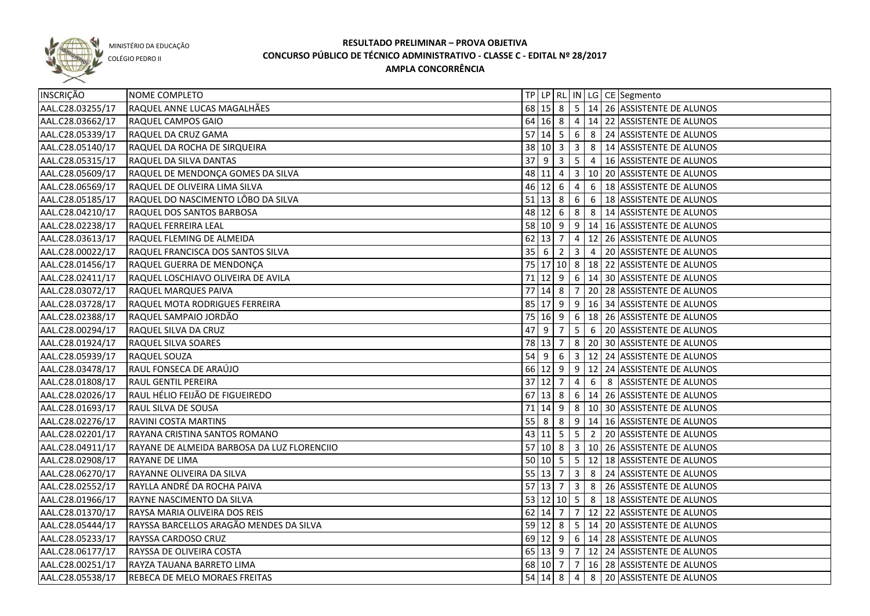

COLÉGIO PEDRO II

| INSCRIÇÃO        | NOME COMPLETO                               |        |                            |           |                |                 | TP   LP   RL   IN   LG   CE   Segmento           |
|------------------|---------------------------------------------|--------|----------------------------|-----------|----------------|-----------------|--------------------------------------------------|
| AAL.C28.03255/17 | RAQUEL ANNE LUCAS MAGALHÃES                 |        |                            |           |                |                 | 68 15 8 5 14 26 ASSISTENTE DE ALUNOS             |
| AAL.C28.03662/17 | RAQUEL CAMPOS GAIO                          |        |                            |           |                |                 | 64 16 8 4 14 22 ASSISTENTE DE ALUNOS             |
| AAL.C28.05339/17 | RAQUEL DA CRUZ GAMA                         |        |                            |           |                |                 | 57 14 5 6 8 24 ASSISTENTE DE ALUNOS              |
| AAL.C28.05140/17 | RAQUEL DA ROCHA DE SIRQUEIRA                |        |                            |           |                |                 | 38 10 3 3 8 414 ASSISTENTE DE ALUNOS             |
| AAL.C28.05315/17 | RAQUEL DA SILVA DANTAS                      |        |                            |           |                |                 | 37 9 3 5 4 16 ASSISTENTE DE ALUNOS               |
| AAL.C28.05609/17 | RAQUEL DE MENDONÇA GOMES DA SILVA           |        |                            |           |                |                 | 48 11 4 3 10 20 ASSISTENTE DE ALUNOS             |
| AAL.C28.06569/17 | RAQUEL DE OLIVEIRA LIMA SILVA               |        | $46$ 12 6 4                |           |                |                 | 6   18 ASSISTENTE DE ALUNOS                      |
| AAL.C28.05185/17 | RAQUEL DO NASCIMENTO LÔBO DA SILVA          |        |                            |           |                |                 | 51   13   8   6   6   18   ASSISTENTE DE ALUNOS  |
| AAL.C28.04210/17 | RAQUEL DOS SANTOS BARBOSA                   |        |                            |           |                |                 | 48 12 6 8 8 14 ASSISTENTE DE ALUNOS              |
| AAL.C28.02238/17 | RAQUEL FERREIRA LEAL                        |        |                            |           |                |                 | 58 10 9 9 14 16 ASSISTENTE DE ALUNOS             |
| AAL.C28.03613/17 | RAQUEL FLEMING DE ALMEIDA                   |        | $62$ 13 7                  |           |                |                 | 4 12 26 ASSISTENTE DE ALUNOS                     |
| AAL.C28.00022/17 | RAQUEL FRANCISCA DOS SANTOS SILVA           |        | $35 \mid 6 \mid 2$         |           |                |                 | 3 4 20 ASSISTENTE DE ALUNOS                      |
| AAL.C28.01456/17 | RAQUEL GUERRA DE MENDONÇA                   |        |                            |           |                |                 | 75 17 10 8 18 22 ASSISTENTE DE ALUNOS            |
| AAL.C28.02411/17 | RAQUEL LOSCHIAVO OLIVEIRA DE AVILA          |        |                            |           |                |                 | 71 12 9 6 14 30 ASSISTENTE DE ALUNOS             |
| AAL.C28.03072/17 | RAQUEL MARQUES PAIVA                        | 77     | $14 \mid 8 \mid 7$         |           |                |                 | 20 28 ASSISTENTE DE ALUNOS                       |
| AAL.C28.03728/17 | RAQUEL MOTA RODRIGUES FERREIRA              |        |                            |           |                |                 | 85 17 9 9 16 34 ASSISTENTE DE ALUNOS             |
| AAL.C28.02388/17 | RAQUEL SAMPAIO JORDÃO                       |        |                            |           |                |                 | 75   16   9   6   18   26   ASSISTENTE DE ALUNOS |
| AAL.C28.00294/17 | RAQUEL SILVA DA CRUZ                        | 47     | l 9                        | $\vert$ 7 | 5 <sup>5</sup> | $6\overline{6}$ | 20 ASSISTENTE DE ALUNOS                          |
| AAL.C28.01924/17 | RAQUEL SILVA SOARES                         |        | 78 13 7                    |           |                |                 | 8   20   30   ASSISTENTE DE ALUNOS               |
| AAL.C28.05939/17 | RAQUEL SOUZA                                | 54     | $96$                       |           | $\vert$ 3      |                 | 12 24 ASSISTENTE DE ALUNOS                       |
| AAL.C28.03478/17 | RAUL FONSECA DE ARAÚJO                      |        |                            |           |                |                 | 66 12 9 9 12 24 ASSISTENTE DE ALUNOS             |
| AAL.C28.01808/17 | RAUL GENTIL PEREIRA                         |        | $37$ 12 7                  |           | 4              | 6               | 8 ASSISTENTE DE ALUNOS                           |
| AAL.C28.02026/17 | RAUL HÉLIO FEIJÃO DE FIGUEIREDO             |        | $67$ 13 8                  |           |                |                 | 6   14   26   ASSISTENTE DE ALUNOS               |
| AAL.C28.01693/17 | RAUL SILVA DE SOUSA                         |        | 71 14 9                    |           |                |                 | 8   10   30   ASSISTENTE DE ALUNOS               |
| AAL.C28.02276/17 | RAVINI COSTA MARTINS                        | $55$ 8 |                            | 8         |                |                 | $9$   14   16   ASSISTENTE DE ALUNOS             |
| AAL.C28.02201/17 | RAYANA CRISTINA SANTOS ROMANO               |        |                            |           |                |                 | 43   11   5   5   2   20   ASSISTENTE DE ALUNOS  |
| AAL.C28.04911/17 | RAYANE DE ALMEIDA BARBOSA DA LUZ FLORENCIIO |        |                            |           |                |                 | 57 10 8 3 10 26 ASSISTENTE DE ALUNOS             |
| AAL.C28.02908/17 | RAYANE DE LIMA                              |        |                            |           |                |                 | 50 10 5 5 12 18 ASSISTENTE DE ALUNOS             |
| AAL.C28.06270/17 | RAYANNE OLIVEIRA DA SILVA                   |        | $55 \mid 13 \mid 7 \mid 3$ |           |                |                 | 8 24 ASSISTENTE DE ALUNOS                        |
| AAL.C28.02552/17 | RAYLLA ANDRÉ DA ROCHA PAIVA                 |        |                            |           |                |                 | 57 13 7 3 8 26 ASSISTENTE DE ALUNOS              |
| AAL.C28.01966/17 | RAYNE NASCIMENTO DA SILVA                   |        |                            |           |                |                 | 53 12 10 5 8 18 ASSISTENTE DE ALUNOS             |
| AAL.C28.01370/17 | RAYSA MARIA OLIVEIRA DOS REIS               |        |                            |           |                |                 | 62 14 7 7 12 22 ASSISTENTE DE ALUNOS             |
| AAL.C28.05444/17 | RAYSSA BARCELLOS ARAGÃO MENDES DA SILVA     |        |                            |           |                |                 | 59 12 8 5 14 20 ASSISTENTE DE ALUNOS             |
| AAL.C28.05233/17 | RAYSSA CARDOSO CRUZ                         |        |                            |           |                |                 | 69 12 9 6 14 28 ASSISTENTE DE ALUNOS             |
| AAL.C28.06177/17 | RAYSSA DE OLIVEIRA COSTA                    |        |                            |           |                |                 | 65 13 9 7 12 24 ASSISTENTE DE ALUNOS             |
| AAL.C28.00251/17 | RAYZA TAUANA BARRETO LIMA                   |        | 68 10 7 7                  |           |                |                 | 16 28 ASSISTENTE DE ALUNOS                       |
| AAL.C28.05538/17 | REBECA DE MELO MORAES FREITAS               |        |                            |           |                |                 | 54 14 8 4 8 20 ASSISTENTE DE ALUNOS              |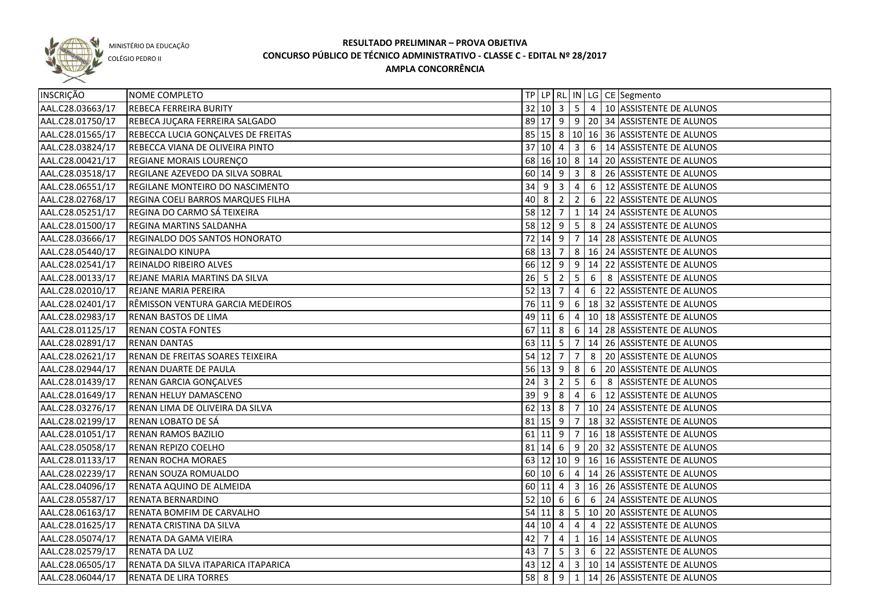

COLÉGIO PEDRO II

| INSCRIÇÃO        | NOME COMPLETO                       |             |                     |                |                 |                 |   | TP LP RL IN LG CE Segmento                                    |
|------------------|-------------------------------------|-------------|---------------------|----------------|-----------------|-----------------|---|---------------------------------------------------------------|
| AAL.C28.03663/17 | REBECA FERREIRA BURITY              |             |                     |                |                 |                 |   | 32 10 3 5 4 10 ASSISTENTE DE ALUNOS                           |
| AAL.C28.01750/17 | REBECA JUÇARA FERREIRA SALGADO      |             |                     |                |                 |                 |   | 89 17 9 9 20 34 ASSISTENTE DE ALUNOS                          |
| AAL.C28.01565/17 | REBECCA LUCIA GONÇALVES DE FREITAS  |             |                     |                |                 |                 |   | 85 15 8 10 16 36 ASSISTENTE DE ALUNOS                         |
| AAL.C28.03824/17 | REBECCA VIANA DE OLIVEIRA PINTO     |             |                     |                |                 |                 |   | 37 10 4 3 6 14 ASSISTENTE DE ALUNOS                           |
| AAL.C28.00421/17 | REGIANE MORAIS LOURENÇO             |             |                     |                |                 |                 |   | 68 16 10 8 14 20 ASSISTENTE DE ALUNOS                         |
| AAL.C28.03518/17 | REGILANE AZEVEDO DA SILVA SOBRAL    |             |                     |                |                 |                 |   | 60   14   9   3   8   26   ASSISTENTE DE ALUNOS               |
| AAL.C28.06551/17 | REGILANE MONTEIRO DO NASCIMENTO     |             | $34$ 9 3 4          |                |                 |                 |   | 6 12 ASSISTENTE DE ALUNOS                                     |
| AAL.C28.02768/17 | REGINA COELI BARROS MARQUES FILHA   |             | $40 \ 8 \ 2 \ 2$    |                |                 |                 |   | 6 22 ASSISTENTE DE ALUNOS                                     |
| AAL.C28.05251/17 | REGINA DO CARMO SÁ TEIXEIRA         |             |                     |                |                 |                 |   | 58 12 7 1 1 14 24 ASSISTENTE DE ALUNOS                        |
| AAL.C28.01500/17 | REGINA MARTINS SALDANHA             |             |                     |                |                 |                 |   | 58 12 9 5 8 24 ASSISTENTE DE ALUNOS                           |
| AAL.C28.03666/17 | REGINALDO DOS SANTOS HONORATO       |             | $72$ 14 9 7         |                |                 |                 |   | 14 28 ASSISTENTE DE ALUNOS                                    |
| AAL.C28.05440/17 | REGINALDO KINUPA                    |             |                     |                |                 |                 |   | 68 13 7 8 16 24 ASSISTENTE DE ALUNOS                          |
| AAL.C28.02541/17 | REINALDO RIBEIRO ALVES              |             |                     |                |                 |                 |   | 66 12 9 9 14 22 ASSISTENTE DE ALUNOS                          |
| AAL.C28.00133/17 | REJANE MARIA MARTINS DA SILVA       | $26 \mid 5$ |                     | $\vert$ 2      | 5               | 6               |   | 8 ASSISTENTE DE ALUNOS                                        |
| AAL.C28.02010/17 | REJANE MARIA PEREIRA                |             | $52$ 13 7           |                | 4               |                 |   | 6 22 ASSISTENTE DE ALUNOS                                     |
| AAL.C28.02401/17 | RÊMISSON VENTURA GARCIA MEDEIROS    |             |                     |                |                 |                 |   | 76 11 9 6 18 32 ASSISTENTE DE ALUNOS                          |
| AAL.C28.02983/17 | RENAN BASTOS DE LIMA                |             | 49 11 6             |                | $\overline{4}$  |                 |   | 10 18 ASSISTENTE DE ALUNOS                                    |
| AAL.C28.01125/17 | <b>RENAN COSTA FONTES</b>           |             |                     |                |                 |                 |   | 67 11 8 6 14 28 ASSISTENTE DE ALUNOS                          |
| AAL.C28.02891/17 | <b>RENAN DANTAS</b>                 |             | $63$ 11 5           |                | $\overline{7}$  |                 |   | 14 26 ASSISTENTE DE ALUNOS                                    |
| AAL.C28.02621/17 | RENAN DE FREITAS SOARES TEIXEIRA    |             | $54$ 12 7           |                | 7               | 8               |   | 20 ASSISTENTE DE ALUNOS                                       |
| AAL.C28.02944/17 | RENAN DUARTE DE PAULA               |             | $56 \mid 13 \mid 9$ |                | 8               | 6               |   | 20 ASSISTENTE DE ALUNOS                                       |
| AAL.C28.01439/17 | RENAN GARCIA GONÇALVES              | 24          | l 3                 | $\overline{2}$ | 5               | 6               | 8 | ASSISTENTE DE ALUNOS                                          |
| AAL.C28.01649/17 | RENAN HELUY DAMASCENO               | 39          | l 9                 | 8              | $\overline{4}$  | $6\overline{6}$ |   | 12 ASSISTENTE DE ALUNOS                                       |
| AAL.C28.03276/17 | RENAN LIMA DE OLIVEIRA DA SILVA     |             | $62$ 13 8           |                | 7               |                 |   | 10 24 ASSISTENTE DE ALUNOS                                    |
| AAL.C28.02199/17 | RENAN LOBATO DE SÁ                  |             | 81 15 9             |                | 7               |                 |   | 18 32 ASSISTENTE DE ALUNOS                                    |
| AAL.C28.01051/17 | <b>RENAN RAMOS BAZILIO</b>          |             | $61$   11   9       |                | 7               |                 |   | 16 18 ASSISTENTE DE ALUNOS                                    |
| AAL.C28.05058/17 | RENAN REPIZO COELHO                 |             | $81 \mid 14 \mid 6$ |                |                 |                 |   | 9 20 32 ASSISTENTE DE ALUNOS                                  |
| AAL.C28.01133/17 | <b>RENAN ROCHA MORAES</b>           |             |                     |                |                 |                 |   | 63 12 10 9 16 16 ASSISTENTE DE ALUNOS                         |
| AAL.C28.02239/17 | RENAN SOUZA ROMUALDO                |             |                     |                |                 |                 |   | 60 10 6 4 14 26 ASSISTENTE DE ALUNOS                          |
| AAL.C28.04096/17 | RENATA AQUINO DE ALMEIDA            |             |                     |                |                 |                 |   | 60 11 4 3 16 26 ASSISTENTE DE ALUNOS                          |
| AAL.C28.05587/17 | RENATA BERNARDINO                   |             |                     |                |                 |                 |   | 52 10 6 6 6 6 24 ASSISTENTE DE ALUNOS                         |
| AAL.C28.06163/17 | RENATA BOMFIM DE CARVALHO           |             |                     |                |                 |                 |   | 54 11 8 5 10 20 ASSISTENTE DE ALUNOS                          |
| AAL.C28.01625/17 | RENATA CRISTINA DA SILVA            |             | 44 10 4             |                | 4               |                 |   | 4 22 ASSISTENTE DE ALUNOS                                     |
| AAL.C28.05074/17 | RENATA DA GAMA VIEIRA               | $42 \mid 7$ |                     | $\overline{4}$ | $\vert 1 \vert$ |                 |   | 16 14 ASSISTENTE DE ALUNOS                                    |
| AAL.C28.02579/17 | RENATA DA LUZ                       | 43 7        |                     |                |                 |                 |   | $\vert 5 \vert 3 \vert 6 \vert 22 \vert$ ASSISTENTE DE ALUNOS |
| AAL.C28.06505/17 | RENATA DA SILVA ITAPARICA ITAPARICA |             |                     |                |                 |                 |   | 43 12 4 3 10 14 ASSISTENTE DE ALUNOS                          |
| AAL.C28.06044/17 | RENATA DE LIRA TORRES               |             | $58$ 8 9 1          |                |                 |                 |   | 14 26 ASSISTENTE DE ALUNOS                                    |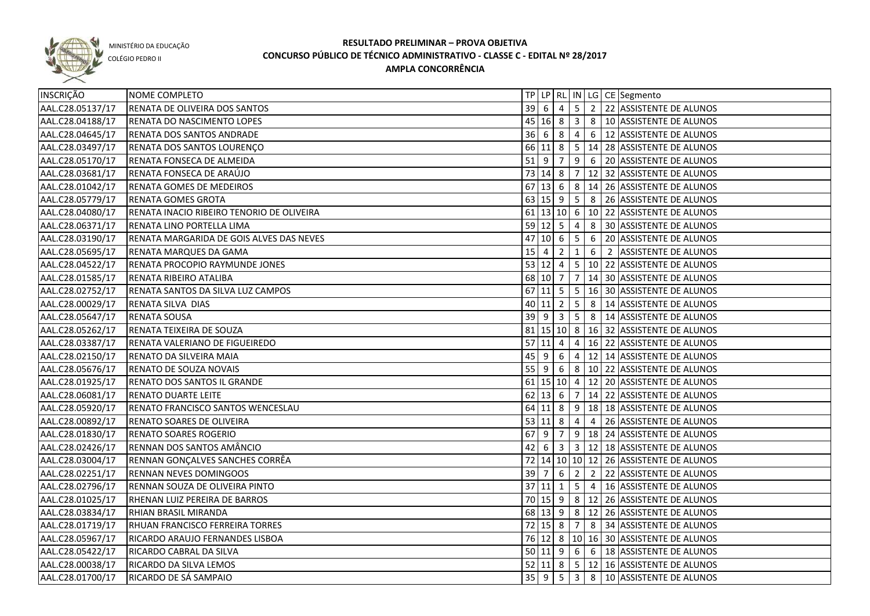

COLÉGIO PEDRO II

| <b>INSCRIÇÃO</b> | <b>NOME COMPLETO</b>                      |             |                    |                            |                |                | TP LP RL IN LG CE Segmento                        |
|------------------|-------------------------------------------|-------------|--------------------|----------------------------|----------------|----------------|---------------------------------------------------|
| AAL.C28.05137/17 | <b>RENATA DE OLIVEIRA DOS SANTOS</b>      |             |                    |                            |                |                | 39 6 4 5 2 22 ASSISTENTE DE ALUNOS                |
| AAL.C28.04188/17 | RENATA DO NASCIMENTO LOPES                |             |                    |                            |                |                | 45 16 8 3 8 10 ASSISTENTE DE ALUNOS               |
| AAL.C28.04645/17 | RENATA DOS SANTOS ANDRADE                 |             |                    |                            |                |                | 36 6 8 4 6 12 ASSISTENTE DE ALUNOS                |
| AAL.C28.03497/17 | RENATA DOS SANTOS LOURENÇO                |             |                    |                            |                |                | 66 11 8 5 14 28 ASSISTENTE DE ALUNOS              |
| AAL.C28.05170/17 | RENATA FONSECA DE ALMEIDA                 |             |                    |                            |                |                | 51 9 7 9 6 20 ASSISTENTE DE ALUNOS                |
| AAL.C28.03681/17 | RENATA FONSECA DE ARAÚJO                  |             |                    |                            |                |                | 73 14 8 7 12 32 ASSISTENTE DE ALUNOS              |
| AAL.C28.01042/17 | RENATA GOMES DE MEDEIROS                  |             |                    |                            |                |                | 67 13 6 8 14 26 ASSISTENTE DE ALUNOS              |
| AAL.C28.05779/17 | RENATA GOMES GROTA                        |             |                    |                            |                |                | 63 15 9 5 8 26 ASSISTENTE DE ALUNOS               |
| AAL.C28.04080/17 | RENATA INACIO RIBEIRO TENORIO DE OLIVEIRA |             |                    |                            |                |                | 61 13 10 6 10 22 ASSISTENTE DE ALUNOS             |
| AAL.C28.06371/17 | RENATA LINO PORTELLA LIMA                 |             |                    |                            |                |                | 59 12 5 4 8 30 ASSISTENTE DE ALUNOS               |
| AAL.C28.03190/17 | RENATA MARGARIDA DE GOIS ALVES DAS NEVES  | 47          | $10 \mid 6 \mid 5$ |                            |                | 6              | 20 ASSISTENTE DE ALUNOS                           |
| AAL.C28.05695/17 | RENATA MARQUES DA GAMA                    | 15          | $\overline{4}$     | $\overline{2}$             | $\mathbf{1}$   |                | 6 2 ASSISTENTE DE ALUNOS                          |
| AAL.C28.04522/17 | RENATA PROCOPIO RAYMUNDE JONES            |             | $53 \ 12 \ 4$      |                            |                |                | 5   10   22   ASSISTENTE DE ALUNOS                |
| AAL.C28.01585/17 | RENATA RIBEIRO ATALIBA                    |             | 68 10 7            |                            |                |                | $ 7 14 30 $ ASSISTENTE DE ALUNOS                  |
| AAL.C28.02752/17 | RENATA SANTOS DA SILVA LUZ CAMPOS         |             |                    |                            |                |                | 67 11 5 5 16 30 ASSISTENTE DE ALUNOS              |
| AAL.C28.00029/17 | RENATA SILVA DIAS                         |             | $40 \ 11 \ 2$      |                            | 5 <sub>1</sub> | 8 <sup>1</sup> | 14 ASSISTENTE DE ALUNOS                           |
| AAL.C28.05647/17 | <b>RENATA SOUSA</b>                       |             | $39$ 9             | $\overline{\phantom{a}}$ 3 |                |                | $\mid 5 \mid 8 \mid 14 \mid$ ASSISTENTE DE ALUNOS |
| AAL.C28.05262/17 | RENATA TEIXEIRA DE SOUZA                  |             |                    |                            |                |                | 81   15   10   8   16   32   ASSISTENTE DE ALUNOS |
| AAL.C28.03387/17 | RENATA VALERIANO DE FIGUEIREDO            |             | $57$ 11 4          |                            | $\overline{4}$ |                | 16 22 ASSISTENTE DE ALUNOS                        |
| AAL.C28.02150/17 | RENATO DA SILVEIRA MAIA                   | $45 \mid 9$ |                    | 6                          | $\overline{4}$ |                | 12 14 ASSISTENTE DE ALUNOS                        |
| AAL.C28.05676/17 | RENATO DE SOUZA NOVAIS                    | $55$ 9      |                    | 6                          |                |                | 8   10   22   ASSISTENTE DE ALUNOS                |
| AAL.C28.01925/17 | RENATO DOS SANTOS IL GRANDE               |             |                    |                            |                |                | 61   15   10   4   12   20   ASSISTENTE DE ALUNOS |
| AAL.C28.06081/17 | <b>RENATO DUARTE LEITE</b>                |             | $62$ 13 6          |                            | $\overline{7}$ |                | 14 22 ASSISTENTE DE ALUNOS                        |
| AAL.C28.05920/17 | RENATO FRANCISCO SANTOS WENCESLAU         |             | $64$ 11 8          |                            |                |                | $9   18   18$ ASSISTENTE DE ALUNOS                |
| AAL.C28.00892/17 | RENATO SOARES DE OLIVEIRA                 |             | 53   11   8        |                            | 4              | $\overline{4}$ | 26 ASSISTENTE DE ALUNOS                           |
| AAL.C28.01830/17 | <b>RENATO SOARES ROGERIO</b>              | 67          | l 9                | 7                          |                |                | 9   18   24   ASSISTENTE DE ALUNOS                |
| AAL.C28.02426/17 | RENNAN DOS SANTOS AMÂNCIO                 | 42          | 6                  | $\overline{\mathbf{3}}$    |                |                | 3   12   18 ASSISTENTE DE ALUNOS                  |
| AAL.C28.03004/17 | RENNAN GONÇALVES SANCHES CORRÊA           |             |                    |                            |                |                | 72 14 10 10 12 26 ASSISTENTE DE ALUNOS            |
| AAL.C28.02251/17 | <b>RENNAN NEVES DOMINGOOS</b>             | 39 7        |                    | 6                          |                |                | 2 2 2 2 ASSISTENTE DE ALUNOS                      |
| AAL.C28.02796/17 | RENNAN SOUZA DE OLIVEIRA PINTO            |             | 37 11 1            |                            |                |                | 5 4 16 ASSISTENTE DE ALUNOS                       |
| AAL.C28.01025/17 | RHENAN LUIZ PEREIRA DE BARROS             |             |                    |                            |                |                | 70 15 9 8 12 26 ASSISTENTE DE ALUNOS              |
| AAL.C28.03834/17 | RHIAN BRASIL MIRANDA                      |             |                    |                            |                |                | 68 13 9 8 12 26 ASSISTENTE DE ALUNOS              |
| AAL.C28.01719/17 | RHUAN FRANCISCO FERREIRA TORRES           |             |                    |                            |                |                | 72 15 8 7 8 34 ASSISTENTE DE ALUNOS               |
| AAL.C28.05967/17 | RICARDO ARAUJO FERNANDES LISBOA           |             |                    |                            |                |                | 76 12 8 10 16 30 ASSISTENTE DE ALUNOS             |
| AAL.C28.05422/17 | RICARDO CABRAL DA SILVA                   |             |                    |                            |                |                | 50 11 9 6 6 18 ASSISTENTE DE ALUNOS               |
| AAL.C28.00038/17 | RICARDO DA SILVA LEMOS                    |             |                    |                            |                |                | 52 11 8 5 12 16 ASSISTENTE DE ALUNOS              |
| AAL.C28.01700/17 | RICARDO DE SÁ SAMPAIO                     |             |                    |                            |                |                | 35 9 5 3 8 10 ASSISTENTE DE ALUNOS                |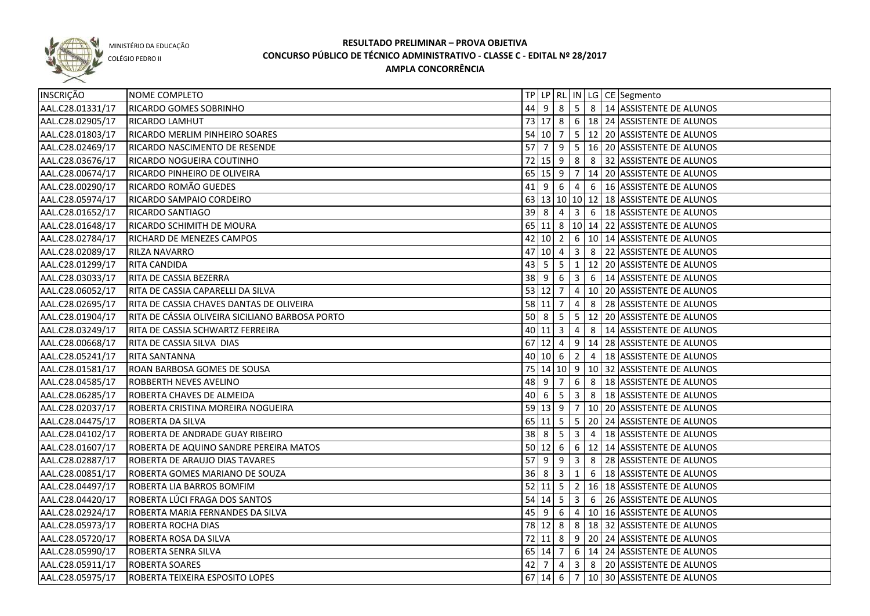

COLÉGIO PEDRO II

| INSCRIÇÃO        | NOME COMPLETO                                    |    |                  |                         |                         |                | TP   LP   RL   IN   LG   CE   Segmento                     |
|------------------|--------------------------------------------------|----|------------------|-------------------------|-------------------------|----------------|------------------------------------------------------------|
| AAL.C28.01331/17 | <b>RICARDO GOMES SOBRINHO</b>                    |    |                  |                         |                         |                | 44 9 8 5 8 14 ASSISTENTE DE ALUNOS                         |
| AAL.C28.02905/17 | RICARDO LAMHUT                                   |    |                  |                         |                         |                | 73 17 8 6 18 24 ASSISTENTE DE ALUNOS                       |
| AAL.C28.01803/17 | RICARDO MERLIM PINHEIRO SOARES                   |    |                  |                         |                         |                | 54 10 7 5 12 20 ASSISTENTE DE ALUNOS                       |
| AAL.C28.02469/17 | RICARDO NASCIMENTO DE RESENDE                    |    |                  |                         |                         |                | $\overline{57}$ 7   9   5   16   20   ASSISTENTE DE ALUNOS |
| AAL.C28.03676/17 | RICARDO NOGUEIRA COUTINHO                        |    |                  |                         |                         |                | 72 15 9 8 8 32 ASSISTENTE DE ALUNOS                        |
| AAL.C28.00674/17 | RICARDO PINHEIRO DE OLIVEIRA                     |    |                  |                         |                         |                | 65 15 9 7 14 20 ASSISTENTE DE ALUNOS                       |
| AAL.C28.00290/17 | RICARDO ROMÃO GUEDES                             |    | $41$ 9 6 4       |                         |                         |                | 6   16 ASSISTENTE DE ALUNOS                                |
| AAL.C28.05974/17 | RICARDO SAMPAIO CORDEIRO                         |    |                  |                         |                         |                | 63 13 10 10 12 18 ASSISTENTE DE ALUNOS                     |
| AAL.C28.01652/17 | <b>RICARDO SANTIAGO</b>                          |    | $39$ 8 4 3       |                         |                         |                | 6   18 ASSISTENTE DE ALUNOS                                |
| AAL.C28.01648/17 | RICARDO SCHIMITH DE MOURA                        |    |                  |                         |                         |                | 65 11 8 10 14 22 ASSISTENTE DE ALUNOS                      |
| AAL.C28.02784/17 | RICHARD DE MENEZES CAMPOS                        | 42 |                  |                         |                         |                | 10  2   6   10   14   ASSISTENTE DE ALUNOS                 |
| AAL.C28.02089/17 | RILZA NAVARRO                                    | 47 | $10 \mid 4 \mid$ |                         | $\overline{\mathbf{3}}$ |                | 8 22 ASSISTENTE DE ALUNOS                                  |
| AAL.C28.01299/17 | <b>RITA CANDIDA</b>                              | 43 | 5                | 5                       | $\mathbf{1}$            |                | 12 20 ASSISTENTE DE ALUNOS                                 |
| AAL.C28.03033/17 | RITA DE CASSIA BEZERRA                           |    | $38$ 9           | 6                       | $\vert$ 3               | 6              | 14 ASSISTENTE DE ALUNOS                                    |
| AAL.C28.06052/17 | RITA DE CASSIA CAPARELLI DA SILVA                |    | $53$ 12 7 4      |                         |                         |                | 10 20 ASSISTENTE DE ALUNOS                                 |
| AAL.C28.02695/17 | RITA DE CASSIA CHAVES DANTAS DE OLIVEIRA         |    | $58$ 11 7        |                         | $\overline{4}$          |                | 8 28 ASSISTENTE DE ALUNOS                                  |
| AAL.C28.01904/17 | IRITA DE CÁSSIA OLIVEIRA SICILIANO BARBOSA PORTO |    |                  |                         |                         |                | 50 8 5 5 12 20 ASSISTENTE DE ALUNOS                        |
| AAL.C28.03249/17 | RITA DE CASSIA SCHWARTZ FERREIRA                 |    | $40$ 11 3 4      |                         |                         |                | 8   14 ASSISTENTE DE ALUNOS                                |
| AAL.C28.00668/17 | RITA DE CASSIA SILVA DIAS                        |    | $67$ 12 4        |                         | 9 <sup>1</sup>          |                | 14 28 ASSISTENTE DE ALUNOS                                 |
| AAL.C28.05241/17 | <b>RITA SANTANNA</b>                             |    | 40 10 6          |                         | $\overline{2}$          | $\overline{4}$ | 18 ASSISTENTE DE ALUNOS                                    |
| AAL.C28.01581/17 | ROAN BARBOSA GOMES DE SOUSA                      |    |                  |                         |                         |                | 75   14   10   9   10   32   ASSISTENTE DE ALUNOS          |
| AAL.C28.04585/17 | <b>ROBBERTH NEVES AVELINO</b>                    |    | 48 9             | $\overline{7}$          | 6                       | 8              | 18 ASSISTENTE DE ALUNOS                                    |
| AAL.C28.06285/17 | ROBERTA CHAVES DE ALMEIDA                        | 40 | l 6              | $5^{\circ}$             | $\overline{\mathbf{3}}$ |                | 8   18 ASSISTENTE DE ALUNOS                                |
| AAL.C28.02037/17 | ROBERTA CRISTINA MOREIRA NOGUEIRA                |    | 59 13 9          |                         | $\overline{7}$          |                | 10 20 ASSISTENTE DE ALUNOS                                 |
| AAL.C28.04475/17 | <b>ROBERTA DA SILVA</b>                          |    |                  |                         |                         |                | 65   11   5   5   20   24   ASSISTENTE DE ALUNOS           |
| AAL.C28.04102/17 | ROBERTA DE ANDRADE GUAY RIBEIRO                  |    | $38$ 8           | 5 <sup>5</sup>          | $\overline{\mathbf{3}}$ | $\overline{4}$ | 18 ASSISTENTE DE ALUNOS                                    |
| AAL.C28.01607/17 | ROBERTA DE AQUINO SANDRE PEREIRA MATOS           |    |                  |                         |                         |                | 50 12 6 6 12 14 ASSISTENTE DE ALUNOS                       |
| AAL.C28.02887/17 | ROBERTA DE ARAUJO DIAS TAVARES                   | 57 | <u> </u> 9       | 9                       | $\overline{\mathbf{3}}$ |                | 8 28 ASSISTENTE DE ALUNOS                                  |
| AAL.C28.00851/17 | ROBERTA GOMES MARIANO DE SOUZA                   |    | $36 \mid 8$      | $\overline{\mathbf{3}}$ | 1                       | 6              | 18 ASSISTENTE DE ALUNOS                                    |
| AAL.C28.04497/17 | ROBERTA LIA BARROS BOMFIM                        |    |                  |                         |                         |                | 52 11 5 2 16 18 ASSISTENTE DE ALUNOS                       |
| AAL.C28.04420/17 | ROBERTA LÚCI FRAGA DOS SANTOS                    |    |                  |                         |                         |                | 54 14 5 3 6 26 ASSISTENTE DE ALUNOS                        |
| AAL.C28.02924/17 | ROBERTA MARIA FERNANDES DA SILVA                 |    |                  |                         |                         |                | 45 9 6 4 10 16 ASSISTENTE DE ALUNOS                        |
| AAL.C28.05973/17 | ROBERTA ROCHA DIAS                               |    |                  |                         |                         |                | 78 12 8 8 18 18 32 ASSISTENTE DE ALUNOS                    |
| AAL.C28.05720/17 | ROBERTA ROSA DA SILVA                            |    |                  |                         |                         |                | 72 11 8 9 20 24 ASSISTENTE DE ALUNOS                       |
| AAL.C28.05990/17 | ROBERTA SENRA SILVA                              |    |                  |                         |                         |                | 65 14 7 6 14 24 ASSISTENTE DE ALUNOS                       |
| AAL.C28.05911/17 | <b>ROBERTA SOARES</b>                            |    |                  |                         |                         |                | 42 7 4 3 8 20 ASSISTENTE DE ALUNOS                         |
| AAL.C28.05975/17 | ROBERTA TEIXEIRA ESPOSITO LOPES                  |    |                  |                         |                         |                | 67 14 6 7 10 30 ASSISTENTE DE ALUNOS                       |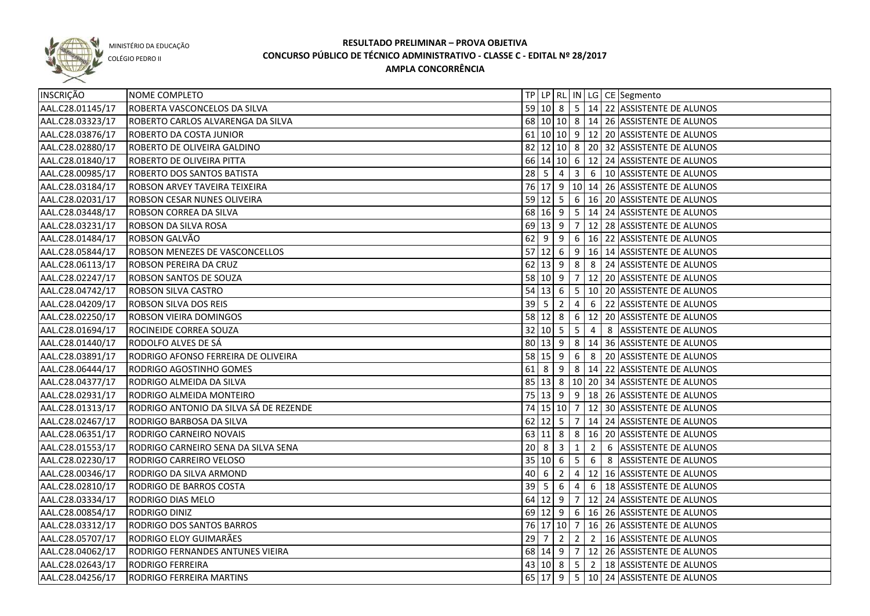

COLÉGIO PEDRO II

| INSCRIÇÃO        | NOME COMPLETO                          |    |                            |                |                 |                | TP LP RL IN LG CE Segmento                        |
|------------------|----------------------------------------|----|----------------------------|----------------|-----------------|----------------|---------------------------------------------------|
| AAL.C28.01145/17 | ROBERTA VASCONCELOS DA SILVA           |    |                            |                |                 |                | 59 10 8 5 14 22 ASSISTENTE DE ALUNOS              |
| AAL.C28.03323/17 | ROBERTO CARLOS ALVARENGA DA SILVA      |    |                            |                |                 |                | 68 10 10 8 14 26 ASSISTENTE DE ALUNOS             |
| AAL.C28.03876/17 | ROBERTO DA COSTA JUNIOR                |    |                            |                |                 |                | 61 10 10 9 12 20 ASSISTENTE DE ALUNOS             |
| AAL.C28.02880/17 | ROBERTO DE OLIVEIRA GALDINO            |    |                            |                |                 |                | 82 12 10 8 20 32 ASSISTENTE DE ALUNOS             |
| AAL.C28.01840/17 | ROBERTO DE OLIVEIRA PITTA              |    |                            |                |                 |                | 66 14 10 6 12 24 ASSISTENTE DE ALUNOS             |
| AAL.C28.00985/17 | ROBERTO DOS SANTOS BATISTA             |    |                            |                |                 |                | 28   5   4   3   6   10   ASSISTENTE DE ALUNOS    |
| AAL.C28.03184/17 | ROBSON ARVEY TAVEIRA TEIXEIRA          |    |                            |                |                 |                | 76 17 9 10 14 26 ASSISTENTE DE ALUNOS             |
| AAL.C28.02031/17 | ROBSON CESAR NUNES OLIVEIRA            |    |                            |                |                 |                | 59 12 5 6 16 20 ASSISTENTE DE ALUNOS              |
| AAL.C28.03448/17 | ROBSON CORREA DA SILVA                 |    |                            |                |                 |                | 68 16 9 5 14 24 ASSISTENTE DE ALUNOS              |
| AAL.C28.03231/17 | ROBSON DA SILVA ROSA                   |    |                            |                |                 |                | 69 13 9 7 12 28 ASSISTENTE DE ALUNOS              |
| AAL.C28.01484/17 | ROBSON GALVÃO                          |    | $62$ 9                     | l 9            |                 |                | $6 \mid 16 \mid 22$ ASSISTENTE DE ALUNOS          |
| AAL.C28.05844/17 | ROBSON MENEZES DE VASCONCELLOS         |    | $57$ 12 6                  |                |                 |                | 9 16 14 ASSISTENTE DE ALUNOS                      |
| AAL.C28.06113/17 | ROBSON PEREIRA DA CRUZ                 |    |                            |                |                 |                | 62 13 9 8 8 24 ASSISTENTE DE ALUNOS               |
| AAL.C28.02247/17 | ROBSON SANTOS DE SOUZA                 |    | 58 10 9 7                  |                |                 |                | 12 20 ASSISTENTE DE ALUNOS                        |
| AAL.C28.04742/17 | ROBSON SILVA CASTRO                    |    |                            |                |                 |                | 54 13 6 5 10 20 ASSISTENTE DE ALUNOS              |
| AAL.C28.04209/17 | ROBSON SILVA DOS REIS                  |    | $39 \mid 5 \mid 2$         |                | $\overline{4}$  | 6              | 22 ASSISTENTE DE ALUNOS                           |
| AAL.C28.02250/17 | ROBSON VIEIRA DOMINGOS                 |    |                            |                |                 |                | 58 12 8 6 12 20 ASSISTENTE DE ALUNOS              |
| AAL.C28.01694/17 | ROCINEIDE CORREA SOUZA                 |    | $32 \mid 10 \mid 5 \mid 5$ |                |                 | $\overline{4}$ | 8 ASSISTENTE DE ALUNOS                            |
| AAL.C28.01440/17 | RODOLFO ALVES DE SÁ                    |    |                            |                |                 |                | 80   13   9   8   14   36   ASSISTENTE DE ALUNOS  |
| AAL.C28.03891/17 | RODRIGO AFONSO FERREIRA DE OLIVEIRA    |    | $58$ 15 9                  |                | 6               | 8              | 20 ASSISTENTE DE ALUNOS                           |
| AAL.C28.06444/17 | RODRIGO AGOSTINHO GOMES                |    | $61$ 8                     | $\overline{9}$ |                 |                | 8   14   22   ASSISTENTE DE ALUNOS                |
| AAL.C28.04377/17 | RODRIGO ALMEIDA DA SILVA               |    |                            |                |                 |                | 85   13   8   10   20   34   ASSISTENTE DE ALUNOS |
| AAL.C28.02931/17 | RODRIGO ALMEIDA MONTEIRO               |    | 75 13 9                    |                |                 |                | $9   18   26$ ASSISTENTE DE ALUNOS                |
| AAL.C28.01313/17 | RODRIGO ANTONIO DA SILVA SÁ DE REZENDE |    | 74 15 10 7                 |                |                 |                | 12 30 ASSISTENTE DE ALUNOS                        |
| AAL.C28.02467/17 | RODRIGO BARBOSA DA SILVA               |    | $62$ 12 5                  |                | $\overline{7}$  |                | 14 24 ASSISTENTE DE ALUNOS                        |
| AAL.C28.06351/17 | RODRIGO CARNEIRO NOVAIS                |    |                            |                |                 |                | 63 11 8 8 3 16 20 ASSISTENTE DE ALUNOS            |
| AAL.C28.01553/17 | RODRIGO CARNEIRO SENA DA SILVA SENA    | 20 | $8 \mid 3$                 |                | $\mathbf{1}$    | $\overline{2}$ | 6 ASSISTENTE DE ALUNOS                            |
| AAL.C28.02230/17 | RODRIGO CARREIRO VELOSO                |    | 35   10   6                |                | $5\overline{5}$ | 6              | 8 ASSISTENTE DE ALUNOS                            |
| AAL.C28.00346/17 | RODRIGO DA SILVA ARMOND                |    | 40 6                       | $\overline{2}$ | $\overline{4}$  |                | 12 16 ASSISTENTE DE ALUNOS                        |
| AAL.C28.02810/17 | RODRIGO DE BARROS COSTA                |    | $39 \mid 5 \mid 6$         |                | $\overline{4}$  |                | 6   18 ASSISTENTE DE ALUNOS                       |
| AAL.C28.03334/17 | RODRIGO DIAS MELO                      |    |                            |                |                 |                | 64 12 9 7 12 24 ASSISTENTE DE ALUNOS              |
| AAL.C28.00854/17 | RODRIGO DINIZ                          |    |                            |                |                 |                | 69 12 9 6 16 26 ASSISTENTE DE ALUNOS              |
| AAL.C28.03312/17 | RODRIGO DOS SANTOS BARROS              |    |                            |                |                 |                | 76 17 10 7 16 26 ASSISTENTE DE ALUNOS             |
| AAL.C28.05707/17 | RODRIGO ELOY GUIMARÃES                 |    |                            |                |                 |                | 29 7 2 2 2 16 ASSISTENTE DE ALUNOS                |
| AAL.C28.04062/17 | RODRIGO FERNANDES ANTUNES VIEIRA       |    |                            |                |                 |                | 68 14 9 7 12 26 ASSISTENTE DE ALUNOS              |
| AAL.C28.02643/17 | RODRIGO FERREIRA                       |    |                            |                |                 |                | 43 10 8 5 2 18 ASSISTENTE DE ALUNOS               |
| AAL.C28.04256/17 | RODRIGO FERREIRA MARTINS               |    |                            |                |                 |                | 65 17 9 5 10 24 ASSISTENTE DE ALUNOS              |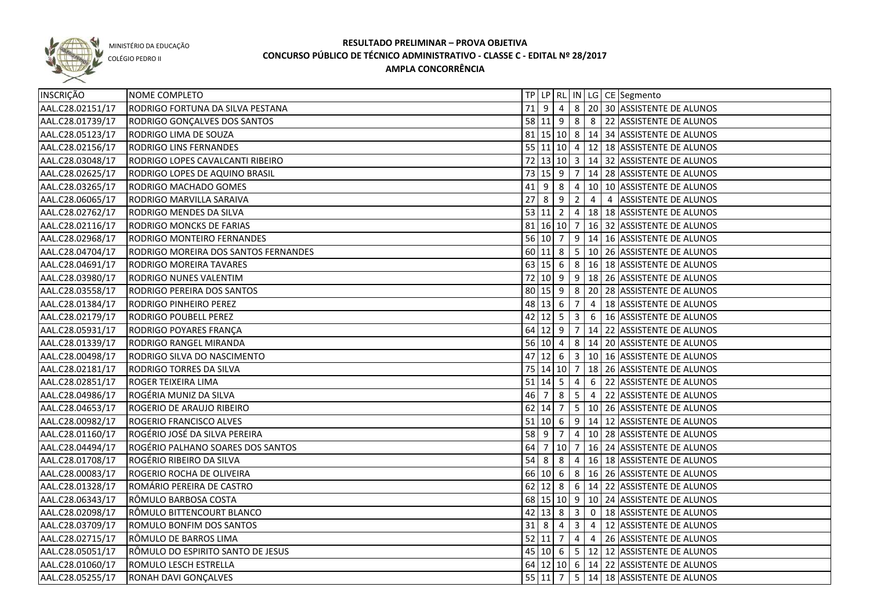

COLÉGIO PEDRO II

| INSCRIÇÃO        | NOME COMPLETO                        |        |                            |   |                 |                | TP   LP   RL   IN   LG   CE   Segmento                |
|------------------|--------------------------------------|--------|----------------------------|---|-----------------|----------------|-------------------------------------------------------|
| AAL.C28.02151/17 | RODRIGO FORTUNA DA SILVA PESTANA     |        | $71 \mid 9 \mid 4 \mid$    |   |                 |                | 8 20 30 ASSISTENTE DE ALUNOS                          |
| AAL.C28.01739/17 | RODRIGO GONÇALVES DOS SANTOS         |        |                            |   |                 |                | 58 11 9 8 8 22 ASSISTENTE DE ALUNOS                   |
| AAL.C28.05123/17 | RODRIGO LIMA DE SOUZA                |        |                            |   |                 |                | 81 15 10 8 14 34 ASSISTENTE DE ALUNOS                 |
| AAL.C28.02156/17 | <b>RODRIGO LINS FERNANDES</b>        |        |                            |   |                 |                | 55 11 10 4 12 18 ASSISTENTE DE ALUNOS                 |
| AAL.C28.03048/17 | RODRIGO LOPES CAVALCANTI RIBEIRO     |        |                            |   |                 |                | 72 13 10 3 14 32 ASSISTENTE DE ALUNOS                 |
| AAL.C28.02625/17 | RODRIGO LOPES DE AQUINO BRASIL       |        |                            |   |                 |                | 73 15 9 7 14 28 ASSISTENTE DE ALUNOS                  |
| AAL.C28.03265/17 | RODRIGO MACHADO GOMES                |        | $41$ 9 8                   |   |                 |                | 4 10 10 ASSISTENTE DE ALUNOS                          |
| AAL.C28.06065/17 | RODRIGO MARVILLA SARAIVA             |        | 27892                      |   |                 |                | 4 4 ASSISTENTE DE ALUNOS                              |
| AAL.C28.02762/17 | RODRIGO MENDES DA SILVA              |        |                            |   |                 |                | 53 11 2 4 18 18 ASSISTENTE DE ALUNOS                  |
| AAL.C28.02116/17 | RODRIGO MONCKS DE FARIAS             |        |                            |   |                 |                | 81   16   10   7   16   32   ASSISTENTE DE ALUNOS     |
| AAL.C28.02968/17 | RODRIGO MONTEIRO FERNANDES           |        |                            |   |                 |                | 56 10 7 9 14 16 ASSISTENTE DE ALUNOS                  |
| AAL.C28.04704/17 | RODRIGO MOREIRA DOS SANTOS FERNANDES |        |                            |   |                 |                | 60 11 8 5 10 26 ASSISTENTE DE ALUNOS                  |
| AAL.C28.04691/17 | RODRIGO MOREIRA TAVARES              |        |                            |   |                 |                | 63 15 6 8 16 18 ASSISTENTE DE ALUNOS                  |
| AAL.C28.03980/17 | RODRIGO NUNES VALENTIM               |        |                            |   |                 |                | 72 10 9 9 18 26 ASSISTENTE DE ALUNOS                  |
| AAL.C28.03558/17 | RODRIGO PEREIRA DOS SANTOS           |        | $80 \mid 15 \mid 9 \mid 8$ |   |                 |                | 20 28 ASSISTENTE DE ALUNOS                            |
| AAL.C28.01384/17 | RODRIGO PINHEIRO PEREZ               |        | 48 13 6                    |   | $\overline{7}$  | $\overline{4}$ | 18 ASSISTENTE DE ALUNOS                               |
| AAL.C28.02179/17 | RODRIGO POUBELL PEREZ                |        | $42$ 12 5 3                |   |                 |                | 6   16 ASSISTENTE DE ALUNOS                           |
| AAL.C28.05931/17 | RODRIGO POYARES FRANÇA               |        | $64$ 12 9 7                |   |                 |                | 14 22 ASSISTENTE DE ALUNOS                            |
| AAL.C28.01339/17 | RODRIGO RANGEL MIRANDA               |        | 56   10   4                |   |                 |                | 8   14   20   ASSISTENTE DE ALUNOS                    |
| AAL.C28.00498/17 | RODRIGO SILVA DO NASCIMENTO          | 47     |                            |   |                 |                | 12  6   3   10   16   ASSISTENTE DE ALUNOS            |
| AAL.C28.02181/17 | RODRIGO TORRES DA SILVA              |        | 75 14 10 7                 |   |                 |                | 18 26 ASSISTENTE DE ALUNOS                            |
| AAL.C28.02851/17 | ROGER TEIXEIRA LIMA                  |        | $51$ 14 5                  |   | 4               | 6              | 22 ASSISTENTE DE ALUNOS                               |
| AAL.C28.04986/17 | ROGÉRIA MUNIZ DA SILVA               | 46     | l 7                        | 8 | $5\phantom{.0}$ | $\overline{4}$ | 22 ASSISTENTE DE ALUNOS                               |
| AAL.C28.04653/17 | ROGERIO DE ARAUJO RIBEIRO            |        | $62$   14  7               |   |                 |                | 5   10   26   ASSISTENTE DE ALUNOS                    |
| AAL.C28.00982/17 | <b>ROGERIO FRANCISCO ALVES</b>       |        | $51$ 10 6                  |   |                 |                | $9$   14   12   ASSISTENTE DE ALUNOS                  |
| AAL.C28.01160/17 | ROGÉRIO JOSÉ DA SILVA PEREIRA        | $58$ 9 |                            | 7 | $\vert 4 \vert$ |                | 10 28 ASSISTENTE DE ALUNOS                            |
| AAL.C28.04494/17 | ROGÉRIO PALHANO SOARES DOS SANTOS    | 64     |                            |   |                 |                | 7   10   7   16   24   ASSISTENTE DE ALUNOS           |
| AAL.C28.01708/17 | ROGÉRIO RIBEIRO DA SILVA             | 54     | 8                          | 8 | $\overline{4}$  |                | 16 18 ASSISTENTE DE ALUNOS                            |
| AAL.C28.00083/17 | ROGERIO ROCHA DE OLIVEIRA            |        | 66 10 6                    |   |                 |                | 8   16   26   ASSISTENTE DE ALUNOS                    |
| AAL.C28.01328/17 | ROMÁRIO PEREIRA DE CASTRO            |        |                            |   |                 |                | 62 12 8 6 14 22 ASSISTENTE DE ALUNOS                  |
| AAL.C28.06343/17 | RÔMULO BARBOSA COSTA                 |        |                            |   |                 |                | 68 15 10 9 10 24 ASSISTENTE DE ALUNOS                 |
| AAL.C28.02098/17 | RÔMULO BITTENCOURT BLANCO            |        | $42$ 13 8 3                |   |                 |                | 0 18 ASSISTENTE DE ALUNOS                             |
| AAL.C28.03709/17 | ROMULO BONFIM DOS SANTOS             |        | $31 \mid 8 \mid 4$         |   |                 |                | $\vert 3 \vert 4 \vert 12 \vert$ ASSISTENTE DE ALUNOS |
| AAL.C28.02715/17 | RÔMULO DE BARROS LIMA                |        |                            |   |                 |                | 52 11 7 4 4 26 ASSISTENTE DE ALUNOS                   |
| AAL.C28.05051/17 | RÔMULO DO ESPIRITO SANTO DE JESUS    |        |                            |   |                 |                | 45 10 6 5 12 12 ASSISTENTE DE ALUNOS                  |
| AAL.C28.01060/17 | ROMULO LESCH ESTRELLA                |        |                            |   |                 |                | 64 12 10 6 14 22 ASSISTENTE DE ALUNOS                 |
| AAL.C28.05255/17 | RONAH DAVI GONÇALVES                 |        |                            |   |                 |                | 55 11 7 5 14 18 ASSISTENTE DE ALUNOS                  |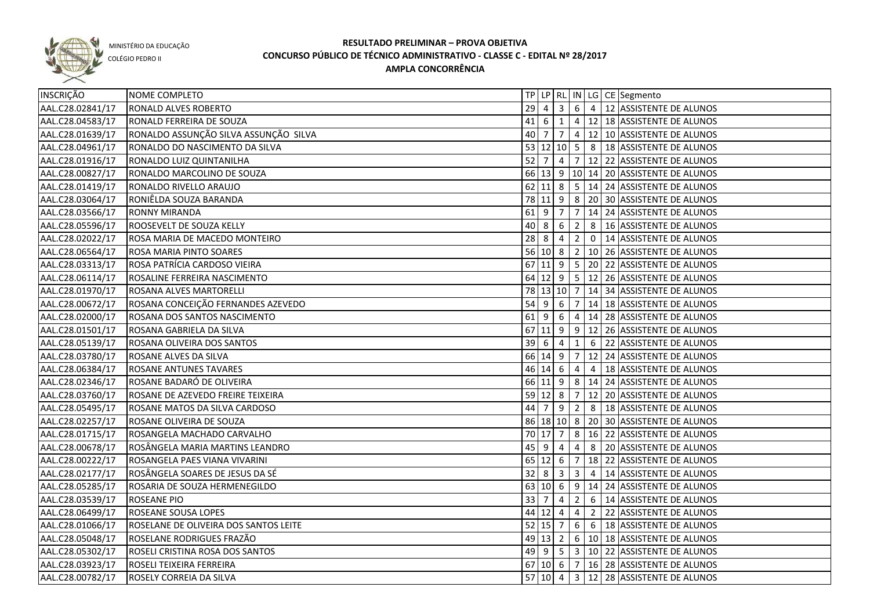

COLÉGIO PEDRO II

| INSCRIÇÃO        | NOME COMPLETO                         |             |                                |                |                |                | TP LP RL IN LG CE Segmento                                    |
|------------------|---------------------------------------|-------------|--------------------------------|----------------|----------------|----------------|---------------------------------------------------------------|
| AAL.C28.02841/17 | RONALD ALVES ROBERTO                  | 29          | $\overline{4}$                 |                |                |                | $\vert 3 \vert 6 \vert 4 \vert 12 \vert$ ASSISTENTE DE ALUNOS |
| AAL.C28.04583/17 | RONALD FERREIRA DE SOUZA              |             | $41 \ 6 \ 1$                   |                |                |                | 4   12   18   ASSISTENTE DE ALUNOS                            |
| AAL.C28.01639/17 | RONALDO ASSUNÇÃO SILVA ASSUNÇÃO SILVA |             |                                |                |                |                | 40   7   7   4   12   10   ASSISTENTE DE ALUNOS               |
| AAL.C28.04961/17 | RONALDO DO NASCIMENTO DA SILVA        |             |                                |                |                |                | 53 12 10 5 8 18 ASSISTENTE DE ALUNOS                          |
| AAL.C28.01916/17 | RONALDO LUIZ QUINTANILHA              |             |                                |                |                |                | 52 7 4 7 12 22 ASSISTENTE DE ALUNOS                           |
| AAL.C28.00827/17 | RONALDO MARCOLINO DE SOUZA            |             |                                |                |                |                | 66 13 9 10 14 20 ASSISTENTE DE ALUNOS                         |
| AAL.C28.01419/17 | RONALDO RIVELLO ARAUJO                |             |                                |                |                |                | 62 11 8 5 14 24 ASSISTENTE DE ALUNOS                          |
| AAL.C28.03064/17 | RONIÊLDA SOUZA BARANDA                |             |                                |                |                |                | 78 11 9 8 20 30 ASSISTENTE DE ALUNOS                          |
| AAL.C28.03566/17 | <b>RONNY MIRANDA</b>                  |             |                                |                |                |                | 61 9 7 7 14 24 ASSISTENTE DE ALUNOS                           |
| AAL.C28.05596/17 | ROOSEVELT DE SOUZA KELLY              |             |                                |                |                |                | 40 8 6 2 8 16 ASSISTENTE DE ALUNOS                            |
| AAL.C28.02022/17 | ROSA MARIA DE MACEDO MONTEIRO         |             | $28 \mid 8 \mid 4 \mid 2 \mid$ |                |                |                | 0   14 ASSISTENTE DE ALUNOS                                   |
| AAL.C28.06564/17 | ROSA MARIA PINTO SOARES               |             |                                |                |                |                | 56 10 8 2 10 26 ASSISTENTE DE ALUNOS                          |
| AAL.C28.03313/17 | ROSA PATRÍCIA CARDOSO VIEIRA          |             |                                |                |                |                | 67 11 9 5 20 22 ASSISTENTE DE ALUNOS                          |
| AAL.C28.06114/17 | ROSALINE FERREIRA NASCIMENTO          |             |                                |                |                |                | 64 12 9 5 12 26 ASSISTENTE DE ALUNOS                          |
| AAL.C28.01970/17 | ROSANA ALVES MARTORELLI               |             | 78 13 10 7                     |                |                |                | 14 34 ASSISTENTE DE ALUNOS                                    |
| AAL.C28.00672/17 | ROSANA CONCEIÇÃO FERNANDES AZEVEDO    | 54          | l 9                            | 6              | 7              |                | 14 18 ASSISTENTE DE ALUNOS                                    |
| AAL.C28.02000/17 | ROSANA DOS SANTOS NASCIMENTO          | $61$ 9      |                                | 6              | $\overline{4}$ |                | 14 28 ASSISTENTE DE ALUNOS                                    |
| AAL.C28.01501/17 | ROSANA GABRIELA DA SILVA              |             | $67$ 11 9 9                    |                |                |                | 12 26 ASSISTENTE DE ALUNOS                                    |
| AAL.C28.05139/17 | ROSANA OLIVEIRA DOS SANTOS            | $39$ 6      |                                | $\overline{4}$ | $\mathbf{1}$   |                | 6 22 ASSISTENTE DE ALUNOS                                     |
| AAL.C28.03780/17 | ROSANE ALVES DA SILVA                 |             | 66 14 9 7                      |                |                |                | 12 24 ASSISTENTE DE ALUNOS                                    |
| AAL.C28.06384/17 | <b>ROSANE ANTUNES TAVARES</b>         |             | 46 14 6                        |                | $\overline{4}$ | $\overline{4}$ | 18 ASSISTENTE DE ALUNOS                                       |
| AAL.C28.02346/17 | ROSANE BADARÓ DE OLIVEIRA             |             | $66$ 11 9 8                    |                |                |                | 14 24 ASSISTENTE DE ALUNOS                                    |
| AAL.C28.03760/17 | ROSANE DE AZEVEDO FREIRE TEIXEIRA     |             | $59$ 12 8                      |                | 7              |                | 12 20 ASSISTENTE DE ALUNOS                                    |
| AAL.C28.05495/17 | ROSANE MATOS DA SILVA CARDOSO         | 44          | $\overline{7}$                 | 9              | $\overline{2}$ |                | 8   18 ASSISTENTE DE ALUNOS                                   |
| AAL.C28.02257/17 | ROSANE OLIVEIRA DE SOUZA              |             |                                |                |                |                | 86 18 10 8 20 30 ASSISTENTE DE ALUNOS                         |
| AAL.C28.01715/17 | ROSANGELA MACHADO CARVALHO            |             | 70 17 7                        |                | 8              |                | 16 22 ASSISTENTE DE ALUNOS                                    |
| AAL.C28.00678/17 | ROSÂNGELA MARIA MARTINS LEANDRO       | 45          | l 9                            | 4              | 4              | 8              | 20 ASSISTENTE DE ALUNOS                                       |
| AAL.C28.00222/17 | ROSANGELA PAES VIANA VIVARINI         |             | $65$ 12 6                      |                | 7              |                | 18 22 ASSISTENTE DE ALUNOS                                    |
| AAL.C28.02177/17 | ROSÂNGELA SOARES DE JESUS DA SÉ       | 32          | 8                              | 3              | $\overline{3}$ | 4              | 14 ASSISTENTE DE ALUNOS                                       |
| AAL.C28.05285/17 | ROSARIA DE SOUZA HERMENEGILDO         |             | 63   10   6                    |                |                |                | $9$   14   24   ASSISTENTE DE ALUNOS                          |
| AAL.C28.03539/17 | <b>ROSEANE PIO</b>                    | $33 \mid 7$ |                                | $\overline{4}$ | $\overline{2}$ |                | 6 14 ASSISTENTE DE ALUNOS                                     |
| AAL.C28.06499/17 | ROSEANE SOUSA LOPES                   |             | $44$ 12 4                      |                |                |                | 4 2 22 ASSISTENTE DE ALUNOS                                   |
| AAL.C28.01066/17 | ROSELANE DE OLIVEIRA DOS SANTOS LEITE |             | $52$ 15 7                      |                |                |                | 6 6 18 ASSISTENTE DE ALUNOS                                   |
| AAL.C28.05048/17 | ROSELANE RODRIGUES FRAZÃO             |             |                                |                |                |                | 49 13 2 6 10 18 ASSISTENTE DE ALUNOS                          |
| AAL.C28.05302/17 | ROSELI CRISTINA ROSA DOS SANTOS       |             |                                |                |                |                | 49 9 5 3 10 22 ASSISTENTE DE ALUNOS                           |
| AAL.C28.03923/17 | ROSELI TEIXEIRA FERREIRA              |             |                                |                |                |                | 67 10 6 7 16 28 ASSISTENTE DE ALUNOS                          |
| AAL.C28.00782/17 | ROSELY CORREIA DA SILVA               |             |                                |                |                |                | 57 10 4 3 12 28 ASSISTENTE DE ALUNOS                          |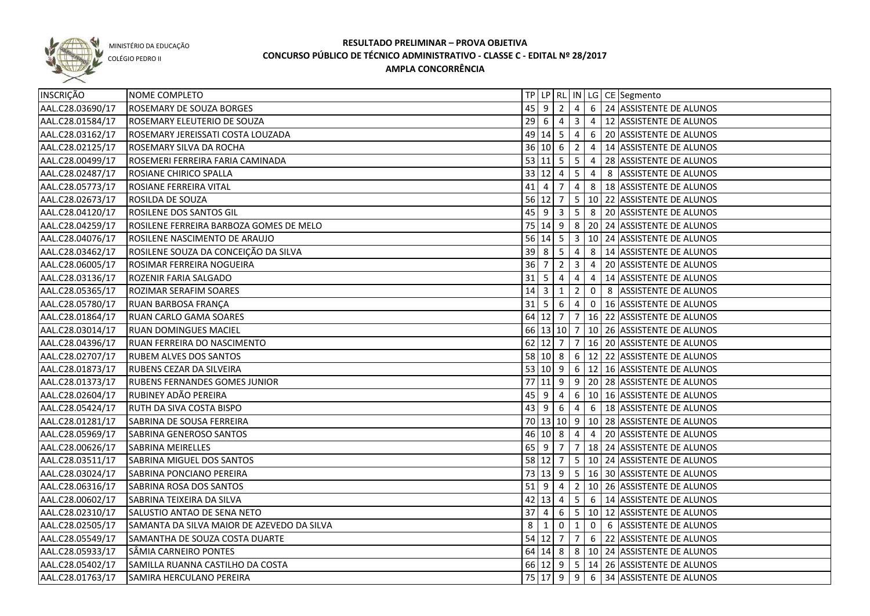

COLÉGIO PEDRO II

| INSCRIÇÃO        | NOME COMPLETO                              |                  |                           |                |                |                | TP LP RL IN LG CE Segmento                             |
|------------------|--------------------------------------------|------------------|---------------------------|----------------|----------------|----------------|--------------------------------------------------------|
| AAL.C28.03690/17 | <b>ROSEMARY DE SOUZA BORGES</b>            |                  | $45$ 9 2                  |                | $\overline{4}$ |                | 6 24 ASSISTENTE DE ALUNOS                              |
| AAL.C28.01584/17 | ROSEMARY ELEUTERIO DE SOUZA                |                  | $29 \quad 6 \quad 4$      |                | 3 <sup>1</sup> |                | 4   12 ASSISTENTE DE ALUNOS                            |
| AAL.C28.03162/17 | ROSEMARY JEREISSATI COSTA LOUZADA          |                  | 49 14 5 4                 |                |                |                | 6 20 ASSISTENTE DE ALUNOS                              |
| AAL.C28.02125/17 | ROSEMARY SILVA DA ROCHA                    |                  |                           |                |                |                | 36 10 6 2 4 14 ASSISTENTE DE ALUNOS                    |
| AAL.C28.00499/17 | ROSEMERI FERREIRA FARIA CAMINADA           |                  |                           |                |                |                | 53 11 5 5 4 28 ASSISTENTE DE ALUNOS                    |
| AAL.C28.02487/17 | ROSIANE CHIRICO SPALLA                     |                  |                           |                |                |                | 33 12 4 5 4 8 ASSISTENTE DE ALUNOS                     |
| AAL.C28.05773/17 | ROSIANE FERREIRA VITAL                     |                  |                           |                |                |                | 41   4   7   4   8   18   ASSISTENTE DE ALUNOS         |
| AAL.C28.02673/17 | <b>ROSILDA DE SOUZA</b>                    |                  |                           |                |                |                | 56 12 7 5 10 22 ASSISTENTE DE ALUNOS                   |
| AAL.C28.04120/17 | ROSILENE DOS SANTOS GIL                    |                  |                           |                |                |                | 45 9 3 5 8 20 ASSISTENTE DE ALUNOS                     |
| AAL.C28.04259/17 | ROSILENE FERREIRA BARBOZA GOMES DE MELO    |                  |                           |                |                |                | 75 14 9 8 20 24 ASSISTENTE DE ALUNOS                   |
| AAL.C28.04076/17 | ROSILENE NASCIMENTO DE ARAUJO              |                  |                           |                |                |                | 56   14   5   3   10   24   ASSISTENTE DE ALUNOS       |
| AAL.C28.03462/17 | ROSILENE SOUZA DA CONCEIÇÃO DA SILVA       |                  | $39 \mid 8 \mid 5 \mid 4$ |                |                |                | 8 14 ASSISTENTE DE ALUNOS                              |
| AAL.C28.06005/17 | ROSIMAR FERREIRA NOGUEIRA                  | 36 7             |                           | $2 \mid 3$     |                | $\overline{4}$ | 20 ASSISTENTE DE ALUNOS                                |
| AAL.C28.03136/17 | ROZENIR FARIA SALGADO                      | $31 \mid 5 \mid$ |                           | $\overline{4}$ | 4              | 4              | 14 ASSISTENTE DE ALUNOS                                |
| AAL.C28.05365/17 | ROZIMAR SERAFIM SOARES                     | $14 \mid 3$      |                           | $\mathbf{1}$   | $\overline{2}$ | $\mathbf 0$    | 8 ASSISTENTE DE ALUNOS                                 |
| AAL.C28.05780/17 | RUAN BARBOSA FRANÇA                        |                  | $31 \mid 5 \mid 6 \mid 4$ |                |                | $\mathbf 0$    | 16 ASSISTENTE DE ALUNOS                                |
| AAL.C28.01864/17 | RUAN CARLO GAMA SOARES                     |                  |                           |                |                |                | 64 12 7 7 16 22 ASSISTENTE DE ALUNOS                   |
| AAL.C28.03014/17 | <b>RUAN DOMINGUES MACIEL</b>               |                  |                           |                |                |                | 66 13 10 7 10 26 ASSISTENTE DE ALUNOS                  |
| AAL.C28.04396/17 | RUAN FERREIRA DO NASCIMENTO                |                  |                           |                |                |                | 62   12   7   7   16   20   ASSISTENTE DE ALUNOS       |
| AAL.C28.02707/17 | <b>RUBEM ALVES DOS SANTOS</b>              |                  |                           |                |                |                | 58   10   8   6   12   22   ASSISTENTE DE ALUNOS       |
| AAL.C28.01873/17 | RUBENS CEZAR DA SILVEIRA                   |                  |                           |                |                |                | 53   10   9   6   12   16   ASSISTENTE DE ALUNOS       |
| AAL.C28.01373/17 | <b>RUBENS FERNANDES GOMES JUNIOR</b>       |                  |                           |                |                |                | 77 11 9 9 20 28 ASSISTENTE DE ALUNOS                   |
| AAL.C28.02604/17 | RUBINEY ADÃO PEREIRA                       | $45 \mid 9$      |                           | 4              |                |                | 6   10   16 ASSISTENTE DE ALUNOS                       |
| AAL.C28.05424/17 | RUTH DA SIVA COSTA BISPO                   |                  | $43 \mid 9$               | - 6            | 4              |                | 6   18 ASSISTENTE DE ALUNOS                            |
| AAL.C28.01281/17 | SABRINA DE SOUSA FERREIRA                  |                  |                           |                |                |                | 70 13 10 9 10 28 ASSISTENTE DE ALUNOS                  |
| AAL.C28.05969/17 | SABRINA GENEROSO SANTOS                    |                  | 46 10 8 4                 |                |                | $\overline{4}$ | 20 ASSISTENTE DE ALUNOS                                |
| AAL.C28.00626/17 | <b>SABRINA MEIRELLES</b>                   |                  | $65$   9                  | 7              |                |                | $7   18   24  $ ASSISTENTE DE ALUNOS                   |
| AAL.C28.03511/17 | <b>SABRINA MIGUEL DOS SANTOS</b>           |                  | 58 12 7                   |                |                |                | $\vert 5 \vert 10 \vert 24 \vert$ ASSISTENTE DE ALUNOS |
| AAL.C28.03024/17 | SABRINA PONCIANO PEREIRA                   |                  |                           |                |                |                | 73 13 9 5 16 30 ASSISTENTE DE ALUNOS                   |
| AAL.C28.06316/17 | SABRINA ROSA DOS SANTOS                    |                  | $51$ 9 4                  |                |                |                | 2   10   26   ASSISTENTE DE ALUNOS                     |
| AAL.C28.00602/17 | <b>SABRINA TEIXEIRA DA SILVA</b>           |                  |                           |                |                |                | $42$  13  $4$   5  6  14  ASSISTENTE DE ALUNOS         |
| AAL.C28.02310/17 | SALUSTIO ANTAO DE SENA NETO                |                  |                           |                |                |                | 37 4 6 5 10 12 ASSISTENTE DE ALUNOS                    |
| AAL.C28.02505/17 | SAMANTA DA SILVA MAIOR DE AZEVEDO DA SILVA | 8                | $\vert 1 \vert$           | $0 \mid 1$     |                |                | 0 6 ASSISTENTE DE ALUNOS                               |
| AAL.C28.05549/17 | SAMANTHA DE SOUZA COSTA DUARTE             |                  | $54$ 12 7 7               |                |                |                | 6 22 ASSISTENTE DE ALUNOS                              |
| AAL.C28.05933/17 | SÂMIA CARNEIRO PONTES                      |                  |                           |                |                |                | 64 14 8 8 10 24 ASSISTENTE DE ALUNOS                   |
| AAL.C28.05402/17 | SAMILLA RUANNA CASTILHO DA COSTA           |                  |                           |                |                |                | 66 12 9 5 14 26 ASSISTENTE DE ALUNOS                   |
| AAL.C28.01763/17 | SAMIRA HERCULANO PEREIRA                   |                  |                           |                |                |                | 75 17 9 9 6 34 ASSISTENTE DE ALUNOS                    |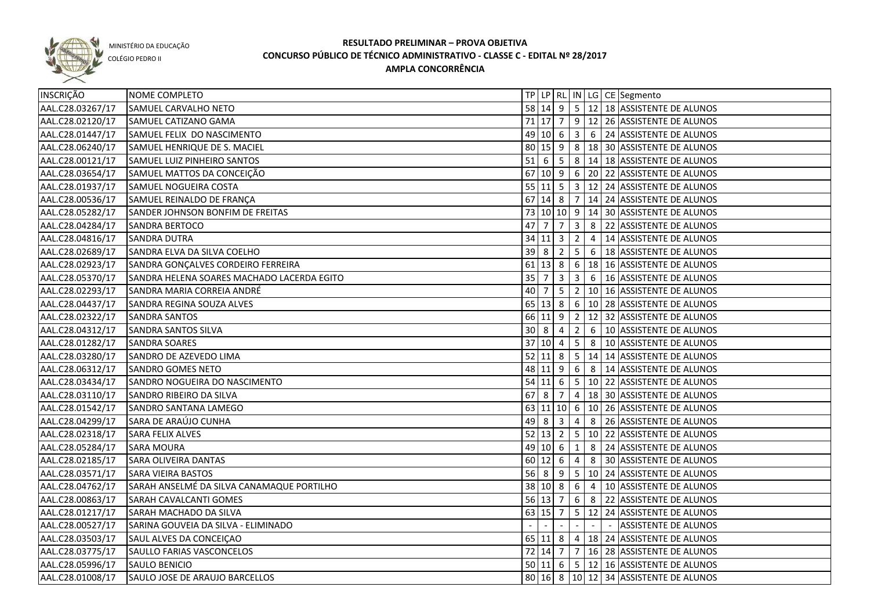

COLÉGIO PEDRO II

| INSCRIÇÃO        | NOME COMPLETO                              |        |                     |                         |                         |   | TP LP RL IN LG CE Segmento                             |
|------------------|--------------------------------------------|--------|---------------------|-------------------------|-------------------------|---|--------------------------------------------------------|
| AAL.C28.03267/17 | SAMUEL CARVALHO NETO                       |        |                     |                         |                         |   | 58 14 9 5 12 18 ASSISTENTE DE ALUNOS                   |
| AAL.C28.02120/17 | SAMUEL CATIZANO GAMA                       |        |                     |                         |                         |   | 71 17 7 9 12 26 ASSISTENTE DE ALUNOS                   |
| AAL.C28.01447/17 | SAMUEL FELIX DO NASCIMENTO                 |        |                     |                         |                         |   | 49 10 6 3 6 24 ASSISTENTE DE ALUNOS                    |
| AAL.C28.06240/17 | SAMUEL HENRIQUE DE S. MACIEL               |        |                     |                         |                         |   | 80 15 9 8 18 30 ASSISTENTE DE ALUNOS                   |
| AAL.C28.00121/17 | SAMUEL LUIZ PINHEIRO SANTOS                |        |                     |                         |                         |   | 51 6 5 8 14 18 ASSISTENTE DE ALUNOS                    |
| AAL.C28.03654/17 | SAMUEL MATTOS DA CONCEIÇÃO                 |        |                     |                         |                         |   | 67 10 9 6 20 22 ASSISTENTE DE ALUNOS                   |
| AAL.C28.01937/17 | SAMUEL NOGUEIRA COSTA                      |        |                     |                         |                         |   | 55 11 5 3 12 24 ASSISTENTE DE ALUNOS                   |
| AAL.C28.00536/17 | SAMUEL REINALDO DE FRANÇA                  |        |                     |                         |                         |   | 67 14 8 7 14 24 ASSISTENTE DE ALUNOS                   |
| AAL.C28.05282/17 | SANDER JOHNSON BONFIM DE FREITAS           |        |                     |                         |                         |   | 73 10 10 9 14 30 ASSISTENTE DE ALUNOS                  |
| AAL.C28.04284/17 | SANDRA BERTOCO                             | 47 7   |                     | $\overline{7}$          | $\overline{\mathbf{3}}$ |   | 8 22 ASSISTENTE DE ALUNOS                              |
| AAL.C28.04816/17 | <b>SANDRA DUTRA</b>                        |        | $34$ 11 $3$ 2       |                         |                         | 4 | 14 ASSISTENTE DE ALUNOS                                |
| AAL.C28.02689/17 | SANDRA ELVA DA SILVA COELHO                | 39     | l 8                 | $2 \mid 5$              |                         |   | 6   18 ASSISTENTE DE ALUNOS                            |
| AAL.C28.02923/17 | SANDRA GONÇALVES CORDEIRO FERREIRA         |        |                     |                         |                         |   | 61 13 8 6 18 16 ASSISTENTE DE ALUNOS                   |
| AAL.C28.05370/17 | SANDRA HELENA SOARES MACHADO LACERDA EGITO | 35     | $\overline{7}$      | $\overline{\mathbf{3}}$ | $\overline{\mathbf{3}}$ | 6 | 16 ASSISTENTE DE ALUNOS                                |
| AAL.C28.02293/17 | SANDRA MARIA CORREIA ANDRÉ                 | 40     | $\overline{7}$      | $5^{\circ}$             | $\overline{2}$          |   | 10 16 ASSISTENTE DE ALUNOS                             |
| AAL.C28.04437/17 | SANDRA REGINA SOUZA ALVES                  |        | $65 \mid 13 \mid 8$ |                         |                         |   | 6   10   28   ASSISTENTE DE ALUNOS                     |
| AAL.C28.02322/17 | <b>SANDRA SANTOS</b>                       |        |                     |                         |                         |   | 66 11 9 2 12 32 ASSISTENTE DE ALUNOS                   |
| AAL.C28.04312/17 | <b>SANDRA SANTOS SILVA</b>                 | 30     | l 8                 | 4                       | $\overline{2}$          | 6 | 10 ASSISTENTE DE ALUNOS                                |
| AAL.C28.01282/17 | <b>SANDRA SOARES</b>                       |        | 37   10   4         |                         | $5^{\circ}$             | 8 | 10 ASSISTENTE DE ALUNOS                                |
| AAL.C28.03280/17 | SANDRO DE AZEVEDO LIMA                     |        | $52$ 11 8           |                         |                         |   | 5   14   14 ASSISTENTE DE ALUNOS                       |
| AAL.C28.06312/17 | SANDRO GOMES NETO                          |        | 48 11 9             |                         | 6                       | 8 | 14 ASSISTENTE DE ALUNOS                                |
| AAL.C28.03434/17 | SANDRO NOGUEIRA DO NASCIMENTO              |        | $54$ 11 6           |                         |                         |   | $\vert 5 \vert 10 \vert 22 \vert$ ASSISTENTE DE ALUNOS |
| AAL.C28.03110/17 | SANDRO RIBEIRO DA SILVA                    | $67$ 8 |                     | 7                       | $\overline{4}$          |   | 18 30 ASSISTENTE DE ALUNOS                             |
| AAL.C28.01542/17 | SANDRO SANTANA LAMEGO                      |        |                     |                         |                         |   | 63 11 10 6 10 26 ASSISTENTE DE ALUNOS                  |
| AAL.C28.04299/17 | SARA DE ARAÚJO CUNHA                       | 49     | 8                   | 3                       | 4                       | 8 | 26 ASSISTENTE DE ALUNOS                                |
| AAL.C28.02318/17 | SARA FELIX ALVES                           |        | $52 \mid 13 \mid 2$ |                         |                         |   | $\vert$ 5 $\vert$ 10 $\vert$ 22 ASSISTENTE DE ALUNOS   |
| AAL.C28.05284/17 | <b>SARA MOURA</b>                          | 49     | $10 \mid 6$         |                         | $\mathbf{1}$            | 8 | 24 ASSISTENTE DE ALUNOS                                |
| AAL.C28.02185/17 | <b>SARA OLIVEIRA DANTAS</b>                |        | $60$   12  6        |                         | 4                       | 8 | 30 ASSISTENTE DE ALUNOS                                |
| AAL.C28.03571/17 | <b>SARA VIEIRA BASTOS</b>                  |        | $56 \mid 8 \mid 9$  |                         |                         |   | $\sqrt{5}$ 10   24   ASSISTENTE DE ALUNOS              |
| AAL.C28.04762/17 | SARAH ANSELMÉ DA SILVA CANAMAQUE PORTILHO  |        | 38 10 8             |                         | 6 <sup>6</sup>          | 4 | 10 ASSISTENTE DE ALUNOS                                |
| AAL.C28.00863/17 | SARAH CAVALCANTI GOMES                     |        | 56 13 7             |                         |                         |   | 6 8 22 ASSISTENTE DE ALUNOS                            |
| AAL.C28.01217/17 | SARAH MACHADO DA SILVA                     |        | 63 15               | $\overline{7}$          |                         |   | 5   12   24   ASSISTENTE DE ALUNOS                     |
| AAL.C28.00527/17 | SARINA GOUVEIA DA SILVA - ELIMINADO        |        |                     |                         |                         |   | ASSISTENTE DE ALUNOS                                   |
| AAL.C28.03503/17 | SAUL ALVES DA CONCEIÇÃO                    |        |                     |                         |                         |   | 65 11 8 4 18 24 ASSISTENTE DE ALUNOS                   |
| AAL.C28.03775/17 | SAULLO FARIAS VASCONCELOS                  |        |                     |                         |                         |   | 72 14 7 7 16 28 ASSISTENTE DE ALUNOS                   |
| AAL.C28.05996/17 | SAULO BENICIO                              |        |                     |                         |                         |   | 50 11 6 5 12 16 ASSISTENTE DE ALUNOS                   |
| AAL.C28.01008/17 | SAULO JOSE DE ARAUJO BARCELLOS             |        |                     |                         |                         |   | 80 16 8 10 12 34 ASSISTENTE DE ALUNOS                  |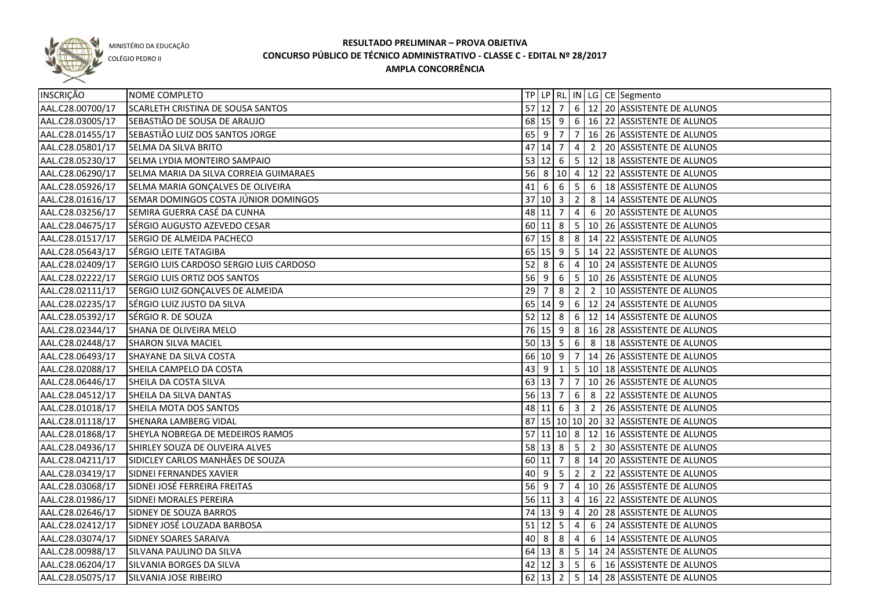

COLÉGIO PEDRO II

| <b>INSCRIÇÃO</b> | NOME COMPLETO                           |    |                            |                   |            |                                             | TP   LP   RL   IN   LG   CE   Segmento                 |
|------------------|-----------------------------------------|----|----------------------------|-------------------|------------|---------------------------------------------|--------------------------------------------------------|
| AAL.C28.00700/17 | SCARLETH CRISTINA DE SOUSA SANTOS       |    |                            |                   |            |                                             | 57 12 7 6 12 20 ASSISTENTE DE ALUNOS                   |
| AAL.C28.03005/17 | SEBASTIÃO DE SOUSA DE ARAUJO            |    |                            |                   |            |                                             | 68 15 9 6 16 22 ASSISTENTE DE ALUNOS                   |
| AAL.C28.01455/17 | SEBASTIÃO LUIZ DOS SANTOS JORGE         |    |                            |                   |            |                                             | 65 9 7 7 16 26 ASSISTENTE DE ALUNOS                    |
| AAL.C28.05801/17 | SELMA DA SILVA BRITO                    |    |                            |                   |            |                                             | 47 14 7 4 2 20 ASSISTENTE DE ALUNOS                    |
| AAL.C28.05230/17 | SELMA LYDIA MONTEIRO SAMPAIO            |    |                            |                   |            |                                             | 53 12 6 5 12 18 ASSISTENTE DE ALUNOS                   |
| AAL.C28.06290/17 | SELMA MARIA DA SILVA CORREIA GUIMARAES  |    |                            |                   |            |                                             | 56 8 10 4 12 22 ASSISTENTE DE ALUNOS                   |
| AAL.C28.05926/17 | SELMA MARIA GONÇALVES DE OLIVEIRA       |    |                            |                   |            |                                             | 41 6 6 5 6 18 ASSISTENTE DE ALUNOS                     |
| AAL.C28.01616/17 | SEMAR DOMINGOS COSTA JÚNIOR DOMINGOS    |    |                            |                   |            |                                             | 37 10 3 2 8 14 ASSISTENTE DE ALUNOS                    |
| AAL.C28.03256/17 | SEMIRA GUERRA CASÉ DA CUNHA             |    |                            |                   |            |                                             | 48 11 7 4 6 20 ASSISTENTE DE ALUNOS                    |
| AAL.C28.04675/17 | SÉRGIO AUGUSTO AZEVEDO CESAR            |    |                            |                   |            |                                             | 60 11 8 5 10 26 ASSISTENTE DE ALUNOS                   |
| AAL.C28.01517/17 | SERGIO DE ALMEIDA PACHECO               |    |                            |                   |            |                                             | 67 15 8 8 4 14 22 ASSISTENTE DE ALUNOS                 |
| AAL.C28.05643/17 | SÉRGIO LEITE TATAGIBA                   |    |                            |                   |            |                                             | 65 15 9 5 14 22 ASSISTENTE DE ALUNOS                   |
| AAL.C28.02409/17 | SERGIO LUIS CARDOSO SERGIO LUIS CARDOSO |    |                            |                   |            |                                             | 52 8 6 4 10 24 ASSISTENTE DE ALUNOS                    |
| AAL.C28.02222/17 | SERGIO LUIS ORTIZ DOS SANTOS            |    |                            |                   |            |                                             | 56 9 6 5 10 26 ASSISTENTE DE ALUNOS                    |
| AAL.C28.02111/17 | SERGIO LUIZ GONÇALVES DE ALMEIDA        | 29 | $\overline{7}$             | $8 \mid 2 \mid 2$ |            |                                             | 10 ASSISTENTE DE ALUNOS                                |
| AAL.C28.02235/17 | SÉRGIO LUIZ JUSTO DA SILVA              |    | $65 \mid 14 \mid 9$        |                   |            |                                             | 6 12 24 ASSISTENTE DE ALUNOS                           |
| AAL.C28.05392/17 | SÉRGIO R. DE SOUZA                      |    |                            |                   |            |                                             | 52 12 8 6 12 14 ASSISTENTE DE ALUNOS                   |
| AAL.C28.02344/17 | SHANA DE OLIVEIRA MELO                  |    |                            |                   |            |                                             | 76 15 9 8 16 28 ASSISTENTE DE ALUNOS                   |
| AAL.C28.02448/17 | <b>SHARON SILVA MACIEL</b>              |    | $50 \mid 13 \mid 5 \mid 6$ |                   |            | $\begin{array}{ c c } \hline 8 \end{array}$ | 18 ASSISTENTE DE ALUNOS                                |
| AAL.C28.06493/17 | SHAYANE DA SILVA COSTA                  |    |                            |                   |            |                                             | 66 10 9 7 14 26 ASSISTENTE DE ALUNOS                   |
| AAL.C28.02088/17 | SHEILA CAMPELO DA COSTA                 |    |                            |                   |            |                                             | 43 9 1   5   10   18   ASSISTENTE DE ALUNOS            |
| AAL.C28.06446/17 | SHEILA DA COSTA SILVA                   |    |                            |                   |            |                                             | 63   13   7   7   10   26   ASSISTENTE DE ALUNOS       |
| AAL.C28.04512/17 | SHEILA DA SILVA DANTAS                  |    | 56 13 7                    |                   | 6          | 8                                           | 22 ASSISTENTE DE ALUNOS                                |
| AAL.C28.01018/17 | SHEILA MOTA DOS SANTOS                  |    | 48 11 6 3 2                |                   |            |                                             | 26 ASSISTENTE DE ALUNOS                                |
| AAL.C28.01118/17 | SHENARA LAMBERG VIDAL                   |    |                            |                   |            |                                             | 87 15 10 10 20 32 ASSISTENTE DE ALUNOS                 |
| AAL.C28.01868/17 | SHEYLA NOBREGA DE MEDEIROS RAMOS        |    |                            |                   |            |                                             | 57 11 10 8 12 16 ASSISTENTE DE ALUNOS                  |
| AAL.C28.04936/17 | SHIRLEY SOUZA DE OLIVEIRA ALVES         |    | 58 13 8 5                  |                   |            | $\overline{2}$                              | 30 ASSISTENTE DE ALUNOS                                |
| AAL.C28.04211/17 | SIDICLEY CARLOS MANHÃES DE SOUZA        |    | $60$ 11 7                  |                   |            |                                             | 8   14   20   ASSISTENTE DE ALUNOS                     |
| AAL.C28.03419/17 | SIDNEI FERNANDES XAVIER                 | 40 | $9$ 5                      |                   | $2 \mid 2$ |                                             | 22 ASSISTENTE DE ALUNOS                                |
| AAL.C28.03068/17 | SIDNEI JOSÉ FERREIRA FREITAS            |    | $56$ 9 7                   |                   |            |                                             | $\vert 4 \vert 10 \vert 26 \vert$ ASSISTENTE DE ALUNOS |
| AAL.C28.01986/17 | SIDNEI MORALES PEREIRA                  |    |                            |                   |            |                                             | 56 11 3 4 16 22 ASSISTENTE DE ALUNOS                   |
| AAL.C28.02646/17 | SIDNEY DE SOUZA BARROS                  |    |                            |                   |            |                                             | 74 13 9 4 20 28 ASSISTENTE DE ALUNOS                   |
| AAL.C28.02412/17 | SIDNEY JOSÉ LOUZADA BARBOSA             |    |                            |                   |            |                                             | 51   12   5   4   6   24   ASSISTENTE DE ALUNOS        |
| AAL.C28.03074/17 | SIDNEY SOARES SARAIVA                   |    |                            |                   |            |                                             | 40 8 8 4 6 14 ASSISTENTE DE ALUNOS                     |
| AAL.C28.00988/17 | SILVANA PAULINO DA SILVA                |    |                            |                   |            |                                             | 64 13 8 5 14 24 ASSISTENTE DE ALUNOS                   |
| AAL.C28.06204/17 | SILVANIA BORGES DA SILVA                |    |                            |                   |            |                                             | 42 12 3 5 6 16 ASSISTENTE DE ALUNOS                    |
| AAL.C28.05075/17 | SILVANIA JOSE RIBEIRO                   |    |                            |                   |            |                                             | 62 13 2 5 14 28 ASSISTENTE DE ALUNOS                   |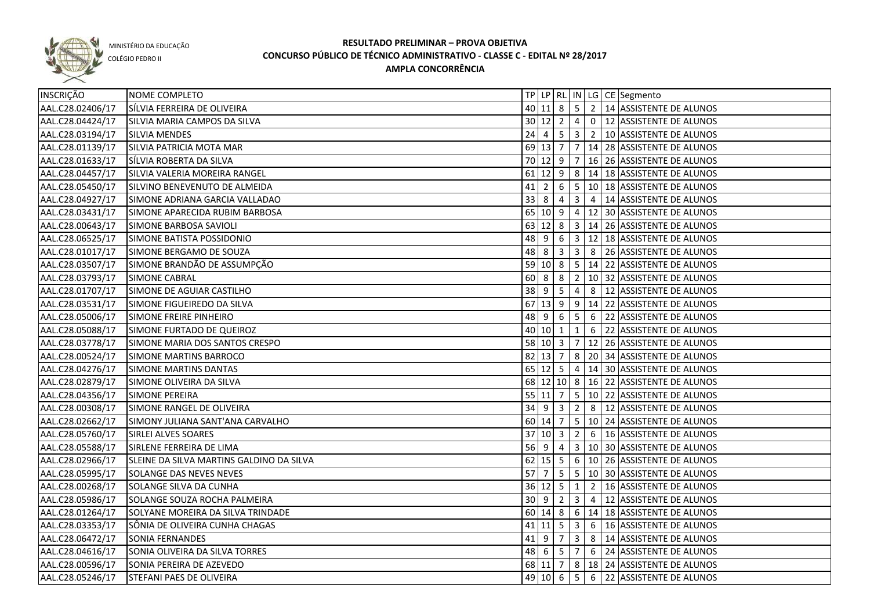

COLÉGIO PEDRO II

| INSCRIÇÃO        | NOME COMPLETO                            |        |                            |                |                |   | TP   LP   RL   IN   LG   CE   Segmento           |
|------------------|------------------------------------------|--------|----------------------------|----------------|----------------|---|--------------------------------------------------|
| AAL.C28.02406/17 | SÍLVIA FERREIRA DE OLIVEIRA              |        |                            |                |                |   | 40 11 8 5 2 14 ASSISTENTE DE ALUNOS              |
| AAL.C28.04424/17 | SILVIA MARIA CAMPOS DA SILVA             |        |                            |                |                |   | 30 12 2 4 0 12 ASSISTENTE DE ALUNOS              |
| AAL.C28.03194/17 | <b>SILVIA MENDES</b>                     |        |                            |                |                |   | 24 4 5 3 2 10 ASSISTENTE DE ALUNOS               |
| AAL.C28.01139/17 | SILVIA PATRICIA MOTA MAR                 |        |                            |                |                |   | 69 13 7 7 14 28 ASSISTENTE DE ALUNOS             |
| AAL.C28.01633/17 | SÍLVIA ROBERTA DA SILVA                  |        |                            |                |                |   | 70 12 9 7 16 26 ASSISTENTE DE ALUNOS             |
| AAL.C28.04457/17 | SILVIA VALERIA MOREIRA RANGEL            |        |                            |                |                |   | 61 12 9 8 14 18 ASSISTENTE DE ALUNOS             |
| AAL.C28.05450/17 | SILVINO BENEVENUTO DE ALMEIDA            |        |                            |                |                |   | 41   2   6   5   10   18   ASSISTENTE DE ALUNOS  |
| AAL.C28.04927/17 | SIMONE ADRIANA GARCIA VALLADAO           |        |                            |                |                |   | 33 8 4 3 4 14 ASSISTENTE DE ALUNOS               |
| AAL.C28.03431/17 | SIMONE APARECIDA RUBIM BARBOSA           |        |                            |                |                |   | 65 10 9 4 12 30 ASSISTENTE DE ALUNOS             |
| AAL.C28.00643/17 | SIMONE BARBOSA SAVIOLI                   |        |                            |                |                |   | 63 12 8 3 14 26 ASSISTENTE DE ALUNOS             |
| AAL.C28.06525/17 | SIMONE BATISTA POSSIDONIO                |        |                            |                |                |   | 48 9 6 3 12 18 ASSISTENTE DE ALUNOS              |
| AAL.C28.01017/17 | SIMONE BERGAMO DE SOUZA                  |        |                            |                |                |   | 48 8 3 3 3 8 26 ASSISTENTE DE ALUNOS             |
| AAL.C28.03507/17 | SIMONE BRANDÃO DE ASSUMPÇÃO              |        |                            |                |                |   | 59   10   8   5   14   22   ASSISTENTE DE ALUNOS |
| AAL.C28.03793/17 | <b>SIMONE CABRAL</b>                     | 60     | $\overline{\phantom{0}}$ 8 | 8              | $\overline{2}$ |   | 10 32 ASSISTENTE DE ALUNOS                       |
| AAL.C28.01707/17 | SIMONE DE AGUIAR CASTILHO                | $38$ 9 |                            | 5              | 4              |   | 8   12 ASSISTENTE DE ALUNOS                      |
| AAL.C28.03531/17 | SIMONE FIGUEIREDO DA SILVA               | 67     | $13 \mid 9$                |                | $\overline{9}$ |   | 14 22 ASSISTENTE DE ALUNOS                       |
| AAL.C28.05006/17 | SIMONE FREIRE PINHEIRO                   |        | 48 9                       | 6              | $5^{\circ}$    | 6 | 22 ASSISTENTE DE ALUNOS                          |
| AAL.C28.05088/17 | SIMONE FURTADO DE QUEIROZ                |        | $40 \ 10 \ 1$              |                | $\mathbf{1}$   | 6 | 22 ASSISTENTE DE ALUNOS                          |
| AAL.C28.03778/17 | SIMONE MARIA DOS SANTOS CRESPO           |        | $58$ 10 3 7                |                |                |   | 12 26 ASSISTENTE DE ALUNOS                       |
| AAL.C28.00524/17 | SIMONE MARTINS BARROCO                   |        |                            |                |                |   | 82   13   7   8   20   34   ASSISTENTE DE ALUNOS |
| AAL.C28.04276/17 | SIMONE MARTINS DANTAS                    |        | $65$   12  5               |                | 4              |   | 14 30 ASSISTENTE DE ALUNOS                       |
| AAL.C28.02879/17 | SIMONE OLIVEIRA DA SILVA                 |        | 68 12 10 8                 |                |                |   | 16 22 ASSISTENTE DE ALUNOS                       |
| AAL.C28.04356/17 | <b>SIMONE PEREIRA</b>                    |        | 55 11 7                    |                | 5 <sup>1</sup> |   | 10 22 ASSISTENTE DE ALUNOS                       |
| AAL.C28.00308/17 | SIMONE RANGEL DE OLIVEIRA                |        | $34 \quad 9 \quad 3$       |                | $\overline{2}$ | 8 | 12 ASSISTENTE DE ALUNOS                          |
| AAL.C28.02662/17 | SIMONY JULIANA SANT'ANA CARVALHO         |        | 60 14 7                    |                |                |   | 5   10   24   ASSISTENTE DE ALUNOS               |
| AAL.C28.05760/17 | SIRLEI ALVES SOARES                      | 37     | $ 10 $ 3                   |                | $\overline{2}$ |   | 6   16 ASSISTENTE DE ALUNOS                      |
| AAL.C28.05588/17 | SIRLENE FERREIRA DE LIMA                 |        | $56$   9                   | 4              |                |   | 3   10   30   ASSISTENTE DE ALUNOS               |
| AAL.C28.02966/17 | SLEINE DA SILVA MARTINS GALDINO DA SILVA |        | $62$ 15 5                  |                |                |   | 6   10   26   ASSISTENTE DE ALUNOS               |
| AAL.C28.05995/17 | SOLANGE DAS NEVES NEVES                  | 57     |                            | -5             | 5 <sup>5</sup> |   | 10 30 ASSISTENTE DE ALUNOS                       |
| AAL.C28.00268/17 | SOLANGE SILVA DA CUNHA                   |        | $36$ 12 5                  |                | $\mathbf{1}$   |   | 2   16   ASSISTENTE DE ALUNOS                    |
| AAL.C28.05986/17 | SOLANGE SOUZA ROCHA PALMEIRA             |        | $30 \mid 9$                | $\overline{2}$ | $\overline{3}$ |   | 4 12 ASSISTENTE DE ALUNOS                        |
| AAL.C28.01264/17 | SOLYANE MOREIRA DA SILVA TRINDADE        |        |                            |                |                |   | 60 14 8 6 14 18 ASSISTENTE DE ALUNOS             |
| AAL.C28.03353/17 | SÔNIA DE OLIVEIRA CUNHA CHAGAS           |        |                            |                |                |   | 41   11   5   3   6   16   ASSISTENTE DE ALUNOS  |
| AAL.C28.06472/17 | SONIA FERNANDES                          |        |                            |                |                |   | $41$   9   7   3   8   14   ASSISTENTE DE ALUNOS |
| AAL.C28.04616/17 | SONIA OLIVEIRA DA SILVA TORRES           |        | $48 \mid 6 \mid 5 \mid 7$  |                |                |   | 6 24 ASSISTENTE DE ALUNOS                        |
| AAL.C28.00596/17 | SONIA PEREIRA DE AZEVEDO                 |        |                            |                |                |   | 68 11 7 8 18 24 ASSISTENTE DE ALUNOS             |
| AAL.C28.05246/17 | STEFANI PAES DE OLIVEIRA                 |        |                            |                |                |   | 49 10 6 5 6 22 ASSISTENTE DE ALUNOS              |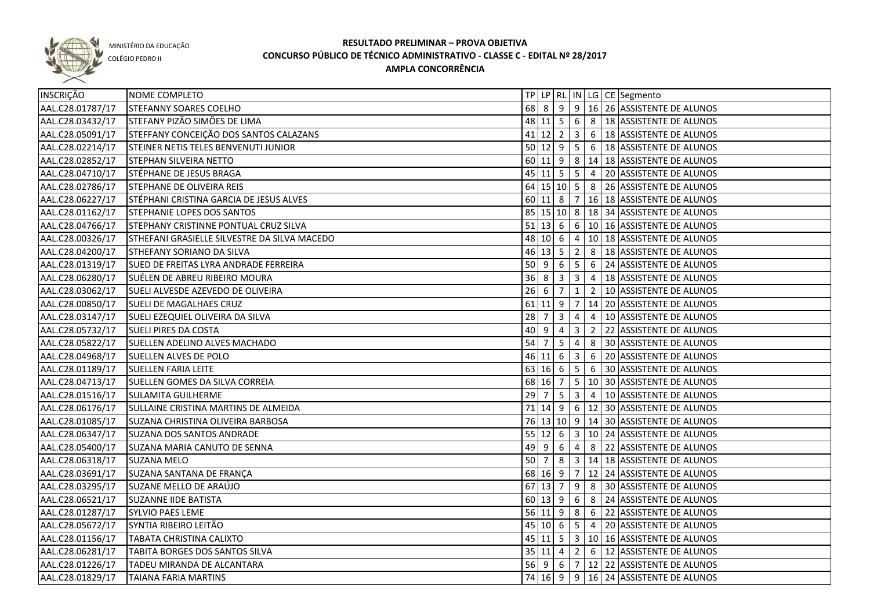

COLÉGIO PEDRO II

| INSCRIÇÃO        | NOME COMPLETO                                |                                  |                           |                |                         |                 | TP   LP   RL   IN   LG   CE   Segmento                                 |
|------------------|----------------------------------------------|----------------------------------|---------------------------|----------------|-------------------------|-----------------|------------------------------------------------------------------------|
| AAL.C28.01787/17 | <b>STEFANNY SOARES COELHO</b>                | 68 8                             |                           |                |                         |                 | $9   9   16   26$ ASSISTENTE DE ALUNOS                                 |
| AAL.C28.03432/17 | STEFANY PIZÃO SIMÕES DE LIMA                 |                                  |                           |                |                         |                 | 48 11 5 6 8 18 ASSISTENTE DE ALUNOS                                    |
| AAL.C28.05091/17 | STEFFANY CONCEIÇÃO DOS SANTOS CALAZANS       |                                  |                           |                |                         |                 | 41   12   2   3   6   18   ASSISTENTE DE ALUNOS                        |
| AAL.C28.02214/17 | STEINER NETIS TELES BENVENUTI JUNIOR         |                                  |                           |                |                         |                 | 50 12 9 5 6 18 ASSISTENTE DE ALUNOS                                    |
| AAL.C28.02852/17 | <b>STEPHAN SILVEIRA NETTO</b>                |                                  |                           |                |                         |                 | 60 11 9 8 14 18 ASSISTENTE DE ALUNOS                                   |
| AAL.C28.04710/17 | STÉPHANE DE JESUS BRAGA                      |                                  |                           |                |                         |                 | 45 11 5 5 4 20 ASSISTENTE DE ALUNOS                                    |
| AAL.C28.02786/17 | <b>STEPHANE DE OLIVEIRA REIS</b>             |                                  |                           |                |                         |                 | 64 15 10 5 8 26 ASSISTENTE DE ALUNOS                                   |
| AAL.C28.06227/17 | STÉPHANI CRISTINA GARCIA DE JESUS ALVES      |                                  |                           |                |                         |                 | $\overline{60}$ 11 $\overline{8}$   7   16   18   ASSISTENTE DE ALUNOS |
| AAL.C28.01162/17 | STEPHANIE LOPES DOS SANTOS                   |                                  |                           |                |                         |                 | 85 15 10 8 18 34 ASSISTENTE DE ALUNOS                                  |
| AAL.C28.04766/17 | STEPHANY CRISTINNE PONTUAL CRUZ SILVA        |                                  |                           |                |                         |                 | 51 13 6 6 10 16 ASSISTENTE DE ALUNOS                                   |
| AAL.C28.00326/17 | STHEFANI GRASIELLE SILVESTRE DA SILVA MACEDO |                                  |                           |                |                         |                 | 48 10 6 4 10 18 ASSISTENTE DE ALUNOS                                   |
| AAL.C28.04200/17 | STHEFANY SORIANO DA SILVA                    |                                  | $46$ 13 5 2               |                |                         |                 | 8   18 ASSISTENTE DE ALUNOS                                            |
| AAL.C28.01319/17 | SUED DE FREITAS LYRA ANDRADE FERREIRA        |                                  |                           |                |                         |                 | 50 9 6 5 6 24 ASSISTENTE DE ALUNOS                                     |
| AAL.C28.06280/17 | SUÉLEN DE ABREU RIBEIRO MOURA                |                                  | $36 \mid 8 \mid 3 \mid 3$ |                |                         |                 | 4   18 ASSISTENTE DE ALUNOS                                            |
| AAL.C28.03062/17 | SUELI ALVESDE AZEVEDO DE OLIVEIRA            | $26 \overline{6}$                |                           | $\overline{7}$ | $\mathbf{1}$            |                 | 2   10 ASSISTENTE DE ALUNOS                                            |
| AAL.C28.00850/17 | SUELI DE MAGALHAES CRUZ                      |                                  |                           |                |                         |                 | 61 11 9 7 14 20 ASSISTENTE DE ALUNOS                                   |
| AAL.C28.03147/17 | SUELI EZEQUIEL OLIVEIRA DA SILVA             | 28                               | $\overline{7}$            | $\mathbf{3}$   | 4                       | $\overline{4}$  | 10 ASSISTENTE DE ALUNOS                                                |
| AAL.C28.05732/17 | <b>SUELI PIRES DA COSTA</b>                  | 40 9                             |                           | 4              | 3                       | $\overline{2}$  | 22 ASSISTENTE DE ALUNOS                                                |
| AAL.C28.05822/17 | SUELLEN ADELINO ALVES MACHADO                | $54 \overline{\smash{\big)} }$ 7 |                           | 5              | 4                       | 8               | 30 ASSISTENTE DE ALUNOS                                                |
| AAL.C28.04968/17 | <b>SUELLEN ALVES DE POLO</b>                 |                                  | 46 11 6                   |                | $\overline{\mathbf{3}}$ | 6               | 20 ASSISTENTE DE ALUNOS                                                |
| AAL.C28.01189/17 | <b>SUELLEN FARIA LEITE</b>                   |                                  | 63 16 6                   |                | 5 <sub>5</sub>          | $6\overline{6}$ | 30 ASSISTENTE DE ALUNOS                                                |
| AAL.C28.04713/17 | SUELLEN GOMES DA SILVA CORREIA               |                                  | 68 16 7                   |                |                         |                 | $\vert 5 \vert 10 \vert 30 \vert$ ASSISTENTE DE ALUNOS                 |
| AAL.C28.01516/17 | <b>SULAMITA GUILHERME</b>                    | 29                               | $\overline{7}$            | $5^{\circ}$    | $\overline{\mathbf{3}}$ | $\overline{4}$  | 10 ASSISTENTE DE ALUNOS                                                |
| AAL.C28.06176/17 | SULLAINE CRISTINA MARTINS DE ALMEIDA         |                                  |                           |                |                         |                 | 71   14   9   6   12   30   ASSISTENTE DE ALUNOS                       |
| AAL.C28.01085/17 | SUZANA CHRISTINA OLIVEIRA BARBOSA            |                                  |                           |                |                         |                 | 76 13 10 9 14 30 ASSISTENTE DE ALUNOS                                  |
| AAL.C28.06347/17 | SUZANA DOS SANTOS ANDRADE                    |                                  | $55 \ 12 \ 6$             |                |                         |                 | 3   10   24   ASSISTENTE DE ALUNOS                                     |
| AAL.C28.05400/17 | SUZANA MARIA CANUTO DE SENNA                 | $49$ 9                           |                           | 6              | 4                       | 8               | 22 ASSISTENTE DE ALUNOS                                                |
| AAL.C28.06318/17 | <b>SUZANA MELO</b>                           | 50                               | 7                         | 8              | 3 <sup>1</sup>          |                 | 14 18 ASSISTENTE DE ALUNOS                                             |
| AAL.C28.03691/17 | SUZANA SANTANA DE FRANÇA                     |                                  | 68 16 9 7                 |                |                         |                 | 12 24 ASSISTENTE DE ALUNOS                                             |
| AAL.C28.03295/17 | SUZANE MELLO DE ARAÚJO                       |                                  | 67 13 7                   |                | 9                       |                 | 8 30 ASSISTENTE DE ALUNOS                                              |
| AAL.C28.06521/17 | <b>SUZANNE IIDE BATISTA</b>                  |                                  | $60 \ 13 \ 9$             |                | 6                       |                 | 8 24 ASSISTENTE DE ALUNOS                                              |
| AAL.C28.01287/17 | SYLVIO PAES LEME                             |                                  | 56 11 9                   |                | $\infty$                | $6\phantom{.}6$ | 22 ASSISTENTE DE ALUNOS                                                |
| AAL.C28.05672/17 | SYNTIA RIBEIRO LEITÃO                        |                                  | 45 10 6                   |                |                         |                 |                                                                        |
| AAL.C28.01156/17 | <b>TABATA CHRISTINA CALIXTO</b>              |                                  |                           |                |                         |                 | 45 11 5 3 10 16 ASSISTENTE DE ALUNOS                                   |
| AAL.C28.06281/17 | TABITA BORGES DOS SANTOS SILVA               |                                  | 35 11 4                   |                |                         |                 | $2   6   12  $ ASSISTENTE DE ALUNOS                                    |
| AAL.C28.01226/17 | TADEU MIRANDA DE ALCANTARA                   |                                  |                           |                |                         |                 | 56 9 6 7 12 22 ASSISTENTE DE ALUNOS                                    |
| AAL.C28.01829/17 | TAIANA FARIA MARTINS                         |                                  |                           |                |                         |                 | 74 16 9 9 16 24 ASSISTENTE DE ALUNOS                                   |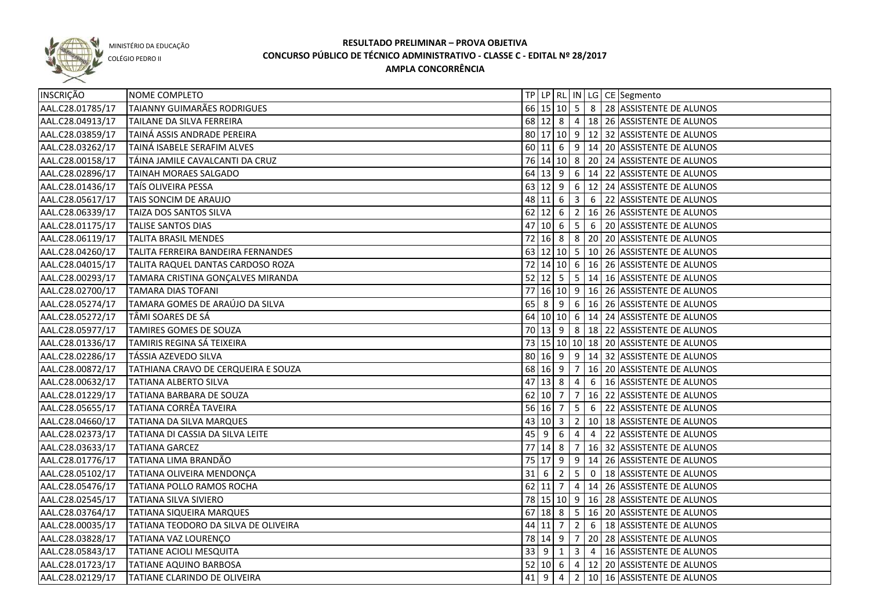

COLÉGIO PEDRO II

| INSCRIÇÃO        | NOME COMPLETO                        |    |             |                     |                 |   | TP   LP   RL   IN   LG   CE   Segmento   |
|------------------|--------------------------------------|----|-------------|---------------------|-----------------|---|------------------------------------------|
| AAL.C28.01785/17 | TAIANNY GUIMARÃES RODRIGUES          |    |             |                     |                 |   | 66 15 10 5 8 28 ASSISTENTE DE ALUNOS     |
| AAL.C28.04913/17 | TAILANE DA SILVA FERREIRA            |    |             |                     |                 |   | 68 12 8 4 18 26 ASSISTENTE DE ALUNOS     |
| AAL.C28.03859/17 | TAINÁ ASSIS ANDRADE PEREIRA          |    |             |                     |                 |   | 80 17 10 9 12 32 ASSISTENTE DE ALUNOS    |
| AAL.C28.03262/17 | TAINÁ ISABELE SERAFIM ALVES          |    |             |                     |                 |   | 60 11 6 9 14 20 ASSISTENTE DE ALUNOS     |
| AAL.C28.00158/17 | TÁINA JAMILE CAVALCANTI DA CRUZ      |    |             |                     |                 |   | 76 14 10 8 20 24 ASSISTENTE DE ALUNOS    |
| AAL.C28.02896/17 | <b>TAINAH MORAES SALGADO</b>         |    |             |                     |                 |   | 64 13 9 6 14 22 ASSISTENTE DE ALUNOS     |
| AAL.C28.01436/17 | TAÍS OLIVEIRA PESSA                  |    |             |                     |                 |   | 63 12 9 6 12 24 ASSISTENTE DE ALUNOS     |
| AAL.C28.05617/17 | TAIS SONCIM DE ARAUJO                |    |             |                     |                 |   | 48 11 6 3 6 22 ASSISTENTE DE ALUNOS      |
| AAL.C28.06339/17 | TAIZA DOS SANTOS SILVA               |    |             |                     |                 |   | 62 12 6 2 16 26 ASSISTENTE DE ALUNOS     |
| AAL.C28.01175/17 | <b>TALISE SANTOS DIAS</b>            |    |             |                     |                 |   | 47 10 6 5 6 20 ASSISTENTE DE ALUNOS      |
| AAL.C28.06119/17 | <b>TALITA BRASIL MENDES</b>          |    |             |                     |                 |   | 72 16 8 8 20 20 ASSISTENTE DE ALUNOS     |
| AAL.C28.04260/17 | TALITA FERREIRA BANDEIRA FERNANDES   |    |             |                     |                 |   | 63 12 10 5 10 26 ASSISTENTE DE ALUNOS    |
| AAL.C28.04015/17 | TALITA RAQUEL DANTAS CARDOSO ROZA    |    |             |                     |                 |   | 72 14 10 6 16 26 ASSISTENTE DE ALUNOS    |
| AAL.C28.00293/17 | TAMARA CRISTINA GONÇALVES MIRANDA    |    |             |                     |                 |   | 52 12 5 5 14 16 ASSISTENTE DE ALUNOS     |
| AAL.C28.02700/17 | <b>TAMARA DIAS TOFANI</b>            |    |             |                     |                 |   | 77 16 10 9 16 26 ASSISTENTE DE ALUNOS    |
| AAL.C28.05274/17 | TAMARA GOMES DE ARAÚJO DA SILVA      |    | $65 \mid 8$ | 9                   |                 |   | $6 \mid 16 \mid 26$ ASSISTENTE DE ALUNOS |
| AAL.C28.05272/17 | TÂMI SOARES DE SÁ                    |    |             |                     |                 |   | 64 10 10 6 14 24 ASSISTENTE DE ALUNOS    |
| AAL.C28.05977/17 | TAMIRES GOMES DE SOUZA               |    |             |                     |                 |   | 70 13 9 8 18 22 ASSISTENTE DE ALUNOS     |
| AAL.C28.01336/17 | TAMIRIS REGINA SÁ TEIXEIRA           |    |             |                     |                 |   | 73 15 10 10 18 20 ASSISTENTE DE ALUNOS   |
| AAL.C28.02286/17 | TÁSSIA AZEVEDO SILVA                 |    |             | $80 \ 16 \ 9$       | 9               |   | 14 32 ASSISTENTE DE ALUNOS               |
| AAL.C28.00872/17 | TATHIANA CRAVO DE CERQUEIRA E SOUZA  |    |             | 68 16 9             | 7               |   | 16 20 ASSISTENTE DE ALUNOS               |
| AAL.C28.00632/17 | <b>TATIANA ALBERTO SILVA</b>         |    |             | 47 13 8             | $\overline{4}$  | 6 | 16 ASSISTENTE DE ALUNOS                  |
| AAL.C28.01229/17 | TATIANA BARBARA DE SOUZA             |    | 62 10 7     |                     | 7               |   | 16 22 ASSISTENTE DE ALUNOS               |
| AAL.C28.05655/17 | TATIANA CORRÊA TAVEIRA               |    | $56$ 16 7   |                     | $5\overline{5}$ | 6 | 22 ASSISTENTE DE ALUNOS                  |
| AAL.C28.04660/17 | TATIANA DA SILVA MARQUES             | 43 |             | $ 10 $ 3            |                 |   | 2   10   18 ASSISTENTE DE ALUNOS         |
| AAL.C28.02373/17 | TATIANA DI CASSIA DA SILVA LEITE     | 45 | 9           | 6                   | 4               | 4 | 22 ASSISTENTE DE ALUNOS                  |
| AAL.C28.03633/17 | <b>TATIANA GARCEZ</b>                |    |             | 77 14 8             | $\overline{7}$  |   | 16 32 ASSISTENTE DE ALUNOS               |
| AAL.C28.01776/17 | TATIANA LIMA BRANDÃO                 |    |             | $75 \mid 17 \mid 9$ |                 |   | $9   14   26  $ ASSISTENTE DE ALUNOS     |
| AAL.C28.05102/17 | TATIANA OLIVEIRA MENDONÇA            |    | $31$ 6      | $\overline{2}$      |                 |   | 5 0   18 ASSISTENTE DE ALUNOS            |
| AAL.C28.05476/17 | TATIANA POLLO RAMOS ROCHA            |    |             |                     |                 |   | 62 11 7 4 14 26 ASSISTENTE DE ALUNOS     |
| AAL.C28.02545/17 | <b>TATIANA SILVA SIVIERO</b>         |    |             |                     |                 |   | 78 15 10 9 16 28 ASSISTENTE DE ALUNOS    |
| AAL.C28.03764/17 | TATIANA SIQUEIRA MARQUES             |    |             |                     |                 |   | 67 18 8 5 16 20 ASSISTENTE DE ALUNOS     |
| AAL.C28.00035/17 | TATIANA TEODORO DA SILVA DE OLIVEIRA |    |             | 44 11 7             | 2               |   | 6   18 ASSISTENTE DE ALUNOS              |
| AAL.C28.03828/17 | TATIANA VAZ LOURENÇO                 |    |             | 78 14 9 7           |                 |   | 20 28 ASSISTENTE DE ALUNOS               |
| AAL.C28.05843/17 | TATIANE ACIOLI MESQUITA              |    |             | 33   9   1          |                 |   | 3 4 16 ASSISTENTE DE ALUNOS              |
| AAL.C28.01723/17 | <b>TATIANE AQUINO BARBOSA</b>        |    |             |                     |                 |   | 52 10 6 4 12 20 ASSISTENTE DE ALUNOS     |
| AAL.C28.02129/17 | TATIANE CLARINDO DE OLIVEIRA         |    | $41 \mid 9$ | $\overline{4}$      |                 |   | 2 10 16 ASSISTENTE DE ALUNOS             |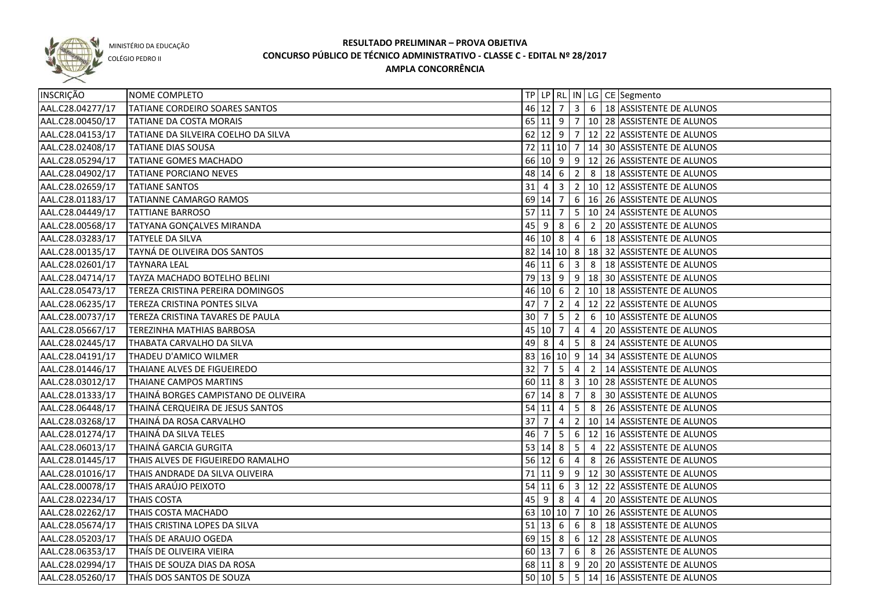

COLÉGIO PEDRO II

| <b>INSCRIÇÃO</b> | NOME COMPLETO                        |                 |                |                 |                 |                | TP   LP   RL   IN   LG   CE   Segmento               |
|------------------|--------------------------------------|-----------------|----------------|-----------------|-----------------|----------------|------------------------------------------------------|
| AAL.C28.04277/17 | TATIANE CORDEIRO SOARES SANTOS       |                 |                |                 |                 |                | 46 12 7 3 6 18 ASSISTENTE DE ALUNOS                  |
| AAL.C28.00450/17 | TATIANE DA COSTA MORAIS              |                 |                |                 |                 |                | 65 11 9 7 10 28 ASSISTENTE DE ALUNOS                 |
| AAL.C28.04153/17 | TATIANE DA SILVEIRA COELHO DA SILVA  |                 |                |                 |                 |                | 62 12 9 7 12 22 ASSISTENTE DE ALUNOS                 |
| AAL.C28.02408/17 | <b>TATIANE DIAS SOUSA</b>            |                 |                |                 |                 |                | 72 11 10 7 14 30 ASSISTENTE DE ALUNOS                |
| AAL.C28.05294/17 | TATIANE GOMES MACHADO                |                 |                |                 |                 |                | 66 10 9 9 12 26 ASSISTENTE DE ALUNOS                 |
| AAL.C28.04902/17 | TATIANE PORCIANO NEVES               |                 |                |                 |                 |                | 48 14 6 2 8 18 ASSISTENTE DE ALUNOS                  |
| AAL.C28.02659/17 | <b>TATIANE SANTOS</b>                |                 |                |                 |                 |                | 31 4 3 2 10 12 ASSISTENTE DE ALUNOS                  |
| AAL.C28.01183/17 | TATIANNE CAMARGO RAMOS               |                 |                |                 |                 |                | 69 14 7 6 16 26 ASSISTENTE DE ALUNOS                 |
| AAL.C28.04449/17 | <b>TATTIANE BARROSO</b>              | $57$ 11 7       |                |                 |                 |                | $\vert$ 5 $\vert$ 10 $\vert$ 24 ASSISTENTE DE ALUNOS |
| AAL.C28.00568/17 | TATYANA GONÇALVES MIRANDA            |                 |                |                 |                 |                | 45 9 8 6 2 20 ASSISTENTE DE ALUNOS                   |
| AAL.C28.03283/17 | <b>TATYELE DA SILVA</b>              |                 |                |                 |                 |                | 46 10 8 4 6 18 ASSISTENTE DE ALUNOS                  |
| AAL.C28.00135/17 | TAYNÁ DE OLIVEIRA DOS SANTOS         |                 |                |                 |                 |                | 82 14 10 8 18 32 ASSISTENTE DE ALUNOS                |
| AAL.C28.02601/17 | <b>TAYNARA LEAL</b>                  |                 |                |                 |                 |                | 46 11 6 3 8 18 ASSISTENTE DE ALUNOS                  |
| AAL.C28.04714/17 | TAYZA MACHADO BOTELHO BELINI         |                 |                |                 |                 |                | 79 13 9 9 18 30 ASSISTENTE DE ALUNOS                 |
| AAL.C28.05473/17 | TEREZA CRISTINA PEREIRA DOMINGOS     |                 | 46 10 6        |                 |                 |                | 2   10   18   ASSISTENTE DE ALUNOS                   |
| AAL.C28.06235/17 | TEREZA CRISTINA PONTES SILVA         | 47              | $\overline{7}$ | $\overline{2}$  |                 |                | 4   12   22   ASSISTENTE DE ALUNOS                   |
| AAL.C28.00737/17 | TEREZA CRISTINA TAVARES DE PAULA     | 30 7            |                | $5^{\circ}$     | $\vert$ 2       | 6              | 10 ASSISTENTE DE ALUNOS                              |
| AAL.C28.05667/17 | TEREZINHA MATHIAS BARBOSA            |                 | 45 10 7        |                 | $\overline{4}$  | $\overline{4}$ | 20 ASSISTENTE DE ALUNOS                              |
| AAL.C28.02445/17 | THABATA CARVALHO DA SILVA            | 49              | l 8            | 4               | 5 <sub>1</sub>  | 8              | 24 ASSISTENTE DE ALUNOS                              |
| AAL.C28.04191/17 | THADEU D'AMICO WILMER                |                 |                |                 |                 |                | 83 16 10 9 14 34 ASSISTENTE DE ALUNOS                |
| AAL.C28.01446/17 | THAIANE ALVES DE FIGUEIREDO          | $\overline{32}$ | $\overline{7}$ | $5\phantom{.0}$ | $\overline{4}$  | $\overline{2}$ | 14 ASSISTENTE DE ALUNOS                              |
| AAL.C28.03012/17 | THAIANE CAMPOS MARTINS               |                 | $60 \ 11 \ 8$  |                 |                 |                | 3   10   28   ASSISTENTE DE ALUNOS                   |
| AAL.C28.01333/17 | THAINÁ BORGES CAMPISTANO DE OLIVEIRA |                 | $67$ 14 8      |                 | $\overline{7}$  | 8              | 30 ASSISTENTE DE ALUNOS                              |
| AAL.C28.06448/17 | THAINÁ CERQUEIRA DE JESUS SANTOS     | $54$ 11 4       |                |                 | $5\overline{)}$ | 8              | 26 ASSISTENTE DE ALUNOS                              |
| AAL.C28.03268/17 | THAINÁ DA ROSA CARVALHO              | 37              |                | 4               | 2 <sup>1</sup>  |                | 10 14 ASSISTENTE DE ALUNOS                           |
| AAL.C28.01274/17 | THAINÁ DA SILVA TELES                | 46              |                | 5               |                 |                | 6   12   16   ASSISTENTE DE ALUNOS                   |
| AAL.C28.06013/17 | THAINÁ GARCIA GURGITA                |                 | 53   14   8    |                 | $5\overline{)}$ | $\overline{4}$ | 22 ASSISTENTE DE ALUNOS                              |
| AAL.C28.01445/17 | THAIS ALVES DE FIGUEIREDO RAMALHO    |                 | $56$ 12 6      |                 | $\overline{4}$  |                | 8 26 ASSISTENTE DE ALUNOS                            |
| AAL.C28.01016/17 | THAIS ANDRADE DA SILVA OLIVEIRA      |                 |                |                 |                 |                | 71 11 9 9 12 30 ASSISTENTE DE ALUNOS                 |
| AAL.C28.00078/17 | THAIS ARAÚJO PEIXOTO                 |                 |                |                 |                 |                | 54 11 6 3 12 22 ASSISTENTE DE ALUNOS                 |
| AAL.C28.02234/17 | <b>THAIS COSTA</b>                   |                 |                |                 |                 |                | 45 9 8 4 4 4 20 ASSISTENTE DE ALUNOS                 |
| AAL.C28.02262/17 | THAIS COSTA MACHADO                  |                 |                |                 |                 |                | 63 10 10 7 10 26 ASSISTENTE DE ALUNOS                |
| AAL.C28.05674/17 | THAIS CRISTINA LOPES DA SILVA        |                 |                |                 |                 |                | 51   13   6   6   8   18   ASSISTENTE DE ALUNOS      |
| AAL.C28.05203/17 | THAÍS DE ARAUJO OGEDA                |                 |                |                 |                 |                | 69 15 8 6 12 28 ASSISTENTE DE ALUNOS                 |
| AAL.C28.06353/17 | THAÍS DE OLIVEIRA VIEIRA             |                 | $60 \ 13 \ 7$  |                 |                 |                | 6 8 26 ASSISTENTE DE ALUNOS                          |
| AAL.C28.02994/17 | THAIS DE SOUZA DIAS DA ROSA          |                 |                |                 |                 |                | 68 11 8 9 20 20 ASSISTENTE DE ALUNOS                 |
| AAL.C28.05260/17 | THAÍS DOS SANTOS DE SOUZA            |                 |                |                 |                 |                | 50 10 5 5 14 16 ASSISTENTE DE ALUNOS                 |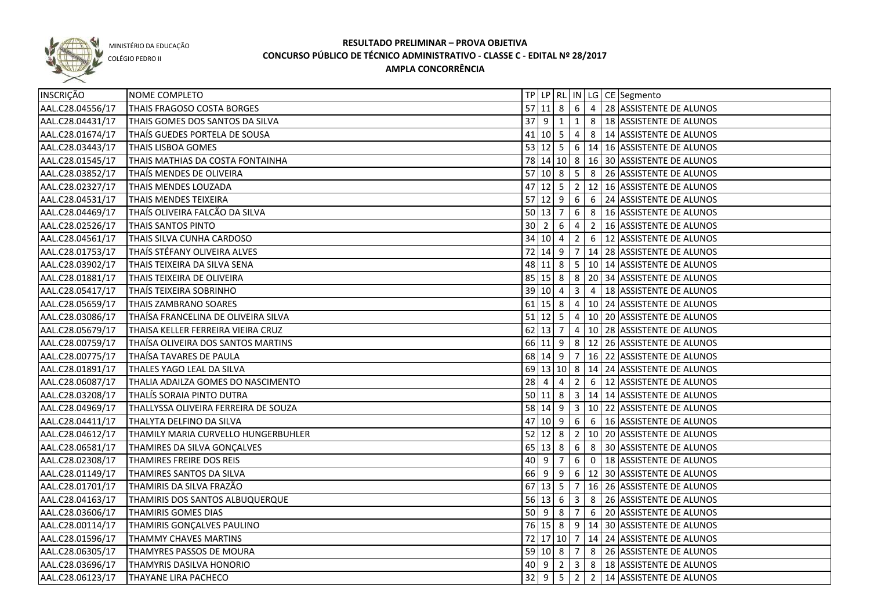

COLÉGIO PEDRO II

| INSCRIÇÃO        | NOME COMPLETO                        |    |                     |                |                         |                 | TP   LP   RL   IN   LG   CE   Segmento                     |
|------------------|--------------------------------------|----|---------------------|----------------|-------------------------|-----------------|------------------------------------------------------------|
| AAL.C28.04556/17 | THAIS FRAGOSO COSTA BORGES           |    |                     |                |                         |                 | $\overline{57 11 }$ 8   6   4   28   ASSISTENTE DE ALUNOS  |
| AAL.C28.04431/17 | THAIS GOMES DOS SANTOS DA SILVA      |    | $37$ 9 1 1          |                |                         |                 | 8   18 ASSISTENTE DE ALUNOS                                |
| AAL.C28.01674/17 | THAIS GUEDES PORTELA DE SOUSA        |    |                     |                |                         |                 | 41   10   5   4   8   14   ASSISTENTE DE ALUNOS            |
| AAL.C28.03443/17 | THAIS LISBOA GOMES                   |    |                     |                |                         |                 | 53 12 5 6 14 16 ASSISTENTE DE ALUNOS                       |
| AAL.C28.01545/17 | THAIS MATHIAS DA COSTA FONTAINHA     |    |                     |                |                         |                 | 78 14 10 8 16 30 ASSISTENTE DE ALUNOS                      |
| AAL.C28.03852/17 | THAÍS MENDES DE OLIVEIRA             |    |                     |                |                         |                 | 57 10 8 5 8 26 ASSISTENTE DE ALUNOS                        |
| AAL.C28.02327/17 | THAIS MENDES LOUZADA                 |    |                     |                |                         |                 | $\overline{47 12 }$ 5   2   12   16   ASSISTENTE DE ALUNOS |
| AAL.C28.04531/17 | THAIS MENDES TEIXEIRA                |    |                     |                |                         |                 | 57 12 9 6 6 24 ASSISTENTE DE ALUNOS                        |
| AAL.C28.04469/17 | THAÍS OLIVEIRA FALCÃO DA SILVA       |    |                     |                |                         |                 | 50 13 7 6 8 16 ASSISTENTE DE ALUNOS                        |
| AAL.C28.02526/17 | THAIS SANTOS PINTO                   |    | $30 \mid 2 \mid$    | 6              | $\sqrt{4}$              |                 | 2   16 ASSISTENTE DE ALUNOS                                |
| AAL.C28.04561/17 | THAIS SILVA CUNHA CARDOSO            |    | 34   10   4   2     |                |                         | $6\overline{6}$ | 12 ASSISTENTE DE ALUNOS                                    |
| AAL.C28.01753/17 | THAÍS STÉFANY OLIVEIRA ALVES         |    | 72 14 9 7           |                |                         |                 | 14 28 ASSISTENTE DE ALUNOS                                 |
| AAL.C28.03902/17 | THAIS TEIXEIRA DA SILVA SENA         |    |                     |                |                         |                 | 48 11 8 5 10 14 ASSISTENTE DE ALUNOS                       |
| AAL.C28.01881/17 | THAIS TEIXEIRA DE OLIVEIRA           |    | $85 \ 15 \ 8 \ 8$   |                |                         |                 | 20 34 ASSISTENTE DE ALUNOS                                 |
| AAL.C28.05417/17 | THAÍS TEIXEIRA SOBRINHO              |    | 39 10 4             |                | $\overline{\mathbf{3}}$ | 4               | 18 ASSISTENTE DE ALUNOS                                    |
| AAL.C28.05659/17 | THAIS ZAMBRANO SOARES                |    | $61$ 15 8 4         |                |                         |                 | 10 24 ASSISTENTE DE ALUNOS                                 |
| AAL.C28.03086/17 | THAÍSA FRANCELINA DE OLIVEIRA SILVA  |    | $51$   12   5   4   |                |                         |                 | 10 20 ASSISTENTE DE ALUNOS                                 |
| AAL.C28.05679/17 | THAISA KELLER FERREIRA VIEIRA CRUZ   |    | $62$ 13 7 4         |                |                         |                 | 10 28 ASSISTENTE DE ALUNOS                                 |
| AAL.C28.00759/17 | THAÍSA OLIVEIRA DOS SANTOS MARTINS   |    |                     |                |                         |                 | 66 11 9 8 12 26 ASSISTENTE DE ALUNOS                       |
| AAL.C28.00775/17 | THAÍSA TAVARES DE PAULA              |    | 68 14 9             |                | $\overline{7}$          |                 | 16 22 ASSISTENTE DE ALUNOS                                 |
| AAL.C28.01891/17 | THALES YAGO LEAL DA SILVA            |    |                     |                |                         |                 | 69 13 10 8 14 24 ASSISTENTE DE ALUNOS                      |
| AAL.C28.06087/17 | THALIA ADAILZA GOMES DO NASCIMENTO   | 28 | 4                   | $\overline{4}$ | $\overline{2}$          | $6\phantom{.}6$ | 12 ASSISTENTE DE ALUNOS                                    |
| AAL.C28.03208/17 | THALIS SORAIA PINTO DUTRA            |    | $50 \mid 11 \mid 8$ |                | 3                       |                 | 14 14 ASSISTENTE DE ALUNOS                                 |
| AAL.C28.04969/17 | THALLYSSA OLIVEIRA FERREIRA DE SOUZA |    | 58 14 9             |                |                         |                 | 3   10   22   ASSISTENTE DE ALUNOS                         |
| AAL.C28.04411/17 | THALYTA DELFINO DA SILVA             |    | $47$ 10 9           |                | 6                       | 6               | 16 ASSISTENTE DE ALUNOS                                    |
| AAL.C28.04612/17 | THAMILY MARIA CURVELLO HUNGERBUHLER  |    | $52$ 12 8           |                | $\overline{2}$          |                 | 10 20 ASSISTENTE DE ALUNOS                                 |
| AAL.C28.06581/17 | THAMIRES DA SILVA GONÇALVES          |    | $65$ 13 8           |                | 6 <sup>6</sup>          |                 | 8 30 ASSISTENTE DE ALUNOS                                  |
| AAL.C28.02308/17 | THAMIRES FREIRE DOS REIS             | 40 | 9                   | $\overline{7}$ | 6                       |                 | 0   18   ASSISTENTE DE ALUNOS                              |
| AAL.C28.01149/17 | THAMIRES SANTOS DA SILVA             |    |                     |                |                         |                 | 66 9 9 6 12 30 ASSISTENTE DE ALUNOS                        |
| AAL.C28.01701/17 | THAMIRIS DA SILVA FRAZÃO             |    |                     |                |                         |                 | 67 13 5 7 16 26 ASSISTENTE DE ALUNOS                       |
| AAL.C28.04163/17 | THAMIRIS DOS SANTOS ALBUQUERQUE      |    | 56 13 6 3           |                |                         |                 | 8 26 ASSISTENTE DE ALUNOS                                  |
| AAL.C28.03606/17 | <b>THAMIRIS GOMES DIAS</b>           |    | 50   9   8   7      |                |                         |                 | 6 20 ASSISTENTE DE ALUNOS                                  |
| AAL.C28.00114/17 | THAMIRIS GONÇALVES PAULINO           |    |                     |                |                         |                 | 76 15 8 9 14 30 ASSISTENTE DE ALUNOS                       |
| AAL.C28.01596/17 | THAMMY CHAVES MARTINS                |    |                     |                |                         |                 | 72 17 10 7 14 24 ASSISTENTE DE ALUNOS                      |
| AAL.C28.06305/17 | THAMYRES PASSOS DE MOURA             |    | 59 10 8 7           |                |                         |                 | 8 26 ASSISTENTE DE ALUNOS                                  |
| AAL.C28.03696/17 | <b>THAMYRIS DASILVA HONORIO</b>      |    |                     |                |                         |                 | 40 9 2 3 8 48 48 48 5 40 18 40 5                           |
| AAL.C28.06123/17 | THAYANE LIRA PACHECO                 |    |                     |                |                         |                 | 32 9 5 2 2 14 ASSISTENTE DE ALUNOS                         |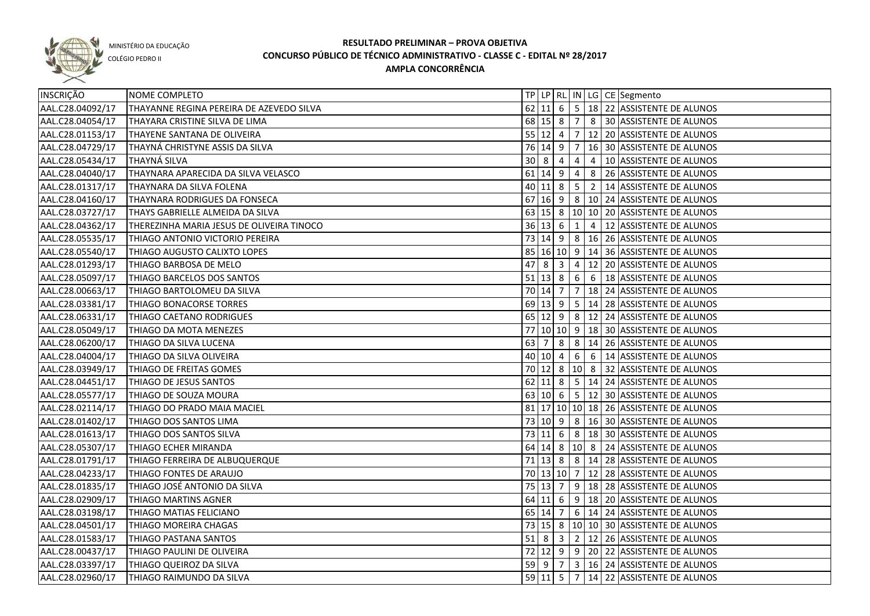

COLÉGIO PEDRO II

| INSCRIÇÃO        | NOME COMPLETO                             |    |                        |                         |                 |    | TP   LP   RL   IN   LG   CE   Segmento               |
|------------------|-------------------------------------------|----|------------------------|-------------------------|-----------------|----|------------------------------------------------------|
| AAL.C28.04092/17 | THAYANNE REGINA PEREIRA DE AZEVEDO SILVA  |    |                        |                         |                 |    | 62 11 6 5 18 22 ASSISTENTE DE ALUNOS                 |
| AAL.C28.04054/17 | THAYARA CRISTINE SILVA DE LIMA            |    |                        |                         |                 |    | 68 15 8 7 8 30 ASSISTENTE DE ALUNOS                  |
| AAL.C28.01153/17 | THAYENE SANTANA DE OLIVEIRA               |    |                        |                         |                 |    | 55 12 4 7 12 20 ASSISTENTE DE ALUNOS                 |
| AAL.C28.04729/17 | THAYNÁ CHRISTYNE ASSIS DA SILVA           |    | 76 14 9 7              |                         |                 |    | 16 30 ASSISTENTE DE ALUNOS                           |
| AAL.C28.05434/17 | <b>THAYNÁ SILVA</b>                       |    | $30 \times 8 \times 4$ |                         | $\overline{4}$  |    | 4   10   ASSISTENTE DE ALUNOS                        |
| AAL.C28.04040/17 | THAYNARA APARECIDA DA SILVA VELASCO       |    | $61$ 14 9 4            |                         |                 |    | 8 26 ASSISTENTE DE ALUNOS                            |
| AAL.C28.01317/17 | THAYNARA DA SILVA FOLENA                  |    | $40$ 11 8 5            |                         |                 |    | 2   14 ASSISTENTE DE ALUNOS                          |
| AAL.C28.04160/17 | THAYNARA RODRIGUES DA FONSECA             |    |                        |                         |                 |    | 67   16   9   8   10   24   ASSISTENTE DE ALUNOS     |
| AAL.C28.03727/17 | THAYS GABRIELLE ALMEIDA DA SILVA          |    |                        |                         |                 |    | 63 15 8 10 10 20 ASSISTENTE DE ALUNOS                |
| AAL.C28.04362/17 | THEREZINHA MARIA JESUS DE OLIVEIRA TINOCO |    | 36 13 6 1              |                         |                 |    | 4   12 ASSISTENTE DE ALUNOS                          |
| AAL.C28.05535/17 | THIAGO ANTONIO VICTORIO PEREIRA           |    |                        |                         |                 |    | 73   14   9   8   16   26   ASSISTENTE DE ALUNOS     |
| AAL.C28.05540/17 | THIAGO AUGUSTO CALIXTO LOPES              |    |                        |                         |                 |    | 85 16 10 9 14 36 ASSISTENTE DE ALUNOS                |
| AAL.C28.01293/17 | THIAGO BARBOSA DE MELO                    | 47 | 8                      | $\overline{\mathbf{3}}$ | 4               | 12 | 20 ASSISTENTE DE ALUNOS                              |
| AAL.C28.05097/17 | THIAGO BARCELOS DOS SANTOS                |    | $51$ 13 8 6            |                         |                 | 6  | 18 ASSISTENTE DE ALUNOS                              |
| AAL.C28.00663/17 | THIAGO BARTOLOMEU DA SILVA                |    |                        |                         |                 |    | 70 14 7 7 18 24 ASSISTENTE DE ALUNOS                 |
| AAL.C28.03381/17 | THIAGO BONACORSE TORRES                   |    |                        |                         |                 |    | 69   13   9   5   14   28   ASSISTENTE DE ALUNOS     |
| AAL.C28.06331/17 | THIAGO CAETANO RODRIGUES                  |    |                        |                         |                 |    | 65   12   9   8   12   24   ASSISTENTE DE ALUNOS     |
| AAL.C28.05049/17 | THIAGO DA MOTA MENEZES                    |    |                        |                         |                 |    | 77 10 10 9 18 30 ASSISTENTE DE ALUNOS                |
| AAL.C28.06200/17 | THIAGO DA SILVA LUCENA                    | 63 | l 7                    | 8                       | 8               |    | 14 26 ASSISTENTE DE ALUNOS                           |
| AAL.C28.04004/17 | THIAGO DA SILVA OLIVEIRA                  |    | 40 10 4                |                         | $6\overline{6}$ | 6  | 14 ASSISTENTE DE ALUNOS                              |
| AAL.C28.03949/17 | THIAGO DE FREITAS GOMES                   |    | 70 12 8                |                         |                 |    | 10 8 32 ASSISTENTE DE ALUNOS                         |
| AAL.C28.04451/17 | THIAGO DE JESUS SANTOS                    |    | $62$ 11 8              |                         |                 |    | $\vert$ 5 $\vert$ 14 $\vert$ 24 ASSISTENTE DE ALUNOS |
| AAL.C28.05577/17 | THIAGO DE SOUZA MOURA                     |    |                        |                         |                 |    | 63 10 6 5 12 30 ASSISTENTE DE ALUNOS                 |
| AAL.C28.02114/17 | THIAGO DO PRADO MAIA MACIEL               |    |                        |                         |                 |    | 81   17   10   10   18   26   ASSISTENTE DE ALUNOS   |
| AAL.C28.01402/17 | THIAGO DOS SANTOS LIMA                    |    | 73 10 9                |                         |                 |    | 8   16   30   ASSISTENTE DE ALUNOS                   |
| AAL.C28.01613/17 | THIAGO DOS SANTOS SILVA                   |    | $73 \mid 11 \mid 6$    |                         |                 |    | 8   18   30   ASSISTENTE DE ALUNOS                   |
| AAL.C28.05307/17 | THIAGO ECHER MIRANDA                      |    |                        |                         |                 |    | 64 14 8 10 8 24 ASSISTENTE DE ALUNOS                 |
| AAL.C28.01791/17 | THIAGO FERREIRA DE ALBUQUERQUE            |    |                        |                         |                 |    | 71   13   8   8   14   28   ASSISTENTE DE ALUNOS     |
| AAL.C28.04233/17 | THIAGO FONTES DE ARAUJO                   |    |                        |                         |                 |    | 70 13 10 7 12 28 ASSISTENTE DE ALUNOS                |
| AAL.C28.01835/17 | THIAGO JOSÉ ANTONIO DA SILVA              |    | 75 13 7                |                         |                 |    | $9$   18   28   ASSISTENTE DE ALUNOS                 |
| AAL.C28.02909/17 | THIAGO MARTINS AGNER                      |    | $64$ 11 6              |                         |                 |    | $9   18   20  $ ASSISTENTE DE ALUNOS                 |
| AAL.C28.03198/17 | THIAGO MATIAS FELICIANO                   |    |                        |                         |                 |    | 65 14 7 6 14 24 ASSISTENTE DE ALUNOS                 |
| AAL.C28.04501/17 | THIAGO MOREIRA CHAGAS                     |    |                        |                         |                 |    | 73 15 8 10 10 30 ASSISTENTE DE ALUNOS                |
| AAL.C28.01583/17 | THIAGO PASTANA SANTOS                     |    |                        |                         |                 |    | 51 8 3 2 12 26 ASSISTENTE DE ALUNOS                  |
| AAL.C28.00437/17 | THIAGO PAULINI DE OLIVEIRA                |    |                        |                         |                 |    | 72 12 9 9 20 22 ASSISTENTE DE ALUNOS                 |
| AAL.C28.03397/17 | THIAGO QUEIROZ DA SILVA                   |    |                        |                         |                 |    | 59 9 7 3 16 24 ASSISTENTE DE ALUNOS                  |
| AAL.C28.02960/17 | THIAGO RAIMUNDO DA SILVA                  |    |                        |                         |                 |    | 59 11 5 7 14 22 ASSISTENTE DE ALUNOS                 |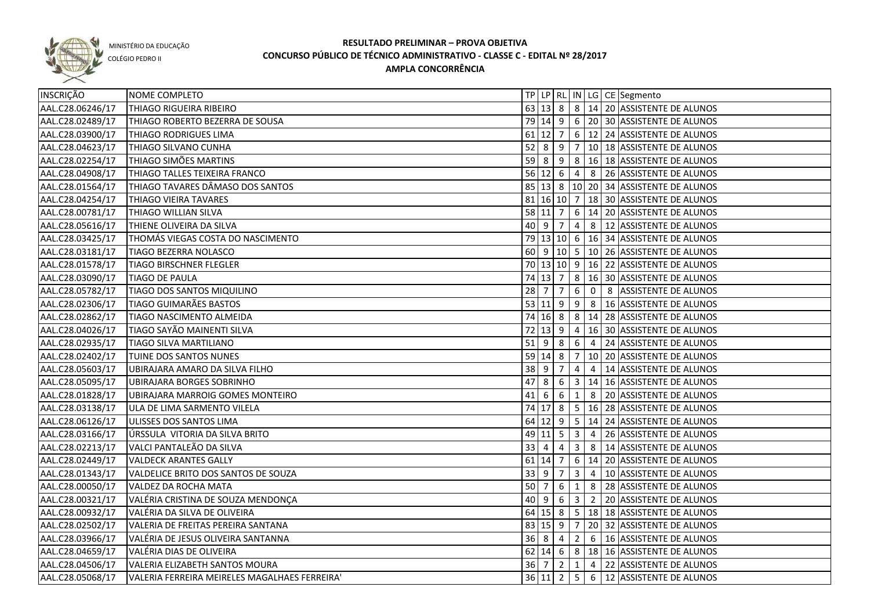

COLÉGIO PEDRO II

| INSCRIÇÃO        | NOME COMPLETO                                 |           |                      |                |                         |                          | TP   LP   RL   IN   LG   CE   Segmento            |
|------------------|-----------------------------------------------|-----------|----------------------|----------------|-------------------------|--------------------------|---------------------------------------------------|
| AAL.C28.06246/17 | THIAGO RIGUEIRA RIBEIRO                       |           |                      |                |                         |                          | 63   13   8   8   14   20   ASSISTENTE DE ALUNOS  |
| AAL.C28.02489/17 | THIAGO ROBERTO BEZERRA DE SOUSA               |           |                      |                |                         |                          | 79 14 9 6 20 30 ASSISTENTE DE ALUNOS              |
| AAL.C28.03900/17 | THIAGO RODRIGUES LIMA                         |           | $61$ 12 7            |                |                         |                          | 6 12 24 ASSISTENTE DE ALUNOS                      |
| AAL.C28.04623/17 | THIAGO SILVANO CUNHA                          |           |                      |                |                         |                          | 52 8 9 7 10 18 ASSISTENTE DE ALUNOS               |
| AAL.C28.02254/17 | THIAGO SIMÕES MARTINS                         |           |                      |                |                         |                          | 59 8 9 8 16 18 ASSISTENTE DE ALUNOS               |
| AAL.C28.04908/17 | THIAGO TALLES TEIXEIRA FRANCO                 |           |                      |                |                         |                          | 56 12 6 4 8 26 ASSISTENTE DE ALUNOS               |
| AAL.C28.01564/17 | THIAGO TAVARES DÂMASO DOS SANTOS              |           |                      |                |                         |                          | 85   13   8   10   20   34   ASSISTENTE DE ALUNOS |
| AAL.C28.04254/17 | THIAGO VIEIRA TAVARES                         |           |                      |                |                         |                          | 81   16   10   7   18   30   ASSISTENTE DE ALUNOS |
| AAL.C28.00781/17 | THIAGO WILLIAN SILVA                          |           | 58 11 7              |                |                         |                          | 6   14   20   ASSISTENTE DE ALUNOS                |
| AAL.C28.05616/17 | THIENE OLIVEIRA DA SILVA                      |           | $40 \mid 9 \mid 7$   |                |                         |                          | 4 8 12 ASSISTENTE DE ALUNOS                       |
| AAL.C28.03425/17 | THOMÁS VIEGAS COSTA DO NASCIMENTO             |           |                      |                |                         |                          | 79   13   10   6   16   34   ASSISTENTE DE ALUNOS |
| AAL.C28.03181/17 | <b>TIAGO BEZERRA NOLASCO</b>                  |           |                      |                |                         |                          | 60 9 10 5 10 26 ASSISTENTE DE ALUNOS              |
| AAL.C28.01578/17 | <b>TIAGO BIRSCHNER FLEGLER</b>                |           |                      |                |                         |                          | 70   13   10   9   16   22   ASSISTENTE DE ALUNOS |
| AAL.C28.03090/17 | <b>TIAGO DE PAULA</b>                         |           | 74 13                | $\overline{7}$ |                         |                          | 8   16   30   ASSISTENTE DE ALUNOS                |
| AAL.C28.05782/17 | <b>TIAGO DOS SANTOS MIQUILINO</b>             | 28        | $\overline{7}$       | $\overline{7}$ | 6                       | $\overline{\phantom{0}}$ | 8 ASSISTENTE DE ALUNOS                            |
| AAL.C28.02306/17 | <b>TIAGO GUIMARÃES BASTOS</b>                 |           | 53 11                | 9              | 9                       | 8                        | 16 ASSISTENTE DE ALUNOS                           |
| AAL.C28.02862/17 | TIAGO NASCIMENTO ALMEIDA                      |           | 74 16 8              |                |                         |                          | 8   14   28   ASSISTENTE DE ALUNOS                |
| AAL.C28.04026/17 | TIAGO SAYÃO MAINENTI SILVA                    |           | $72$ 13 9            |                | $\overline{4}$          |                          | 16 30 ASSISTENTE DE ALUNOS                        |
| AAL.C28.02935/17 | <b>TIAGO SILVA MARTILIANO</b>                 | $51$ 9    |                      | 8              | 6                       | $\overline{4}$           | 24 ASSISTENTE DE ALUNOS                           |
| AAL.C28.02402/17 | TUINE DOS SANTOS NUNES                        |           | $59$ 14 8            |                | $\overline{7}$          |                          | 10 20 ASSISTENTE DE ALUNOS                        |
| AAL.C28.05603/17 | UBIRAJARA AMARO DA SILVA FILHO                | 38        | l 9                  | 7              | 4                       | $\overline{4}$           | 14 ASSISTENTE DE ALUNOS                           |
| AAL.C28.05095/17 | UBIRAJARA BORGES SOBRINHO                     | 47        | 8                    | 6              | $\overline{\mathbf{3}}$ |                          | 14 16 ASSISTENTE DE ALUNOS                        |
| AAL.C28.01828/17 | UBIRAJARA MARROIG GOMES MONTEIRO              | 41        | 6                    | 6              | $\mathbf{1}$            | 8                        | 20 ASSISTENTE DE ALUNOS                           |
| AAL.C28.03138/17 | ULA DE LIMA SARMENTO VILELA                   |           | 74 17 8              |                |                         |                          | 5   16   28   ASSISTENTE DE ALUNOS                |
| AAL.C28.06126/17 | ULISSES DOS SANTOS LIMA                       |           | 64 12 9              |                | 5 <sub>1</sub>          |                          | 14 24 ASSISTENTE DE ALUNOS                        |
| AAL.C28.03166/17 | ÚRSSULA VITORIA DA SILVA BRITO                |           | 49 11 5              |                | 3                       | $\overline{4}$           | 26 ASSISTENTE DE ALUNOS                           |
| AAL.C28.02213/17 | VALCI PANTALEÃO DA SILVA                      | 33        | 4                    | 4              | 3                       | 8                        | 14 ASSISTENTE DE ALUNOS                           |
| AAL.C28.02449/17 | <b>VALDECK ARANTES GALLY</b>                  | $61$   14 |                      | 7              | $6\overline{6}$         |                          | 14 20 ASSISTENTE DE ALUNOS                        |
| AAL.C28.01343/17 | VALDELICE BRITO DOS SANTOS DE SOUZA           | 33        | - 9                  | 7              | 3                       | $\overline{4}$           | 10 ASSISTENTE DE ALUNOS                           |
| AAL.C28.00050/17 | VALDEZ DA ROCHA MATA                          | $50$ 7    |                      | 6              | $\mathbf{1}$            | 8                        | 28 ASSISTENTE DE ALUNOS                           |
| AAL.C28.00321/17 | VALÉRIA CRISTINA DE SOUZA MENDONÇA            | 40 9      |                      | 6              | $\mathbf{3}$            |                          | 2 20 ASSISTENTE DE ALUNOS                         |
| AAL.C28.00932/17 | VALÉRIA DA SILVA DE OLIVEIRA                  |           | $64$ 15 8            |                |                         |                          | 5 18 18 ASSISTENTE DE ALUNOS                      |
| AAL.C28.02502/17 | VALERIA DE FREITAS PEREIRA SANTANA            |           | $83 \mid 15 \mid 9$  |                |                         |                          | $7$   20   32   ASSISTENTE DE ALUNOS              |
| AAL.C28.03966/17 | VALÉRIA DE JESUS OLIVEIRA SANTANNA            |           | $36 \quad 8 \quad 4$ |                |                         |                          | 2 6 16 ASSISTENTE DE ALUNOS                       |
| AAL.C28.04659/17 | VALÉRIA DIAS DE OLIVEIRA                      |           |                      |                |                         |                          | 62 14 6 8 18 16 ASSISTENTE DE ALUNOS              |
| AAL.C28.04506/17 | VALERIA ELIZABETH SANTOS MOURA                | 36 7      |                      | $\overline{2}$ | 1                       |                          | 4 22 ASSISTENTE DE ALUNOS                         |
| AAL.C28.05068/17 | VALERIA FERREIRA MEIRELES MAGALHAES FERREIRA' |           | 36 11 2              |                |                         |                          | 5 6 12 ASSISTENTE DE ALUNOS                       |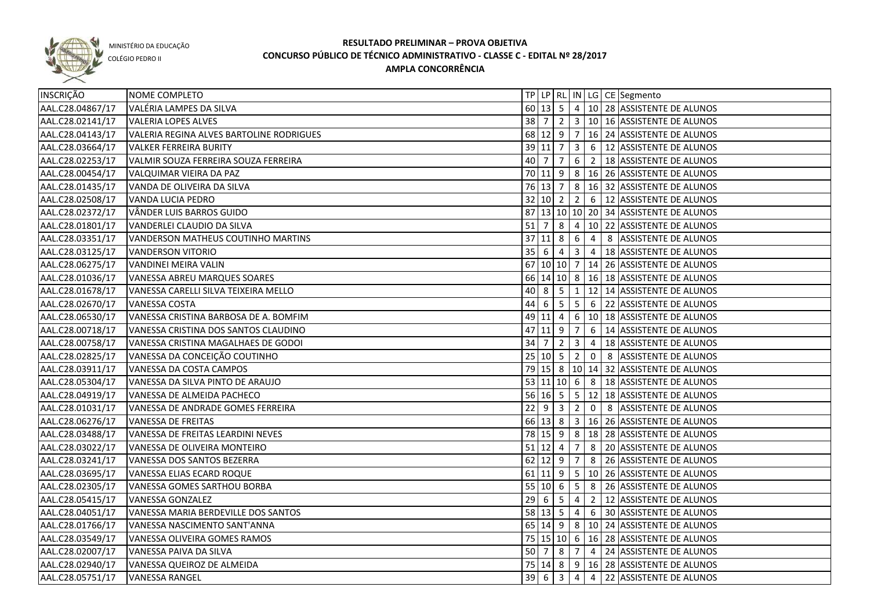

COLÉGIO PEDRO II

| INSCRIÇÃO        | NOME COMPLETO                            |                                 |                     |                |                         |                | TP   LP   RL   IN   LG   CE   Segmento               |
|------------------|------------------------------------------|---------------------------------|---------------------|----------------|-------------------------|----------------|------------------------------------------------------|
| AAL.C28.04867/17 | VALÉRIA LAMPES DA SILVA                  |                                 |                     |                |                         |                | 60 13 5 4 10 28 ASSISTENTE DE ALUNOS                 |
| AAL.C28.02141/17 | <b>VALERIA LOPES ALVES</b>               | 38 7                            |                     | $\vert$ 2      |                         |                | 3   10   16 ASSISTENTE DE ALUNOS                     |
| AAL.C28.04143/17 | VALERIA REGINA ALVES BARTOLINE RODRIGUES |                                 |                     |                |                         |                | 68 12 9 7 16 24 ASSISTENTE DE ALUNOS                 |
| AAL.C28.03664/17 | <b>VALKER FERREIRA BURITY</b>            |                                 | $39$ 11 7           |                | 3                       |                | 6 12 ASSISTENTE DE ALUNOS                            |
| AAL.C28.02253/17 | VALMIR SOUZA FERREIRA SOUZA FERREIRA     | $40 \mid 7$                     |                     | $\overline{7}$ | 6                       |                | 2   18 ASSISTENTE DE ALUNOS                          |
| AAL.C28.00454/17 | VALQUIMAR VIEIRA DA PAZ                  |                                 |                     |                |                         |                | 70 11 9 8 16 26 ASSISTENTE DE ALUNOS                 |
| AAL.C28.01435/17 | VANDA DE OLIVEIRA DA SILVA               |                                 |                     | 76 13 7        |                         |                | 8 16 32 ASSISTENTE DE ALUNOS                         |
| AAL.C28.02508/17 | VANDA LUCIA PEDRO                        |                                 |                     | 32   10   2    |                         |                | 2 6 12 ASSISTENTE DE ALUNOS                          |
| AAL.C28.02372/17 | VÂNDER LUIS BARROS GUIDO                 |                                 |                     |                |                         |                | 87 13 10 10 20 34 ASSISTENTE DE ALUNOS               |
| AAL.C28.01801/17 | VANDERLEI CLAUDIO DA SILVA               |                                 |                     |                |                         |                | 51 7 8 4 10 22 ASSISTENTE DE ALUNOS                  |
| AAL.C28.03351/17 | VANDERSON MATHEUS COUTINHO MARTINS       |                                 |                     |                |                         |                | $37 11 8 6 4 8$ ASSISTENTE DE ALUNOS                 |
| AAL.C28.03125/17 | <b>VANDERSON VITORIO</b>                 |                                 |                     |                |                         |                | 35 6 4 3 4 18 ASSISTENTE DE ALUNOS                   |
| AAL.C28.06275/17 | VANDINEI MEIRA VALIN                     |                                 |                     |                |                         |                | 67 10 10 7 14 26 ASSISTENTE DE ALUNOS                |
| AAL.C28.01036/17 | VANESSA ABREU MARQUES SOARES             |                                 |                     |                |                         |                | 66 14 10 8 16 18 ASSISTENTE DE ALUNOS                |
| AAL.C28.01678/17 | VANESSA CARELLI SILVA TEIXEIRA MELLO     |                                 |                     |                |                         |                | 40 8 5 1 1 12 14 ASSISTENTE DE ALUNOS                |
| AAL.C28.02670/17 | <b>VANESSA COSTA</b>                     |                                 |                     |                |                         |                | 44 6 5 5 6 22 ASSISTENTE DE ALUNOS                   |
| AAL.C28.06530/17 | VANESSA CRISTINA BARBOSA DE A. BOMFIM    |                                 | 49 11               | $\overline{4}$ |                         |                | 6   10   18   ASSISTENTE DE ALUNOS                   |
| AAL.C28.00718/17 | VANESSA CRISTINA DOS SANTOS CLAUDINO     |                                 | $47$ 11 9           |                | $\overline{7}$          | 6              | 14 ASSISTENTE DE ALUNOS                              |
| AAL.C28.00758/17 | VANESSA CRISTINA MAGALHAES DE GODOI      | $34 \overline{\smash{\big)}\,}$ |                     | $\overline{2}$ | $\overline{\mathbf{3}}$ | $\overline{4}$ | 18 ASSISTENTE DE ALUNOS                              |
| AAL.C28.02825/17 | VANESSA DA CONCEIÇÃO COUTINHO            |                                 |                     |                |                         |                | 25   10   5   2   0   8   ASSISTENTE DE ALUNOS       |
| AAL.C28.03911/17 | VANESSA DA COSTA CAMPOS                  |                                 |                     |                |                         |                | 79 15 8 10 14 32 ASSISTENTE DE ALUNOS                |
| AAL.C28.05304/17 | VANESSA DA SILVA PINTO DE ARAUJO         |                                 |                     |                |                         |                | 53 11 10 6 8 3 18 ASSISTENTE DE ALUNOS               |
| AAL.C28.04919/17 | VANESSA DE ALMEIDA PACHECO               |                                 |                     | $56$ 16 5      |                         |                | 5 12 18 ASSISTENTE DE ALUNOS                         |
| AAL.C28.01031/17 | VANESSA DE ANDRADE GOMES FERREIRA        | $22\,$                          | $9 \mid 3$          |                | $\overline{2}$          | $\mathbf{0}$   | 8 ASSISTENTE DE ALUNOS                               |
| AAL.C28.06276/17 | <b>VANESSA DE FREITAS</b>                |                                 | 66 13 8             |                |                         |                | 3   16   26   ASSISTENTE DE ALUNOS                   |
| AAL.C28.03488/17 | VANESSA DE FREITAS LEARDINI NEVES        |                                 |                     | 78 15 9        |                         |                | 8   18   28   ASSISTENTE DE ALUNOS                   |
| AAL.C28.03022/17 | VANESSA DE OLIVEIRA MONTEIRO             | $51$ 12 4                       |                     |                | 7                       | 8              | 20 ASSISTENTE DE ALUNOS                              |
| AAL.C28.03241/17 | VANESSA DOS SANTOS BEZERRA               |                                 | $62 \mid 12 \mid 9$ |                | 7                       |                | 8 26 ASSISTENTE DE ALUNOS                            |
| AAL.C28.03695/17 | VANESSA ELIAS ECARD ROQUE                |                                 |                     | $61$ 11 9      |                         |                | $\vert$ 5 $\vert$ 10 $\vert$ 26 ASSISTENTE DE ALUNOS |
| AAL.C28.02305/17 | VANESSA GOMES SARTHOU BORBA              |                                 | 55   10   6         |                | 5 <sub>5</sub>          |                | 8 26 ASSISTENTE DE ALUNOS                            |
| AAL.C28.05415/17 | VANESSA GONZALEZ                         | $29$ 6                          |                     | 5              | $\overline{4}$          |                | 2 12 ASSISTENTE DE ALUNOS                            |
| AAL.C28.04051/17 | VANESSA MARIA BERDEVILLE DOS SANTOS      |                                 |                     |                |                         |                | 58   13   5   4   6   30   ASSISTENTE DE ALUNOS      |
| AAL.C28.01766/17 | VANESSA NASCIMENTO SANT'ANNA             |                                 |                     |                |                         |                | 65 14 9 8 10 24 ASSISTENTE DE ALUNOS                 |
| AAL.C28.03549/17 | VANESSA OLIVEIRA GOMES RAMOS             |                                 |                     |                |                         |                | 75 15 10 6 16 28 ASSISTENTE DE ALUNOS                |
| AAL.C28.02007/17 | VANESSA PAIVA DA SILVA                   |                                 |                     |                |                         |                | 50 7 8 7 4 24 ASSISTENTE DE ALUNOS                   |
| AAL.C28.02940/17 | VANESSA QUEIROZ DE ALMEIDA               |                                 |                     | 75 14 8        |                         |                | 9   16   28   ASSISTENT <u>E DE ALUNOS</u>           |
| AAL.C28.05751/17 | <b>VANESSA RANGEL</b>                    | 396                             |                     | س              |                         |                | 4 4 22 ASSISTENTE DE ALUNOS                          |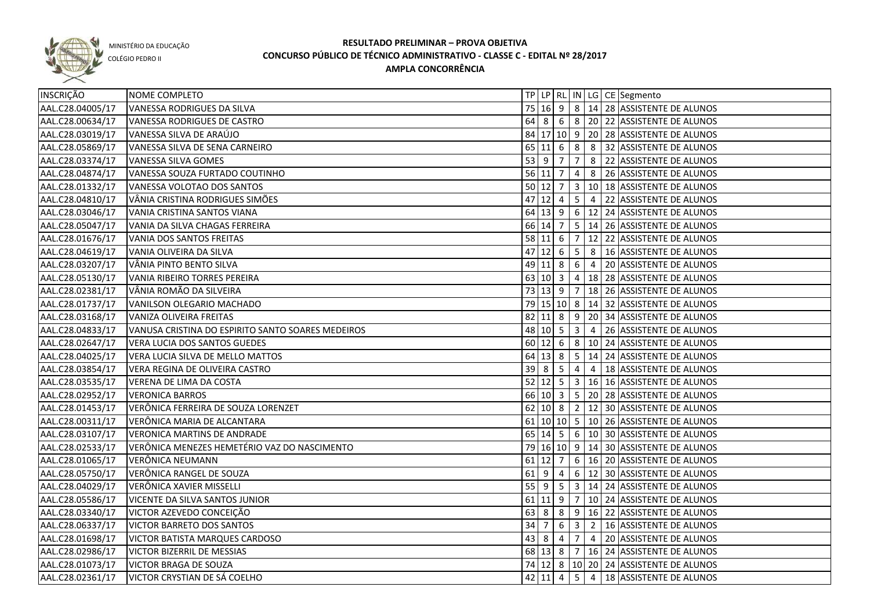

COLÉGIO PEDRO II

| INSCRIÇÃO        | NOME COMPLETO                                     |                    |                                              |                |                |                | TP LP   RL   IN   LG   CE   Segmento              |
|------------------|---------------------------------------------------|--------------------|----------------------------------------------|----------------|----------------|----------------|---------------------------------------------------|
| AAL.C28.04005/17 | VANESSA RODRIGUES DA SILVA                        |                    |                                              |                |                |                | 75 16 9 8 14 28 ASSISTENTE DE ALUNOS              |
| AAL.C28.00634/17 | VANESSA RODRIGUES DE CASTRO                       |                    |                                              |                |                |                | 64 8 6 8 20 22 ASSISTENTE DE ALUNOS               |
| AAL.C28.03019/17 | VANESSA SILVA DE ARAÚJO                           |                    |                                              |                |                |                | 84 17 10 9 20 28 ASSISTENTE DE ALUNOS             |
| AAL.C28.05869/17 | VANESSA SILVA DE SENA CARNEIRO                    |                    |                                              |                |                |                | 65 11 6 8 8 32 ASSISTENTE DE ALUNOS               |
| AAL.C28.03374/17 | VANESSA SILVA GOMES                               | $53 \mid 9 \mid 7$ |                                              |                | 7 <sup>1</sup> |                | 8 22 ASSISTENTE DE ALUNOS                         |
| AAL.C28.04874/17 | VANESSA SOUZA FURTADO COUTINHO                    | $56$ 11 7          |                                              |                | $\overline{4}$ |                | 8 26 ASSISTENTE DE ALUNOS                         |
| AAL.C28.01332/17 | VANESSA VOLOTAO DOS SANTOS                        | $50 \ 12 \ 7$      |                                              |                |                |                | 3   10   18 ASSISTENTE DE ALUNOS                  |
| AAL.C28.04810/17 | VÂNIA CRISTINA RODRIGUES SIMÕES                   |                    |                                              |                |                |                | 47 12 4 5 4 22 ASSISTENTE DE ALUNOS               |
| AAL.C28.03046/17 | VANIA CRISTINA SANTOS VIANA                       |                    |                                              |                |                |                | 64 13 9 6 12 24 ASSISTENTE DE ALUNOS              |
| AAL.C28.05047/17 | VANIA DA SILVA CHAGAS FERREIRA                    |                    | 66 14 7                                      |                |                |                | 5   14   26   ASSISTENTE DE ALUNOS                |
| AAL.C28.01676/17 | VANIA DOS SANTOS FREITAS                          |                    | $58$ 11 6                                    |                | 7              |                | 12 22 ASSISTENTE DE ALUNOS                        |
| AAL.C28.04619/17 | VANIA OLIVEIRA DA SILVA                           |                    | $47$ 12 6                                    |                | 5              |                | 8   16 ASSISTENTE DE ALUNOS                       |
| AAL.C28.03207/17 | VÂNIA PINTO BENTO SILVA                           |                    | 49 11 8                                      |                | 6              | $\overline{4}$ | 20 ASSISTENTE DE ALUNOS                           |
| AAL.C28.05130/17 | VANIA RIBEIRO TORRES PEREIRA                      |                    | $63 \ 10 \ 3$                                |                | $\overline{4}$ |                | 18 28 ASSISTENTE DE ALUNOS                        |
| AAL.C28.02381/17 | VÂNIA ROMÃO DA SILVEIRA                           |                    | 73 13 9                                      |                |                |                | 7   18   26   ASSISTENTE DE ALUNOS                |
| AAL.C28.01737/17 | VANILSON OLEGARIO MACHADO                         |                    |                                              |                |                |                | 79   15   10   8   14   32   ASSISTENTE DE ALUNOS |
| AAL.C28.03168/17 | VANIZA OLIVEIRA FREITAS                           |                    | $82$ 11 8                                    |                |                |                | 9 20 34 ASSISTENTE DE ALUNOS                      |
| AAL.C28.04833/17 | VANUSA CRISTINA DO ESPIRITO SANTO SOARES MEDEIROS |                    | 48 10 5                                      |                | $\vert$ 3      |                | 4 26 ASSISTENTE DE ALUNOS                         |
| AAL.C28.02647/17 | <b>VERA LUCIA DOS SANTOS GUEDES</b>               |                    | $60 \ 12 \ 6$                                |                |                |                | 8   10   24   ASSISTENTE DE ALUNOS                |
| AAL.C28.04025/17 | VERA LUCIA SILVA DE MELLO MATTOS                  |                    | $64$ 13 8                                    |                | 5 <sup>1</sup> |                | 14 24 ASSISTENTE DE ALUNOS                        |
| AAL.C28.03854/17 | VERA REGINA DE OLIVEIRA CASTRO                    | $39 \mid 8$        |                                              | 5              | $\overline{4}$ | $\overline{4}$ | 18 ASSISTENTE DE ALUNOS                           |
| AAL.C28.03535/17 | VERENA DE LIMA DA COSTA                           | $52$ 12 5          |                                              |                | 3 <sup>1</sup> |                | 16 16 ASSISTENTE DE ALUNOS                        |
| AAL.C28.02952/17 | <b>VERONICA BARROS</b>                            |                    | 66 10 3                                      |                | 5 <sub>1</sub> |                | 20 28 ASSISTENTE DE ALUNOS                        |
| AAL.C28.01453/17 | VERÔNICA FERREIRA DE SOUZA LORENZET               |                    |                                              |                |                |                | 62 10 8 2 12 30 ASSISTENTE DE ALUNOS              |
| AAL.C28.00311/17 | VERÔNICA MARIA DE ALCANTARA                       |                    |                                              |                |                |                | 61   10   10   5   10   26   ASSISTENTE DE ALUNOS |
| AAL.C28.03107/17 | <b>VERONICA MARTINS DE ANDRADE</b>                |                    |                                              | $65 \ 14 \ 5$  |                |                | $6 \mid 10 \mid 30$ ASSISTENTE DE ALUNOS          |
| AAL.C28.02533/17 | VERÔNICA MENEZES HEMETÉRIO VAZ DO NASCIMENTO      |                    |                                              |                |                |                | 79 16 10 9 14 30 ASSISTENTE DE ALUNOS             |
| AAL.C28.01065/17 | VERÔNICA NEUMANN                                  | $61$   12          |                                              | 7              |                |                | 6   16   20   ASSISTENTE DE ALUNOS                |
| AAL.C28.05750/17 | VERÔNICA RANGEL DE SOUZA                          | $61$   9           |                                              | $\overline{4}$ |                |                | 6   12   30   ASSISTENTE DE ALUNOS                |
| AAL.C28.04029/17 | VERÔNICA XAVIER MISSELLI                          | $55$ 9             |                                              | 5              |                |                | 3   14   24   ASSISTENTE DE ALUNOS                |
| AAL.C28.05586/17 | VICENTE DA SILVA SANTOS JUNIOR                    |                    | $61$ 11 9                                    |                |                |                | $7   10   24  $ ASSISTENTE DE ALUNOS              |
| AAL.C28.03340/17 | VICTOR AZEVEDO CONCEIÇÃO                          |                    | $63 \mid 8 \mid 8$                           |                |                |                | 9 16 22 ASSISTENTE DE ALUNOS                      |
| AAL.C28.06337/17 | <b>VICTOR BARRETO DOS SANTOS</b>                  | 34 7               |                                              | 6              |                |                | 3 2 16 ASSISTENTE DE ALUNOS                       |
| AAL.C28.01698/17 | VICTOR BATISTA MARQUES CARDOSO                    |                    |                                              | $43 \ 8 \ 4$   |                |                | $7   4   20$ ASSISTENTE DE ALUNOS                 |
| AAL.C28.02986/17 | VICTOR BIZERRIL DE MESSIAS                        |                    |                                              |                |                |                | 68 13 8 7 16 24 ASSISTENTE DE ALUNOS              |
| AAL.C28.01073/17 | <b>VICTOR BRAGA DE SOUZA</b>                      |                    |                                              |                |                |                | 74 12 8 10 20 24 ASSISTENTE DE ALUNOS             |
| AAL.C28.02361/17 | VICTOR CRYSTIAN DE SÁ COELHO                      |                    | $42 \begin{array}{ c c } 11 & 4 \end{array}$ |                |                |                | 5 4 18 ASSISTENTE DE ALUNOS                       |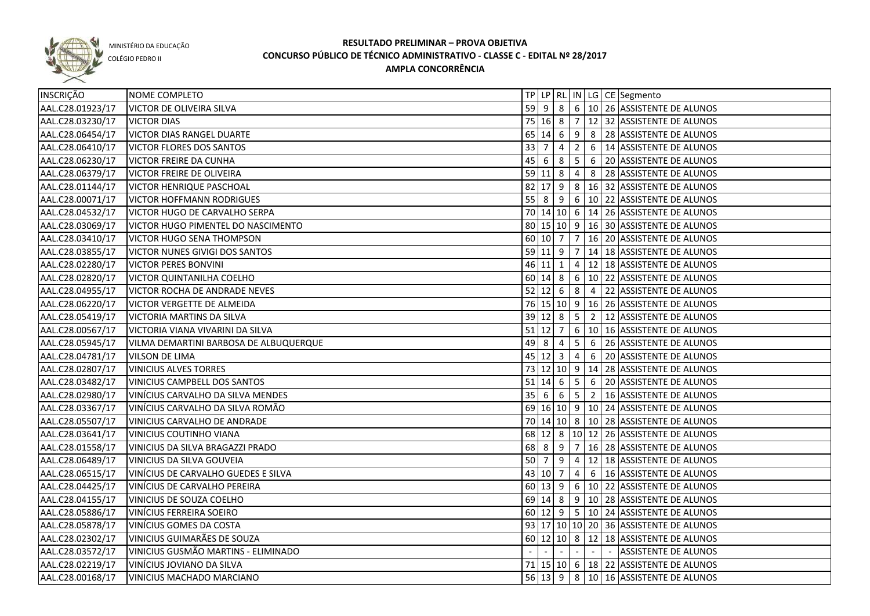

COLÉGIO PEDRO II

| INSCRIÇÃO        | NOME COMPLETO                          |           |                     |                |                |        |                          | TP LP   RL   IN   LG   CE   Segmento                   |
|------------------|----------------------------------------|-----------|---------------------|----------------|----------------|--------|--------------------------|--------------------------------------------------------|
| AAL.C28.01923/17 | <b>VICTOR DE OLIVEIRA SILVA</b>        |           |                     |                |                |        |                          | 59 9 8 6 10 26 ASSISTENTE DE ALUNOS                    |
| AAL.C28.03230/17 | <b>VICTOR DIAS</b>                     |           |                     |                |                |        |                          | 75   16   8   7   12   32   ASSISTENTE DE ALUNOS       |
| AAL.C28.06454/17 | <b>VICTOR DIAS RANGEL DUARTE</b>       |           |                     |                |                |        |                          | 65   14   6   9   8   28   ASSISTENTE DE ALUNOS        |
| AAL.C28.06410/17 | <b>VICTOR FLORES DOS SANTOS</b>        |           |                     |                |                |        |                          | 33   7   4   2   6   14   ASSISTENTE DE ALUNOS         |
| AAL.C28.06230/17 | <b>VICTOR FREIRE DA CUNHA</b>          |           |                     | 45   6   8   5 |                |        |                          | 6 20 ASSISTENTE DE ALUNOS                              |
| AAL.C28.06379/17 | <b>VICTOR FREIRE DE OLIVEIRA</b>       |           |                     | $59$ 11 8 4    |                |        |                          | 8 28 ASSISTENTE DE ALUNOS                              |
| AAL.C28.01144/17 | <b>VICTOR HENRIQUE PASCHOAL</b>        |           |                     |                |                |        |                          | 82 17 9 8 16 32 ASSISTENTE DE ALUNOS                   |
| AAL.C28.00071/17 | <b>VICTOR HOFFMANN RODRIGUES</b>       |           |                     |                |                |        |                          | 55 8 9 6 10 22 ASSISTENTE DE ALUNOS                    |
| AAL.C28.04532/17 | VICTOR HUGO DE CARVALHO SERPA          |           |                     |                |                |        |                          | 70 14 10 6 14 26 ASSISTENTE DE ALUNOS                  |
| AAL.C28.03069/17 | VICTOR HUGO PIMENTEL DO NASCIMENTO     |           |                     |                |                |        |                          | 80 15 10 9 16 30 ASSISTENTE DE ALUNOS                  |
| AAL.C28.03410/17 | <b>VICTOR HUGO SENA THOMPSON</b>       |           | 60 10 7             |                |                |        |                          | 7   16   20   ASSISTENTE DE ALUNOS                     |
| AAL.C28.03855/17 | <b>VICTOR NUNES GIVIGI DOS SANTOS</b>  |           |                     |                |                |        |                          | 59 11 9 7 14 18 ASSISTENTE DE ALUNOS                   |
| AAL.C28.02280/17 | <b>VICTOR PERES BONVINI</b>            | 46 11     |                     | l 1            |                |        |                          | 4   12   18   ASSISTENTE DE ALUNOS                     |
| AAL.C28.02820/17 | <b>VICTOR QUINTANILHA COELHO</b>       |           | $60 \ 14 \ 8$       |                |                |        |                          | 6   10   22   ASSISTENTE DE ALUNOS                     |
| AAL.C28.04955/17 | VICTOR ROCHA DE ANDRADE NEVES          |           | $52 \ 12 \ 6$       |                |                |        |                          | $\mid 8 \mid 4 \mid 22$ ASSISTENTE DE ALUNOS           |
| AAL.C28.06220/17 | VICTOR VERGETTE DE ALMEIDA             |           |                     |                |                |        |                          | 76 15 10 9 16 26 ASSISTENTE DE ALUNOS                  |
| AAL.C28.05419/17 | VICTORIA MARTINS DA SILVA              |           | $39 \mid 12 \mid 8$ |                | $5^{\circ}$    |        |                          | 2   12   ASSISTENTE DE ALUNOS                          |
| AAL.C28.00567/17 | VICTORIA VIANA VIVARINI DA SILVA       | $51$ 12 7 |                     |                |                |        |                          | $6$   10   16   ASSISTENTE DE ALUNOS                   |
| AAL.C28.05945/17 | VILMA DEMARTINI BARBOSA DE ALBUQUERQUE | $49$ 8    |                     | -4             | 5              | 6      |                          | 26 ASSISTENTE DE ALUNOS                                |
| AAL.C28.04781/17 | <b>VILSON DE LIMA</b>                  |           | $45 \ 12 \ 3$       |                | $\overline{4}$ | 6      |                          | 20 ASSISTENTE DE ALUNOS                                |
| AAL.C28.02807/17 | <b>VINICIUS ALVES TORRES</b>           |           |                     |                |                |        |                          | 73 12 10 9 14 28 ASSISTENTE DE ALUNOS                  |
| AAL.C28.03482/17 | <b>VINICIUS CAMPBELL DOS SANTOS</b>    | $51$ 14 6 |                     |                | 5              | 6      |                          | 20 ASSISTENTE DE ALUNOS                                |
| AAL.C28.02980/17 | VINÍCIUS CARVALHO DA SILVA MENDES      | 35 6      |                     | 6              | 5 <sup>1</sup> |        |                          | 2   16   ASSISTENTE DE ALUNOS                          |
| AAL.C28.03367/17 | VINÍCIUS CARVALHO DA SILVA ROMÃO       |           |                     |                |                |        |                          | 69 16 10 9 10 24 ASSISTENTE DE ALUNOS                  |
| AAL.C28.05507/17 | VINICIUS CARVALHO DE ANDRADE           |           |                     |                |                |        |                          | 70 14 10 8 10 28 ASSISTENTE DE ALUNOS                  |
| AAL.C28.03641/17 | <b>VINICIUS COUTINHO VIANA</b>         |           |                     |                |                |        |                          | 68 12 8 10 12 26 ASSISTENTE DE ALUNOS                  |
| AAL.C28.01558/17 | VINICIUS DA SILVA BRAGAZZI PRADO       | 68 8      |                     | $\overline{9}$ |                |        |                          | 7   16   28   ASSISTENTE DE ALUNOS                     |
| AAL.C28.06489/17 | <b>VINICIUS DA SILVA GOUVEIA</b>       | 50 7      |                     | $\overline{9}$ |                |        |                          | $\vert 4 \vert 12 \vert 18 \vert$ ASSISTENTE DE ALUNOS |
| AAL.C28.06515/17 | VINÍCIUS DE CARVALHO GUEDES E SILVA    |           | 43 10 7             |                |                |        |                          | $\boxed{4}$ 6   16   ASSISTENTE DE ALUNOS              |
| AAL.C28.04425/17 | VINÍCIUS DE CARVALHO PEREIRA           |           |                     |                |                |        |                          | 60 13 9 6 10 22 ASSISTENTE DE ALUNOS                   |
| AAL.C28.04155/17 | VINICIUS DE SOUZA COELHO               |           |                     |                |                |        |                          | 69 14 8 9 10 28 ASSISTENTE DE ALUNOS                   |
| AAL.C28.05886/17 | VINÍCIUS FERREIRA SOEIRO               |           |                     |                |                |        |                          | 60 12 9 5 10 24 ASSISTENTE DE ALUNOS                   |
| AAL.C28.05878/17 | VINÍCIUS GOMES DA COSTA                |           |                     |                |                |        |                          | 93 17 10 10 20 36 ASSISTENTE DE ALUNOS                 |
| AAL.C28.02302/17 | VINICIUS GUIMARÃES DE SOUZA            |           |                     |                |                |        |                          | 60 12 10 8 12 18 ASSISTENTE DE ALUNOS                  |
| AAL.C28.03572/17 | VINICIUS GUSMÃO MARTINS - ELIMINADO    |           |                     | $\sim$         | $\sim$         | $\sim$ | $\overline{\phantom{a}}$ | ASSISTENTE DE ALUNOS                                   |
| AAL.C28.02219/17 | VINÍCIUS JOVIANO DA SILVA              |           |                     |                |                |        |                          | 71   15   10   6   18   22   ASSISTENTE DE ALUNOS      |
| AAL.C28.00168/17 | VINICIUS MACHADO MARCIANO              |           |                     |                |                |        |                          | 56 13 9 8 10 16 ASSISTENTE DE ALUNOS                   |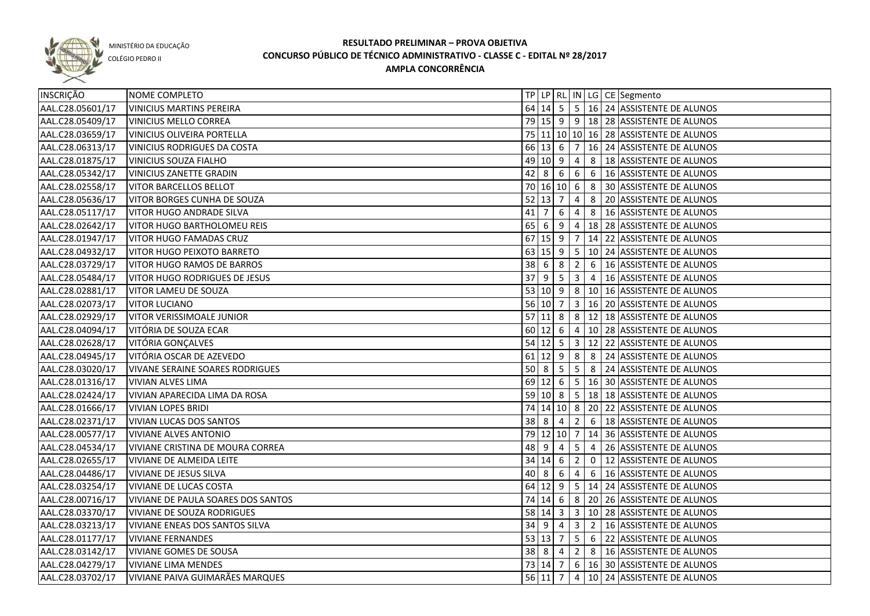

COLÉGIO PEDRO II

| INSCRIÇÃO        | NOME COMPLETO                          |                                  |                      |                 |                         |                | TP   LP   RL   IN   LG   CE   Segmento         |
|------------------|----------------------------------------|----------------------------------|----------------------|-----------------|-------------------------|----------------|------------------------------------------------|
| AAL.C28.05601/17 | <b>VINICIUS MARTINS PEREIRA</b>        |                                  |                      |                 |                         |                | 64 14 5 5 16 24 ASSISTENTE DE ALUNOS           |
| AAL.C28.05409/17 | <b>VINICIUS MELLO CORREA</b>           |                                  |                      |                 |                         |                | 79 15 9 9 18 28 ASSISTENTE DE ALUNOS           |
| AAL.C28.03659/17 | <b>VINICIUS OLIVEIRA PORTELLA</b>      |                                  |                      |                 |                         |                | 75 11 10 10 16 28 ASSISTENTE DE ALUNOS         |
| AAL.C28.06313/17 | VINICIUS RODRIGUES DA COSTA            |                                  |                      |                 |                         |                | 66 13 6 7 16 24 ASSISTENTE DE ALUNOS           |
| AAL.C28.01875/17 | <b>VINICIUS SOUZA FIALHO</b>           |                                  |                      |                 |                         |                | 49 10 9 4 8 18 ASSISTENTE DE ALUNOS            |
| AAL.C28.05342/17 | <b>VINICIUS ZANETTE GRADIN</b>         |                                  |                      |                 |                         |                | 42 8 6 6 6 16 4SSISTENTE DE ALUNOS             |
| AAL.C28.02558/17 | <b>VITOR BARCELLOS BELLOT</b>          |                                  |                      |                 |                         |                | 70 16 10 6 8 30 ASSISTENTE DE ALUNOS           |
| AAL.C28.05636/17 | VITOR BORGES CUNHA DE SOUZA            |                                  | $52 \mid 13 \mid 7$  |                 | $\overline{4}$          |                | 8 20 ASSISTENTE DE ALUNOS                      |
| AAL.C28.05117/17 | VITOR HUGO ANDRADE SILVA               | $41 \overline{\smash{\big)}\ 7}$ |                      |                 |                         |                | $6 \mid 4 \mid 8 \mid 16$ ASSISTENTE DE ALUNOS |
| AAL.C28.02642/17 | VITOR HUGO BARTHOLOMEU REIS            | $65 \mid 6$                      |                      |                 |                         |                | $9   4   18   28  $ ASSISTENTE DE ALUNOS       |
| AAL.C28.01947/17 | <b>VITOR HUGO FAMADAS CRUZ</b>         |                                  | $67$ 15 9 7          |                 |                         |                | 14 22 ASSISTENTE DE ALUNOS                     |
| AAL.C28.04932/17 | VITOR HUGO PEIXOTO BARRETO             |                                  |                      |                 |                         |                | 63 15 9 5 10 24 ASSISTENTE DE ALUNOS           |
| AAL.C28.03729/17 | VITOR HUGO RAMOS DE BARROS             |                                  | $38 \t6 \t8 \t2$     |                 |                         |                | 6   16 ASSISTENTE DE ALUNOS                    |
| AAL.C28.05484/17 | VITOR HUGO RODRIGUES DE JESUS          | 37                               | <u>g</u>             | $\overline{5}$  | $\overline{\mathbf{3}}$ | $\overline{4}$ | 16 ASSISTENTE DE ALUNOS                        |
| AAL.C28.02881/17 | VITOR LAMEU DE SOUZA                   |                                  |                      |                 |                         |                | 53 10 9 8 10 16 ASSISTENTE DE ALUNOS           |
| AAL.C28.02073/17 | <b>VITOR LUCIANO</b>                   |                                  | 56 10 7              |                 |                         |                | 3   16   20 ASSISTENTE DE ALUNOS               |
| AAL.C28.02929/17 | <b>VITOR VERISSIMOALE JUNIOR</b>       |                                  | $57$ 11 8            |                 |                         |                | 8 12 18 ASSISTENTE DE ALUNOS                   |
| AAL.C28.04094/17 | VITÓRIA DE SOUZA ECAR                  |                                  | $60 \ 12 \ 6$        |                 | $\overline{4}$          |                | 10 28 ASSISTENTE DE ALUNOS                     |
| AAL.C28.02628/17 | VITÓRIA GONÇALVES                      |                                  | $54$ 12 5 3          |                 |                         |                | 12 22 ASSISTENTE DE ALUNOS                     |
| AAL.C28.04945/17 | VITÓRIA OSCAR DE AZEVEDO               |                                  | $61$ 12 9            |                 | 8                       | 8              | 24 ASSISTENTE DE ALUNOS                        |
| AAL.C28.03020/17 | <b>VIVANE SERAINE SOARES RODRIGUES</b> | $50 \mid 8$                      |                      | $5\phantom{.0}$ | $5\overline{)}$         | 8              | 24 ASSISTENTE DE ALUNOS                        |
| AAL.C28.01316/17 | <b>VIVIAN ALVES LIMA</b>               |                                  | 69 12 6              |                 | $\sqrt{5}$              |                | 16 30 ASSISTENTE DE ALUNOS                     |
| AAL.C28.02424/17 | VIVIAN APARECIDA LIMA DA ROSA          |                                  | $59$ 10 8            |                 | 5 <sub>1</sub>          |                | 18 18 ASSISTENTE DE ALUNOS                     |
| AAL.C28.01666/17 | <b>VIVIAN LOPES BRIDI</b>              |                                  |                      |                 |                         |                | 74 14 10 8 20 22 ASSISTENTE DE ALUNOS          |
| AAL.C28.02371/17 | <b>VIVIAN LUCAS DOS SANTOS</b>         | 38                               | l 8                  | $\overline{4}$  | $\overline{2}$          | 6              | 18 ASSISTENTE DE ALUNOS                        |
| AAL.C28.00577/17 | <b>VIVIANE ALVES ANTONIO</b>           |                                  | 79 12 10 7           |                 |                         |                | 14 36 ASSISTENTE DE ALUNOS                     |
| AAL.C28.04534/17 | VIVIANE CRISTINA DE MOURA CORREA       | 48                               | l 9                  | 4               | 5                       | $\overline{4}$ | 26 ASSISTENTE DE ALUNOS                        |
| AAL.C28.02655/17 | <b>VIVIANE DE ALMEIDA LEITE</b>        |                                  | $34 \ 14 \ 6$        |                 | $\overline{2}$          | $\overline{0}$ | 12 ASSISTENTE DE ALUNOS                        |
| AAL.C28.04486/17 | VIVIANE DE JESUS SILVA                 | 40 8                             |                      | -6              | 4                       | 6              | 16 ASSISTENTE DE ALUNOS                        |
| AAL.C28.03254/17 | VIVIANE DE LUCAS COSTA                 |                                  | 64 12 9              |                 |                         |                | 5   14   24   ASSISTENTE DE ALUNOS             |
| AAL.C28.00716/17 | VIVIANE DE PAULA SOARES DOS SANTOS     |                                  | 74 14 6              |                 |                         |                | 8 20 26 ASSISTENTE DE ALUNOS                   |
| AAL.C28.03370/17 | <b>VIVIANE DE SOUZA RODRIGUES</b>      |                                  | 58 14 3              |                 |                         |                | 3 10 28 ASSISTENTE DE ALUNOS                   |
| AAL.C28.03213/17 | VIVIANE ENEAS DOS SANTOS SILVA         |                                  | $34 \quad 9 \quad 4$ |                 |                         |                | 3 2 16 ASSISTENTE DE ALUNOS                    |
| AAL.C28.01177/17 | <b>VIVIANE FERNANDES</b>               |                                  | $53 \ 13 \ 7$        |                 |                         |                | 5 6 22 ASSISTENTE DE ALUNOS                    |
| AAL.C28.03142/17 | <b>VIVIANE GOMES DE SOUSA</b>          |                                  | $38 \mid 8 \mid 4$   |                 |                         |                | 2 8 16 ASSISTENTE DE ALUNOS                    |
| AAL.C28.04279/17 | <b>VIVIANE LIMA MENDES</b>             |                                  | 73 14 7              |                 |                         |                | $6$   16   30   ASSISTENTE DE ALUNOS           |
| AAL.C28.03702/17 | VIVIANE PAIVA GUIMARÃES MARQUES        |                                  | 56 11 7              |                 |                         |                | 4 10 24 ASSISTENTE DE ALUNOS                   |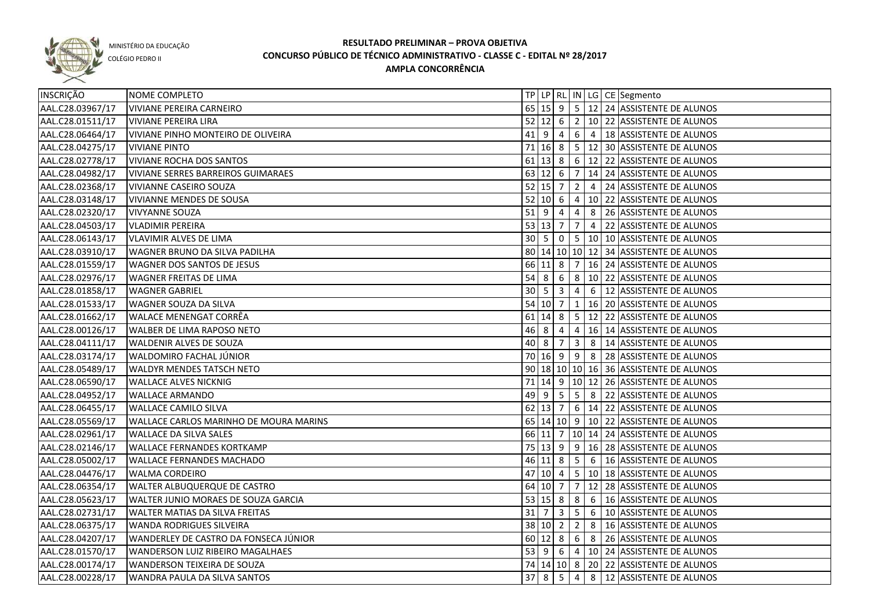

COLÉGIO PEDRO II

| INSCRIÇÃO        | NOME COMPLETO                                 |             |                     |                         |                         |                | TP   LP   RL   IN   LG   CE   Segmento            |
|------------------|-----------------------------------------------|-------------|---------------------|-------------------------|-------------------------|----------------|---------------------------------------------------|
| AAL.C28.03967/17 | <b>VIVIANE PEREIRA CARNEIRO</b>               |             |                     |                         |                         |                | 65 15 9 5 12 24 ASSISTENTE DE ALUNOS              |
| AAL.C28.01511/17 | <b>VIVIANE PEREIRA LIRA</b>                   |             | $52$ 12 6           |                         |                         |                | 2   10   22   ASSISTENTE DE ALUNOS                |
| AAL.C28.06464/17 | VIVIANE PINHO MONTEIRO DE OLIVEIRA            |             | $41 \mid 9 \mid 4$  |                         |                         |                | 6 4 18 ASSISTENTE DE ALUNOS                       |
| AAL.C28.04275/17 | <b>VIVIANE PINTO</b>                          |             | $71$ 16 8           |                         |                         |                | $5 \mid 12 \mid 30$ ASSISTENTE DE ALUNOS          |
| AAL.C28.02778/17 | <b>VIVIANE ROCHA DOS SANTOS</b>               |             |                     |                         |                         |                | 61 13 8 6 12 22 ASSISTENTE DE ALUNOS              |
| AAL.C28.04982/17 | <b>VIVIANE SERRES BARREIROS GUIMARAES</b>     |             |                     |                         |                         |                | 63 12 6 7 14 24 ASSISTENTE DE ALUNOS              |
| AAL.C28.02368/17 | <b>VIVIANNE CASEIRO SOUZA</b>                 |             |                     | $52$ 15 7               |                         |                | 2 4 24 ASSISTENTE DE ALUNOS                       |
| AAL.C28.03148/17 | VIVIANNE MENDES DE SOUSA                      |             |                     |                         |                         |                | 52 10 6 4 10 22 ASSISTENTE DE ALUNOS              |
| AAL.C28.02320/17 | <b>VIVYANNE SOUZA</b>                         |             |                     | $51$ 9 4                |                         |                | 4 8 26 ASSISTENTE DE ALUNOS                       |
| AAL.C28.04503/17 | <b>VLADIMIR PEREIRA</b>                       |             | $53 \mid 13 \mid 7$ |                         | $\overline{7}$          |                | 4 22 ASSISTENTE DE ALUNOS                         |
| AAL.C28.06143/17 | <b>VLAVIMIR ALVES DE LIMA</b>                 |             |                     |                         |                         |                | 30   5   0   5   10   10   ASSISTENTE DE ALUNOS   |
| AAL.C28.03910/17 | WAGNER BRUNO DA SILVA PADILHA                 |             |                     |                         |                         |                | 80 14 10 10 12 34 ASSISTENTE DE ALUNOS            |
| AAL.C28.01559/17 | WAGNER DOS SANTOS DE JESUS                    |             |                     | 66 11 8                 |                         |                | 7   16   24   ASSISTENTE DE ALUNOS                |
| AAL.C28.02976/17 | <b>WAGNER FREITAS DE LIMA</b>                 | 54          | 8                   | 6                       |                         |                | 8 10 22 ASSISTENTE DE ALUNOS                      |
| AAL.C28.01858/17 | <b>WAGNER GABRIEL</b>                         | $30\quad 5$ |                     | $\overline{\mathbf{3}}$ | $\overline{4}$          |                | 6 12 ASSISTENTE DE ALUNOS                         |
| AAL.C28.01533/17 | WAGNER SOUZA DA SILVA                         | 54 10 7     |                     |                         | $\mathbf{1}$            |                | 16 20 ASSISTENTE DE ALUNOS                        |
| AAL.C28.01662/17 | <b>WALACE MENENGAT CORRÊA</b>                 |             | 61 14               | 8                       |                         |                | 5   12   22   ASSISTENTE DE ALUNOS                |
| AAL.C28.00126/17 | <b>WALBER DE LIMA RAPOSO NETO</b>             | 46 8        |                     | $\overline{4}$          | $\overline{4}$          |                | 16 14 ASSISTENTE DE ALUNOS                        |
| AAL.C28.04111/17 | <b>WALDENIR ALVES DE SOUZA</b>                | 40 8        |                     | $\overline{7}$          | $\overline{\mathbf{3}}$ | 8 <sup>1</sup> | 14 ASSISTENTE DE ALUNOS                           |
| AAL.C28.03174/17 | WALDOMIRO FACHAL JUNIOR                       |             |                     | 70 16 9                 |                         | $9 \mid 8$     | 28 ASSISTENTE DE ALUNOS                           |
| AAL.C28.05489/17 | WALDYR MENDES TATSCH NETO                     |             |                     |                         |                         |                | 90 18 10 10 16 36 ASSISTENTE DE ALUNOS            |
| AAL.C28.06590/17 | <b>WALLACE ALVES NICKNIG</b>                  |             |                     |                         |                         |                | 71 14 9 10 12 26 ASSISTENTE DE ALUNOS             |
| AAL.C28.04952/17 | <b>WALLACE ARMANDO</b>                        |             | 49 9                | $5^{\circ}$             | $5\overline{)}$         | 8              | 22 ASSISTENTE DE ALUNOS                           |
| AAL.C28.06455/17 | <b>WALLACE CAMILO SILVA</b>                   |             | $62$ 13 7           |                         |                         |                | 6   14   22   ASSISTENTE DE ALUNOS                |
| AAL.C28.05569/17 | <b>WALLACE CARLOS MARINHO DE MOURA MARINS</b> |             |                     |                         |                         |                | 65   14   10   9   10   22   ASSISTENTE DE ALUNOS |
| AAL.C28.02961/17 | <b>WALLACE DA SILVA SALES</b>                 |             | 66 11               | 7                       |                         |                | 10 14 24 ASSISTENTE DE ALUNOS                     |
| AAL.C28.02146/17 | <b>WALLACE FERNANDES KORTKAMP</b>             |             | 75 13               | l 9                     |                         |                | $9   16   28  $ ASSISTENTE DE ALUNOS              |
| AAL.C28.05002/17 | <b>WALLACE FERNANDES MACHADO</b>              |             | 46 11 8             |                         | $5\overline{)}$         |                | 6   16 ASSISTENTE DE ALUNOS                       |
| AAL.C28.04476/17 | <b>WALMA CORDEIRO</b>                         | 47          | 10 4                |                         |                         |                | 5   10   18 ASSISTENTE DE ALUNOS                  |
| AAL.C28.06354/17 | <b>WALTER ALBUQUERQUE DE CASTRO</b>           |             | 64 10 7             |                         | $\overline{7}$          |                | 12 28 ASSISTENTE DE ALUNOS                        |
| AAL.C28.05623/17 | WALTER JUNIO MORAES DE SOUZA GARCIA           | 53 15 8     |                     |                         | 8 <sup>°</sup>          |                | 6   16 ASSISTENTE DE ALUNOS                       |
| AAL.C28.02731/17 | <b>WALTER MATIAS DA SILVA FREITAS</b>         | $31 \mid 7$ |                     | $\overline{3}$          |                         |                | 5 6 10 ASSISTENTE DE ALUNOS                       |
| AAL.C28.06375/17 | <b>WANDA RODRIGUES SILVEIRA</b>               |             |                     | 38 10 2                 |                         |                | $2 \mid 8 \mid 16$ ASSISTENTE DE ALUNOS           |
| AAL.C28.04207/17 | WANDERLEY DE CASTRO DA FONSECA JÚNIOR         |             |                     |                         |                         |                | 60 12 8 6 8 26 ASSISTENTE DE ALUNOS               |
| AAL.C28.01570/17 | WANDERSON LUIZ RIBEIRO MAGALHAES              |             |                     |                         |                         |                | 53 9 6 4 10 24 ASSISTENTE DE ALUNOS               |
| AAL.C28.00174/17 | WANDERSON TEIXEIRA DE SOUZA                   |             |                     |                         |                         |                | 74   14   10   8   20   22   ASSISTENTE DE ALUNOS |
| AAL.C28.00228/17 | WANDRA PAULA DA SILVA SANTOS                  | 378         |                     | 5                       | $\overline{4}$          |                | 8 12 ASSISTENTE DE ALUNOS                         |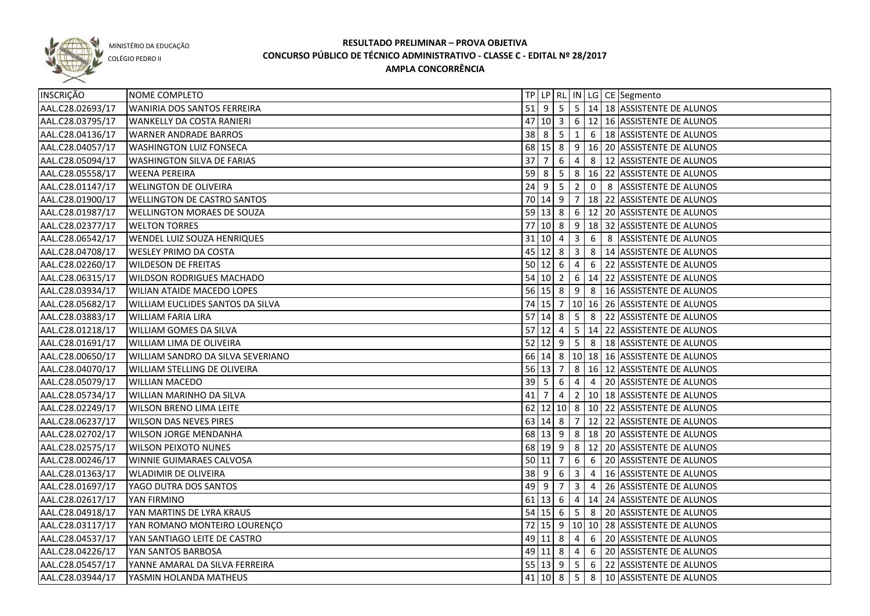

COLÉGIO PEDRO II

| <b>INSCRIÇÃO</b> | NOME COMPLETO                       |    |                            |                |                         |                | TP   LP   RL   IN   LG   CE   Segmento                 |
|------------------|-------------------------------------|----|----------------------------|----------------|-------------------------|----------------|--------------------------------------------------------|
| AAL.C28.02693/17 | WANIRIA DOS SANTOS FERREIRA         |    |                            |                |                         |                | 51 9 5 5 14 18 ASSISTENTE DE ALUNOS                    |
| AAL.C28.03795/17 | WANKELLY DA COSTA RANIERI           |    |                            |                |                         |                | 47 10 3 6 12 16 ASSISTENTE DE ALUNOS                   |
| AAL.C28.04136/17 | <b>WARNER ANDRADE BARROS</b>        |    |                            |                |                         |                | 38 8 5 1 6 18 ASSISTENTE DE ALUNOS                     |
| AAL.C28.04057/17 | <b>WASHINGTON LUIZ FONSECA</b>      |    |                            |                |                         |                | 68 15 8 9 16 20 ASSISTENTE DE ALUNOS                   |
| AAL.C28.05094/17 | <b>WASHINGTON SILVA DE FARIAS</b>   |    |                            |                |                         |                | 37 7 6 4 8 12 ASSISTENTE DE ALUNOS                     |
| AAL.C28.05558/17 | <b>WEENA PEREIRA</b>                |    |                            |                |                         |                | 59 8 5 8 16 22 ASSISTENTE DE ALUNOS                    |
| AAL.C28.01147/17 | <b>WELINGTON DE OLIVEIRA</b>        |    |                            |                |                         |                | 24 9 5 2 0 8 ASSISTENTE DE ALUNOS                      |
| AAL.C28.01900/17 | <b>WELLINGTON DE CASTRO SANTOS</b>  |    |                            |                |                         |                | 70 14 9 7 18 22 ASSISTENTE DE ALUNOS                   |
| AAL.C28.01987/17 | <b>WELLINGTON MORAES DE SOUZA</b>   |    |                            |                |                         |                | 59 13 8 6 12 20 ASSISTENTE DE ALUNOS                   |
| AAL.C28.02377/17 | <b>WELTON TORRES</b>                | 77 |                            |                |                         |                | 10  8   9   18   32   ASSISTENTE DE ALUNOS             |
| AAL.C28.06542/17 | <b>WENDEL LUIZ SOUZA HENRIQUES</b>  |    | 31   10   4                |                | $\overline{\mathbf{3}}$ |                | 6 8 ASSISTENTE DE ALUNOS                               |
| AAL.C28.04708/17 | <b>WESLEY PRIMO DA COSTA</b>        |    | $45 \mid 12 \mid 8 \mid 3$ |                |                         |                | 8   14 ASSISTENTE DE ALUNOS                            |
| AAL.C28.02260/17 | <b>WILDESON DE FREITAS</b>          |    | $50 \ 12 \ 6$              |                | $\overline{4}$          | 6              | 22 ASSISTENTE DE ALUNOS                                |
| AAL.C28.06315/17 | <b>WILDSON RODRIGUES MACHADO</b>    |    | $54$ 10 2                  |                |                         |                | $6 \mid 14 \mid 22$ ASSISTENTE DE ALUNOS               |
| AAL.C28.03934/17 | <b>WILIAN ATAIDE MACEDO LOPES</b>   |    |                            |                |                         |                | 56 15 8 9 8 16 ASSISTENTE DE ALUNOS                    |
| AAL.C28.05682/17 | WILLIAM EUCLIDES SANTOS DA SILVA    |    |                            |                |                         |                | 74 15 7   10   16   26   ASSISTENTE DE ALUNOS          |
| AAL.C28.03883/17 | <b>WILLIAM FARIA LIRA</b>           |    | $57$ 14 8                  |                |                         | 58             | 22 ASSISTENTE DE ALUNOS                                |
| AAL.C28.01218/17 | WILLIAM GOMES DA SILVA              |    | $57$ 12 4                  |                |                         |                | $\vert 5 \vert 14 \vert 22 \vert$ ASSISTENTE DE ALUNOS |
| AAL.C28.01691/17 | WILLIAM LIMA DE OLIVEIRA            |    | $52 \mid 12 \mid 9$        |                | 5 <sub>5</sub>          | 8              | 18 ASSISTENTE DE ALUNOS                                |
| AAL.C28.00650/17 | WILLIAM SANDRO DA SILVA SEVERIANO   |    | 66 14 8                    |                |                         |                | 10 18 16 ASSISTENTE DE ALUNOS                          |
| AAL.C28.04070/17 | <b>WILLIAM STELLING DE OLIVEIRA</b> |    | $56$ 13 7                  |                |                         |                | 8   16   12   ASSISTENTE DE ALUNOS                     |
| AAL.C28.05079/17 | <b>WILLIAN MACEDO</b>               |    | $39 \mid 5$                | 6              | 4                       | $\overline{4}$ | 20 ASSISTENTE DE ALUNOS                                |
| AAL.C28.05734/17 | WILLIAN MARINHO DA SILVA            | 41 |                            | 4              | $2^{\circ}$             |                | 10 18 ASSISTENTE DE ALUNOS                             |
| AAL.C28.02249/17 | <b>WILSON BRENO LIMA LEITE</b>      |    |                            |                |                         |                | 62 12 10 8 10 22 ASSISTENTE DE ALUNOS                  |
| AAL.C28.06237/17 | <b>WILSON DAS NEVES PIRES</b>       |    | 63 14 8                    |                |                         |                | 7   12   22   ASSISTENTE DE ALUNOS                     |
| AAL.C28.02702/17 | <b>WILSON JORGE MENDANHA</b>        |    | 68 13 9                    |                | 8 <sup>8</sup>          |                | 18 20 ASSISTENTE DE ALUNOS                             |
| AAL.C28.02575/17 | <b>WILSON PEIXOTO NUNES</b>         |    | 68 19 9                    |                |                         |                | 8 12 20 ASSISTENTE DE ALUNOS                           |
| AAL.C28.00246/17 | WINNIE GUIMARAES CALVOSA            |    | 50 11                      | $\overline{7}$ |                         | $6 \mid 6$     | 20 ASSISTENTE DE ALUNOS                                |
| AAL.C28.01363/17 | <b>WLADIMIR DE OLIVEIRA</b>         |    | $38 \mid 9 \mid 6$         |                |                         |                | 3 4 16 ASSISTENTE DE ALUNOS                            |
| AAL.C28.01697/17 | YAGO DUTRA DOS SANTOS               |    | 49 9                       |                |                         |                | $ 7 3 4 26 $ ASSISTENTE DE ALUNOS                      |
| AAL.C28.02617/17 | YAN FIRMINO                         |    |                            |                |                         |                | 61 13 6 4 14 24 ASSISTENTE DE ALUNOS                   |
| AAL.C28.04918/17 | YAN MARTINS DE LYRA KRAUS           |    |                            |                |                         |                | 54 15 6 5 8 20 ASSISTENTE DE ALUNOS                    |
| AAL.C28.03117/17 | YAN ROMANO MONTEIRO LOURENÇO        |    |                            |                |                         |                | 72 15 9 10 10 28 ASSISTENTE DE ALUNOS                  |
| AAL.C28.04537/17 | YAN SANTIAGO LEITE DE CASTRO        |    |                            |                |                         |                | 49 11 8 4 6 20 ASSISTENTE DE ALUNOS                    |
| AAL.C28.04226/17 | YAN SANTOS BARBOSA                  |    |                            |                |                         |                | 49 11 8 4 6 20 ASSISTENTE DE ALUNOS                    |
| AAL.C28.05457/17 | YANNE AMARAL DA SILVA FERREIRA      |    |                            |                |                         |                | 55 13 9 5 6 22 ASSISTENTE DE ALUNOS                    |
| AAL.C28.03944/17 | YASMIN HOLANDA MATHEUS              |    |                            |                |                         |                | 41   10   8   5   8   10   ASSISTENTE DE ALUNOS        |